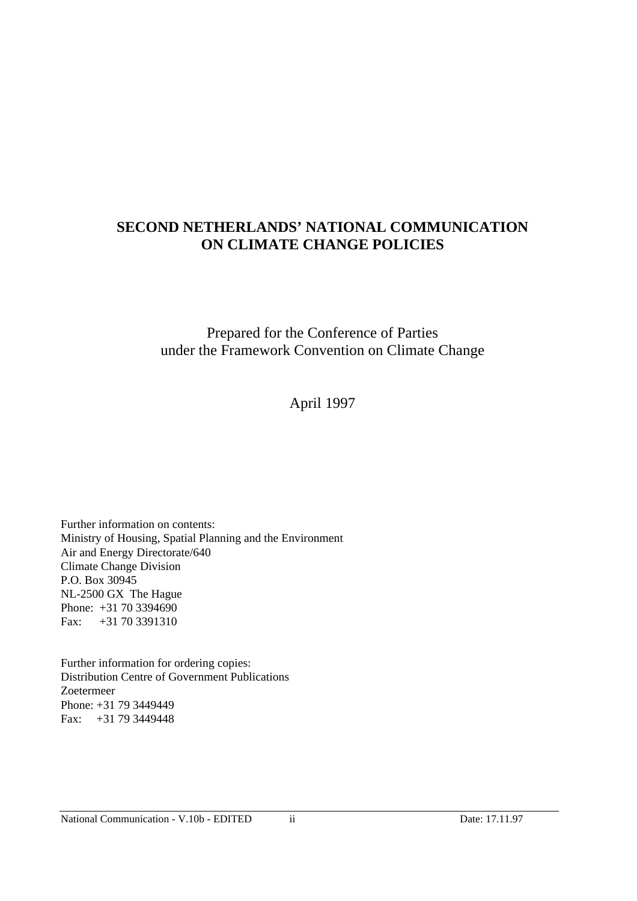# **SECOND NETHERLANDS' NATIONAL COMMUNICATION ON CLIMATE CHANGE POLICIES**

Prepared for the Conference of Parties under the Framework Convention on Climate Change

April 1997

Further information on contents: Ministry of Housing, Spatial Planning and the Environment Air and Energy Directorate/640 Climate Change Division P.O. Box 30945 NL-2500 GX The Hague Phone: +31 70 3394690 Fax: +31 70 3391310

Further information for ordering copies: Distribution Centre of Government Publications Zoetermeer Phone: +31 79 3449449 Fax: +31 79 3449448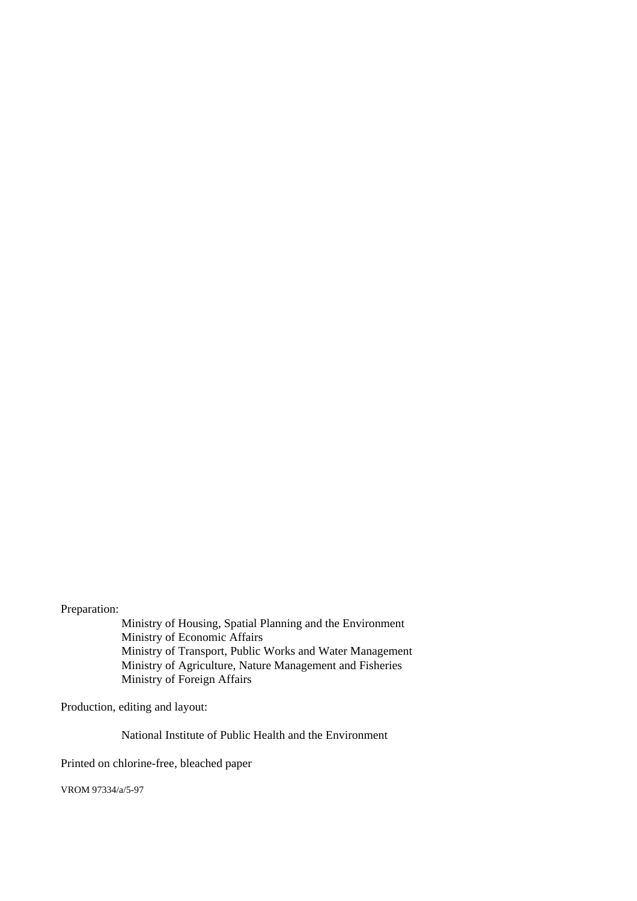Preparation:

Ministry of Housing, Spatial Planning and the Environment Ministry of Economic Affairs Ministry of Transport, Public Works and Water Management Ministry of Agriculture, Nature Management and Fisheries Ministry of Foreign Affairs

Production, editing and layout:

National Institute of Public Health and the Environment

Printed on chlorine-free, bleached paper

VROM 97334/a/5-97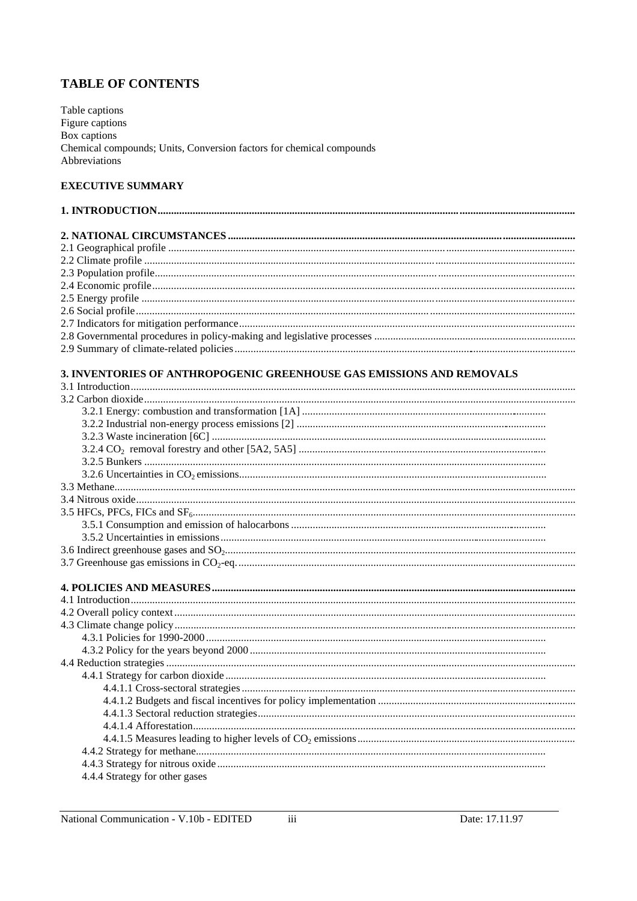# **TABLE OF CONTENTS**

Table captions<br>Figure captions<br>Box captions Chemical compounds; Units, Conversion factors for chemical compounds Abbreviations

# **EXECUTIVE SUMMARY**

| 3. INVENTORIES OF ANTHROPOGENIC GREENHOUSE GAS EMISSIONS AND REMOVALS |
|-----------------------------------------------------------------------|
|                                                                       |
|                                                                       |
|                                                                       |
|                                                                       |
|                                                                       |
|                                                                       |
|                                                                       |
|                                                                       |
|                                                                       |
|                                                                       |
|                                                                       |
|                                                                       |
|                                                                       |
|                                                                       |
|                                                                       |
|                                                                       |
|                                                                       |
|                                                                       |
|                                                                       |
|                                                                       |
|                                                                       |
|                                                                       |
|                                                                       |
|                                                                       |
|                                                                       |
|                                                                       |
|                                                                       |
|                                                                       |
|                                                                       |
|                                                                       |
|                                                                       |
| 4.4.4 Strategy for other gases                                        |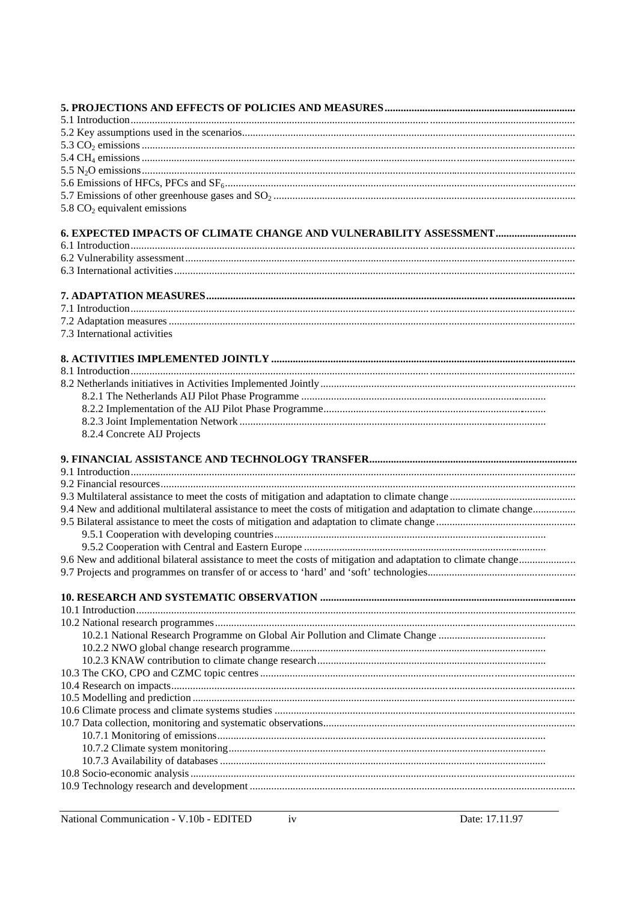| 5.8 $CO2$ equivalent emissions                                                                                  |
|-----------------------------------------------------------------------------------------------------------------|
| <b>6. EXPECTED IMPACTS OF CLIMATE CHANGE AND VULNERABILITY ASSESSMENT</b>                                       |
|                                                                                                                 |
|                                                                                                                 |
|                                                                                                                 |
|                                                                                                                 |
|                                                                                                                 |
|                                                                                                                 |
| 7.3 International activities                                                                                    |
|                                                                                                                 |
|                                                                                                                 |
|                                                                                                                 |
|                                                                                                                 |
|                                                                                                                 |
|                                                                                                                 |
| 8.2.4 Concrete AIJ Projects                                                                                     |
|                                                                                                                 |
|                                                                                                                 |
|                                                                                                                 |
|                                                                                                                 |
| 9.4 New and additional multilateral assistance to meet the costs of mitigation and adaptation to climate change |
|                                                                                                                 |
|                                                                                                                 |
|                                                                                                                 |
|                                                                                                                 |
|                                                                                                                 |
|                                                                                                                 |
|                                                                                                                 |
|                                                                                                                 |
|                                                                                                                 |
|                                                                                                                 |
|                                                                                                                 |
|                                                                                                                 |
|                                                                                                                 |
|                                                                                                                 |
|                                                                                                                 |
|                                                                                                                 |
|                                                                                                                 |
|                                                                                                                 |
|                                                                                                                 |
|                                                                                                                 |
|                                                                                                                 |

 $iv$ 

National Communication - V.10b - EDITED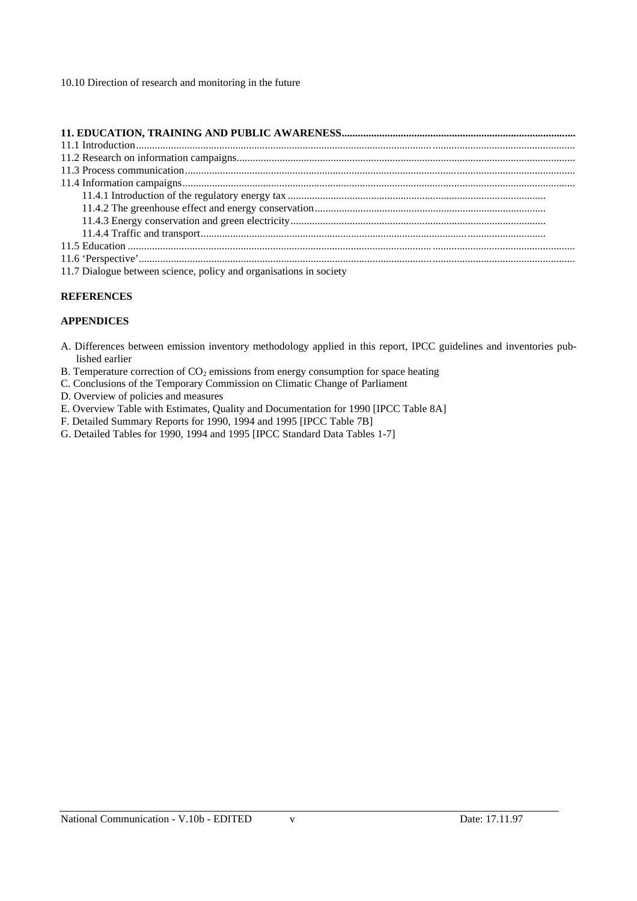10.10 Direction of research and monitoring in the future

| 11.7 Dialogue between science, policy and organisations in society |
|--------------------------------------------------------------------|

#### **REFERENCES**

#### **APPENDICES**

- A. Differences between emission inventory methodology applied in this report, IPCC guidelines and inventories published earlier
- B. Temperature correction of  $CO<sub>2</sub>$  emissions from energy consumption for space heating
- C. Conclusions of the Temporary Commission on Climatic Change of Parliament
- D. Overview of policies and measures
- E. Overview Table with Estimates, Quality and Documentation for 1990 [IPCC Table 8A]
- F. Detailed Summary Reports for 1990, 1994 and 1995 [IPCC Table 7B]
- G. Detailed Tables for 1990, 1994 and 1995 [IPCC Standard Data Tables 1-7]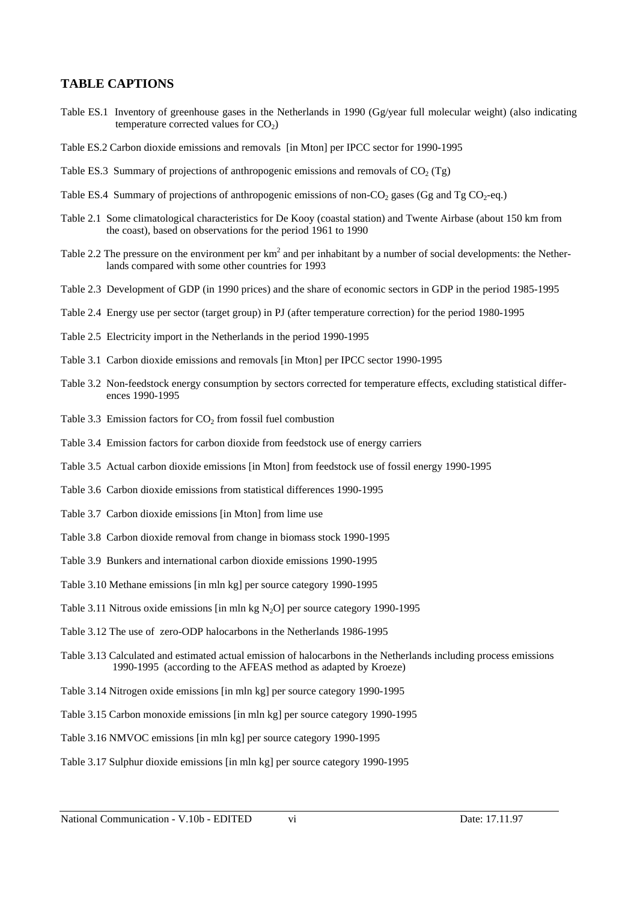# **TABLE CAPTIONS**

- Table ES.1 Inventory of greenhouse gases in the Netherlands in 1990 (Gg/year full molecular weight) (also indicating temperature corrected values for  $CO<sub>2</sub>$ )
- Table ES.2 Carbon dioxide emissions and removals [in Mton] per IPCC sector for 1990-1995
- Table ES.3 Summary of projections of anthropogenic emissions and removals of  $CO<sub>2</sub> (Tg)$
- Table ES.4 Summary of projections of anthropogenic emissions of non-CO<sub>2</sub> gases (Gg and Tg CO<sub>2</sub>-eq.)
- Table 2.1 Some climatological characteristics for De Kooy (coastal station) and Twente Airbase (about 150 km from the coast), based on observations for the period 1961 to 1990
- Table 2.2 The pressure on the environment per  $km^2$  and per inhabitant by a number of social developments: the Netherlands compared with some other countries for 1993
- Table 2.3 Development of GDP (in 1990 prices) and the share of economic sectors in GDP in the period 1985-1995
- Table 2.4 Energy use per sector (target group) in PJ (after temperature correction) for the period 1980-1995
- Table 2.5 Electricity import in the Netherlands in the period 1990-1995
- Table 3.1 Carbon dioxide emissions and removals [in Mton] per IPCC sector 1990-1995
- Table 3.2 Non-feedstock energy consumption by sectors corrected for temperature effects, excluding statistical differences 1990-1995
- Table 3.3 Emission factors for  $CO<sub>2</sub>$  from fossil fuel combustion
- Table 3.4 Emission factors for carbon dioxide from feedstock use of energy carriers
- Table 3.5 Actual carbon dioxide emissions [in Mton] from feedstock use of fossil energy 1990-1995
- Table 3.6 Carbon dioxide emissions from statistical differences 1990-1995
- Table 3.7 Carbon dioxide emissions [in Mton] from lime use
- Table 3.8 Carbon dioxide removal from change in biomass stock 1990-1995
- Table 3.9 Bunkers and international carbon dioxide emissions 1990-1995
- Table 3.10 Methane emissions [in mln kg] per source category 1990-1995
- Table 3.11 Nitrous oxide emissions [in mln kg  $N_2O$ ] per source category 1990-1995
- Table 3.12 The use of zero-ODP halocarbons in the Netherlands 1986-1995
- Table 3.13 Calculated and estimated actual emission of halocarbons in the Netherlands including process emissions 1990-1995 (according to the AFEAS method as adapted by Kroeze)
- Table 3.14 Nitrogen oxide emissions [in mln kg] per source category 1990-1995
- Table 3.15 Carbon monoxide emissions [in mln kg] per source category 1990-1995
- Table 3.16 NMVOC emissions [in mln kg] per source category 1990-1995
- Table 3.17 Sulphur dioxide emissions [in mln kg] per source category 1990-1995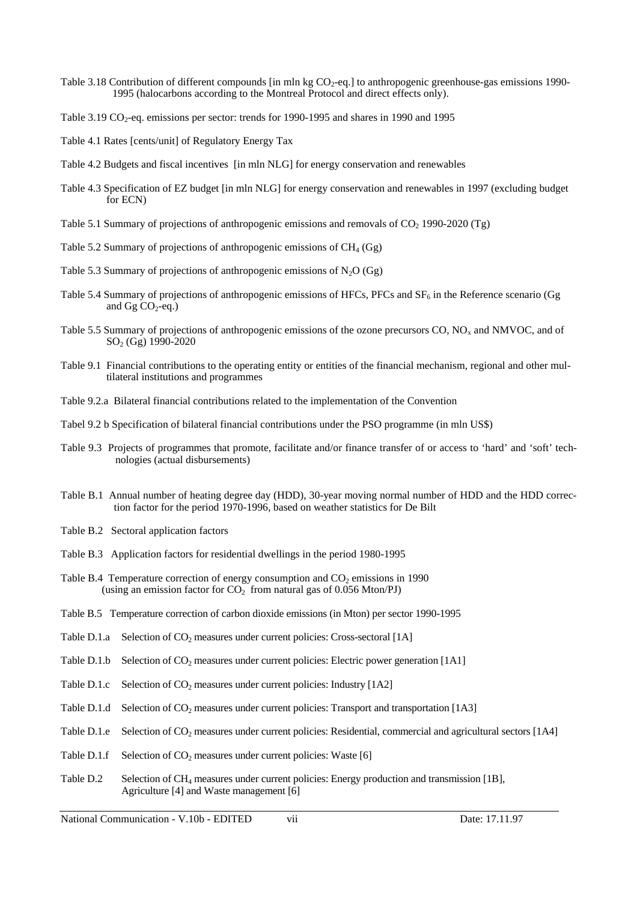- Table 3.18 Contribution of different compounds  $\left[ \text{in m} \right]$  kg CO<sub>2</sub>-eq.] to anthropogenic greenhouse-gas emissions 1990-1995 (halocarbons according to the Montreal Protocol and direct effects only).
- Table 3.19  $CO_2$ -eq. emissions per sector: trends for 1990-1995 and shares in 1990 and 1995
- Table 4.1 Rates [cents/unit] of Regulatory Energy Tax
- Table 4.2 Budgets and fiscal incentives [in mln NLG] for energy conservation and renewables
- Table 4.3 Specification of EZ budget [in mln NLG] for energy conservation and renewables in 1997 (excluding budget for ECN)
- Table 5.1 Summary of projections of anthropogenic emissions and removals of  $CO<sub>2</sub>$  1990-2020 (Tg)
- Table 5.2 Summary of projections of anthropogenic emissions of  $CH<sub>4</sub>$  (Gg)
- Table 5.3 Summary of projections of anthropogenic emissions of  $N_2O$  (Gg)
- Table 5.4 Summary of projections of anthropogenic emissions of HFCs, PFCs and  $SF<sub>6</sub>$  in the Reference scenario (Gg and Gg  $CO<sub>2</sub>$ -eq.)
- Table 5.5 Summary of projections of anthropogenic emissions of the ozone precursors  $CO$ ,  $NO<sub>x</sub>$  and NMVOC, and of SO2 (Gg) 1990-2020
- Table 9.1 Financial contributions to the operating entity or entities of the financial mechanism, regional and other multilateral institutions and programmes
- Table 9.2.a Bilateral financial contributions related to the implementation of the Convention
- Tabel 9.2 b Specification of bilateral financial contributions under the PSO programme (in mln US\$)
- Table 9.3 Projects of programmes that promote, facilitate and/or finance transfer of or access to 'hard' and 'soft' technologies (actual disbursements)
- Table B.1 Annual number of heating degree day (HDD), 30-year moving normal number of HDD and the HDD correction factor for the period 1970-1996, based on weather statistics for De Bilt
- Table B.2 Sectoral application factors
- Table B.3 Application factors for residential dwellings in the period 1980-1995
- Table B.4 Temperature correction of energy consumption and  $CO<sub>2</sub>$  emissions in 1990 (using an emission factor for  $CO<sub>2</sub>$  from natural gas of 0.056 Mton/PJ)
- Table B.5 Temperature correction of carbon dioxide emissions (in Mton) per sector 1990-1995
- Table D.1.a Selection of  $CO<sub>2</sub>$  measures under current policies: Cross-sectoral [1A]
- Table D.1.b Selection of  $CO<sub>2</sub>$  measures under current policies: Electric power generation [1A1]
- Table D.1.c Selection of  $CO<sub>2</sub>$  measures under current policies: Industry [1A2]
- Table D.1.d Selection of  $CO<sub>2</sub>$  measures under current policies: Transport and transportation [1A3]
- Table D.1.e Selection of CO<sub>2</sub> measures under current policies: Residential, commercial and agricultural sectors [1A4]
- Table D.1.f Selection of  $CO<sub>2</sub>$  measures under current policies: Waste [6]
- Table D.2 Selection of CH<sub>4</sub> measures under current policies: Energy production and transmission [1B], Agriculture [4] and Waste management [6]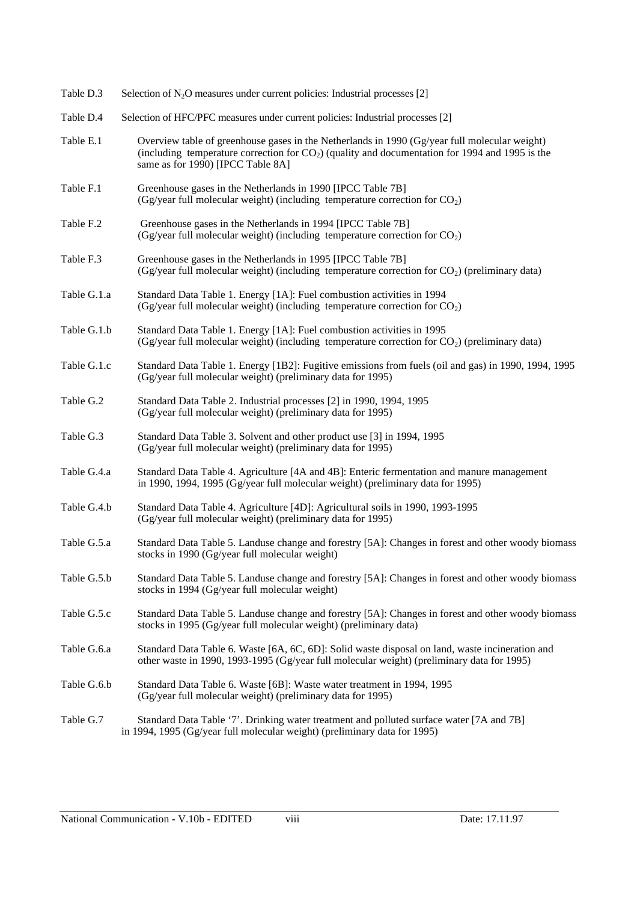| Table D.3   | Selection of $N_2O$ measures under current policies: Industrial processes [2]                                                                                                                                                           |
|-------------|-----------------------------------------------------------------------------------------------------------------------------------------------------------------------------------------------------------------------------------------|
| Table D.4   | Selection of HFC/PFC measures under current policies: Industrial processes [2]                                                                                                                                                          |
| Table E.1   | Overview table of greenhouse gases in the Netherlands in 1990 (Gg/year full molecular weight)<br>(including temperature correction for $CO2$ ) (quality and documentation for 1994 and 1995 is the<br>same as for 1990) [IPCC Table 8A] |
| Table F.1   | Greenhouse gases in the Netherlands in 1990 [IPCC Table 7B]<br>(Gg/year full molecular weight) (including temperature correction for CO <sub>2</sub> )                                                                                  |
| Table F.2   | Greenhouse gases in the Netherlands in 1994 [IPCC Table 7B]<br>(Gg/year full molecular weight) (including temperature correction for $CO2$ )                                                                                            |
| Table F.3   | Greenhouse gases in the Netherlands in 1995 [IPCC Table 7B]<br>(Gg/year full molecular weight) (including temperature correction for $CO2$ ) (preliminary data)                                                                         |
| Table G.1.a | Standard Data Table 1. Energy [1A]: Fuel combustion activities in 1994<br>(Gg/year full molecular weight) (including temperature correction for CO <sub>2</sub> )                                                                       |
| Table G.1.b | Standard Data Table 1. Energy [1A]: Fuel combustion activities in 1995<br>(Gg/year full molecular weight) (including temperature correction for $CO2$ ) (preliminary data)                                                              |
| Table G.1.c | Standard Data Table 1. Energy [1B2]: Fugitive emissions from fuels (oil and gas) in 1990, 1994, 1995<br>(Gg/year full molecular weight) (preliminary data for 1995)                                                                     |
| Table G.2   | Standard Data Table 2. Industrial processes [2] in 1990, 1994, 1995<br>(Gg/year full molecular weight) (preliminary data for 1995)                                                                                                      |
| Table G.3   | Standard Data Table 3. Solvent and other product use [3] in 1994, 1995<br>(Gg/year full molecular weight) (preliminary data for 1995)                                                                                                   |
| Table G.4.a | Standard Data Table 4. Agriculture [4A and 4B]: Enteric fermentation and manure management<br>in 1990, 1994, 1995 (Gg/year full molecular weight) (preliminary data for 1995)                                                           |
| Table G.4.b | Standard Data Table 4. Agriculture [4D]: Agricultural soils in 1990, 1993-1995<br>(Gg/year full molecular weight) (preliminary data for 1995)                                                                                           |
| Table G.5.a | Standard Data Table 5. Landuse change and forestry [5A]: Changes in forest and other woody biomass<br>stocks in 1990 (Gg/year full molecular weight)                                                                                    |
| Table G.5.b | Standard Data Table 5. Landuse change and forestry [5A]: Changes in forest and other woody biomass<br>stocks in 1994 (Gg/year full molecular weight)                                                                                    |
| Table G.5.c | Standard Data Table 5. Landuse change and forestry [5A]: Changes in forest and other woody biomass<br>stocks in 1995 (Gg/year full molecular weight) (preliminary data)                                                                 |
| Table G.6.a | Standard Data Table 6. Waste [6A, 6C, 6D]: Solid waste disposal on land, waste incineration and<br>other waste in 1990, 1993-1995 (Gg/year full molecular weight) (preliminary data for 1995)                                           |
| Table G.6.b | Standard Data Table 6. Waste [6B]: Waste water treatment in 1994, 1995<br>(Gg/year full molecular weight) (preliminary data for 1995)                                                                                                   |
| Table G.7   | Standard Data Table '7'. Drinking water treatment and polluted surface water [7A and 7B]<br>in 1994, 1995 (Gg/year full molecular weight) (preliminary data for 1995)                                                                   |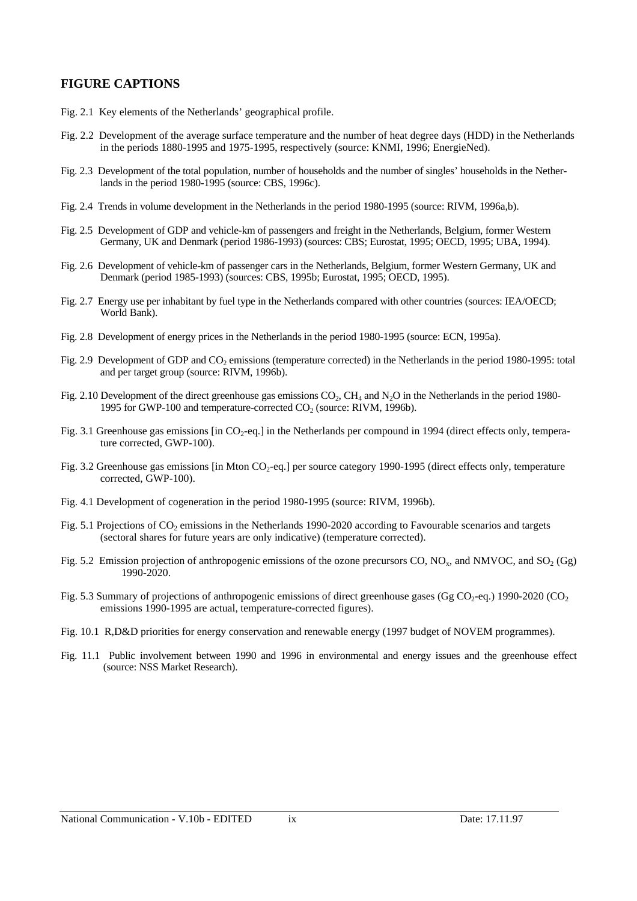# **FIGURE CAPTIONS**

- Fig. 2.1 Key elements of the Netherlands' geographical profile.
- Fig. 2.2 Development of the average surface temperature and the number of heat degree days (HDD) in the Netherlands in the periods 1880-1995 and 1975-1995, respectively (source: KNMI, 1996; EnergieNed).
- Fig. 2.3 Development of the total population, number of households and the number of singles' households in the Netherlands in the period 1980-1995 (source: CBS, 1996c).
- Fig. 2.4 Trends in volume development in the Netherlands in the period 1980-1995 (source: RIVM, 1996a,b).
- Fig. 2.5 Development of GDP and vehicle-km of passengers and freight in the Netherlands, Belgium, former Western Germany, UK and Denmark (period 1986-1993) (sources: CBS; Eurostat, 1995; OECD, 1995; UBA, 1994).
- Fig. 2.6 Development of vehicle-km of passenger cars in the Netherlands, Belgium, former Western Germany, UK and Denmark (period 1985-1993) (sources: CBS, 1995b; Eurostat, 1995; OECD, 1995).
- Fig. 2.7 Energy use per inhabitant by fuel type in the Netherlands compared with other countries (sources: IEA/OECD; World Bank).
- Fig. 2.8 Development of energy prices in the Netherlands in the period 1980-1995 (source: ECN, 1995a).
- Fig. 2.9 Development of GDP and CO<sub>2</sub> emissions (temperature corrected) in the Netherlands in the period 1980-1995: total and per target group (source: RIVM, 1996b).
- Fig. 2.10 Development of the direct greenhouse gas emissions  $CO<sub>2</sub>$ , CH<sub>4</sub> and N<sub>2</sub>O in the Netherlands in the period 1980-1995 for GWP-100 and temperature-corrected  $CO<sub>2</sub>$  (source: RIVM, 1996b).
- Fig. 3.1 Greenhouse gas emissions [in  $CO_2$ -eq.] in the Netherlands per compound in 1994 (direct effects only, temperature corrected, GWP-100).
- Fig. 3.2 Greenhouse gas emissions [in Mton CO<sub>2</sub>-eq.] per source category 1990-1995 (direct effects only, temperature corrected, GWP-100).
- Fig. 4.1 Development of cogeneration in the period 1980-1995 (source: RIVM, 1996b).
- Fig. 5.1 Projections of  $CO<sub>2</sub>$  emissions in the Netherlands 1990-2020 according to Favourable scenarios and targets (sectoral shares for future years are only indicative) (temperature corrected).
- Fig. 5.2 Emission projection of anthropogenic emissions of the ozone precursors CO,  $NO_x$ , and NMVOC, and SO<sub>2</sub> (Gg) 1990-2020.
- Fig. 5.3 Summary of projections of anthropogenic emissions of direct greenhouse gases (Gg  $CO_2$ -eq.) 1990-2020 (CO<sub>2</sub> emissions 1990-1995 are actual, temperature-corrected figures).
- Fig. 10.1 R,D&D priorities for energy conservation and renewable energy (1997 budget of NOVEM programmes).
- Fig. 11.1 Public involvement between 1990 and 1996 in environmental and energy issues and the greenhouse effect (source: NSS Market Research).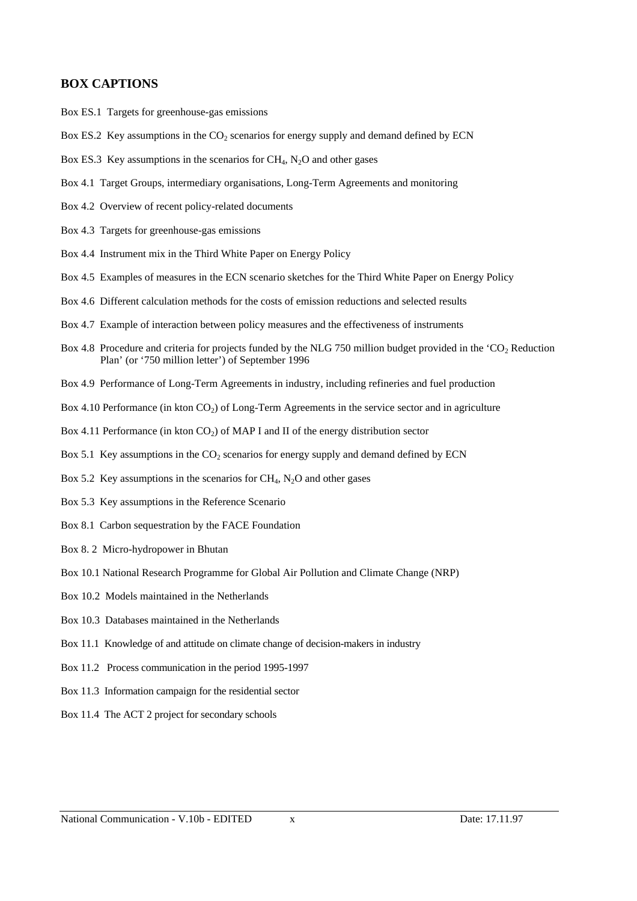# **BOX CAPTIONS**

- Box ES.1 Targets for greenhouse-gas emissions
- Box ES.2 Key assumptions in the  $CO<sub>2</sub>$  scenarios for energy supply and demand defined by ECN
- Box ES.3 Key assumptions in the scenarios for CH<sub>4</sub>, N<sub>2</sub>O and other gases
- Box 4.1 Target Groups, intermediary organisations, Long-Term Agreements and monitoring
- Box 4.2 Overview of recent policy-related documents
- Box 4.3 Targets for greenhouse-gas emissions
- Box 4.4 Instrument mix in the Third White Paper on Energy Policy
- Box 4.5 Examples of measures in the ECN scenario sketches for the Third White Paper on Energy Policy
- Box 4.6 Different calculation methods for the costs of emission reductions and selected results
- Box 4.7 Example of interaction between policy measures and the effectiveness of instruments
- Box 4.8 Procedure and criteria for projects funded by the NLG 750 million budget provided in the 'CO<sub>2</sub> Reduction Plan' (or '750 million letter') of September 1996
- Box 4.9 Performance of Long-Term Agreements in industry, including refineries and fuel production
- Box 4.10 Performance (in kton  $CO<sub>2</sub>$ ) of Long-Term Agreements in the service sector and in agriculture
- Box 4.11 Performance (in kton  $CO<sub>2</sub>$ ) of MAP I and II of the energy distribution sector
- Box 5.1 Key assumptions in the  $CO<sub>2</sub>$  scenarios for energy supply and demand defined by ECN
- Box 5.2 Key assumptions in the scenarios for  $CH_4$ , N<sub>2</sub>O and other gases
- Box 5.3 Key assumptions in the Reference Scenario
- Box 8.1 Carbon sequestration by the FACE Foundation
- Box 8. 2 Micro-hydropower in Bhutan
- Box 10.1 National Research Programme for Global Air Pollution and Climate Change (NRP)
- Box 10.2 Models maintained in the Netherlands
- Box 10.3 Databases maintained in the Netherlands
- Box 11.1 Knowledge of and attitude on climate change of decision-makers in industry
- Box 11.2 Process communication in the period 1995-1997
- Box 11.3 Information campaign for the residential sector
- Box 11.4 The ACT 2 project for secondary schools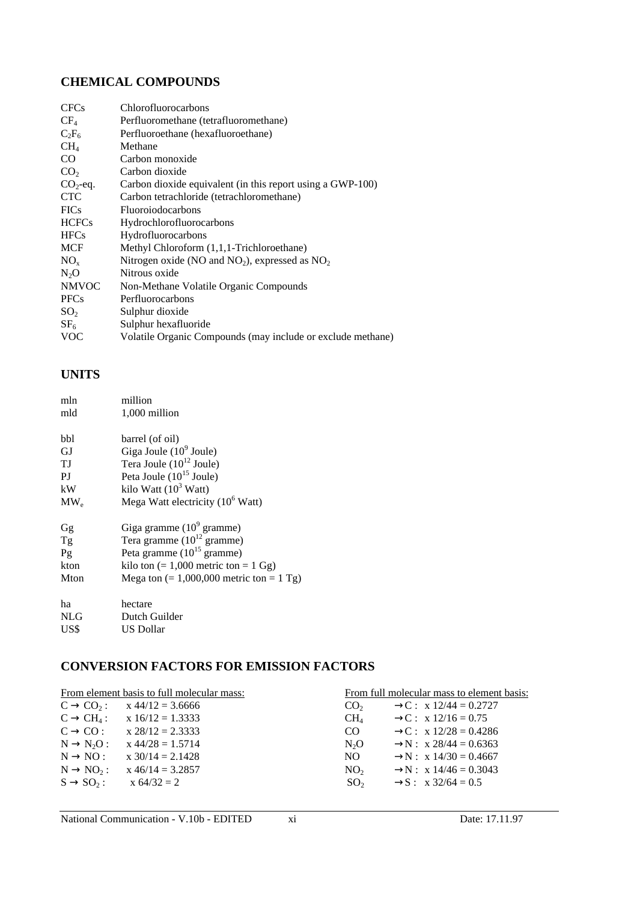# **CHEMICAL COMPOUNDS**

| <b>CFCs</b>     | Chlorofluorocarbons                                         |
|-----------------|-------------------------------------------------------------|
| $CF_4$          | Perfluoromethane (tetrafluoromethane)                       |
|                 |                                                             |
| $C_2F_6$        | Perfluoroethane (hexafluoroethane)                          |
| CH <sub>4</sub> | Methane                                                     |
| CO.             | Carbon monoxide                                             |
| CO <sub>2</sub> | Carbon dioxide                                              |
| $CO2$ -eq.      | Carbon dioxide equivalent (in this report using a GWP-100)  |
| <b>CTC</b>      | Carbon tetrachloride (tetrachloromethane)                   |
| <b>FICs</b>     | <b>Fluoroiodocarbons</b>                                    |
| <b>HCFCs</b>    | Hydrochlorofluorocarbons                                    |
| <b>HFCs</b>     | Hydrofluorocarbons                                          |
| <b>MCF</b>      | Methyl Chloroform (1,1,1-Trichloroethane)                   |
| $NO_{x}$        | Nitrogen oxide (NO and $NO_2$ ), expressed as $NO_2$        |
| $N_2O$          | Nitrous oxide                                               |
| <b>NMVOC</b>    | Non-Methane Volatile Organic Compounds                      |
| <b>PFCs</b>     | Perfluorocarbons                                            |
| SO <sub>2</sub> | Sulphur dioxide                                             |
| SF <sub>6</sub> | Sulphur hexafluoride                                        |
| <b>VOC</b>      | Volatile Organic Compounds (may include or exclude methane) |

# **UNITS**

| mln      | million                                      |
|----------|----------------------------------------------|
| mld      | 1,000 million                                |
| bbl      | barrel (of oil)                              |
| GJ       | Giga Joule $(10^9)$ Joule)                   |
| ТJ       | Tera Joule $(10^{12}$ Joule)                 |
| PJ       | Peta Joule $(10^{15}$ Joule)                 |
| kW       | kilo Watt $(10^3 \text{ Watt})$              |
| $MW_{e}$ | Mega Watt electricity $(10^6 \text{ Watt})$  |
| Gg       | Giga gramme $(10^9 \text{ gramme})$          |
| Tg       | Tera gramme $(10^{12}$ gramme)               |
| Pg       | Peta gramme $(10^{15}$ gramme)               |
| kton     | kilo ton $(= 1,000$ metric ton $= 1$ Gg)     |
| Mton     | Mega ton $(= 1,000,000$ metric ton $= 1$ Tg) |
| ha       | hectare                                      |
| NLG      | Dutch Guilder                                |
| US\$     | <b>US Dollar</b>                             |
|          |                                              |

# **CONVERSION FACTORS FOR EMISSION FACTORS**

|                        | From element basis to full molecular mass: |                  | From full molecular mass to element basis: |
|------------------------|--------------------------------------------|------------------|--------------------------------------------|
| $C \rightarrow CO_2$ : | $x 44/12 = 3.6666$                         | CO <sub>2</sub>  | $\rightarrow C$ : x 12/44 = 0.2727         |
| $C \rightarrow CH_4$ : | $x 16/12 = 1.3333$                         | $CH_4$           | $\rightarrow C$ : x 12/16 = 0.75           |
| $C \rightarrow CO$ :   | $x 28/12 = 2.3333$                         | CO               | $\rightarrow C$ : x 12/28 = 0.4286         |
| $N \rightarrow N_2O$ : | $x 44/28 = 1.5714$                         | N <sub>2</sub> O | $\rightarrow$ N : x 28/44 = 0.6363         |
| $N \rightarrow NO$ :   | $x 30/14 = 2.1428$                         | NO.              | $\rightarrow$ N : x 14/30 = 0.4667         |
| $N \rightarrow NO_2$ : | $x 46/14 = 3.2857$                         | NO <sub>2</sub>  | $\rightarrow$ N : x 14/46 = 0.3043         |
| $S \rightarrow SO_2$ : | $x 64/32 = 2$                              | SO <sub>2</sub>  | $\rightarrow$ S: x 32/64 = 0.5             |
|                        |                                            |                  |                                            |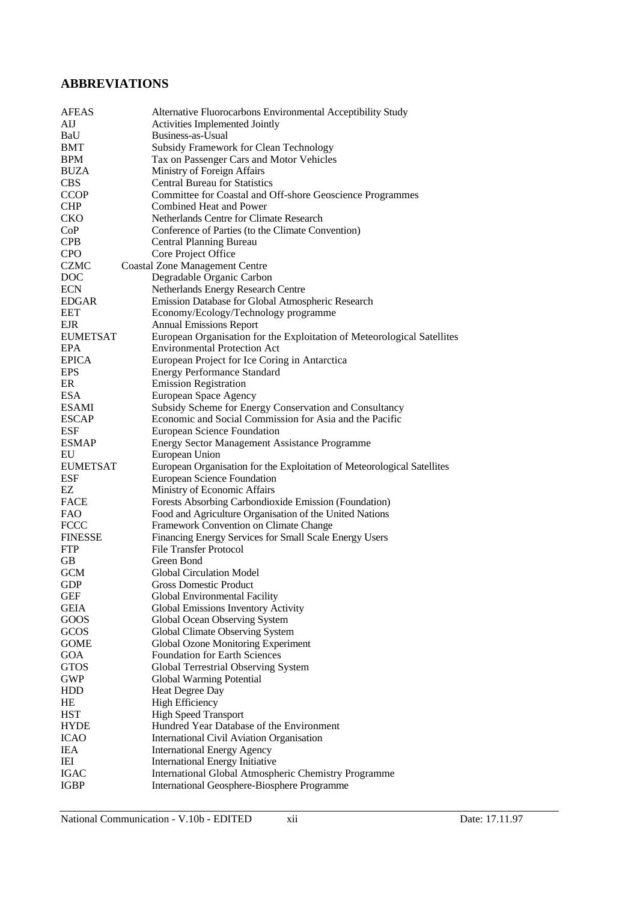# **ABBREVIATIONS**

| <b>AFEAS</b>    | Alternative Fluorocarbons Environmental Acceptibility Study             |
|-----------------|-------------------------------------------------------------------------|
| AIJ             | Activities Implemented Jointly                                          |
| BaU             | Business-as-Usual                                                       |
| <b>BMT</b>      | Subsidy Framework for Clean Technology                                  |
| <b>BPM</b>      | Tax on Passenger Cars and Motor Vehicles                                |
| <b>BUZA</b>     | Ministry of Foreign Affairs                                             |
| <b>CBS</b>      | <b>Central Bureau for Statistics</b>                                    |
| <b>CCOP</b>     | Committee for Coastal and Off-shore Geoscience Programmes               |
| <b>CHP</b>      | Combined Heat and Power                                                 |
| <b>CKO</b>      | Netherlands Centre for Climate Research                                 |
| CoP             | Conference of Parties (to the Climate Convention)                       |
| <b>CPB</b>      | Central Planning Bureau                                                 |
| <b>CPO</b>      | Core Project Office                                                     |
| <b>CZMC</b>     | <b>Coastal Zone Management Centre</b>                                   |
|                 |                                                                         |
| <b>DOC</b>      | Degradable Organic Carbon                                               |
| <b>ECN</b>      | Netherlands Energy Research Centre                                      |
| <b>EDGAR</b>    | Emission Database for Global Atmospheric Research                       |
| <b>EET</b>      | Economy/Ecology/Technology programme                                    |
| <b>EJR</b>      | <b>Annual Emissions Report</b>                                          |
| <b>EUMETSAT</b> | European Organisation for the Exploitation of Meteorological Satellites |
| <b>EPA</b>      | <b>Environmental Protection Act</b>                                     |
| <b>EPICA</b>    | European Project for Ice Coring in Antarctica                           |
| <b>EPS</b>      | <b>Energy Performance Standard</b>                                      |
| ER              | <b>Emission Registration</b>                                            |
| <b>ESA</b>      | European Space Agency                                                   |
| <b>ESAMI</b>    | Subsidy Scheme for Energy Conservation and Consultancy                  |
| <b>ESCAP</b>    | Economic and Social Commission for Asia and the Pacific                 |
| <b>ESF</b>      | <b>European Science Foundation</b>                                      |
| <b>ESMAP</b>    | <b>Energy Sector Management Assistance Programme</b>                    |
| EU              | European Union                                                          |
| <b>EUMETSAT</b> | European Organisation for the Exploitation of Meteorological Satellites |
| <b>ESF</b>      | <b>European Science Foundation</b>                                      |
| EZ              | Ministry of Economic Affairs                                            |
| FACE            | Forests Absorbing Carbondioxide Emission (Foundation)                   |
| <b>FAO</b>      | Food and Agriculture Organisation of the United Nations                 |
| <b>FCCC</b>     | Framework Convention on Climate Change                                  |
| <b>FINESSE</b>  | Financing Energy Services for Small Scale Energy Users                  |
| <b>FTP</b>      | <b>File Transfer Protocol</b>                                           |
| <b>GB</b>       | Green Bond                                                              |
| <b>GCM</b>      | Global Circulation Model                                                |
| GDP             | Gross Domestic Product                                                  |
| GEF             | Global Environmental Facility                                           |
| <b>GEIA</b>     | Global Emissions Inventory Activity                                     |
|                 |                                                                         |
| GOOS            | Global Ocean Observing System                                           |
| GCOS            | Global Climate Observing System                                         |
| <b>GOME</b>     | Global Ozone Monitoring Experiment                                      |
| GOA             | <b>Foundation for Earth Sciences</b>                                    |
| <b>GTOS</b>     | Global Terrestrial Observing System                                     |
| GWP             | Global Warming Potential                                                |
| HDD             | Heat Degree Day                                                         |
| HE              | <b>High Efficiency</b>                                                  |
| <b>HST</b>      | <b>High Speed Transport</b>                                             |
| <b>HYDE</b>     | Hundred Year Database of the Environment                                |
| <b>ICAO</b>     | International Civil Aviation Organisation                               |
| <b>IEA</b>      | <b>International Energy Agency</b>                                      |
| IEI             | <b>International Energy Initiative</b>                                  |
| <b>IGAC</b>     | International Global Atmospheric Chemistry Programme                    |
| <b>IGBP</b>     | International Geosphere-Biosphere Programme                             |
|                 |                                                                         |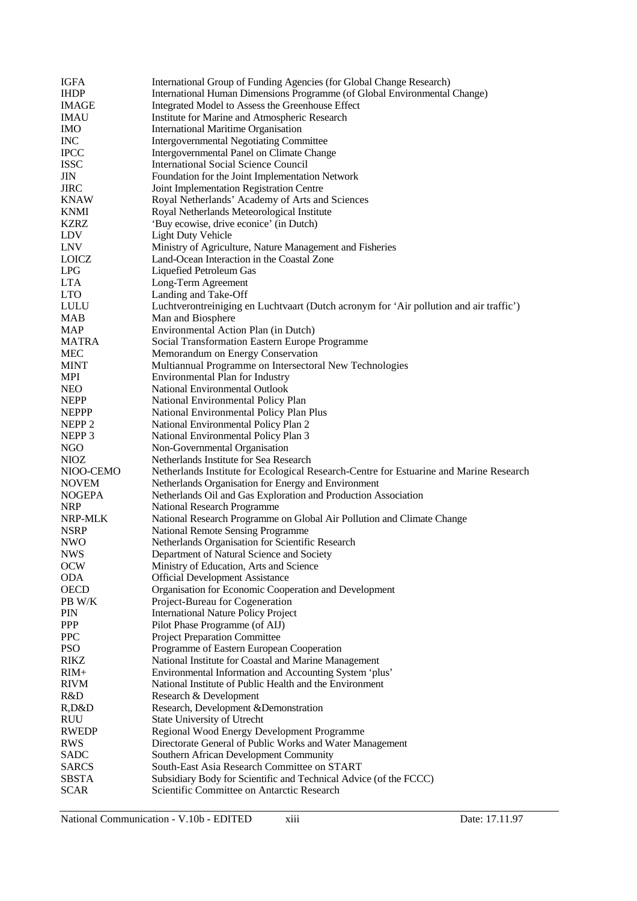| IGFA                      | International Group of Funding Agencies (for Global Change Research)                                 |
|---------------------------|------------------------------------------------------------------------------------------------------|
| <b>IHDP</b>               | International Human Dimensions Programme (of Global Environmental Change)                            |
| <b>IMAGE</b>              | Integrated Model to Assess the Greenhouse Effect                                                     |
| <b>IMAU</b>               | Institute for Marine and Atmospheric Research                                                        |
| <b>IMO</b>                | <b>International Maritime Organisation</b>                                                           |
| <b>INC</b>                | <b>Intergovernmental Negotiating Committee</b>                                                       |
| <b>IPCC</b>               | Intergovernmental Panel on Climate Change                                                            |
| <b>ISSC</b>               | <b>International Social Science Council</b>                                                          |
| JIN                       | Foundation for the Joint Implementation Network                                                      |
| <b>JIRC</b>               | Joint Implementation Registration Centre                                                             |
| <b>KNAW</b>               | Royal Netherlands' Academy of Arts and Sciences                                                      |
| <b>KNMI</b>               | Royal Netherlands Meteorological Institute                                                           |
| <b>KZRZ</b>               | 'Buy ecowise, drive econice' (in Dutch)                                                              |
| LDV                       | <b>Light Duty Vehicle</b>                                                                            |
| LNV                       | Ministry of Agriculture, Nature Management and Fisheries                                             |
| LOICZ                     | Land-Ocean Interaction in the Coastal Zone                                                           |
| <b>LPG</b>                | Liquefied Petroleum Gas                                                                              |
| <b>LTA</b>                | Long-Term Agreement                                                                                  |
| <b>LTO</b>                | Landing and Take-Off                                                                                 |
| <b>LULU</b>               | Luchtverontreiniging en Luchtvaart (Dutch acronym for 'Air pollution and air traffic')               |
| <b>MAB</b>                | Man and Biosphere                                                                                    |
| <b>MAP</b>                | Environmental Action Plan (in Dutch)                                                                 |
| MATRA                     | Social Transformation Eastern Europe Programme                                                       |
| <b>MEC</b>                | Memorandum on Energy Conservation                                                                    |
| <b>MINT</b>               | Multiannual Programme on Intersectoral New Technologies                                              |
| <b>MPI</b>                | Environmental Plan for Industry                                                                      |
| <b>NEO</b>                | National Environmental Outlook                                                                       |
| <b>NEPP</b>               | National Environmental Policy Plan                                                                   |
| <b>NEPPP</b>              | National Environmental Policy Plan Plus                                                              |
| NEPP <sub>2</sub>         | National Environmental Policy Plan 2                                                                 |
| NEPP 3                    | National Environmental Policy Plan 3                                                                 |
| NGO                       | Non-Governmental Organisation                                                                        |
| <b>NIOZ</b>               | Netherlands Institute for Sea Research                                                               |
| NIOO-CEMO                 | Netherlands Institute for Ecological Research-Centre for Estuarine and Marine Research               |
| <b>NOVEM</b>              | Netherlands Organisation for Energy and Environment                                                  |
|                           |                                                                                                      |
|                           |                                                                                                      |
| <b>NOGEPA</b>             | Netherlands Oil and Gas Exploration and Production Association<br><b>National Research Programme</b> |
| <b>NRP</b>                |                                                                                                      |
| NRP-MLK                   | National Research Programme on Global Air Pollution and Climate Change                               |
| <b>NSRP</b><br><b>NWO</b> | <b>National Remote Sensing Programme</b>                                                             |
|                           | Netherlands Organisation for Scientific Research                                                     |
| <b>NWS</b>                | Department of Natural Science and Society                                                            |
| <b>OCW</b><br><b>ODA</b>  | Ministry of Education, Arts and Science                                                              |
|                           | <b>Official Development Assistance</b>                                                               |
| <b>OECD</b><br>PB W/K     | Organisation for Economic Cooperation and Development                                                |
|                           | Project-Bureau for Cogeneration                                                                      |
| PIN                       | <b>International Nature Policy Project</b>                                                           |
| PPP<br><b>PPC</b>         | Pilot Phase Programme (of AIJ)                                                                       |
| <b>PSO</b>                | <b>Project Preparation Committee</b>                                                                 |
| <b>RIKZ</b>               | Programme of Eastern European Cooperation<br>National Institute for Coastal and Marine Management    |
| $RIM+$                    | Environmental Information and Accounting System 'plus'                                               |
| <b>RIVM</b>               | National Institute of Public Health and the Environment                                              |
| R&D                       | Research & Development                                                                               |
| R, D&D                    | Research, Development & Demonstration                                                                |
| <b>RUU</b>                | State University of Utrecht                                                                          |
| <b>RWEDP</b>              | Regional Wood Energy Development Programme                                                           |
| <b>RWS</b>                | Directorate General of Public Works and Water Management                                             |
| <b>SADC</b>               | Southern African Development Community                                                               |
| <b>SARCS</b>              | South-East Asia Research Committee on START                                                          |
| <b>SBSTA</b>              | Subsidiary Body for Scientific and Technical Advice (of the FCCC)                                    |
| <b>SCAR</b>               | Scientific Committee on Antarctic Research                                                           |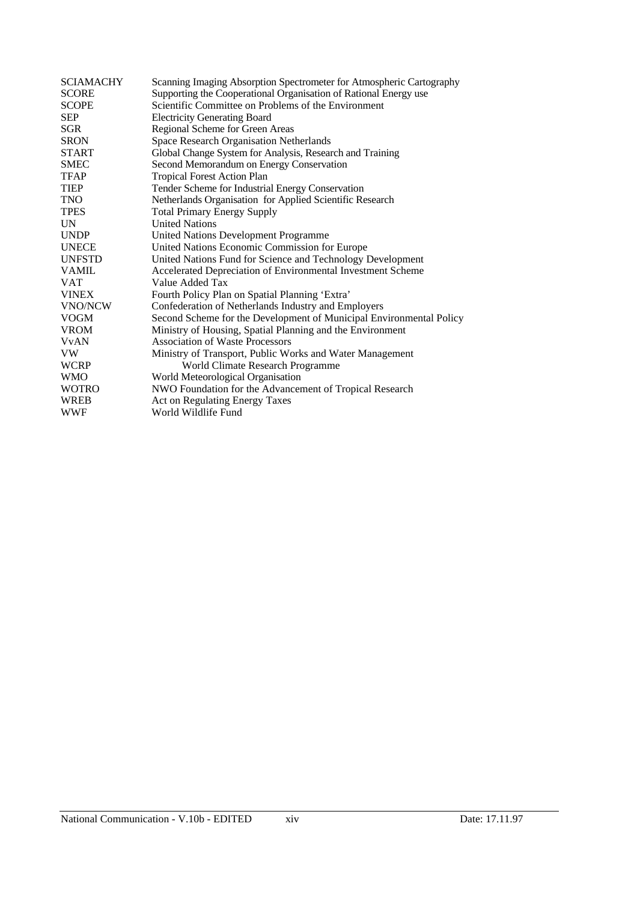| <b>SCIAMACHY</b> | Scanning Imaging Absorption Spectrometer for Atmospheric Cartography |
|------------------|----------------------------------------------------------------------|
| <b>SCORE</b>     | Supporting the Cooperational Organisation of Rational Energy use     |
| <b>SCOPE</b>     | Scientific Committee on Problems of the Environment                  |
| <b>SEP</b>       | <b>Electricity Generating Board</b>                                  |
| <b>SGR</b>       | Regional Scheme for Green Areas                                      |
| <b>SRON</b>      | Space Research Organisation Netherlands                              |
| <b>START</b>     | Global Change System for Analysis, Research and Training             |
| <b>SMEC</b>      | Second Memorandum on Energy Conservation                             |
| <b>TFAP</b>      | <b>Tropical Forest Action Plan</b>                                   |
| <b>TIEP</b>      | Tender Scheme for Industrial Energy Conservation                     |
| <b>TNO</b>       | Netherlands Organisation for Applied Scientific Research             |
| <b>TPES</b>      | <b>Total Primary Energy Supply</b>                                   |
| <b>UN</b>        | <b>United Nations</b>                                                |
| <b>UNDP</b>      | United Nations Development Programme                                 |
| <b>UNECE</b>     | United Nations Economic Commission for Europe                        |
| UNFSTD           | United Nations Fund for Science and Technology Development           |
| <b>VAMIL</b>     | Accelerated Depreciation of Environmental Investment Scheme          |
| VAT              | Value Added Tax                                                      |
| <b>VINEX</b>     | Fourth Policy Plan on Spatial Planning 'Extra'                       |
| VNO/NCW          | Confederation of Netherlands Industry and Employers                  |
| <b>VOGM</b>      | Second Scheme for the Development of Municipal Environmental Policy  |
| <b>VROM</b>      | Ministry of Housing, Spatial Planning and the Environment            |
| <b>V</b> vAN     | <b>Association of Waste Processors</b>                               |
| VW               | Ministry of Transport, Public Works and Water Management             |
| <b>WCRP</b>      | World Climate Research Programme                                     |
| <b>WMO</b>       | World Meteorological Organisation                                    |
| <b>WOTRO</b>     | NWO Foundation for the Advancement of Tropical Research              |
| <b>WREB</b>      | Act on Regulating Energy Taxes                                       |
| <b>WWF</b>       | World Wildlife Fund                                                  |
|                  |                                                                      |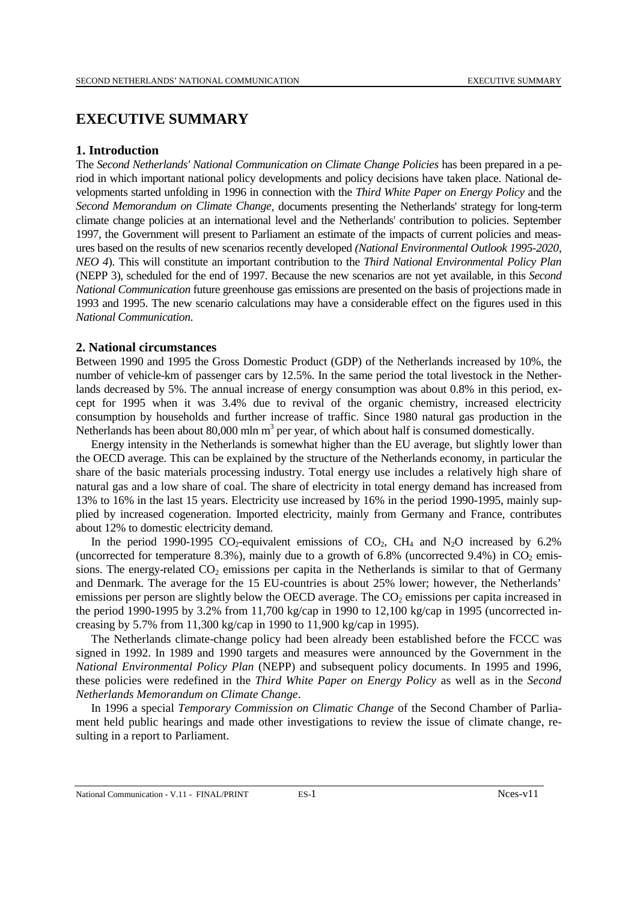# **EXECUTIVE SUMMARY**

#### **1. Introduction**

The *Second Netherlands' National Communication on Climate Change Policies* has been prepared in a period in which important national policy developments and policy decisions have taken place. National developments started unfolding in 1996 in connection with the *Third White Paper on Energy Policy* and the *Second Memorandum on Climate Change*, documents presenting the Netherlands' strategy for long-term climate change policies at an international level and the Netherlands' contribution to policies. September 1997, the Government will present to Parliament an estimate of the impacts of current policies and measures based on the results of new scenarios recently developed *(National Environmental Outlook 1995-2020*, *NEO 4*). This will constitute an important contribution to the *Third National Environmental Policy Plan* (NEPP 3), scheduled for the end of 1997. Because the new scenarios are not yet available, in this *Second National Communication* future greenhouse gas emissions are presented on the basis of projections made in 1993 and 1995. The new scenario calculations may have a considerable effect on the figures used in this *National Communication*.

### **2. National circumstances**

Between 1990 and 1995 the Gross Domestic Product (GDP) of the Netherlands increased by 10%, the number of vehicle-km of passenger cars by 12.5%. In the same period the total livestock in the Netherlands decreased by 5%. The annual increase of energy consumption was about 0.8% in this period, except for 1995 when it was 3.4% due to revival of the organic chemistry, increased electricity consumption by households and further increase of traffic. Since 1980 natural gas production in the Netherlands has been about 80,000 mln  $m<sup>3</sup>$  per year, of which about half is consumed domestically.

Energy intensity in the Netherlands is somewhat higher than the EU average, but slightly lower than the OECD average. This can be explained by the structure of the Netherlands economy, in particular the share of the basic materials processing industry. Total energy use includes a relatively high share of natural gas and a low share of coal. The share of electricity in total energy demand has increased from 13% to 16% in the last 15 years. Electricity use increased by 16% in the period 1990-1995, mainly supplied by increased cogeneration. Imported electricity, mainly from Germany and France, contributes about 12% to domestic electricity demand.

In the period 1990-1995 CO<sub>2</sub>-equivalent emissions of CO<sub>2</sub>, CH<sub>4</sub> and N<sub>2</sub>O increased by 6.2% (uncorrected for temperature 8.3%), mainly due to a growth of 6.8% (uncorrected 9.4%) in  $CO<sub>2</sub>$  emissions. The energy-related  $CO<sub>2</sub>$  emissions per capita in the Netherlands is similar to that of Germany and Denmark. The average for the 15 EU-countries is about 25% lower; however, the Netherlands' emissions per person are slightly below the OECD average. The  $CO<sub>2</sub>$  emissions per capita increased in the period 1990-1995 by 3.2% from 11,700 kg/cap in 1990 to 12,100 kg/cap in 1995 (uncorrected increasing by 5.7% from 11,300 kg/cap in 1990 to 11,900 kg/cap in 1995).

The Netherlands climate-change policy had been already been established before the FCCC was signed in 1992. In 1989 and 1990 targets and measures were announced by the Government in the *National Environmental Policy Plan* (NEPP) and subsequent policy documents. In 1995 and 1996, these policies were redefined in the *Third White Paper on Energy Policy* as well as in the *Second Netherlands Memorandum on Climate Change*.

In 1996 a special *Temporary Commission on Climatic Change* of the Second Chamber of Parliament held public hearings and made other investigations to review the issue of climate change, resulting in a report to Parliament.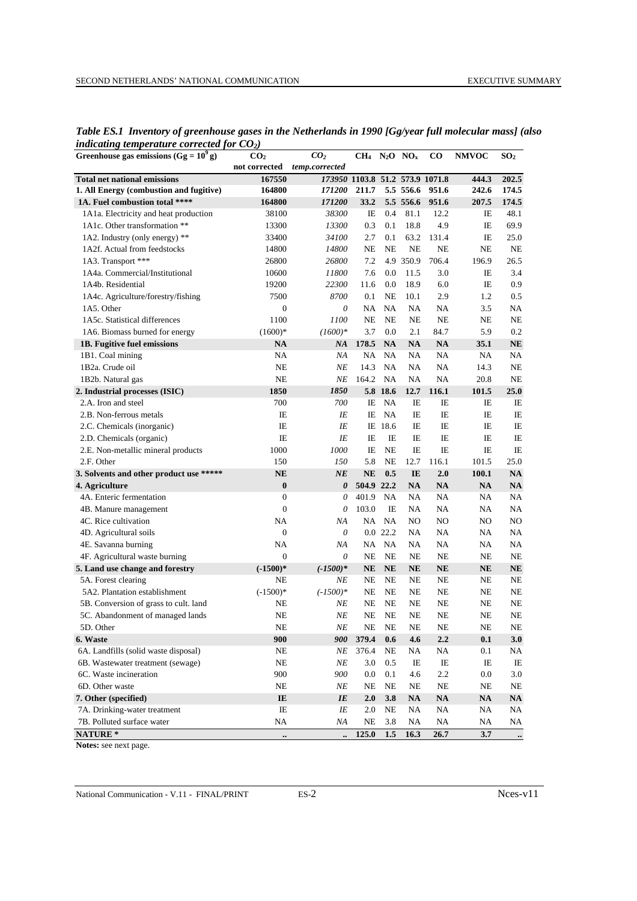| Greenhouse gas emissions (Gg = $10^9$ g) | CO <sub>2</sub>  | CO <sub>2</sub>                 | $CH4$ N <sub>2</sub> O NO <sub>x</sub> |               |               | $\bf CO$      | <b>NMVOC</b>  | SO <sub>2</sub> |
|------------------------------------------|------------------|---------------------------------|----------------------------------------|---------------|---------------|---------------|---------------|-----------------|
|                                          | not corrected    | temp.corrected                  |                                        |               |               |               |               |                 |
| <b>Total net national emissions</b>      | 167550           | 173950 1103.8 51.2 573.9 1071.8 |                                        |               |               |               | 444.3         | 202.5           |
| 1. All Energy (combustion and fugitive)  | 164800           | <i>171200</i>                   | 211.7                                  |               | 5.5 556.6     | 951.6         | 242.6         | 174.5           |
| 1A. Fuel combustion total ****           | 164800           | 171200                          | 33.2                                   |               | 5.5 556.6     | 951.6         | 207.5         | 174.5           |
| 1A1a. Electricity and heat production    | 38100            | 38300                           | IE                                     | 0.4           | 81.1          | 12.2          | IE            | 48.1            |
| 1A1c. Other transformation **            | 13300            | 13300                           | 0.3                                    | 0.1           | 18.8          | 4.9           | IE            | 69.9            |
| 1A2. Industry (only energy) **           | 33400            | <i>34100</i>                    | 2.7                                    | 0.1           | 63.2          | 131.4         | IE            | 25.0            |
| 1A2f. Actual from feedstocks             | 14800            | 14800                           | NE                                     | <b>NE</b>     | NE            | NE            | $\rm NE$      | NE              |
| 1A3. Transport ***                       | 26800            | 26800                           | 7.2                                    |               | 4.9 350.9     | 706.4         | 196.9         | 26.5            |
| 1A4a. Commercial/Institutional           | 10600            | 11800                           | 7.6                                    | 0.0           | 11.5          | 3.0           | IE            | 3.4             |
| 1A4b. Residential                        | 19200            | 22300                           | 11.6                                   | 0.0           | 18.9          | 6.0           | IE            | 0.9             |
| 1A4c. Agriculture/forestry/fishing       | 7500             | 8700                            | 0.1                                    | NE            | 10.1          | 2.9           | 1.2           | 0.5             |
| 1A5. Other                               | $\mathbf{0}$     | $\theta$                        | NA                                     | NA            | NA            | NA            | 3.5           | NA              |
| 1A5c. Statistical differences            | 1100             | 1100                            | NE                                     | NE            | NE            | NE            | $\rm NE$      | NE              |
| 1A6. Biomass burned for energy           | $(1600)*$        | $(1600)*$                       | 3.7                                    | 0.0           | 2.1           | 84.7          | 5.9           | 0.2             |
| 1B. Fugitive fuel emissions              | $\mathbf{NA}$    | NA                              | 178.5                                  | <b>NA</b>     | NA            | $\mathbf{NA}$ | 35.1          | NE              |
| 1B1. Coal mining                         | NA               | NA                              | NA                                     | <b>NA</b>     | NA            | NA            | NA            | NA              |
| 1B2a. Crude oil                          | NE               | NE                              | 14.3                                   | <b>NA</b>     | NA            | NA            | 14.3          | NE              |
| 1B2b. Natural gas                        | $_{\rm NE}$      | NE                              | 164.2                                  | <b>NA</b>     | NA            | NA            | 20.8          | NE              |
| 2. Industrial processes (ISIC)           | 1850             | 1850                            |                                        | 5.8 18.6      | 12.7          | 116.1         | 101.5         | 25.0            |
| 2.A. Iron and steel                      | 700              | 700                             | IE                                     | NA            | IE            | IE            | IE            | IE              |
| 2.B. Non-ferrous metals                  | IE               | ΙE                              | IE                                     | NA            | IE            | IE            | IE            | IE              |
| 2.C. Chemicals (inorganic)               | IE               | ΙE                              |                                        | IE 18.6       | IE            | IE            | IE            | IE              |
| 2.D. Chemicals (organic)                 | IE               | ΙE                              | IE                                     | IE            | IE            | IE            | IE            | IE              |
| 2.E. Non-metallic mineral products       | 1000             | 1000                            | IE                                     | $\rm NE$      | IE            | IE            | IE            | IE              |
| 2.F. Other                               | 150              | 150                             | 5.8                                    | NE            | 12.7          | 116.1         | 101.5         | 25.0            |
| 3. Solvents and other product use *****  | $\bf NE$         | $N\!E$                          | <b>NE</b>                              | 0.5           | IE            | 2.0           | 100.1         | NA              |
| 4. Agriculture                           | $\pmb{0}$        | 0                               | 504.9 22.2                             |               | NA            | $\mathbf{NA}$ | $\mathbf{NA}$ | <b>NA</b>       |
| 4A. Enteric fermentation                 | $\boldsymbol{0}$ | $\theta$                        | 401.9                                  | <b>NA</b>     | NA            | NA            | NA            | NA              |
| 4B. Manure management                    | $\boldsymbol{0}$ | 0                               | 103.0                                  | IE            | NA            | NA            | NA            | NA              |
| 4C. Rice cultivation                     | NA               | ΝA                              |                                        | NA NA         | NO            | NO            | NO            | NO              |
| 4D. Agricultural soils                   | $\boldsymbol{0}$ | $\theta$                        |                                        | $0.0$ 22.2    | NA            | NA            | NA            | NA              |
| 4E. Savanna burning                      | NA               | ΝA                              |                                        | NA NA         | NA            | NA            | NA            | NA              |
| 4F. Agricultural waste burning           | $\boldsymbol{0}$ | 0                               | NE                                     | $\rm NE$      | NE            | NE            | NE            | NE              |
| 5. Land use change and forestry          | $(-1500)*$       | $(-1500)*$                      | NE                                     | $N\mathbf{E}$ | <b>NE</b>     | NE            | NE            | NE              |
| 5A. Forest clearing                      | NE               | NΕ                              | NE                                     | NE            | NE            | NE            | NE            | NE              |
| 5A2. Plantation establishment            | $(-1500)*$       | $(-1500)*$                      | NE                                     | $_{\rm NE}$   | NE            | NE            | NE            | NE              |
| 5B. Conversion of grass to cult. land    | NE               | ΝE                              | $_{\rm NE}$                            | NE            | $\rm NE$      | NE            | $_{\rm NE}$   | NE              |
| 5C. Abandonment of managed lands         | NE               | ΝE                              | NE                                     | NE            | NE            | NE            | <b>NE</b>     | NE              |
| 5D. Other                                | $\rm NE$         | $N\!E$                          | NE                                     | $\rm NE$      | $\rm NE$      | $\rm NE$      | $\rm NE$      | $\rm NE$        |
| 6. Waste                                 | 900              | 900                             | 379.4                                  | 0.6           | 4.6           | $2.2\,$       | 0.1           | 3.0             |
| 6A. Landfills (solid waste disposal)     | NE               | ΝE                              | 376.4                                  | $\rm NE$      | NA            | NA            | 0.1           | NA              |
| 6B. Wastewater treatment (sewage)        | NE               | $N\!E$                          | 3.0                                    | 0.5           | IE            | IE            | IE            | IE              |
| 6C. Waste incineration                   | 900              | 900                             | 0.0                                    | 0.1           | 4.6           | 2.2           | $0.0\,$       | 3.0             |
| 6D. Other waste                          | $\rm NE$         | ΝE                              | NE                                     | $\rm NE$      | $\rm NE$      | NE            | NE            | NE              |
| 7. Other (specified)                     | IE               | $I\!E$                          | 2.0                                    | 3.8           | $\mathbf{NA}$ | $\mathbf{NA}$ | NA            | NA              |
| 7A. Drinking-water treatment             | $_{\rm IE}$      | IE                              | 2.0                                    | NE            | NA            | NA            | NA            | NA              |
| 7B. Polluted surface water               | NA               | ΝA                              | NE                                     | 3.8           | NA            | NA            | NA            | NA              |
| NATURE *                                 |                  | $\ddot{\phantom{a}}$            | 125.0                                  | 1.5           | 16.3          | 26.7          | 3.7           | $\ddotsc$       |

*Table ES.1 Inventory of greenhouse gases in the Netherlands in 1990 [Gg/year full molecular mass] (also indicating temperature corrected for*  $CO<sub>2</sub>$ *)* 

**Notes:** see next page.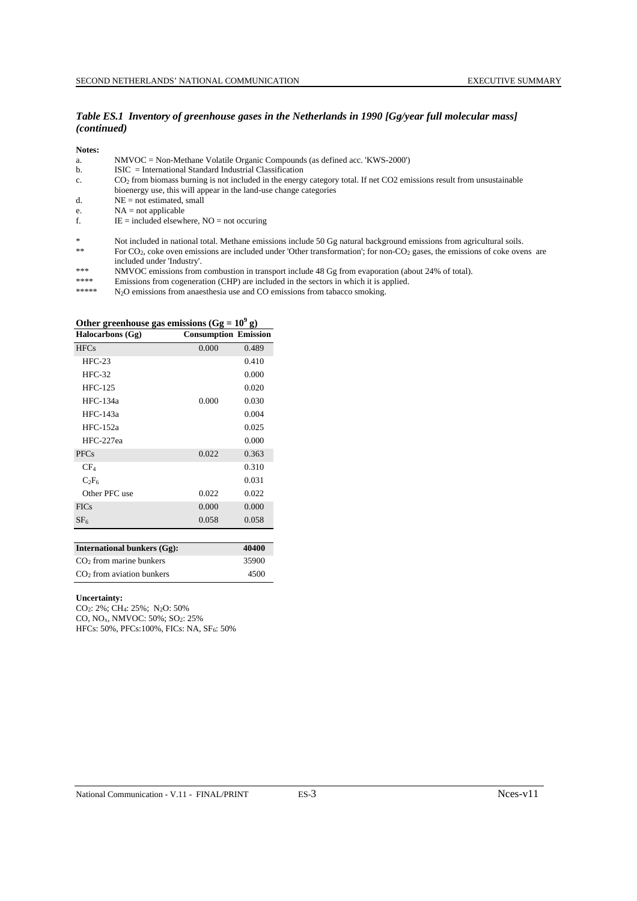#### *Table ES.1 Inventory of greenhouse gases in the Netherlands in 1990 [Gg/year full molecular mass] (continued)*

**Notes:**

|  | $NMVOC = Non-Methane Volatile Organic Compounds (as defined acc. 'KWS-2000')$ |  |
|--|-------------------------------------------------------------------------------|--|
|  |                                                                               |  |

- b. ISIC = International Standard Industrial Classification
- c. CO2 from biomass burning is not included in the energy category total. If net CO2 emissions result from unsustainable
- bioenergy use, this will appear in the land-use change categories
- $d.$  NE = not estimated, small
- e.  $NA = not applicable$
- f.  $IE = included elsewhere, NO = not occurring$

- For CO<sub>2</sub>, coke oven emissions are included under 'Other transformation'; for non-CO<sub>2</sub> gases, the emissions of coke ovens are included under 'Industry'.
- \*\*\* NMVOC emissions from combustion in transport include 48 Gg from evaporation (about 24% of total).
- \*\*\*\* Emissions from cogeneration (CHP) are included in the sectors in which it is applied.<br>\*\*\*\*\* N.O emissions from appearance and CO emissions from tabases emplies.

 $N_2$ O emissions from anaesthesia use and CO emissions from tabacco smoking.

| Halocarbons (Gg) | <b>Consumption Emission</b> |       |
|------------------|-----------------------------|-------|
| <b>HFCs</b>      | 0.000                       | 0.489 |
| $HFC-23$         |                             | 0.410 |
| $HEC-32$         |                             | 0.000 |
| <b>HFC-125</b>   |                             | 0.020 |
| $HEC-134a$       | 0.000                       | 0.030 |
| <b>HFC-143a</b>  |                             | 0.004 |
| $HEC-152a$       |                             | 0.025 |
| HFC-227ea        |                             | 0.000 |
| <b>PFCs</b>      | 0.022                       | 0.363 |
| CF <sub>4</sub>  |                             | 0.310 |
| $C_2F_6$         |                             | 0.031 |
| Other PFC use    | 0.022                       | 0.022 |
| <b>FICs</b>      | 0.000                       | 0.000 |
| SF <sub>6</sub>  | 0.058                       | 0.058 |

# Other greenhouse gas emissions  $(Gg = 10^9 g)$

| <b>International bunkers (Gg):</b> | 40400 |
|------------------------------------|-------|
| $CO2$ from marine bunkers          | 35900 |
| $CO2$ from aviation bunkers        | 4500  |

#### **Uncertainty:**

CO2: 2%; CH4: 25%; N2O: 50% CO, NOx, NMVOC: 50%; SO2: 25% HFCs: 50%, PFCs: 100%, FICs: NA, SF<sub>6</sub>: 50%

<sup>\*</sup> Not included in national total. Methane emissions include 50 Gg natural background emissions from agricultural soils.<br>\* For CO<sub>2</sub> coke over emissions are included under 'Other transformation': for non-CO<sub>2</sub> gases, the em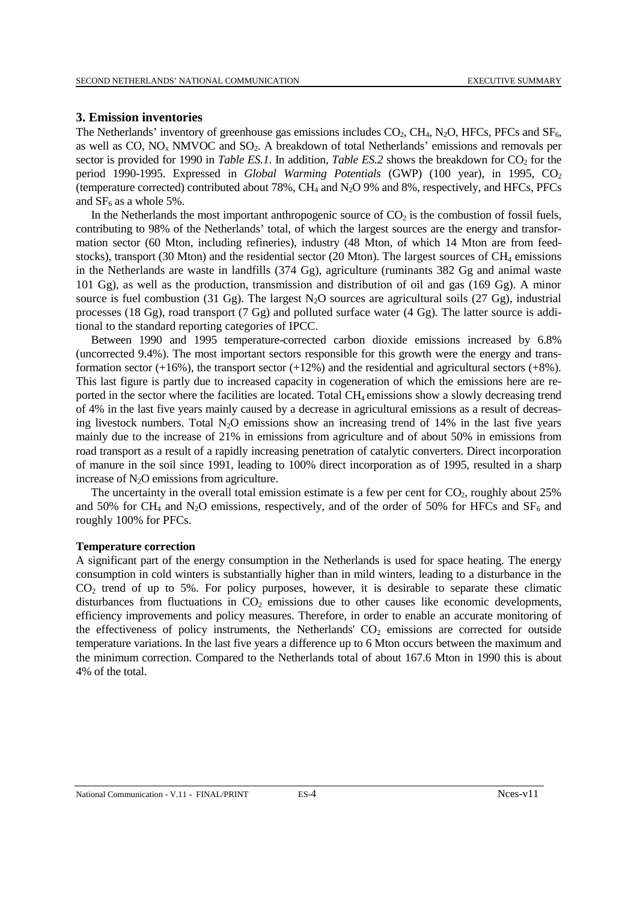#### **3. Emission inventories**

The Netherlands' inventory of greenhouse gas emissions includes  $CO<sub>2</sub>$ ,  $CH<sub>4</sub>$ , N<sub>2</sub>O, HFCs, PFCs and SF<sub>6</sub>, as well as  $CO$ ,  $NO<sub>x</sub> NMVOC$  and  $SO<sub>2</sub>$ . A breakdown of total Netherlands' emissions and removals per sector is provided for 1990 in *Table ES.1*. In addition, *Table ES.2* shows the breakdown for  $CO<sub>2</sub>$  for the period 1990-1995. Expressed in *Global Warming Potentials* (GWP) (100 year), in 1995, CO<sub>2</sub> (temperature corrected) contributed about 78%, CH<sub>4</sub> and N<sub>2</sub>O 9% and 8%, respectively, and HFCs, PFCs and  $SF<sub>6</sub>$  as a whole 5%.

In the Netherlands the most important anthropogenic source of  $CO<sub>2</sub>$  is the combustion of fossil fuels, contributing to 98% of the Netherlands' total, of which the largest sources are the energy and transformation sector (60 Mton, including refineries), industry (48 Mton, of which 14 Mton are from feedstocks), transport (30 Mton) and the residential sector (20 Mton). The largest sources of CH<sub>4</sub> emissions in the Netherlands are waste in landfills (374 Gg), agriculture (ruminants 382 Gg and animal waste 101 Gg), as well as the production, transmission and distribution of oil and gas (169 Gg). A minor source is fuel combustion (31 Gg). The largest  $N_2O$  sources are agricultural soils (27 Gg), industrial processes (18 Gg), road transport (7 Gg) and polluted surface water (4 Gg). The latter source is additional to the standard reporting categories of IPCC.

Between 1990 and 1995 temperature-corrected carbon dioxide emissions increased by 6.8% (uncorrected 9.4%). The most important sectors responsible for this growth were the energy and transformation sector  $(+16%)$ , the transport sector  $(+12%)$  and the residential and agricultural sectors  $(+8%)$ . This last figure is partly due to increased capacity in cogeneration of which the emissions here are reported in the sector where the facilities are located. Total CH<sub>4</sub> emissions show a slowly decreasing trend of 4% in the last five years mainly caused by a decrease in agricultural emissions as a result of decreasing livestock numbers. Total  $N_2O$  emissions show an increasing trend of 14% in the last five years mainly due to the increase of 21% in emissions from agriculture and of about 50% in emissions from road transport as a result of a rapidly increasing penetration of catalytic converters. Direct incorporation of manure in the soil since 1991, leading to 100% direct incorporation as of 1995, resulted in a sharp increase of  $N_2O$  emissions from agriculture.

The uncertainty in the overall total emission estimate is a few per cent for  $CO<sub>2</sub>$ , roughly about 25% and 50% for CH<sub>4</sub> and N<sub>2</sub>O emissions, respectively, and of the order of 50% for HFCs and SF<sub>6</sub> and roughly 100% for PFCs.

#### **Temperature correction**

A significant part of the energy consumption in the Netherlands is used for space heating. The energy consumption in cold winters is substantially higher than in mild winters, leading to a disturbance in the CO2 trend of up to 5%. For policy purposes, however, it is desirable to separate these climatic disturbances from fluctuations in  $CO<sub>2</sub>$  emissions due to other causes like economic developments, efficiency improvements and policy measures. Therefore, in order to enable an accurate monitoring of the effectiveness of policy instruments, the Netherlands'  $CO<sub>2</sub>$  emissions are corrected for outside temperature variations. In the last five years a difference up to 6 Mton occurs between the maximum and the minimum correction. Compared to the Netherlands total of about 167.6 Mton in 1990 this is about 4% of the total.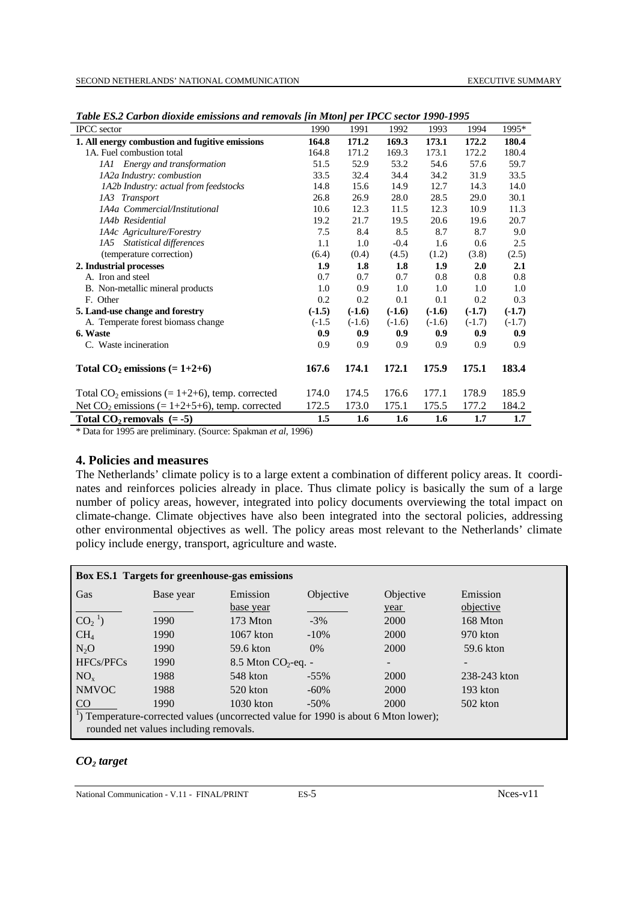| <b>IPCC</b> sector                                | 1990     | 1991     | 1992     | 1993             | 1994     | 1995*    |
|---------------------------------------------------|----------|----------|----------|------------------|----------|----------|
| 1. All energy combustion and fugitive emissions   | 164.8    | 171.2    | 169.3    | 173.1            | 172.2    | 180.4    |
| 1A. Fuel combustion total                         | 164.8    | 171.2    | 169.3    | 173.1            | 172.2    | 180.4    |
| 1A1 Energy and transformation                     | 51.5     | 52.9     | 53.2     | 54.6             | 57.6     | 59.7     |
| 1A2a Industry: combustion                         | 33.5     | 32.4     | 34.4     | 34.2             | 31.9     | 33.5     |
| 1A2b Industry: actual from feedstocks             | 14.8     | 15.6     | 14.9     | 12.7             | 14.3     | 14.0     |
| 1A3 Transport                                     | 26.8     | 26.9     | 28.0     | 28.5             | 29.0     | 30.1     |
| 1A4a Commercial/Institutional                     | 10.6     | 12.3     | 11.5     | 12.3             | 10.9     | 11.3     |
| 1A4b Residential                                  | 19.2     | 21.7     | 19.5     | 20.6             | 19.6     | 20.7     |
| 1A4c Agriculture/Forestry                         | 7.5      | 8.4      | 8.5      | 8.7              | 8.7      | 9.0      |
| 1A5 Statistical differences                       | 1.1      | 1.0      | $-0.4$   | 1.6              | 0.6      | 2.5      |
| (temperature correction)                          | (6.4)    | (0.4)    | (4.5)    | (1.2)            | (3.8)    | (2.5)    |
| 2. Industrial processes                           | 1.9      | 1.8      | 1.8      | 1.9              | 2.0      | 2.1      |
| A. Iron and steel                                 | 0.7      | 0.7      | 0.7      | 0.8              | 0.8      | 0.8      |
| B. Non-metallic mineral products                  | 1.0      | 0.9      | 1.0      | 1.0              | 1.0      | 1.0      |
| F. Other                                          | 0.2      | 0.2      | 0.1      | 0.1              | 0.2      | 0.3      |
| 5. Land-use change and forestry                   | $(-1.5)$ | $(-1.6)$ | $(-1.6)$ | $(-1.6)$         | $(-1.7)$ | $(-1.7)$ |
| A. Temperate forest biomass change                | $(-1.5)$ | $(-1.6)$ | $(-1.6)$ | $(-1.6)$         | $(-1.7)$ | $(-1.7)$ |
| 6. Waste                                          | 0.9      | 0.9      | 0.9      | 0.9              | 0.9      | 0.9      |
| C. Waste incineration                             | 0.9      | 0.9      | 0.9      | 0.9              | 0.9      | 0.9      |
| Total $CO_2$ emissions (= 1+2+6)                  | 167.6    | 174.1    | 172.1    | 175.9            | 175.1    | 183.4    |
| Total $CO_2$ emissions (= 1+2+6), temp. corrected | 174.0    | 174.5    | 176.6    | 177.1            | 178.9    | 185.9    |
| Net $CO_2$ emissions (= 1+2+5+6), temp. corrected | 172.5    | 173.0    | 175.1    | 175.5            | 177.2    | 184.2    |
| Total $CO_2$ removals $(= -5)$                    | 1.5      | 1.6      | 1.6      | $1.6\phantom{0}$ | 1.7      | 1.7      |

*Table ES.2 Carbon dioxide emissions and removals [in Mton] per IPCC sector 1990-1995*

\* Data for 1995 are preliminary*.* (Source: Spakman *et al*, 1996)

## **4. Policies and measures**

The Netherlands' climate policy is to a large extent a combination of different policy areas. It coordinates and reinforces policies already in place. Thus climate policy is basically the sum of a large number of policy areas, however, integrated into policy documents overviewing the total impact on climate-change. Climate objectives have also been integrated into the sectoral policies, addressing other environmental objectives as well. The policy areas most relevant to the Netherlands' climate policy include energy, transport, agriculture and waste.

| Box ES.1 Targets for greenhouse-gas emissions |                                                                                                 |                         |           |           |                              |  |  |  |  |
|-----------------------------------------------|-------------------------------------------------------------------------------------------------|-------------------------|-----------|-----------|------------------------------|--|--|--|--|
| Gas                                           | Base year                                                                                       | Emission                | Objective | Objective | Emission                     |  |  |  |  |
|                                               |                                                                                                 | base year               |           | year      | objective                    |  |  |  |  |
| $CO21$ )                                      | 1990                                                                                            | 173 Mton                | $-3\%$    | 2000      | 168 Mton                     |  |  |  |  |
| CH <sub>4</sub>                               | 1990                                                                                            | $1067$ kton             | $-10\%$   | 2000      | 970 kton                     |  |  |  |  |
| $N_2O$                                        | 1990                                                                                            | 59.6 kton               | $0\%$     | 2000      | 59.6 kton                    |  |  |  |  |
| HFCs/PFCs                                     | 1990                                                                                            | $8.5$ Mton $CO2$ -eq. - |           |           | $\qquad \qquad \blacksquare$ |  |  |  |  |
| $NO_{x}$                                      | 1988                                                                                            | 548 kton                | $-55\%$   | 2000      | 238-243 kton                 |  |  |  |  |
| <b>NMVOC</b>                                  | 1988                                                                                            | $520$ kton              | $-60%$    | 2000      | 193 kton                     |  |  |  |  |
| C <sub>O</sub>                                | 1990                                                                                            | $1030$ kton             | $-50\%$   | 2000      | $502$ kton                   |  |  |  |  |
|                                               | <sup>1</sup> ) Temperature-corrected values (uncorrected value for 1990 is about 6 Mton lower); |                         |           |           |                              |  |  |  |  |
|                                               | rounded net values including removals.                                                          |                         |           |           |                              |  |  |  |  |

# *CO2 target*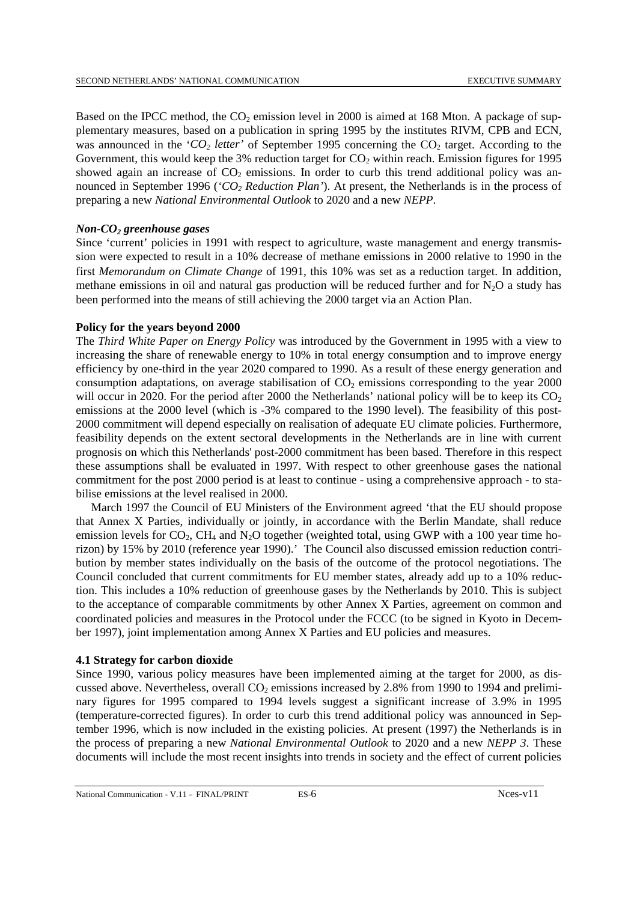Based on the IPCC method, the  $CO<sub>2</sub>$  emission level in 2000 is aimed at 168 Mton. A package of supplementary measures, based on a publication in spring 1995 by the institutes RIVM, CPB and ECN, was announced in the ' $CO_2$  letter' of September 1995 concerning the  $CO_2$  target. According to the Government, this would keep the 3% reduction target for  $CO<sub>2</sub>$  within reach. Emission figures for 1995 showed again an increase of  $CO<sub>2</sub>$  emissions. In order to curb this trend additional policy was announced in September 1996 (*'CO2 Reduction Plan'*). At present, the Netherlands is in the process of preparing a new *National Environmental Outlook* to 2020 and a new *NEPP*.

#### *Non-CO<sub>2</sub>* greenhouse gases

Since 'current' policies in 1991 with respect to agriculture, waste management and energy transmission were expected to result in a 10% decrease of methane emissions in 2000 relative to 1990 in the first *Memorandum on Climate Change* of 1991, this 10% was set as a reduction target. In addition, methane emissions in oil and natural gas production will be reduced further and for  $N<sub>2</sub>O$  a study has been performed into the means of still achieving the 2000 target via an Action Plan.

#### **Policy for the years beyond 2000**

The *Third White Paper on Energy Policy* was introduced by the Government in 1995 with a view to increasing the share of renewable energy to 10% in total energy consumption and to improve energy efficiency by one-third in the year 2020 compared to 1990. As a result of these energy generation and consumption adaptations, on average stabilisation of  $CO<sub>2</sub>$  emissions corresponding to the year 2000 will occur in 2020. For the period after 2000 the Netherlands' national policy will be to keep its  $CO<sub>2</sub>$ emissions at the 2000 level (which is -3% compared to the 1990 level). The feasibility of this post-2000 commitment will depend especially on realisation of adequate EU climate policies. Furthermore, feasibility depends on the extent sectoral developments in the Netherlands are in line with current prognosis on which this Netherlands' post-2000 commitment has been based. Therefore in this respect these assumptions shall be evaluated in 1997. With respect to other greenhouse gases the national commitment for the post 2000 period is at least to continue - using a comprehensive approach - to stabilise emissions at the level realised in 2000.

March 1997 the Council of EU Ministers of the Environment agreed 'that the EU should propose that Annex X Parties, individually or jointly, in accordance with the Berlin Mandate, shall reduce emission levels for  $CO_2$ , CH<sub>4</sub> and N<sub>2</sub>O together (weighted total, using GWP with a 100 year time horizon) by 15% by 2010 (reference year 1990).' The Council also discussed emission reduction contribution by member states individually on the basis of the outcome of the protocol negotiations. The Council concluded that current commitments for EU member states, already add up to a 10% reduction. This includes a 10% reduction of greenhouse gases by the Netherlands by 2010. This is subject to the acceptance of comparable commitments by other Annex X Parties, agreement on common and coordinated policies and measures in the Protocol under the FCCC (to be signed in Kyoto in December 1997), joint implementation among Annex X Parties and EU policies and measures.

#### **4.1 Strategy for carbon dioxide**

Since 1990, various policy measures have been implemented aiming at the target for 2000, as discussed above. Nevertheless, overall  $CO<sub>2</sub>$  emissions increased by 2.8% from 1990 to 1994 and preliminary figures for 1995 compared to 1994 levels suggest a significant increase of 3.9% in 1995 (temperature-corrected figures). In order to curb this trend additional policy was announced in September 1996, which is now included in the existing policies. At present (1997) the Netherlands is in the process of preparing a new *National Environmental Outlook* to 2020 and a new *NEPP 3*. These documents will include the most recent insights into trends in society and the effect of current policies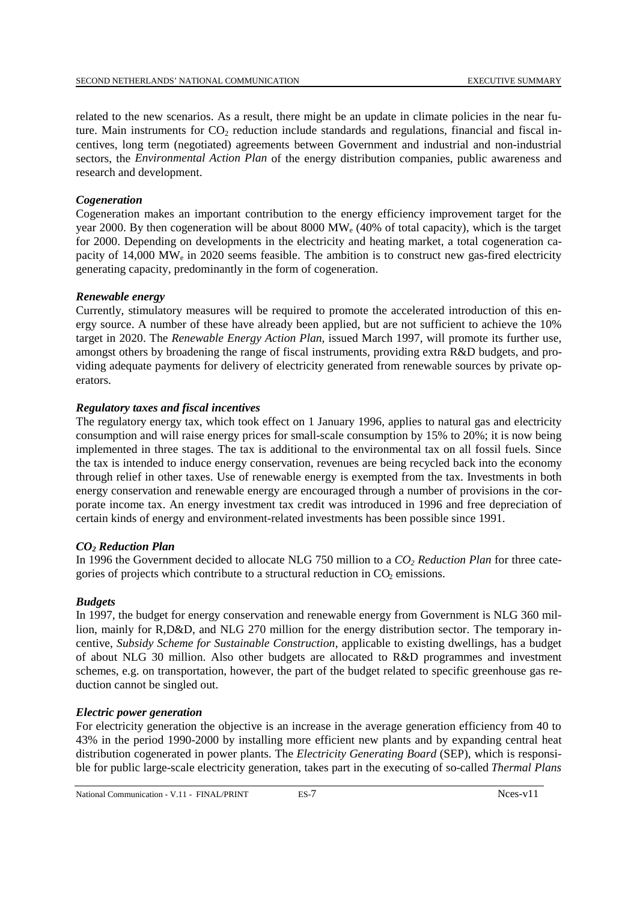related to the new scenarios. As a result, there might be an update in climate policies in the near future. Main instruments for  $CO<sub>2</sub>$  reduction include standards and regulations, financial and fiscal incentives, long term (negotiated) agreements between Government and industrial and non-industrial sectors, the *Environmental Action Plan* of the energy distribution companies, public awareness and research and development.

#### *Cogeneration*

Cogeneration makes an important contribution to the energy efficiency improvement target for the year 2000. By then cogeneration will be about 8000  $\text{MW}_e$  (40% of total capacity), which is the target for 2000. Depending on developments in the electricity and heating market, a total cogeneration capacity of  $14,000$  MW<sub>e</sub> in 2020 seems feasible. The ambition is to construct new gas-fired electricity generating capacity, predominantly in the form of cogeneration.

#### *Renewable energy*

Currently, stimulatory measures will be required to promote the accelerated introduction of this energy source. A number of these have already been applied, but are not sufficient to achieve the 10% target in 2020. The *Renewable Energy Action Plan*, issued March 1997, will promote its further use, amongst others by broadening the range of fiscal instruments, providing extra R&D budgets, and providing adequate payments for delivery of electricity generated from renewable sources by private operators.

#### *Regulatory taxes and fiscal incentives*

The regulatory energy tax, which took effect on 1 January 1996, applies to natural gas and electricity consumption and will raise energy prices for small-scale consumption by 15% to 20%; it is now being implemented in three stages. The tax is additional to the environmental tax on all fossil fuels. Since the tax is intended to induce energy conservation, revenues are being recycled back into the economy through relief in other taxes. Use of renewable energy is exempted from the tax. Investments in both energy conservation and renewable energy are encouraged through a number of provisions in the corporate income tax. An energy investment tax credit was introduced in 1996 and free depreciation of certain kinds of energy and environment-related investments has been possible since 1991.

# *CO2 Reduction Plan*

In 1996 the Government decided to allocate NLG 750 million to a  $CO<sub>2</sub> Reduction Plan$  for three categories of projects which contribute to a structural reduction in  $CO<sub>2</sub>$  emissions.

#### *Budgets*

In 1997, the budget for energy conservation and renewable energy from Government is NLG 360 million, mainly for R,D&D, and NLG 270 million for the energy distribution sector. The temporary incentive, *Subsidy Scheme for Sustainable Construction*, applicable to existing dwellings, has a budget of about NLG 30 million. Also other budgets are allocated to R&D programmes and investment schemes, e.g. on transportation, however, the part of the budget related to specific greenhouse gas reduction cannot be singled out.

#### *Electric power generation*

For electricity generation the objective is an increase in the average generation efficiency from 40 to 43% in the period 1990-2000 by installing more efficient new plants and by expanding central heat distribution cogenerated in power plants. The *Electricity Generating Board* (SEP), which is responsible for public large-scale electricity generation, takes part in the executing of so-called *Thermal Plans*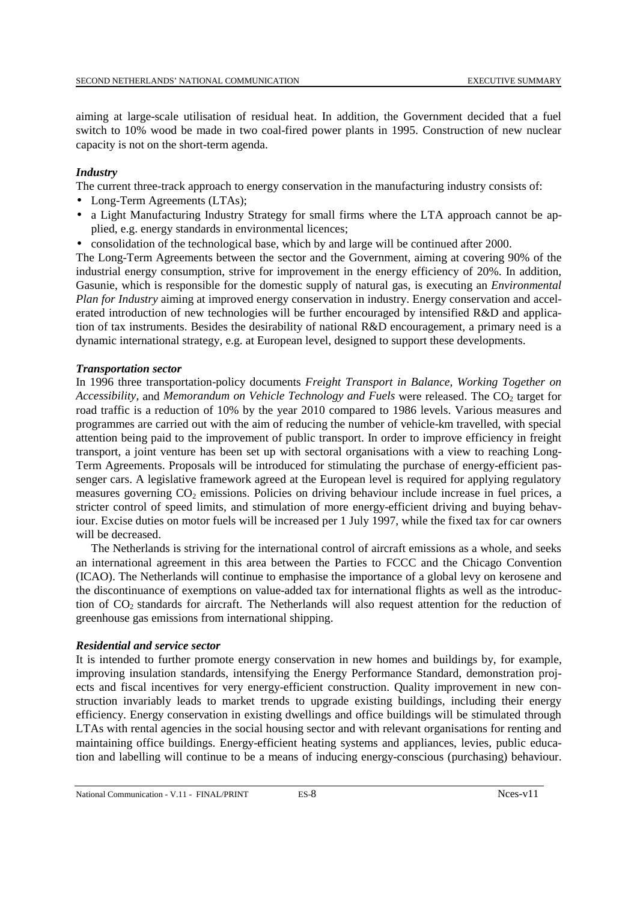aiming at large-scale utilisation of residual heat. In addition, the Government decided that a fuel switch to 10% wood be made in two coal-fired power plants in 1995. Construction of new nuclear capacity is not on the short-term agenda.

#### *Industry*

The current three-track approach to energy conservation in the manufacturing industry consists of:

- Long-Term Agreements (LTAs);
- a Light Manufacturing Industry Strategy for small firms where the LTA approach cannot be applied, e.g. energy standards in environmental licences;
- consolidation of the technological base, which by and large will be continued after 2000.

The Long-Term Agreements between the sector and the Government, aiming at covering 90% of the industrial energy consumption, strive for improvement in the energy efficiency of 20%. In addition, Gasunie, which is responsible for the domestic supply of natural gas, is executing an *Environmental Plan for Industry* aiming at improved energy conservation in industry. Energy conservation and accelerated introduction of new technologies will be further encouraged by intensified R&D and application of tax instruments. Besides the desirability of national R&D encouragement, a primary need is a dynamic international strategy, e.g. at European level, designed to support these developments.

#### *Transportation sector*

In 1996 three transportation-policy documents *Freight Transport in Balance, Working Together on Accessibility, and Memorandum on Vehicle Technology and Fuels* were released. The CO<sub>2</sub> target for road traffic is a reduction of 10% by the year 2010 compared to 1986 levels. Various measures and programmes are carried out with the aim of reducing the number of vehicle-km travelled, with special attention being paid to the improvement of public transport. In order to improve efficiency in freight transport, a joint venture has been set up with sectoral organisations with a view to reaching Long-Term Agreements. Proposals will be introduced for stimulating the purchase of energy-efficient passenger cars. A legislative framework agreed at the European level is required for applying regulatory measures governing CO<sub>2</sub> emissions. Policies on driving behaviour include increase in fuel prices, a stricter control of speed limits, and stimulation of more energy-efficient driving and buying behaviour. Excise duties on motor fuels will be increased per 1 July 1997, while the fixed tax for car owners will be decreased.

The Netherlands is striving for the international control of aircraft emissions as a whole, and seeks an international agreement in this area between the Parties to FCCC and the Chicago Convention (ICAO). The Netherlands will continue to emphasise the importance of a global levy on kerosene and the discontinuance of exemptions on value-added tax for international flights as well as the introduction of CO2 standards for aircraft. The Netherlands will also request attention for the reduction of greenhouse gas emissions from international shipping.

#### *Residential and service sector*

It is intended to further promote energy conservation in new homes and buildings by, for example, improving insulation standards, intensifying the Energy Performance Standard, demonstration projects and fiscal incentives for very energy-efficient construction. Quality improvement in new construction invariably leads to market trends to upgrade existing buildings, including their energy efficiency. Energy conservation in existing dwellings and office buildings will be stimulated through LTAs with rental agencies in the social housing sector and with relevant organisations for renting and maintaining office buildings. Energy-efficient heating systems and appliances, levies, public education and labelling will continue to be a means of inducing energy-conscious (purchasing) behaviour.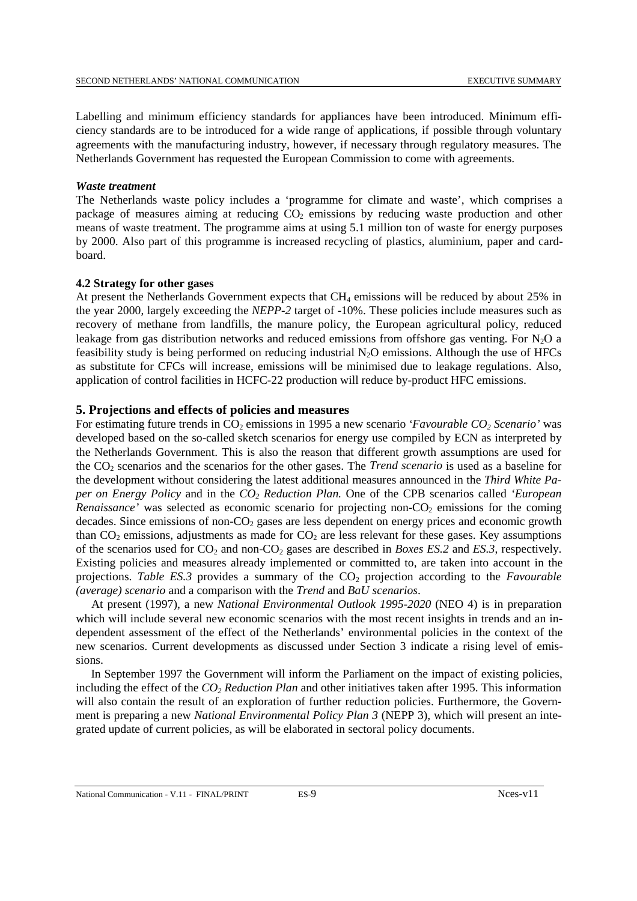Labelling and minimum efficiency standards for appliances have been introduced. Minimum efficiency standards are to be introduced for a wide range of applications, if possible through voluntary agreements with the manufacturing industry, however, if necessary through regulatory measures. The Netherlands Government has requested the European Commission to come with agreements.

#### *Waste treatment*

The Netherlands waste policy includes a 'programme for climate and waste', which comprises a package of measures aiming at reducing  $CO<sub>2</sub>$  emissions by reducing waste production and other means of waste treatment. The programme aims at using 5.1 million ton of waste for energy purposes by 2000. Also part of this programme is increased recycling of plastics, aluminium, paper and cardboard.

#### **4.2 Strategy for other gases**

At present the Netherlands Government expects that CH4 emissions will be reduced by about 25% in the year 2000, largely exceeding the *NEPP-2* target of -10%. These policies include measures such as recovery of methane from landfills, the manure policy, the European agricultural policy, reduced leakage from gas distribution networks and reduced emissions from offshore gas venting. For  $N_2O$  a feasibility study is being performed on reducing industrial  $N_2O$  emissions. Although the use of HFCs as substitute for CFCs will increase, emissions will be minimised due to leakage regulations. Also, application of control facilities in HCFC-22 production will reduce by-product HFC emissions.

# **5. Projections and effects of policies and measures**

For estimating future trends in CO<sub>2</sub> emissions in 1995 a new scenario *'Favourable CO<sub>2</sub> Scenario'* was developed based on the so-called sketch scenarios for energy use compiled by ECN as interpreted by the Netherlands Government. This is also the reason that different growth assumptions are used for the CO2 scenarios and the scenarios for the other gases. The *Trend scenario* is used as a baseline for the development without considering the latest additional measures announced in the *Third White Paper on Energy Policy* and in the *CO2 Reduction Plan.* One of the CPB scenarios called *'European Renaissance'* was selected as economic scenario for projecting non- $CO<sub>2</sub>$  emissions for the coming decades. Since emissions of non-CO<sub>2</sub> gases are less dependent on energy prices and economic growth than  $CO<sub>2</sub>$  emissions, adjustments as made for  $CO<sub>2</sub>$  are less relevant for these gases. Key assumptions of the scenarios used for  $CO_2$  and non- $CO_2$  gases are described in *Boxes ES.2* and *ES.3*, respectively. Existing policies and measures already implemented or committed to, are taken into account in the projections. Table ES.3 provides a summary of the CO<sub>2</sub> projection according to the *Favourable (average) scenario* and a comparison with the *Trend* and *BaU scenarios*.

At present (1997), a new *National Environmental Outlook 1995-2020* (NEO 4) is in preparation which will include several new economic scenarios with the most recent insights in trends and an independent assessment of the effect of the Netherlands' environmental policies in the context of the new scenarios. Current developments as discussed under Section 3 indicate a rising level of emissions.

In September 1997 the Government will inform the Parliament on the impact of existing policies, including the effect of the *CO2 Reduction Plan* and other initiatives taken after 1995. This information will also contain the result of an exploration of further reduction policies. Furthermore, the Government is preparing a new *National Environmental Policy Plan 3* (NEPP 3), which will present an integrated update of current policies, as will be elaborated in sectoral policy documents.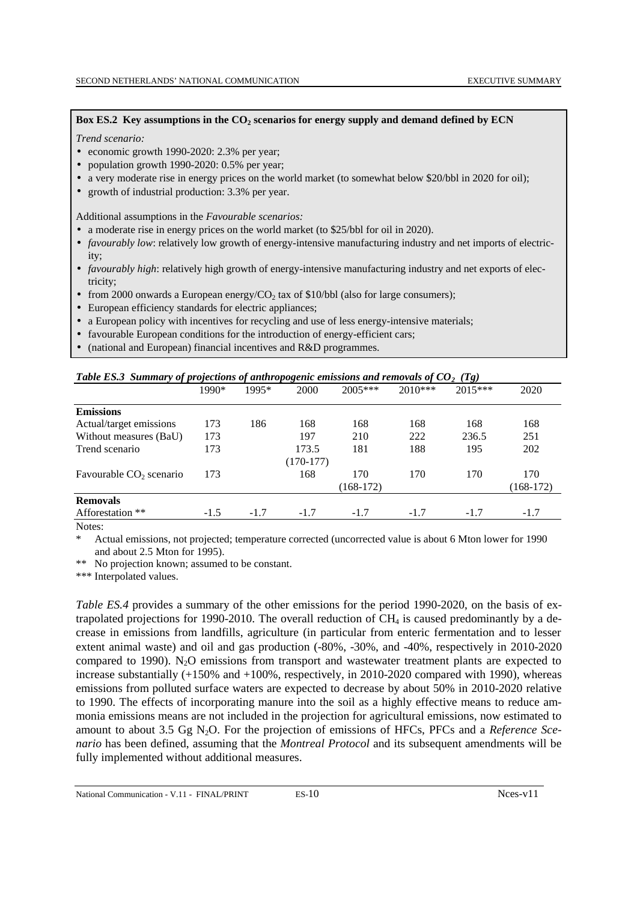#### Box ES.2 Key assumptions in the CO<sub>2</sub> scenarios for energy supply and demand defined by ECN

#### *Trend scenario:*

- economic growth 1990-2020: 2.3% per year;
- population growth 1990-2020: 0.5% per year:
- a very moderate rise in energy prices on the world market (to somewhat below \$20/bbl in 2020 for oil);
- growth of industrial production: 3.3% per year.

Additional assumptions in the *Favourable scenarios:*

- a moderate rise in energy prices on the world market (to \$25/bbl for oil in 2020).
- *favourably low*: relatively low growth of energy-intensive manufacturing industry and net imports of electricity;
- *favourably high*: relatively high growth of energy-intensive manufacturing industry and net exports of electricity;
- from 2000 onwards a European energy/ $CO<sub>2</sub>$  tax of \$10/bbl (also for large consumers);
- European efficiency standards for electric appliances;
- a European policy with incentives for recycling and use of less energy-intensive materials;
- favourable European conditions for the introduction of energy-efficient cars;
- (national and European) financial incentives and R&D programmes.

| <b>Table ES.3</b> Summary of projections of anthropogenic emissions and removals of $UQ_2$ (1g) |        |        |             |             |         |           |             |  |  |
|-------------------------------------------------------------------------------------------------|--------|--------|-------------|-------------|---------|-----------|-------------|--|--|
|                                                                                                 | 1990*  | 1995*  | 2000        | $2005***$   | 2010*** | $2015***$ | 2020        |  |  |
| <b>Emissions</b>                                                                                |        |        |             |             |         |           |             |  |  |
| Actual/target emissions                                                                         | 173    | 186    | 168         | 168         | 168     | 168       | 168         |  |  |
| Without measures (BaU)                                                                          | 173    |        | 197         | 210         | 222     | 236.5     | 251         |  |  |
| Trend scenario                                                                                  | 173    |        | 173.5       | 181         | 188     | 195       | 202         |  |  |
|                                                                                                 |        |        | $(170-177)$ |             |         |           |             |  |  |
| Favourable CO <sub>2</sub> scenario                                                             | 173    |        | 168         | 170         | 170     | 170       | 170         |  |  |
|                                                                                                 |        |        |             | $(168-172)$ |         |           | $(168-172)$ |  |  |
| <b>Removals</b>                                                                                 |        |        |             |             |         |           |             |  |  |
| Afforestation **                                                                                | $-1.5$ | $-1.7$ | $-1.7$      | $-1.7$      | $-1.7$  | $-1.7$    | $-1.7$      |  |  |
|                                                                                                 |        |        |             |             |         |           |             |  |  |

# *Table ES.3 Summary of projections of anthropogenic emissions and removals of CO2 (Tg)*

Notes:

Actual emissions, not projected; temperature corrected (uncorrected value is about 6 Mton lower for 1990 and about 2.5 Mton for 1995).

\*\* No projection known; assumed to be constant.

\*\*\* Interpolated values.

*Table ES.4* provides a summary of the other emissions for the period 1990-2020, on the basis of extrapolated projections for 1990-2010. The overall reduction of  $CH_4$  is caused predominantly by a decrease in emissions from landfills, agriculture (in particular from enteric fermentation and to lesser extent animal waste) and oil and gas production (-80%, -30%, and -40%, respectively in 2010-2020 compared to 1990).  $N_2O$  emissions from transport and wastewater treatment plants are expected to increase substantially (+150% and +100%, respectively, in 2010-2020 compared with 1990), whereas emissions from polluted surface waters are expected to decrease by about 50% in 2010-2020 relative to 1990. The effects of incorporating manure into the soil as a highly effective means to reduce ammonia emissions means are not included in the projection for agricultural emissions, now estimated to amount to about 3.5 Gg N2O. For the projection of emissions of HFCs, PFCs and a *Reference Scenario* has been defined, assuming that the *Montreal Protocol* and its subsequent amendments will be fully implemented without additional measures.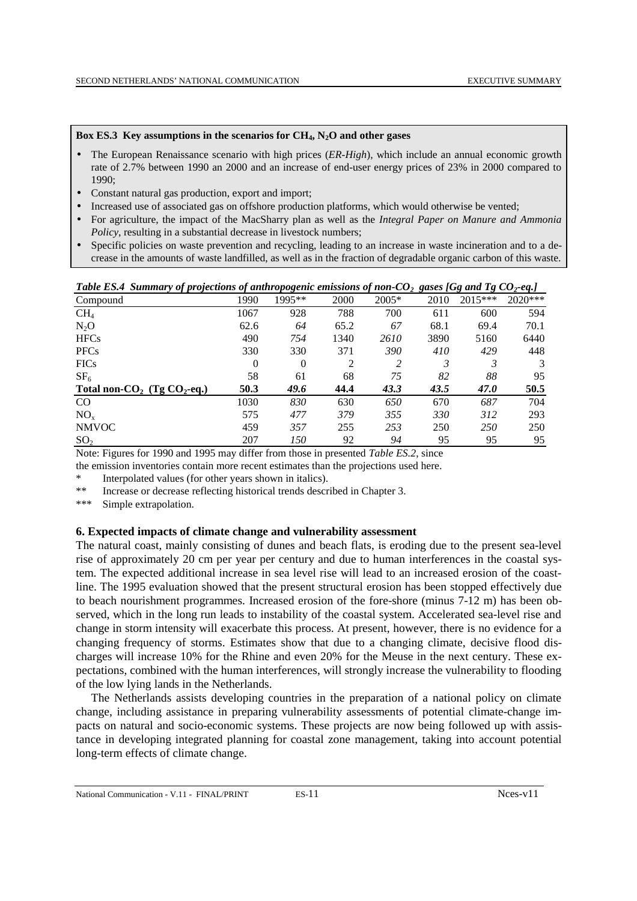#### **Box ES.3 Key assumptions in the scenarios for CH4, N2O and other gases**

- The European Renaissance scenario with high prices (*ER-High*), which include an annual economic growth rate of 2.7% between 1990 an 2000 and an increase of end-user energy prices of 23% in 2000 compared to 1990;
- Constant natural gas production, export and import;
- Increased use of associated gas on offshore production platforms, which would otherwise be vented;
- For agriculture, the impact of the MacSharry plan as well as the *Integral Paper on Manure and Ammonia Policy*, resulting in a substantial decrease in livestock numbers;
- Specific policies on waste prevention and recycling, leading to an increase in waste incineration and to a decrease in the amounts of waste landfilled, as well as in the fraction of degradable organic carbon of this waste.

| 1995**<br>$2005*$<br>$2015***$<br>$2020***$<br>1990<br>2000<br>2010<br>Compound<br>700<br>CH <sub>4</sub><br>928<br>788<br>1067<br>611<br>600<br>62.6<br>67<br>68.1<br>$N_2O$<br>64<br>65.2<br>69.4 | 594           |
|-----------------------------------------------------------------------------------------------------------------------------------------------------------------------------------------------------|---------------|
|                                                                                                                                                                                                     |               |
|                                                                                                                                                                                                     |               |
|                                                                                                                                                                                                     | 70.1          |
| <b>HFCs</b><br>490<br>754<br>3890<br>1340<br>2610<br>5160                                                                                                                                           | 6440          |
| 390<br><b>PFCs</b><br>330<br>330<br>371<br>410<br>429                                                                                                                                               | 448           |
| $\mathcal{L}$<br>3<br>3<br><b>FICs</b><br>$\Omega$<br>$\theta$<br>$\mathfrak{D}$                                                                                                                    | $\mathcal{E}$ |
| 58<br>82<br>88<br>SF <sub>6</sub><br>75<br>61<br>68                                                                                                                                                 | 95            |
| Total non- $CO2$ (Tg $CO2$ -eq.)<br>50.3<br>49.6<br>47.0<br>44.4<br>43.3<br>43.5                                                                                                                    | 50.5          |
| 1030<br>650<br>687<br>CO<br>830<br>670<br>630                                                                                                                                                       | 704           |
| 379<br>355<br>NO <sub>x</sub><br>575<br>477<br>330<br>312                                                                                                                                           | 293           |
| <b>NMVOC</b><br>459<br>357<br>255<br>253<br>250<br>250                                                                                                                                              | 250           |
| 207<br>95<br>150<br>92<br>94<br>95<br>SO <sub>2</sub>                                                                                                                                               | 95            |

Note: Figures for 1990 and 1995 may differ from those in presented *Table ES.2*, since

the emission inventories contain more recent estimates than the projections used here.

Interpolated values (for other years shown in italics).

\*\* Increase or decrease reflecting historical trends described in Chapter 3.

\*\*\* Simple extrapolation.

#### **6. Expected impacts of climate change and vulnerability assessment**

The natural coast, mainly consisting of dunes and beach flats, is eroding due to the present sea-level rise of approximately 20 cm per year per century and due to human interferences in the coastal system. The expected additional increase in sea level rise will lead to an increased erosion of the coastline. The 1995 evaluation showed that the present structural erosion has been stopped effectively due to beach nourishment programmes. Increased erosion of the fore-shore (minus 7-12 m) has been observed, which in the long run leads to instability of the coastal system. Accelerated sea-level rise and change in storm intensity will exacerbate this process. At present, however, there is no evidence for a changing frequency of storms. Estimates show that due to a changing climate, decisive flood discharges will increase 10% for the Rhine and even 20% for the Meuse in the next century. These expectations, combined with the human interferences, will strongly increase the vulnerability to flooding of the low lying lands in the Netherlands.

The Netherlands assists developing countries in the preparation of a national policy on climate change, including assistance in preparing vulnerability assessments of potential climate-change impacts on natural and socio-economic systems. These projects are now being followed up with assistance in developing integrated planning for coastal zone management, taking into account potential long-term effects of climate change.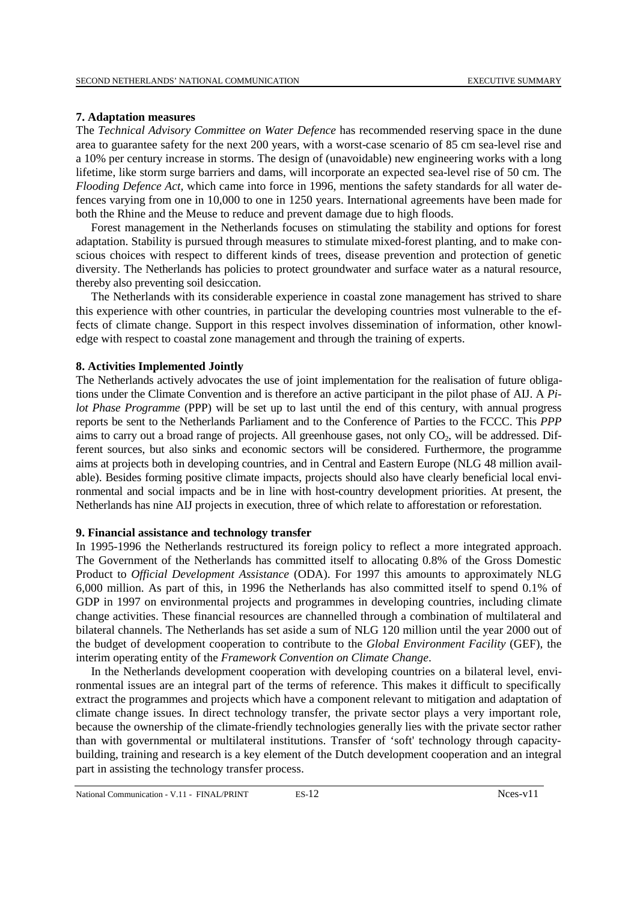#### **7. Adaptation measures**

The *Technical Advisory Committee on Water Defence* has recommended reserving space in the dune area to guarantee safety for the next 200 years, with a worst-case scenario of 85 cm sea-level rise and a 10% per century increase in storms. The design of (unavoidable) new engineering works with a long lifetime, like storm surge barriers and dams, will incorporate an expected sea-level rise of 50 cm. The *Flooding Defence Act,* which came into force in 1996, mentions the safety standards for all water defences varying from one in 10,000 to one in 1250 years. International agreements have been made for both the Rhine and the Meuse to reduce and prevent damage due to high floods.

Forest management in the Netherlands focuses on stimulating the stability and options for forest adaptation. Stability is pursued through measures to stimulate mixed-forest planting, and to make conscious choices with respect to different kinds of trees, disease prevention and protection of genetic diversity. The Netherlands has policies to protect groundwater and surface water as a natural resource, thereby also preventing soil desiccation.

The Netherlands with its considerable experience in coastal zone management has strived to share this experience with other countries, in particular the developing countries most vulnerable to the effects of climate change. Support in this respect involves dissemination of information, other knowledge with respect to coastal zone management and through the training of experts.

#### **8. Activities Implemented Jointly**

The Netherlands actively advocates the use of joint implementation for the realisation of future obligations under the Climate Convention and is therefore an active participant in the pilot phase of AIJ. A *Pilot Phase Programme* (PPP) will be set up to last until the end of this century, with annual progress reports be sent to the Netherlands Parliament and to the Conference of Parties to the FCCC. This *PPP* aims to carry out a broad range of projects. All greenhouse gases, not only  $CO<sub>2</sub>$ , will be addressed. Different sources, but also sinks and economic sectors will be considered. Furthermore, the programme aims at projects both in developing countries, and in Central and Eastern Europe (NLG 48 million available). Besides forming positive climate impacts, projects should also have clearly beneficial local environmental and social impacts and be in line with host-country development priorities. At present, the Netherlands has nine AIJ projects in execution, three of which relate to afforestation or reforestation.

### **9. Financial assistance and technology transfer**

In 1995-1996 the Netherlands restructured its foreign policy to reflect a more integrated approach. The Government of the Netherlands has committed itself to allocating 0.8% of the Gross Domestic Product to *Official Development Assistance* (ODA). For 1997 this amounts to approximately NLG 6,000 million. As part of this, in 1996 the Netherlands has also committed itself to spend 0.1% of GDP in 1997 on environmental projects and programmes in developing countries, including climate change activities. These financial resources are channelled through a combination of multilateral and bilateral channels. The Netherlands has set aside a sum of NLG 120 million until the year 2000 out of the budget of development cooperation to contribute to the *Global Environment Facility* (GEF), the interim operating entity of the *Framework Convention on Climate Change*.

In the Netherlands development cooperation with developing countries on a bilateral level, environmental issues are an integral part of the terms of reference. This makes it difficult to specifically extract the programmes and projects which have a component relevant to mitigation and adaptation of climate change issues. In direct technology transfer, the private sector plays a very important role, because the ownership of the climate-friendly technologies generally lies with the private sector rather than with governmental or multilateral institutions. Transfer of 'soft' technology through capacitybuilding, training and research is a key element of the Dutch development cooperation and an integral part in assisting the technology transfer process.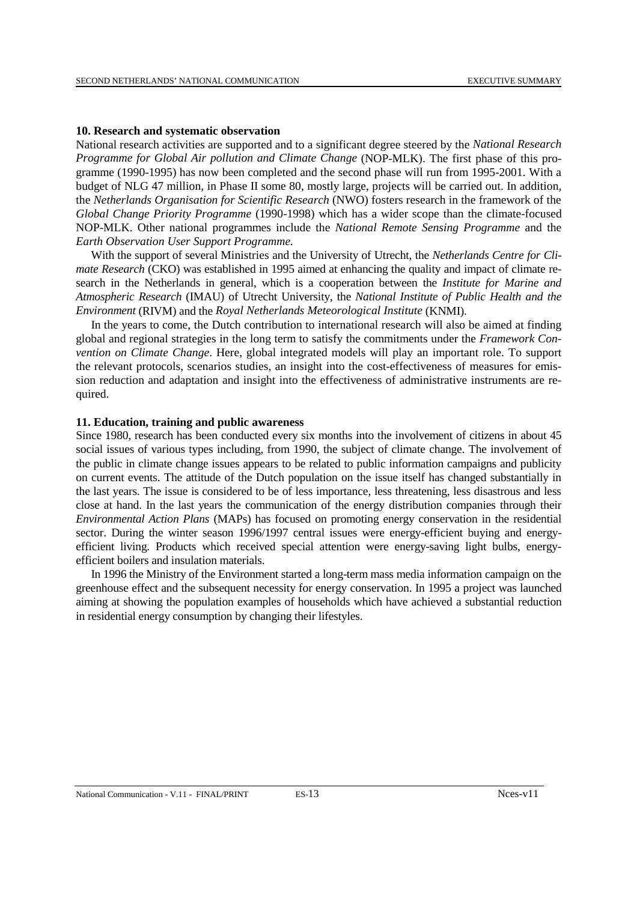#### **10. Research and systematic observation**

National research activities are supported and to a significant degree steered by the *National Research Programme for Global Air pollution and Climate Change* (NOP-MLK). The first phase of this programme (1990-1995) has now been completed and the second phase will run from 1995-2001. With a budget of NLG 47 million, in Phase II some 80, mostly large, projects will be carried out. In addition, the *Netherlands Organisation for Scientific Research* (NWO) fosters research in the framework of the *Global Change Priority Programme* (1990-1998) which has a wider scope than the climate-focused NOP-MLK. Other national programmes include the *National Remote Sensing Programme* and the *Earth Observation User Support Programme.*

With the support of several Ministries and the University of Utrecht, the *Netherlands Centre for Climate Research* (CKO) was established in 1995 aimed at enhancing the quality and impact of climate research in the Netherlands in general, which is a cooperation between the *Institute for Marine and Atmospheric Research* (IMAU) of Utrecht University, the *National Institute of Public Health and the Environment* (RIVM) and the *Royal Netherlands Meteorological Institute* (KNMI).

In the years to come, the Dutch contribution to international research will also be aimed at finding global and regional strategies in the long term to satisfy the commitments under the *Framework Convention on Climate Change*. Here, global integrated models will play an important role. To support the relevant protocols, scenarios studies, an insight into the cost-effectiveness of measures for emission reduction and adaptation and insight into the effectiveness of administrative instruments are required.

#### **11. Education, training and public awareness**

Since 1980, research has been conducted every six months into the involvement of citizens in about 45 social issues of various types including, from 1990, the subject of climate change. The involvement of the public in climate change issues appears to be related to public information campaigns and publicity on current events. The attitude of the Dutch population on the issue itself has changed substantially in the last years. The issue is considered to be of less importance, less threatening, less disastrous and less close at hand. In the last years the communication of the energy distribution companies through their *Environmental Action Plans* (MAPs) has focused on promoting energy conservation in the residential sector. During the winter season 1996/1997 central issues were energy-efficient buying and energyefficient living. Products which received special attention were energy-saving light bulbs, energyefficient boilers and insulation materials.

In 1996 the Ministry of the Environment started a long-term mass media information campaign on the greenhouse effect and the subsequent necessity for energy conservation. In 1995 a project was launched aiming at showing the population examples of households which have achieved a substantial reduction in residential energy consumption by changing their lifestyles.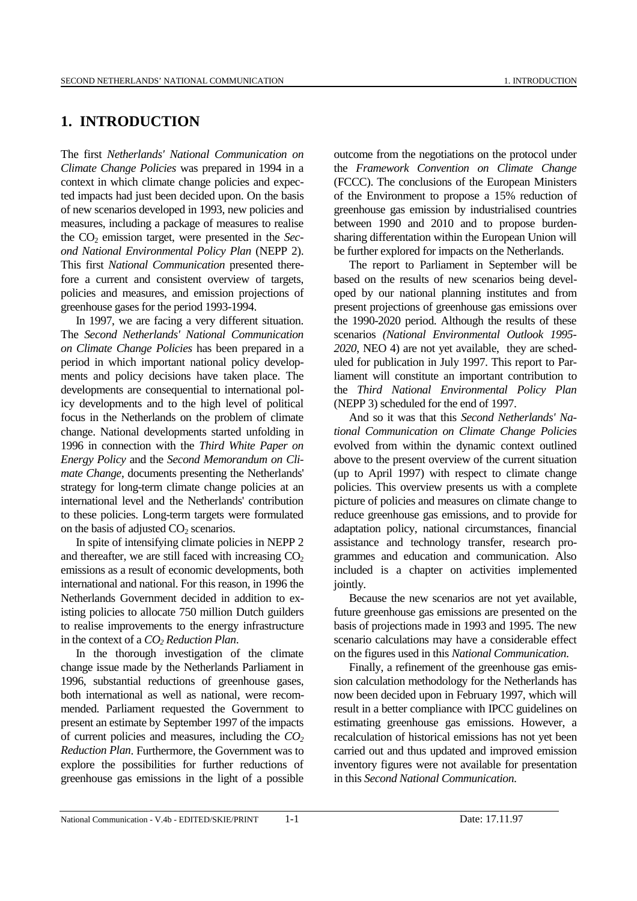# **1. INTRODUCTION**

The first *Netherlands' National Communication on Climate Change Policies* was prepared in 1994 in a context in which climate change policies and expected impacts had just been decided upon. On the basis of new scenarios developed in 1993, new policies and measures, including a package of measures to realise the CO2 emission target, were presented in the *Second National Environmental Policy Plan* (NEPP 2). This first *National Communication* presented therefore a current and consistent overview of targets, policies and measures, and emission projections of greenhouse gases for the period 1993-1994.

In 1997, we are facing a very different situation. The *Second Netherlands' National Communication on Climate Change Policies* has been prepared in a period in which important national policy developments and policy decisions have taken place. The developments are consequential to international policy developments and to the high level of political focus in the Netherlands on the problem of climate change. National developments started unfolding in 1996 in connection with the *Third White Paper on Energy Policy* and the *Second Memorandum on Climate Change*, documents presenting the Netherlands' strategy for long-term climate change policies at an international level and the Netherlands' contribution to these policies. Long-term targets were formulated on the basis of adjusted  $CO<sub>2</sub>$  scenarios.

In spite of intensifying climate policies in NEPP 2 and thereafter, we are still faced with increasing  $CO<sub>2</sub>$ emissions as a result of economic developments, both international and national. For this reason, in 1996 the Netherlands Government decided in addition to existing policies to allocate 750 million Dutch guilders to realise improvements to the energy infrastructure in the context of a  $CO<sub>2</sub>$  *Reduction Plan.* 

In the thorough investigation of the climate change issue made by the Netherlands Parliament in 1996, substantial reductions of greenhouse gases, both international as well as national, were recommended. Parliament requested the Government to present an estimate by September 1997 of the impacts of current policies and measures, including the *CO2 Reduction Plan*. Furthermore, the Government was to explore the possibilities for further reductions of greenhouse gas emissions in the light of a possible

outcome from the negotiations on the protocol under the *Framework Convention on Climate Change* (FCCC). The conclusions of the European Ministers of the Environment to propose a 15% reduction of greenhouse gas emission by industrialised countries between 1990 and 2010 and to propose burdensharing differentation within the European Union will be further explored for impacts on the Netherlands.

The report to Parliament in September will be based on the results of new scenarios being developed by our national planning institutes and from present projections of greenhouse gas emissions over the 1990-2020 period. Although the results of these scenarios *(National Environmental Outlook 1995- 2020*, NEO 4) are not yet available, they are scheduled for publication in July 1997. This report to Parliament will constitute an important contribution to the *Third National Environmental Policy Plan* (NEPP 3) scheduled for the end of 1997.

And so it was that this *Second Netherlands' National Communication on Climate Change Policies* evolved from within the dynamic context outlined above to the present overview of the current situation (up to April 1997) with respect to climate change policies. This overview presents us with a complete picture of policies and measures on climate change to reduce greenhouse gas emissions, and to provide for adaptation policy, national circumstances, financial assistance and technology transfer, research programmes and education and communication. Also included is a chapter on activities implemented jointly.

Because the new scenarios are not yet available, future greenhouse gas emissions are presented on the basis of projections made in 1993 and 1995. The new scenario calculations may have a considerable effect on the figures used in this *National Communication*.

Finally, a refinement of the greenhouse gas emission calculation methodology for the Netherlands has now been decided upon in February 1997, which will result in a better compliance with IPCC guidelines on estimating greenhouse gas emissions. However, a recalculation of historical emissions has not yet been carried out and thus updated and improved emission inventory figures were not available for presentation in this *Second National Communication*.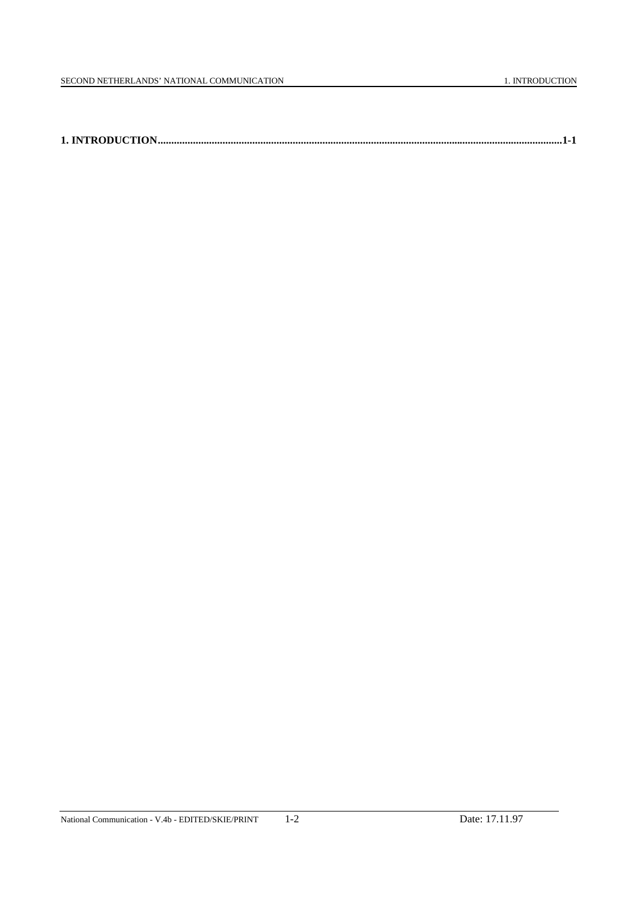|--|--|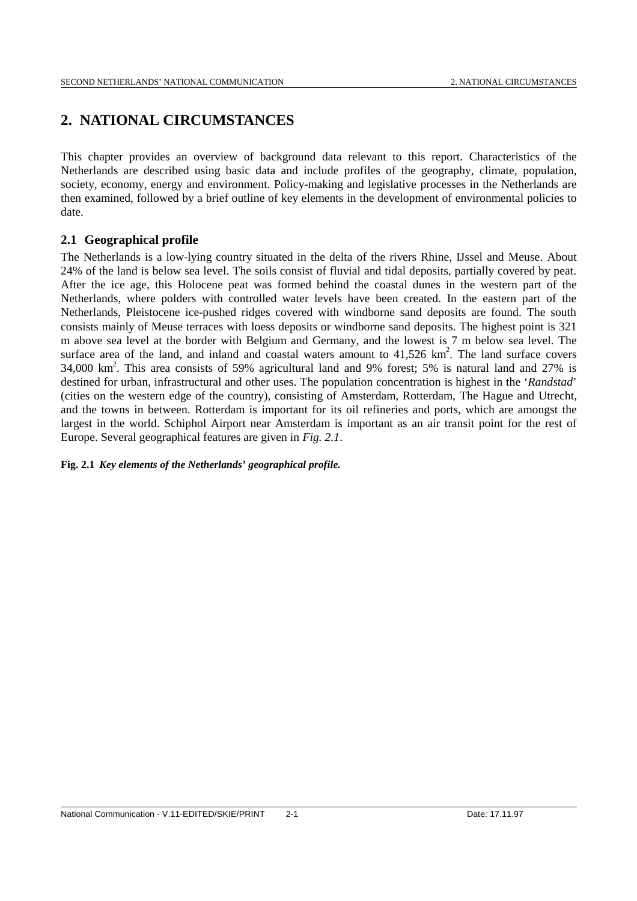# **2. NATIONAL CIRCUMSTANCES**

This chapter provides an overview of background data relevant to this report. Characteristics of the Netherlands are described using basic data and include profiles of the geography, climate, population, society, economy, energy and environment. Policy-making and legislative processes in the Netherlands are then examined, followed by a brief outline of key elements in the development of environmental policies to date.

# **2.1 Geographical profile**

The Netherlands is a low-lying country situated in the delta of the rivers Rhine, IJssel and Meuse. About 24% of the land is below sea level. The soils consist of fluvial and tidal deposits, partially covered by peat. After the ice age, this Holocene peat was formed behind the coastal dunes in the western part of the Netherlands, where polders with controlled water levels have been created. In the eastern part of the Netherlands, Pleistocene ice-pushed ridges covered with windborne sand deposits are found. The south consists mainly of Meuse terraces with loess deposits or windborne sand deposits. The highest point is 321 m above sea level at the border with Belgium and Germany, and the lowest is 7 m below sea level. The surface area of the land, and inland and coastal waters amount to  $41,526$  km<sup>2</sup>. The land surface covers 34,000 km 2 . This area consists of 59% agricultural land and 9% forest; 5% is natural land and 27% is destined for urban, infrastructural and other uses. The population concentration is highest in the '*Randstad*' (cities on the western edge of the country), consisting of Amsterdam, Rotterdam, The Hague and Utrecht, and the towns in between. Rotterdam is important for its oil refineries and ports, which are amongst the largest in the world. Schiphol Airport near Amsterdam is important as an air transit point for the rest of Europe. Several geographical features are given in *Fig. 2.1*.

# **Fig. 2.1** *Key elements of the Netherlands' geographical profile.*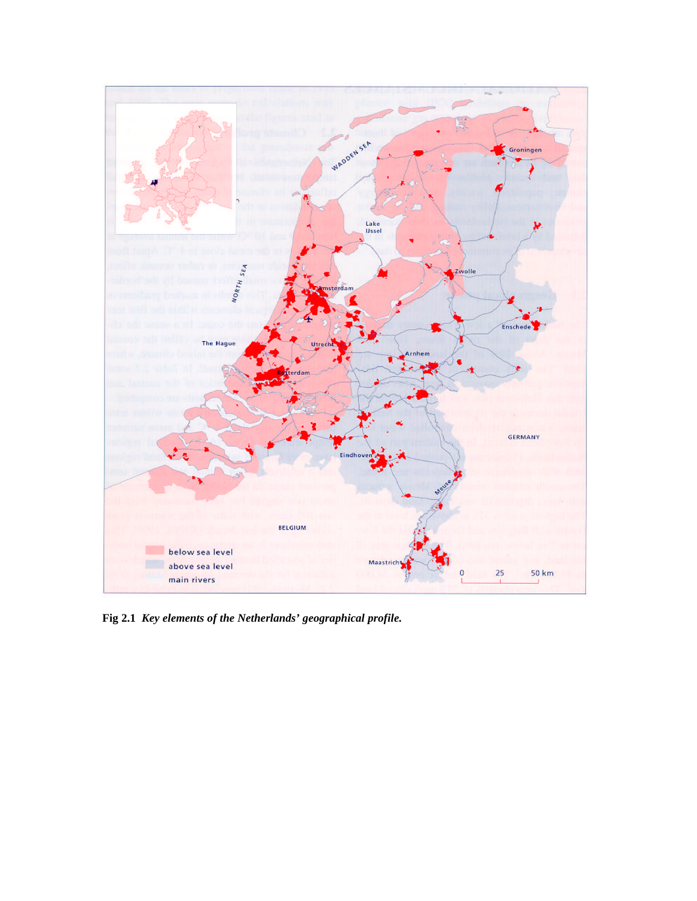

**Fig 2.1** *Key elements of the Netherlands' geographical profile.*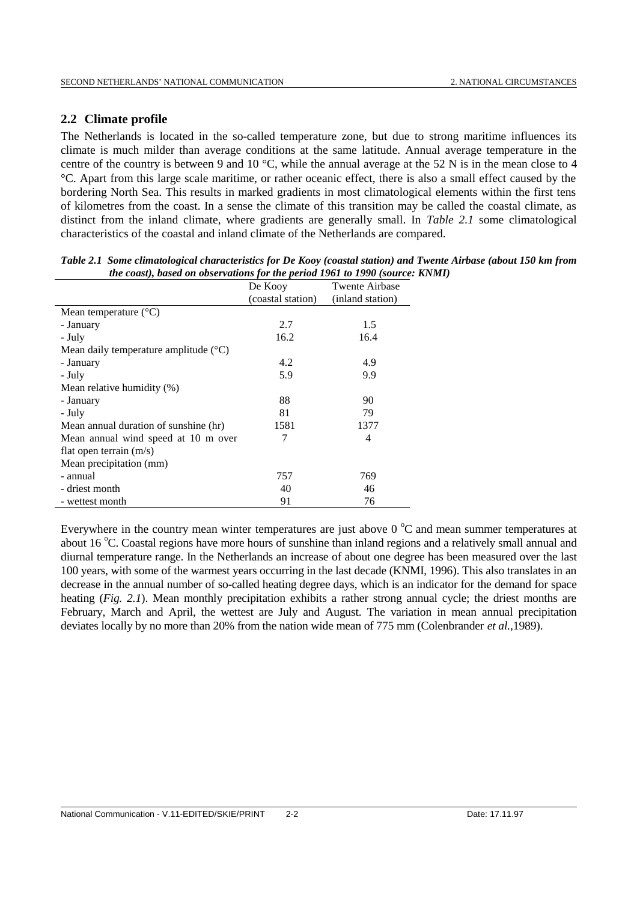# **2.2 Climate profile**

The Netherlands is located in the so-called temperature zone, but due to strong maritime influences its climate is much milder than average conditions at the same latitude. Annual average temperature in the centre of the country is between 9 and 10 °C, while the annual average at the 52 N is in the mean close to 4 °C. Apart from this large scale maritime, or rather oceanic effect, there is also a small effect caused by the bordering North Sea. This results in marked gradients in most climatological elements within the first tens of kilometres from the coast. In a sense the climate of this transition may be called the coastal climate, as distinct from the inland climate, where gradients are generally small. In *Table 2.1* some climatological characteristics of the coastal and inland climate of the Netherlands are compared.

| Table 2.1 Some climatological characteristics for De Kooy (coastal station) and Twente Airbase (about 150 km from |
|-------------------------------------------------------------------------------------------------------------------|
| the coast), based on observations for the period 1961 to 1990 (source: KNMI)                                      |

|                                                | De Kooy           | <b>Twente Airbase</b> |
|------------------------------------------------|-------------------|-----------------------|
|                                                | (coastal station) | (inland station)      |
| Mean temperature $(^{\circ}C)$                 |                   |                       |
| - January                                      | 2.7               | 1.5                   |
| - July                                         | 16.2              | 16.4                  |
| Mean daily temperature amplitude $(^{\circ}C)$ |                   |                       |
| - January                                      | 4.2               | 4.9                   |
| - July                                         | 5.9               | 9.9                   |
| Mean relative humidity (%)                     |                   |                       |
| - January                                      | 88                | 90                    |
| - July                                         | 81                | 79                    |
| Mean annual duration of sunshine (hr)          | 1581              | 1377                  |
| Mean annual wind speed at 10 m over            | 7                 | 4                     |
| flat open terrain $(m/s)$                      |                   |                       |
| Mean precipitation (mm)                        |                   |                       |
| - annual                                       | 757               | 769                   |
| - driest month                                 | 40                | 46                    |
| - wettest month                                | 91                | 76                    |

Everywhere in the country mean winter temperatures are just above  $0^{\circ}$ C and mean summer temperatures at about 16 °C. Coastal regions have more hours of sunshine than inland regions and a relatively small annual and diurnal temperature range. In the Netherlands an increase of about one degree has been measured over the last 100 years, with some of the warmest years occurring in the last decade (KNMI, 1996). This also translates in an decrease in the annual number of so-called heating degree days, which is an indicator for the demand for space heating (*Fig. 2.1*). Mean monthly precipitation exhibits a rather strong annual cycle; the driest months are February, March and April, the wettest are July and August. The variation in mean annual precipitation deviates locally by no more than 20% from the nation wide mean of 775 mm (Colenbrander *et al.,*1989).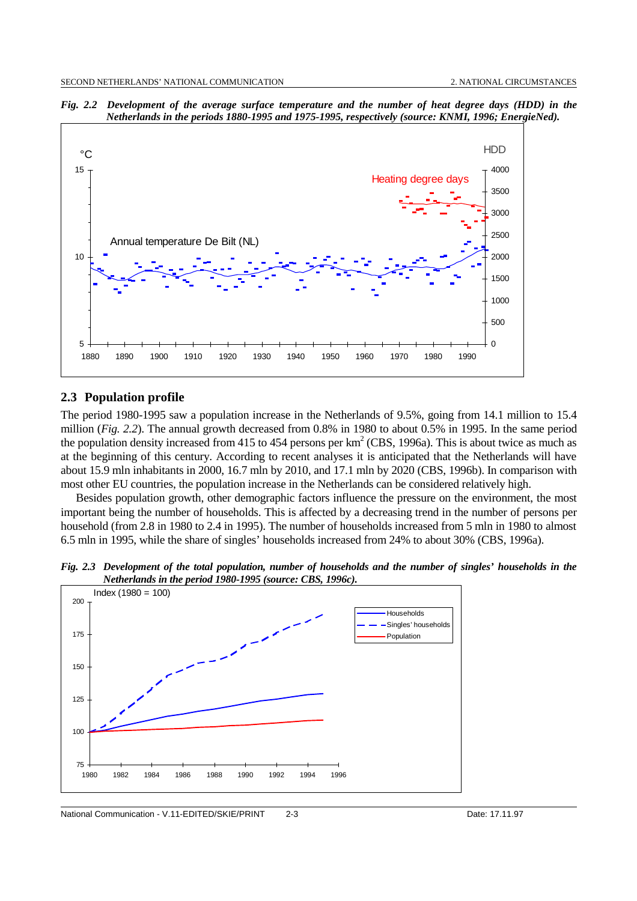

*Fig. 2.2**Development of the average surface temperature and the number of heat degree days (HDD) in the Netherlands in the periods 1880-1995 and 1975-1995, respectively (source: KNMI, 1996; EnergieNed).*

### **2.3 Population profile**

The period 1980-1995 saw a population increase in the Netherlands of 9.5%, going from 14.1 million to 15.4 million (*Fig. 2.2*). The annual growth decreased from 0.8% in 1980 to about 0.5% in 1995. In the same period the population density increased from 415 to 454 persons per  $km^2$  (CBS, 1996a). This is about twice as much as at the beginning of this century. According to recent analyses it is anticipated that the Netherlands will have about 15.9 mln inhabitants in 2000, 16.7 mln by 2010, and 17.1 mln by 2020 (CBS, 1996b). In comparison with most other EU countries, the population increase in the Netherlands can be considered relatively high.

Besides population growth, other demographic factors influence the pressure on the environment, the most important being the number of households. This is affected by a decreasing trend in the number of persons per household (from 2.8 in 1980 to 2.4 in 1995). The number of households increased from 5 mln in 1980 to almost 6.5 mln in 1995, while the share of singles' households increased from 24% to about 30% (CBS, 1996a).

*Fig. 2.3 Development of the total population, number of households and the number of singles' households in the Netherlands in the period 1980-1995 (source: CBS, 1996c).* 200  $Index (1980 = 100)$ 

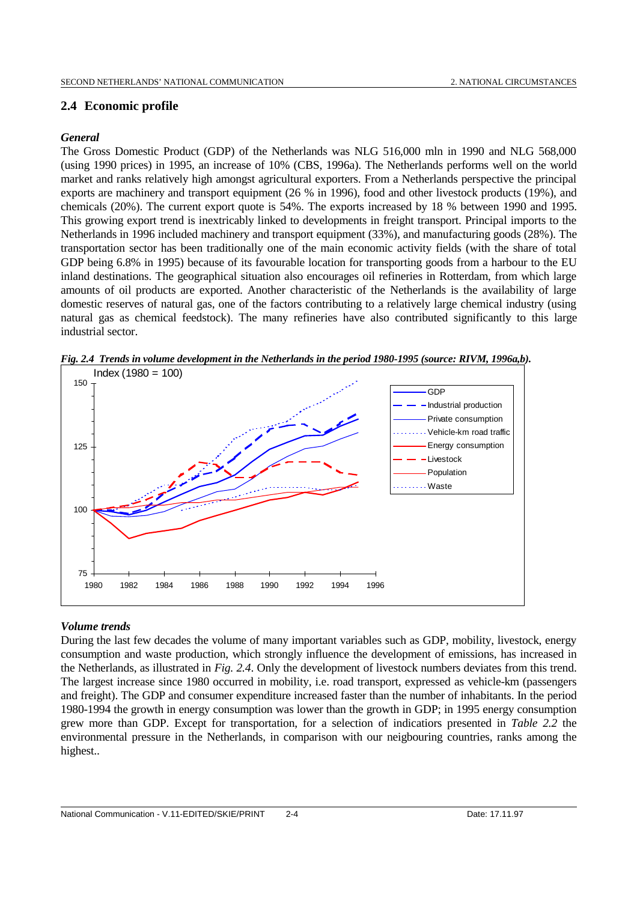# **2.4 Economic profile**

# *General*

The Gross Domestic Product (GDP) of the Netherlands was NLG 516,000 mln in 1990 and NLG 568,000 (using 1990 prices) in 1995, an increase of 10% (CBS, 1996a). The Netherlands performs well on the world market and ranks relatively high amongst agricultural exporters. From a Netherlands perspective the principal exports are machinery and transport equipment (26 % in 1996), food and other livestock products (19%), and chemicals (20%). The current export quote is 54%. The exports increased by 18 % between 1990 and 1995. This growing export trend is inextricably linked to developments in freight transport. Principal imports to the Netherlands in 1996 included machinery and transport equipment (33%), and manufacturing goods (28%). The transportation sector has been traditionally one of the main economic activity fields (with the share of total GDP being 6.8% in 1995) because of its favourable location for transporting goods from a harbour to the EU inland destinations. The geographical situation also encourages oil refineries in Rotterdam, from which large amounts of oil products are exported. Another characteristic of the Netherlands is the availability of large domestic reserves of natural gas, one of the factors contributing to a relatively large chemical industry (using natural gas as chemical feedstock). The many refineries have also contributed significantly to this large industrial sector.



*Fig. 2.4 Trends in volume development in the Netherlands in the period 1980-1995 (source: RIVM, 1996a,b).*

# *Volume trends*

During the last few decades the volume of many important variables such as GDP, mobility, livestock, energy consumption and waste production, which strongly influence the development of emissions, has increased in the Netherlands, as illustrated in *Fig. 2.4*. Only the development of livestock numbers deviates from this trend. The largest increase since 1980 occurred in mobility, i.e. road transport, expressed as vehicle-km (passengers and freight). The GDP and consumer expenditure increased faster than the number of inhabitants. In the period 1980-1994 the growth in energy consumption was lower than the growth in GDP; in 1995 energy consumption grew more than GDP. Except for transportation, for a selection of indicatiors presented in *Table 2.2* the environmental pressure in the Netherlands, in comparison with our neigbouring countries, ranks among the highest..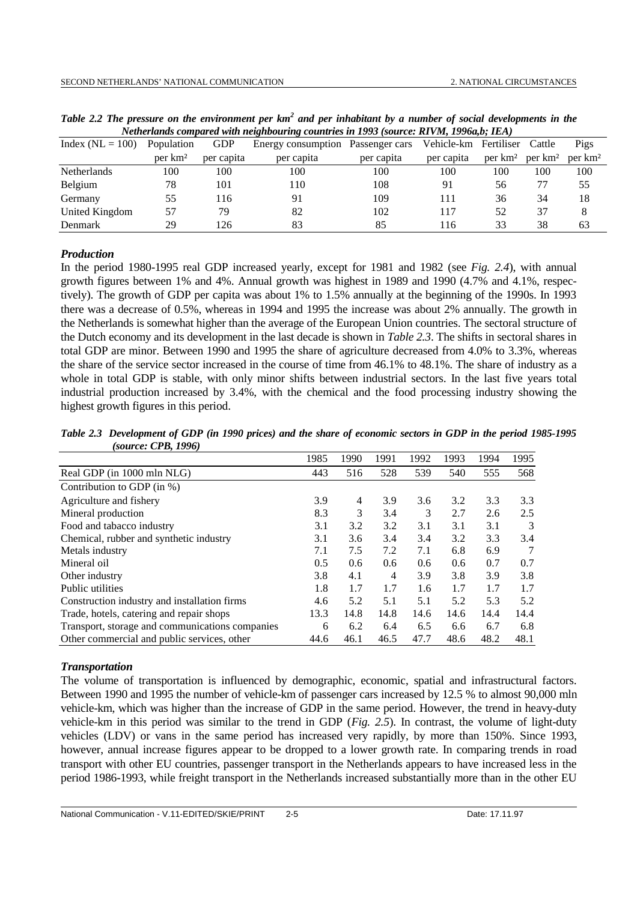| Index $(NL = 100)$ | Population          | <b>GDP</b> | Energy consumption Passenger cars |            | Vehicle-km | Fertiliser          | Cattle              | Pigs                |
|--------------------|---------------------|------------|-----------------------------------|------------|------------|---------------------|---------------------|---------------------|
|                    | per km <sup>2</sup> | per capita | per capita                        | per capita | per capita | per km <sup>2</sup> | per km <sup>2</sup> | per km <sup>2</sup> |
| <b>Netherlands</b> | 100                 | 100        | 100                               | 100        | 100        | 100                 | 100                 | 100                 |
| Belgium            | 78                  | 101        | 110                               | 108        | 91         | 56                  |                     | 55                  |
| Germany            | 55                  | 116        | 91                                | 109        | 111        | 36                  | 34                  | 18                  |
| United Kingdom     | 57                  | 79         | 82                                | 102        | 117        | 52                  | 37                  |                     |
| <b>Denmark</b>     | 29                  | 26         | 83                                | 85         | 116        | 33                  | 38                  | 63                  |

Table 2.2 The pressure on the environment per km<sup>2</sup> and per inhabitant by a number of social developments in the *Netherlands compared with neighbouring countries in 1993 (source: RIVM, 1996a,b; IEA)*

#### *Production*

In the period 1980-1995 real GDP increased yearly, except for 1981 and 1982 (see *Fig. 2.4*), with annual growth figures between 1% and 4%. Annual growth was highest in 1989 and 1990 (4.7% and 4.1%, respectively). The growth of GDP per capita was about 1% to 1.5% annually at the beginning of the 1990s. In 1993 there was a decrease of 0.5%, whereas in 1994 and 1995 the increase was about 2% annually. The growth in the Netherlands is somewhat higher than the average of the European Union countries. The sectoral structure of the Dutch economy and its development in the last decade is shown in *Table 2.3*. The shifts in sectoral shares in total GDP are minor. Between 1990 and 1995 the share of agriculture decreased from 4.0% to 3.3%, whereas the share of the service sector increased in the course of time from 46.1% to 48.1%. The share of industry as a whole in total GDP is stable, with only minor shifts between industrial sectors. In the last five years total industrial production increased by 3.4%, with the chemical and the food processing industry showing the highest growth figures in this period.

*Table 2.3 Development of GDP (in 1990 prices) and the share of economic sectors in GDP in the period 1985-1995 (source: CPB, 1996)*

|                                                 | 1985 | 1990 | 1991           | 1992 | 1993 | 1994 | 1995 |
|-------------------------------------------------|------|------|----------------|------|------|------|------|
| Real GDP (in 1000 mln NLG)                      | 443  | 516  | 528            | 539  | 540  | 555  | 568  |
| Contribution to GDP (in $\%$ )                  |      |      |                |      |      |      |      |
| Agriculture and fishery                         | 3.9  | 4    | 3.9            | 3.6  | 3.2  | 3.3  | 3.3  |
| Mineral production                              | 8.3  | 3    | 3.4            | 3    | 2.7  | 2.6  | 2.5  |
| Food and tabacco industry                       | 3.1  | 3.2  | 3.2            | 3.1  | 3.1  | 3.1  | 3    |
| Chemical, rubber and synthetic industry         | 3.1  | 3.6  | 3.4            | 3.4  | 3.2  | 3.3  | 3.4  |
| Metals industry                                 | 7.1  | 7.5  | 7.2            | 7.1  | 6.8  | 6.9  | 7    |
| Mineral oil                                     | 0.5  | 0.6  | 0.6            | 0.6  | 0.6  | 0.7  | 0.7  |
| Other industry                                  | 3.8  | 4.1  | $\overline{4}$ | 3.9  | 3.8  | 3.9  | 3.8  |
| Public utilities                                | 1.8  | 1.7  | 1.7            | 1.6  | 1.7  | 1.7  | 1.7  |
| Construction industry and installation firms    | 4.6  | 5.2  | 5.1            | 5.1  | 5.2  | 5.3  | 5.2  |
| Trade, hotels, catering and repair shops        | 13.3 | 14.8 | 14.8           | 14.6 | 14.6 | 14.4 | 14.4 |
| Transport, storage and communications companies | 6    | 6.2  | 6.4            | 6.5  | 6.6  | 6.7  | 6.8  |
| Other commercial and public services, other     | 44.6 | 46.1 | 46.5           | 47.7 | 48.6 | 48.2 | 48.1 |

#### *Transportation*

The volume of transportation is influenced by demographic, economic, spatial and infrastructural factors. Between 1990 and 1995 the number of vehicle-km of passenger cars increased by 12.5 % to almost 90,000 mln vehicle-km, which was higher than the increase of GDP in the same period. However, the trend in heavy-duty vehicle-km in this period was similar to the trend in GDP (*Fig. 2.5*). In contrast, the volume of light-duty vehicles (LDV) or vans in the same period has increased very rapidly, by more than 150%. Since 1993, however, annual increase figures appear to be dropped to a lower growth rate. In comparing trends in road transport with other EU countries, passenger transport in the Netherlands appears to have increased less in the period 1986-1993, while freight transport in the Netherlands increased substantially more than in the other EU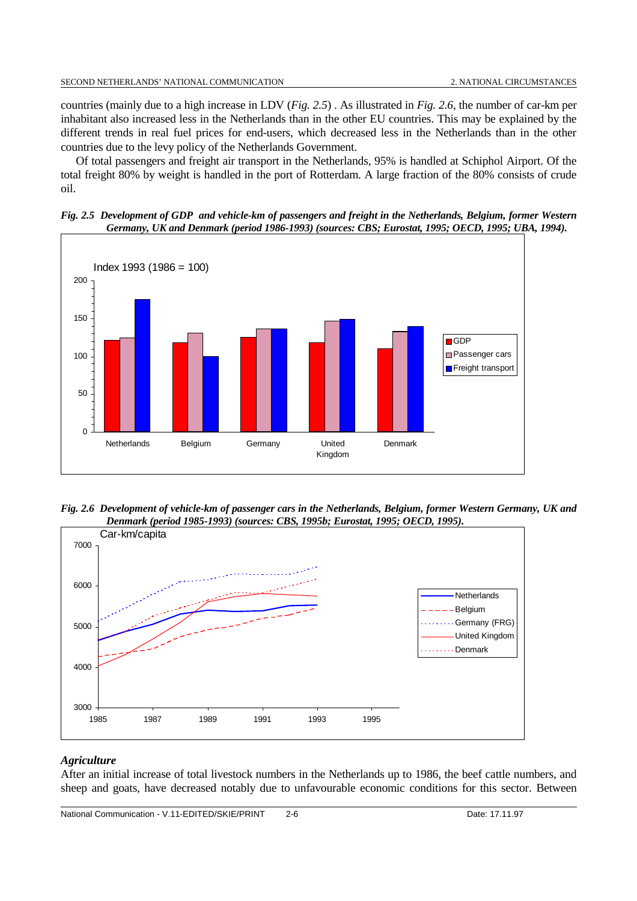countries (mainly due to a high increase in LDV (*Fig. 2.5*) . As illustrated in *Fig. 2.6*, the number of car-km per inhabitant also increased less in the Netherlands than in the other EU countries. This may be explained by the different trends in real fuel prices for end-users, which decreased less in the Netherlands than in the other countries due to the levy policy of the Netherlands Government.

Of total passengers and freight air transport in the Netherlands, 95% is handled at Schiphol Airport. Of the total freight 80% by weight is handled in the port of Rotterdam. A large fraction of the 80% consists of crude oil.





*Fig. 2.6 Development of vehicle-km of passenger cars in the Netherlands, Belgium, former Western Germany, UK and Denmark (period 1985-1993) (sources: CBS, 1995b; Eurostat, 1995; OECD, 1995).*



# *Agriculture*

After an initial increase of total livestock numbers in the Netherlands up to 1986, the beef cattle numbers, and sheep and goats, have decreased notably due to unfavourable economic conditions for this sector. Between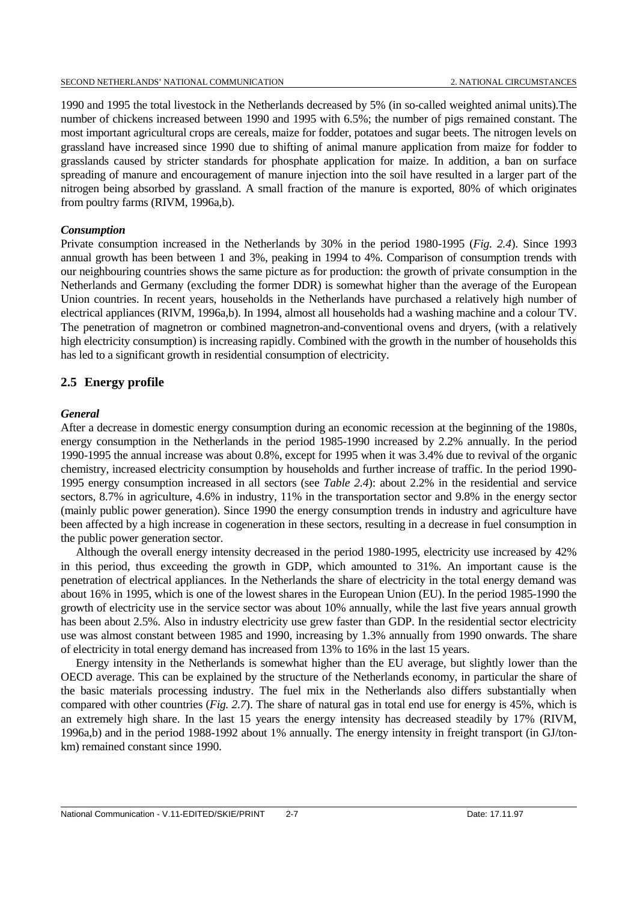1990 and 1995 the total livestock in the Netherlands decreased by 5% (in so-called weighted animal units).The number of chickens increased between 1990 and 1995 with 6.5%; the number of pigs remained constant. The most important agricultural crops are cereals, maize for fodder, potatoes and sugar beets. The nitrogen levels on grassland have increased since 1990 due to shifting of animal manure application from maize for fodder to grasslands caused by stricter standards for phosphate application for maize. In addition, a ban on surface spreading of manure and encouragement of manure injection into the soil have resulted in a larger part of the nitrogen being absorbed by grassland. A small fraction of the manure is exported, 80% of which originates from poultry farms (RIVM, 1996a,b).

### *Consumption*

Private consumption increased in the Netherlands by 30% in the period 1980-1995 (*Fig. 2.4*). Since 1993 annual growth has been between 1 and 3%, peaking in 1994 to 4%. Comparison of consumption trends with our neighbouring countries shows the same picture as for production: the growth of private consumption in the Netherlands and Germany (excluding the former DDR) is somewhat higher than the average of the European Union countries. In recent years, households in the Netherlands have purchased a relatively high number of electrical appliances (RIVM, 1996a,b). In 1994, almost all households had a washing machine and a colour TV. The penetration of magnetron or combined magnetron-and-conventional ovens and dryers, (with a relatively high electricity consumption) is increasing rapidly. Combined with the growth in the number of households this has led to a significant growth in residential consumption of electricity.

## **2.5 Energy profile**

## *General*

After a decrease in domestic energy consumption during an economic recession at the beginning of the 1980s, energy consumption in the Netherlands in the period 1985-1990 increased by 2.2% annually. In the period 1990-1995 the annual increase was about 0.8%, except for 1995 when it was 3.4% due to revival of the organic chemistry, increased electricity consumption by households and further increase of traffic. In the period 1990- 1995 energy consumption increased in all sectors (see *Table 2.4*): about 2.2% in the residential and service sectors, 8.7% in agriculture, 4.6% in industry, 11% in the transportation sector and 9.8% in the energy sector (mainly public power generation). Since 1990 the energy consumption trends in industry and agriculture have been affected by a high increase in cogeneration in these sectors, resulting in a decrease in fuel consumption in the public power generation sector.

Although the overall energy intensity decreased in the period 1980-1995, electricity use increased by 42% in this period, thus exceeding the growth in GDP, which amounted to 31%. An important cause is the penetration of electrical appliances. In the Netherlands the share of electricity in the total energy demand was about 16% in 1995, which is one of the lowest shares in the European Union (EU). In the period 1985-1990 the growth of electricity use in the service sector was about 10% annually, while the last five years annual growth has been about 2.5%. Also in industry electricity use grew faster than GDP. In the residential sector electricity use was almost constant between 1985 and 1990, increasing by 1.3% annually from 1990 onwards. The share of electricity in total energy demand has increased from 13% to 16% in the last 15 years.

Energy intensity in the Netherlands is somewhat higher than the EU average, but slightly lower than the OECD average. This can be explained by the structure of the Netherlands economy, in particular the share of the basic materials processing industry. The fuel mix in the Netherlands also differs substantially when compared with other countries (*Fig. 2.7*). The share of natural gas in total end use for energy is 45%, which is an extremely high share. In the last 15 years the energy intensity has decreased steadily by 17% (RIVM, 1996a,b) and in the period 1988-1992 about 1% annually. The energy intensity in freight transport (in GJ/tonkm) remained constant since 1990.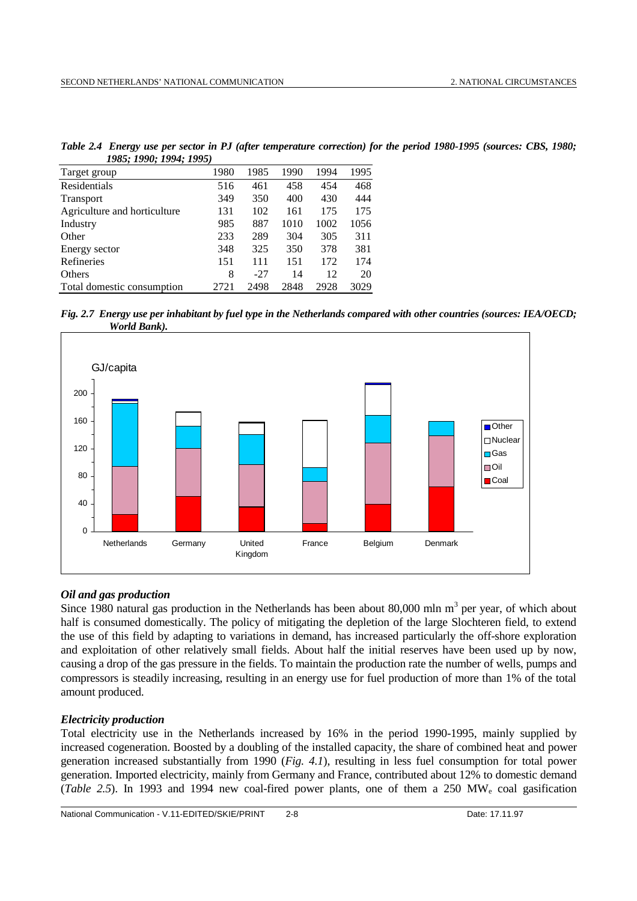| 1983; 1990; 1994; 1993)      |      |       |      |      |      |
|------------------------------|------|-------|------|------|------|
| Target group                 | 1980 | 1985  | 1990 | 1994 | 1995 |
| Residentials                 | 516  | 461   | 458  | 454  | 468  |
| <b>Transport</b>             | 349  | 350   | 400  | 430  | 444  |
| Agriculture and horticulture | 131  | 102   | 161  | 175  | 175  |
| Industry                     | 985  | 887   | 1010 | 1002 | 1056 |
| Other                        | 233  | 289   | 304  | 305  | 311  |
| Energy sector                | 348  | 325   | 350  | 378  | 381  |
| Refineries                   | 151  | 111   | 151  | 172  | 174  |
| Others                       | 8    | $-27$ | 14   | 12   | 20   |
| Total domestic consumption   | 2721 | 2498  | 2848 | 2928 | 3029 |

*Table 2.4 Energy use per sector in PJ (after temperature correction) for the period 1980-1995 (sources: CBS, 1980; 1985; 1990; 1994; 1995)*





## *Oil and gas production*

Since 1980 natural gas production in the Netherlands has been about 80,000 mln  $m<sup>3</sup>$  per year, of which about half is consumed domestically. The policy of mitigating the depletion of the large Slochteren field, to extend the use of this field by adapting to variations in demand, has increased particularly the off-shore exploration and exploitation of other relatively small fields. About half the initial reserves have been used up by now, causing a drop of the gas pressure in the fields. To maintain the production rate the number of wells, pumps and compressors is steadily increasing, resulting in an energy use for fuel production of more than 1% of the total amount produced.

## *Electricity production*

Total electricity use in the Netherlands increased by 16% in the period 1990-1995, mainly supplied by increased cogeneration. Boosted by a doubling of the installed capacity, the share of combined heat and power generation increased substantially from 1990 (*Fig. 4.1*), resulting in less fuel consumption for total power generation. Imported electricity, mainly from Germany and France, contributed about 12% to domestic demand (*Table 2.5*). In 1993 and 1994 new coal-fired power plants, one of them a 250 MWe coal gasification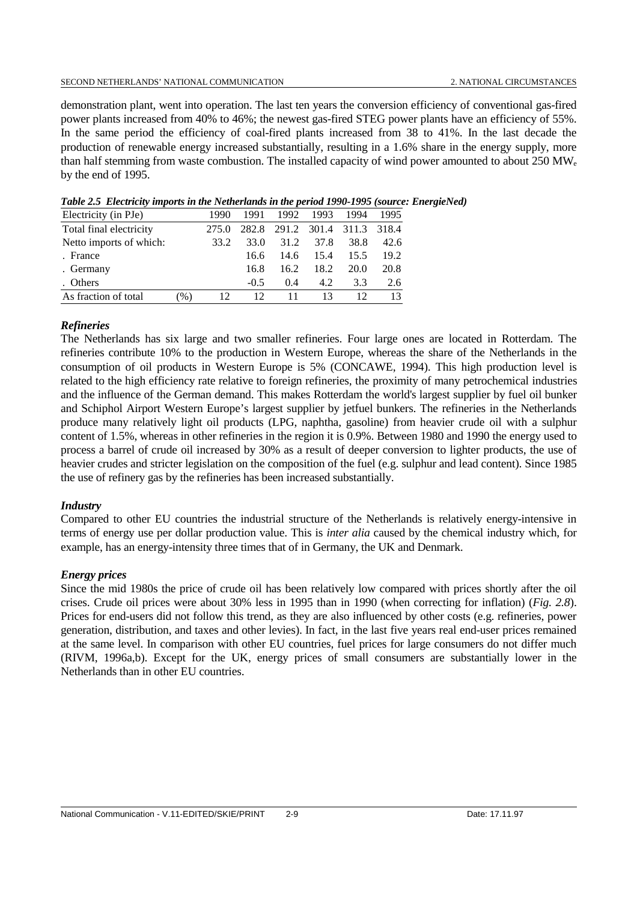### SECOND NETHERLANDS' NATIONAL COMMUNICATION 2. NATIONAL CIRCUMSTANCES

demonstration plant, went into operation. The last ten years the conversion efficiency of conventional gas-fired power plants increased from 40% to 46%; the newest gas-fired STEG power plants have an efficiency of 55%. In the same period the efficiency of coal-fired plants increased from 38 to 41%. In the last decade the production of renewable energy increased substantially, resulting in a 1.6% share in the energy supply, more than half stemming from waste combustion. The installed capacity of wind power amounted to about 250 MWe by the end of 1995.

| Electricity (in PJe)    |               | 1990  | 1991   | 1992 | 1993 | 1994                    | 1995 |
|-------------------------|---------------|-------|--------|------|------|-------------------------|------|
| Total final electricity |               | 275.0 | 282.8  |      |      | 291.2 301.4 311.3 318.4 |      |
| Netto imports of which: |               | 33.2  | 33.O   | 31.2 | 37.8 | 38.8                    | 42.6 |
| . France                |               |       | 16.6   | 14.6 | 15.4 | 15.5                    | 19.2 |
| . Germany               |               |       | 16.8   | 16.2 | 18.2 | 20.0                    | 20.8 |
| . Others                |               |       | $-0.5$ | 0.4  | 4.2  | 3.3                     | 2.6  |
| As fraction of total    | $\frac{9}{6}$ | 12    | 12     |      |      |                         |      |

*Table 2.5**Electricity imports in the Netherlands in the period 1990-1995 (source: EnergieNed)*

## *Refineries*

The Netherlands has six large and two smaller refineries. Four large ones are located in Rotterdam. The refineries contribute 10% to the production in Western Europe, whereas the share of the Netherlands in the consumption of oil products in Western Europe is 5% (CONCAWE, 1994). This high production level is related to the high efficiency rate relative to foreign refineries, the proximity of many petrochemical industries and the influence of the German demand. This makes Rotterdam the world's largest supplier by fuel oil bunker and Schiphol Airport Western Europe's largest supplier by jetfuel bunkers. The refineries in the Netherlands produce many relatively light oil products (LPG, naphtha, gasoline) from heavier crude oil with a sulphur content of 1.5%, whereas in other refineries in the region it is 0.9%. Between 1980 and 1990 the energy used to process a barrel of crude oil increased by 30% as a result of deeper conversion to lighter products, the use of heavier crudes and stricter legislation on the composition of the fuel (e.g. sulphur and lead content). Since 1985 the use of refinery gas by the refineries has been increased substantially.

## *Industry*

Compared to other EU countries the industrial structure of the Netherlands is relatively energy-intensive in terms of energy use per dollar production value. This is *inter alia* caused by the chemical industry which, for example, has an energy-intensity three times that of in Germany, the UK and Denmark.

## *Energy prices*

Since the mid 1980s the price of crude oil has been relatively low compared with prices shortly after the oil crises. Crude oil prices were about 30% less in 1995 than in 1990 (when correcting for inflation) (*Fig. 2.8*). Prices for end-users did not follow this trend, as they are also influenced by other costs (e.g. refineries, power generation, distribution, and taxes and other levies). In fact, in the last five years real end-user prices remained at the same level. In comparison with other EU countries, fuel prices for large consumers do not differ much (RIVM, 1996a,b). Except for the UK, energy prices of small consumers are substantially lower in the Netherlands than in other EU countries.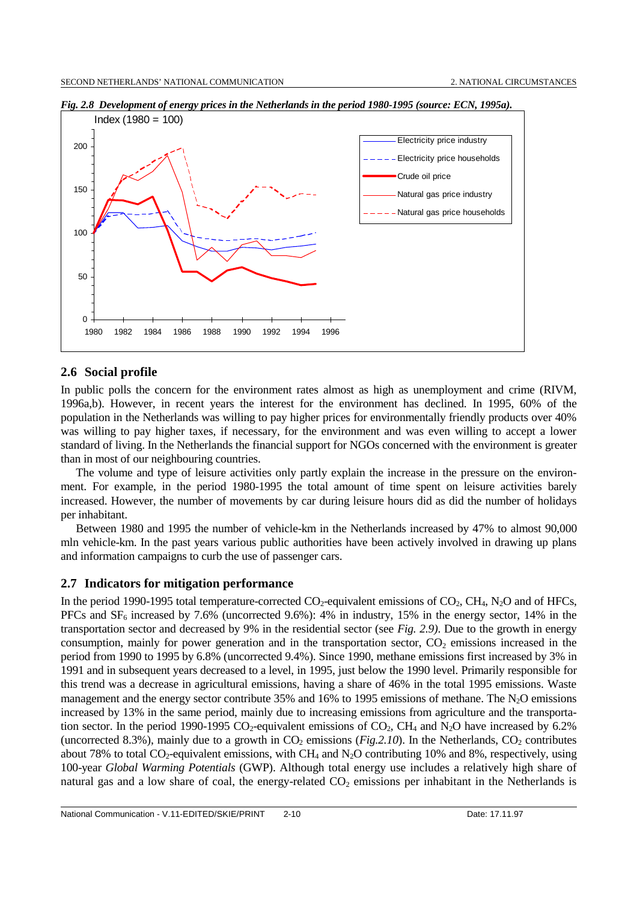

*Fig. 2.8 Development of energy prices in the Netherlands in the period 1980-1995 (source: ECN, 1995a).*

## **2.6 Social profile**

In public polls the concern for the environment rates almost as high as unemployment and crime (RIVM, 1996a,b). However, in recent years the interest for the environment has declined. In 1995, 60% of the population in the Netherlands was willing to pay higher prices for environmentally friendly products over 40% was willing to pay higher taxes, if necessary, for the environment and was even willing to accept a lower standard of living. In the Netherlands the financial support for NGOs concerned with the environment is greater than in most of our neighbouring countries.

The volume and type of leisure activities only partly explain the increase in the pressure on the environment. For example, in the period 1980-1995 the total amount of time spent on leisure activities barely increased. However, the number of movements by car during leisure hours did as did the number of holidays per inhabitant.

Between 1980 and 1995 the number of vehicle-km in the Netherlands increased by 47% to almost 90,000 mln vehicle-km. In the past years various public authorities have been actively involved in drawing up plans and information campaigns to curb the use of passenger cars.

## **2.7 Indicators for mitigation performance**

In the period 1990-1995 total temperature-corrected  $CO_2$ -equivalent emissions of  $CO_2$ ,  $CH_4$ ,  $N_2O$  and of HFCs, PFCs and  $SF<sub>6</sub>$  increased by 7.6% (uncorrected 9.6%): 4% in industry, 15% in the energy sector, 14% in the transportation sector and decreased by 9% in the residential sector (see *Fig. 2.9)*. Due to the growth in energy consumption, mainly for power generation and in the transportation sector,  $CO<sub>2</sub>$  emissions increased in the period from 1990 to 1995 by 6.8% (uncorrected 9.4%). Since 1990, methane emissions first increased by 3% in 1991 and in subsequent years decreased to a level, in 1995, just below the 1990 level. Primarily responsible for this trend was a decrease in agricultural emissions, having a share of 46% in the total 1995 emissions. Waste management and the energy sector contribute 35% and 16% to 1995 emissions of methane. The  $N_2O$  emissions increased by 13% in the same period, mainly due to increasing emissions from agriculture and the transportation sector. In the period 1990-1995 CO<sub>2</sub>-equivalent emissions of CO<sub>2</sub>, CH<sub>4</sub> and N<sub>2</sub>O have increased by 6.2% (uncorrected 8.3%), mainly due to a growth in  $CO_2$  emissions (*Fig.2.10*). In the Netherlands,  $CO_2$  contributes about 78% to total  $CO_2$ -equivalent emissions, with CH<sub>4</sub> and N<sub>2</sub>O contributing 10% and 8%, respectively, using 100-year *Global Warming Potentials* (GWP). Although total energy use includes a relatively high share of natural gas and a low share of coal, the energy-related  $CO<sub>2</sub>$  emissions per inhabitant in the Netherlands is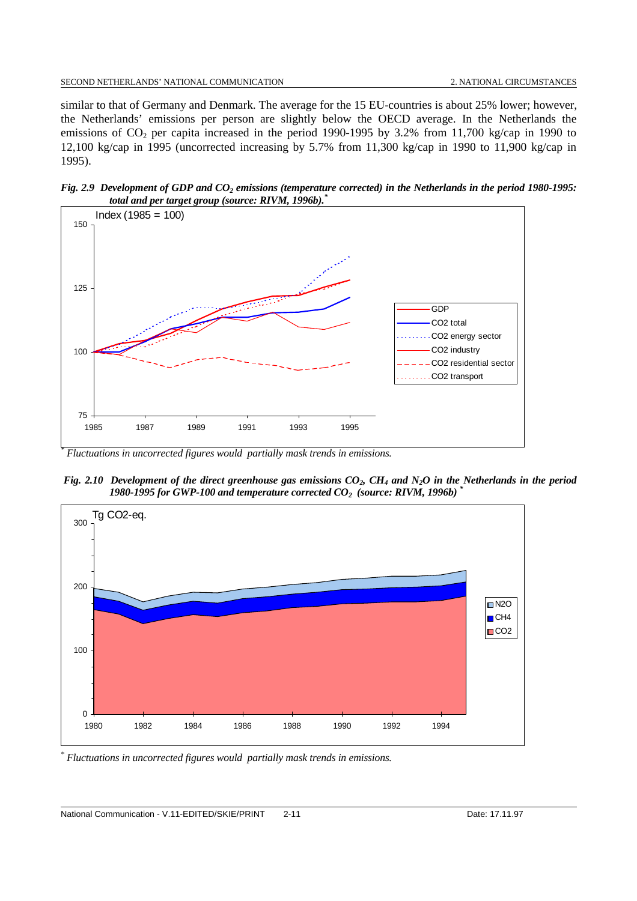similar to that of Germany and Denmark. The average for the 15 EU-countries is about 25% lower; however, the Netherlands' emissions per person are slightly below the OECD average. In the Netherlands the emissions of CO<sub>2</sub> per capita increased in the period 1990-1995 by 3.2% from 11,700 kg/cap in 1990 to 12,100 kg/cap in 1995 (uncorrected increasing by 5.7% from 11,300 kg/cap in 1990 to 11,900 kg/cap in 1995).

*Fig. 2.9 Development of GDP and CO<sub>2</sub> emissions (temperature corrected) in the Netherlands in the period 1980-1995: total and per target group (source: RIVM, 1996b).\**



 *Fluctuations in uncorrected figures would partially mask trends in emissions.*

*Fig. 2.10 Development of the direct greenhouse gas emissions CO<sub>2</sub>, CH<sub>4</sub> and N<sub>2</sub>O in the Netherlands in the period 1980-1995 for GWP-100 and temperature corrected CO2 (source: RIVM, 1996b) \**



*\* Fluctuations in uncorrected figures would partially mask trends in emissions.*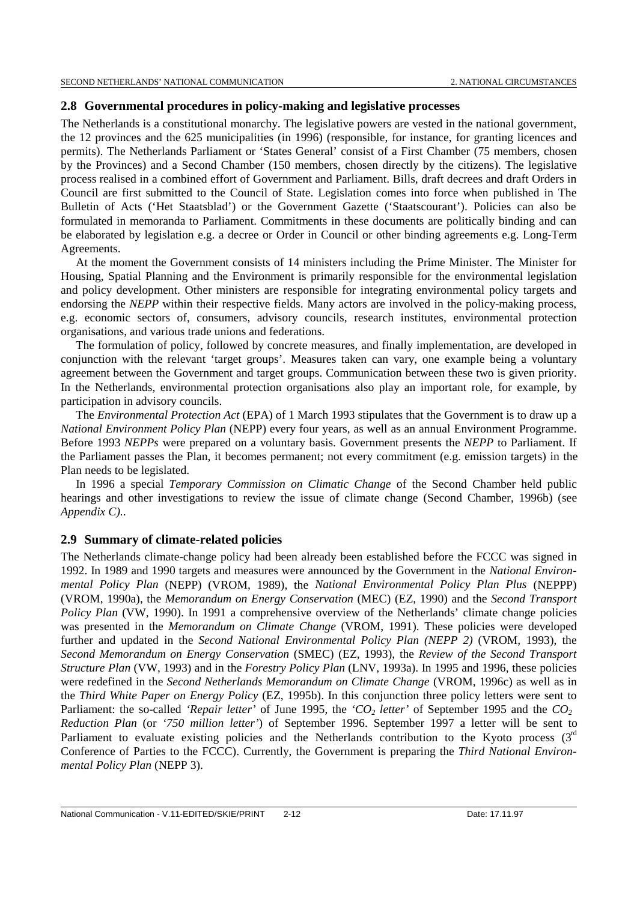## **2.8 Governmental procedures in policy-making and legislative processes**

The Netherlands is a constitutional monarchy. The legislative powers are vested in the national government, the 12 provinces and the 625 municipalities (in 1996) (responsible, for instance, for granting licences and permits). The Netherlands Parliament or 'States General' consist of a First Chamber (75 members, chosen by the Provinces) and a Second Chamber (150 members, chosen directly by the citizens). The legislative process realised in a combined effort of Government and Parliament. Bills, draft decrees and draft Orders in Council are first submitted to the Council of State. Legislation comes into force when published in The Bulletin of Acts ('Het Staatsblad') or the Government Gazette ('Staatscourant'). Policies can also be formulated in memoranda to Parliament. Commitments in these documents are politically binding and can be elaborated by legislation e.g. a decree or Order in Council or other binding agreements e.g. Long-Term Agreements.

At the moment the Government consists of 14 ministers including the Prime Minister. The Minister for Housing, Spatial Planning and the Environment is primarily responsible for the environmental legislation and policy development. Other ministers are responsible for integrating environmental policy targets and endorsing the *NEPP* within their respective fields. Many actors are involved in the policy-making process, e.g. economic sectors of, consumers, advisory councils, research institutes, environmental protection organisations, and various trade unions and federations.

The formulation of policy, followed by concrete measures, and finally implementation, are developed in conjunction with the relevant 'target groups'. Measures taken can vary, one example being a voluntary agreement between the Government and target groups. Communication between these two is given priority. In the Netherlands, environmental protection organisations also play an important role, for example, by participation in advisory councils.

The *Environmental Protection Act* (EPA) of 1 March 1993 stipulates that the Government is to draw up a *National Environment Policy Plan* (NEPP) every four years, as well as an annual Environment Programme. Before 1993 *NEPPs* were prepared on a voluntary basis. Government presents the *NEPP* to Parliament. If the Parliament passes the Plan, it becomes permanent; not every commitment (e.g. emission targets) in the Plan needs to be legislated.

In 1996 a special *Temporary Commission on Climatic Change* of the Second Chamber held public hearings and other investigations to review the issue of climate change (Second Chamber, 1996b) (see *Appendix C).*.

## **2.9 Summary of climate-related policies**

The Netherlands climate-change policy had been already been established before the FCCC was signed in 1992. In 1989 and 1990 targets and measures were announced by the Government in the *National Environmental Policy Plan* (NEPP) (VROM, 1989), the *National Environmental Policy Plan Plus* (NEPPP) (VROM, 1990a), the *Memorandum on Energy Conservation* (MEC) (EZ, 1990) and the *Second Transport Policy Plan* (VW, 1990). In 1991 a comprehensive overview of the Netherlands' climate change policies was presented in the *Memorandum on Climate Change* (VROM, 1991). These policies were developed further and updated in the *Second National Environmental Policy Plan (NEPP 2)* (VROM, 1993), the *Second Memorandum on Energy Conservation* (SMEC) (EZ, 1993), the *Review of the Second Transport Structure Plan* (VW, 1993) and in the *Forestry Policy Plan* (LNV, 1993a). In 1995 and 1996, these policies were redefined in the *Second Netherlands Memorandum on Climate Change* (VROM, 1996c) as well as in the *Third White Paper on Energy Policy* (EZ, 1995b). In this conjunction three policy letters were sent to Parliament: the so-called *'Repair letter'* of June 1995, the *'CO<sub>2</sub> letter'* of September 1995 and the *CO<sub>2</sub> Reduction Plan* (or *'750 million letter'*) of September 1996. September 1997 a letter will be sent to Parliament to evaluate existing policies and the Netherlands contribution to the Kyoto process  $(3<sup>rd</sup>)$ Conference of Parties to the FCCC). Currently, the Government is preparing the *Third National Environmental Policy Plan* (NEPP 3).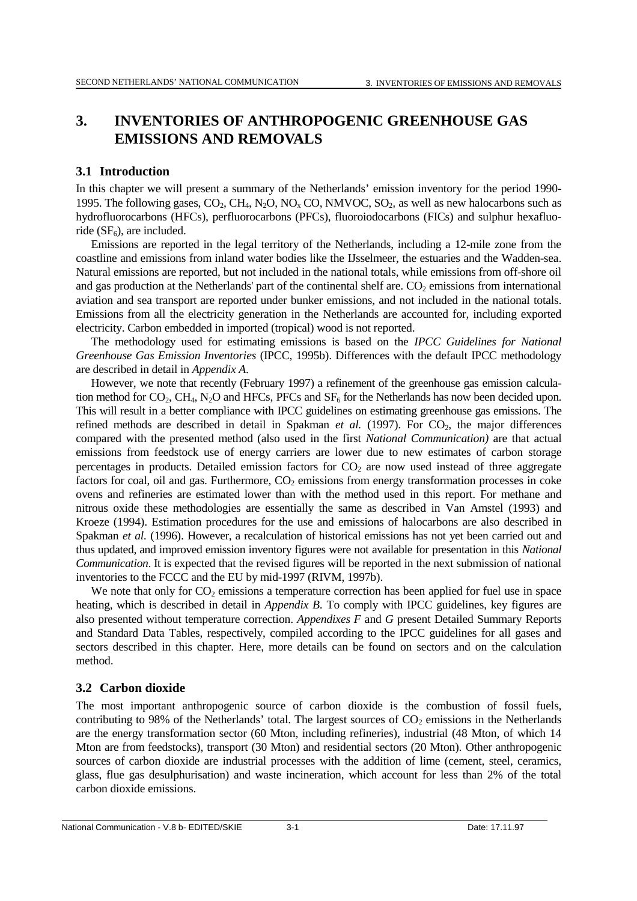# **3. INVENTORIES OF ANTHROPOGENIC GREENHOUSE GAS EMISSIONS AND REMOVALS**

## **3.1 Introduction**

In this chapter we will present a summary of the Netherlands' emission inventory for the period 1990- 1995. The following gases,  $CO_2$ ,  $CH_4$ ,  $N_2O$ ,  $NO_x CO$ ,  $NMVOC$ ,  $SO_2$ , as well as new halocarbons such as hydrofluorocarbons (HFCs), perfluorocarbons (PFCs), fluoroiodocarbons (FICs) and sulphur hexafluoride  $(SF_6)$ , are included.

Emissions are reported in the legal territory of the Netherlands, including a 12-mile zone from the coastline and emissions from inland water bodies like the IJsselmeer, the estuaries and the Wadden-sea. Natural emissions are reported, but not included in the national totals, while emissions from off-shore oil and gas production at the Netherlands' part of the continental shelf are.  $CO<sub>2</sub>$  emissions from international aviation and sea transport are reported under bunker emissions, and not included in the national totals. Emissions from all the electricity generation in the Netherlands are accounted for, including exported electricity. Carbon embedded in imported (tropical) wood is not reported.

The methodology used for estimating emissions is based on the *IPCC Guidelines for National Greenhouse Gas Emission Inventories* (IPCC, 1995b). Differences with the default IPCC methodology are described in detail in *Appendix A*.

However, we note that recently (February 1997) a refinement of the greenhouse gas emission calculation method for  $CO_2$ , CH<sub>4</sub>, N<sub>2</sub>O and HFCs, PFCs and SF<sub>6</sub> for the Netherlands has now been decided upon. This will result in a better compliance with IPCC guidelines on estimating greenhouse gas emissions. The refined methods are described in detail in Spakman *et al.* (1997). For  $CO<sub>2</sub>$ , the major differences compared with the presented method (also used in the first *National Communication)* are that actual emissions from feedstock use of energy carriers are lower due to new estimates of carbon storage percentages in products. Detailed emission factors for  $CO<sub>2</sub>$  are now used instead of three aggregate factors for coal, oil and gas. Furthermore,  $CO<sub>2</sub>$  emissions from energy transformation processes in coke ovens and refineries are estimated lower than with the method used in this report. For methane and nitrous oxide these methodologies are essentially the same as described in Van Amstel (1993) and Kroeze (1994). Estimation procedures for the use and emissions of halocarbons are also described in Spakman *et al.* (1996). However, a recalculation of historical emissions has not yet been carried out and thus updated, and improved emission inventory figures were not available for presentation in this *National Communication*. It is expected that the revised figures will be reported in the next submission of national inventories to the FCCC and the EU by mid-1997 (RIVM, 1997b).

We note that only for  $CO<sub>2</sub>$  emissions a temperature correction has been applied for fuel use in space heating, which is described in detail in *Appendix B*. To comply with IPCC guidelines, key figures are also presented without temperature correction. *Appendixes F* and *G* present Detailed Summary Reports and Standard Data Tables, respectively, compiled according to the IPCC guidelines for all gases and sectors described in this chapter. Here, more details can be found on sectors and on the calculation method.

# **3.2 Carbon dioxide**

The most important anthropogenic source of carbon dioxide is the combustion of fossil fuels, contributing to 98% of the Netherlands' total. The largest sources of  $CO<sub>2</sub>$  emissions in the Netherlands are the energy transformation sector (60 Mton, including refineries), industrial (48 Mton, of which 14 Mton are from feedstocks), transport (30 Mton) and residential sectors (20 Mton). Other anthropogenic sources of carbon dioxide are industrial processes with the addition of lime (cement, steel, ceramics, glass, flue gas desulphurisation) and waste incineration, which account for less than 2% of the total carbon dioxide emissions.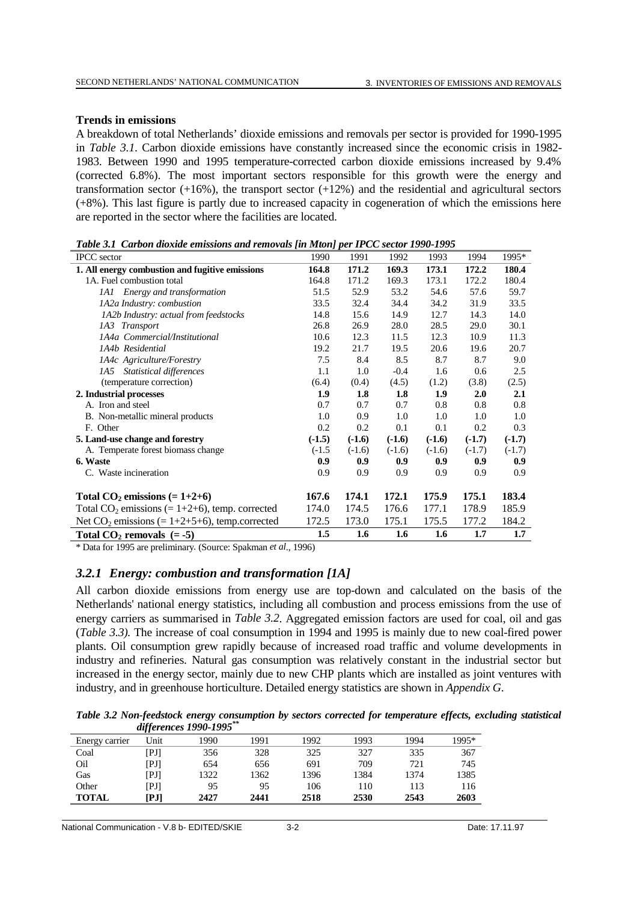## **Trends in emissions**

A breakdown of total Netherlands' dioxide emissions and removals per sector is provided for 1990-1995 in *Table 3.1*. Carbon dioxide emissions have constantly increased since the economic crisis in 1982- 1983. Between 1990 and 1995 temperature-corrected carbon dioxide emissions increased by 9.4% (corrected 6.8%). The most important sectors responsible for this growth were the energy and transformation sector  $(+16%)$ , the transport sector  $(+12%)$  and the residential and agricultural sectors (+8%). This last figure is partly due to increased capacity in cogeneration of which the emissions here are reported in the sector where the facilities are located.

*Table 3.1 Carbon dioxide emissions and removals [in Mton] per IPCC sector 1990-1995*

| <b>IPCC</b> sector                                | 1990     | 1991     | 1992     | 1993     | 1994     | 1995*    |
|---------------------------------------------------|----------|----------|----------|----------|----------|----------|
| 1. All energy combustion and fugitive emissions   | 164.8    | 171.2    | 169.3    | 173.1    | 172.2    | 180.4    |
| 1A. Fuel combustion total                         | 164.8    | 171.2    | 169.3    | 173.1    | 172.2    | 180.4    |
| 1A1 Energy and transformation                     | 51.5     | 52.9     | 53.2     | 54.6     | 57.6     | 59.7     |
| 1A2a Industry: combustion                         | 33.5     | 32.4     | 34.4     | 34.2     | 31.9     | 33.5     |
| 1A2b Industry: actual from feedstocks             | 14.8     | 15.6     | 14.9     | 12.7     | 14.3     | 14.0     |
| 1A3 Transport                                     | 26.8     | 26.9     | 28.0     | 28.5     | 29.0     | 30.1     |
| 1A4a Commercial/Institutional                     | 10.6     | 12.3     | 11.5     | 12.3     | 10.9     | 11.3     |
| 1A4b Residential                                  | 19.2     | 21.7     | 19.5     | 20.6     | 19.6     | 20.7     |
| 1A4c Agriculture/Forestry                         | 7.5      | 8.4      | 8.5      | 8.7      | 8.7      | 9.0      |
| 1A5 Statistical differences                       | 1.1      | 1.0      | $-0.4$   | 1.6      | 0.6      | 2.5      |
| (temperature correction)                          | (6.4)    | (0.4)    | (4.5)    | (1.2)    | (3.8)    | (2.5)    |
| 2. Industrial processes                           | 1.9      | 1.8      | 1.8      | 1.9      | 2.0      | 2.1      |
| A. Iron and steel                                 | 0.7      | 0.7      | 0.7      | 0.8      | 0.8      | 0.8      |
| B. Non-metallic mineral products                  | 1.0      | 0.9      | 1.0      | 1.0      | 1.0      | 1.0      |
| F. Other                                          | 0.2      | 0.2      | 0.1      | 0.1      | 0.2      | 0.3      |
| 5. Land-use change and forestry                   | $(-1.5)$ | $(-1.6)$ | $(-1.6)$ | $(-1.6)$ | $(-1.7)$ | $(-1.7)$ |
| A. Temperate forest biomass change                | $(-1.5)$ | $(-1.6)$ | $(-1.6)$ | $(-1.6)$ | $(-1.7)$ | $(-1.7)$ |
| 6. Waste                                          | 0.9      | 0.9      | 0.9      | 0.9      | 0.9      | 0.9      |
| C. Waste incineration                             | 0.9      | 0.9      | 0.9      | 0.9      | 0.9      | 0.9      |
| Total $CO_2$ emissions (= 1+2+6)                  | 167.6    | 174.1    | 172.1    | 175.9    | 175.1    | 183.4    |
| Total $CO_2$ emissions (= 1+2+6), temp. corrected | 174.0    | 174.5    | 176.6    | 177.1    | 178.9    | 185.9    |
| Net $CO_2$ emissions (= 1+2+5+6), temp.corrected  | 172.5    | 173.0    | 175.1    | 175.5    | 177.2    | 184.2    |
| Total $CO2$ removals $(= -5)$                     | 1.5      | 1.6      | 1.6      | 1.6      | 1.7      | 1.7      |

\* Data for 1995 are preliminary*.* (Source: Spakman *et al*., 1996)

## *3.2.1 Energy: combustion and transformation [1A]*

All carbon dioxide emissions from energy use are top-down and calculated on the basis of the Netherlands' national energy statistics, including all combustion and process emissions from the use of energy carriers as summarised in *Table 3.2*. Aggregated emission factors are used for coal, oil and gas (*Table 3.3).* The increase of coal consumption in 1994 and 1995 is mainly due to new coal-fired power plants. Oil consumption grew rapidly because of increased road traffic and volume developments in industry and refineries. Natural gas consumption was relatively constant in the industrial sector but increased in the energy sector, mainly due to new CHP plants which are installed as joint ventures with industry, and in greenhouse horticulture. Detailed energy statistics are shown in *Appendix G*.

*Table 3.2 Non-feedstock energy consumption by sectors corrected for temperature effects, excluding statistical differences 1990-1995\*\**

|                |      | $\mu$ , $\mu$ , $\mu$ , $\mu$ , $\mu$ , $\mu$ , $\mu$ , $\mu$ , $\mu$ , $\mu$ , $\mu$ , $\mu$ , $\mu$ , $\mu$ , $\mu$ , $\mu$ , $\mu$ , $\mu$ , $\mu$ , $\mu$ , $\mu$ , $\mu$ , $\mu$ , $\mu$ , $\mu$ , $\mu$ , $\mu$ , $\mu$ , $\mu$ , $\mu$ , $\mu$ , $\mu$ , $\mu$ , $\mu$ , $\mu$ , $\mu$ , $\mu$ , |      |      |             |      |       |
|----------------|------|---------------------------------------------------------------------------------------------------------------------------------------------------------------------------------------------------------------------------------------------------------------------------------------------------------|------|------|-------------|------|-------|
| Energy carrier | Unit | 1990                                                                                                                                                                                                                                                                                                    | 1991 | 1992 | 1993        | 1994 | 1995* |
| Coal           | ſРЛ  | 356                                                                                                                                                                                                                                                                                                     | 328  | 325  | 327         | 335  | 367   |
| Oil            | [PJ] | 654                                                                                                                                                                                                                                                                                                     | 656  | 691  | 709         | 721  | 745   |
| Gas            | [PJ] | 1322                                                                                                                                                                                                                                                                                                    | 1362 | 1396 | 1384        | 1374 | 1385  |
| Other          | [PJ] | 95                                                                                                                                                                                                                                                                                                      | 95   | 106  | 110         | 113  | 116   |
| <b>TOTAL</b>   | [PJ] | 2427                                                                                                                                                                                                                                                                                                    | 2441 | 2518 | <b>2530</b> | 2543 | 2603  |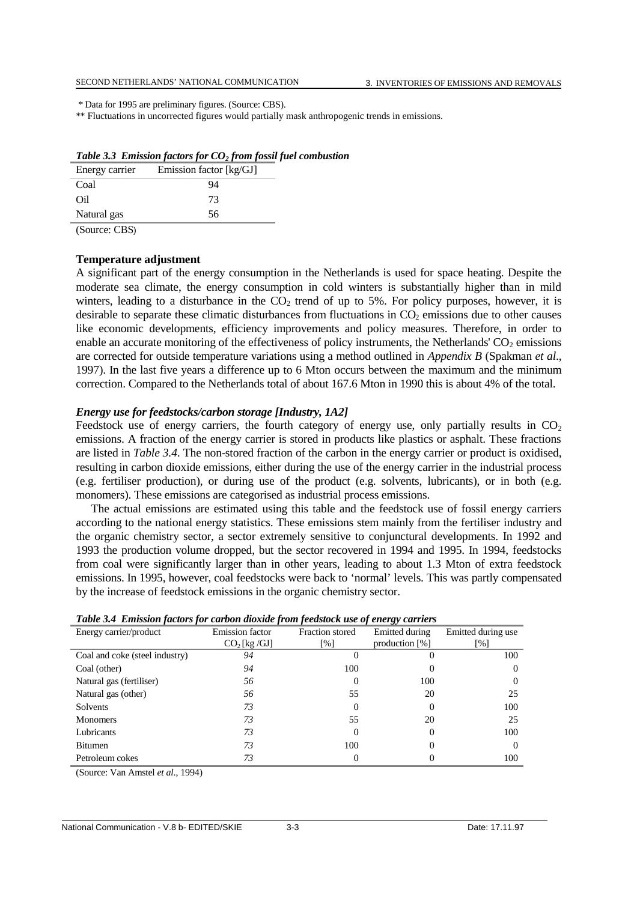\* Data for 1995 are preliminary figures. (Source: CBS).

\*\* Fluctuations in uncorrected figures would partially mask anthropogenic trends in emissions.

| Energy carrier | Emission factor [kg/GJ] |
|----------------|-------------------------|
| Coal           | 94                      |
| Oil            | 73                      |
| Natural gas    | 56                      |
| $\sim$<br>$-$  |                         |

|  |  |  |  |  |  | Table 3.3 Emission factors for $CO2$ from fossil fuel combustion |
|--|--|--|--|--|--|------------------------------------------------------------------|
|--|--|--|--|--|--|------------------------------------------------------------------|

(Source: CBS)

### **Temperature adjustment**

A significant part of the energy consumption in the Netherlands is used for space heating. Despite the moderate sea climate, the energy consumption in cold winters is substantially higher than in mild winters, leading to a disturbance in the  $CO<sub>2</sub>$  trend of up to 5%. For policy purposes, however, it is desirable to separate these climatic disturbances from fluctuations in CO<sub>2</sub> emissions due to other causes like economic developments, efficiency improvements and policy measures. Therefore, in order to enable an accurate monitoring of the effectiveness of policy instruments, the Netherlands'  $CO<sub>2</sub>$  emissions are corrected for outside temperature variations using a method outlined in *Appendix B* (Spakman *et al*., 1997). In the last five years a difference up to 6 Mton occurs between the maximum and the minimum correction. Compared to the Netherlands total of about 167.6 Mton in 1990 this is about 4% of the total.

### *Energy use for feedstocks/carbon storage [Industry, 1A2]*

Feedstock use of energy carriers, the fourth category of energy use, only partially results in  $CO<sub>2</sub>$ emissions. A fraction of the energy carrier is stored in products like plastics or asphalt. These fractions are listed in *Table 3.4*. The non-stored fraction of the carbon in the energy carrier or product is oxidised, resulting in carbon dioxide emissions, either during the use of the energy carrier in the industrial process (e.g. fertiliser production), or during use of the product (e.g. solvents, lubricants), or in both (e.g. monomers). These emissions are categorised as industrial process emissions.

The actual emissions are estimated using this table and the feedstock use of fossil energy carriers according to the national energy statistics. These emissions stem mainly from the fertiliser industry and the organic chemistry sector, a sector extremely sensitive to conjunctural developments. In 1992 and 1993 the production volume dropped, but the sector recovered in 1994 and 1995. In 1994, feedstocks from coal were significantly larger than in other years, leading to about 1.3 Mton of extra feedstock emissions. In 1995, however, coal feedstocks were back to 'normal' levels. This was partly compensated by the increase of feedstock emissions in the organic chemistry sector.

| <b>Table 5.4 Emission factors for carbon aloxiae from feedslock use of energy carriers</b> |                        |                   |                              |                    |  |  |  |  |  |  |
|--------------------------------------------------------------------------------------------|------------------------|-------------------|------------------------------|--------------------|--|--|--|--|--|--|
| Energy carrier/product                                                                     | <b>Emission factor</b> | Fraction stored   | Emitted during               | Emitted during use |  |  |  |  |  |  |
|                                                                                            | $CO2$ [kg /GJ]         | $\lceil\% \rceil$ | production $\lceil\% \rceil$ | [%]                |  |  |  |  |  |  |
| Coal and coke (steel industry)                                                             | 94                     |                   |                              | 100                |  |  |  |  |  |  |
| Coal (other)                                                                               | 94                     | 100               |                              |                    |  |  |  |  |  |  |
| Natural gas (fertiliser)                                                                   | 56                     | 0                 | 100                          |                    |  |  |  |  |  |  |
| Natural gas (other)                                                                        | 56                     | 55                | 20                           | 25                 |  |  |  |  |  |  |
| Solvents                                                                                   | 73                     | 0                 |                              | 100                |  |  |  |  |  |  |
| <b>Monomers</b>                                                                            | 73                     | 55                | 20                           | 25                 |  |  |  |  |  |  |
| Lubricants                                                                                 | 73                     | $\theta$          |                              | 100                |  |  |  |  |  |  |
| <b>Bitumen</b>                                                                             | 73                     | 100               |                              |                    |  |  |  |  |  |  |
| Petroleum cokes                                                                            | 73                     | 0                 |                              | 100                |  |  |  |  |  |  |

|  |  | Table 3.4 Emission factors for carbon dioxide from feedstock use of energy carriers |  |
|--|--|-------------------------------------------------------------------------------------|--|
|  |  |                                                                                     |  |

(Source: Van Amstel *et al*., 1994)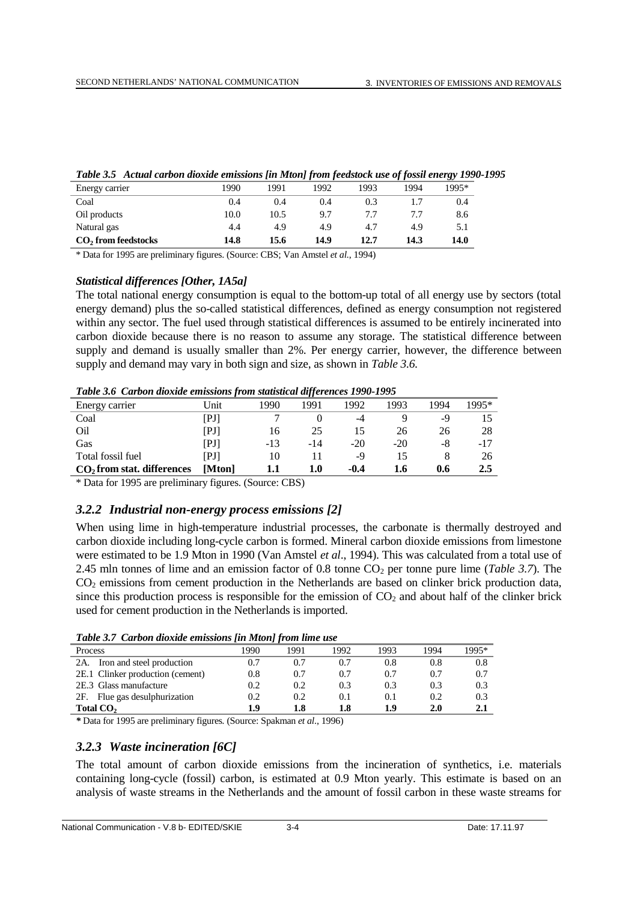|                       |      |      | --   |      | ---  | . .   |
|-----------------------|------|------|------|------|------|-------|
| Energy carrier        | 1990 | 1991 | 992  | 1993 | 1994 | 1995* |
| Coal                  | 0.4  | 0.4  | 0.4  | 0.3  |      | 0.4   |
| Oil products          | 10.0 | 10.5 | 9.7  | 77   |      | 8.6   |
| Natural gas           | 4.4  | 4.9  | 4.9  | 4.7  | 4.9  | 5.1   |
| $CO2$ from feedstocks | 14.8 | 15.6 | 14.9 | 12.7 | 14.3 | 14.0  |

\* Data for 1995 are preliminary figures. (Source: CBS; Van Amstel *et al.*, 1994)

### *Statistical differences [Other, 1A5a]*

The total national energy consumption is equal to the bottom-up total of all energy use by sectors (total energy demand) plus the so-called statistical differences, defined as energy consumption not registered within any sector. The fuel used through statistical differences is assumed to be entirely incinerated into carbon dioxide because there is no reason to assume any storage. The statistical difference between supply and demand is usually smaller than 2%. Per energy carrier, however, the difference between supply and demand may vary in both sign and size, as shown in *Table 3.6.*

*Table 3.6 Carbon dioxide emissions from statistical differences 1990-1995*

|                              |                      |       | $\cdot$ |       |       |      |       |
|------------------------------|----------------------|-------|---------|-------|-------|------|-------|
| Energy carrier               | Unit                 | 1990  | 1991    | 1992  | 1993  | 1994 | 1995* |
| Coal                         | $\rm{PJI}$           |       |         | -4    |       | -9   |       |
| Oil                          | $\rm{PJI}$           | 16    | 25      |       | 26    | 26   | 28    |
| Gas                          | $\Gamma$ PJ $\Gamma$ | $-13$ | -14     | $-20$ | $-20$ | -8   | -17   |
| Total fossil fuel            | PJI                  | 10    |         | -9    |       |      | 26    |
| $CO2$ from stat. differences | [Mton]               |       | $1.0\,$ | -0.4  | 1.6   | 0.6  | 2.5   |

\* Data for 1995 are preliminary figures. (Source: CBS)

## *3.2.2 Industrial non-energy process emissions [2]*

When using lime in high-temperature industrial processes, the carbonate is thermally destroyed and carbon dioxide including long-cycle carbon is formed. Mineral carbon dioxide emissions from limestone were estimated to be 1.9 Mton in 1990 (Van Amstel *et al*., 1994). This was calculated from a total use of 2.45 mln tonnes of lime and an emission factor of 0.8 tonne  $CO<sub>2</sub>$  per tonne pure lime (*Table 3.7*). The CO<sub>2</sub> emissions from cement production in the Netherlands are based on clinker brick production data, since this production process is responsible for the emission of  $CO<sub>2</sub>$  and about half of the clinker brick used for cement production in the Netherlands is imported.

| Process                          | 1990 | 1991 | 1992 | 1993 | 1994 | 1995* |
|----------------------------------|------|------|------|------|------|-------|
| Iron and steel production<br>2A. | 0.7  | 0.7  | 0.7  | 0.8  | 0.8  | 0.8   |
| 2E.1 Clinker production (cement) | 0.8  | 0.7  | 0.7  | 0.7  | 0.7  | 0.7   |
| 2E.3 Glass manufacture           | 0.2  | 0.2  | 0.3  | 0.3  | 0.3  | 0.3   |
| Flue gas desulphurization<br>2F. | 0.2  | 0.2  | 0.1  | 0.1  | 0.2  | 0.3   |
| Total CO <sub>2</sub>            | 1.9  | 1.8  | 1.8  | 1.9  | 2.0  | 2.1   |
|                                  |      |      |      |      |      |       |

*\** Data for 1995 are preliminary figures*.* (Source: Spakman *et al*., 1996)

## *3.2.3 Waste incineration [6C]*

The total amount of carbon dioxide emissions from the incineration of synthetics, i.e. materials containing long-cycle (fossil) carbon, is estimated at 0.9 Mton yearly. This estimate is based on an analysis of waste streams in the Netherlands and the amount of fossil carbon in these waste streams for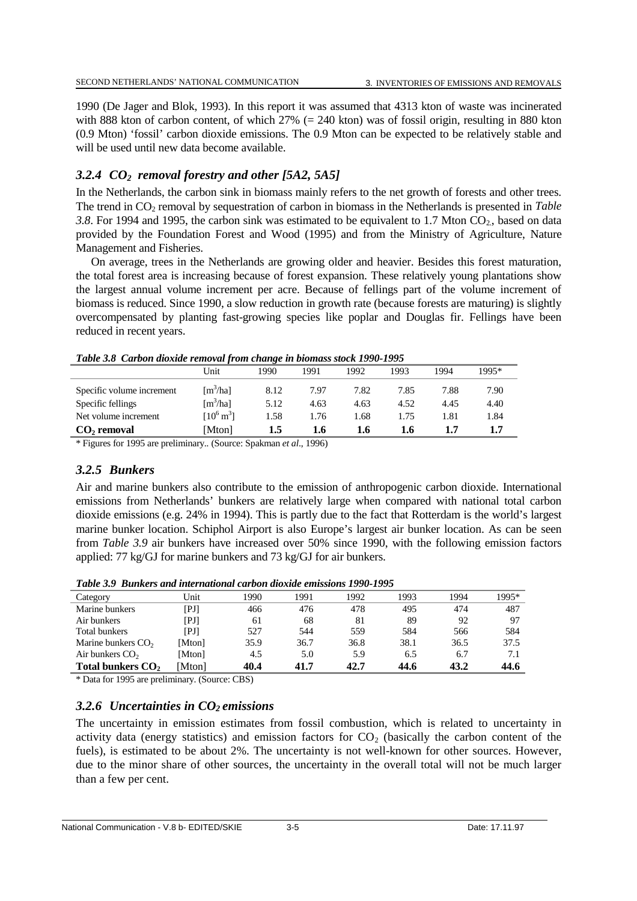1990 (De Jager and Blok, 1993). In this report it was assumed that 4313 kton of waste was incinerated with 888 kton of carbon content, of which 27% (= 240 kton) was of fossil origin, resulting in 880 kton (0.9 Mton) 'fossil' carbon dioxide emissions. The 0.9 Mton can be expected to be relatively stable and will be used until new data become available.

# *3.2.4 CO2 removal forestry and other [5A2, 5A5]*

In the Netherlands, the carbon sink in biomass mainly refers to the net growth of forests and other trees. The trend in CO<sub>2</sub> removal by sequestration of carbon in biomass in the Netherlands is presented in *Table* 3.8. For 1994 and 1995, the carbon sink was estimated to be equivalent to 1.7 Mton  $CO_2$ , based on data provided by the Foundation Forest and Wood (1995) and from the Ministry of Agriculture, Nature Management and Fisheries.

On average, trees in the Netherlands are growing older and heavier. Besides this forest maturation, the total forest area is increasing because of forest expansion. These relatively young plantations show the largest annual volume increment per acre. Because of fellings part of the volume increment of biomass is reduced. Since 1990, a slow reduction in growth rate (because forests are maturing) is slightly overcompensated by planting fast-growing species like poplar and Douglas fir. Fellings have been reduced in recent years.

| <b>Table 5.0</b> Carbon aloxial removal from change in biomass slock 1990-1995 |                      |      |      |      |      |      |       |
|--------------------------------------------------------------------------------|----------------------|------|------|------|------|------|-------|
|                                                                                | Unit                 | 1990 | 1991 | 1992 | 1993 | 1994 | 1995* |
| Specific volume increment                                                      | [m <sup>3</sup> /ha] | 8.12 | 7.97 | 7.82 | 7.85 | 7.88 | 7.90  |
| Specific fellings                                                              | [m <sup>3</sup> /ha] | 5.12 | 4.63 | 4.63 | 4.52 | 4.45 | 4.40  |
| Net volume increment                                                           | $[10^6 \text{ m}^3]$ | 1.58 | 1.76 | 1.68 | 1.75 | 1.81 | 1.84  |
| $CO2$ removal                                                                  | Mton]                | 1.5  | 1.6  | 1.6  | 1.6  |      | 1.7   |

*Table 3.8 Carbon dioxide removal from change in biomass stock 1990-1995*

\* Figures for 1995 are preliminary.*.* (Source: Spakman *et al*., 1996)

# *3.2.5 Bunkers*

Air and marine bunkers also contribute to the emission of anthropogenic carbon dioxide. International emissions from Netherlands' bunkers are relatively large when compared with national total carbon dioxide emissions (e.g. 24% in 1994). This is partly due to the fact that Rotterdam is the world's largest marine bunker location. Schiphol Airport is also Europe's largest air bunker location. As can be seen from *Table 3.9* air bunkers have increased over 50% since 1990, with the following emission factors applied: 77 kg/GJ for marine bunkers and 73 kg/GJ for air bunkers.

*Table 3.9 Bunkers and international carbon dioxide emissions 1990-1995*

| Category                      | <b>Jnit</b>                        | 1990 | 1991 | 1992 | 1993 | 1994 | 1995* |
|-------------------------------|------------------------------------|------|------|------|------|------|-------|
| Marine bunkers                | $\mathbb{P} \mathbb{J} \mathbb{I}$ | 466  | 476  | 478  | 495  | 474  | 487   |
| Air bunkers                   | $\mathbb{P} \mathbb{J} \mathbb{I}$ | 61   | 68   | 81   | 89   | 92   | 97    |
| <b>Total bunkers</b>          | [PJ]                               | 527  | 544  | 559  | 584  | 566  | 584   |
| Marine bunkers $CO2$          | [Mton]                             | 35.9 | 36.7 | 36.8 | 38.1 | 36.5 | 37.5  |
| Air bunkers $CO2$             | [Mton]                             | 4.5  | 5.0  | 5.9  | 6.5  | 6.7  | 7.1   |
| Total bunkers CO <sub>2</sub> | Mtonl                              | 40.4 | 41.7 | 42.7 | 44.6 | 43.2 | 44.6  |

\* Data for 1995 are preliminary. (Source: CBS)

# *3.2.6 Uncertainties in CO2 emissions*

The uncertainty in emission estimates from fossil combustion, which is related to uncertainty in activity data (energy statistics) and emission factors for  $CO<sub>2</sub>$  (basically the carbon content of the fuels), is estimated to be about 2%. The uncertainty is not well-known for other sources. However, due to the minor share of other sources, the uncertainty in the overall total will not be much larger than a few per cent.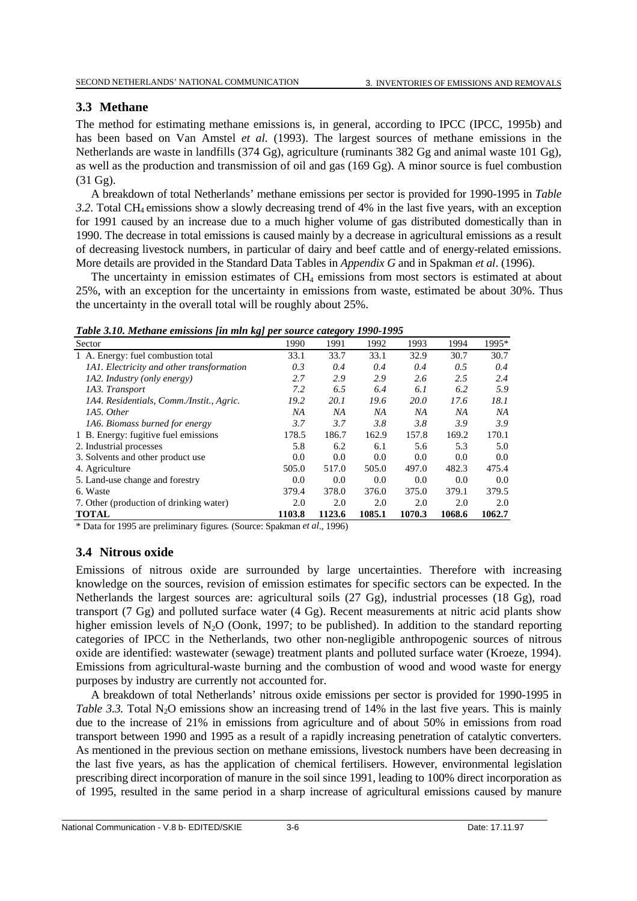## **3.3 Methane**

The method for estimating methane emissions is, in general, according to IPCC (IPCC, 1995b) and has been based on Van Amstel *et al.* (1993). The largest sources of methane emissions in the Netherlands are waste in landfills (374 Gg), agriculture (ruminants 382 Gg and animal waste 101 Gg), as well as the production and transmission of oil and gas (169 Gg). A minor source is fuel combustion (31 Gg).

A breakdown of total Netherlands' methane emissions per sector is provided for 1990-1995 in *Table 3.2*. Total CH4 emissions show a slowly decreasing trend of 4% in the last five years, with an exception for 1991 caused by an increase due to a much higher volume of gas distributed domestically than in 1990. The decrease in total emissions is caused mainly by a decrease in agricultural emissions as a result of decreasing livestock numbers, in particular of dairy and beef cattle and of energy-related emissions. More details are provided in the Standard Data Tables in *Appendix G* and in Spakman *et al*. (1996).

The uncertainty in emission estimates of  $CH<sub>4</sub>$  emissions from most sectors is estimated at about 25%, with an exception for the uncertainty in emissions from waste, estimated be about 30%. Thus the uncertainty in the overall total will be roughly about 25%.

| Tubic 3.10. Memane emissions fin min ngj per soaree ealegory 1990 1990 |        |             |        |             |        |        |  |  |  |  |  |
|------------------------------------------------------------------------|--------|-------------|--------|-------------|--------|--------|--|--|--|--|--|
| Sector                                                                 | 1990   | 1991        | 1992   | 1993        | 1994   | 1995*  |  |  |  |  |  |
| 1 A. Energy: fuel combustion total                                     | 33.1   | 33.7        | 33.1   | 32.9        | 30.7   | 30.7   |  |  |  |  |  |
| <i>IAI. Electricity and other transformation</i>                       | 0.3    | 0.4         | 0.4    | 0.4         | 0.5    | 0.4    |  |  |  |  |  |
| <i>IA2. Industry (only energy)</i>                                     | 2.7    | 2.9         | 2.9    | 2.6         | 2.5    | 2.4    |  |  |  |  |  |
| 1A3. Transport                                                         | 7.2    | 6.5         | 6.4    | 6.1         | 6.2    | 5.9    |  |  |  |  |  |
| 1A4. Residentials, Comm./Instit., Agric.                               | 19.2   | <i>20.1</i> | 19.6   | <i>20.0</i> | 17.6   | 18.1   |  |  |  |  |  |
| 1A5. Other                                                             | ΝA     | NA          | NA     | NА          | NA     | NА     |  |  |  |  |  |
| 1A6. Biomass burned for energy                                         | 3.7    | 3.7         | 3.8    | 3.8         | 3.9    | 3.9    |  |  |  |  |  |
| 1 B. Energy: fugitive fuel emissions                                   | 178.5  | 186.7       | 162.9  | 157.8       | 169.2  | 170.1  |  |  |  |  |  |
| 2. Industrial processes                                                | 5.8    | 6.2         | 6.1    | 5.6         | 5.3    | 5.0    |  |  |  |  |  |
| 3. Solvents and other product use                                      | 0.0    | 0.0         | 0.0    | 0.0         | 0.0    | 0.0    |  |  |  |  |  |
| 4. Agriculture                                                         | 505.0  | 517.0       | 505.0  | 497.0       | 482.3  | 475.4  |  |  |  |  |  |
| 5. Land-use change and forestry                                        | 0.0    | 0.0         | 0.0    | 0.0         | 0.0    | 0.0    |  |  |  |  |  |
| 6. Waste                                                               | 379.4  | 378.0       | 376.0  | 375.0       | 379.1  | 379.5  |  |  |  |  |  |
| 7. Other (production of drinking water)                                | 2.0    | 2.0         | 2.0    | 2.0         | 2.0    | 2.0    |  |  |  |  |  |
| <b>TOTAL</b>                                                           | 1103.8 | 1123.6      | 1085.1 | 1070.3      | 1068.6 | 1062.7 |  |  |  |  |  |

*Table 3.10. Methane emissions [in mln kg] per source category 1990-1995*

\* Data for 1995 are preliminary figures*.* (Source: Spakman *et al*., 1996)

# **3.4 Nitrous oxide**

Emissions of nitrous oxide are surrounded by large uncertainties. Therefore with increasing knowledge on the sources, revision of emission estimates for specific sectors can be expected. In the Netherlands the largest sources are: agricultural soils (27 Gg), industrial processes (18 Gg), road transport (7 Gg) and polluted surface water (4 Gg). Recent measurements at nitric acid plants show higher emission levels of N<sub>2</sub>O (Oonk, 1997; to be published). In addition to the standard reporting categories of IPCC in the Netherlands, two other non-negligible anthropogenic sources of nitrous oxide are identified: wastewater (sewage) treatment plants and polluted surface water (Kroeze, 1994). Emissions from agricultural-waste burning and the combustion of wood and wood waste for energy purposes by industry are currently not accounted for.

A breakdown of total Netherlands' nitrous oxide emissions per sector is provided for 1990-1995 in *Table 3.3.* Total N<sub>2</sub>O emissions show an increasing trend of 14% in the last five years. This is mainly due to the increase of 21% in emissions from agriculture and of about 50% in emissions from road transport between 1990 and 1995 as a result of a rapidly increasing penetration of catalytic converters. As mentioned in the previous section on methane emissions, livestock numbers have been decreasing in the last five years, as has the application of chemical fertilisers. However, environmental legislation prescribing direct incorporation of manure in the soil since 1991, leading to 100% direct incorporation as of 1995, resulted in the same period in a sharp increase of agricultural emissions caused by manure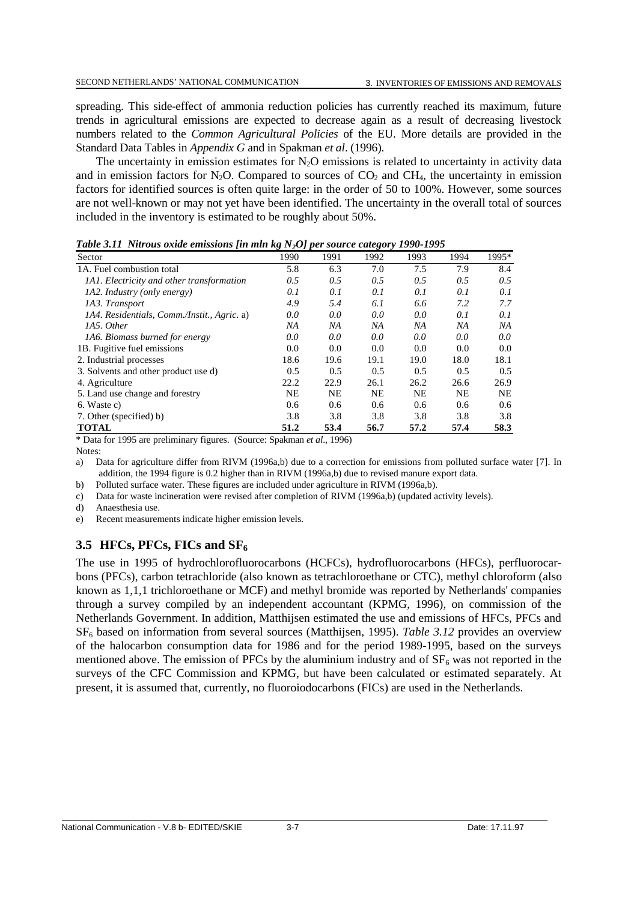spreading. This side-effect of ammonia reduction policies has currently reached its maximum, future trends in agricultural emissions are expected to decrease again as a result of decreasing livestock numbers related to the *Common Agricultural Policies* of the EU. More details are provided in the Standard Data Tables in *Appendix G* and in Spakman *et al*. (1996).

The uncertainty in emission estimates for  $N<sub>2</sub>O$  emissions is related to uncertainty in activity data and in emission factors for N<sub>2</sub>O. Compared to sources of  $CO<sub>2</sub>$  and CH<sub>4</sub>, the uncertainty in emission factors for identified sources is often quite large: in the order of 50 to 100%. However, some sources are not well-known or may not yet have been identified. The uncertainty in the overall total of sources included in the inventory is estimated to be roughly about 50%.

| Sector                                           | ∘<br>$-2-1$ $\bf{r}$<br>1990 | 1991      | ືອ<br>1992 | 1993      | 1994      | 1995*         |
|--------------------------------------------------|------------------------------|-----------|------------|-----------|-----------|---------------|
| 1A. Fuel combustion total                        | 5.8                          | 6.3       | 7.0        | 7.5       | 7.9       | 8.4           |
| <i>IAI. Electricity and other transformation</i> | 0.5                          | 0.5       | 0.5        | 0.5       | 0.5       | 0.5           |
| <i>IA2. Industry (only energy)</i>               | 0.1                          | 0.1       | 0.1        | 0.1       | 0.1       | 0.1           |
| 1A3. Transport                                   | 4.9                          | 5.4       | 6.1        | 6.6       | 7.2       | 7.7           |
| 1A4. Residentials, Comm./Instit., Agric. a)      | 0.0                          | 0.0       | 0.0        | 0.0       | 0.1       | 0.1           |
| 1A5. Other                                       | NА                           | NA        | NA         | NА        | NA        | NA            |
| 1A6. Biomass burned for energy                   | 0.0                          | 0.0       | 0.0        | 0.0       | 0.0       | 0.0           |
| 1B. Fugitive fuel emissions                      | 0.0                          | 0.0       | 0.0        | 0.0       | 0.0       | 0.0           |
| 2. Industrial processes                          | 18.6                         | 19.6      | 19.1       | 19.0      | 18.0      | 18.1          |
| 3. Solvents and other product use d)             | 0.5                          | 0.5       | 0.5        | 0.5       | 0.5       | $0.5^{\circ}$ |
| 4. Agriculture                                   | 22.2                         | 22.9      | 26.1       | 26.2      | 26.6      | 26.9          |
| 5. Land use change and forestry                  | NE                           | <b>NE</b> | <b>NE</b>  | <b>NE</b> | <b>NE</b> | <b>NE</b>     |
| 6. Waste c)                                      | 0.6                          | 0.6       | 0.6        | 0.6       | 0.6       | 0.6           |
| 7. Other (specified) b)                          | 3.8                          | 3.8       | 3.8        | 3.8       | 3.8       | 3.8           |
| <b>TOTAL</b>                                     | 51.2                         | 53.4      | 56.7       | 57.2      | 57.4      | 58.3          |

*Table 3.11 Nitrous oxide emissions [in mln kg N2O] per source category 1990-1995*

\* Data for 1995 are preliminary figures. (Source: Spakman *et al*., 1996)

Notes:

a) Data for agriculture differ from RIVM (1996a,b) due to a correction for emissions from polluted surface water [7]. In addition, the 1994 figure is 0.2 higher than in RIVM (1996a,b) due to revised manure export data.

b) Polluted surface water. These figures are included under agriculture in RIVM (1996a,b).

c) Data for waste incineration were revised after completion of RIVM (1996a,b) (updated activity levels).

d) Anaesthesia use.

e) Recent measurements indicate higher emission levels.

# **3.5 HFCs, PFCs, FICs and SF6**

The use in 1995 of hydrochlorofluorocarbons (HCFCs), hydrofluorocarbons (HFCs), perfluorocarbons (PFCs), carbon tetrachloride (also known as tetrachloroethane or CTC), methyl chloroform (also known as 1,1,1 trichloroethane or MCF) and methyl bromide was reported by Netherlands' companies through a survey compiled by an independent accountant (KPMG, 1996), on commission of the Netherlands Government. In addition, Matthijsen estimated the use and emissions of HFCs, PFCs and SF6 based on information from several sources (Matthijsen, 1995). *Table 3.12* provides an overview of the halocarbon consumption data for 1986 and for the period 1989-1995, based on the surveys mentioned above. The emission of PFCs by the aluminium industry and of  $SF<sub>6</sub>$  was not reported in the surveys of the CFC Commission and KPMG, but have been calculated or estimated separately. At present, it is assumed that, currently, no fluoroiodocarbons (FICs) are used in the Netherlands.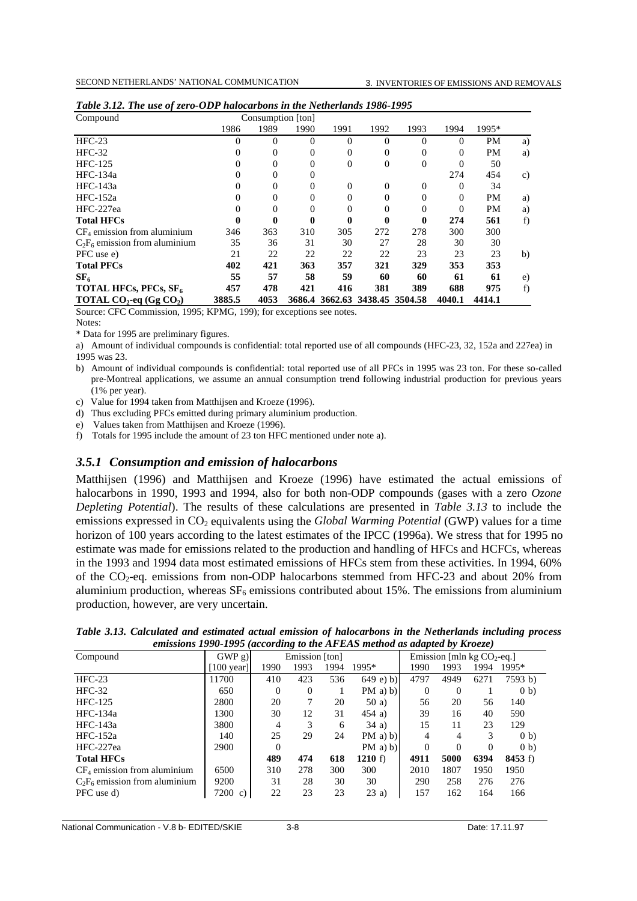| Compound                                             |          |              | Consumption [ton] |                                |          |          |          |           |    |
|------------------------------------------------------|----------|--------------|-------------------|--------------------------------|----------|----------|----------|-----------|----|
|                                                      | 1986     | 1989         | 1990              | 1991                           | 1992     | 1993     | 1994     | 1995*     |    |
| $HFC-23$                                             | $\Omega$ | $\Omega$     | $\theta$          | $\Omega$                       | $\theta$ | $\theta$ | $\Omega$ | <b>PM</b> | a) |
| $HFC-32$                                             | $\Omega$ | $\mathbf{0}$ | $\theta$          | $\Omega$                       | $\Omega$ | 0        | $\Omega$ | <b>PM</b> | a) |
| <b>HFC-125</b>                                       | $\Omega$ | $\Omega$     | $\Omega$          | $\Omega$                       | $\Omega$ | $\Omega$ | 0        | 50        |    |
| HFC-134a                                             | $\Omega$ | 0            | $\theta$          |                                |          |          | 274      | 454       | c) |
| HFC-143a                                             | $\Omega$ | $\Omega$     | $\Omega$          | $\Omega$                       | $\Omega$ | $\Omega$ | $\Omega$ | 34        |    |
| $HFC-152a$                                           | $\Omega$ | 0            | $\Omega$          | $\Omega$                       | 0        | 0        | 0        | <b>PM</b> | a) |
| HFC-227ea                                            | $\Omega$ | 0            | $\theta$          | $\Omega$                       | 0        | $\theta$ | $\theta$ | <b>PM</b> | a) |
| <b>Total HFCs</b>                                    | 0        | 0            | 0                 | $\bf{0}$                       | 0        | 0        | 274      | 561       | f) |
| $CF4$ emission from aluminium                        | 346      | 363          | 310               | 305                            | 272      | 278      | 300      | 300       |    |
| $C_2F_6$ emission from aluminium                     | 35       | 36           | 31                | 30                             | 27       | 28       | 30       | 30        |    |
| PFC use e)                                           | 21       | 22           | 22                | 22                             | 22       | 23       | 23       | 23        | b) |
| <b>Total PFCs</b>                                    | 402      | 421          | 363               | 357                            | 321      | 329      | 353      | 353       |    |
| SF <sub>6</sub>                                      | 55       | 57           | 58                | 59                             | 60       | 60       | 61       | 61        | e) |
| TOTAL HFCs, PFCs, SF <sub>6</sub>                    | 457      | 478          | 421               | 416                            | 381      | 389      | 688      | 975       | f) |
| <b>TOTAL CO<sub>2</sub>-eq</b> (Gg CO <sub>2</sub> ) | 3885.5   | 4053         |                   | 3686.4 3662.63 3438.45 3504.58 |          |          | 4040.1   | 4414.1    |    |

Source: CFC Commission, 1995; KPMG, 199); for exceptions see notes.

Notes:

\* Data for 1995 are preliminary figures.

a) Amount of individual compounds is confidential: total reported use of all compounds (HFC-23, 32, 152a and 227ea) in 1995 was 23.

b) Amount of individual compounds is confidential: total reported use of all PFCs in 1995 was 23 ton. For these so-called pre-Montreal applications, we assume an annual consumption trend following industrial production for previous years (1% per year).

c) Value for 1994 taken from Matthijsen and Kroeze (1996).

d) Thus excluding PFCs emitted during primary aluminium production.

e) Values taken from Matthijsen and Kroeze (1996).

f) Totals for 1995 include the amount of 23 ton HFC mentioned under note a).

## *3.5.1 Consumption and emission of halocarbons*

Matthijsen (1996) and Matthijsen and Kroeze (1996) have estimated the actual emissions of halocarbons in 1990, 1993 and 1994, also for both non-ODP compounds (gases with a zero *Ozone Depleting Potential*). The results of these calculations are presented in *Table 3.13* to include the emissions expressed in CO<sub>2</sub> equivalents using the *Global Warming Potential* (GWP) values for a time horizon of 100 years according to the latest estimates of the IPCC (1996a). We stress that for 1995 no estimate was made for emissions related to the production and handling of HFCs and HCFCs, whereas in the 1993 and 1994 data most estimated emissions of HFCs stem from these activities. In 1994, 60% of the  $CO_2$ -eq. emissions from non-ODP halocarbons stemmed from HFC-23 and about 20% from aluminium production, whereas  $SF<sub>6</sub>$  emissions contributed about 15%. The emissions from aluminium production, however, are very uncertain.

| Table 3.13. Calculated and estimated actual emission of halocarbons in the Netherlands including process |  |  |                                                                          |  |  |  |
|----------------------------------------------------------------------------------------------------------|--|--|--------------------------------------------------------------------------|--|--|--|
|                                                                                                          |  |  | emissions 1990-1995 (according to the AFEAS method as adapted by Kroeze) |  |  |  |

| o                                |                      |      |                |      |             |          |                               |      |         |  |
|----------------------------------|----------------------|------|----------------|------|-------------|----------|-------------------------------|------|---------|--|
| Compound                         | GWPg)                |      | Emission [ton] |      |             |          | Emission [mln kg $CO_2$ -eq.] |      |         |  |
|                                  | $[100 \text{ year}]$ | 1990 | 1993           | 1994 | 1995*       | 1990     | 1993                          | 1994 | 1995*   |  |
| $HFC-23$                         | 11700                | 410  | 423            | 536  | $649$ e) b) | 4797     | 4949                          | 6271 | 7593 b) |  |
| $HFC-32$                         | 650                  | 0    | $\theta$       |      | $PM$ a) b)  | 0        | 0                             |      | (0 b)   |  |
| <b>HFC-125</b>                   | 2800                 | 20   | 7              | 20   | 50a)        | 56       | 20                            | 56   | 140     |  |
| $HFC-134a$                       | 1300                 | 30   | 12             | 31   | $454$ a)    | 39       | 16                            | 40   | 590     |  |
| HFC-143a                         | 3800                 | 4    | 3              | 6    | 34a)        | 15       | 11                            | 23   | 129     |  |
| $HEC-152a$                       | 140                  | 25   | 29             | 24   | $PM$ a) b)  | 4        | 4                             | 3    | (0 b)   |  |
| HFC-227ea                        | 2900                 | 0    |                |      | $PM$ a) b)  | $\Omega$ | $\Omega$                      | 0    | (0 b)   |  |
| <b>Total HFCs</b>                |                      | 489  | 474            | 618  | 1210 f)     | 4911     | 5000                          | 6394 | 8453 f  |  |
| $CF_4$ emission from aluminium   | 6500                 | 310  | 278            | 300  | 300         | 2010     | 1807                          | 1950 | 1950    |  |
| $C_2F_6$ emission from aluminium | 9200                 | 31   | 28             | 30   | 30          | 290      | 258                           | 276  | 276     |  |
| PFC use d)                       | $7200 \text{ c}$     | 22   | 23             | 23   | 23a)        | 157      | 162                           | 164  | 166     |  |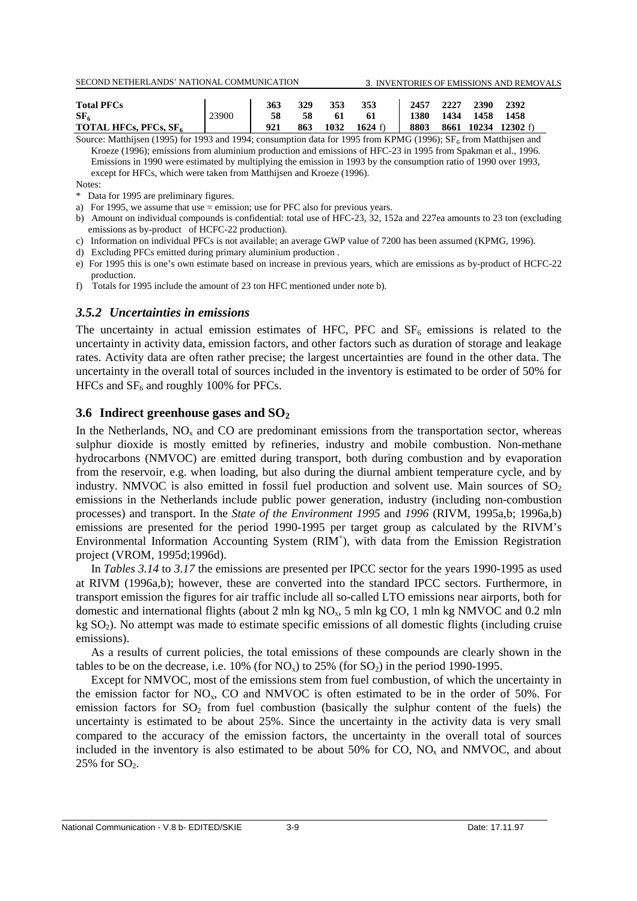| <b>Total PFCs</b>            |       | 363 | 329 | 353  | 353            |      | 2457 2227 | 2390           | 2392                |
|------------------------------|-------|-----|-----|------|----------------|------|-----------|----------------|---------------------|
| SF <sub>6</sub>              | 23900 | 58  | 58  |      | -61            |      |           | 1380 1434 1458 | - 1458              |
| <b>TOTAL HFCs, PFCs, SF.</b> |       |     | 863 | 1032 | 1624 $\hat{D}$ | 8803 |           |                | 8661 10234 12302 f) |

Source: Matthijsen (1995) for 1993 and 1994; consumption data for 1995 from KPMG (1996);  $SF_6$  from Matthijsen and Kroeze (1996); emissions from aluminium production and emissions of HFC-23 in 1995 from Spakman et al., 1996. Emissions in 1990 were estimated by multiplying the emission in 1993 by the consumption ratio of 1990 over 1993, except for HFCs, which were taken from Matthijsen and Kroeze (1996).

Notes:

\* Data for 1995 are preliminary figures.

- a) For 1995, we assume that use = emission; use for PFC also for previous years.
- b) Amount on individual compounds is confidential: total use of HFC-23, 32, 152a and 227ea amounts to 23 ton (excluding emissions as by-product of HCFC-22 production).
- c) Information on individual PFCs is not available; an average GWP value of 7200 has been assumed (KPMG, 1996).
- d) Excluding PFCs emitted during primary aluminium production .
- e) For 1995 this is one's own estimate based on increase in previous years, which are emissions as by-product of HCFC-22 production.

f) Totals for 1995 include the amount of 23 ton HFC mentioned under note b).

### *3.5.2 Uncertainties in emissions*

The uncertainty in actual emission estimates of HFC, PFC and  $SF<sub>6</sub>$  emissions is related to the uncertainty in activity data, emission factors, and other factors such as duration of storage and leakage rates. Activity data are often rather precise; the largest uncertainties are found in the other data. The uncertainty in the overall total of sources included in the inventory is estimated to be order of 50% for HFCs and  $SF<sub>6</sub>$  and roughly 100% for PFCs.

### **3.6 Indirect greenhouse gases and SO2**

In the Netherlands,  $NO<sub>x</sub>$  and CO are predominant emissions from the transportation sector, whereas sulphur dioxide is mostly emitted by refineries, industry and mobile combustion. Non-methane hydrocarbons (NMVOC) are emitted during transport, both during combustion and by evaporation from the reservoir, e.g. when loading, but also during the diurnal ambient temperature cycle, and by industry. NMVOC is also emitted in fossil fuel production and solvent use. Main sources of  $SO<sub>2</sub>$ emissions in the Netherlands include public power generation, industry (including non-combustion processes) and transport. In the *State of the Environment 1995* and *1996* (RIVM, 1995a,b; 1996a,b) emissions are presented for the period 1990-1995 per target group as calculated by the RIVM's Environmental Information Accounting System (RIM<sup>+</sup>), with data from the Emission Registration project (VROM, 1995d;1996d).

In *Tables 3.14* to *3.17* the emissions are presented per IPCC sector for the years 1990-1995 as used at RIVM (1996a,b); however, these are converted into the standard IPCC sectors. Furthermore, in transport emission the figures for air traffic include all so-called LTO emissions near airports, both for domestic and international flights (about 2 mln kg  $NQ<sub>x</sub>$ , 5 mln kg CO, 1 mln kg NMVOC and 0.2 mln  $kg SO<sub>2</sub>$ ). No attempt was made to estimate specific emissions of all domestic flights (including cruise emissions).

As a results of current policies, the total emissions of these compounds are clearly shown in the tables to be on the decrease, i.e.  $10\%$  (for NO<sub>x</sub>) to  $25\%$  (for SO<sub>2</sub>) in the period 1990-1995.

Except for NMVOC, most of the emissions stem from fuel combustion, of which the uncertainty in the emission factor for  $NO<sub>x</sub>$ , CO and NMVOC is often estimated to be in the order of 50%. For emission factors for  $SO_2$  from fuel combustion (basically the sulphur content of the fuels) the uncertainty is estimated to be about 25%. Since the uncertainty in the activity data is very small compared to the accuracy of the emission factors, the uncertainty in the overall total of sources included in the inventory is also estimated to be about  $50\%$  for CO, NO<sub>x</sub> and NMVOC, and about  $25\%$  for  $SO<sub>2</sub>$ .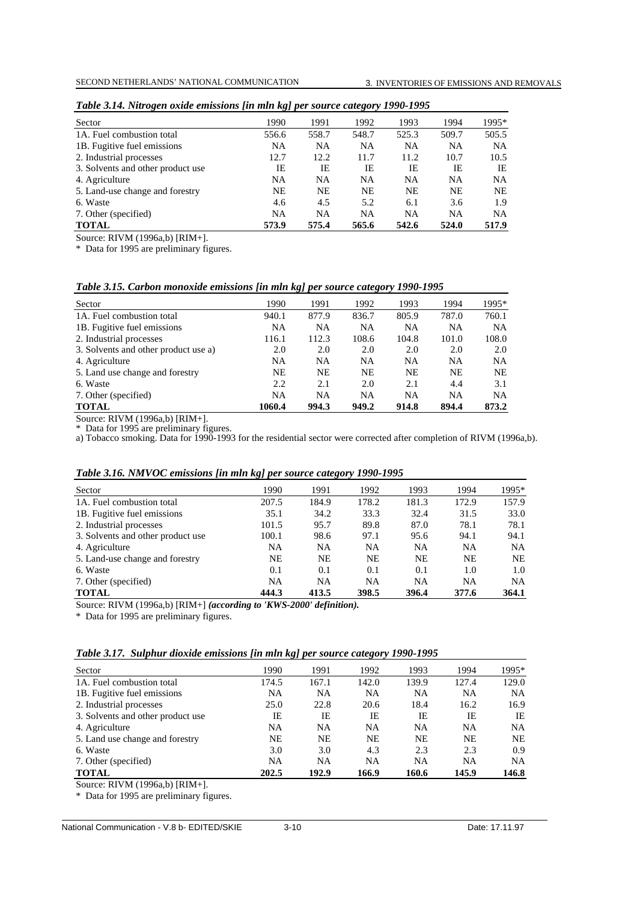| Sector                            | 1990      | 1991      | 1992      | 1993      | 1994      | 1995*     |
|-----------------------------------|-----------|-----------|-----------|-----------|-----------|-----------|
| 1A. Fuel combustion total         | 556.6     | 558.7     | 548.7     | 525.3     | 509.7     | 505.5     |
| 1B. Fugitive fuel emissions       | NA        | <b>NA</b> | <b>NA</b> | <b>NA</b> | <b>NA</b> | <b>NA</b> |
| 2. Industrial processes           | 12.7      | 12.2      | 11.7      | 11.2      | 10.7      | 10.5      |
| 3. Solvents and other product use | IE        | IE        | IE        | IE        | IE        | IE        |
| 4. Agriculture                    | <b>NA</b> | <b>NA</b> | NA        | NA        | <b>NA</b> | NA.       |
| 5. Land-use change and forestry   | <b>NE</b> | NE.       | <b>NE</b> | <b>NE</b> | NE        | <b>NE</b> |
| 6. Waste                          | 4.6       | 4.5       | 5.2       | 6.1       | 3.6       | 1.9       |
| 7. Other (specified)              | <b>NA</b> | <b>NA</b> | <b>NA</b> | <b>NA</b> | <b>NA</b> | <b>NA</b> |
| <b>TOTAL</b>                      | 573.9     | 575.4     | 565.6     | 542.6     | 524.0     | 517.9     |

| Table 3.14. Nitrogen oxide emissions [in mln kg] per source category 1990-1995 |  |  |
|--------------------------------------------------------------------------------|--|--|
|--------------------------------------------------------------------------------|--|--|

Source: RIVM (1996a,b) [RIM+].

\* Data for 1995 are preliminary figures.

### *Table 3.15. Carbon monoxide emissions [in mln kg] per source category 1990-1995*

| Sector                               | 1990      | 1991      | 1992      | 1993      | 1994      | 1995*     |
|--------------------------------------|-----------|-----------|-----------|-----------|-----------|-----------|
| 1A. Fuel combustion total            | 940.1     | 877.9     | 836.7     | 805.9     | 787.0     | 760.1     |
| 1B. Fugitive fuel emissions          | NA        | <b>NA</b> | NA        | <b>NA</b> | <b>NA</b> | <b>NA</b> |
| 2. Industrial processes              | 116.1     | 112.3     | 108.6     | 104.8     | 101.0     | 108.0     |
| 3. Solvents and other product use a) | 2.0       | 2.0       | 2.0       | 2.0       | 2.0       | 2.0       |
| 4. Agriculture                       | NA        | <b>NA</b> | NA.       | <b>NA</b> | <b>NA</b> | NA.       |
| 5. Land use change and forestry      | <b>NE</b> | NE.       | <b>NE</b> | NE        | <b>NE</b> | NE.       |
| 6. Waste                             | 2.2       | 2.1       | 2.0       | 2.1       | 4.4       | 3.1       |
| 7. Other (specified)                 | <b>NA</b> | <b>NA</b> | <b>NA</b> | <b>NA</b> | <b>NA</b> | <b>NA</b> |
| <b>TOTAL</b>                         | 1060.4    | 994.3     | 949.2     | 914.8     | 894.4     | 873.2     |

Source: RIVM (1996a,b) [RIM+].

\* Data for 1995 are preliminary figures.

a) Tobacco smoking. Data for 1990-1993 for the residential sector were corrected after completion of RIVM (1996a,b).

| Table 3.16. NMVOC emissions [in mln kg] per source category 1990-1995 |  |  |
|-----------------------------------------------------------------------|--|--|
|-----------------------------------------------------------------------|--|--|

| Sector                            | 1990      | 1991      | 1992      | 1993      | 1994      | 1995* |
|-----------------------------------|-----------|-----------|-----------|-----------|-----------|-------|
| 1A. Fuel combustion total         | 207.5     | 184.9     | 178.2     | 181.3     | 172.9     | 157.9 |
| 1B. Fugitive fuel emissions       | 35.1      | 34.2      | 33.3      | 32.4      | 31.5      | 33.0  |
| 2. Industrial processes           | 101.5     | 95.7      | 89.8      | 87.0      | 78.1      | 78.1  |
| 3. Solvents and other product use | 100.1     | 98.6      | 97.1      | 95.6      | 94.1      | 94.1  |
| 4. Agriculture                    | <b>NA</b> | <b>NA</b> | <b>NA</b> | <b>NA</b> | <b>NA</b> | NA.   |
| 5. Land-use change and forestry   | NE        | <b>NE</b> | NE        | NE        | <b>NE</b> | NE.   |
| 6. Waste                          | 0.1       | 0.1       | 0.1       | 0.1       | 1.0       | 1.0   |
| 7. Other (specified)              | <b>NA</b> | <b>NA</b> | <b>NA</b> | <b>NA</b> | <b>NA</b> | NA    |
| <b>TOTAL</b>                      | 444.3     | 413.5     | 398.5     | 396.4     | 377.6     | 364.1 |

Source: RIVM (1996a,b) [RIM+] *(according to 'KWS-2000' definition).*

\* Data for 1995 are preliminary figures.

| Table 3.17. Sulphur dioxide emissions [in mln kg] per source category 1990-1995 |  |  |  |  |  |  |  |  |  |
|---------------------------------------------------------------------------------|--|--|--|--|--|--|--|--|--|
|---------------------------------------------------------------------------------|--|--|--|--|--|--|--|--|--|

| Sector                            | 1990  | 1991  | 1992      | 1993      | 1994      | 1995*     |
|-----------------------------------|-------|-------|-----------|-----------|-----------|-----------|
| 1A. Fuel combustion total         | 174.5 | 167.1 | 142.0     | 139.9     | 127.4     | 129.0     |
| 1B. Fugitive fuel emissions       | NA    | NA    | <b>NA</b> | NA        | <b>NA</b> | <b>NA</b> |
| 2. Industrial processes           | 25.0  | 22.8  | 20.6      | 18.4      | 16.2      | 16.9      |
| 3. Solvents and other product use | IΕ    | IE    | IΕ        | IE        | IE        | IE        |
| 4. Agriculture                    | NA    | NA    | NA        | <b>NA</b> | <b>NA</b> | <b>NA</b> |
| 5. Land use change and forestry   | NE    | NE    | NE        | NE        | <b>NE</b> | NE.       |
| 6. Waste                          | 3.0   | 3.0   | 4.3       | 2.3       | 2.3       | 0.9       |
| 7. Other (specified)              | NA    | NA    | NA        | NΑ        | <b>NA</b> | <b>NA</b> |
| <b>TOTAL</b>                      | 202.5 | 192.9 | 166.9     | 160.6     | 145.9     | 146.8     |

Source: RIVM (1996a,b) [RIM+].

\* Data for 1995 are preliminary figures.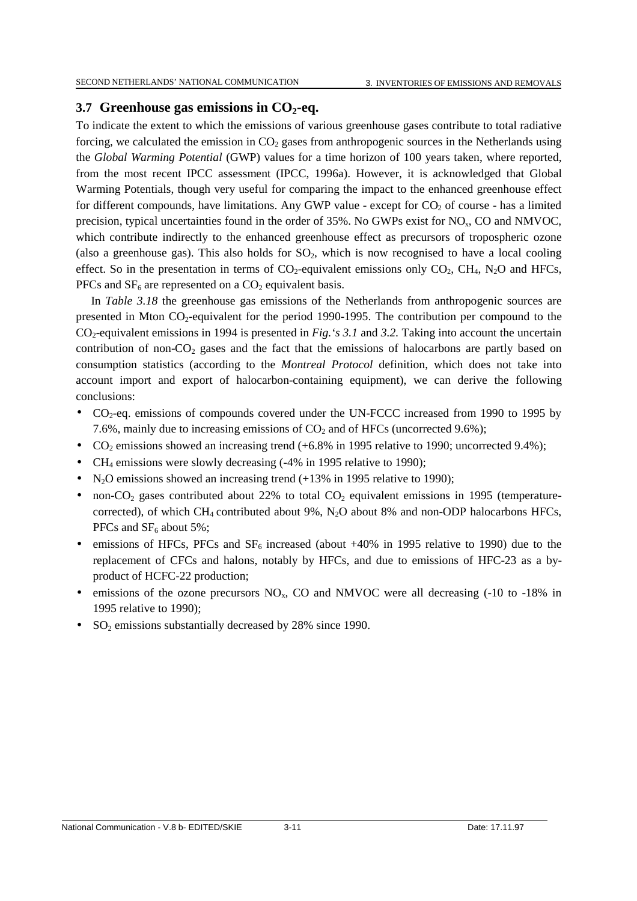### **3.7 Greenhouse gas emissions in CO2-eq.**

To indicate the extent to which the emissions of various greenhouse gases contribute to total radiative forcing, we calculated the emission in  $CO<sub>2</sub>$  gases from anthropogenic sources in the Netherlands using the *Global Warming Potential* (GWP) values for a time horizon of 100 years taken, where reported, from the most recent IPCC assessment (IPCC, 1996a). However, it is acknowledged that Global Warming Potentials, though very useful for comparing the impact to the enhanced greenhouse effect for different compounds, have limitations. Any GWP value - except for  $CO<sub>2</sub>$  of course - has a limited precision, typical uncertainties found in the order of  $35\%$ . No GWPs exist for NO<sub>x</sub>, CO and NMVOC, which contribute indirectly to the enhanced greenhouse effect as precursors of tropospheric ozone (also a greenhouse gas). This also holds for  $SO_2$ , which is now recognised to have a local cooling effect. So in the presentation in terms of  $CO_2$ -equivalent emissions only  $CO_2$ ,  $CH_4$ ,  $N_2O$  and HFCs, PFCs and  $SF_6$  are represented on a  $CO_2$  equivalent basis.

In *Table 3.18* the greenhouse gas emissions of the Netherlands from anthropogenic sources are presented in Mton  $CO_2$ -equivalent for the period 1990-1995. The contribution per compound to the CO2-equivalent emissions in 1994 is presented in *Fig.'s 3.1* and *3.2.* Taking into account the uncertain contribution of non- $CO<sub>2</sub>$  gases and the fact that the emissions of halocarbons are partly based on consumption statistics (according to the *Montreal Protocol* definition, which does not take into account import and export of halocarbon-containing equipment), we can derive the following conclusions:

- CO<sub>2</sub>-eq. emissions of compounds covered under the UN-FCCC increased from 1990 to 1995 by 7.6%, mainly due to increasing emissions of  $CO<sub>2</sub>$  and of HFCs (uncorrected 9.6%);
- CO<sub>2</sub> emissions showed an increasing trend  $(+6.8\%$  in 1995 relative to 1990; uncorrected 9.4%);
- CH<sub>4</sub> emissions were slowly decreasing (-4% in 1995 relative to 1990);
- N<sub>2</sub>O emissions showed an increasing trend  $(+13\%$  in 1995 relative to 1990);
- non-CO<sub>2</sub> gases contributed about 22% to total CO<sub>2</sub> equivalent emissions in 1995 (temperaturecorrected), of which CH<sub>4</sub> contributed about 9%, N<sub>2</sub>O about 8% and non-ODP halocarbons HFCs, PFCs and  $SF<sub>6</sub>$  about 5%;
- emissions of HFCs, PFCs and  $SF_6$  increased (about  $+40\%$  in 1995 relative to 1990) due to the replacement of CFCs and halons, notably by HFCs, and due to emissions of HFC-23 as a byproduct of HCFC-22 production;
- emissions of the ozone precursors  $NO<sub>x</sub>$ , CO and NMVOC were all decreasing (-10 to -18% in 1995 relative to 1990);
- SO2 emissions substantially decreased by 28% since 1990.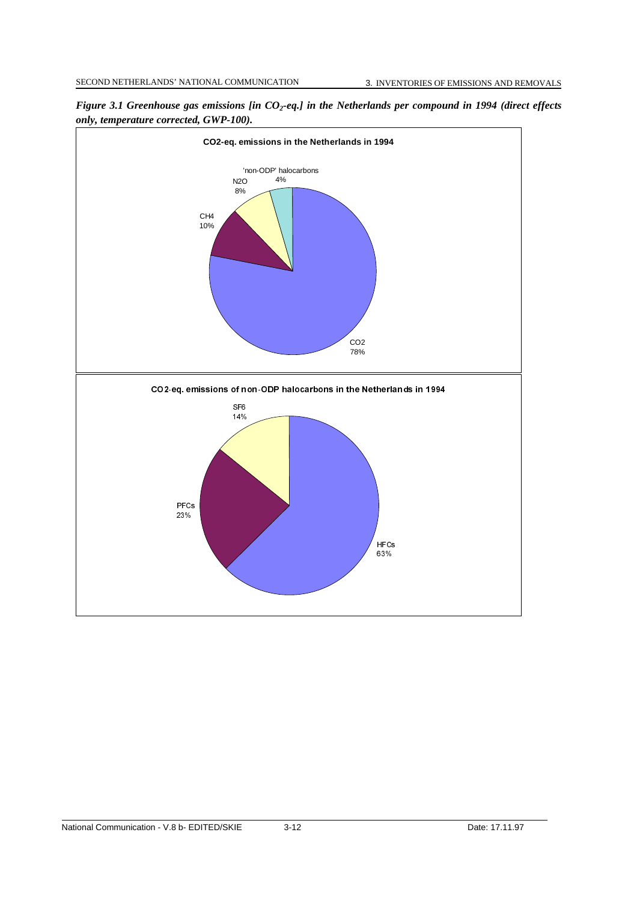

*Figure 3.1 Greenhouse gas emissions [in CO<sub>2</sub>-eq.] in the Netherlands per compound in 1994 (direct effects only, temperature corrected, GWP-100).*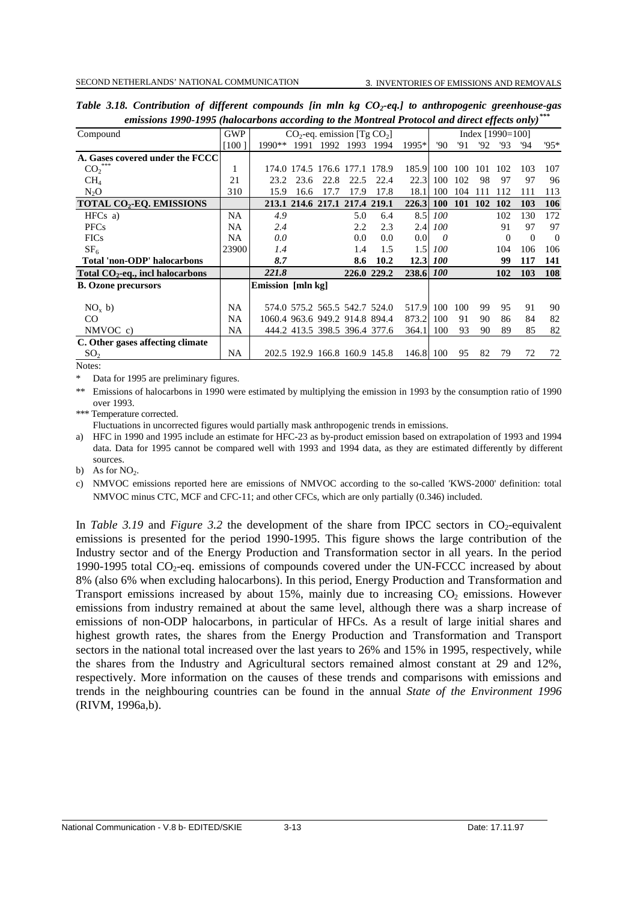| Compound                                  | <b>GWP</b> |                                |      | $CO_2$ -eq. emission [Tg $CO_2$ ] |      |             |       |            |            | Index $[1990=100]$ |                |          |          |
|-------------------------------------------|------------|--------------------------------|------|-----------------------------------|------|-------------|-------|------------|------------|--------------------|----------------|----------|----------|
|                                           | [100]      | $1990**$                       | 1991 | 1992                              | 1993 | 1994        | 1995* | '90        | '91        | '92                | '93            | '94      | $95*$    |
| A. Gases covered under the FCCC           |            |                                |      |                                   |      |             |       |            |            |                    |                |          |          |
| CO <sub>2</sub>                           | 1          |                                |      | 174.0 174.5 176.6 177.1 178.9     |      |             | 185.9 | 100        | 100        | 101                | 102            | 103      | 107      |
| CH <sub>4</sub>                           | 21         | 23.2                           | 23.6 | 22.8                              | 22.5 | 22.4        | 22.3  | 100        | 102        | 98                 | 97             | 97       | 96       |
| $N_2O$                                    | 310        | 15.9                           | 16.6 | 17.7                              | 17.9 | 17.8        | 18.1  | 100        | 104        | 111                | 112            | 111      | 113      |
| <b>TOTAL CO<sub>2</sub>-EO. EMISSIONS</b> |            |                                |      | 213.1 214.6 217.1 217.4 219.1     |      |             | 226.3 | <b>100</b> | <b>101</b> | <b>102</b>         | 102            | 103      | 106      |
| HFCs a)                                   | NA         | 4.9                            |      |                                   | 5.0  | 6.4         | 8.5   | 100        |            |                    | 102            | 130      | 172      |
| <b>PFCs</b>                               | NA         | 2.4                            |      |                                   | 2.2  | 2.3         | 2.4   | 100        |            |                    | 91             | 97       | 97       |
| <b>FICs</b>                               | NA         | 0.0                            |      |                                   | 0.0  | 0.0         | 0.0   | 0          |            |                    | $\overline{0}$ | $\theta$ | $\Omega$ |
| SF <sub>6</sub>                           | 23900      | 1.4                            |      |                                   | 1.4  | 1.5         | 1.5   | 100        |            |                    | 104            | 106      | 106      |
| Total 'non-ODP' halocarbons               |            | 8.7                            |      |                                   | 8.6  | 10.2        | 12.3  | <i>100</i> |            |                    | 99             | 117      | 141      |
| Total $CO2$ -eq., incl halocarbons        |            | 221.8                          |      |                                   |      | 226.0 229.2 | 238.6 | <i>100</i> |            |                    | 102            | 103      | 108      |
| <b>B.</b> Ozone precursors                |            | Emission [mln kg]              |      |                                   |      |             |       |            |            |                    |                |          |          |
|                                           |            |                                |      |                                   |      |             |       |            |            |                    |                |          |          |
| NO <sub>x</sub> b)                        | NA         |                                |      | 574.0 575.2 565.5 542.7 524.0     |      |             | 517.9 | 100        | 100        | 99                 | 95             | 91       | 90       |
| CO                                        | NA         | 1060.4 963.6 949.2 914.8 894.4 |      |                                   |      |             | 873.2 | 100        | 91         | 90                 | 86             | 84       | 82       |
| NMVOC c)                                  | <b>NA</b>  |                                |      | 444.2 413.5 398.5 396.4 377.6     |      |             | 364.1 | 100        | 93         | 90                 | 89             | 85       | 82       |
| C. Other gases affecting climate          |            |                                |      |                                   |      |             |       |            |            |                    |                |          |          |
| SO <sub>2</sub>                           | NA         |                                |      | 202.5 192.9 166.8 160.9 145.8     |      |             | 146.8 | 100        | 95         | 82                 | 79             | 72       | 72       |
| $N_{\alpha\beta\alpha\alpha}$             |            |                                |      |                                   |      |             |       |            |            |                    |                |          |          |

*Table 3.18. Contribution of different compounds [in mln kg CO<sub>2</sub>-eq.] to anthropogenic greenhouse-gas emissions 1990-1995 (halocarbons according to the Montreal Protocol and direct effects only)\*\*\**

Notes:

Data for 1995 are preliminary figures.

\*\* Emissions of halocarbons in 1990 were estimated by multiplying the emission in 1993 by the consumption ratio of 1990 over 1993.

\*\*\* Temperature corrected.

Fluctuations in uncorrected figures would partially mask anthropogenic trends in emissions.

a) HFC in 1990 and 1995 include an estimate for HFC-23 as by-product emission based on extrapolation of 1993 and 1994 data. Data for 1995 cannot be compared well with 1993 and 1994 data, as they are estimated differently by different sources.

b) As for  $NO<sub>2</sub>$ .

c) NMVOC emissions reported here are emissions of NMVOC according to the so-called 'KWS-2000' definition: total NMVOC minus CTC, MCF and CFC-11; and other CFCs, which are only partially (0.346) included.

In *Table 3.19* and *Figure 3.2* the development of the share from IPCC sectors in  $CO_2$ -equivalent emissions is presented for the period 1990-1995. This figure shows the large contribution of the Industry sector and of the Energy Production and Transformation sector in all years. In the period 1990-1995 total  $CO_2$ -eq. emissions of compounds covered under the UN-FCCC increased by about 8% (also 6% when excluding halocarbons). In this period, Energy Production and Transformation and Transport emissions increased by about 15%, mainly due to increasing  $CO<sub>2</sub>$  emissions. However emissions from industry remained at about the same level, although there was a sharp increase of emissions of non-ODP halocarbons, in particular of HFCs. As a result of large initial shares and highest growth rates, the shares from the Energy Production and Transformation and Transport sectors in the national total increased over the last years to 26% and 15% in 1995, respectively, while the shares from the Industry and Agricultural sectors remained almost constant at 29 and 12%, respectively. More information on the causes of these trends and comparisons with emissions and trends in the neighbouring countries can be found in the annual *State of the Environment 1996* (RIVM, 1996a,b).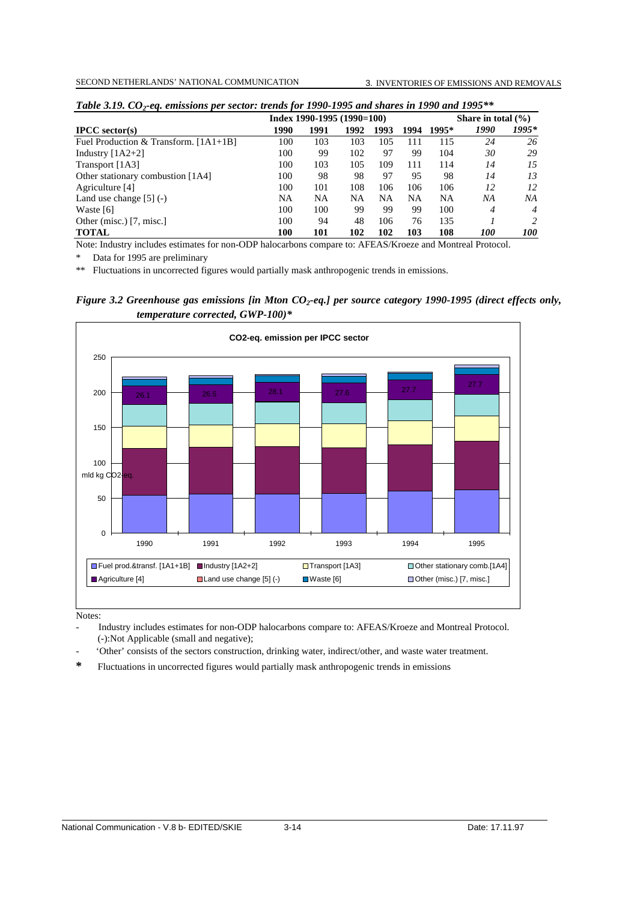| $  \omega$                              |      | Index 1990-1995 $(1990=100)$ | Share in total $(\% )$ |      |      |           |            |            |
|-----------------------------------------|------|------------------------------|------------------------|------|------|-----------|------------|------------|
| $\text{IPCC}$ sector(s)                 | 1990 | 1991                         | 1992                   | 1993 | 1994 | 1995*     | 1990       | 1995*      |
| Fuel Production & Transform. $[1A1+1B]$ | 100  | 103                          | 103                    | 105  | 111  | 115       | 24         | 26         |
| Industry $[1A2+2]$                      | 100  | 99                           | 102                    | 97   | 99   | 104       | 30         | 29         |
| Transport [1A3]                         | 100  | 103                          | 105                    | 109  | 111  | 114       | 14         | 15         |
| Other stationary combustion [1A4]       | 100  | 98                           | 98                     | 97   | 95   | 98        | 14         | 13         |
| Agriculture [4]                         | 100  | 101                          | 108                    | 106  | 106  | 106       | 12         | 12         |
| Land use change $[5]$ (-)               | NA   | NA                           | NA                     | NA   | NA   | <b>NA</b> | NΑ         | NΑ         |
| Waste [6]                               | 100  | 100                          | 99                     | 99   | 99   | 100       | 4          | 4          |
| Other (misc.) [7, misc.]                | 100  | 94                           | 48                     | 106  | 76   | 135       |            | 2          |
| <b>TOTAL</b>                            | 100  | 101                          | 102                    | 102  | 103  | 108       | <i>100</i> | <i>100</i> |

| Table 3.19. $CO_2$ -eq. emissions per sector: trends for 1990-1995 and shares in 1990 and 1995** |  |
|--------------------------------------------------------------------------------------------------|--|
|--------------------------------------------------------------------------------------------------|--|

Note: Industry includes estimates for non-ODP halocarbons compare to: AFEAS/Kroeze and Montreal Protocol.

Data for 1995 are preliminary

\*\* Fluctuations in uncorrected figures would partially mask anthropogenic trends in emissions.

*Figure 3.2 Greenhouse gas emissions [in Mton CO<sub>2</sub>-eq.] per source category 1990-1995 (direct effects only, temperature corrected, GWP-100)\**



Notes:

- Industry includes estimates for non-ODP halocarbons compare to: AFEAS/Kroeze and Montreal Protocol. (-):Not Applicable (small and negative);
- 'Other' consists of the sectors construction, drinking water, indirect/other, and waste water treatment.
- **\*** Fluctuations in uncorrected figures would partially mask anthropogenic trends in emissions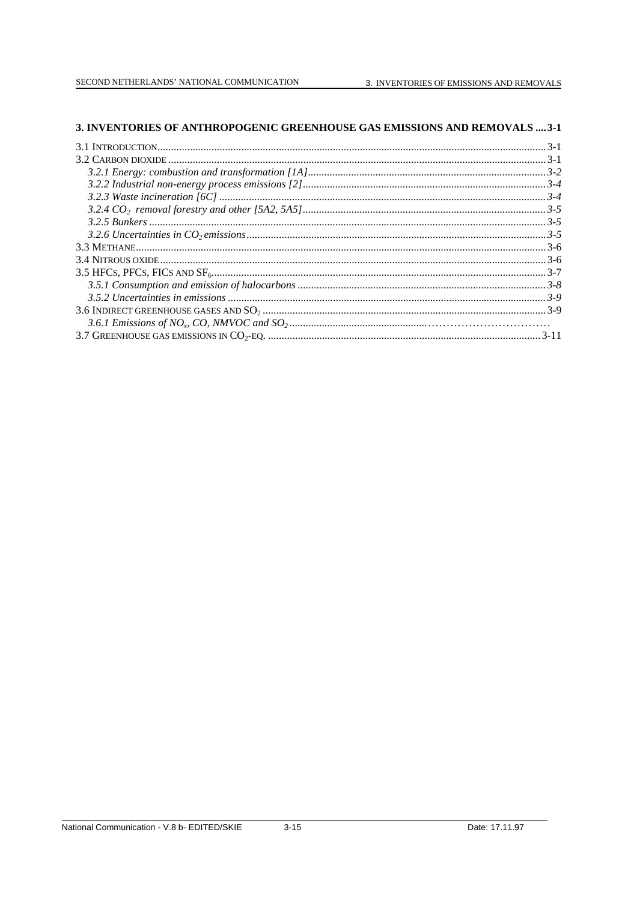## 3. INVENTORIES OF ANTHROPOGENIC GREENHOUSE GAS EMISSIONS AND REMOVALS .... 3-1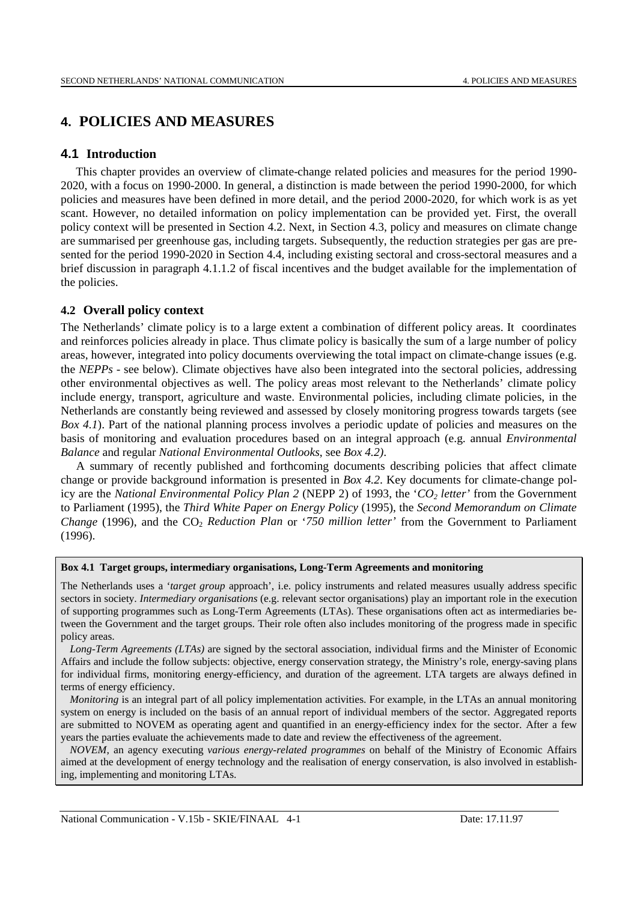# **4. POLICIES AND MEASURES**

## **4.1 Introduction**

This chapter provides an overview of climate-change related policies and measures for the period 1990- 2020, with a focus on 1990-2000. In general, a distinction is made between the period 1990-2000, for which policies and measures have been defined in more detail, and the period 2000-2020, for which work is as yet scant. However, no detailed information on policy implementation can be provided yet. First, the overall policy context will be presented in Section 4.2. Next, in Section 4.3, policy and measures on climate change are summarised per greenhouse gas, including targets. Subsequently, the reduction strategies per gas are presented for the period 1990-2020 in Section 4.4, including existing sectoral and cross-sectoral measures and a brief discussion in paragraph 4.1.1.2 of fiscal incentives and the budget available for the implementation of the policies.

## **4.2 Overall policy context**

The Netherlands' climate policy is to a large extent a combination of different policy areas. It coordinates and reinforces policies already in place. Thus climate policy is basically the sum of a large number of policy areas, however, integrated into policy documents overviewing the total impact on climate-change issues (e.g. the *NEPPs* - see below). Climate objectives have also been integrated into the sectoral policies, addressing other environmental objectives as well. The policy areas most relevant to the Netherlands' climate policy include energy, transport, agriculture and waste. Environmental policies, including climate policies, in the Netherlands are constantly being reviewed and assessed by closely monitoring progress towards targets (see *Box 4.1*). Part of the national planning process involves a periodic update of policies and measures on the basis of monitoring and evaluation procedures based on an integral approach (e.g. annual *Environmental Balance* and regular *National Environmental Outlooks*, see *Box 4.2)*.

A summary of recently published and forthcoming documents describing policies that affect climate change or provide background information is presented in *Box 4.2*. Key documents for climate-change policy are the *National Environmental Policy Plan 2* (NEPP 2) of 1993, the '*CO2 letter'* from the Government to Parliament (1995), the *Third White Paper on Energy Policy* (1995), the *Second Memorandum on Climate Change* (1996), and the CO<sub>2</sub> *Reduction Plan or '750 million letter'* from the Government to Parliament (1996).

### **Box 4.1 Target groups, intermediary organisations, Long-Term Agreements and monitoring**

The Netherlands uses a '*target group* approach', i.e. policy instruments and related measures usually address specific sectors in society. *Intermediary organisations* (e.g. relevant sector organisations) play an important role in the execution of supporting programmes such as Long-Term Agreements (LTAs). These organisations often act as intermediaries between the Government and the target groups. Their role often also includes monitoring of the progress made in specific policy areas.

*Long-Term Agreements (LTAs)* are signed by the sectoral association, individual firms and the Minister of Economic Affairs and include the follow subjects: objective, energy conservation strategy, the Ministry's role, energy-saving plans for individual firms, monitoring energy-efficiency, and duration of the agreement. LTA targets are always defined in terms of energy efficiency.

*Monitoring* is an integral part of all policy implementation activities. For example, in the LTAs an annual monitoring system on energy is included on the basis of an annual report of individual members of the sector. Aggregated reports are submitted to NOVEM as operating agent and quantified in an energy-efficiency index for the sector. After a few years the parties evaluate the achievements made to date and review the effectiveness of the agreement.

*NOVEM*, an agency executing *various energy-related programmes* on behalf of the Ministry of Economic Affairs aimed at the development of energy technology and the realisation of energy conservation, is also involved in establishing, implementing and monitoring LTAs.

National Communication - V.15b - SKIE/FINAAL 4-1 Date: 17.11.97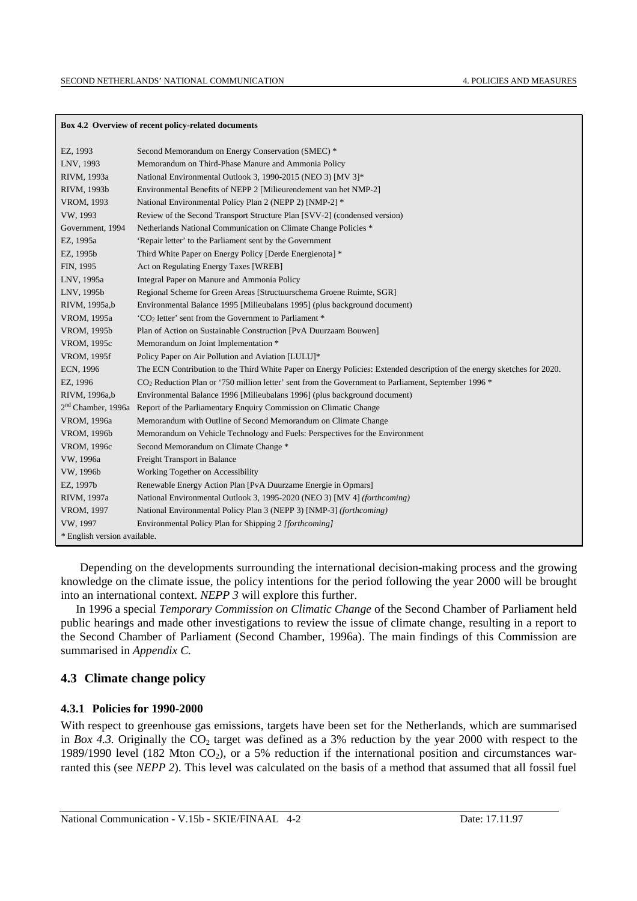### **Box 4.2 Overview of recent policy-related documents**

| EZ, 1993                     | Second Memorandum on Energy Conservation (SMEC) *                                                                          |
|------------------------------|----------------------------------------------------------------------------------------------------------------------------|
| LNV, 1993                    | Memorandum on Third-Phase Manure and Ammonia Policy                                                                        |
| RIVM, 1993a                  | National Environmental Outlook 3, 1990-2015 (NEO 3) [MV 3]*                                                                |
| RIVM, 1993b                  | Environmental Benefits of NEPP 2 [Milieurendement van het NMP-2]                                                           |
| VROM, 1993                   | National Environmental Policy Plan 2 (NEPP 2) [NMP-2] *                                                                    |
| VW, 1993                     | Review of the Second Transport Structure Plan [SVV-2] (condensed version)                                                  |
| Government, 1994             | Netherlands National Communication on Climate Change Policies *                                                            |
| EZ, 1995a                    | 'Repair letter' to the Parliament sent by the Government                                                                   |
| EZ, 1995b                    | Third White Paper on Energy Policy [Derde Energienota] *                                                                   |
| FIN, 1995                    | Act on Regulating Energy Taxes [WREB]                                                                                      |
| LNV, 1995a                   | Integral Paper on Manure and Ammonia Policy                                                                                |
| LNV, 1995b                   | Regional Scheme for Green Areas [Structuurschema Groene Ruimte, SGR]                                                       |
| RIVM, 1995a,b                | Environmental Balance 1995 [Milieubalans 1995] (plus background document)                                                  |
| VROM, 1995a                  | 'CO <sub>2</sub> letter' sent from the Government to Parliament *                                                          |
| VROM, 1995b                  | Plan of Action on Sustainable Construction [PvA Duurzaam Bouwen]                                                           |
| VROM, 1995c                  | Memorandum on Joint Implementation *                                                                                       |
| VROM, 1995f                  | Policy Paper on Air Pollution and Aviation [LULU]*                                                                         |
| ECN, 1996                    | The ECN Contribution to the Third White Paper on Energy Policies: Extended description of the energy sketches for 2020.    |
| EZ, 1996                     | CO <sub>2</sub> Reduction Plan or '750 million letter' sent from the Government to Parliament, September 1996 <sup>*</sup> |
| RIVM, 1996a,b                | Environmental Balance 1996 [Milieubalans 1996] (plus background document)                                                  |
|                              | 2 <sup>nd</sup> Chamber, 1996a Report of the Parliamentary Enquiry Commission on Climatic Change                           |
| VROM, 1996a                  | Memorandum with Outline of Second Memorandum on Climate Change                                                             |
| VROM, 1996b                  | Memorandum on Vehicle Technology and Fuels: Perspectives for the Environment                                               |
| VROM, 1996c                  | Second Memorandum on Climate Change *                                                                                      |
| VW, 1996a                    | Freight Transport in Balance                                                                                               |
| VW, 1996b                    | Working Together on Accessibility                                                                                          |
| EZ, 1997b                    | Renewable Energy Action Plan [PvA Duurzame Energie in Opmars]                                                              |
| RIVM, 1997a                  | National Environmental Outlook 3, 1995-2020 (NEO 3) [MV 4] (forthcoming)                                                   |
| VROM, 1997                   | National Environmental Policy Plan 3 (NEPP 3) [NMP-3] (forthcoming)                                                        |
| VW, 1997                     | Environmental Policy Plan for Shipping 2 [forthcoming]                                                                     |
| * English version available. |                                                                                                                            |

 Depending on the developments surrounding the international decision-making process and the growing knowledge on the climate issue, the policy intentions for the period following the year 2000 will be brought into an international context. *NEPP 3* will explore this further.

In 1996 a special *Temporary Commission on Climatic Change* of the Second Chamber of Parliament held public hearings and made other investigations to review the issue of climate change, resulting in a report to the Second Chamber of Parliament (Second Chamber, 1996a). The main findings of this Commission are summarised in *Appendix C.*

### **4.3 Climate change policy**

### **4.3.1 Policies for 1990-2000**

With respect to greenhouse gas emissions, targets have been set for the Netherlands, which are summarised in *Box 4.3.* Originally the  $CO<sub>2</sub>$  target was defined as a 3% reduction by the year 2000 with respect to the 1989/1990 level (182 Mton  $CO<sub>2</sub>$ ), or a 5% reduction if the international position and circumstances warranted this (see *NEPP 2*). This level was calculated on the basis of a method that assumed that all fossil fuel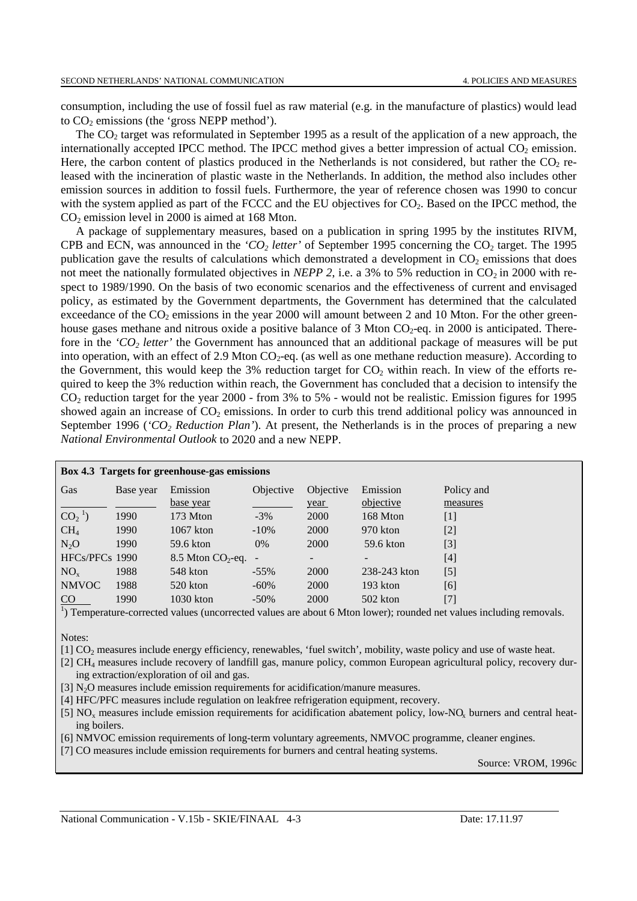consumption, including the use of fossil fuel as raw material (e.g. in the manufacture of plastics) would lead to  $CO<sub>2</sub>$  emissions (the 'gross NEPP method').

The CO2 target was reformulated in September 1995 as a result of the application of a new approach, the internationally accepted IPCC method. The IPCC method gives a better impression of actual  $CO<sub>2</sub>$  emission. Here, the carbon content of plastics produced in the Netherlands is not considered, but rather the  $CO<sub>2</sub>$  released with the incineration of plastic waste in the Netherlands. In addition, the method also includes other emission sources in addition to fossil fuels. Furthermore, the year of reference chosen was 1990 to concur with the system applied as part of the FCCC and the EU objectives for CO<sub>2</sub>. Based on the IPCC method, the  $CO<sub>2</sub>$  emission level in 2000 is aimed at 168 Mton.

A package of supplementary measures, based on a publication in spring 1995 by the institutes RIVM, CPB and ECN, was announced in the *'CO<sub>2</sub> letter'* of September 1995 concerning the  $CO_2$  target. The 1995 publication gave the results of calculations which demonstrated a development in  $CO<sub>2</sub>$  emissions that does not meet the nationally formulated objectives in *NEPP 2*, i.e. a 3% to 5% reduction in  $CO<sub>2</sub>$  in 2000 with respect to 1989/1990. On the basis of two economic scenarios and the effectiveness of current and envisaged policy, as estimated by the Government departments, the Government has determined that the calculated exceedance of the  $CO<sub>2</sub>$  emissions in the year 2000 will amount between 2 and 10 Mton. For the other greenhouse gases methane and nitrous oxide a positive balance of 3 Mton  $CO<sub>2</sub>$ -eq. in 2000 is anticipated. Therefore in the *'CO2 letter'* the Government has announced that an additional package of measures will be put into operation, with an effect of 2.9 Mton  $CO_2$ -eq. (as well as one methane reduction measure). According to the Government, this would keep the 3% reduction target for  $CO<sub>2</sub>$  within reach. In view of the efforts required to keep the 3% reduction within reach, the Government has concluded that a decision to intensify the CO2 reduction target for the year 2000 - from 3% to 5% - would not be realistic. Emission figures for 1995 showed again an increase of  $CO<sub>2</sub>$  emissions. In order to curb this trend additional policy was announced in September 1996 (*'CO2 Reduction Plan'*). At present, the Netherlands is in the proces of preparing a new *National Environmental Outlook* to 2020 and a new NEPP.

| Box 4.3 Targets for greenhouse-gas emissions |           |                         |           |                          |              |                                                                                                                                 |  |  |  |  |  |
|----------------------------------------------|-----------|-------------------------|-----------|--------------------------|--------------|---------------------------------------------------------------------------------------------------------------------------------|--|--|--|--|--|
| Gas                                          | Base year | Emission                | Objective | Objective                | Emission     | Policy and                                                                                                                      |  |  |  |  |  |
|                                              |           | base year               |           | year                     | objective    | measures                                                                                                                        |  |  |  |  |  |
| $CO21$ )                                     | 1990      | 173 Mton                | $-3%$     | <b>2000</b>              | 168 Mton     | $\mathbf{1}$                                                                                                                    |  |  |  |  |  |
| CH <sub>4</sub>                              | 1990      | $1067$ kton             | $-10\%$   | <b>2000</b>              | 970 kton     | $[2]$                                                                                                                           |  |  |  |  |  |
| $N_2O$                                       | 1990      | 59.6 kton               | 0%        | 2000                     | 59.6 kton    | $[3]$                                                                                                                           |  |  |  |  |  |
| HFCs/PFCs 1990                               |           | $8.5$ Mton $CO2$ -eq. - |           | $\overline{\phantom{a}}$ | -            | $[4]$                                                                                                                           |  |  |  |  |  |
| $NO_{x}$                                     | 1988      | 548 kton                | $-55\%$   | <b>2000</b>              | 238-243 kton | $[5]$                                                                                                                           |  |  |  |  |  |
| <b>NMVOC</b>                                 | 1988      | 520 kton                | $-60\%$   | 2000                     | 193 kton     | [6]                                                                                                                             |  |  |  |  |  |
| CO                                           | 1990      | $1030$ kton             | $-50\%$   | 2000                     | 502 kton     | [7]                                                                                                                             |  |  |  |  |  |
|                                              |           |                         |           |                          |              | <sup>1</sup> ) Temperature-corrected values (uncorrected values are about 6 Mton lower); rounded net values including removals. |  |  |  |  |  |

Notes:

[1] CO<sub>2</sub> measures include energy efficiency, renewables, 'fuel switch', mobility, waste policy and use of waste heat.

- [2] CH<sub>4</sub> measures include recovery of landfill gas, manure policy, common European agricultural policy, recovery during extraction/exploration of oil and gas.
- [3] N<sub>2</sub>O measures include emission requirements for acidification/manure measures.
- [4] HFC/PFC measures include regulation on leakfree refrigeration equipment, recovery.
- [5]  $NO<sub>x</sub>$  measures include emission requirements for acidification abatement policy, low- $NO<sub>x</sub>$  burners and central heating boilers.
- [6] NMVOC emission requirements of long-term voluntary agreements, NMVOC programme, cleaner engines.

[7] CO measures include emission requirements for burners and central heating systems.

Source: VROM, 1996c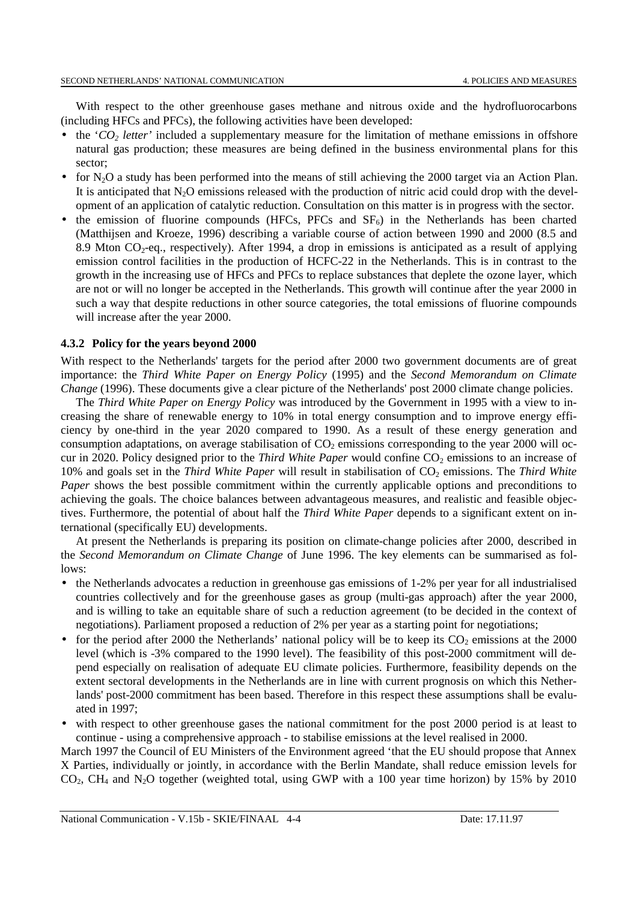With respect to the other greenhouse gases methane and nitrous oxide and the hydrofluorocarbons (including HFCs and PFCs), the following activities have been developed:

- the ' $CO<sub>2</sub>$  *letter'* included a supplementary measure for the limitation of methane emissions in offshore natural gas production; these measures are being defined in the business environmental plans for this sector;
- for  $N_2O$  a study has been performed into the means of still achieving the 2000 target via an Action Plan. It is anticipated that  $N_2O$  emissions released with the production of nitric acid could drop with the development of an application of catalytic reduction. Consultation on this matter is in progress with the sector.
- the emission of fluorine compounds (HFCs, PFCs and  $SF<sub>6</sub>$ ) in the Netherlands has been charted (Matthijsen and Kroeze, 1996) describing a variable course of action between 1990 and 2000 (8.5 and 8.9 Mton  $CO_2$ -eq., respectively). After 1994, a drop in emissions is anticipated as a result of applying emission control facilities in the production of HCFC-22 in the Netherlands. This is in contrast to the growth in the increasing use of HFCs and PFCs to replace substances that deplete the ozone layer, which are not or will no longer be accepted in the Netherlands. This growth will continue after the year 2000 in such a way that despite reductions in other source categories, the total emissions of fluorine compounds will increase after the year 2000.

### **4.3.2 Policy for the years beyond 2000**

With respect to the Netherlands' targets for the period after 2000 two government documents are of great importance: the *Third White Paper on Energy Policy* (1995) and the *Second Memorandum on Climate Change* (1996). These documents give a clear picture of the Netherlands' post 2000 climate change policies.

The *Third White Paper on Energy Policy* was introduced by the Government in 1995 with a view to increasing the share of renewable energy to 10% in total energy consumption and to improve energy efficiency by one-third in the year 2020 compared to 1990. As a result of these energy generation and consumption adaptations, on average stabilisation of  $CO<sub>2</sub>$  emissions corresponding to the year 2000 will occur in 2020. Policy designed prior to the *Third White Paper* would confine CO<sub>2</sub> emissions to an increase of 10% and goals set in the *Third White Paper* will result in stabilisation of CO<sub>2</sub> emissions. The *Third White Paper* shows the best possible commitment within the currently applicable options and preconditions to achieving the goals. The choice balances between advantageous measures, and realistic and feasible objectives. Furthermore, the potential of about half the *Third White Paper* depends to a significant extent on international (specifically EU) developments.

At present the Netherlands is preparing its position on climate-change policies after 2000, described in the *Second Memorandum on Climate Change* of June 1996. The key elements can be summarised as follows:

- the Netherlands advocates a reduction in greenhouse gas emissions of 1-2% per year for all industrialised countries collectively and for the greenhouse gases as group (multi-gas approach) after the year 2000, and is willing to take an equitable share of such a reduction agreement (to be decided in the context of negotiations). Parliament proposed a reduction of 2% per year as a starting point for negotiations;
- for the period after 2000 the Netherlands' national policy will be to keep its  $CO<sub>2</sub>$  emissions at the 2000 level (which is -3% compared to the 1990 level). The feasibility of this post-2000 commitment will depend especially on realisation of adequate EU climate policies. Furthermore, feasibility depends on the extent sectoral developments in the Netherlands are in line with current prognosis on which this Netherlands' post-2000 commitment has been based. Therefore in this respect these assumptions shall be evaluated in 1997;
- with respect to other greenhouse gases the national commitment for the post 2000 period is at least to continue - using a comprehensive approach - to stabilise emissions at the level realised in 2000.

March 1997 the Council of EU Ministers of the Environment agreed 'that the EU should propose that Annex X Parties, individually or jointly, in accordance with the Berlin Mandate, shall reduce emission levels for CO2, CH4 and N2O together (weighted total, using GWP with a 100 year time horizon) by 15% by 2010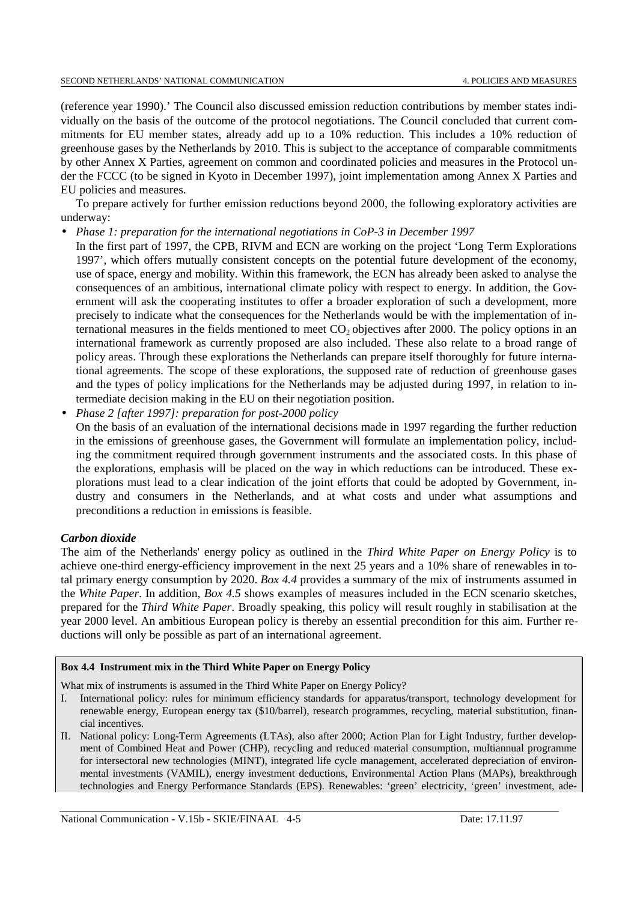(reference year 1990).' The Council also discussed emission reduction contributions by member states individually on the basis of the outcome of the protocol negotiations. The Council concluded that current commitments for EU member states, already add up to a 10% reduction. This includes a 10% reduction of greenhouse gases by the Netherlands by 2010. This is subject to the acceptance of comparable commitments by other Annex X Parties, agreement on common and coordinated policies and measures in the Protocol under the FCCC (to be signed in Kyoto in December 1997), joint implementation among Annex X Parties and EU policies and measures.

To prepare actively for further emission reductions beyond 2000, the following exploratory activities are underway:

- *Phase 1: preparation for the international negotiations in CoP-3 in December 1997*
- In the first part of 1997, the CPB, RIVM and ECN are working on the project 'Long Term Explorations 1997', which offers mutually consistent concepts on the potential future development of the economy, use of space, energy and mobility. Within this framework, the ECN has already been asked to analyse the consequences of an ambitious, international climate policy with respect to energy. In addition, the Government will ask the cooperating institutes to offer a broader exploration of such a development, more precisely to indicate what the consequences for the Netherlands would be with the implementation of international measures in the fields mentioned to meet  $CO<sub>2</sub>$  objectives after 2000. The policy options in an international framework as currently proposed are also included. These also relate to a broad range of policy areas. Through these explorations the Netherlands can prepare itself thoroughly for future international agreements. The scope of these explorations, the supposed rate of reduction of greenhouse gases and the types of policy implications for the Netherlands may be adjusted during 1997, in relation to intermediate decision making in the EU on their negotiation position.
- *Phase 2 [after 1997]: preparation for post-2000 policy*

On the basis of an evaluation of the international decisions made in 1997 regarding the further reduction in the emissions of greenhouse gases, the Government will formulate an implementation policy, including the commitment required through government instruments and the associated costs. In this phase of the explorations, emphasis will be placed on the way in which reductions can be introduced. These explorations must lead to a clear indication of the joint efforts that could be adopted by Government, industry and consumers in the Netherlands, and at what costs and under what assumptions and preconditions a reduction in emissions is feasible.

# *Carbon dioxide*

The aim of the Netherlands' energy policy as outlined in the *Third White Paper on Energy Policy* is to achieve one-third energy-efficiency improvement in the next 25 years and a 10% share of renewables in total primary energy consumption by 2020. *Box 4.4* provides a summary of the mix of instruments assumed in the *White Paper*. In addition, *Box 4.5* shows examples of measures included in the ECN scenario sketches, prepared for the *Third White Paper*. Broadly speaking, this policy will result roughly in stabilisation at the year 2000 level. An ambitious European policy is thereby an essential precondition for this aim. Further reductions will only be possible as part of an international agreement.

# **Box 4.4 Instrument mix in the Third White Paper on Energy Policy**

What mix of instruments is assumed in the Third White Paper on Energy Policy?

- I. International policy: rules for minimum efficiency standards for apparatus/transport, technology development for renewable energy, European energy tax (\$10/barrel), research programmes, recycling, material substitution, financial incentives.
- II. National policy: Long-Term Agreements (LTAs), also after 2000; Action Plan for Light Industry, further development of Combined Heat and Power (CHP), recycling and reduced material consumption, multiannual programme for intersectoral new technologies (MINT), integrated life cycle management, accelerated depreciation of environmental investments (VAMIL), energy investment deductions, Environmental Action Plans (MAPs), breakthrough technologies and Energy Performance Standards (EPS). Renewables: 'green' electricity, 'green' investment, ade-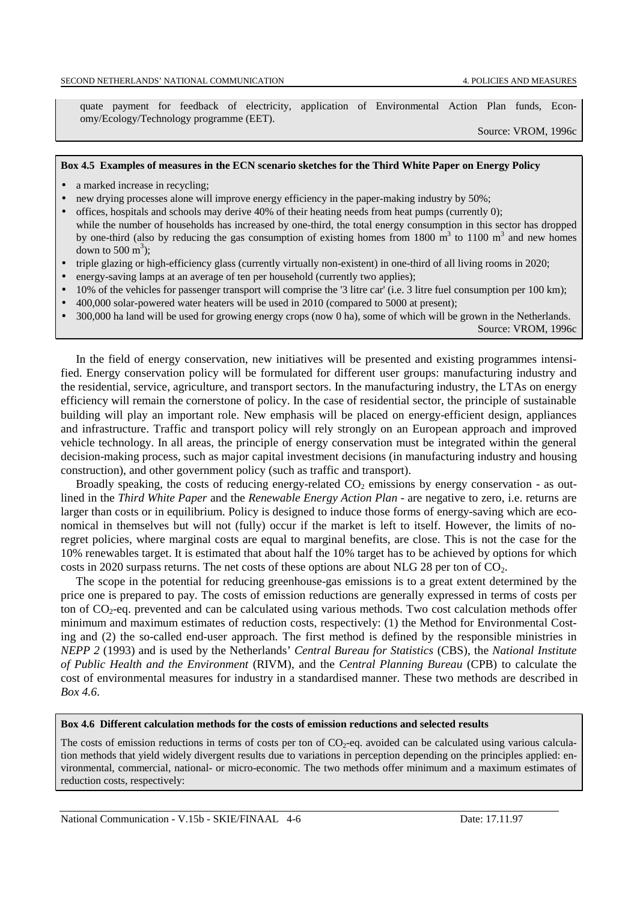quate payment for feedback of electricity, application of Environmental Action Plan funds, Economy/Ecology/Technology programme (EET).

Source: VROM, 1996c

### **Box 4.5 Examples of measures in the ECN scenario sketches for the Third White Paper on Energy Policy**

- a marked increase in recycling;
- new drying processes alone will improve energy efficiency in the paper-making industry by 50%;
- offices, hospitals and schools may derive 40% of their heating needs from heat pumps (currently 0); while the number of households has increased by one-third, the total energy consumption in this sector has dropped by one-third (also by reducing the gas consumption of existing homes from 1800  $\text{m}^3$  to 1100  $\text{m}^3$  and new homes down to 500  $\mathrm{m}^3$ );
- triple glazing or high-efficiency glass (currently virtually non-existent) in one-third of all living rooms in 2020;
- energy-saving lamps at an average of ten per household (currently two applies);
- 10% of the vehicles for passenger transport will comprise the '3 litre car' (i.e. 3 litre fuel consumption per 100 km);
- 400,000 solar-powered water heaters will be used in 2010 (compared to 5000 at present);
- 300,000 ha land will be used for growing energy crops (now 0 ha), some of which will be grown in the Netherlands. Source: VROM, 1996c

In the field of energy conservation, new initiatives will be presented and existing programmes intensified. Energy conservation policy will be formulated for different user groups: manufacturing industry and the residential, service, agriculture, and transport sectors. In the manufacturing industry, the LTAs on energy efficiency will remain the cornerstone of policy. In the case of residential sector, the principle of sustainable building will play an important role. New emphasis will be placed on energy-efficient design, appliances and infrastructure. Traffic and transport policy will rely strongly on an European approach and improved vehicle technology. In all areas, the principle of energy conservation must be integrated within the general decision-making process, such as major capital investment decisions (in manufacturing industry and housing construction), and other government policy (such as traffic and transport).

Broadly speaking, the costs of reducing energy-related  $CO<sub>2</sub>$  emissions by energy conservation - as outlined in the *Third White Paper* and the *Renewable Energy Action Plan* - are negative to zero, i.e. returns are larger than costs or in equilibrium. Policy is designed to induce those forms of energy-saving which are economical in themselves but will not (fully) occur if the market is left to itself. However, the limits of noregret policies, where marginal costs are equal to marginal benefits, are close. This is not the case for the 10% renewables target. It is estimated that about half the 10% target has to be achieved by options for which costs in 2020 surpass returns. The net costs of these options are about NLG 28 per ton of  $CO<sub>2</sub>$ .

The scope in the potential for reducing greenhouse-gas emissions is to a great extent determined by the price one is prepared to pay. The costs of emission reductions are generally expressed in terms of costs per ton of  $CO<sub>2</sub>$ -eq. prevented and can be calculated using various methods. Two cost calculation methods offer minimum and maximum estimates of reduction costs, respectively: (1) the Method for Environmental Costing and (2) the so-called end-user approach. The first method is defined by the responsible ministries in *NEPP 2* (1993) and is used by the Netherlands' *Central Bureau for Statistics* (CBS), the *National Institute of Public Health and the Environment* (RIVM), and the *Central Planning Bureau* (CPB) to calculate the cost of environmental measures for industry in a standardised manner. These two methods are described in *Box 4.6*.

**Box 4.6 Different calculation methods for the costs of emission reductions and selected results**

The costs of emission reductions in terms of costs per ton of  $CO<sub>2</sub>$ -eq. avoided can be calculated using various calculation methods that yield widely divergent results due to variations in perception depending on the principles applied: environmental, commercial, national- or micro-economic. The two methods offer minimum and a maximum estimates of reduction costs, respectively: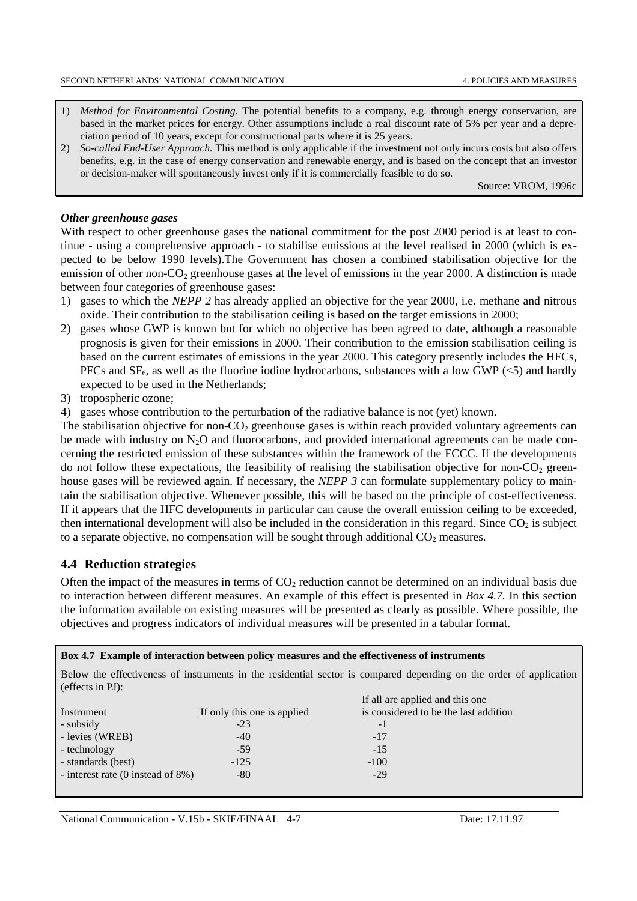- 1) *Method for Environmental Costing.* The potential benefits to a company, e.g. through energy conservation, are based in the market prices for energy. Other assumptions include a real discount rate of 5% per year and a depreciation period of 10 years, except for constructional parts where it is 25 years.
- 2) *So-called End-User Approach*. This method is only applicable if the investment not only incurs costs but also offers benefits, e.g. in the case of energy conservation and renewable energy, and is based on the concept that an investor or decision-maker will spontaneously invest only if it is commercially feasible to do so.

Source: VROM, 1996c

### *Other greenhouse gases*

With respect to other greenhouse gases the national commitment for the post 2000 period is at least to continue - using a comprehensive approach - to stabilise emissions at the level realised in 2000 (which is expected to be below 1990 levels).The Government has chosen a combined stabilisation objective for the emission of other non- $CO<sub>2</sub>$  greenhouse gases at the level of emissions in the year 2000. A distinction is made between four categories of greenhouse gases:

- 1) gases to which the *NEPP 2* has already applied an objective for the year 2000, i.e. methane and nitrous oxide. Their contribution to the stabilisation ceiling is based on the target emissions in 2000;
- 2) gases whose GWP is known but for which no objective has been agreed to date, although a reasonable prognosis is given for their emissions in 2000. Their contribution to the emission stabilisation ceiling is based on the current estimates of emissions in the year 2000. This category presently includes the HFCs, PFCs and  $SF<sub>6</sub>$ , as well as the fluorine iodine hydrocarbons, substances with a low GWP (<5) and hardly expected to be used in the Netherlands;
- 3) tropospheric ozone;

4) gases whose contribution to the perturbation of the radiative balance is not (yet) known.

The stabilisation objective for non- $CO<sub>2</sub>$  greenhouse gases is within reach provided voluntary agreements can be made with industry on  $N_2O$  and fluorocarbons, and provided international agreements can be made concerning the restricted emission of these substances within the framework of the FCCC. If the developments do not follow these expectations, the feasibility of realising the stabilisation objective for non- $CO<sub>2</sub>$  greenhouse gases will be reviewed again. If necessary, the *NEPP 3* can formulate supplementary policy to maintain the stabilisation objective. Whenever possible, this will be based on the principle of cost-effectiveness. If it appears that the HFC developments in particular can cause the overall emission ceiling to be exceeded, then international development will also be included in the consideration in this regard. Since  $CO<sub>2</sub>$  is subject to a separate objective, no compensation will be sought through additional  $CO<sub>2</sub>$  measures.

## **4.4 Reduction strategies**

Often the impact of the measures in terms of  $CO<sub>2</sub>$  reduction cannot be determined on an individual basis due to interaction between different measures. An example of this effect is presented in *Box 4.7.* In this section the information available on existing measures will be presented as clearly as possible. Where possible, the objectives and progress indicators of individual measures will be presented in a tabular format.

**Box 4.7 Example of interaction between policy measures and the effectiveness of instruments**

Below the effectiveness of instruments in the residential sector is compared depending on the order of application (effects in PJ):

|                                               |                             | If all are applied and this one       |
|-----------------------------------------------|-----------------------------|---------------------------------------|
| Instrument                                    | If only this one is applied | is considered to be the last addition |
| - subsidy                                     | $-23$                       | $-1$                                  |
| - levies (WREB)                               | $-40$                       | $-17$                                 |
| - technology                                  | $-59$                       | $-15$                                 |
| - standards (best)                            | $-125$                      | $-100$                                |
| - interest rate $(0 \text{ instead of } 8\%)$ | $-80$                       | $-29$                                 |
|                                               |                             |                                       |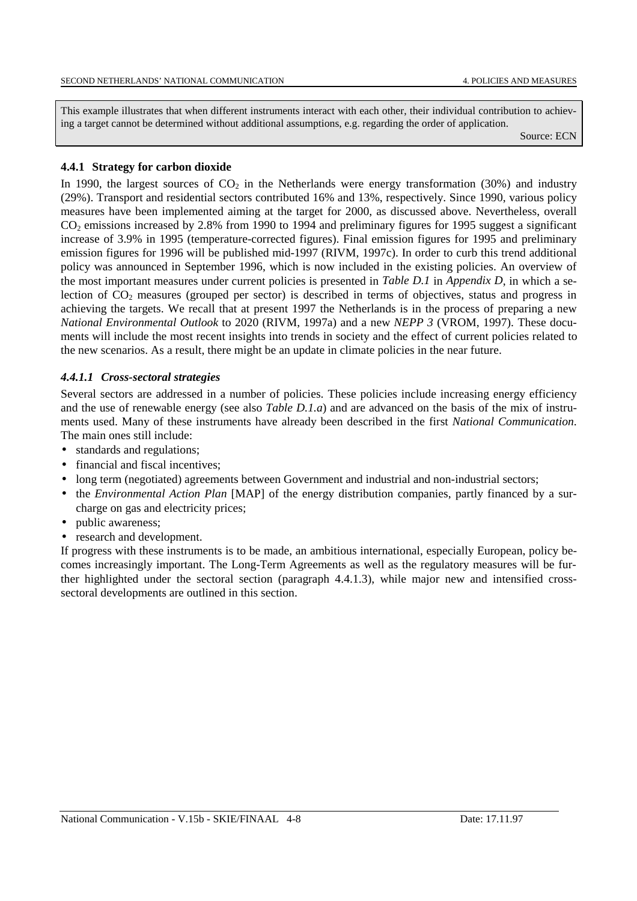This example illustrates that when different instruments interact with each other, their individual contribution to achieving a target cannot be determined without additional assumptions, e.g. regarding the order of application.

Source: ECN

### **4.4.1 Strategy for carbon dioxide**

In 1990, the largest sources of  $CO<sub>2</sub>$  in the Netherlands were energy transformation (30%) and industry (29%). Transport and residential sectors contributed 16% and 13%, respectively. Since 1990, various policy measures have been implemented aiming at the target for 2000, as discussed above. Nevertheless, overall  $CO<sub>2</sub>$  emissions increased by 2.8% from 1990 to 1994 and preliminary figures for 1995 suggest a significant increase of 3.9% in 1995 (temperature-corrected figures). Final emission figures for 1995 and preliminary emission figures for 1996 will be published mid-1997 (RIVM, 1997c). In order to curb this trend additional policy was announced in September 1996, which is now included in the existing policies. An overview of the most important measures under current policies is presented in *Table D.1* in *Appendix D*, in which a selection of  $CO<sub>2</sub>$  measures (grouped per sector) is described in terms of objectives, status and progress in achieving the targets. We recall that at present 1997 the Netherlands is in the process of preparing a new *National Environmental Outlook* to 2020 (RIVM, 1997a) and a new *NEPP 3* (VROM, 1997). These documents will include the most recent insights into trends in society and the effect of current policies related to the new scenarios. As a result, there might be an update in climate policies in the near future.

## *4.4.1.1 Cross-sectoral strategies*

Several sectors are addressed in a number of policies. These policies include increasing energy efficiency and the use of renewable energy (see also *Table D.1.a*) and are advanced on the basis of the mix of instruments used. Many of these instruments have already been described in the first *National Communication*. The main ones still include:

- standards and regulations;
- financial and fiscal incentives;
- long term (negotiated) agreements between Government and industrial and non-industrial sectors;
- the *Environmental Action Plan* [MAP] of the energy distribution companies, partly financed by a surcharge on gas and electricity prices;
- public awareness;
- research and development.

If progress with these instruments is to be made, an ambitious international, especially European, policy becomes increasingly important. The Long-Term Agreements as well as the regulatory measures will be further highlighted under the sectoral section (paragraph 4.4.1.3), while major new and intensified crosssectoral developments are outlined in this section.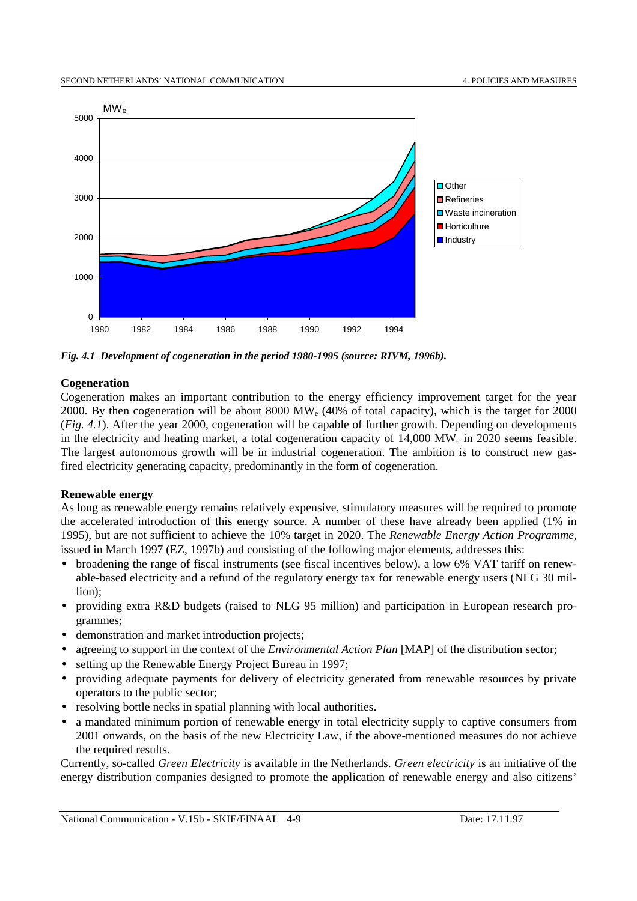

*Fig. 4.1 Development of cogeneration in the period 1980-1995 (source: RIVM, 1996b).*

## **Cogeneration**

Cogeneration makes an important contribution to the energy efficiency improvement target for the year 2000. By then cogeneration will be about 8000 MWe (40% of total capacity), which is the target for 2000 (*Fig. 4.1*). After the year 2000, cogeneration will be capable of further growth. Depending on developments in the electricity and heating market, a total cogeneration capacity of 14,000 MW<sub>e</sub> in 2020 seems feasible. The largest autonomous growth will be in industrial cogeneration. The ambition is to construct new gasfired electricity generating capacity, predominantly in the form of cogeneration.

## **Renewable energy**

As long as renewable energy remains relatively expensive, stimulatory measures will be required to promote the accelerated introduction of this energy source. A number of these have already been applied (1% in 1995), but are not sufficient to achieve the 10% target in 2020. The *Renewable Energy Action Programme,* issued in March 1997 (EZ, 1997b) and consisting of the following major elements, addresses this:

- broadening the range of fiscal instruments (see fiscal incentives below), a low 6% VAT tariff on renewable-based electricity and a refund of the regulatory energy tax for renewable energy users (NLG 30 million);
- providing extra R&D budgets (raised to NLG 95 million) and participation in European research programmes;
- demonstration and market introduction projects;
- agreeing to support in the context of the *Environmental Action Plan* [MAP] of the distribution sector;
- setting up the Renewable Energy Project Bureau in 1997;
- providing adequate payments for delivery of electricity generated from renewable resources by private operators to the public sector;
- resolving bottle necks in spatial planning with local authorities.
- a mandated minimum portion of renewable energy in total electricity supply to captive consumers from 2001 onwards, on the basis of the new Electricity Law, if the above-mentioned measures do not achieve the required results.

Currently, so-called *Green Electricity* is available in the Netherlands. *Green electricity* is an initiative of the energy distribution companies designed to promote the application of renewable energy and also citizens'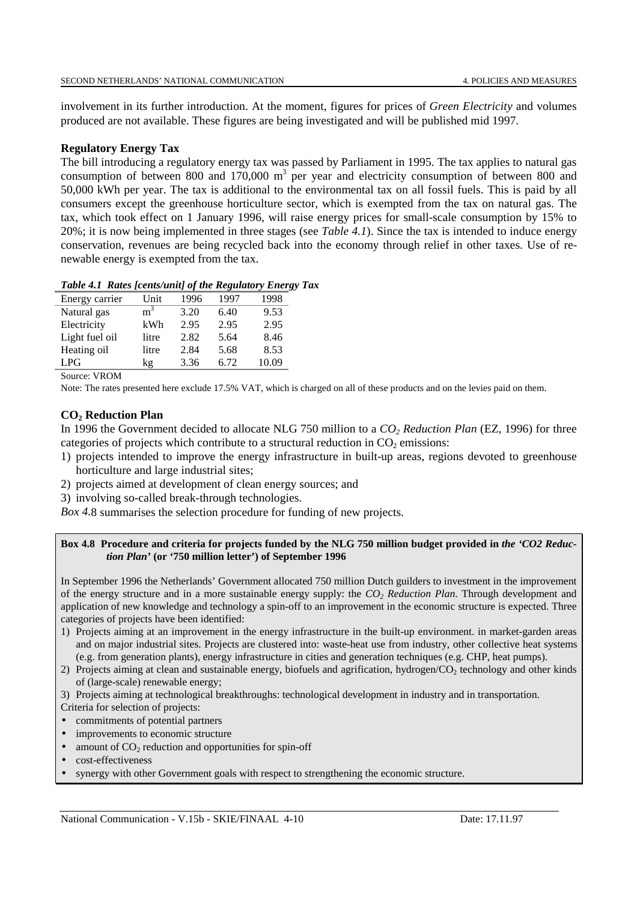SECOND NETHERLANDS' NATIONAL COMMUNICATION 4. POLICIES AND MEASURES

involvement in its further introduction. At the moment, figures for prices of *Green Electricity* and volumes produced are not available. These figures are being investigated and will be published mid 1997.

## **Regulatory Energy Tax**

The bill introducing a regulatory energy tax was passed by Parliament in 1995. The tax applies to natural gas consumption of between 800 and 170,000  $m<sup>3</sup>$  per year and electricity consumption of between 800 and 50,000 kWh per year. The tax is additional to the environmental tax on all fossil fuels. This is paid by all consumers except the greenhouse horticulture sector, which is exempted from the tax on natural gas. The tax, which took effect on 1 January 1996, will raise energy prices for small-scale consumption by 15% to 20%; it is now being implemented in three stages (see *Table 4.1*). Since the tax is intended to induce energy conservation, revenues are being recycled back into the economy through relief in other taxes. Use of renewable energy is exempted from the tax.

| Table 4.1 Rates [cents/unit] of the Regulatory Energy Tax |  |  |
|-----------------------------------------------------------|--|--|
|                                                           |  |  |

| Energy carrier | Unit           | 1996 | 1997 | 1998  |
|----------------|----------------|------|------|-------|
| Natural gas    | m <sup>3</sup> | 3.20 | 6.40 | 9.53  |
| Electricity    | kWh            | 2.95 | 2.95 | 2.95  |
| Light fuel oil | litre          | 2.82 | 5.64 | 8.46  |
| Heating oil    | litre          | 2.84 | 5.68 | 8.53  |
| LPG            | kg             | 3.36 | 6.72 | 10.09 |

Source: VROM

Note: The rates presented here exclude 17.5% VAT, which is charged on all of these products and on the levies paid on them.

## **CO2 Reduction Plan**

In 1996 the Government decided to allocate NLG 750 million to a *CO<sub>2</sub> Reduction Plan* (EZ, 1996) for three categories of projects which contribute to a structural reduction in  $CO<sub>2</sub>$  emissions:

- 1) projects intended to improve the energy infrastructure in built-up areas, regions devoted to greenhouse horticulture and large industrial sites;
- 2) projects aimed at development of clean energy sources; and
- 3) involving so-called break-through technologies.

*Box 4.*8 summarises the selection procedure for funding of new projects.

### Box 4.8 Procedure and criteria for projects funded by the NLG 750 million budget provided in *the 'CO2 Reduction Plan'* **(or '750 million letter') of September 1996**

In September 1996 the Netherlands' Government allocated 750 million Dutch guilders to investment in the improvement of the energy structure and in a more sustainable energy supply: the *CO2 Reduction Plan*. Through development and application of new knowledge and technology a spin-off to an improvement in the economic structure is expected. Three categories of projects have been identified:

- 1) Projects aiming at an improvement in the energy infrastructure in the built-up environment. in market-garden areas and on major industrial sites. Projects are clustered into: waste-heat use from industry, other collective heat systems (e.g. from generation plants), energy infrastructure in cities and generation techniques (e.g. CHP, heat pumps).
- 2) Projects aiming at clean and sustainable energy, biofuels and agrification, hydrogen/CO<sub>2</sub> technology and other kinds of (large-scale) renewable energy;
- 3) Projects aiming at technological breakthroughs: technological development in industry and in transportation.
- Criteria for selection of projects:
- commitments of potential partners
- improvements to economic structure
- amount of  $CO<sub>2</sub>$  reduction and opportunities for spin-off
- cost-effectiveness
- synergy with other Government goals with respect to strengthening the economic structure.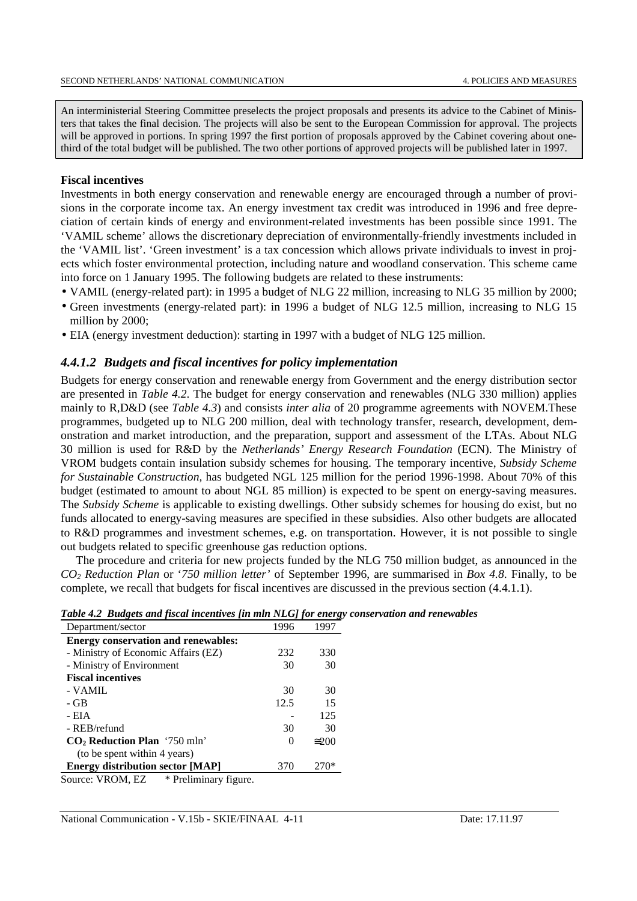An interministerial Steering Committee preselects the project proposals and presents its advice to the Cabinet of Ministers that takes the final decision. The projects will also be sent to the European Commission for approval. The projects will be approved in portions. In spring 1997 the first portion of proposals approved by the Cabinet covering about onethird of the total budget will be published. The two other portions of approved projects will be published later in 1997.

## **Fiscal incentives**

Investments in both energy conservation and renewable energy are encouraged through a number of provisions in the corporate income tax. An energy investment tax credit was introduced in 1996 and free depreciation of certain kinds of energy and environment-related investments has been possible since 1991. The 'VAMIL scheme' allows the discretionary depreciation of environmentally-friendly investments included in the 'VAMIL list'. 'Green investment' is a tax concession which allows private individuals to invest in projects which foster environmental protection, including nature and woodland conservation. This scheme came into force on 1 January 1995. The following budgets are related to these instruments:

- VAMIL (energy-related part): in 1995 a budget of NLG 22 million, increasing to NLG 35 million by 2000;
- Green investments (energy-related part): in 1996 a budget of NLG 12.5 million, increasing to NLG 15 million by 2000;
- EIA (energy investment deduction): starting in 1997 with a budget of NLG 125 million.

### *4.4.1.2 Budgets and fiscal incentives for policy implementation*

Budgets for energy conservation and renewable energy from Government and the energy distribution sector are presented in *Table 4.2*. The budget for energy conservation and renewables (NLG 330 million) applies mainly to R,D&D (see *Table 4.3*) and consists *inter alia* of 20 programme agreements with NOVEM.These programmes, budgeted up to NLG 200 million, deal with technology transfer, research, development, demonstration and market introduction, and the preparation, support and assessment of the LTAs. About NLG 30 million is used for R&D by the *Netherlands' Energy Research Foundation* (ECN). The Ministry of VROM budgets contain insulation subsidy schemes for housing. The temporary incentive, *Subsidy Scheme for Sustainable Construction,* has budgeted NGL 125 million for the period 1996-1998. About 70% of this budget (estimated to amount to about NGL 85 million) is expected to be spent on energy-saving measures. The *Subsidy Scheme* is applicable to existing dwellings. Other subsidy schemes for housing do exist, but no funds allocated to energy-saving measures are specified in these subsidies. Also other budgets are allocated to R&D programmes and investment schemes, e.g. on transportation. However, it is not possible to single out budgets related to specific greenhouse gas reduction options.

The procedure and criteria for new projects funded by the NLG 750 million budget, as announced in the *CO2 Reduction Plan* or '*750 million letter'* of September 1996, are summarised in *Box 4.8*. Finally, to be complete, we recall that budgets for fiscal incentives are discussed in the previous section (4.4.1.1).

| Department/sector                          | 1996     | 1997          |
|--------------------------------------------|----------|---------------|
| <b>Energy conservation and renewables:</b> |          |               |
| - Ministry of Economic Affairs (EZ)        | 232      | 330           |
| - Ministry of Environment                  | 30       | 30            |
| <b>Fiscal incentives</b>                   |          |               |
| - VAMIL                                    | 30       | 30            |
| - GB                                       | 12.5     | 15            |
| - EIA                                      |          | 125           |
| - REB/refund                               | 30       | 30            |
| $CO2$ Reduction Plan '750 mln'             | $\theta$ | $\approx 200$ |
| (to be spent within 4 years)               |          |               |
| <b>Energy distribution sector [MAP]</b>    | 370      | 270*          |
| $\mathbf{v}$                               |          |               |

|  |  |  |  |  | Table 4.2 Budgets and fiscal incentives [in mln NLG] for energy conservation and renewables |  |
|--|--|--|--|--|---------------------------------------------------------------------------------------------|--|
|--|--|--|--|--|---------------------------------------------------------------------------------------------|--|

Source: VROM, EZ \* Preliminary figure.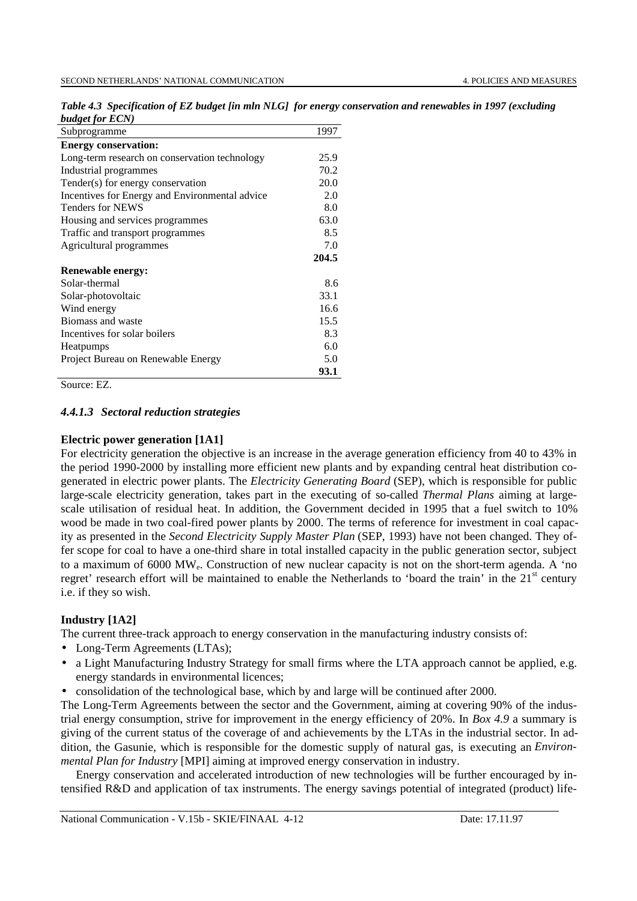| Subprogramme                                   | 1997  |
|------------------------------------------------|-------|
| <b>Energy conservation:</b>                    |       |
| Long-term research on conservation technology  | 25.9  |
| Industrial programmes                          | 70.2  |
| Tender(s) for energy conservation              | 20.0  |
| Incentives for Energy and Environmental advice | 2.0   |
| <b>Tenders for NEWS</b>                        | 8.0   |
| Housing and services programmes                | 63.0  |
| Traffic and transport programmes               | 8.5   |
| Agricultural programmes                        | 7.0   |
|                                                |       |
|                                                | 204.5 |
| <b>Renewable energy:</b>                       |       |
| Solar-thermal                                  | 8.6   |
| Solar-photovoltaic                             | 33.1  |
| Wind energy                                    | 16.6  |
| Biomass and waste                              | 15.5  |
| Incentives for solar boilers                   | 8.3   |
| <b>Heatpumps</b>                               | 6.0   |
| Project Bureau on Renewable Energy             | 5.0   |

*Table 4.3 Specification of EZ budget [in mln NLG] for energy conservation and renewables in 1997 (excluding budget for ECN)*

Source: EZ.

## *4.4.1.3 Sectoral reduction strategies*

## **Electric power generation [1A1]**

For electricity generation the objective is an increase in the average generation efficiency from 40 to 43% in the period 1990-2000 by installing more efficient new plants and by expanding central heat distribution cogenerated in electric power plants. The *Electricity Generating Board* (SEP), which is responsible for public large-scale electricity generation, takes part in the executing of so-called *Thermal Plans* aiming at largescale utilisation of residual heat. In addition, the Government decided in 1995 that a fuel switch to 10% wood be made in two coal-fired power plants by 2000. The terms of reference for investment in coal capacity as presented in the *Second Electricity Supply Master Plan* (SEP, 1993) have not been changed. They offer scope for coal to have a one-third share in total installed capacity in the public generation sector, subject to a maximum of 6000 MWe. Construction of new nuclear capacity is not on the short-term agenda. A 'no regret' research effort will be maintained to enable the Netherlands to 'board the train' in the 21<sup>st</sup> century i.e. if they so wish.

## **Industry [1A2]**

The current three-track approach to energy conservation in the manufacturing industry consists of:

- Long-Term Agreements (LTAs);
- a Light Manufacturing Industry Strategy for small firms where the LTA approach cannot be applied, e.g. energy standards in environmental licences;
- consolidation of the technological base, which by and large will be continued after 2000.

The Long-Term Agreements between the sector and the Government, aiming at covering 90% of the industrial energy consumption, strive for improvement in the energy efficiency of 20%. In *Box 4.9* a summary is giving of the current status of the coverage of and achievements by the LTAs in the industrial sector. In addition, the Gasunie, which is responsible for the domestic supply of natural gas, is executing an *Environmental Plan for Industry* [MPI] aiming at improved energy conservation in industry.

Energy conservation and accelerated introduction of new technologies will be further encouraged by intensified R&D and application of tax instruments. The energy savings potential of integrated (product) life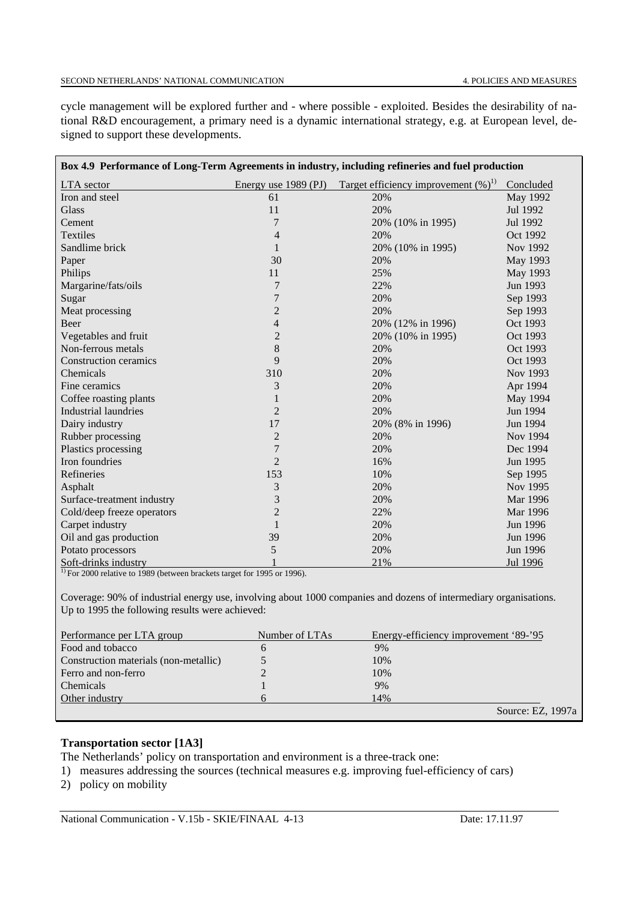cycle management will be explored further and - where possible - exploited. Besides the desirability of national R&D encouragement, a primary need is a dynamic international strategy, e.g. at European level, designed to support these developments.

| Box 4.9 Performance of Long-Term Agreements in industry, including refineries and fuel production |                |                                                             |           |
|---------------------------------------------------------------------------------------------------|----------------|-------------------------------------------------------------|-----------|
| <b>LTA</b> sector                                                                                 |                | Energy use 1989 (PJ) Target efficiency improvement $(\%)^1$ | Concluded |
| Iron and steel                                                                                    | 61             | 20%                                                         | May 1992  |
| Glass                                                                                             | 11             | 20%                                                         | Jul 1992  |
| Cement                                                                                            | 7              | 20% (10% in 1995)                                           | Jul 1992  |
| <b>Textiles</b>                                                                                   | $\overline{4}$ | 20%                                                         | Oct 1992  |
| Sandlime brick                                                                                    | $\mathbf{1}$   | 20% (10% in 1995)                                           | Nov 1992  |
| Paper                                                                                             | 30             | 20%                                                         | May 1993  |
| Philips                                                                                           | 11             | 25%                                                         | May 1993  |
| Margarine/fats/oils                                                                               | 7              | 22%                                                         | Jun 1993  |
| Sugar                                                                                             | 7              | 20%                                                         | Sep 1993  |
| Meat processing                                                                                   | $\overline{c}$ | 20%                                                         | Sep 1993  |
| Beer                                                                                              | $\overline{4}$ | 20% (12% in 1996)                                           | Oct 1993  |
| Vegetables and fruit                                                                              | $\overline{c}$ | 20% (10% in 1995)                                           | Oct 1993  |
| Non-ferrous metals                                                                                | 8              | 20%                                                         | Oct 1993  |
| <b>Construction ceramics</b>                                                                      | 9              | 20%                                                         | Oct 1993  |
| Chemicals                                                                                         | 310            | 20%                                                         | Nov 1993  |
| Fine ceramics                                                                                     | 3              | 20%                                                         | Apr 1994  |
| Coffee roasting plants                                                                            | 1              | 20%                                                         | May 1994  |
| <b>Industrial laundries</b>                                                                       | $\overline{2}$ | 20%                                                         | Jun 1994  |
| Dairy industry                                                                                    | 17             | 20% (8% in 1996)                                            | Jun 1994  |
| Rubber processing                                                                                 | $\overline{2}$ | 20%                                                         | Nov 1994  |
| Plastics processing                                                                               | $\overline{7}$ | 20%                                                         | Dec 1994  |
| Iron foundries                                                                                    | $\overline{2}$ | 16%                                                         | Jun 1995  |
| Refineries                                                                                        | 153            | 10%                                                         | Sep 1995  |
| Asphalt                                                                                           | 3              | 20%                                                         | Nov 1995  |
| Surface-treatment industry                                                                        | 3              | 20%                                                         | Mar 1996  |
| Cold/deep freeze operators                                                                        | $\overline{2}$ | 22%                                                         | Mar 1996  |
| Carpet industry                                                                                   | $\mathbf{1}$   | 20%                                                         | Jun 1996  |
| Oil and gas production                                                                            | 39             | 20%                                                         | Jun 1996  |
| Potato processors                                                                                 | 5              | 20%                                                         | Jun 1996  |
| Soft-drinks industry                                                                              |                | 21%                                                         | Jul 1996  |

<sup>1)</sup> For 2000 relative to 1989 (between brackets target for 1995 or 1996).

Coverage: 90% of industrial energy use, involving about 1000 companies and dozens of intermediary organisations. Up to 1995 the following results were achieved:

| Performance per LTA group             | Number of LTAs | Energy-efficiency improvement '89-'95 |
|---------------------------------------|----------------|---------------------------------------|
| Food and tobacco                      |                | 9%                                    |
| Construction materials (non-metallic) |                | 10%                                   |
| Ferro and non-ferro                   |                | 10%                                   |
| Chemicals                             |                | 9%                                    |
| Other industry                        |                | 14%                                   |
|                                       |                | Source: EZ, 1997a                     |

## **Transportation sector [1A3]**

The Netherlands' policy on transportation and environment is a three-track one:

1) measures addressing the sources (technical measures e.g. improving fuel-efficiency of cars)

2) policy on mobility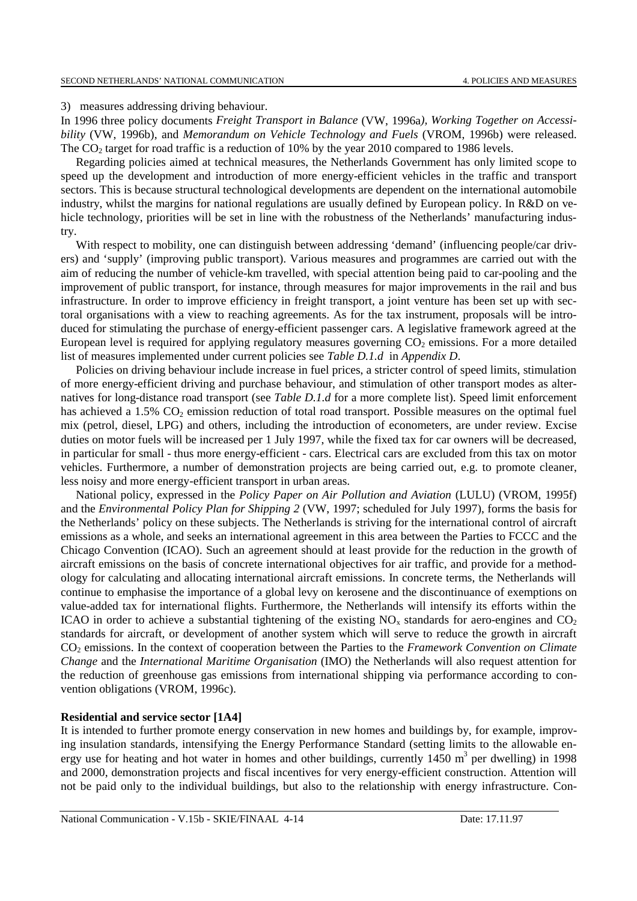3) measures addressing driving behaviour.

In 1996 three policy documents *Freight Transport in Balance* (VW, 1996a*), Working Together on Accessibility* (VW, 1996b), and *Memorandum on Vehicle Technology and Fuels* (VROM, 1996b) were released. The  $CO<sub>2</sub>$  target for road traffic is a reduction of 10% by the year 2010 compared to 1986 levels.

Regarding policies aimed at technical measures, the Netherlands Government has only limited scope to speed up the development and introduction of more energy-efficient vehicles in the traffic and transport sectors. This is because structural technological developments are dependent on the international automobile industry, whilst the margins for national regulations are usually defined by European policy. In R&D on vehicle technology, priorities will be set in line with the robustness of the Netherlands' manufacturing industry.

With respect to mobility, one can distinguish between addressing 'demand' (influencing people/car drivers) and 'supply' (improving public transport). Various measures and programmes are carried out with the aim of reducing the number of vehicle-km travelled, with special attention being paid to car-pooling and the improvement of public transport, for instance, through measures for major improvements in the rail and bus infrastructure. In order to improve efficiency in freight transport, a joint venture has been set up with sectoral organisations with a view to reaching agreements. As for the tax instrument, proposals will be introduced for stimulating the purchase of energy-efficient passenger cars. A legislative framework agreed at the European level is required for applying regulatory measures governing  $CO<sub>2</sub>$  emissions. For a more detailed list of measures implemented under current policies see *Table D.1.d* in *Appendix D*.

Policies on driving behaviour include increase in fuel prices, a stricter control of speed limits, stimulation of more energy-efficient driving and purchase behaviour, and stimulation of other transport modes as alternatives for long-distance road transport (see *Table D.1.d* for a more complete list). Speed limit enforcement has achieved a 1.5%  $CO<sub>2</sub>$  emission reduction of total road transport. Possible measures on the optimal fuel mix (petrol, diesel, LPG) and others, including the introduction of econometers, are under review. Excise duties on motor fuels will be increased per 1 July 1997, while the fixed tax for car owners will be decreased, in particular for small - thus more energy-efficient - cars. Electrical cars are excluded from this tax on motor vehicles. Furthermore, a number of demonstration projects are being carried out, e.g. to promote cleaner, less noisy and more energy-efficient transport in urban areas.

National policy, expressed in the *Policy Paper on Air Pollution and Aviation* (LULU) (VROM, 1995f) and the *Environmental Policy Plan for Shipping 2* (VW, 1997; scheduled for July 1997), forms the basis for the Netherlands' policy on these subjects. The Netherlands is striving for the international control of aircraft emissions as a whole, and seeks an international agreement in this area between the Parties to FCCC and the Chicago Convention (ICAO). Such an agreement should at least provide for the reduction in the growth of aircraft emissions on the basis of concrete international objectives for air traffic, and provide for a methodology for calculating and allocating international aircraft emissions. In concrete terms, the Netherlands will continue to emphasise the importance of a global levy on kerosene and the discontinuance of exemptions on value-added tax for international flights. Furthermore, the Netherlands will intensify its efforts within the ICAO in order to achieve a substantial tightening of the existing  $NO<sub>x</sub>$  standards for aero-engines and  $CO<sub>2</sub>$ standards for aircraft, or development of another system which will serve to reduce the growth in aircraft CO2 emissions. In the context of cooperation between the Parties to the *Framework Convention on Climate Change* and the *International Maritime Organisation* (IMO) the Netherlands will also request attention for the reduction of greenhouse gas emissions from international shipping via performance according to convention obligations (VROM, 1996c).

### **Residential and service sector [1A4]**

It is intended to further promote energy conservation in new homes and buildings by, for example, improving insulation standards, intensifying the Energy Performance Standard (setting limits to the allowable energy use for heating and hot water in homes and other buildings, currently  $1450 \text{ m}^3$  per dwelling) in 1998 and 2000, demonstration projects and fiscal incentives for very energy-efficient construction. Attention will not be paid only to the individual buildings, but also to the relationship with energy infrastructure. Con-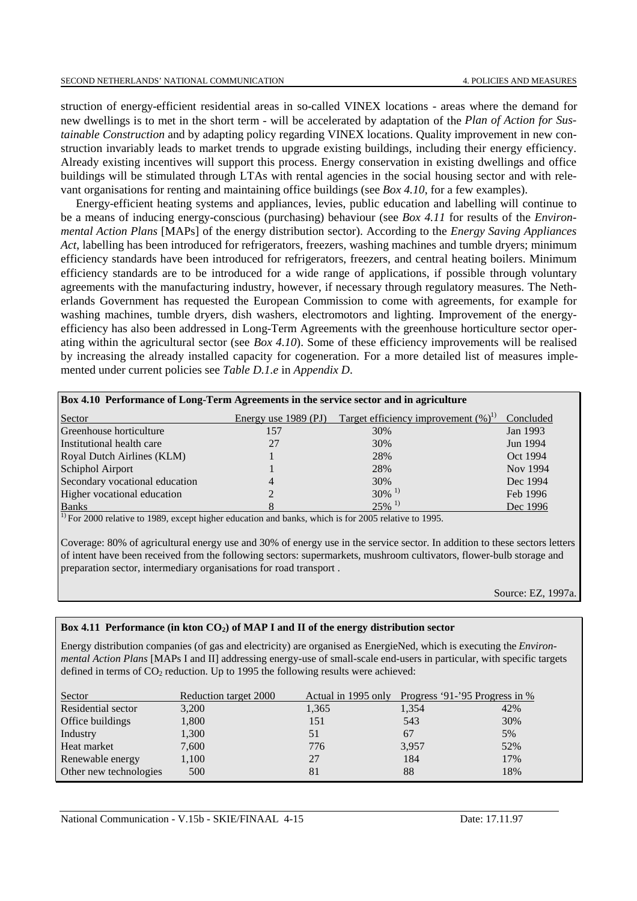struction of energy-efficient residential areas in so-called VINEX locations - areas where the demand for new dwellings is to met in the short term - will be accelerated by adaptation of the *Plan of Action for Sustainable Construction* and by adapting policy regarding VINEX locations. Quality improvement in new construction invariably leads to market trends to upgrade existing buildings, including their energy efficiency. Already existing incentives will support this process. Energy conservation in existing dwellings and office buildings will be stimulated through LTAs with rental agencies in the social housing sector and with relevant organisations for renting and maintaining office buildings (see *Box 4.10*, for a few examples).

Energy-efficient heating systems and appliances, levies, public education and labelling will continue to be a means of inducing energy-conscious (purchasing) behaviour (see *Box 4.11* for results of the *Environmental Action Plans* [MAPs] of the energy distribution sector). According to the *Energy Saving Appliances Act*, labelling has been introduced for refrigerators, freezers, washing machines and tumble dryers; minimum efficiency standards have been introduced for refrigerators, freezers, and central heating boilers. Minimum efficiency standards are to be introduced for a wide range of applications, if possible through voluntary agreements with the manufacturing industry, however, if necessary through regulatory measures. The Netherlands Government has requested the European Commission to come with agreements, for example for washing machines, tumble dryers, dish washers, electromotors and lighting. Improvement of the energyefficiency has also been addressed in Long-Term Agreements with the greenhouse horticulture sector operating within the agricultural sector (see *Box 4.10*). Some of these efficiency improvements will be realised by increasing the already installed capacity for cogeneration. For a more detailed list of measures implemented under current policies see *Table D.1.e* in *Appendix D*.

| Box 4.10 Performance of Long-Term Agreements in the service sector and in agriculture |                        |                                        |           |  |  |  |  |
|---------------------------------------------------------------------------------------|------------------------|----------------------------------------|-----------|--|--|--|--|
| Sector                                                                                | Energy use $1989$ (PJ) | Target efficiency improvement $(\%)^1$ | Concluded |  |  |  |  |
| Greenhouse horticulture                                                               | 157                    | 30%                                    | Jan 1993  |  |  |  |  |
| Institutional health care                                                             | 27                     | 30%                                    | Jun 1994  |  |  |  |  |
| Royal Dutch Airlines (KLM)                                                            |                        | 28%                                    | Oct 1994  |  |  |  |  |
| Schiphol Airport                                                                      |                        | 28%                                    | Nov 1994  |  |  |  |  |
| Secondary vocational education                                                        | 4                      | 30%                                    | Dec 1994  |  |  |  |  |
| Higher vocational education                                                           |                        | $30\%$ <sup>1)</sup>                   | Feb 1996  |  |  |  |  |
| <b>Banks</b>                                                                          |                        | $25\%$ <sup>1)</sup>                   | Dec 1996  |  |  |  |  |

 $<sup>1</sup>$  For 2000 relative to 1989, except higher education and banks, which is for 2005 relative to 1995.</sup>

Coverage: 80% of agricultural energy use and 30% of energy use in the service sector. In addition to these sectors letters of intent have been received from the following sectors: supermarkets, mushroom cultivators, flower-bulb storage and preparation sector, intermediary organisations for road transport .

Source: EZ, 1997a.

#### Box 4.11 Performance (in kton CO<sub>2</sub>) of MAP I and II of the energy distribution sector

Energy distribution companies (of gas and electricity) are organised as EnergieNed, which is executing the *Environmental Action Plans* [MAPs I and II] addressing energy-use of small-scale end-users in particular, with specific targets defined in terms of  $CO_2$  reduction. Up to 1995 the following results were achieved:

| Sector                 | Reduction target 2000 | Actual in 1995 only | Progress '91-'95 Progress in % |     |
|------------------------|-----------------------|---------------------|--------------------------------|-----|
| Residential sector     | 3,200                 | 1,365               | 1,354                          | 42% |
| Office buildings       | 1,800                 | 151                 | 543                            | 30% |
| Industry               | 1,300                 | 51                  | 67                             | 5%  |
| Heat market            | 7,600                 | 776                 | 3,957                          | 52% |
| Renewable energy       | 1,100                 | 27                  | 184                            | 17% |
| Other new technologies | 500                   | 81                  | 88                             | 18% |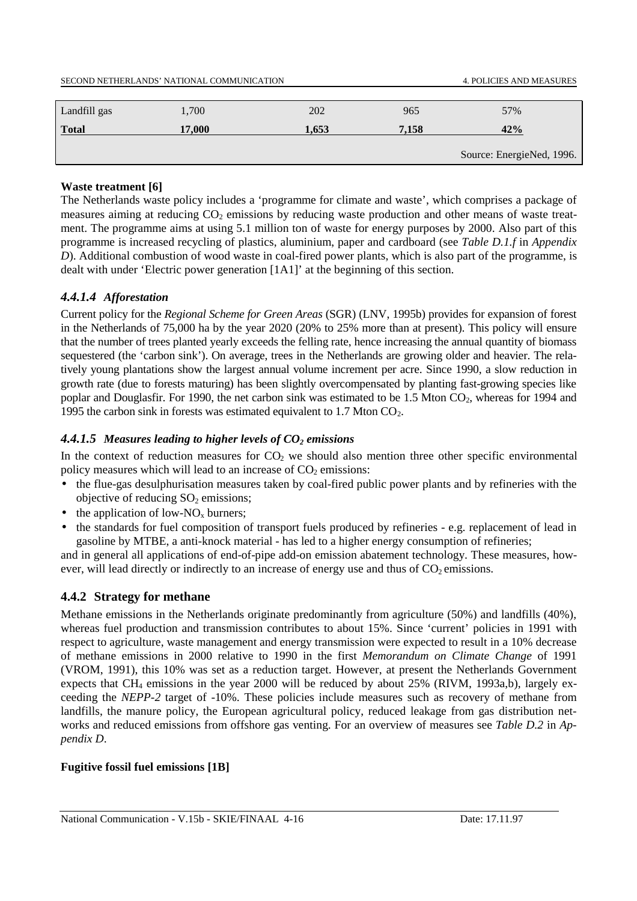| SECOND NETHERLANDS' NATIONAL COMMUNICATION |        |       |       | <b>4. POLICIES AND MEASURES</b> |
|--------------------------------------------|--------|-------|-------|---------------------------------|
|                                            |        |       |       |                                 |
| Landfill gas                               | 1.700  | 202   | 965   | 57%                             |
| <b>Total</b>                               | 17,000 | 1.653 | 7.158 | 42%                             |
|                                            |        |       |       |                                 |
|                                            |        |       |       | Source: EnergieNed, 1996.       |

## **Waste treatment [6]**

The Netherlands waste policy includes a 'programme for climate and waste', which comprises a package of measures aiming at reducing CO<sub>2</sub> emissions by reducing waste production and other means of waste treatment. The programme aims at using 5.1 million ton of waste for energy purposes by 2000. Also part of this programme is increased recycling of plastics, aluminium, paper and cardboard (see *Table D.1.f* in *Appendix D*). Additional combustion of wood waste in coal-fired power plants, which is also part of the programme, is dealt with under 'Electric power generation [1A1]' at the beginning of this section.

## *4.4.1.4 Afforestation*

Current policy for the *Regional Scheme for Green Areas* (SGR) (LNV, 1995b) provides for expansion of forest in the Netherlands of 75,000 ha by the year 2020 (20% to 25% more than at present). This policy will ensure that the number of trees planted yearly exceeds the felling rate, hence increasing the annual quantity of biomass sequestered (the 'carbon sink'). On average, trees in the Netherlands are growing older and heavier. The relatively young plantations show the largest annual volume increment per acre. Since 1990, a slow reduction in growth rate (due to forests maturing) has been slightly overcompensated by planting fast-growing species like poplar and Douglasfir. For 1990, the net carbon sink was estimated to be 1.5 Mton  $CO_2$ , whereas for 1994 and 1995 the carbon sink in forests was estimated equivalent to 1.7 Mton  $CO<sub>2</sub>$ .

## 4.4.1.5 Measures leading to higher levels of  $CO<sub>2</sub>$  emissions

In the context of reduction measures for  $CO<sub>2</sub>$  we should also mention three other specific environmental policy measures which will lead to an increase of  $CO<sub>2</sub>$  emissions:

- the flue-gas desulphurisation measures taken by coal-fired public power plants and by refineries with the objective of reducing  $SO<sub>2</sub>$  emissions;
- the application of low-NO<sub>x</sub> burners;
- the standards for fuel composition of transport fuels produced by refineries e.g. replacement of lead in gasoline by MTBE, a anti-knock material - has led to a higher energy consumption of refineries;

and in general all applications of end-of-pipe add-on emission abatement technology. These measures, however, will lead directly or indirectly to an increase of energy use and thus of  $CO<sub>2</sub>$  emissions.

## **4.4.2 Strategy for methane**

Methane emissions in the Netherlands originate predominantly from agriculture (50%) and landfills (40%), whereas fuel production and transmission contributes to about 15%. Since 'current' policies in 1991 with respect to agriculture, waste management and energy transmission were expected to result in a 10% decrease of methane emissions in 2000 relative to 1990 in the first *Memorandum on Climate Change* of 1991 (VROM, 1991), this 10% was set as a reduction target. However, at present the Netherlands Government expects that CH4 emissions in the year 2000 will be reduced by about 25% (RIVM, 1993a,b), largely exceeding the *NEPP-2* target of -10%. These policies include measures such as recovery of methane from landfills, the manure policy, the European agricultural policy, reduced leakage from gas distribution networks and reduced emissions from offshore gas venting. For an overview of measures see *Table D.2* in *Appendix D*.

## **Fugitive fossil fuel emissions [1B]**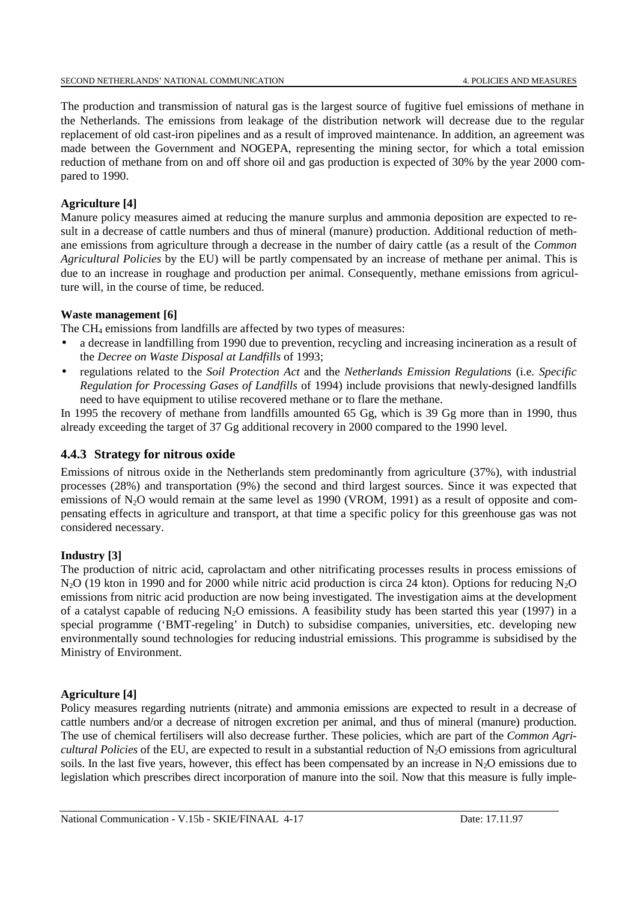The production and transmission of natural gas is the largest source of fugitive fuel emissions of methane in the Netherlands. The emissions from leakage of the distribution network will decrease due to the regular replacement of old cast-iron pipelines and as a result of improved maintenance. In addition, an agreement was made between the Government and NOGEPA, representing the mining sector, for which a total emission reduction of methane from on and off shore oil and gas production is expected of 30% by the year 2000 compared to 1990.

## **Agriculture [4]**

Manure policy measures aimed at reducing the manure surplus and ammonia deposition are expected to result in a decrease of cattle numbers and thus of mineral (manure) production. Additional reduction of methane emissions from agriculture through a decrease in the number of dairy cattle (as a result of the *Common Agricultural Policies* by the EU) will be partly compensated by an increase of methane per animal. This is due to an increase in roughage and production per animal. Consequently, methane emissions from agriculture will, in the course of time, be reduced.

### **Waste management [6]**

The CH4 emissions from landfills are affected by two types of measures:

- a decrease in landfilling from 1990 due to prevention, recycling and increasing incineration as a result of the *Decree on Waste Disposal at Landfills* of 1993;
- regulations related to the *Soil Protection Act* and the *Netherlands Emission Regulations* (i.e*. Specific Regulation for Processing Gases of Landfills* of 1994) include provisions that newly-designed landfills need to have equipment to utilise recovered methane or to flare the methane.

In 1995 the recovery of methane from landfills amounted 65 Gg, which is 39 Gg more than in 1990, thus already exceeding the target of 37 Gg additional recovery in 2000 compared to the 1990 level.

## **4.4.3 Strategy for nitrous oxide**

Emissions of nitrous oxide in the Netherlands stem predominantly from agriculture (37%), with industrial processes (28%) and transportation (9%) the second and third largest sources. Since it was expected that emissions of  $N_2O$  would remain at the same level as 1990 (VROM, 1991) as a result of opposite and compensating effects in agriculture and transport, at that time a specific policy for this greenhouse gas was not considered necessary.

## **Industry [3]**

The production of nitric acid, caprolactam and other nitrificating processes results in process emissions of N<sub>2</sub>O (19 kton in 1990 and for 2000 while nitric acid production is circa 24 kton). Options for reducing N<sub>2</sub>O emissions from nitric acid production are now being investigated. The investigation aims at the development of a catalyst capable of reducing  $N_2O$  emissions. A feasibility study has been started this year (1997) in a special programme ('BMT-regeling' in Dutch) to subsidise companies, universities, etc. developing new environmentally sound technologies for reducing industrial emissions. This programme is subsidised by the Ministry of Environment.

#### **Agriculture [4]**

Policy measures regarding nutrients (nitrate) and ammonia emissions are expected to result in a decrease of cattle numbers and/or a decrease of nitrogen excretion per animal, and thus of mineral (manure) production. The use of chemical fertilisers will also decrease further. These policies, which are part of the *Common Agricultural Policies* of the EU, are expected to result in a substantial reduction of  $N_2O$  emissions from agricultural soils. In the last five years, however, this effect has been compensated by an increase in  $N_2O$  emissions due to legislation which prescribes direct incorporation of manure into the soil. Now that this measure is fully imple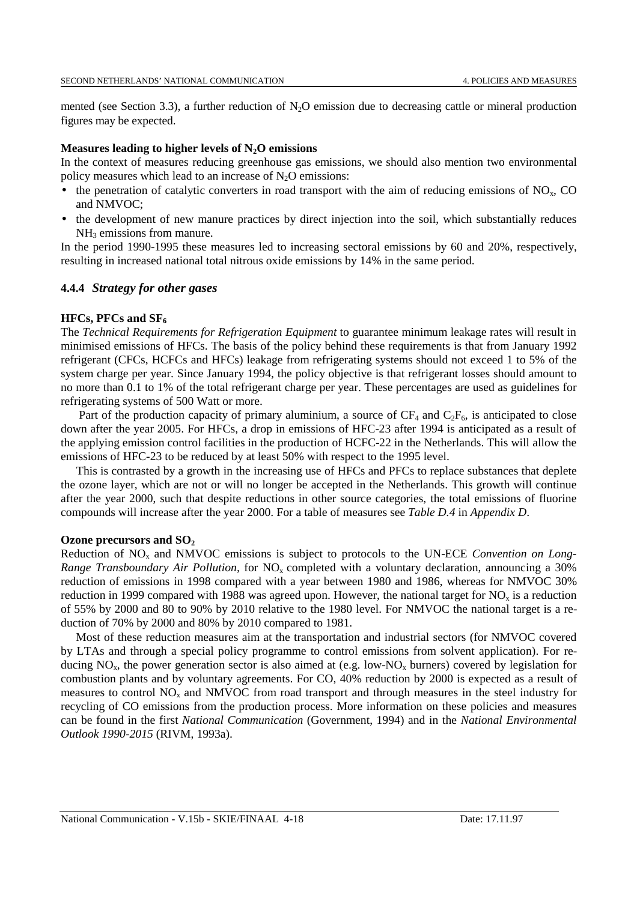mented (see Section 3.3), a further reduction of  $N_2O$  emission due to decreasing cattle or mineral production figures may be expected.

#### **Measures leading to higher levels of N2O emissions**

In the context of measures reducing greenhouse gas emissions, we should also mention two environmental policy measures which lead to an increase of  $N_2O$  emissions:

- the penetration of catalytic converters in road transport with the aim of reducing emissions of  $NO<sub>x</sub>$ , CO and NMVOC;
- the development of new manure practices by direct injection into the soil, which substantially reduces  $NH<sub>3</sub>$  emissions from manure.

In the period 1990-1995 these measures led to increasing sectoral emissions by 60 and 20%, respectively, resulting in increased national total nitrous oxide emissions by 14% in the same period.

#### **4.4.4** *Strategy for other gases*

#### **HFCs, PFCs and SF<sub>6</sub>**

The *Technical Requirements for Refrigeration Equipment* to guarantee minimum leakage rates will result in minimised emissions of HFCs. The basis of the policy behind these requirements is that from January 1992 refrigerant (CFCs, HCFCs and HFCs) leakage from refrigerating systems should not exceed 1 to 5% of the system charge per year. Since January 1994, the policy objective is that refrigerant losses should amount to no more than 0.1 to 1% of the total refrigerant charge per year. These percentages are used as guidelines for refrigerating systems of 500 Watt or more.

Part of the production capacity of primary aluminium, a source of  $CF_4$  and  $C_2F_6$ , is anticipated to close down after the year 2005. For HFCs, a drop in emissions of HFC-23 after 1994 is anticipated as a result of the applying emission control facilities in the production of HCFC-22 in the Netherlands. This will allow the emissions of HFC-23 to be reduced by at least 50% with respect to the 1995 level.

This is contrasted by a growth in the increasing use of HFCs and PFCs to replace substances that deplete the ozone layer, which are not or will no longer be accepted in the Netherlands. This growth will continue after the year 2000, such that despite reductions in other source categories, the total emissions of fluorine compounds will increase after the year 2000. For a table of measures see *Table D.4* in *Appendix D*.

#### **Ozone precursors and SO2**

Reduction of NOx and NMVOC emissions is subject to protocols to the UN-ECE *Convention on Long-Range Transboundary Air Pollution, for NO<sub>x</sub> completed with a voluntary declaration, announcing a 30%* reduction of emissions in 1998 compared with a year between 1980 and 1986, whereas for NMVOC 30% reduction in 1999 compared with 1988 was agreed upon. However, the national target for  $NO<sub>x</sub>$  is a reduction of 55% by 2000 and 80 to 90% by 2010 relative to the 1980 level. For NMVOC the national target is a reduction of 70% by 2000 and 80% by 2010 compared to 1981.

Most of these reduction measures aim at the transportation and industrial sectors (for NMVOC covered by LTAs and through a special policy programme to control emissions from solvent application). For reducing  $NO<sub>x</sub>$ , the power generation sector is also aimed at (e.g. low- $NO<sub>x</sub>$  burners) covered by legislation for combustion plants and by voluntary agreements. For CO, 40% reduction by 2000 is expected as a result of measures to control  $NO<sub>x</sub>$  and NMVOC from road transport and through measures in the steel industry for recycling of CO emissions from the production process. More information on these policies and measures can be found in the first *National Communication* (Government, 1994) and in the *National Environmental Outlook 1990-2015* (RIVM, 1993a).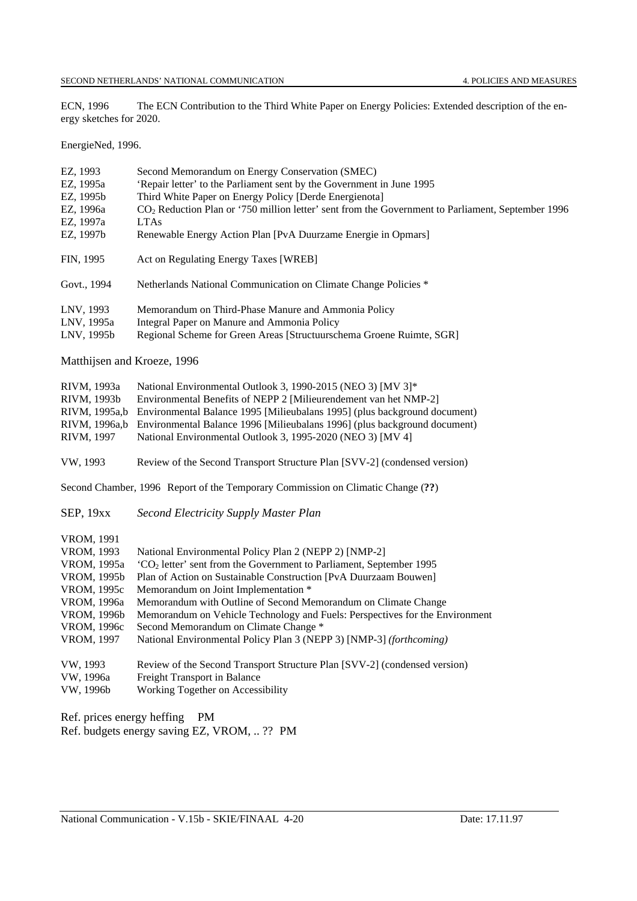ECN, 1996 The ECN Contribution to the Third White Paper on Energy Policies: Extended description of the energy sketches for 2020.

EnergieNed, 1996.

| EZ, 1993<br>EZ, 1995a<br>EZ, 1995b<br>EZ, 1996a<br>EZ, 1997a<br>EZ, 1997b                                                        | Second Memorandum on Energy Conservation (SMEC)<br>'Repair letter' to the Parliament sent by the Government in June 1995<br>Third White Paper on Energy Policy [Derde Energienota]<br>CO <sub>2</sub> Reduction Plan or '750 million letter' sent from the Government to Parliament, September 1996<br><b>LTAs</b><br>Renewable Energy Action Plan [PvA Duurzame Energie in Opmars]                                                                                                                                    |
|----------------------------------------------------------------------------------------------------------------------------------|------------------------------------------------------------------------------------------------------------------------------------------------------------------------------------------------------------------------------------------------------------------------------------------------------------------------------------------------------------------------------------------------------------------------------------------------------------------------------------------------------------------------|
| FIN, 1995                                                                                                                        | Act on Regulating Energy Taxes [WREB]                                                                                                                                                                                                                                                                                                                                                                                                                                                                                  |
| Govt., 1994                                                                                                                      | Netherlands National Communication on Climate Change Policies *                                                                                                                                                                                                                                                                                                                                                                                                                                                        |
| LNV, 1993<br>LNV, 1995a<br>LNV, 1995b                                                                                            | Memorandum on Third-Phase Manure and Ammonia Policy<br>Integral Paper on Manure and Ammonia Policy<br>Regional Scheme for Green Areas [Structuurschema Groene Ruimte, SGR]                                                                                                                                                                                                                                                                                                                                             |
| Matthijsen and Kroeze, 1996                                                                                                      |                                                                                                                                                                                                                                                                                                                                                                                                                                                                                                                        |
| RIVM, 1993a<br>RIVM, 1993b<br>RIVM, 1995a,b<br>RIVM, 1996a,b<br>RIVM, 1997                                                       | National Environmental Outlook 3, 1990-2015 (NEO 3) [MV 3]*<br>Environmental Benefits of NEPP 2 [Milieurendement van het NMP-2]<br>Environmental Balance 1995 [Milieubalans 1995] (plus background document)<br>Environmental Balance 1996 [Milieubalans 1996] (plus background document)<br>National Environmental Outlook 3, 1995-2020 (NEO 3) [MV 4]                                                                                                                                                                |
| VW, 1993                                                                                                                         | Review of the Second Transport Structure Plan [SVV-2] (condensed version)                                                                                                                                                                                                                                                                                                                                                                                                                                              |
|                                                                                                                                  | Second Chamber, 1996 Report of the Temporary Commission on Climatic Change (??)                                                                                                                                                                                                                                                                                                                                                                                                                                        |
| SEP, 19xx                                                                                                                        | Second Electricity Supply Master Plan                                                                                                                                                                                                                                                                                                                                                                                                                                                                                  |
| VROM, 1991<br>VROM, 1993<br>VROM, 1995a<br>VROM, 1995b<br>VROM, 1995c<br>VROM, 1996a<br>VROM, 1996b<br>VROM, 1996c<br>VROM, 1997 | National Environmental Policy Plan 2 (NEPP 2) [NMP-2]<br>'CO <sub>2</sub> letter' sent from the Government to Parliament, September 1995<br>Plan of Action on Sustainable Construction [PvA Duurzaam Bouwen]<br>Memorandum on Joint Implementation *<br>Memorandum with Outline of Second Memorandum on Climate Change<br>Memorandum on Vehicle Technology and Fuels: Perspectives for the Environment<br>Second Memorandum on Climate Change *<br>National Environmental Policy Plan 3 (NEPP 3) [NMP-3] (forthcoming) |
| VW, 1993<br>VW, 1996a<br>VW, 1996b                                                                                               | Review of the Second Transport Structure Plan [SVV-2] (condensed version)<br>Freight Transport in Balance<br>Working Together on Accessibility                                                                                                                                                                                                                                                                                                                                                                         |
|                                                                                                                                  | $\sim$                                                                                                                                                                                                                                                                                                                                                                                                                                                                                                                 |

Ref. prices energy heffing PM Ref. budgets energy saving EZ, VROM, .. ?? PM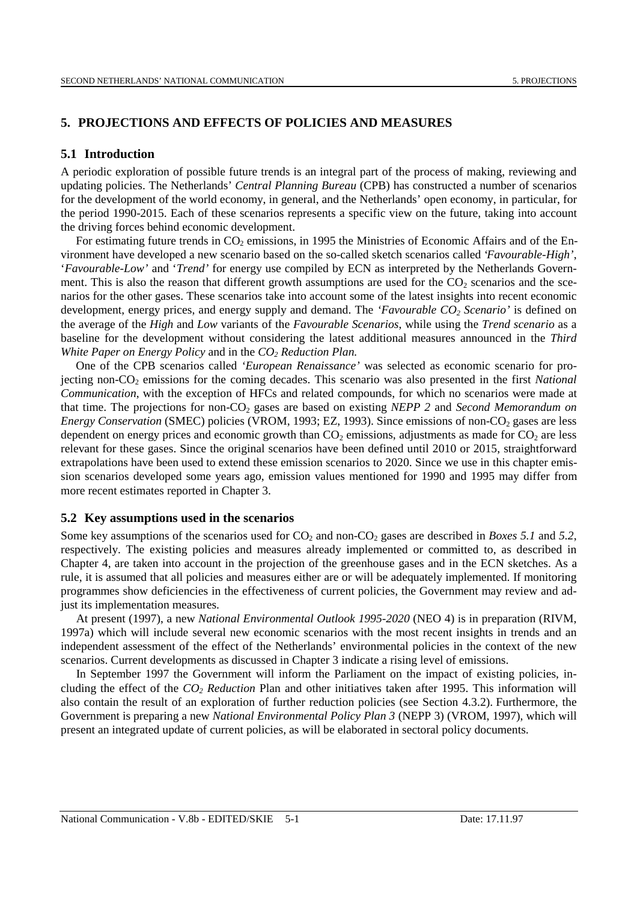#### **5. PROJECTIONS AND EFFECTS OF POLICIES AND MEASURES**

#### **5.1 Introduction**

A periodic exploration of possible future trends is an integral part of the process of making, reviewing and updating policies. The Netherlands' *Central Planning Bureau* (CPB) has constructed a number of scenarios for the development of the world economy, in general, and the Netherlands' open economy, in particular, for the period 1990-2015. Each of these scenarios represents a specific view on the future, taking into account the driving forces behind economic development.

For estimating future trends in  $CO<sub>2</sub>$  emissions, in 1995 the Ministries of Economic Affairs and of the Environment have developed a new scenario based on the so-called sketch scenarios called '*Favourable-High'*, '*Favourable-Low'* and '*Trend'* for energy use compiled by ECN as interpreted by the Netherlands Government. This is also the reason that different growth assumptions are used for the  $CO<sub>2</sub>$  scenarios and the scenarios for the other gases. These scenarios take into account some of the latest insights into recent economic development, energy prices, and energy supply and demand. The *'Favourable CO<sub>2</sub> Scenario'* is defined on the average of the *High* and *Low* variants of the *Favourable Scenarios*, while using the *Trend scenario* as a baseline for the development without considering the latest additional measures announced in the *Third White Paper on Energy Policy* and in the *CO<sub>2</sub> Reduction Plan.* 

One of the CPB scenarios called *'European Renaissance'* was selected as economic scenario for projecting non-CO<sub>2</sub> emissions for the coming decades. This scenario was also presented in the first *National Communication*, with the exception of HFCs and related compounds, for which no scenarios were made at that time. The projections for non-CO<sub>2</sub> gases are based on existing *NEPP 2* and *Second Memorandum on Energy Conservation (SMEC) policies (VROM, 1993; EZ, 1993). Since emissions of non-CO<sub>2</sub> gases are less* dependent on energy prices and economic growth than  $CO<sub>2</sub>$  emissions, adjustments as made for  $CO<sub>2</sub>$  are less relevant for these gases. Since the original scenarios have been defined until 2010 or 2015, straightforward extrapolations have been used to extend these emission scenarios to 2020. Since we use in this chapter emission scenarios developed some years ago, emission values mentioned for 1990 and 1995 may differ from more recent estimates reported in Chapter 3.

#### **5.2 Key assumptions used in the scenarios**

Some key assumptions of the scenarios used for  $CO_2$  and non- $CO_2$  gases are described in *Boxes* 5.1 and 5.2, respectively. The existing policies and measures already implemented or committed to, as described in Chapter 4, are taken into account in the projection of the greenhouse gases and in the ECN sketches. As a rule, it is assumed that all policies and measures either are or will be adequately implemented. If monitoring programmes show deficiencies in the effectiveness of current policies, the Government may review and adjust its implementation measures.

At present (1997), a new *National Environmental Outlook 1995-2020* (NEO 4) is in preparation (RIVM, 1997a) which will include several new economic scenarios with the most recent insights in trends and an independent assessment of the effect of the Netherlands' environmental policies in the context of the new scenarios. Current developments as discussed in Chapter 3 indicate a rising level of emissions.

In September 1997 the Government will inform the Parliament on the impact of existing policies, including the effect of the *CO2 Reduction* Plan and other initiatives taken after 1995. This information will also contain the result of an exploration of further reduction policies (see Section 4.3.2). Furthermore, the Government is preparing a new *National Environmental Policy Plan 3* (NEPP 3) (VROM, 1997), which will present an integrated update of current policies, as will be elaborated in sectoral policy documents.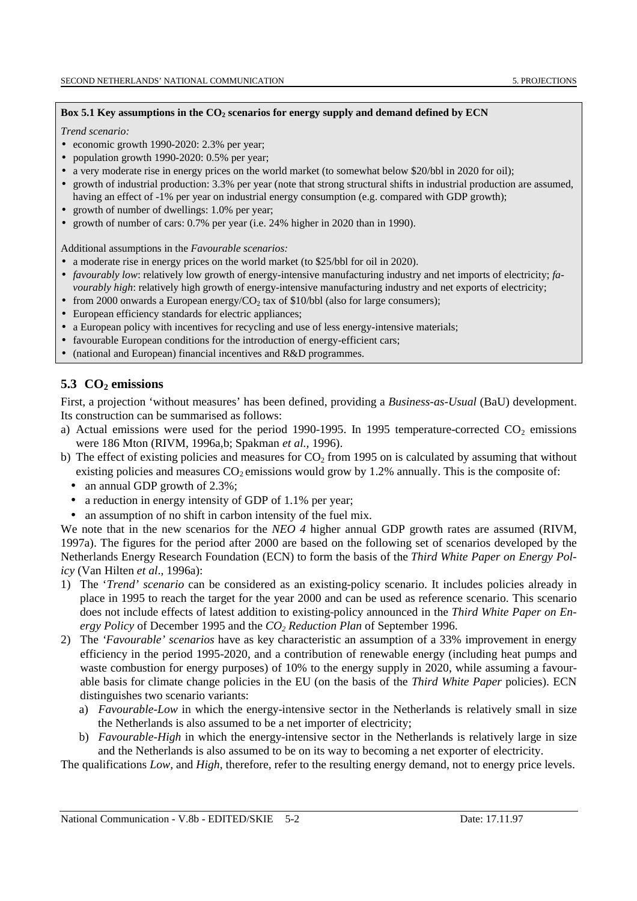#### Box 5.1 Key assumptions in the CO<sub>2</sub> scenarios for energy supply and demand defined by ECN

*Trend scenario:*

- economic growth 1990-2020: 2.3% per year;
- population growth 1990-2020: 0.5% per year;
- a very moderate rise in energy prices on the world market (to somewhat below \$20/bbl in 2020 for oil);
- growth of industrial production: 3.3% per year (note that strong structural shifts in industrial production are assumed, having an effect of -1% per year on industrial energy consumption (e.g. compared with GDP growth);
- growth of number of dwellings: 1.0% per year;
- growth of number of cars: 0.7% per year (i.e. 24% higher in 2020 than in 1990).

Additional assumptions in the *Favourable scenarios:*

- a moderate rise in energy prices on the world market (to \$25/bbl for oil in 2020).
- *favourably low*: relatively low growth of energy-intensive manufacturing industry and net imports of electricity; *favourably high*: relatively high growth of energy-intensive manufacturing industry and net exports of electricity;
- from 2000 onwards a European energy/ $CO<sub>2</sub>$  tax of \$10/bbl (also for large consumers);
- European efficiency standards for electric appliances;
- a European policy with incentives for recycling and use of less energy-intensive materials;
- favourable European conditions for the introduction of energy-efficient cars;
- (national and European) financial incentives and R&D programmes.

## 5.3 CO<sub>2</sub> emissions

First, a projection 'without measures' has been defined, providing a *Business-as-Usual* (BaU) development. Its construction can be summarised as follows:

- a) Actual emissions were used for the period 1990-1995. In 1995 temperature-corrected  $CO<sub>2</sub>$  emissions were 186 Mton (RIVM, 1996a,b; Spakman *et al.,* 1996).
- b) The effect of existing policies and measures for  $CO<sub>2</sub>$  from 1995 on is calculated by assuming that without existing policies and measures  $CO<sub>2</sub>$  emissions would grow by 1.2% annually. This is the composite of:
	- an annual GDP growth of 2.3%;
	- a reduction in energy intensity of GDP of 1.1% per year;
	- an assumption of no shift in carbon intensity of the fuel mix.

We note that in the new scenarios for the *NEO 4* higher annual GDP growth rates are assumed (RIVM, 1997a). The figures for the period after 2000 are based on the following set of scenarios developed by the Netherlands Energy Research Foundation (ECN) to form the basis of the *Third White Paper on Energy Policy* (Van Hilten *et al*., 1996a):

- 1) The '*Trend' scenario* can be considered as an existing-policy scenario. It includes policies already in place in 1995 to reach the target for the year 2000 and can be used as reference scenario. This scenario does not include effects of latest addition to existing-policy announced in the *Third White Paper on Energy Policy* of December 1995 and the *CO2 Reduction Plan* of September 1996.
- 2) The *'Favourable' scenarios* have as key characteristic an assumption of a 33% improvement in energy efficiency in the period 1995-2020, and a contribution of renewable energy (including heat pumps and waste combustion for energy purposes) of 10% to the energy supply in 2020, while assuming a favourable basis for climate change policies in the EU (on the basis of the *Third White Paper* policies). ECN distinguishes two scenario variants:
	- a) *Favourable-Low* in which the energy-intensive sector in the Netherlands is relatively small in size the Netherlands is also assumed to be a net importer of electricity;
	- b) *Favourable-High* in which the energy-intensive sector in the Netherlands is relatively large in size and the Netherlands is also assumed to be on its way to becoming a net exporter of electricity.

The qualifications *Low,* and *High*, therefore, refer to the resulting energy demand, not to energy price levels.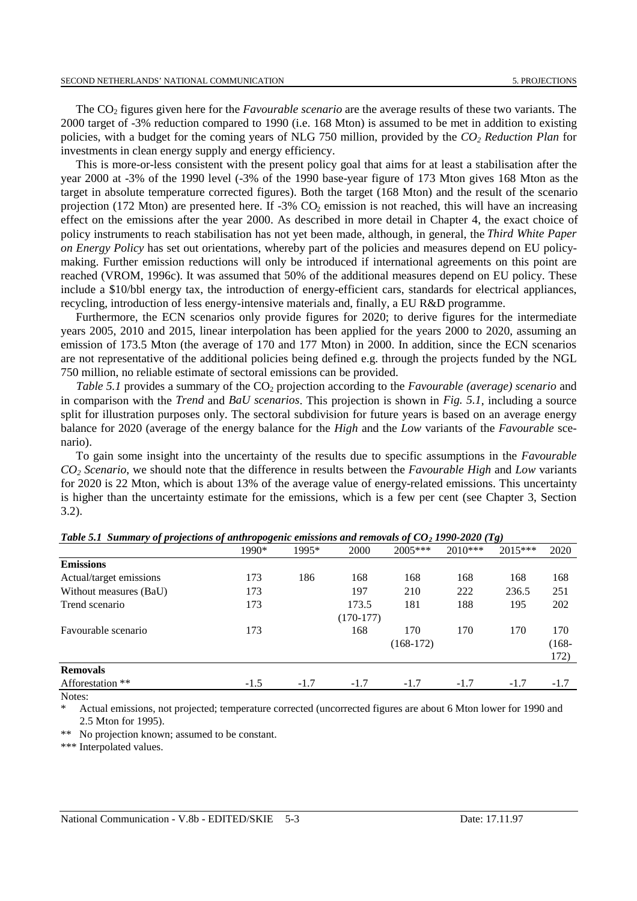The CO2 figures given here for the *Favourable scenario* are the average results of these two variants. The 2000 target of -3% reduction compared to 1990 (i.e. 168 Mton) is assumed to be met in addition to existing policies, with a budget for the coming years of NLG 750 million, provided by the *CO2 Reduction Plan* for investments in clean energy supply and energy efficiency.

This is more-or-less consistent with the present policy goal that aims for at least a stabilisation after the year 2000 at -3% of the 1990 level (-3% of the 1990 base-year figure of 173 Mton gives 168 Mton as the target in absolute temperature corrected figures). Both the target (168 Mton) and the result of the scenario projection (172 Mton) are presented here. If  $-3\%$  CO<sub>2</sub> emission is not reached, this will have an increasing effect on the emissions after the year 2000. As described in more detail in Chapter 4, the exact choice of policy instruments to reach stabilisation has not yet been made, although, in general, the *Third White Paper on Energy Policy* has set out orientations, whereby part of the policies and measures depend on EU policymaking. Further emission reductions will only be introduced if international agreements on this point are reached (VROM, 1996c). It was assumed that 50% of the additional measures depend on EU policy. These include a \$10/bbl energy tax, the introduction of energy-efficient cars, standards for electrical appliances, recycling, introduction of less energy-intensive materials and, finally, a EU R&D programme.

Furthermore, the ECN scenarios only provide figures for 2020; to derive figures for the intermediate years 2005, 2010 and 2015, linear interpolation has been applied for the years 2000 to 2020, assuming an emission of 173.5 Mton (the average of 170 and 177 Mton) in 2000. In addition, since the ECN scenarios are not representative of the additional policies being defined e.g. through the projects funded by the NGL 750 million, no reliable estimate of sectoral emissions can be provided.

*Table 5.1* provides a summary of the CO<sub>2</sub> projection according to the *Favourable (average) scenario* and in comparison with the *Trend* and *BaU scenarios*. This projection is shown in *Fig. 5.1*, including a source split for illustration purposes only. The sectoral subdivision for future years is based on an average energy balance for 2020 (average of the energy balance for the *High* and the *Low* variants of the *Favourable* scenario).

To gain some insight into the uncertainty of the results due to specific assumptions in the *Favourable CO2 Scenario*, we should note that the difference in results between the *Favourable High* and *Low* variants for 2020 is 22 Mton, which is about 13% of the average value of energy-related emissions. This uncertainty is higher than the uncertainty estimate for the emissions, which is a few per cent (see Chapter 3, Section 3.2).

|                         | 1990*  | 1995*  | 2000        | $2005***$   | $2010***$ | $2015***$ | 2020     |
|-------------------------|--------|--------|-------------|-------------|-----------|-----------|----------|
| <b>Emissions</b>        |        |        |             |             |           |           |          |
| Actual/target emissions | 173    | 186    | 168         | 168         | 168       | 168       | 168      |
| Without measures (BaU)  | 173    |        | 197         | 210         | 222       | 236.5     | 251      |
| Trend scenario          | 173    |        | 173.5       | 181         | 188       | 195       | 202      |
|                         |        |        | $(170-177)$ |             |           |           |          |
| Favourable scenario     | 173    |        | 168         | 170         | 170       | 170       | 170      |
|                         |        |        |             | $(168-172)$ |           |           | $(168 -$ |
|                         |        |        |             |             |           |           | 172)     |
| <b>Removals</b>         |        |        |             |             |           |           |          |
| Afforestation **        | $-1.5$ | $-1.7$ | $-1.7$      | $-1.7$      | $-1.7$    | $-1.7$    | $-1.7$   |
| Notes:                  |        |        |             |             |           |           |          |

*Table 5.1 Summary of projections of anthropogenic emissions and removals of CO2 1990-2020 (Tg)*

Actual emissions, not projected; temperature corrected (uncorrected figures are about 6 Mton lower for 1990 and 2.5 Mton for 1995).

\*\* No projection known; assumed to be constant.

\*\*\* Interpolated values.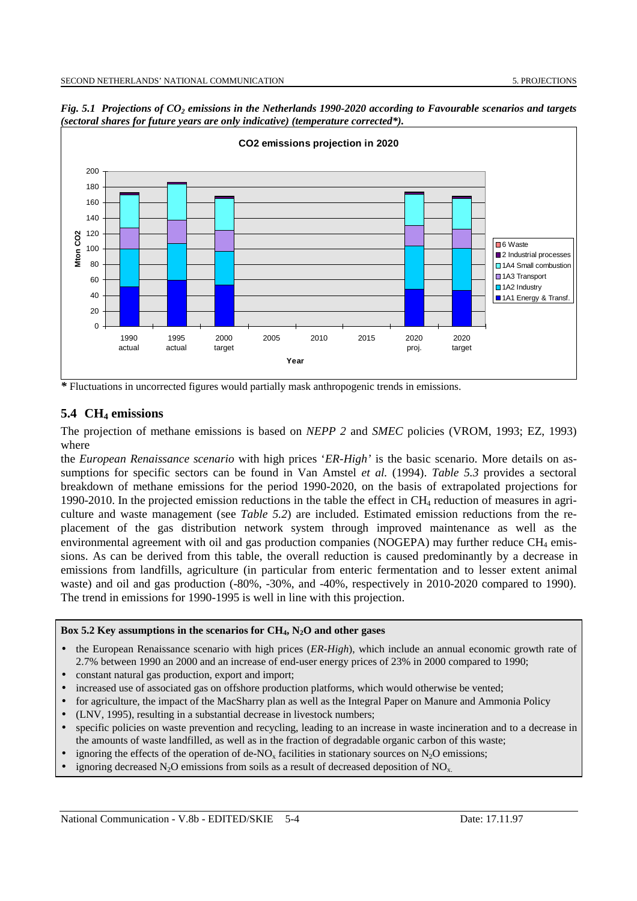

*Fig. 5.1 Projections of CO<sub>2</sub> emissions in the Netherlands 1990-2020 according to Favourable scenarios and targets (sectoral shares for future years are only indicative) (temperature corrected\*).*

*\** Fluctuations in uncorrected figures would partially mask anthropogenic trends in emissions.

## **5.4 CH4 emissions**

The projection of methane emissions is based on *NEPP 2* and *SMEC* policies (VROM, 1993; EZ, 1993) where

the *European Renaissance scenario* with high prices '*ER-High'* is the basic scenario. More details on assumptions for specific sectors can be found in Van Amstel *et al.* (1994). *Table 5.3* provides a sectoral breakdown of methane emissions for the period 1990-2020, on the basis of extrapolated projections for 1990-2010. In the projected emission reductions in the table the effect in  $CH<sub>4</sub>$  reduction of measures in agriculture and waste management (see *Table 5.2*) are included. Estimated emission reductions from the replacement of the gas distribution network system through improved maintenance as well as the environmental agreement with oil and gas production companies (NOGEPA) may further reduce  $CH_4$  emissions. As can be derived from this table, the overall reduction is caused predominantly by a decrease in emissions from landfills, agriculture (in particular from enteric fermentation and to lesser extent animal waste) and oil and gas production (-80%, -30%, and -40%, respectively in 2010-2020 compared to 1990). The trend in emissions for 1990-1995 is well in line with this projection.

#### **Box 5.2 Key assumptions in the scenarios for CH4, N2O and other gases**

- the European Renaissance scenario with high prices (*ER-High*), which include an annual economic growth rate of 2.7% between 1990 an 2000 and an increase of end-user energy prices of 23% in 2000 compared to 1990;
- constant natural gas production, export and import;
- increased use of associated gas on offshore production platforms, which would otherwise be vented;
- for agriculture, the impact of the MacSharry plan as well as the Integral Paper on Manure and Ammonia Policy
- (LNV, 1995), resulting in a substantial decrease in livestock numbers;
- specific policies on waste prevention and recycling, leading to an increase in waste incineration and to a decrease in the amounts of waste landfilled, as well as in the fraction of degradable organic carbon of this waste;
- ignoring the effects of the operation of de-NO<sub>x</sub> facilities in stationary sources on  $N_2O$  emissions;
- ignoring decreased  $N_2O$  emissions from soils as a result of decreased deposition of  $NO_x$ .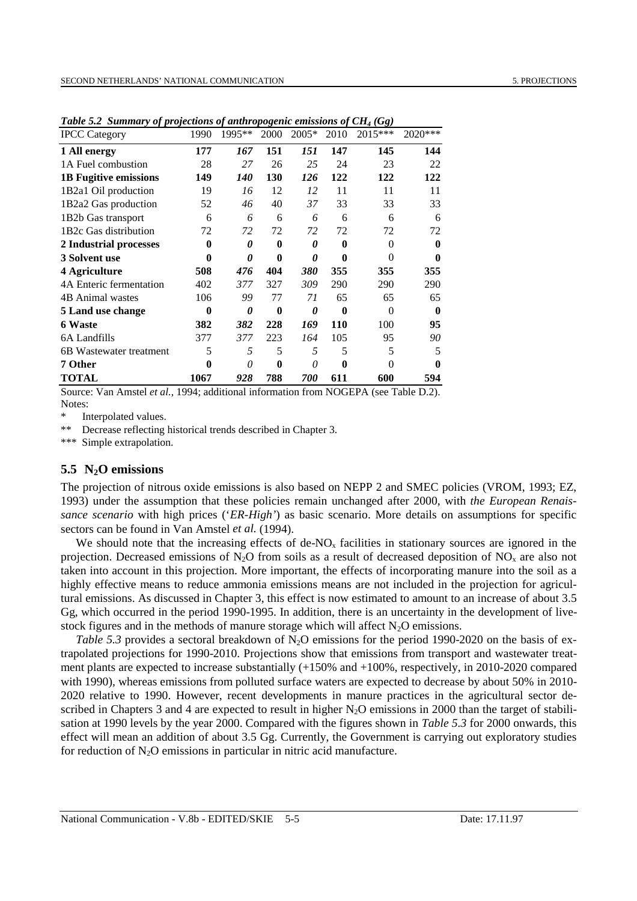| <b>IPCC</b> Category         | 1990 | 1995**     | 2000 | $2005*$ | 2010     | 2015*** | 2020***  |
|------------------------------|------|------------|------|---------|----------|---------|----------|
| 1 All energy                 | 177  | 167        | 151  | 151     | 147      | 145     | 144      |
| 1A Fuel combustion           | 28   | 27         | 26   | 25      | 24       | 23      | 22       |
| <b>1B Fugitive emissions</b> | 149  | <i>140</i> | 130  | 126     | 122      | 122     | 122      |
| 1B2a1 Oil production         | 19   | 16         | 12   | 12      | 11       | 11      | 11       |
| 1B2a2 Gas production         | 52   | 46         | 40   | 37      | 33       | 33      | 33       |
| 1B2b Gas transport           | 6    | 6          | 6    | 6       | 6        | 6       | 6        |
| 1B2c Gas distribution        | 72   | 72         | 72   | 72      | 72       | 72      | 72       |
| 2 Industrial processes       | 0    | 0          | 0    | 0       | $\bf{0}$ | 0       | $\bf{0}$ |
| 3 Solvent use                | 0    | 0          | 0    | 0       | 0        | 0       | $\bf{0}$ |
| 4 Agriculture                | 508  | 476        | 404  | 380     | 355      | 355     | 355      |
| 4A Enteric fermentation      | 402  | 377        | 327  | 309     | 290      | 290     | 290      |
| <b>4B Animal wastes</b>      | 106  | 99         | 77   | 71      | 65       | 65      | 65       |
| 5 Land use change            | 0    | 0          | 0    | 0       | 0        | 0       | 0        |
| 6 Waste                      | 382  | 382        | 228  | 169     | 110      | 100     | 95       |
| 6A Landfills                 | 377  | 377        | 223  | 164     | 105      | 95      | 90       |
| 6B Wastewater treatment      | 5    | 5          | 5    | 5       | 5        | 5       | 5        |
| 7 Other                      | 0    | 0          | 0    | 0       | 0        | 0       | 0        |
| TOTAL                        | 1067 | 928        | 788  | 700     | 611      | 600     | 594      |

*Table 5.2 Summary of projections of anthropogenic emissions of CH4 (Gg)*

Source: Van Amstel *et al.*, 1994; additional information from NOGEPA (see Table D.2). Notes:

\* Interpolated values.

\*\* Decrease reflecting historical trends described in Chapter 3.

\*\*\* Simple extrapolation.

#### **5.5 N2O emissions**

The projection of nitrous oxide emissions is also based on NEPP 2 and SMEC policies (VROM, 1993; EZ, 1993) under the assumption that these policies remain unchanged after 2000, with *the European Renaissance scenario* with high prices ('*ER-High'*) as basic scenario. More details on assumptions for specific sectors can be found in Van Amstel *et al.* (1994).

We should note that the increasing effects of de- $NO<sub>x</sub>$  facilities in stationary sources are ignored in the projection. Decreased emissions of  $N_2O$  from soils as a result of decreased deposition of  $NO<sub>x</sub>$  are also not taken into account in this projection. More important, the effects of incorporating manure into the soil as a highly effective means to reduce ammonia emissions means are not included in the projection for agricultural emissions. As discussed in Chapter 3, this effect is now estimated to amount to an increase of about 3.5 Gg, which occurred in the period 1990-1995. In addition, there is an uncertainty in the development of livestock figures and in the methods of manure storage which will affect  $N_2O$  emissions.

*Table 5.3* provides a sectoral breakdown of  $N_2O$  emissions for the period 1990-2020 on the basis of extrapolated projections for 1990-2010. Projections show that emissions from transport and wastewater treatment plants are expected to increase substantially (+150% and +100%, respectively, in 2010-2020 compared with 1990), whereas emissions from polluted surface waters are expected to decrease by about 50% in 2010- 2020 relative to 1990. However, recent developments in manure practices in the agricultural sector described in Chapters 3 and 4 are expected to result in higher  $N<sub>2</sub>O$  emissions in 2000 than the target of stabilisation at 1990 levels by the year 2000. Compared with the figures shown in *Table 5.3* for 2000 onwards, this effect will mean an addition of about 3.5 Gg. Currently, the Government is carrying out exploratory studies for reduction of  $N_2O$  emissions in particular in nitric acid manufacture.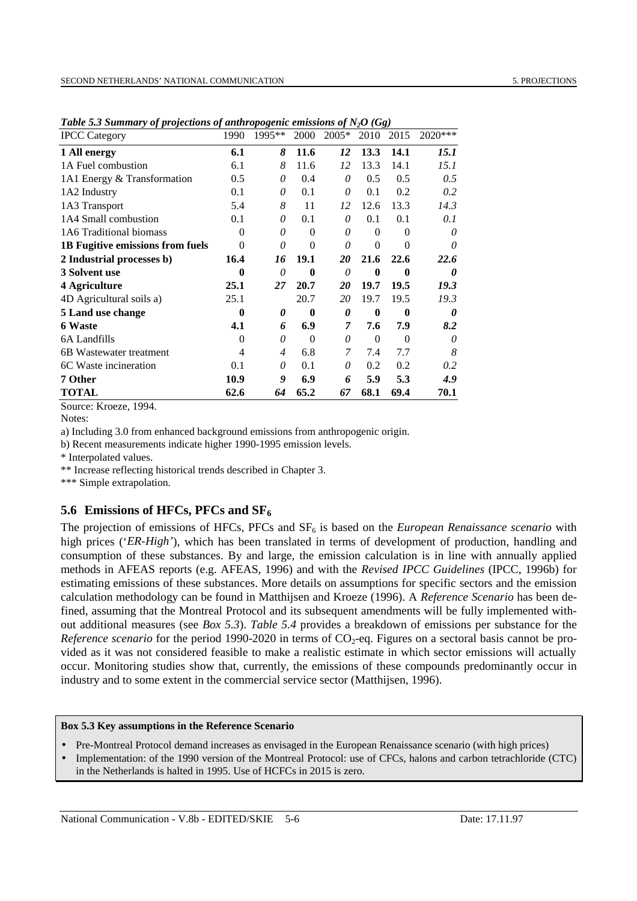| <b>IPCC</b> Category                    | 1990     | 1995**         | 2000     | $2005*$ | 2010           | 2015        | 2020*** |
|-----------------------------------------|----------|----------------|----------|---------|----------------|-------------|---------|
| 1 All energy                            | 6.1      | 8              | 11.6     | 12      | 13.3           | 14.1        | 15.1    |
| 1A Fuel combustion                      | 6.1      | 8              | 11.6     | 12      | 13.3           | 14.1        | 15.1    |
| 1A1 Energy & Transformation             | 0.5      | 0              | 0.4      | 0       | 0.5            | 0.5         | 0.5     |
| 1A2 Industry                            | 0.1      | 0              | 0.1      | 0       | 0.1            | 0.2         | 0.2     |
| 1A3 Transport                           | 5.4      | 8              | 11       | 12      | 12.6           | 13.3        | 14.3    |
| 1A4 Small combustion                    | 0.1      | 0              | 0.1      | 0       | 0.1            | 0.1         | 0.1     |
| 1A6 Traditional biomass                 | 0        | 0              | $\Omega$ | 0       | $\Omega$       | $\theta$    | 0       |
| <b>1B Fugitive emissions from fuels</b> | $\Omega$ | 0              | $\theta$ | 0       | $\overline{0}$ | 0           | 0       |
| 2 Industrial processes b)               | 16.4     | 16             | 19.1     | 20      | 21.6           | 22.6        | 22.6    |
| 3 Solvent use                           | $\bf{0}$ | 0              | $\bf{0}$ | 0       | $\bf{0}$       | $\mathbf 0$ | 0       |
| 4 Agriculture                           | 25.1     | 27             | 20.7     | 20      | 19.7           | 19.5        | 19.3    |
| 4D Agricultural soils a)                | 25.1     |                | 20.7     | 20      | 19.7           | 19.5        | 19.3    |
| 5 Land use change                       | 0        | 0              | $\bf{0}$ | 0       | $\bf{0}$       | $\bf{0}$    | 0       |
| <b>6 Waste</b>                          | 4.1      | 6              | 6.9      | 7       | 7.6            | 7.9         | 8.2     |
| 6A Landfills                            | $\Omega$ | 0              | $\Omega$ | 0       | $\Omega$       | $\Omega$    | 0       |
| 6B Wastewater treatment                 | 4        | $\overline{4}$ | 6.8      | 7       | 7.4            | 7.7         | 8       |
| 6C Waste incineration                   | 0.1      | 0              | 0.1      | 0       | 0.2            | 0.2         | 0.2     |
| 7 Other                                 | 10.9     | 9              | 6.9      | 6       | 5.9            | 5.3         | 4.9     |
| <b>TOTAL</b>                            | 62.6     | 64             | 65.2     | 67      | 68.1           | 69.4        | 70.1    |

*Table 5.3 Summary of projections of anthropogenic emissions of N2O (Gg)*

Source: Kroeze, 1994.

a) Including 3.0 from enhanced background emissions from anthropogenic origin.

b) Recent measurements indicate higher 1990-1995 emission levels.

\* Interpolated values.

\*\* Increase reflecting historical trends described in Chapter 3.

\*\*\* Simple extrapolation.

## **5.6 Emissions of HFCs, PFCs and SF6**

The projection of emissions of HFCs, PFCs and SF<sub>6</sub> is based on the *European Renaissance scenario* with high prices (*'ER-High'*), which has been translated in terms of development of production, handling and consumption of these substances. By and large, the emission calculation is in line with annually applied methods in AFEAS reports (e.g. AFEAS, 1996) and with the *Revised IPCC Guidelines* (IPCC, 1996b) for estimating emissions of these substances. More details on assumptions for specific sectors and the emission calculation methodology can be found in Matthijsen and Kroeze (1996). A *Reference Scenario* has been defined, assuming that the Montreal Protocol and its subsequent amendments will be fully implemented without additional measures (see *Box 5.3*). *Table 5.4* provides a breakdown of emissions per substance for the *Reference scenario* for the period 1990-2020 in terms of CO<sub>2</sub>-eq. Figures on a sectoral basis cannot be provided as it was not considered feasible to make a realistic estimate in which sector emissions will actually occur. Monitoring studies show that, currently, the emissions of these compounds predominantly occur in industry and to some extent in the commercial service sector (Matthijsen, 1996).

#### **Box 5.3 Key assumptions in the Reference Scenario**

• Pre-Montreal Protocol demand increases as envisaged in the European Renaissance scenario (with high prices)

• Implementation: of the 1990 version of the Montreal Protocol: use of CFCs, halons and carbon tetrachloride (CTC) in the Netherlands is halted in 1995. Use of HCFCs in 2015 is zero.

Notes: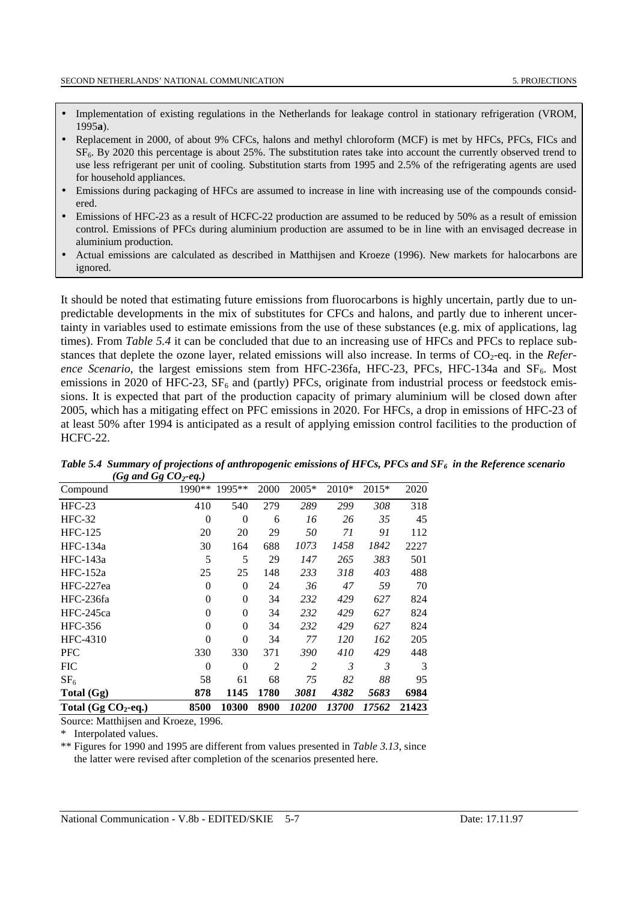- Implementation of existing regulations in the Netherlands for leakage control in stationary refrigeration (VROM, 1995**a**).
- Replacement in 2000, of about 9% CFCs, halons and methyl chloroform (MCF) is met by HFCs, PFCs, FICs and SF6. By 2020 this percentage is about 25%. The substitution rates take into account the currently observed trend to use less refrigerant per unit of cooling. Substitution starts from 1995 and 2.5% of the refrigerating agents are used for household appliances.
- Emissions during packaging of HFCs are assumed to increase in line with increasing use of the compounds considered.
- Emissions of HFC-23 as a result of HCFC-22 production are assumed to be reduced by 50% as a result of emission control. Emissions of PFCs during aluminium production are assumed to be in line with an envisaged decrease in aluminium production.
- Actual emissions are calculated as described in Matthijsen and Kroeze (1996). New markets for halocarbons are ignored.

It should be noted that estimating future emissions from fluorocarbons is highly uncertain, partly due to unpredictable developments in the mix of substitutes for CFCs and halons, and partly due to inherent uncertainty in variables used to estimate emissions from the use of these substances (e.g. mix of applications, lag times). From *Table 5.4* it can be concluded that due to an increasing use of HFCs and PFCs to replace substances that deplete the ozone layer, related emissions will also increase. In terms of CO<sub>2</sub>-eq. in the *Reference Scenario*, the largest emissions stem from HFC-236fa, HFC-23, PFCs, HFC-134a and  $SF<sub>6</sub>$ . Most emissions in 2020 of HFC-23,  $SF_6$  and (partly) PFCs, originate from industrial process or feedstock emissions. It is expected that part of the production capacity of primary aluminium will be closed down after 2005, which has a mitigating effect on PFC emissions in 2020. For HFCs, a drop in emissions of HFC-23 of at least 50% after 1994 is anticipated as a result of applying emission control facilities to the production of HCFC-22.

| Total $(Gg CO2-eq.)$  | 8500           | 10300    | 8900 | 10200 | 13700      | 17562 | 21423 |
|-----------------------|----------------|----------|------|-------|------------|-------|-------|
| Total (Gg)            | 878            | 1145     | 1780 | 3081  | 4382       | 5683  | 6984  |
| SF <sub>6</sub>       | 58             | 61       | 68   | 75    | 82         | 88    | 95    |
| <b>FIC</b>            | $\theta$       | $\Omega$ | 2    | 2     | 3          | 3     | 3     |
| PFC                   | 330            | 330      | 371  | 390   | 410        | 429   | 448   |
| HFC-4310              | $\theta$       | $\theta$ | 34   | 77    | <i>120</i> | 162   | 205   |
| HFC-356               | $\theta$       | $\Omega$ | 34   | 232   | 429        | 627   | 824   |
| HFC-245ca             | $\theta$       | $\theta$ | 34   | 232   | 429        | 627   | 824   |
| HFC-236fa             | $\overline{0}$ | $\theta$ | 34   | 232   | 429        | 627   | 824   |
| HFC-227ea             | $\overline{0}$ | $\theta$ | 24   | 36    | 47         | 59    | 70    |
| $HFC-152a$            | 25             | 25       | 148  | 233   | 318        | 403   | 488   |
| HFC-143a              | 5              | 5        | 29   | 147   | 265        | 383   | 501   |
| HFC-134a              | 30             | 164      | 688  | 1073  | 1458       | 1842  | 2227  |
| <b>HFC-125</b>        | 20             | 20       | 29   | 50    | 71         | 91    | 112   |
| $HFC-32$              | $\theta$       | $\Omega$ | 6    | 16    | 26         | 35    | 45    |
| $HFC-23$              | 410            | 540      | 279  | 289   | 299        | 308   | 318   |
| Compound              | 1990**         | 1995**   | 2000 | 2005* | 2010*      | 2015* | 2020  |
| $\bullet$<br>$\bf{c}$ |                |          |      |       |            |       |       |

*Table 5.4 Summary of projections of anthropogenic emissions of HFCs, PFCs and SF<sub>6</sub> in the Reference scenario*  $(Gq \text{ and } Gq \text{ } CO_2 \text{-} ea.)$ 

Source: Matthijsen and Kroeze, 1996.

\* Interpolated values.

\*\* Figures for 1990 and 1995 are different from values presented in *Table 3.13*, since the latter were revised after completion of the scenarios presented here.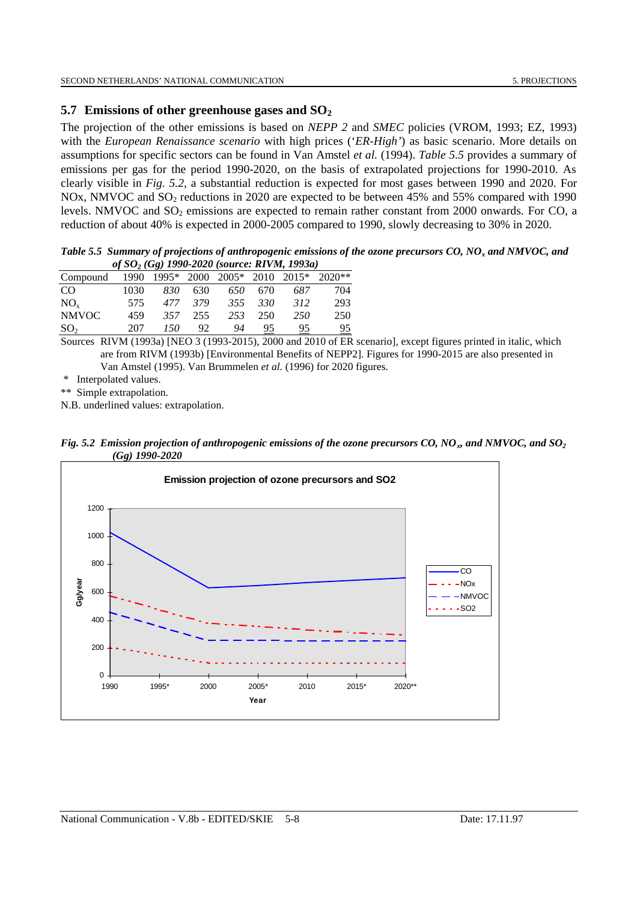### **5.7 Emissions of other greenhouse gases and SO2**

The projection of the other emissions is based on *NEPP 2* and *SMEC* policies (VROM, 1993; EZ, 1993) with the *European Renaissance scenario* with high prices ('*ER-High'*) as basic scenario. More details on assumptions for specific sectors can be found in Van Amstel *et al.* (1994). *Table 5.5* provides a summary of emissions per gas for the period 1990-2020, on the basis of extrapolated projections for 1990-2010. As clearly visible in *Fig. 5.2*, a substantial reduction is expected for most gases between 1990 and 2020. For NOx, NMVOC and SO<sub>2</sub> reductions in 2020 are expected to be between 45% and 55% compared with 1990 levels. NMVOC and SO<sub>2</sub> emissions are expected to remain rather constant from 2000 onwards. For CO, a reduction of about 40% is expected in 2000-2005 compared to 1990, slowly decreasing to 30% in 2020.

*Table 5.5 Summary of projections of anthropogenic emissions of the ozone precursors CO, NOx and NMVOC, and of SO2 (Gg) 1990-2020 (source: RIVM, 1993a)*

| Compound        | 1990  |     |      | $1995*$ 2000 2005* 2010 2015* |     |     | $2020**$ |  |
|-----------------|-------|-----|------|-------------------------------|-----|-----|----------|--|
| CO.             | 1030. | 830 | 630. | 650                           | 670 | 687 | 704      |  |
| $NO_{v}$        | 575   | 477 | 379  | 355                           | 330 | 312 | 293      |  |
| NMVOC           | 459   | 357 | 255  | 253                           | 250 | 250 | 250      |  |
| SO <sub>2</sub> | 207   | 150 | 92.  | 94                            |     | 95  | 95       |  |

Sources RIVM (1993a) [NEO 3 (1993-2015), 2000 and 2010 of ER scenario], except figures printed in italic, which are from RIVM (1993b) [Environmental Benefits of NEPP2]. Figures for 1990-2015 are also presented in Van Amstel (1995). Van Brummelen *et al.* (1996) for 2020 figures.

\* Interpolated values.

\*\* Simple extrapolation.

N.B. underlined values: extrapolation.



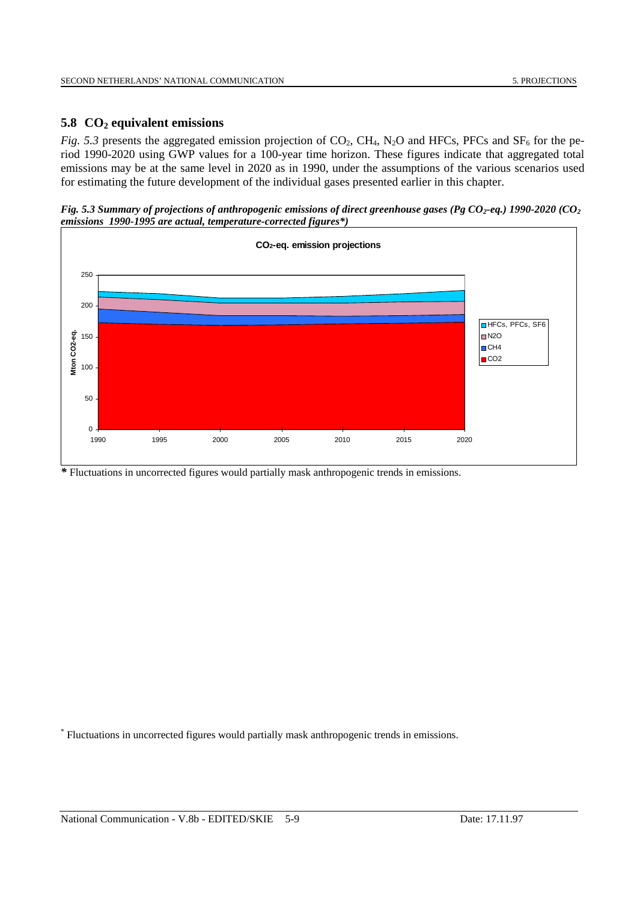## **5.8 CO2 equivalent emissions**

*Fig. 5.3* presents the aggregated emission projection of  $CO_2$ ,  $CH_4$ ,  $N_2O$  and HFCs, PFCs and SF<sub>6</sub> for the period 1990-2020 using GWP values for a 100-year time horizon. These figures indicate that aggregated total emissions may be at the same level in 2020 as in 1990, under the assumptions of the various scenarios used for estimating the future development of the individual gases presented earlier in this chapter.

*Fig. 5.3 Summary of projections of anthropogenic emissions of direct greenhouse gases (Pg CO<sub>2</sub>-eq.) 1990-2020 (CO<sub>2</sub> emissions 1990-1995 are actual, temperature-corrected figures\*)*



*\** Fluctuations in uncorrected figures would partially mask anthropogenic trends in emissions.

\* Fluctuations in uncorrected figures would partially mask anthropogenic trends in emissions.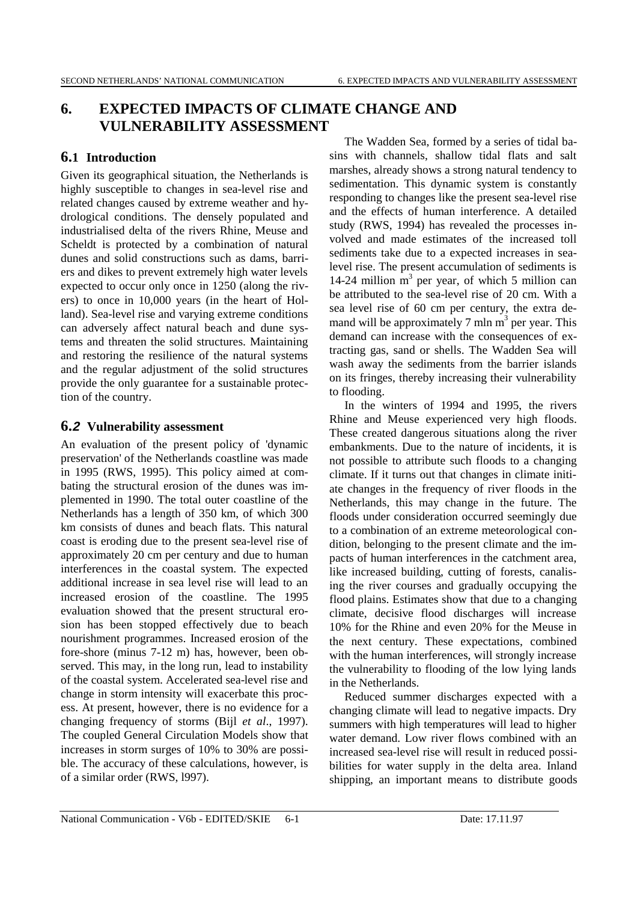# **6. EXPECTED IMPACTS OF CLIMATE CHANGE AND VULNERABILITY ASSESSMENT**

## **6.1 Introduction**

Given its geographical situation, the Netherlands is highly susceptible to changes in sea-level rise and related changes caused by extreme weather and hydrological conditions. The densely populated and industrialised delta of the rivers Rhine, Meuse and Scheldt is protected by a combination of natural dunes and solid constructions such as dams, barriers and dikes to prevent extremely high water levels expected to occur only once in 1250 (along the rivers) to once in 10,000 years (in the heart of Holland). Sea-level rise and varying extreme conditions can adversely affect natural beach and dune systems and threaten the solid structures. Maintaining and restoring the resilience of the natural systems and the regular adjustment of the solid structures provide the only guarantee for a sustainable protection of the country.

## **6.2 Vulnerability assessment**

An evaluation of the present policy of 'dynamic preservation' of the Netherlands coastline was made in 1995 (RWS, 1995). This policy aimed at combating the structural erosion of the dunes was implemented in 1990. The total outer coastline of the Netherlands has a length of 350 km, of which 300 km consists of dunes and beach flats. This natural coast is eroding due to the present sea-level rise of approximately 20 cm per century and due to human interferences in the coastal system. The expected additional increase in sea level rise will lead to an increased erosion of the coastline. The 1995 evaluation showed that the present structural erosion has been stopped effectively due to beach nourishment programmes. Increased erosion of the fore-shore (minus 7-12 m) has, however, been observed. This may, in the long run, lead to instability of the coastal system. Accelerated sea-level rise and change in storm intensity will exacerbate this process. At present, however, there is no evidence for a changing frequency of storms (Bijl *et al*., 1997). The coupled General Circulation Models show that increases in storm surges of 10% to 30% are possible. The accuracy of these calculations, however, is of a similar order (RWS, l997).

The Wadden Sea, formed by a series of tidal basins with channels, shallow tidal flats and salt marshes, already shows a strong natural tendency to sedimentation. This dynamic system is constantly responding to changes like the present sea-level rise and the effects of human interference. A detailed study (RWS, 1994) has revealed the processes involved and made estimates of the increased toll sediments take due to a expected increases in sealevel rise. The present accumulation of sediments is 14-24 million  $m<sup>3</sup>$  per year, of which 5 million can be attributed to the sea-level rise of 20 cm. With a sea level rise of 60 cm per century, the extra demand will be approximately  $7 \text{ min m}^3$  per year. This demand can increase with the consequences of extracting gas, sand or shells. The Wadden Sea will wash away the sediments from the barrier islands on its fringes, thereby increasing their vulnerability to flooding.

In the winters of 1994 and 1995, the rivers Rhine and Meuse experienced very high floods. These created dangerous situations along the river embankments. Due to the nature of incidents, it is not possible to attribute such floods to a changing climate. If it turns out that changes in climate initiate changes in the frequency of river floods in the Netherlands, this may change in the future. The floods under consideration occurred seemingly due to a combination of an extreme meteorological condition, belonging to the present climate and the impacts of human interferences in the catchment area, like increased building, cutting of forests, canalising the river courses and gradually occupying the flood plains. Estimates show that due to a changing climate, decisive flood discharges will increase 10% for the Rhine and even 20% for the Meuse in the next century. These expectations, combined with the human interferences, will strongly increase the vulnerability to flooding of the low lying lands in the Netherlands.

Reduced summer discharges expected with a changing climate will lead to negative impacts. Dry summers with high temperatures will lead to higher water demand. Low river flows combined with an increased sea-level rise will result in reduced possibilities for water supply in the delta area. Inland shipping, an important means to distribute goods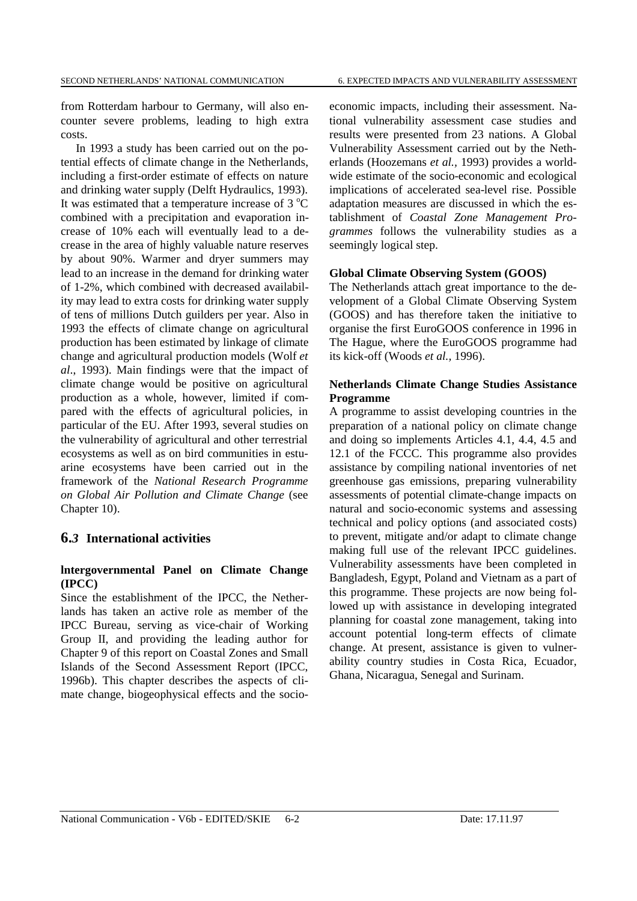from Rotterdam harbour to Germany, will also encounter severe problems, leading to high extra costs.

In 1993 a study has been carried out on the potential effects of climate change in the Netherlands, including a first-order estimate of effects on nature and drinking water supply (Delft Hydraulics, 1993). It was estimated that a temperature increase of  $3^{\circ}$ C combined with a precipitation and evaporation increase of 10% each will eventually lead to a decrease in the area of highly valuable nature reserves by about 90%. Warmer and dryer summers may lead to an increase in the demand for drinking water of 1-2%, which combined with decreased availability may lead to extra costs for drinking water supply of tens of millions Dutch guilders per year. Also in 1993 the effects of climate change on agricultural production has been estimated by linkage of climate change and agricultural production models (Wolf *et al*., 1993). Main findings were that the impact of climate change would be positive on agricultural production as a whole, however, limited if compared with the effects of agricultural policies, in particular of the EU. After 1993, several studies on the vulnerability of agricultural and other terrestrial ecosystems as well as on bird communities in estuarine ecosystems have been carried out in the framework of the *National Research Programme on Global Air Pollution and Climate Change* (see Chapter 10).

#### **6.***3* **International activities**

#### **lntergovernmental Panel on Climate Change (IPCC)**

Since the establishment of the IPCC, the Netherlands has taken an active role as member of the IPCC Bureau, serving as vice-chair of Working Group II, and providing the leading author for Chapter 9 of this report on Coastal Zones and Small Islands of the Second Assessment Report (IPCC, 1996b). This chapter describes the aspects of climate change, biogeophysical effects and the socioeconomic impacts, including their assessment. National vulnerability assessment case studies and results were presented from 23 nations. A Global Vulnerability Assessment carried out by the Netherlands (Hoozemans *et al.,* 1993) provides a worldwide estimate of the socio-economic and ecological implications of accelerated sea-level rise. Possible adaptation measures are discussed in which the establishment of *Coastal Zone Management Programmes* follows the vulnerability studies as a seemingly logical step.

#### **Global Climate Observing System (GOOS)**

The Netherlands attach great importance to the development of a Global Climate Observing System (GOOS) and has therefore taken the initiative to organise the first EuroGOOS conference in 1996 in The Hague, where the EuroGOOS programme had its kick-off (Woods *et al.,* 1996).

#### **Netherlands Climate Change Studies Assistance Programme**

A programme to assist developing countries in the preparation of a national policy on climate change and doing so implements Articles 4.1, 4.4, 4.5 and 12.1 of the FCCC. This programme also provides assistance by compiling national inventories of net greenhouse gas emissions, preparing vulnerability assessments of potential climate-change impacts on natural and socio-economic systems and assessing technical and policy options (and associated costs) to prevent, mitigate and/or adapt to climate change making full use of the relevant IPCC guidelines. Vulnerability assessments have been completed in Bangladesh, Egypt, Poland and Vietnam as a part of this programme. These projects are now being followed up with assistance in developing integrated planning for coastal zone management, taking into account potential long-term effects of climate change. At present, assistance is given to vulnerability country studies in Costa Rica, Ecuador, Ghana, Nicaragua, Senegal and Surinam.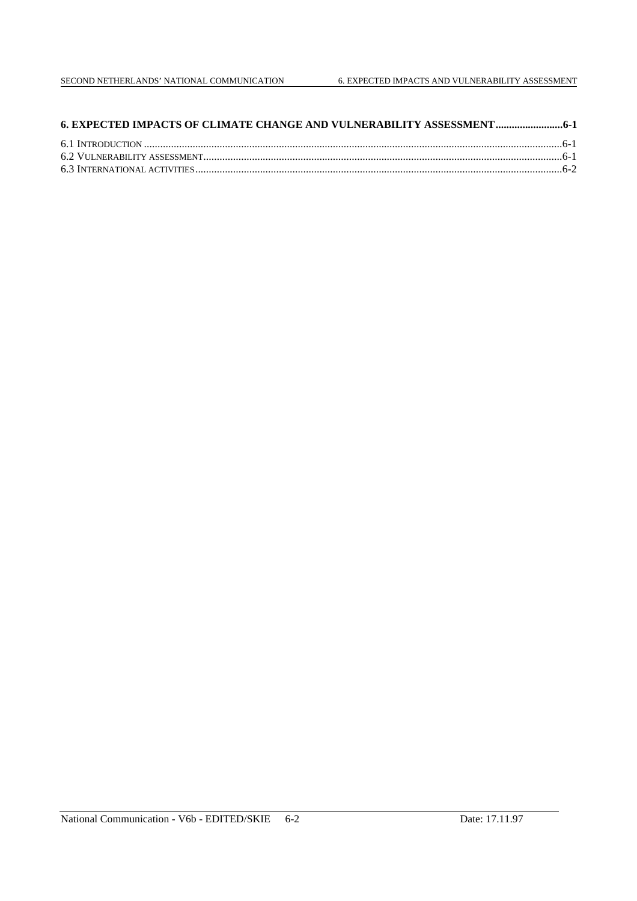| 6. EXPECTED IMPACTS OF CLIMATE CHANGE AND VULNERABILITY ASSESSMENT |  |
|--------------------------------------------------------------------|--|
|                                                                    |  |
|                                                                    |  |
|                                                                    |  |
|                                                                    |  |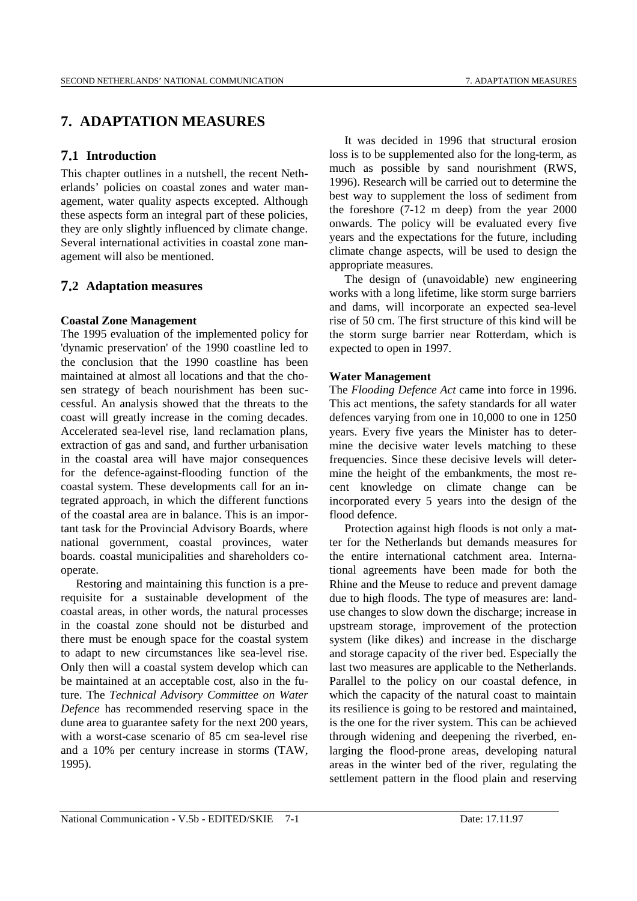## **7. ADAPTATION MEASURES**

## **7.1 Introduction**

This chapter outlines in a nutshell, the recent Netherlands' policies on coastal zones and water management, water quality aspects excepted. Although these aspects form an integral part of these policies, they are only slightly influenced by climate change. Several international activities in coastal zone management will also be mentioned.

## **7.2 Adaptation measures**

#### **Coastal Zone Management**

The 1995 evaluation of the implemented policy for 'dynamic preservation' of the 1990 coastline led to the conclusion that the 1990 coastline has been maintained at almost all locations and that the chosen strategy of beach nourishment has been successful. An analysis showed that the threats to the coast will greatly increase in the coming decades. Accelerated sea-level rise, land reclamation plans, extraction of gas and sand, and further urbanisation in the coastal area will have major consequences for the defence-against-flooding function of the coastal system. These developments call for an integrated approach, in which the different functions of the coastal area are in balance. This is an important task for the Provincial Advisory Boards, where national government, coastal provinces, water boards. coastal municipalities and shareholders cooperate.

Restoring and maintaining this function is a prerequisite for a sustainable development of the coastal areas, in other words, the natural processes in the coastal zone should not be disturbed and there must be enough space for the coastal system to adapt to new circumstances like sea-level rise. Only then will a coastal system develop which can be maintained at an acceptable cost, also in the future. The *Technical Advisory Committee on Water Defence* has recommended reserving space in the dune area to guarantee safety for the next 200 years, with a worst-case scenario of 85 cm sea-level rise and a 10% per century increase in storms (TAW, 1995).

It was decided in 1996 that structural erosion loss is to be supplemented also for the long-term, as much as possible by sand nourishment (RWS, 1996). Research will be carried out to determine the best way to supplement the loss of sediment from the foreshore (7-12 m deep) from the year 2000 onwards. The policy will be evaluated every five years and the expectations for the future, including climate change aspects, will be used to design the appropriate measures.

The design of (unavoidable) new engineering works with a long lifetime, like storm surge barriers and dams, will incorporate an expected sea-level rise of 50 cm. The first structure of this kind will be the storm surge barrier near Rotterdam, which is expected to open in 1997.

### **Water Management**

The *Flooding Defence Act* came into force in 1996. This act mentions, the safety standards for all water defences varying from one in 10,000 to one in 1250 years. Every five years the Minister has to determine the decisive water levels matching to these frequencies. Since these decisive levels will determine the height of the embankments, the most recent knowledge on climate change can be incorporated every 5 years into the design of the flood defence.

Protection against high floods is not only a matter for the Netherlands but demands measures for the entire international catchment area. International agreements have been made for both the Rhine and the Meuse to reduce and prevent damage due to high floods. The type of measures are: landuse changes to slow down the discharge; increase in upstream storage, improvement of the protection system (like dikes) and increase in the discharge and storage capacity of the river bed. Especially the last two measures are applicable to the Netherlands. Parallel to the policy on our coastal defence, in which the capacity of the natural coast to maintain its resilience is going to be restored and maintained, is the one for the river system. This can be achieved through widening and deepening the riverbed, enlarging the flood-prone areas, developing natural areas in the winter bed of the river, regulating the settlement pattern in the flood plain and reserving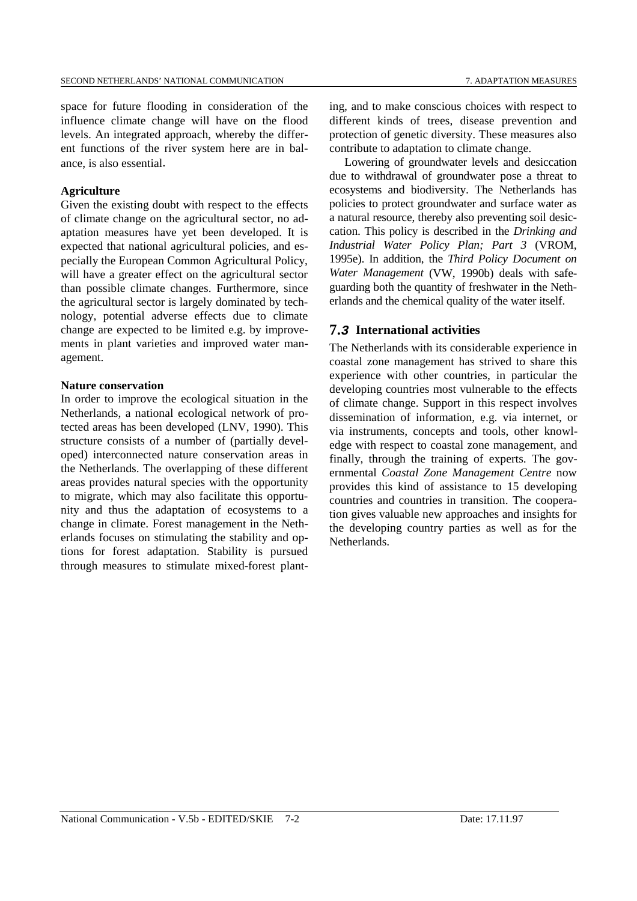space for future flooding in consideration of the influence climate change will have on the flood levels. An integrated approach, whereby the different functions of the river system here are in balance, is also essential.

#### **Agriculture**

Given the existing doubt with respect to the effects of climate change on the agricultural sector, no adaptation measures have yet been developed. It is expected that national agricultural policies, and especially the European Common Agricultural Policy, will have a greater effect on the agricultural sector than possible climate changes. Furthermore, since the agricultural sector is largely dominated by technology, potential adverse effects due to climate change are expected to be limited e.g. by improvements in plant varieties and improved water management.

#### **Nature conservation**

In order to improve the ecological situation in the Netherlands, a national ecological network of protected areas has been developed (LNV, 1990). This structure consists of a number of (partially developed) interconnected nature conservation areas in the Netherlands. The overlapping of these different areas provides natural species with the opportunity to migrate, which may also facilitate this opportunity and thus the adaptation of ecosystems to a change in climate. Forest management in the Netherlands focuses on stimulating the stability and options for forest adaptation. Stability is pursued through measures to stimulate mixed-forest planting, and to make conscious choices with respect to different kinds of trees, disease prevention and protection of genetic diversity. These measures also contribute to adaptation to climate change.

Lowering of groundwater levels and desiccation due to withdrawal of groundwater pose a threat to ecosystems and biodiversity. The Netherlands has policies to protect groundwater and surface water as a natural resource, thereby also preventing soil desiccation. This policy is described in the *Drinking and Industrial Water Policy Plan; Part 3* (VROM, 1995e). In addition, the *Third Policy Document on Water Management* (VW, 1990b) deals with safeguarding both the quantity of freshwater in the Netherlands and the chemical quality of the water itself.

## **7.3 International activities**

The Netherlands with its considerable experience in coastal zone management has strived to share this experience with other countries, in particular the developing countries most vulnerable to the effects of climate change. Support in this respect involves dissemination of information, e.g. via internet, or via instruments, concepts and tools, other knowledge with respect to coastal zone management, and finally, through the training of experts. The governmental *Coastal Zone Management Centre* now provides this kind of assistance to 15 developing countries and countries in transition. The cooperation gives valuable new approaches and insights for the developing country parties as well as for the **Netherlands**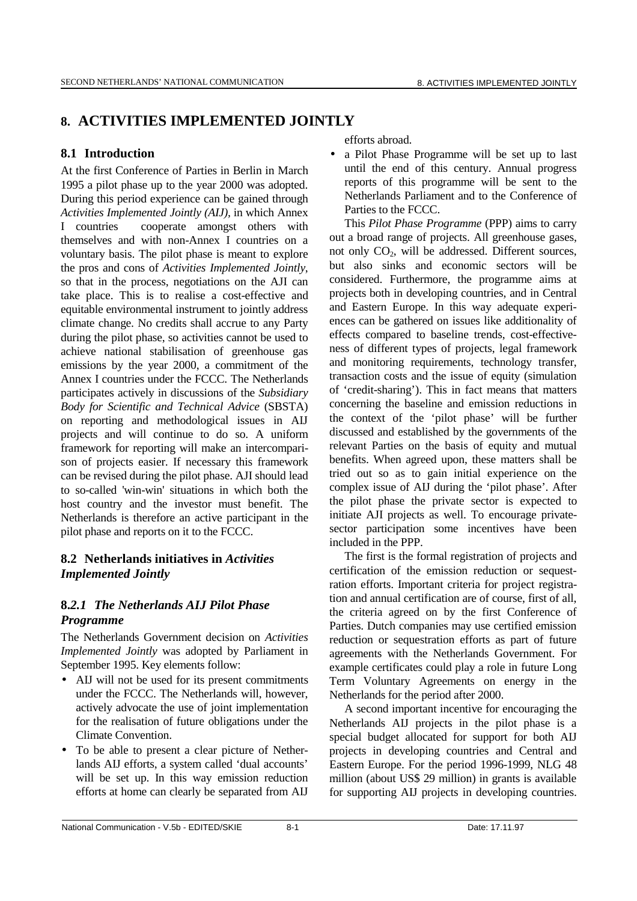# **8. ACTIVITIES IMPLEMENTED JOINTLY**

## **8.1 Introduction**

At the first Conference of Parties in Berlin in March 1995 a pilot phase up to the year 2000 was adopted. During this period experience can be gained through *Activities Implemented Jointly (AIJ),* in which Annex I countries cooperate amongst others with themselves and with non-Annex I countries on a voluntary basis. The pilot phase is meant to explore the pros and cons of *Activities Implemented Jointly*, so that in the process, negotiations on the AJI can take place. This is to realise a cost-effective and equitable environmental instrument to jointly address climate change. No credits shall accrue to any Party during the pilot phase, so activities cannot be used to achieve national stabilisation of greenhouse gas emissions by the year 2000, a commitment of the Annex I countries under the FCCC. The Netherlands participates actively in discussions of the *Subsidiary Body for Scientific and Technical Advice* (SBSTA) on reporting and methodological issues in AIJ projects and will continue to do so. A uniform framework for reporting will make an intercomparison of projects easier. If necessary this framework can be revised during the pilot phase. AJI should lead to so-called 'win-win' situations in which both the host country and the investor must benefit. The Netherlands is therefore an active participant in the pilot phase and reports on it to the FCCC.

## **8.2 Netherlands initiatives in** *Activities Implemented Jointly*

## **8.***2.1 The Netherlands AIJ Pilot Phase Programme*

The Netherlands Government decision on *Activities Implemented Jointly* was adopted by Parliament in September 1995. Key elements follow:

- AIJ will not be used for its present commitments under the FCCC. The Netherlands will, however, actively advocate the use of joint implementation for the realisation of future obligations under the Climate Convention.
- To be able to present a clear picture of Netherlands AIJ efforts, a system called 'dual accounts' will be set up. In this way emission reduction efforts at home can clearly be separated from AIJ

efforts abroad.

• a Pilot Phase Programme will be set up to last until the end of this century. Annual progress reports of this programme will be sent to the Netherlands Parliament and to the Conference of Parties to the FCCC.

This *Pilot Phase Programme* (PPP) aims to carry out a broad range of projects. All greenhouse gases, not only  $CO<sub>2</sub>$ , will be addressed. Different sources, but also sinks and economic sectors will be considered. Furthermore, the programme aims at projects both in developing countries, and in Central and Eastern Europe. In this way adequate experiences can be gathered on issues like additionality of effects compared to baseline trends, cost-effectiveness of different types of projects, legal framework and monitoring requirements, technology transfer, transaction costs and the issue of equity (simulation of 'credit-sharing'). This in fact means that matters concerning the baseline and emission reductions in the context of the 'pilot phase' will be further discussed and established by the governments of the relevant Parties on the basis of equity and mutual benefits. When agreed upon, these matters shall be tried out so as to gain initial experience on the complex issue of AIJ during the 'pilot phase'. After the pilot phase the private sector is expected to initiate AJI projects as well. To encourage privatesector participation some incentives have been included in the PPP.

The first is the formal registration of projects and certification of the emission reduction or sequestration efforts. Important criteria for project registration and annual certification are of course, first of all, the criteria agreed on by the first Conference of Parties. Dutch companies may use certified emission reduction or sequestration efforts as part of future agreements with the Netherlands Government. For example certificates could play a role in future Long Term Voluntary Agreements on energy in the Netherlands for the period after 2000.

A second important incentive for encouraging the Netherlands AIJ projects in the pilot phase is a special budget allocated for support for both AIJ projects in developing countries and Central and Eastern Europe. For the period 1996-1999, NLG 48 million (about US\$ 29 million) in grants is available for supporting AIJ projects in developing countries.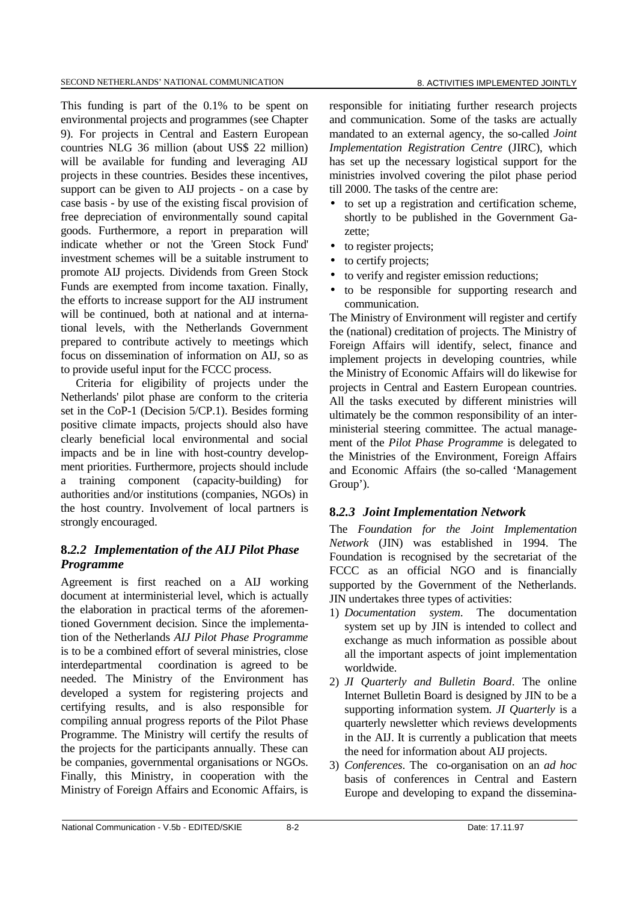This funding is part of the 0.1% to be spent on environmental projects and programmes (see Chapter 9). For projects in Central and Eastern European countries NLG 36 million (about US\$ 22 million) will be available for funding and leveraging AIJ projects in these countries. Besides these incentives, support can be given to AIJ projects - on a case by case basis - by use of the existing fiscal provision of free depreciation of environmentally sound capital goods. Furthermore, a report in preparation will indicate whether or not the 'Green Stock Fund' investment schemes will be a suitable instrument to promote AIJ projects. Dividends from Green Stock Funds are exempted from income taxation. Finally, the efforts to increase support for the AIJ instrument will be continued, both at national and at international levels, with the Netherlands Government

prepared to contribute actively to meetings which focus on dissemination of information on AIJ, so as to provide useful input for the FCCC process.

Criteria for eligibility of projects under the Netherlands' pilot phase are conform to the criteria set in the CoP-1 (Decision 5/CP.1). Besides forming positive climate impacts, projects should also have clearly beneficial local environmental and social impacts and be in line with host-country development priorities. Furthermore, projects should include a training component (capacity-building) for authorities and/or institutions (companies, NGOs) in the host country. Involvement of local partners is strongly encouraged.

## **8.***2.2 Implementation of the AIJ Pilot Phase Programme*

Agreement is first reached on a AIJ working document at interministerial level, which is actually the elaboration in practical terms of the aforementioned Government decision. Since the implementation of the Netherlands *AIJ Pilot Phase Programme* is to be a combined effort of several ministries, close interdepartmental coordination is agreed to be needed. The Ministry of the Environment has developed a system for registering projects and certifying results, and is also responsible for compiling annual progress reports of the Pilot Phase Programme. The Ministry will certify the results of the projects for the participants annually. These can be companies, governmental organisations or NGOs. Finally, this Ministry, in cooperation with the Ministry of Foreign Affairs and Economic Affairs, is responsible for initiating further research projects and communication. Some of the tasks are actually mandated to an external agency, the so-called *Joint Implementation Registration Centre* (JIRC), which has set up the necessary logistical support for the ministries involved covering the pilot phase period till 2000. The tasks of the centre are:

- to set up a registration and certification scheme, shortly to be published in the Government Gazette;
- to register projects;
- to certify projects;
- to verify and register emission reductions;
- to be responsible for supporting research and communication.

The Ministry of Environment will register and certify the (national) creditation of projects. The Ministry of Foreign Affairs will identify, select, finance and implement projects in developing countries, while the Ministry of Economic Affairs will do likewise for projects in Central and Eastern European countries. All the tasks executed by different ministries will ultimately be the common responsibility of an interministerial steering committee. The actual management of the *Pilot Phase Programme* is delegated to the Ministries of the Environment, Foreign Affairs and Economic Affairs (the so-called 'Management Group').

## **8.***2.3 Joint Implementation Network*

The *Foundation for the Joint Implementation Network* (JIN) was established in 1994. The Foundation is recognised by the secretariat of the FCCC as an official NGO and is financially supported by the Government of the Netherlands. JIN undertakes three types of activities:

- 1) *Documentation system*. The documentation system set up by JIN is intended to collect and exchange as much information as possible about all the important aspects of joint implementation worldwide.
- 2) *JI Quarterly and Bulletin Board*. The online Internet Bulletin Board is designed by JIN to be a supporting information system. *JI Quarterly* is a quarterly newsletter which reviews developments in the AIJ. It is currently a publication that meets the need for information about AIJ projects.
- 3) *Conferences*. The co-organisation on an *ad hoc* basis of conferences in Central and Eastern Europe and developing to expand the dissemina-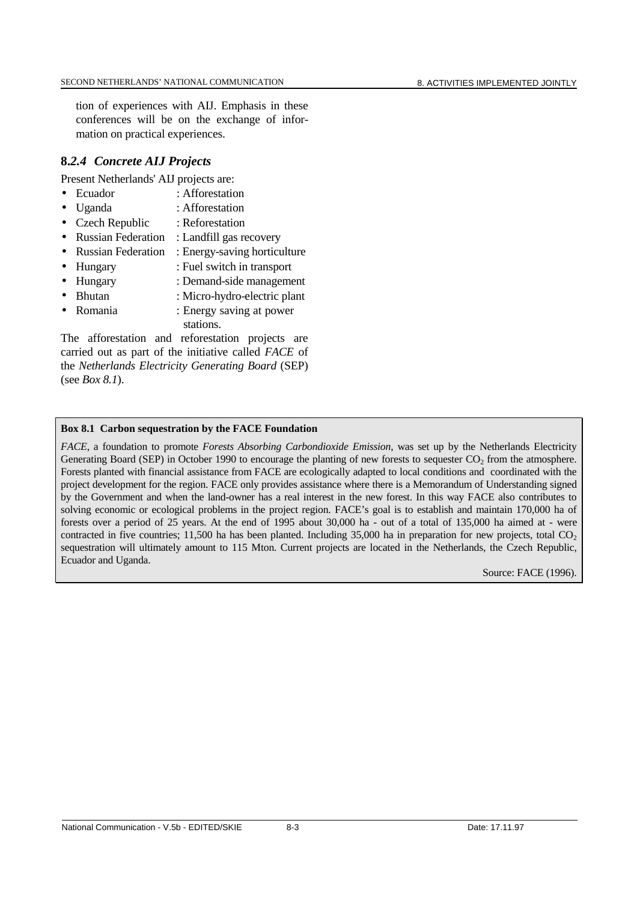tion of experiences with AIJ. Emphasis in these conferences will be on the exchange of information on practical experiences.

## **8.***2.4 Concrete AIJ Projects*

Present Netherlands' AIJ projects are:

- Ecuador : Afforestation
- Uganda : Afforestation
- Czech Republic : Reforestation
- Russian Federation : Landfill gas recovery
- Russian Federation : Energy-saving horticulture
- Hungary : Fuel switch in transport
- Hungary : Demand-side management
- Bhutan : Micro-hydro-electric plant
- Romania : Energy saving at power stations.

The afforestation and reforestation projects are carried out as part of the initiative called *FACE* of the *Netherlands Electricity Generating Board* (SEP) (see *Box 8.1*).

#### **Box 8.1 Carbon sequestration by the FACE Foundation**

*FACE*, a foundation to promote *Forests Absorbing Carbondioxide Emission*, was set up by the Netherlands Electricity Generating Board (SEP) in October 1990 to encourage the planting of new forests to sequester  $CO<sub>2</sub>$  from the atmosphere. Forests planted with financial assistance from FACE are ecologically adapted to local conditions and coordinated with the project development for the region. FACE only provides assistance where there is a Memorandum of Understanding signed by the Government and when the land-owner has a real interest in the new forest. In this way FACE also contributes to solving economic or ecological problems in the project region. FACE's goal is to establish and maintain 170,000 ha of forests over a period of 25 years. At the end of 1995 about 30,000 ha - out of a total of 135,000 ha aimed at - were contracted in five countries; 11,500 ha has been planted. Including  $35,000$  ha in preparation for new projects, total  $CO<sub>2</sub>$ sequestration will ultimately amount to 115 Mton. Current projects are located in the Netherlands, the Czech Republic, Ecuador and Uganda.

Source: FACE (1996).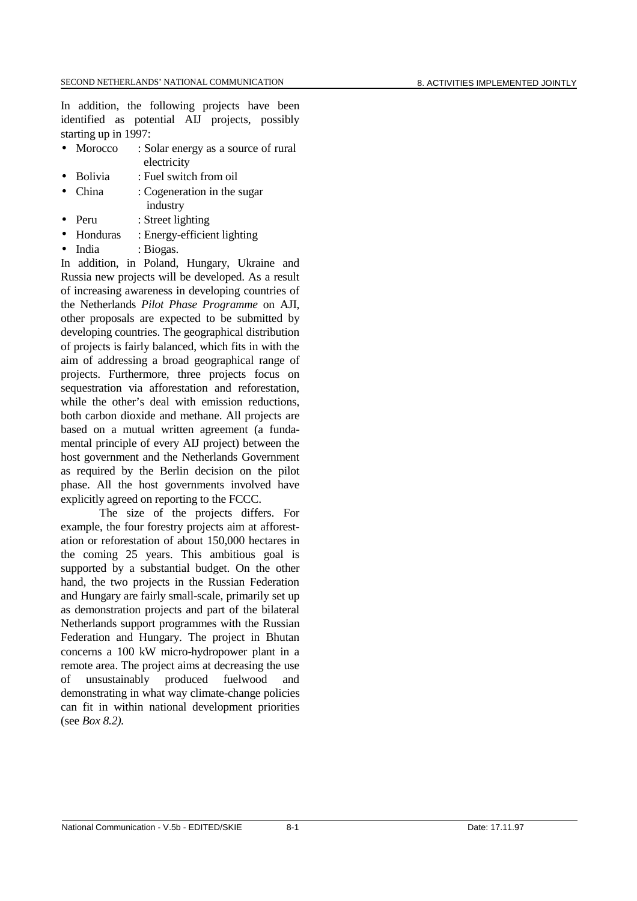In addition, the following projects have been identified as potential AIJ projects, possibly starting up in 1997:

- Morocco : Solar energy as a source of rural electricity
- Bolivia : Fuel switch from oil
- China : Cogeneration in the sugar industry
	- Peru : Street lighting
- Honduras : Energy-efficient lighting
- India : Biogas.

In addition, in Poland, Hungary, Ukraine and Russia new projects will be developed. As a result of increasing awareness in developing countries of the Netherlands *Pilot Phase Programme* on AJI, other proposals are expected to be submitted by developing countries. The geographical distribution of projects is fairly balanced, which fits in with the aim of addressing a broad geographical range of projects. Furthermore, three projects focus on sequestration via afforestation and reforestation, while the other's deal with emission reductions, both carbon dioxide and methane. All projects are based on a mutual written agreement (a fundamental principle of every AIJ project) between the host government and the Netherlands Government as required by the Berlin decision on the pilot phase. All the host governments involved have explicitly agreed on reporting to the FCCC.

The size of the projects differs. For example, the four forestry projects aim at afforestation or reforestation of about 150,000 hectares in the coming 25 years. This ambitious goal is supported by a substantial budget. On the other hand, the two projects in the Russian Federation and Hungary are fairly small-scale, primarily set up as demonstration projects and part of the bilateral Netherlands support programmes with the Russian Federation and Hungary. The project in Bhutan concerns a 100 kW micro-hydropower plant in a remote area. The project aims at decreasing the use of unsustainably produced fuelwood and demonstrating in what way climate-change policies can fit in within national development priorities (see *Box 8.2).*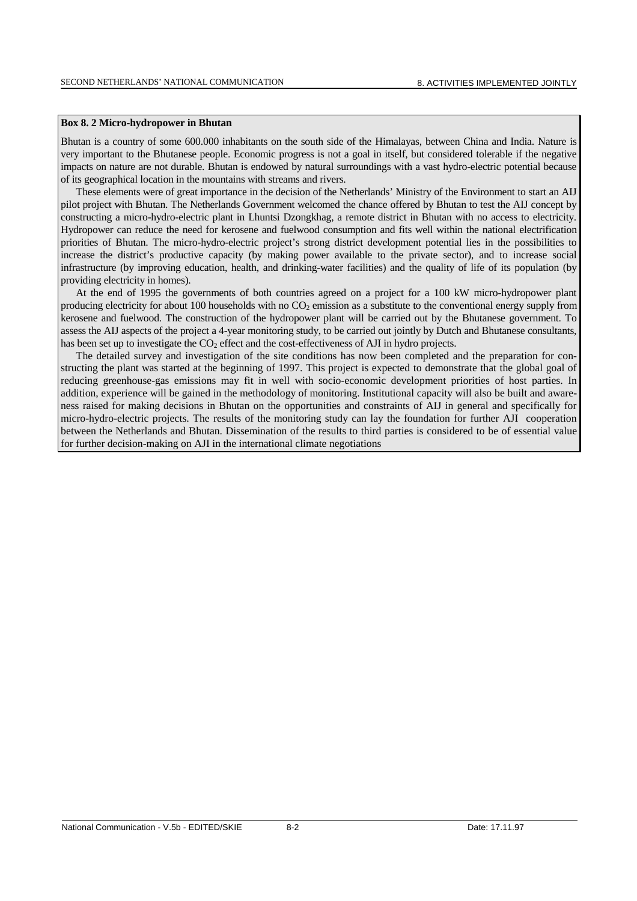#### **Box 8. 2 Micro-hydropower in Bhutan**

Bhutan is a country of some 600.000 inhabitants on the south side of the Himalayas, between China and India. Nature is very important to the Bhutanese people. Economic progress is not a goal in itself, but considered tolerable if the negative impacts on nature are not durable. Bhutan is endowed by natural surroundings with a vast hydro-electric potential because of its geographical location in the mountains with streams and rivers.

These elements were of great importance in the decision of the Netherlands' Ministry of the Environment to start an AIJ pilot project with Bhutan. The Netherlands Government welcomed the chance offered by Bhutan to test the AIJ concept by constructing a micro-hydro-electric plant in Lhuntsi Dzongkhag, a remote district in Bhutan with no access to electricity. Hydropower can reduce the need for kerosene and fuelwood consumption and fits well within the national electrification priorities of Bhutan. The micro-hydro-electric project's strong district development potential lies in the possibilities to increase the district's productive capacity (by making power available to the private sector), and to increase social infrastructure (by improving education, health, and drinking-water facilities) and the quality of life of its population (by providing electricity in homes).

At the end of 1995 the governments of both countries agreed on a project for a 100 kW micro-hydropower plant producing electricity for about 100 households with no  $CO<sub>2</sub>$  emission as a substitute to the conventional energy supply from kerosene and fuelwood. The construction of the hydropower plant will be carried out by the Bhutanese government. To assess the AIJ aspects of the project a 4-year monitoring study, to be carried out jointly by Dutch and Bhutanese consultants, has been set up to investigate the  $CO<sub>2</sub>$  effect and the cost-effectiveness of AJI in hydro projects.

The detailed survey and investigation of the site conditions has now been completed and the preparation for constructing the plant was started at the beginning of 1997. This project is expected to demonstrate that the global goal of reducing greenhouse-gas emissions may fit in well with socio-economic development priorities of host parties. In addition, experience will be gained in the methodology of monitoring. Institutional capacity will also be built and awareness raised for making decisions in Bhutan on the opportunities and constraints of AIJ in general and specifically for micro-hydro-electric projects. The results of the monitoring study can lay the foundation for further AJI cooperation between the Netherlands and Bhutan. Dissemination of the results to third parties is considered to be of essential value for further decision-making on AJI in the international climate negotiations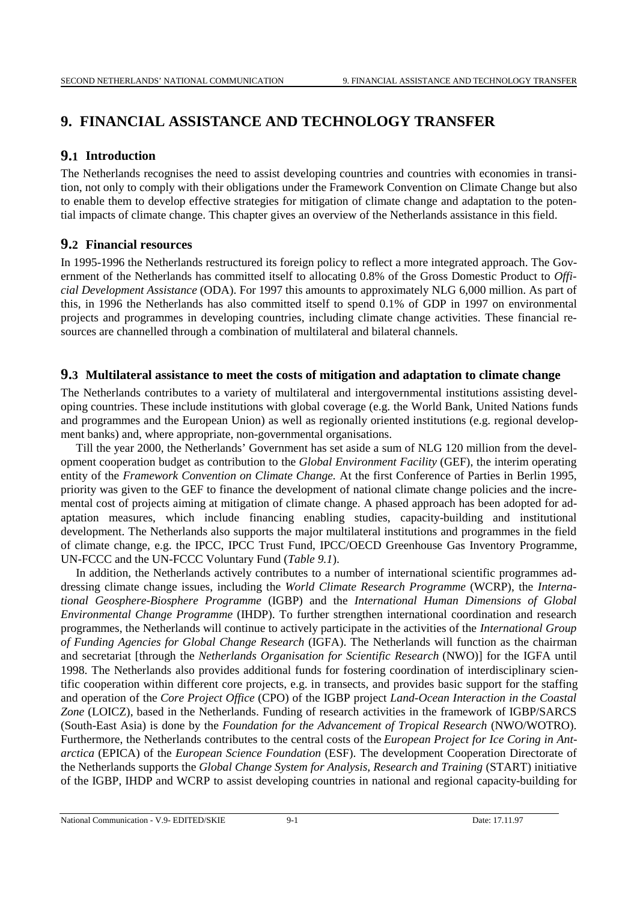# **9. FINANCIAL ASSISTANCE AND TECHNOLOGY TRANSFER**

## **9.1 Introduction**

The Netherlands recognises the need to assist developing countries and countries with economies in transition, not only to comply with their obligations under the Framework Convention on Climate Change but also to enable them to develop effective strategies for mitigation of climate change and adaptation to the potential impacts of climate change. This chapter gives an overview of the Netherlands assistance in this field.

## **9.2 Financial resources**

In 1995-1996 the Netherlands restructured its foreign policy to reflect a more integrated approach. The Government of the Netherlands has committed itself to allocating 0.8% of the Gross Domestic Product to *Official Development Assistance* (ODA). For 1997 this amounts to approximately NLG 6,000 million. As part of this, in 1996 the Netherlands has also committed itself to spend 0.1% of GDP in 1997 on environmental projects and programmes in developing countries, including climate change activities. These financial resources are channelled through a combination of multilateral and bilateral channels.

## **9.3 Multilateral assistance to meet the costs of mitigation and adaptation to climate change**

The Netherlands contributes to a variety of multilateral and intergovernmental institutions assisting developing countries. These include institutions with global coverage (e.g. the World Bank, United Nations funds and programmes and the European Union) as well as regionally oriented institutions (e.g. regional development banks) and, where appropriate, non-governmental organisations.

Till the year 2000, the Netherlands' Government has set aside a sum of NLG 120 million from the development cooperation budget as contribution to the *Global Environment Facility* (GEF), the interim operating entity of the *Framework Convention on Climate Change.* At the first Conference of Parties in Berlin 1995, priority was given to the GEF to finance the development of national climate change policies and the incremental cost of projects aiming at mitigation of climate change. A phased approach has been adopted for adaptation measures, which include financing enabling studies, capacity-building and institutional development. The Netherlands also supports the major multilateral institutions and programmes in the field of climate change, e.g. the IPCC, IPCC Trust Fund, IPCC/OECD Greenhouse Gas Inventory Programme, UN-FCCC and the UN-FCCC Voluntary Fund (*Table 9.1*).

In addition, the Netherlands actively contributes to a number of international scientific programmes addressing climate change issues, including the *World Climate Research Programme* (WCRP), the *International Geosphere-Biosphere Programme* (IGBP) and the *International Human Dimensions of Global Environmental Change Programme* (IHDP). To further strengthen international coordination and research programmes, the Netherlands will continue to actively participate in the activities of the *International Group of Funding Agencies for Global Change Research* (IGFA). The Netherlands will function as the chairman and secretariat [through the *Netherlands Organisation for Scientific Research* (NWO)] for the IGFA until 1998. The Netherlands also provides additional funds for fostering coordination of interdisciplinary scientific cooperation within different core projects, e.g. in transects, and provides basic support for the staffing and operation of the *Core Project Office* (CPO) of the IGBP project *Land-Ocean Interaction in the Coastal Zone* (LOICZ), based in the Netherlands. Funding of research activities in the framework of IGBP/SARCS (South-East Asia) is done by the *Foundation for the Advancement of Tropical Research* (NWO/WOTRO). Furthermore, the Netherlands contributes to the central costs of the *European Project for Ice Coring in Antarctica* (EPICA) of the *European Science Foundation* (ESF). The development Cooperation Directorate of the Netherlands supports the *Global Change System for Analysis, Research and Training* (START) initiative of the IGBP, IHDP and WCRP to assist developing countries in national and regional capacity-building for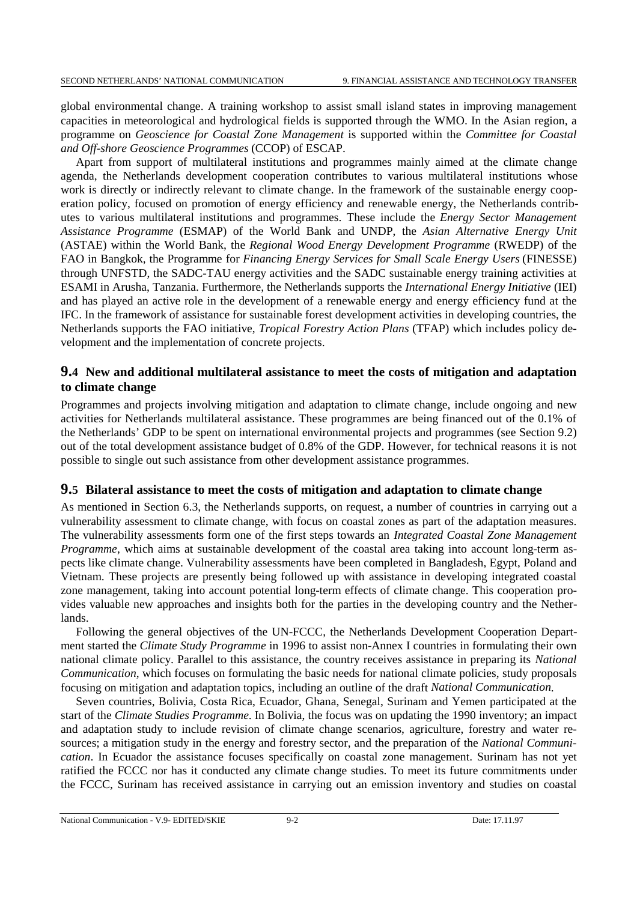global environmental change. A training workshop to assist small island states in improving management capacities in meteorological and hydrological fields is supported through the WMO. In the Asian region, a programme on *Geoscience for Coastal Zone Management* is supported within the *Committee for Coastal and Off-shore Geoscience Programmes* (CCOP) of ESCAP.

Apart from support of multilateral institutions and programmes mainly aimed at the climate change agenda, the Netherlands development cooperation contributes to various multilateral institutions whose work is directly or indirectly relevant to climate change. In the framework of the sustainable energy cooperation policy, focused on promotion of energy efficiency and renewable energy, the Netherlands contributes to various multilateral institutions and programmes. These include the *Energy Sector Management Assistance Programme* (ESMAP) of the World Bank and UNDP, the *Asian Alternative Energy Unit* (ASTAE) within the World Bank, the *Regional Wood Energy Development Programme* (RWEDP) of the FAO in Bangkok, the Programme for *Financing Energy Services for Small Scale Energy Users* (FINESSE) through UNFSTD, the SADC-TAU energy activities and the SADC sustainable energy training activities at ESAMI in Arusha, Tanzania. Furthermore, the Netherlands supports the *International Energy Initiative* (IEI) and has played an active role in the development of a renewable energy and energy efficiency fund at the IFC. In the framework of assistance for sustainable forest development activities in developing countries, the Netherlands supports the FAO initiative, *Tropical Forestry Action Plans* (TFAP) which includes policy development and the implementation of concrete projects.

## **9.4 New and additional multilateral assistance to meet the costs of mitigation and adaptation to climate change**

Programmes and projects involving mitigation and adaptation to climate change, include ongoing and new activities for Netherlands multilateral assistance. These programmes are being financed out of the 0.1% of the Netherlands' GDP to be spent on international environmental projects and programmes (see Section 9.2) out of the total development assistance budget of 0.8% of the GDP. However, for technical reasons it is not possible to single out such assistance from other development assistance programmes.

## **9.5 Bilateral assistance to meet the costs of mitigation and adaptation to climate change**

As mentioned in Section 6.3, the Netherlands supports, on request, a number of countries in carrying out a vulnerability assessment to climate change, with focus on coastal zones as part of the adaptation measures. The vulnerability assessments form one of the first steps towards an *Integrated Coastal Zone Management Programme*, which aims at sustainable development of the coastal area taking into account long-term aspects like climate change. Vulnerability assessments have been completed in Bangladesh, Egypt, Poland and Vietnam. These projects are presently being followed up with assistance in developing integrated coastal zone management, taking into account potential long-term effects of climate change. This cooperation provides valuable new approaches and insights both for the parties in the developing country and the Netherlands.

Following the general objectives of the UN-FCCC, the Netherlands Development Cooperation Department started the *Climate Study Programme* in 1996 to assist non-Annex I countries in formulating their own national climate policy. Parallel to this assistance, the country receives assistance in preparing its *National Communication*, which focuses on formulating the basic needs for national climate policies, study proposals focusing on mitigation and adaptation topics, including an outline of the draft *National Communication*.

Seven countries, Bolivia, Costa Rica, Ecuador, Ghana, Senegal, Surinam and Yemen participated at the start of the *Climate Studies Programme*. In Bolivia, the focus was on updating the 1990 inventory; an impact and adaptation study to include revision of climate change scenarios, agriculture, forestry and water resources; a mitigation study in the energy and forestry sector, and the preparation of the *National Communication*. In Ecuador the assistance focuses specifically on coastal zone management. Surinam has not yet ratified the FCCC nor has it conducted any climate change studies. To meet its future commitments under the FCCC, Surinam has received assistance in carrying out an emission inventory and studies on coastal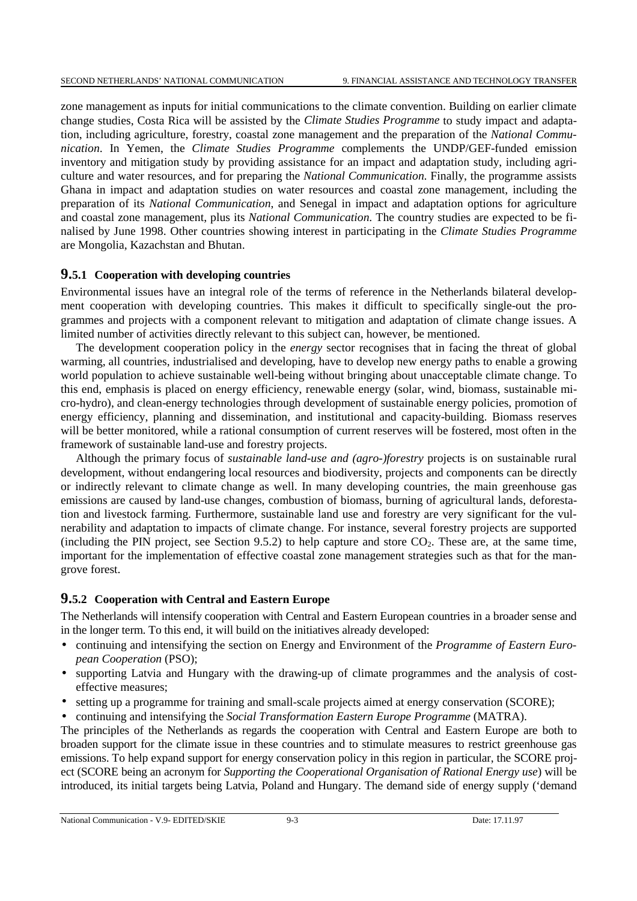zone management as inputs for initial communications to the climate convention. Building on earlier climate change studies, Costa Rica will be assisted by the *Climate Studies Programme* to study impact and adaptation, including agriculture, forestry, coastal zone management and the preparation of the *National Communication*. In Yemen, the *Climate Studies Programme* complements the UNDP/GEF-funded emission inventory and mitigation study by providing assistance for an impact and adaptation study, including agriculture and water resources, and for preparing the *National Communication*. Finally, the programme assists Ghana in impact and adaptation studies on water resources and coastal zone management, including the preparation of its *National Communication*, and Senegal in impact and adaptation options for agriculture and coastal zone management, plus its *National Communication*. The country studies are expected to be finalised by June 1998. Other countries showing interest in participating in the *Climate Studies Programme* are Mongolia, Kazachstan and Bhutan.

### **9.5.1 Cooperation with developing countries**

Environmental issues have an integral role of the terms of reference in the Netherlands bilateral development cooperation with developing countries. This makes it difficult to specifically single-out the programmes and projects with a component relevant to mitigation and adaptation of climate change issues. A limited number of activities directly relevant to this subject can, however, be mentioned.

The development cooperation policy in the *energy* sector recognises that in facing the threat of global warming, all countries, industrialised and developing, have to develop new energy paths to enable a growing world population to achieve sustainable well-being without bringing about unacceptable climate change. To this end, emphasis is placed on energy efficiency, renewable energy (solar, wind, biomass, sustainable micro-hydro), and clean-energy technologies through development of sustainable energy policies, promotion of energy efficiency, planning and dissemination, and institutional and capacity-building. Biomass reserves will be better monitored, while a rational consumption of current reserves will be fostered, most often in the framework of sustainable land-use and forestry projects.

Although the primary focus of *sustainable land-use and (agro-)forestry* projects is on sustainable rural development, without endangering local resources and biodiversity, projects and components can be directly or indirectly relevant to climate change as well. In many developing countries, the main greenhouse gas emissions are caused by land-use changes, combustion of biomass, burning of agricultural lands, deforestation and livestock farming. Furthermore, sustainable land use and forestry are very significant for the vulnerability and adaptation to impacts of climate change. For instance, several forestry projects are supported (including the PIN project, see Section 9.5.2) to help capture and store  $CO<sub>2</sub>$ . These are, at the same time, important for the implementation of effective coastal zone management strategies such as that for the mangrove forest.

#### **9.5.2 Cooperation with Central and Eastern Europe**

The Netherlands will intensify cooperation with Central and Eastern European countries in a broader sense and in the longer term. To this end, it will build on the initiatives already developed:

- continuing and intensifying the section on Energy and Environment of the *Programme of Eastern European Cooperation* (PSO);
- supporting Latvia and Hungary with the drawing-up of climate programmes and the analysis of costeffective measures;
- setting up a programme for training and small-scale projects aimed at energy conservation (SCORE);
- continuing and intensifying the *Social Transformation Eastern Europe Programme* (MATRA).

The principles of the Netherlands as regards the cooperation with Central and Eastern Europe are both to broaden support for the climate issue in these countries and to stimulate measures to restrict greenhouse gas emissions. To help expand support for energy conservation policy in this region in particular, the SCORE project (SCORE being an acronym for *Supporting the Cooperational Organisation of Rational Energy use*) will be introduced, its initial targets being Latvia, Poland and Hungary. The demand side of energy supply ('demand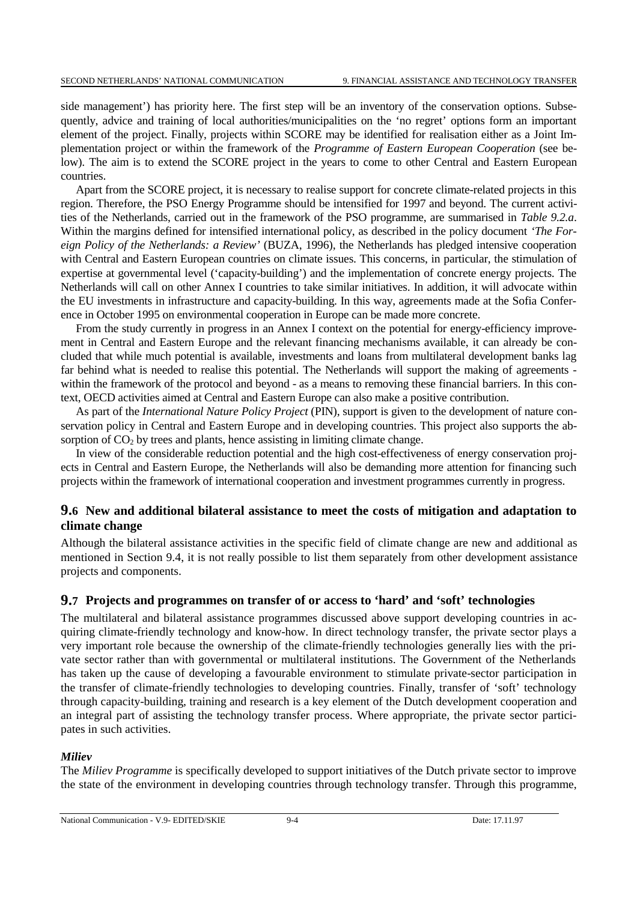side management') has priority here. The first step will be an inventory of the conservation options. Subsequently, advice and training of local authorities/municipalities on the 'no regret' options form an important element of the project. Finally, projects within SCORE may be identified for realisation either as a Joint Implementation project or within the framework of the *Programme of Eastern European Cooperation* (see below). The aim is to extend the SCORE project in the years to come to other Central and Eastern European countries.

Apart from the SCORE project, it is necessary to realise support for concrete climate-related projects in this region. Therefore, the PSO Energy Programme should be intensified for 1997 and beyond. The current activities of the Netherlands, carried out in the framework of the PSO programme, are summarised in *Table 9.2.a*. Within the margins defined for intensified international policy, as described in the policy document *'The Foreign Policy of the Netherlands: a Review'* (BUZA, 1996), the Netherlands has pledged intensive cooperation with Central and Eastern European countries on climate issues. This concerns, in particular, the stimulation of expertise at governmental level ('capacity-building') and the implementation of concrete energy projects. The Netherlands will call on other Annex I countries to take similar initiatives. In addition, it will advocate within the EU investments in infrastructure and capacity-building. In this way, agreements made at the Sofia Conference in October 1995 on environmental cooperation in Europe can be made more concrete.

From the study currently in progress in an Annex I context on the potential for energy-efficiency improvement in Central and Eastern Europe and the relevant financing mechanisms available, it can already be concluded that while much potential is available, investments and loans from multilateral development banks lag far behind what is needed to realise this potential. The Netherlands will support the making of agreements within the framework of the protocol and beyond - as a means to removing these financial barriers. In this context, OECD activities aimed at Central and Eastern Europe can also make a positive contribution.

As part of the *International Nature Policy Project* (PIN), support is given to the development of nature conservation policy in Central and Eastern Europe and in developing countries. This project also supports the absorption of  $CO<sub>2</sub>$  by trees and plants, hence assisting in limiting climate change.

In view of the considerable reduction potential and the high cost-effectiveness of energy conservation projects in Central and Eastern Europe, the Netherlands will also be demanding more attention for financing such projects within the framework of international cooperation and investment programmes currently in progress.

## **9.6 New and additional bilateral assistance to meet the costs of mitigation and adaptation to climate change**

Although the bilateral assistance activities in the specific field of climate change are new and additional as mentioned in Section 9.4, it is not really possible to list them separately from other development assistance projects and components.

## **9.7 Projects and programmes on transfer of or access to 'hard' and 'soft' technologies**

The multilateral and bilateral assistance programmes discussed above support developing countries in acquiring climate-friendly technology and know-how. In direct technology transfer, the private sector plays a very important role because the ownership of the climate-friendly technologies generally lies with the private sector rather than with governmental or multilateral institutions. The Government of the Netherlands has taken up the cause of developing a favourable environment to stimulate private-sector participation in the transfer of climate-friendly technologies to developing countries. Finally, transfer of 'soft' technology through capacity-building, training and research is a key element of the Dutch development cooperation and an integral part of assisting the technology transfer process. Where appropriate, the private sector participates in such activities.

#### *Miliev*

The *Miliev Programme* is specifically developed to support initiatives of the Dutch private sector to improve the state of the environment in developing countries through technology transfer. Through this programme,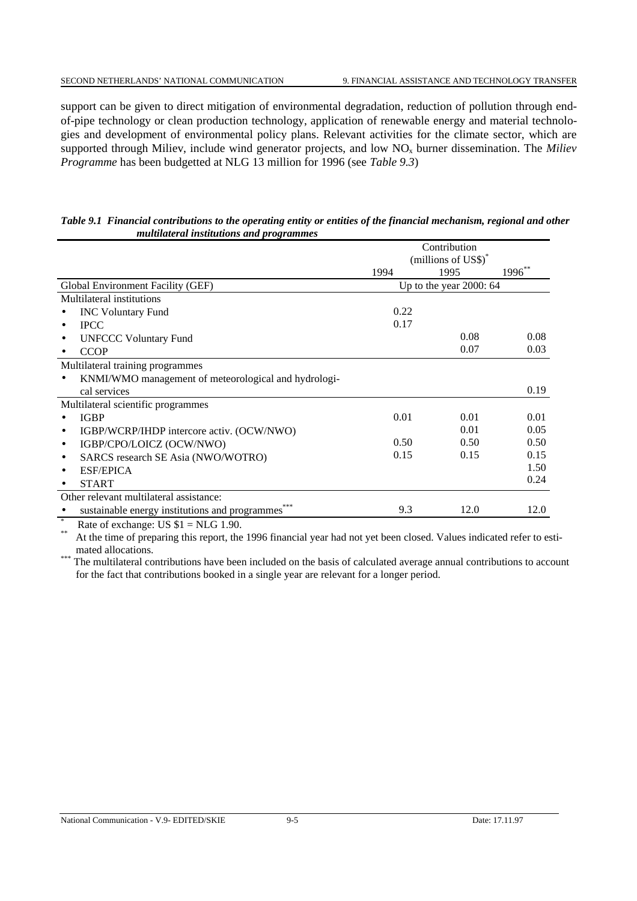support can be given to direct mitigation of environmental degradation, reduction of pollution through endof-pipe technology or clean production technology, application of renewable energy and material technologies and development of environmental policy plans. Relevant activities for the climate sector, which are supported through Miliev, include wind generator projects, and low NO<sub>x</sub> burner dissemination. The *Miliev Programme* has been budgetted at NLG 13 million for 1996 (see *Table 9.3*)

| Table 9.1 Financial contributions to the operating entity or entities of the financial mechanism, regional and other |  |  |  |  |
|----------------------------------------------------------------------------------------------------------------------|--|--|--|--|
| multilateral institutions and programmes                                                                             |  |  |  |  |

|                                                        |      | Contribution                    |             |
|--------------------------------------------------------|------|---------------------------------|-------------|
|                                                        |      | (millions of US\$) <sup>*</sup> |             |
|                                                        | 1994 | 1995                            | $1996^{**}$ |
| Global Environment Facility (GEF)                      |      | Up to the year $2000:64$        |             |
| Multilateral institutions                              |      |                                 |             |
| <b>INC Voluntary Fund</b>                              | 0.22 |                                 |             |
| <b>IPCC</b>                                            | 0.17 |                                 |             |
| <b>UNFCCC Voluntary Fund</b>                           |      | 0.08                            | 0.08        |
| <b>CCOP</b>                                            |      | 0.07                            | 0.03        |
| Multilateral training programmes                       |      |                                 |             |
| KNMI/WMO management of meteorological and hydrologi-   |      |                                 |             |
| cal services                                           |      |                                 | 0.19        |
| Multilateral scientific programmes                     |      |                                 |             |
| <b>IGBP</b>                                            | 0.01 | 0.01                            | 0.01        |
| IGBP/WCRP/IHDP intercore activ. (OCW/NWO)<br>$\bullet$ |      | 0.01                            | 0.05        |
| IGBP/CPO/LOICZ (OCW/NWO)<br>$\bullet$                  | 0.50 | 0.50                            | 0.50        |
| SARCS research SE Asia (NWO/WOTRO)<br>٠                | 0.15 | 0.15                            | 0.15        |
| <b>ESF/EPICA</b>                                       |      |                                 | 1.50        |
| <b>START</b>                                           |      |                                 | 0.24        |
| Other relevant multilateral assistance:                |      |                                 |             |
| ***<br>sustainable energy institutions and programmes  | 9.3  | 12.0                            | 12.0        |
|                                                        |      |                                 |             |

\* Rate of exchange: US  $$1 = NLG 1.90$ .

At the time of preparing this report, the 1996 financial year had not yet been closed. Values indicated refer to esti-

mated allocations. \*\*\* The multilateral contributions have been included on the basis of calculated average annual contributions to account for the fact that contributions booked in a single year are relevant for a longer period.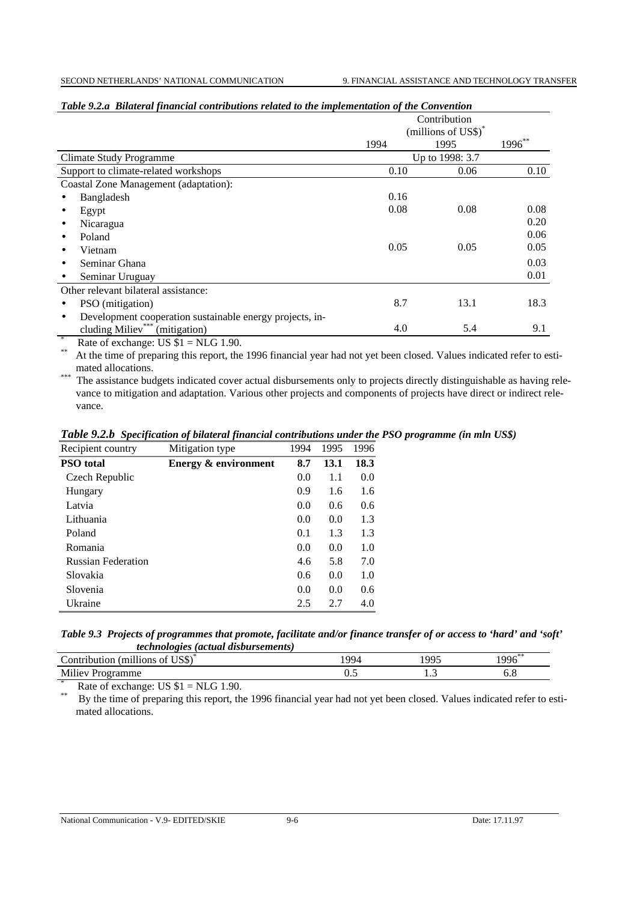|                                                          | Contribution<br>(millions of US\$) <sup>*</sup> |      |        |
|----------------------------------------------------------|-------------------------------------------------|------|--------|
|                                                          | 1994                                            | 1995 | 1996** |
| <b>Climate Study Programme</b>                           | Up to 1998: 3.7                                 |      |        |
| Support to climate-related workshops                     | 0.10                                            | 0.06 | 0.10   |
| Coastal Zone Management (adaptation):                    |                                                 |      |        |
| Bangladesh                                               | 0.16                                            |      |        |
| Egypt                                                    | 0.08                                            | 0.08 | 0.08   |
| Nicaragua                                                |                                                 |      | 0.20   |
| Poland                                                   |                                                 |      | 0.06   |
| Vietnam                                                  | 0.05                                            | 0.05 | 0.05   |
| Seminar Ghana                                            |                                                 |      | 0.03   |
| Seminar Uruguay                                          |                                                 |      | 0.01   |
| Other relevant bilateral assistance:                     |                                                 |      |        |
| PSO (mitigation)<br>٠                                    | 8.7                                             | 13.1 | 18.3   |
| Development cooperation sustainable energy projects, in- |                                                 |      |        |
| cluding Miliev <sup>***</sup> (mitigation)               | 4.0                                             | 5.4  | 9.1    |

#### *Table 9.2.a Bilateral financial contributions related to the implementation of the Convention*

\* Rate of exchange: US  $$1 = NLG 1.90$ .

At the time of preparing this report, the 1996 financial year had not yet been closed. Values indicated refer to esti-mated allocations.

the assistance budgets indicated cover actual disbursements only to projects directly distinguishable as having relevance to mitigation and adaptation. Various other projects and components of projects have direct or indirect relevance.

*Table 9.2.b Specification of bilateral financial contributions under the PSO programme (in mln US\$)*

| Recipient country         | Mitigation type                 | 1994 | 1995 | 1996 |
|---------------------------|---------------------------------|------|------|------|
| <b>PSO</b> total          | <b>Energy &amp; environment</b> | 8.7  | 13.1 | 18.3 |
| Czech Republic            |                                 | 0.0  | 1.1  | 0.0  |
| Hungary                   |                                 | 0.9  | 1.6  | 1.6  |
| Latvia                    |                                 | 0.0  | 0.6  | 0.6  |
| Lithuania                 |                                 | 0.0  | 0.0  | 1.3  |
| Poland                    |                                 | 0.1  | 1.3  | 1.3  |
| Romania                   |                                 | 0.0  | 0.0  | 1.0  |
| <b>Russian Federation</b> |                                 | 4.6  | 5.8  | 7.0  |
| Slovakia                  |                                 | 0.6  | 0.0  | 1.0  |
| Slovenia                  |                                 | 0.0  | 0.0  | 0.6  |
| Ukraine                   |                                 | 2.5  | 2.7  | 4.0  |

| Table 9.3 Projects of programmes that promote, facilitate and/or finance transfer of or access to 'hard' and 'soft' |  |  |  |  |
|---------------------------------------------------------------------------------------------------------------------|--|--|--|--|
| <i>technologies (actual disbursements)</i>                                                                          |  |  |  |  |

| <br>$CTTO$ $C^*$<br>$\sim$<br>$.$ ontr<br>' m1l<br>Οİ<br>lions<br>abutior.<br>USD. | $QQ_{\Delta}$ | 100 <sup>2</sup><br>ں ر | $1996$ ** |
|------------------------------------------------------------------------------------|---------------|-------------------------|-----------|
| Miliev<br>gramme<br>эι                                                             | ◡.。           | .                       | υ.υ       |
|                                                                                    |               |                         |           |

\* Rate of exchange: US  $$1 = NLG 1.90$ .<br>Ry the time of preparing this report the

By the time of preparing this report, the 1996 financial year had not yet been closed. Values indicated refer to estimated allocations.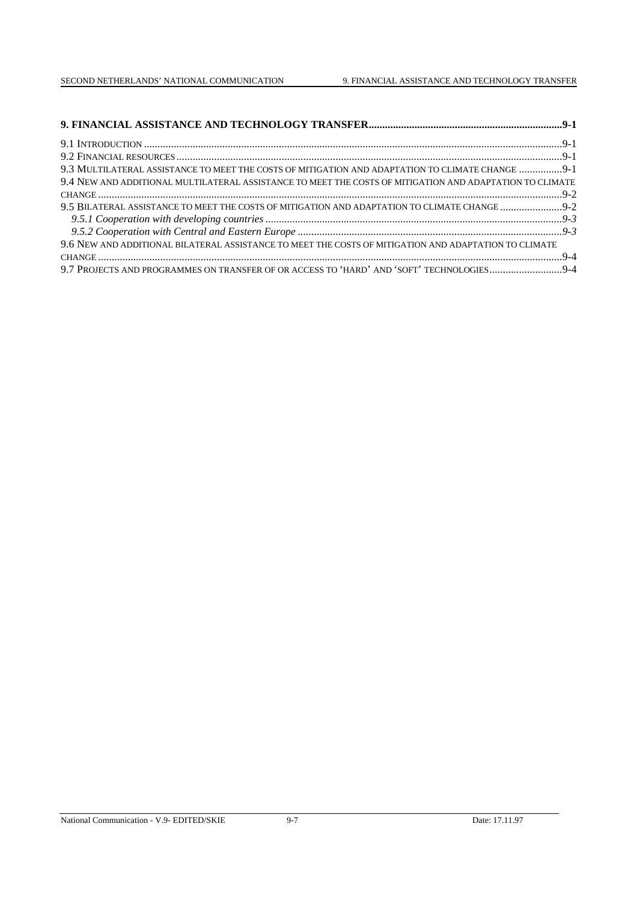| 9.3 MULTILATERAL ASSISTANCE TO MEET THE COSTS OF MITIGATION AND ADAPTATION TO CLIMATE CHANGE 9-1         |  |
|----------------------------------------------------------------------------------------------------------|--|
| 9.4 NEW AND ADDITIONAL MULTILATERAL ASSISTANCE TO MEET THE COSTS OF MITIGATION AND ADAPTATION TO CLIMATE |  |
|                                                                                                          |  |
| 9.5 BILATERAL ASSISTANCE TO MEET THE COSTS OF MITIGATION AND ADAPTATION TO CLIMATE CHANGE 9-2            |  |
|                                                                                                          |  |
|                                                                                                          |  |
| 9.6 NEW AND ADDITIONAL BILATERAL ASSISTANCE TO MEET THE COSTS OF MITIGATION AND ADAPTATION TO CLIMATE    |  |
|                                                                                                          |  |
|                                                                                                          |  |

#### National Communication - V.9- EDITED/SKIE 9-7 Date: 17.11.97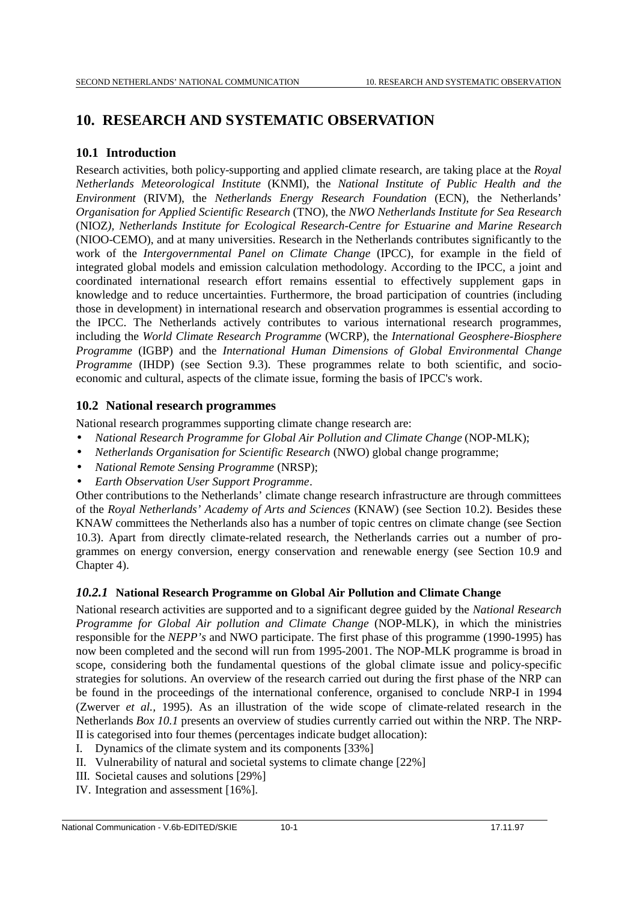# **10. RESEARCH AND SYSTEMATIC OBSERVATION**

## **10.1 Introduction**

Research activities, both policy-supporting and applied climate research, are taking place at the *Royal Netherlands Meteorological Institute* (KNMI), the *National Institute of Public Health and the Environment* (RIVM), the *Netherlands Energy Research Foundation* (ECN), the Netherlands' *Organisation for Applied Scientific Research* (TNO), the *NWO Netherlands Institute for Sea Research* (NIOZ*), Netherlands Institute for Ecological Research-Centre for Estuarine and Marine Research* (NIOO-CEMO), and at many universities. Research in the Netherlands contributes significantly to the work of the *Intergovernmental Panel on Climate Change* (IPCC), for example in the field of integrated global models and emission calculation methodology. According to the IPCC, a joint and coordinated international research effort remains essential to effectively supplement gaps in knowledge and to reduce uncertainties. Furthermore, the broad participation of countries (including those in development) in international research and observation programmes is essential according to the IPCC. The Netherlands actively contributes to various international research programmes, including the *World Climate Research Programme* (WCRP), the *International Geosphere-Biosphere Programme* (IGBP) and the *International Human Dimensions of Global Environmental Change Programme* (IHDP) (see Section 9.3). These programmes relate to both scientific, and socioeconomic and cultural, aspects of the climate issue, forming the basis of IPCC's work.

## **10.2 National research programmes**

National research programmes supporting climate change research are:

- *National Research Programme for Global Air Pollution and Climate Change* (NOP-MLK);
- *Netherlands Organisation for Scientific Research* (NWO) global change programme;
- *National Remote Sensing Programme* (NRSP);
- *Earth Observation User Support Programme*.

Other contributions to the Netherlands' climate change research infrastructure are through committees of the *Royal Netherlands' Academy of Arts and Sciences* (KNAW) (see Section 10.2). Besides these KNAW committees the Netherlands also has a number of topic centres on climate change (see Section 10.3). Apart from directly climate-related research, the Netherlands carries out a number of programmes on energy conversion, energy conservation and renewable energy (see Section 10.9 and Chapter 4).

## *10.2.1* **National Research Programme on Global Air Pollution and Climate Change**

National research activities are supported and to a significant degree guided by the *National Research Programme for Global Air pollution and Climate Change* (NOP-MLK), in which the ministries responsible for the *NEPP's* and NWO participate. The first phase of this programme (1990-1995) has now been completed and the second will run from 1995-2001. The NOP-MLK programme is broad in scope, considering both the fundamental questions of the global climate issue and policy-specific strategies for solutions. An overview of the research carried out during the first phase of the NRP can be found in the proceedings of the international conference, organised to conclude NRP-I in 1994 (Zwerver *et al.,* 1995). As an illustration of the wide scope of climate-related research in the Netherlands *Box 10.1* presents an overview of studies currently carried out within the NRP. The NRP-II is categorised into four themes (percentages indicate budget allocation):

- I. Dynamics of the climate system and its components [33%]
- II. Vulnerability of natural and societal systems to climate change [22%]
- III. Societal causes and solutions [29%]
- IV. Integration and assessment [16%].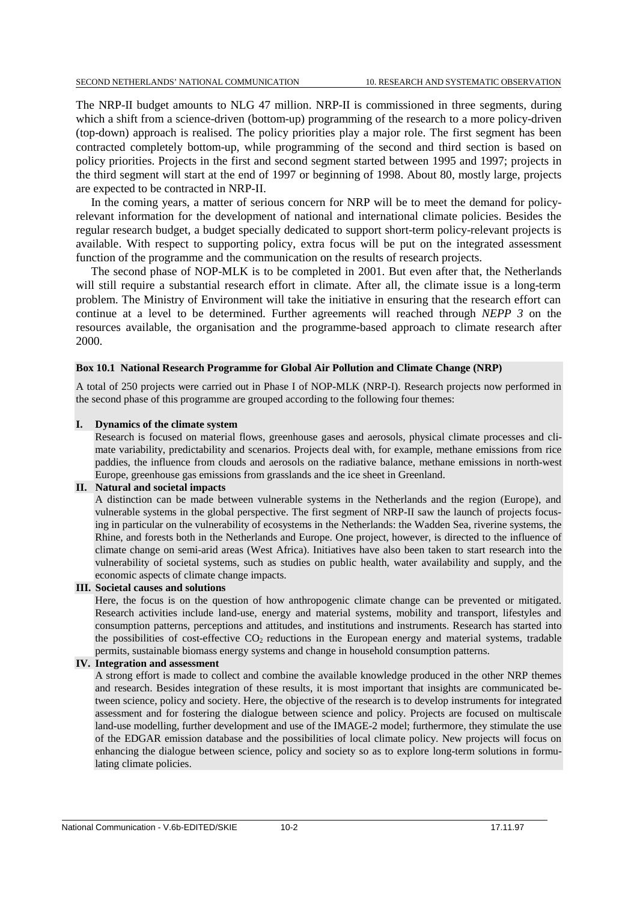The NRP-II budget amounts to NLG 47 million. NRP-II is commissioned in three segments, during which a shift from a science-driven (bottom-up) programming of the research to a more policy-driven (top-down) approach is realised. The policy priorities play a major role. The first segment has been contracted completely bottom-up, while programming of the second and third section is based on policy priorities. Projects in the first and second segment started between 1995 and 1997; projects in the third segment will start at the end of 1997 or beginning of 1998. About 80, mostly large, projects are expected to be contracted in NRP-II.

In the coming years, a matter of serious concern for NRP will be to meet the demand for policyrelevant information for the development of national and international climate policies. Besides the regular research budget, a budget specially dedicated to support short-term policy-relevant projects is available. With respect to supporting policy, extra focus will be put on the integrated assessment function of the programme and the communication on the results of research projects.

The second phase of NOP-MLK is to be completed in 2001. But even after that, the Netherlands will still require a substantial research effort in climate. After all, the climate issue is a long-term problem. The Ministry of Environment will take the initiative in ensuring that the research effort can continue at a level to be determined. Further agreements will reached through *NEPP 3* on the resources available, the organisation and the programme-based approach to climate research after 2000.

#### **Box 10.1 National Research Programme for Global Air Pollution and Climate Change (NRP)**

A total of 250 projects were carried out in Phase I of NOP-MLK (NRP-I). Research projects now performed in the second phase of this programme are grouped according to the following four themes:

#### **I. Dynamics of the climate system**

Research is focused on material flows, greenhouse gases and aerosols, physical climate processes and climate variability, predictability and scenarios. Projects deal with, for example, methane emissions from rice paddies, the influence from clouds and aerosols on the radiative balance, methane emissions in north-west Europe, greenhouse gas emissions from grasslands and the ice sheet in Greenland.

#### **II. Natural and societal impacts**

A distinction can be made between vulnerable systems in the Netherlands and the region (Europe), and vulnerable systems in the global perspective. The first segment of NRP-II saw the launch of projects focusing in particular on the vulnerability of ecosystems in the Netherlands: the Wadden Sea, riverine systems, the Rhine, and forests both in the Netherlands and Europe. One project, however, is directed to the influence of climate change on semi-arid areas (West Africa). Initiatives have also been taken to start research into the vulnerability of societal systems, such as studies on public health, water availability and supply, and the economic aspects of climate change impacts.

#### **III. Societal causes and solutions**

Here, the focus is on the question of how anthropogenic climate change can be prevented or mitigated. Research activities include land-use, energy and material systems, mobility and transport, lifestyles and consumption patterns, perceptions and attitudes, and institutions and instruments. Research has started into the possibilities of cost-effective  $CO<sub>2</sub>$  reductions in the European energy and material systems, tradable permits, sustainable biomass energy systems and change in household consumption patterns.

#### **IV. Integration and assessment**

A strong effort is made to collect and combine the available knowledge produced in the other NRP themes and research. Besides integration of these results, it is most important that insights are communicated between science, policy and society. Here, the objective of the research is to develop instruments for integrated assessment and for fostering the dialogue between science and policy. Projects are focused on multiscale land-use modelling, further development and use of the IMAGE-2 model; furthermore, they stimulate the use of the EDGAR emission database and the possibilities of local climate policy. New projects will focus on enhancing the dialogue between science, policy and society so as to explore long-term solutions in formulating climate policies.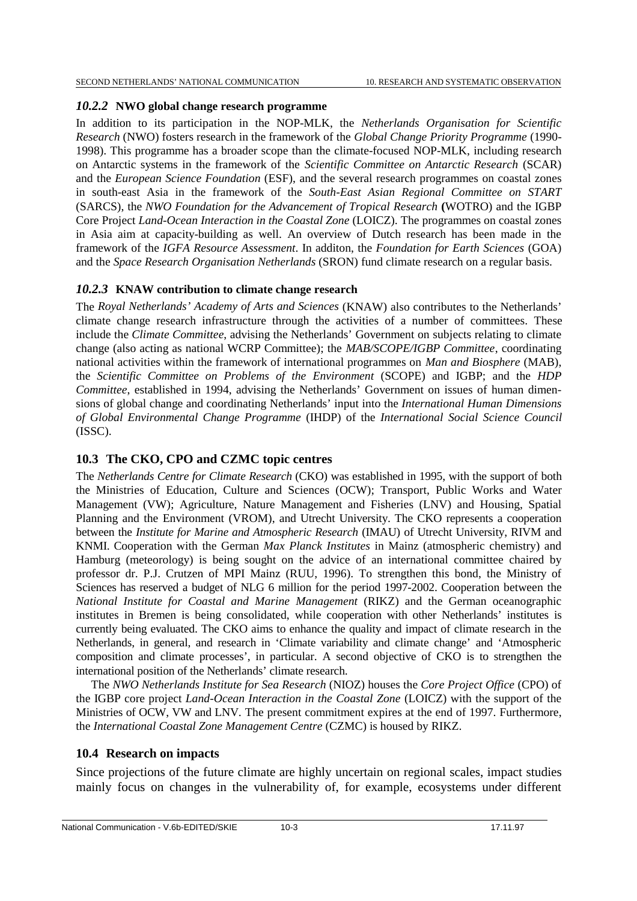# *10.2.2* **NWO global change research programme**

In addition to its participation in the NOP-MLK, the *Netherlands Organisation for Scientific Research* (NWO) fosters research in the framework of the *Global Change Priority Programme* (1990- 1998). This programme has a broader scope than the climate-focused NOP-MLK, including research on Antarctic systems in the framework of the *Scientific Committee on Antarctic Research* (SCAR) and the *European Science Foundation* (ESF), and the several research programmes on coastal zones in south-east Asia in the framework of the *South-East Asian Regional Committee on START* (SARCS), the *NWO Foundation for the Advancement of Tropical Research* **(**WOTRO) and the IGBP Core Project *Land-Ocean Interaction in the Coastal Zone* (LOICZ). The programmes on coastal zones in Asia aim at capacity-building as well. An overview of Dutch research has been made in the framework of the *IGFA Resource Assessment*. In additon, the *Foundation for Earth Sciences* (GOA) and the *Space Research Organisation Netherlands* (SRON) fund climate research on a regular basis.

# *10.2.3* **KNAW contribution to climate change research**

The *Royal Netherlands' Academy of Arts and Sciences* (KNAW) also contributes to the Netherlands' climate change research infrastructure through the activities of a number of committees. These include the *Climate Committee*, advising the Netherlands' Government on subjects relating to climate change (also acting as national WCRP Committee); the *MAB/SCOPE/IGBP Committee*, coordinating national activities within the framework of international programmes on *Man and Biosphere* (MAB), the *Scientific Committee on Problems of the Environment* (SCOPE) and IGBP; and the *HDP Committee*, established in 1994, advising the Netherlands' Government on issues of human dimensions of global change and coordinating Netherlands' input into the *International Human Dimensions of Global Environmental Change Programme* (IHDP) of the *International Social Science Council* (ISSC).

# **10.3 The CKO, CPO and CZMC topic centres**

The *Netherlands Centre for Climate Research* (CKO) was established in 1995, with the support of both the Ministries of Education, Culture and Sciences (OCW); Transport, Public Works and Water Management (VW); Agriculture, Nature Management and Fisheries (LNV) and Housing, Spatial Planning and the Environment (VROM), and Utrecht University. The CKO represents a cooperation between the *Institute for Marine and Atmospheric Research* (IMAU) of Utrecht University, RIVM and KNMI. Cooperation with the German *Max Planck Institutes* in Mainz (atmospheric chemistry) and Hamburg (meteorology) is being sought on the advice of an international committee chaired by professor dr. P.J. Crutzen of MPI Mainz (RUU, 1996). To strengthen this bond, the Ministry of Sciences has reserved a budget of NLG 6 million for the period 1997-2002. Cooperation between the *National Institute for Coastal and Marine Management* (RIKZ) and the German oceanographic institutes in Bremen is being consolidated, while cooperation with other Netherlands' institutes is currently being evaluated. The CKO aims to enhance the quality and impact of climate research in the Netherlands, in general, and research in 'Climate variability and climate change' and 'Atmospheric composition and climate processes', in particular. A second objective of CKO is to strengthen the international position of the Netherlands' climate research.

The *NWO Netherlands Institute for Sea Research* (NIOZ) houses the *Core Project Office* (CPO) of the IGBP core project *Land-Ocean Interaction in the Coastal Zone* (LOICZ) with the support of the Ministries of OCW, VW and LNV*.* The present commitment expires at the end of 1997. Furthermore, the *International Coastal Zone Management Centre* (CZMC) is housed by RIKZ.

# **10.4 Research on impacts**

Since projections of the future climate are highly uncertain on regional scales, impact studies mainly focus on changes in the vulnerability of, for example, ecosystems under different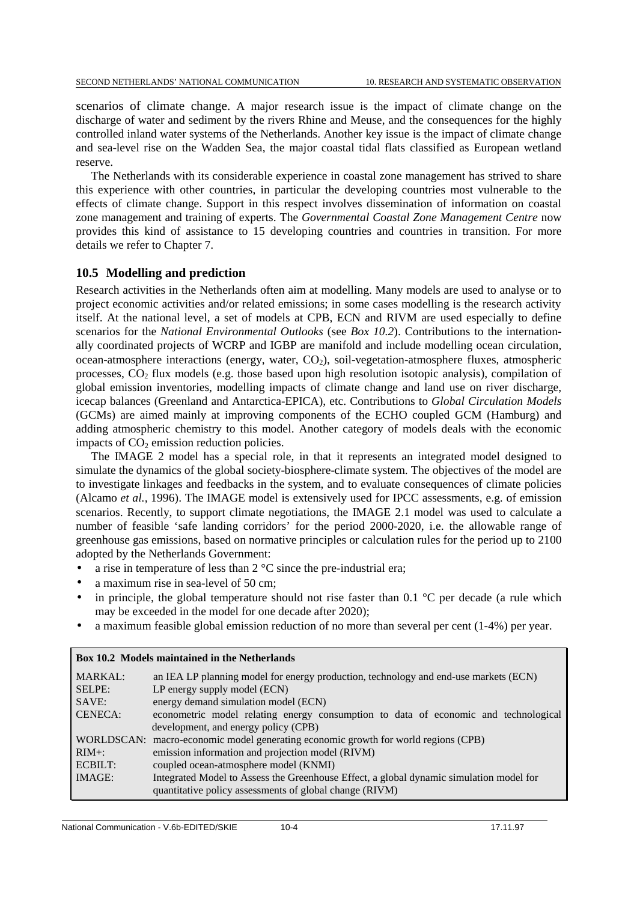scenarios of climate change. A major research issue is the impact of climate change on the discharge of water and sediment by the rivers Rhine and Meuse, and the consequences for the highly controlled inland water systems of the Netherlands. Another key issue is the impact of climate change and sea-level rise on the Wadden Sea, the major coastal tidal flats classified as European wetland reserve.

The Netherlands with its considerable experience in coastal zone management has strived to share this experience with other countries, in particular the developing countries most vulnerable to the effects of climate change. Support in this respect involves dissemination of information on coastal zone management and training of experts. The *Governmental Coastal Zone Management Centre* now provides this kind of assistance to 15 developing countries and countries in transition. For more details we refer to Chapter 7.

# **10.5 Modelling and prediction**

Research activities in the Netherlands often aim at modelling. Many models are used to analyse or to project economic activities and/or related emissions; in some cases modelling is the research activity itself. At the national level, a set of models at CPB, ECN and RIVM are used especially to define scenarios for the *National Environmental Outlooks* (see *Box 10.2*). Contributions to the internationally coordinated projects of WCRP and IGBP are manifold and include modelling ocean circulation, ocean-atmosphere interactions (energy, water,  $CO<sub>2</sub>$ ), soil-vegetation-atmosphere fluxes, atmospheric processes,  $CO<sub>2</sub>$  flux models (e.g. those based upon high resolution isotopic analysis), compilation of global emission inventories, modelling impacts of climate change and land use on river discharge, icecap balances (Greenland and Antarctica-EPICA), etc. Contributions to *Global Circulation Models* (GCMs) are aimed mainly at improving components of the ECHO coupled GCM (Hamburg) and adding atmospheric chemistry to this model. Another category of models deals with the economic impacts of  $CO<sub>2</sub>$  emission reduction policies.

The IMAGE 2 model has a special role, in that it represents an integrated model designed to simulate the dynamics of the global society-biosphere-climate system. The objectives of the model are to investigate linkages and feedbacks in the system, and to evaluate consequences of climate policies (Alcamo *et al.,* 1996). The IMAGE model is extensively used for IPCC assessments, e.g. of emission scenarios. Recently, to support climate negotiations, the IMAGE 2.1 model was used to calculate a number of feasible 'safe landing corridors' for the period 2000-2020, i.e. the allowable range of greenhouse gas emissions, based on normative principles or calculation rules for the period up to 2100 adopted by the Netherlands Government:

- a rise in temperature of less than  $2^{\circ}$ C since the pre-industrial era;
- a maximum rise in sea-level of 50 cm:
- in principle, the global temperature should not rise faster than  $0.1 \degree C$  per decade (a rule which may be exceeded in the model for one decade after 2020);
- a maximum feasible global emission reduction of no more than several per cent (1-4%) per year.

|                | <b>DOX 10.2 MODELS INTIHIZING</b> IN the Netherlands                                                                                               |
|----------------|----------------------------------------------------------------------------------------------------------------------------------------------------|
| <b>MARKAL:</b> | an IEA LP planning model for energy production, technology and end-use markets (ECN)                                                               |
| SELPE:         | LP energy supply model (ECN)                                                                                                                       |
| SAVE:          | energy demand simulation model (ECN)                                                                                                               |
| <b>CENECA:</b> | econometric model relating energy consumption to data of economic and technological                                                                |
|                | development, and energy policy (CPB)                                                                                                               |
|                | WORLDSCAN: macro-economic model generating economic growth for world regions (CPB)                                                                 |
| $RIM+$ :       | emission information and projection model (RIVM)                                                                                                   |
| ECBILT:        | coupled ocean-atmosphere model (KNMI)                                                                                                              |
| <b>IMAGE:</b>  | Integrated Model to Assess the Greenhouse Effect, a global dynamic simulation model for<br>quantitative policy assessments of global change (RIVM) |

# **Box 10.2** Models maintained in the Netherlands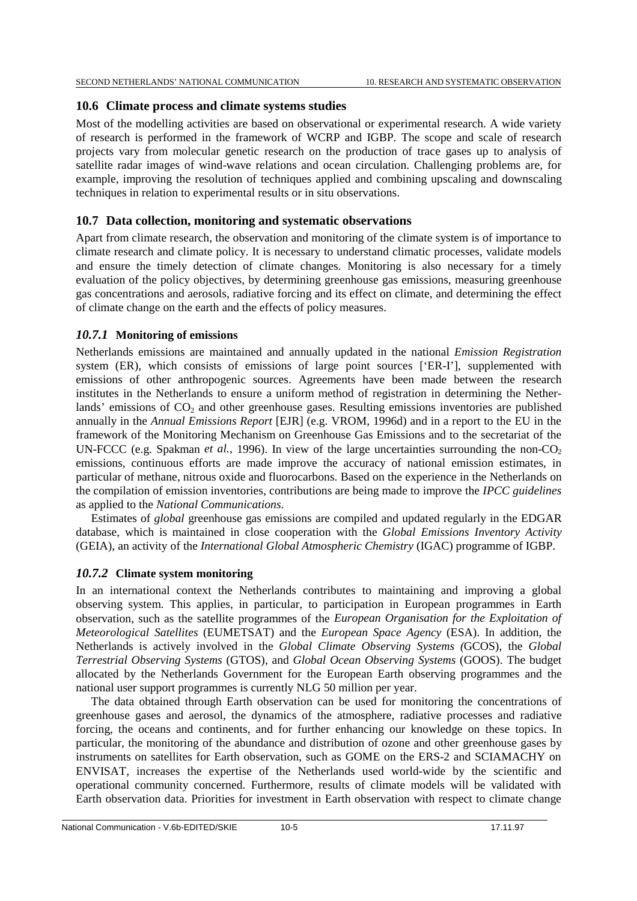# **10.6 Climate process and climate systems studies**

Most of the modelling activities are based on observational or experimental research. A wide variety of research is performed in the framework of WCRP and IGBP. The scope and scale of research projects vary from molecular genetic research on the production of trace gases up to analysis of satellite radar images of wind-wave relations and ocean circulation. Challenging problems are, for example, improving the resolution of techniques applied and combining upscaling and downscaling techniques in relation to experimental results or in situ observations.

# **10.7 Data collection, monitoring and systematic observations**

Apart from climate research, the observation and monitoring of the climate system is of importance to climate research and climate policy. It is necessary to understand climatic processes, validate models and ensure the timely detection of climate changes. Monitoring is also necessary for a timely evaluation of the policy objectives, by determining greenhouse gas emissions, measuring greenhouse gas concentrations and aerosols, radiative forcing and its effect on climate, and determining the effect of climate change on the earth and the effects of policy measures.

# *10.7.1* **Monitoring of emissions**

Netherlands emissions are maintained and annually updated in the national *Emission Registration* system (ER), which consists of emissions of large point sources ['ER-I'], supplemented with emissions of other anthropogenic sources. Agreements have been made between the research institutes in the Netherlands to ensure a uniform method of registration in determining the Netherlands' emissions of  $CO<sub>2</sub>$  and other greenhouse gases. Resulting emissions inventories are published annually in the *Annual Emissions Report* [EJR] (e.g. VROM, 1996d) and in a report to the EU in the framework of the Monitoring Mechanism on Greenhouse Gas Emissions and to the secretariat of the UN-FCCC (e.g. Spakman *et al.*, 1996). In view of the large uncertainties surrounding the non- $CO<sub>2</sub>$ emissions, continuous efforts are made improve the accuracy of national emission estimates, in particular of methane, nitrous oxide and fluorocarbons. Based on the experience in the Netherlands on the compilation of emission inventories, contributions are being made to improve the *IPCC guidelines* as applied to the *National Communications*.

Estimates of *global* greenhouse gas emissions are compiled and updated regularly in the EDGAR database, which is maintained in close cooperation with the *Global Emissions Inventory Activity* (GEIA), an activity of the *International Global Atmospheric Chemistry* (IGAC) programme of IGBP.

# *10.7.2* **Climate system monitoring**

In an international context the Netherlands contributes to maintaining and improving a global observing system. This applies, in particular, to participation in European programmes in Earth observation, such as the satellite programmes of the *European Organisation for the Exploitation of Meteorological Satellites* (EUMETSAT) and the *European Space Agency* (ESA). In addition, the Netherlands is actively involved in the *Global Climate Observing Systems (*GCOS), the *Global Terrestrial Observing Systems* (GTOS), and *Global Ocean Observing Systems* (GOOS). The budget allocated by the Netherlands Government for the European Earth observing programmes and the national user support programmes is currently NLG 50 million per year.

The data obtained through Earth observation can be used for monitoring the concentrations of greenhouse gases and aerosol, the dynamics of the atmosphere, radiative processes and radiative forcing, the oceans and continents, and for further enhancing our knowledge on these topics. In particular, the monitoring of the abundance and distribution of ozone and other greenhouse gases by instruments on satellites for Earth observation, such as GOME on the ERS-2 and SCIAMACHY on ENVISAT, increases the expertise of the Netherlands used world-wide by the scientific and operational community concerned. Furthermore, results of climate models will be validated with Earth observation data. Priorities for investment in Earth observation with respect to climate change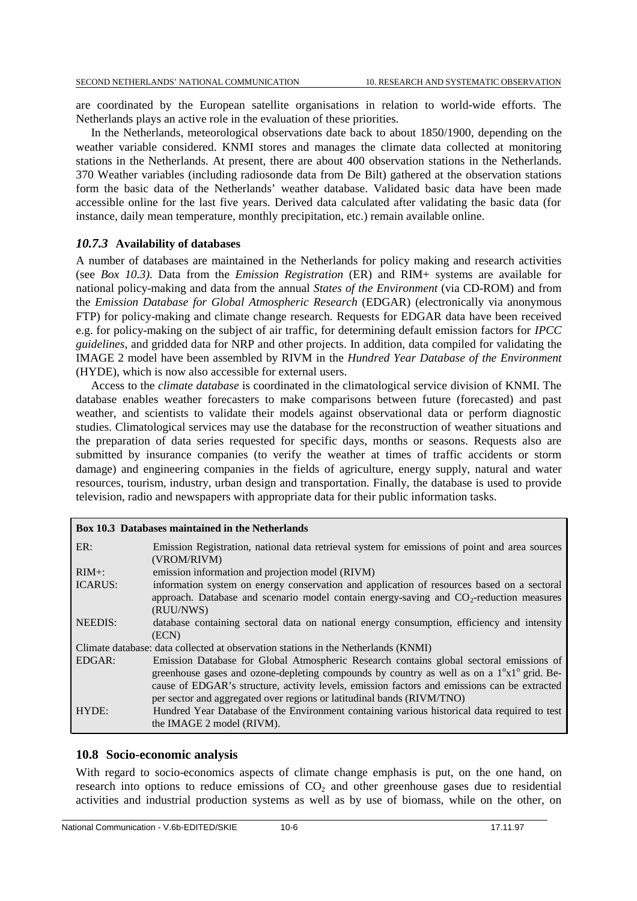are coordinated by the European satellite organisations in relation to world-wide efforts. The Netherlands plays an active role in the evaluation of these priorities.

In the Netherlands, meteorological observations date back to about 1850/1900, depending on the weather variable considered. KNMI stores and manages the climate data collected at monitoring stations in the Netherlands. At present, there are about 400 observation stations in the Netherlands. 370 Weather variables (including radiosonde data from De Bilt) gathered at the observation stations form the basic data of the Netherlands' weather database. Validated basic data have been made accessible online for the last five years. Derived data calculated after validating the basic data (for instance, daily mean temperature, monthly precipitation, etc.) remain available online.

# *10.7.3* **Availability of databases**

A number of databases are maintained in the Netherlands for policy making and research activities (see *Box 10.3)*. Data from the *Emission Registration* (ER) and RIM+ systems are available for national policy-making and data from the annual *States of the Environment* (via CD-ROM) and from the *Emission Database for Global Atmospheric Research* (EDGAR) (electronically via anonymous FTP) for policy-making and climate change research. Requests for EDGAR data have been received e.g. for policy-making on the subject of air traffic, for determining default emission factors for *IPCC guidelines*, and gridded data for NRP and other projects. In addition, data compiled for validating the IMAGE 2 model have been assembled by RIVM in the *Hundred Year Database of the Environment* (HYDE), which is now also accessible for external users.

Access to the *climate database* is coordinated in the climatological service division of KNMI. The database enables weather forecasters to make comparisons between future (forecasted) and past weather, and scientists to validate their models against observational data or perform diagnostic studies. Climatological services may use the database for the reconstruction of weather situations and the preparation of data series requested for specific days, months or seasons. Requests also are submitted by insurance companies (to verify the weather at times of traffic accidents or storm damage) and engineering companies in the fields of agriculture, energy supply, natural and water resources, tourism, industry, urban design and transportation. Finally, the database is used to provide television, radio and newspapers with appropriate data for their public information tasks.

|                | Box 10.3 Databases maintained in the Netherlands                                                                                                                                                                                                                                                                                                                               |
|----------------|--------------------------------------------------------------------------------------------------------------------------------------------------------------------------------------------------------------------------------------------------------------------------------------------------------------------------------------------------------------------------------|
| ER:            | Emission Registration, national data retrieval system for emissions of point and area sources<br>(VROM/RIVM)                                                                                                                                                                                                                                                                   |
| $RIM+$ :       | emission information and projection model (RIVM)                                                                                                                                                                                                                                                                                                                               |
| <b>ICARUS:</b> | information system on energy conservation and application of resources based on a sectoral<br>approach. Database and scenario model contain energy-saving and $CO2$ -reduction measures<br>(RUU/NWS)                                                                                                                                                                           |
| <b>NEEDIS:</b> | database containing sectoral data on national energy consumption, efficiency and intensity<br>(ECN)                                                                                                                                                                                                                                                                            |
|                | Climate database: data collected at observation stations in the Netherlands (KNMI)                                                                                                                                                                                                                                                                                             |
| EDGAR:         | Emission Database for Global Atmospheric Research contains global sectoral emissions of<br>greenhouse gases and ozone-depleting compounds by country as well as on a $1^{\circ}x1^{\circ}$ grid. Be-<br>cause of EDGAR's structure, activity levels, emission factors and emissions can be extracted<br>per sector and aggregated over regions or latitudinal bands (RIVM/TNO) |
| HYDE:          | Hundred Year Database of the Environment containing various historical data required to test<br>the IMAGE 2 model (RIVM).                                                                                                                                                                                                                                                      |

# **10.8 Socio-economic analysis**

With regard to socio-economics aspects of climate change emphasis is put, on the one hand, on research into options to reduce emissions of  $CO<sub>2</sub>$  and other greenhouse gases due to residential activities and industrial production systems as well as by use of biomass, while on the other, on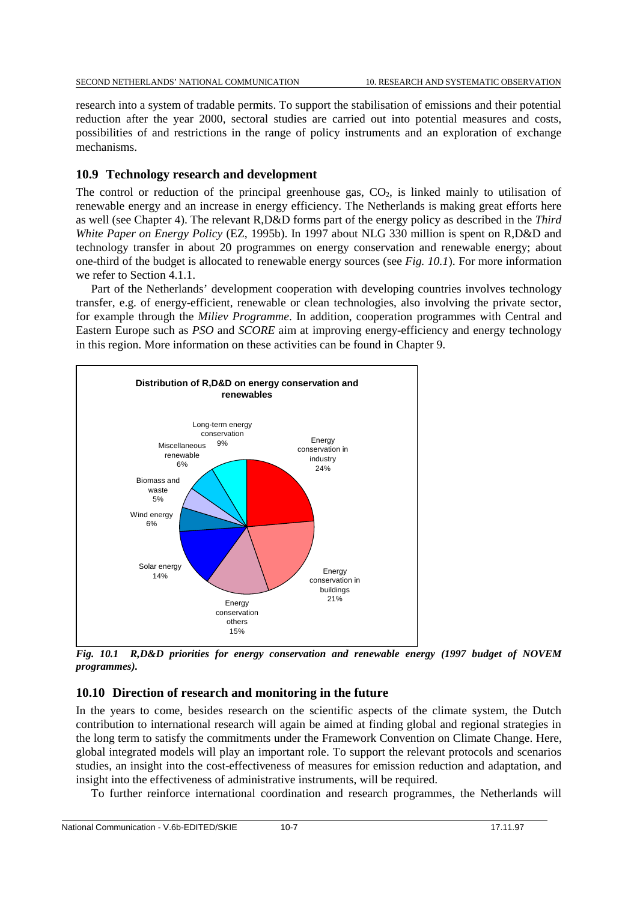research into a system of tradable permits. To support the stabilisation of emissions and their potential reduction after the year 2000, sectoral studies are carried out into potential measures and costs, possibilities of and restrictions in the range of policy instruments and an exploration of exchange mechanisms.

# **10.9 Technology research and development**

The control or reduction of the principal greenhouse gas,  $CO<sub>2</sub>$ , is linked mainly to utilisation of renewable energy and an increase in energy efficiency. The Netherlands is making great efforts here as well (see Chapter 4). The relevant R,D&D forms part of the energy policy as described in the *Third White Paper on Energy Policy* (EZ, 1995b). In 1997 about NLG 330 million is spent on R,D&D and technology transfer in about 20 programmes on energy conservation and renewable energy; about one-third of the budget is allocated to renewable energy sources (see *Fig. 10.1*). For more information we refer to Section 4.1.1.

Part of the Netherlands' development cooperation with developing countries involves technology transfer, e.g. of energy-efficient, renewable or clean technologies, also involving the private sector, for example through the *Miliev Programme*. In addition, cooperation programmes with Central and Eastern Europe such as *PSO* and *SCORE* aim at improving energy-efficiency and energy technology in this region. More information on these activities can be found in Chapter 9.



*Fig. 10.1 R,D&D priorities for energy conservation and renewable energy (1997 budget of NOVEM programmes).*

# **10.10 Direction of research and monitoring in the future**

In the years to come, besides research on the scientific aspects of the climate system, the Dutch contribution to international research will again be aimed at finding global and regional strategies in the long term to satisfy the commitments under the Framework Convention on Climate Change. Here, global integrated models will play an important role. To support the relevant protocols and scenarios studies, an insight into the cost-effectiveness of measures for emission reduction and adaptation, and insight into the effectiveness of administrative instruments, will be required.

To further reinforce international coordination and research programmes, the Netherlands will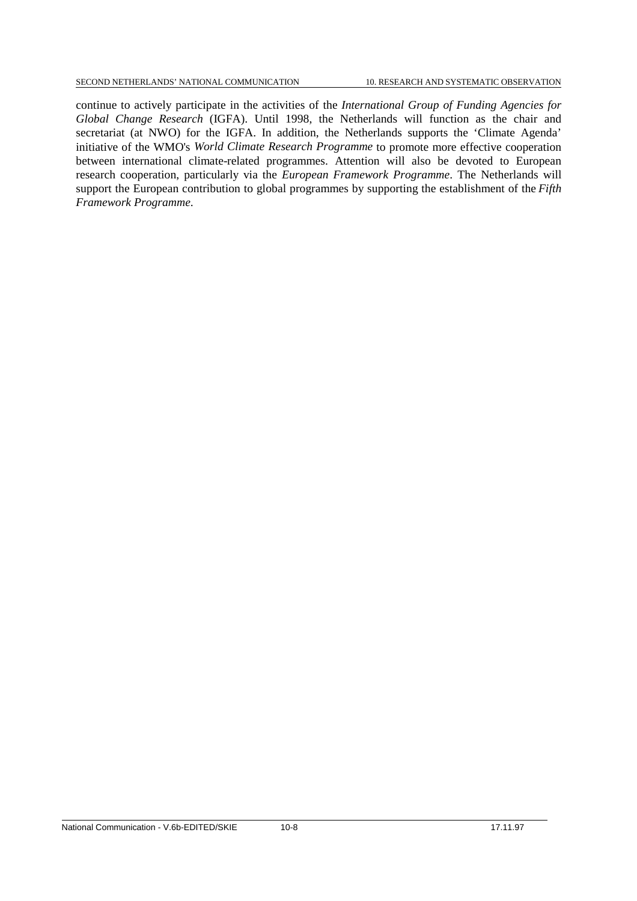continue to actively participate in the activities of the *International Group of Funding Agencies for Global Change Research* (IGFA). Until 1998, the Netherlands will function as the chair and secretariat (at NWO) for the IGFA. In addition, the Netherlands supports the 'Climate Agenda' initiative of the WMO's *World Climate Research Programme* to promote more effective cooperation between international climate-related programmes. Attention will also be devoted to European research cooperation, particularly via the *European Framework Programme*. The Netherlands will support the European contribution to global programmes by supporting the establishment of the *Fifth Framework Programme*.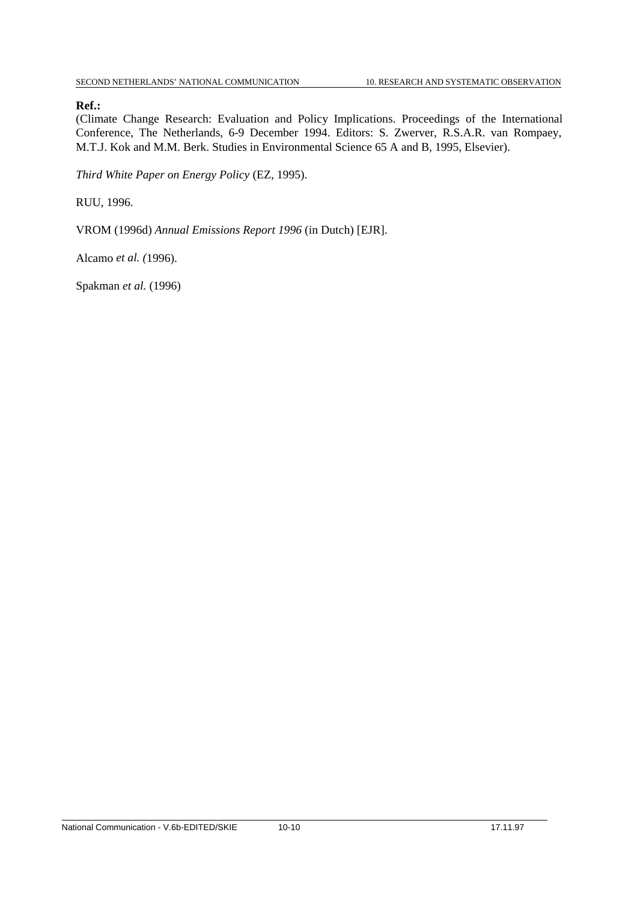# **Ref.:**

(Climate Change Research: Evaluation and Policy Implications. Proceedings of the International Conference, The Netherlands, 6-9 December 1994. Editors: S. Zwerver, R.S.A.R. van Rompaey, M.T.J. Kok and M.M. Berk. Studies in Environmental Science 65 A and B, 1995, Elsevier).

*Third White Paper on Energy Policy* (EZ, 1995).

RUU, 1996.

VROM (1996d) *Annual Emissions Report 1996* (in Dutch) [EJR].

Alcamo *et al. (*1996).

Spakman *et al.* (1996)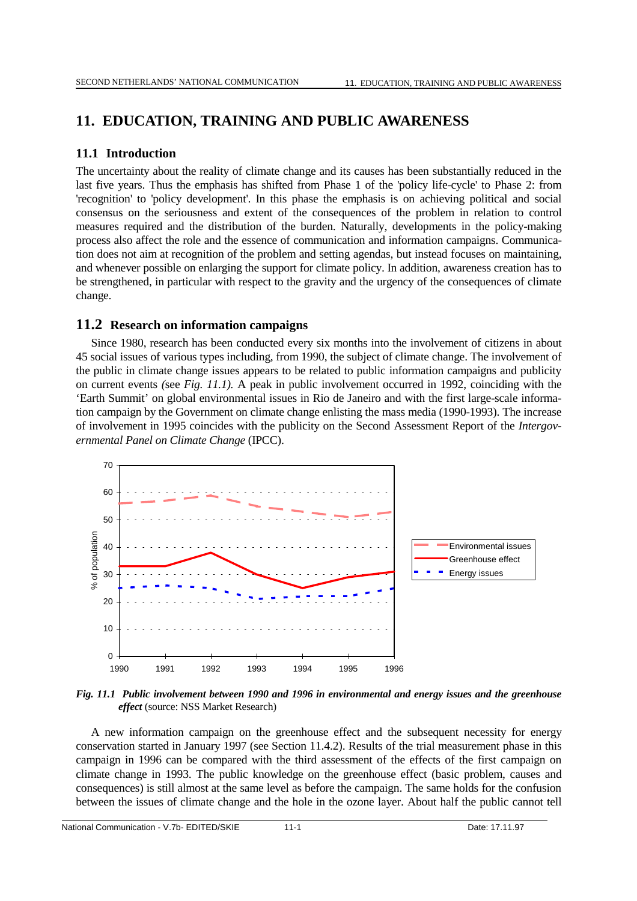# **11. EDUCATION, TRAINING AND PUBLIC AWARENESS**

# **11.1 Introduction**

The uncertainty about the reality of climate change and its causes has been substantially reduced in the last five years. Thus the emphasis has shifted from Phase 1 of the 'policy life-cycle' to Phase 2: from 'recognition' to 'policy development'. In this phase the emphasis is on achieving political and social consensus on the seriousness and extent of the consequences of the problem in relation to control measures required and the distribution of the burden. Naturally, developments in the policy-making process also affect the role and the essence of communication and information campaigns. Communication does not aim at recognition of the problem and setting agendas, but instead focuses on maintaining, and whenever possible on enlarging the support for climate policy. In addition, awareness creation has to be strengthened, in particular with respect to the gravity and the urgency of the consequences of climate change.

# **11.2 Research on information campaigns**

Since 1980, research has been conducted every six months into the involvement of citizens in about 45 social issues of various types including, from 1990, the subject of climate change. The involvement of the public in climate change issues appears to be related to public information campaigns and publicity on current events *(*see *Fig. 11.1).* A peak in public involvement occurred in 1992, coinciding with the 'Earth Summit' on global environmental issues in Rio de Janeiro and with the first large-scale information campaign by the Government on climate change enlisting the mass media (1990-1993). The increase of involvement in 1995 coincides with the publicity on the Second Assessment Report of the *Intergovernmental Panel on Climate Change* (IPCC).



*Fig. 11.1 Public involvement between 1990 and 1996 in environmental and energy issues and the greenhouse effect* (source: NSS Market Research)

A new information campaign on the greenhouse effect and the subsequent necessity for energy conservation started in January 1997 (see Section 11.4.2). Results of the trial measurement phase in this campaign in 1996 can be compared with the third assessment of the effects of the first campaign on climate change in 1993. The public knowledge on the greenhouse effect (basic problem, causes and consequences) is still almost at the same level as before the campaign. The same holds for the confusion between the issues of climate change and the hole in the ozone layer. About half the public cannot tell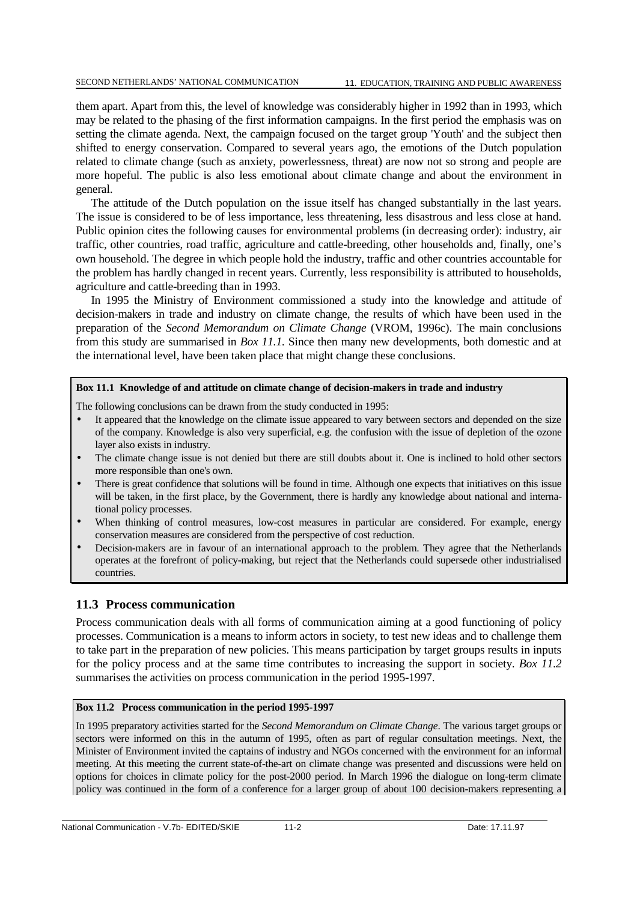them apart. Apart from this, the level of knowledge was considerably higher in 1992 than in 1993, which may be related to the phasing of the first information campaigns. In the first period the emphasis was on setting the climate agenda. Next, the campaign focused on the target group 'Youth' and the subject then shifted to energy conservation. Compared to several years ago, the emotions of the Dutch population related to climate change (such as anxiety, powerlessness, threat) are now not so strong and people are more hopeful. The public is also less emotional about climate change and about the environment in general.

The attitude of the Dutch population on the issue itself has changed substantially in the last years. The issue is considered to be of less importance, less threatening, less disastrous and less close at hand. Public opinion cites the following causes for environmental problems (in decreasing order): industry, air traffic, other countries, road traffic, agriculture and cattle-breeding, other households and, finally, one's own household. The degree in which people hold the industry, traffic and other countries accountable for the problem has hardly changed in recent years. Currently, less responsibility is attributed to households, agriculture and cattle-breeding than in 1993.

In 1995 the Ministry of Environment commissioned a study into the knowledge and attitude of decision-makers in trade and industry on climate change, the results of which have been used in the preparation of the *Second Memorandum on Climate Change* (VROM, 1996c). The main conclusions from this study are summarised in *Box 11.1.* Since then many new developments, both domestic and at the international level, have been taken place that might change these conclusions.

#### **Box 11.1 Knowledge of and attitude on climate change of decision-makers in trade and industry**

The following conclusions can be drawn from the study conducted in 1995:

- It appeared that the knowledge on the climate issue appeared to vary between sectors and depended on the size of the company. Knowledge is also very superficial, e.g. the confusion with the issue of depletion of the ozone layer also exists in industry.
- The climate change issue is not denied but there are still doubts about it. One is inclined to hold other sectors more responsible than one's own.
- There is great confidence that solutions will be found in time. Although one expects that initiatives on this issue will be taken, in the first place, by the Government, there is hardly any knowledge about national and international policy processes.
- When thinking of control measures, low-cost measures in particular are considered. For example, energy conservation measures are considered from the perspective of cost reduction.
- Decision-makers are in favour of an international approach to the problem. They agree that the Netherlands operates at the forefront of policy-making, but reject that the Netherlands could supersede other industrialised countries.

# **11.3 Process communication**

Process communication deals with all forms of communication aiming at a good functioning of policy processes. Communication is a means to inform actors in society, to test new ideas and to challenge them to take part in the preparation of new policies. This means participation by target groups results in inputs for the policy process and at the same time contributes to increasing the support in society. *Box 11*.*2* summarises the activities on process communication in the period 1995-1997.

#### **Box 11.2 Process communication in the period 1995-1997**

In 1995 preparatory activities started for the *Second Memorandum on Climate Change*. The various target groups or sectors were informed on this in the autumn of 1995, often as part of regular consultation meetings. Next, the Minister of Environment invited the captains of industry and NGOs concerned with the environment for an informal meeting. At this meeting the current state-of-the-art on climate change was presented and discussions were held on options for choices in climate policy for the post-2000 period. In March 1996 the dialogue on long-term climate policy was continued in the form of a conference for a larger group of about 100 decision-makers representing a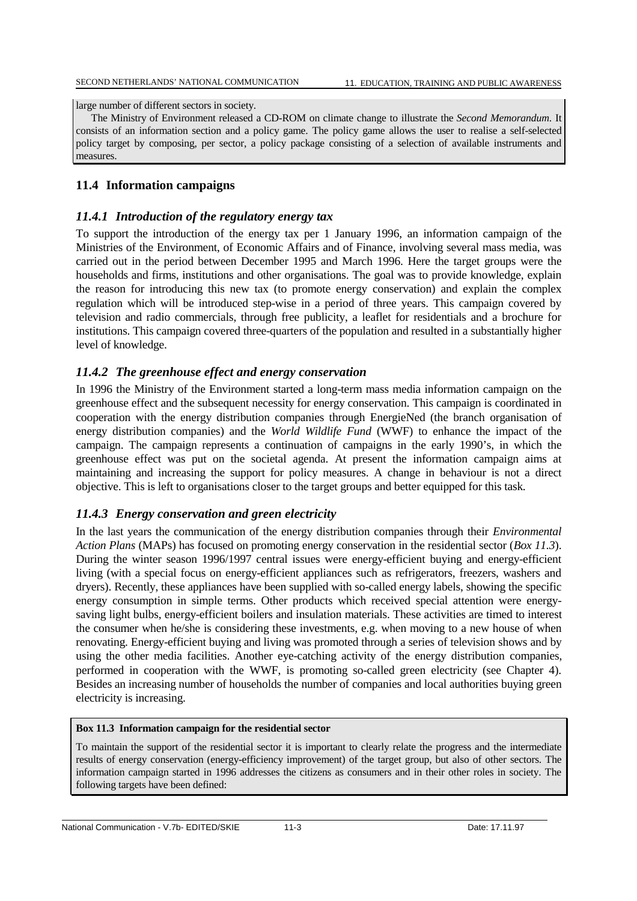large number of different sectors in society.

The Ministry of Environment released a CD-ROM on climate change to illustrate the *Second Memorandum*. It consists of an information section and a policy game. The policy game allows the user to realise a self-selected policy target by composing, per sector, a policy package consisting of a selection of available instruments and measures.

# **11.4 Information campaigns**

# *11.4.1 Introduction of the regulatory energy tax*

To support the introduction of the energy tax per 1 January 1996, an information campaign of the Ministries of the Environment, of Economic Affairs and of Finance, involving several mass media, was carried out in the period between December 1995 and March 1996. Here the target groups were the households and firms, institutions and other organisations. The goal was to provide knowledge, explain the reason for introducing this new tax (to promote energy conservation) and explain the complex regulation which will be introduced step-wise in a period of three years. This campaign covered by television and radio commercials, through free publicity, a leaflet for residentials and a brochure for institutions. This campaign covered three-quarters of the population and resulted in a substantially higher level of knowledge.

# *11.4.2 The greenhouse effect and energy conservation*

In 1996 the Ministry of the Environment started a long-term mass media information campaign on the greenhouse effect and the subsequent necessity for energy conservation. This campaign is coordinated in cooperation with the energy distribution companies through EnergieNed (the branch organisation of energy distribution companies) and the *World Wildlife Fund* (WWF) to enhance the impact of the campaign. The campaign represents a continuation of campaigns in the early 1990's, in which the greenhouse effect was put on the societal agenda. At present the information campaign aims at maintaining and increasing the support for policy measures. A change in behaviour is not a direct objective. This is left to organisations closer to the target groups and better equipped for this task.

# *11.4.3 Energy conservation and green electricity*

In the last years the communication of the energy distribution companies through their *Environmental Action Plans* (MAPs) has focused on promoting energy conservation in the residential sector (*Box 11.3*). During the winter season 1996/1997 central issues were energy-efficient buying and energy-efficient living (with a special focus on energy-efficient appliances such as refrigerators, freezers, washers and dryers). Recently, these appliances have been supplied with so-called energy labels, showing the specific energy consumption in simple terms. Other products which received special attention were energysaving light bulbs, energy-efficient boilers and insulation materials. These activities are timed to interest the consumer when he/she is considering these investments, e.g. when moving to a new house of when renovating. Energy-efficient buying and living was promoted through a series of television shows and by using the other media facilities. Another eye-catching activity of the energy distribution companies, performed in cooperation with the WWF, is promoting so-called green electricity (see Chapter 4). Besides an increasing number of households the number of companies and local authorities buying green electricity is increasing.

# **Box 11.3 Information campaign for the residential sector**

To maintain the support of the residential sector it is important to clearly relate the progress and the intermediate results of energy conservation (energy-efficiency improvement) of the target group, but also of other sectors. The information campaign started in 1996 addresses the citizens as consumers and in their other roles in society. The following targets have been defined: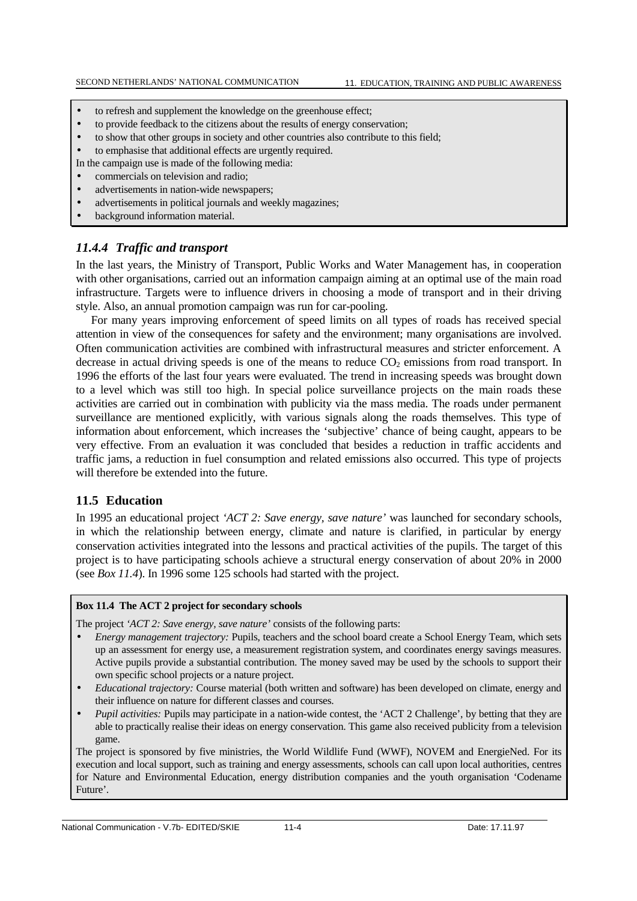- to refresh and supplement the knowledge on the greenhouse effect;
- to provide feedback to the citizens about the results of energy conservation;
- to show that other groups in society and other countries also contribute to this field;
- to emphasise that additional effects are urgently required.
- In the campaign use is made of the following media:
- commercials on television and radio;
- advertisements in nation-wide newspapers;
- advertisements in political journals and weekly magazines;
- background information material.

# *11.4.4 Traffic and transport*

In the last years, the Ministry of Transport, Public Works and Water Management has, in cooperation with other organisations, carried out an information campaign aiming at an optimal use of the main road infrastructure. Targets were to influence drivers in choosing a mode of transport and in their driving style. Also, an annual promotion campaign was run for car-pooling.

For many years improving enforcement of speed limits on all types of roads has received special attention in view of the consequences for safety and the environment; many organisations are involved. Often communication activities are combined with infrastructural measures and stricter enforcement. A decrease in actual driving speeds is one of the means to reduce  $CO<sub>2</sub>$  emissions from road transport. In 1996 the efforts of the last four years were evaluated. The trend in increasing speeds was brought down to a level which was still too high. In special police surveillance projects on the main roads these activities are carried out in combination with publicity via the mass media. The roads under permanent surveillance are mentioned explicitly, with various signals along the roads themselves. This type of information about enforcement, which increases the 'subjective' chance of being caught, appears to be very effective. From an evaluation it was concluded that besides a reduction in traffic accidents and traffic jams, a reduction in fuel consumption and related emissions also occurred. This type of projects will therefore be extended into the future.

# **11.5 Education**

In 1995 an educational project *'ACT 2: Save energy, save nature'* was launched for secondary schools, in which the relationship between energy, climate and nature is clarified, in particular by energy conservation activities integrated into the lessons and practical activities of the pupils. The target of this project is to have participating schools achieve a structural energy conservation of about 20% in 2000 (see *Box 11.4*). In 1996 some 125 schools had started with the project.

#### **Box 11.4 The ACT 2 project for secondary schools**

The project *'ACT 2: Save energy, save nature'* consists of the following parts:

- *Energy management trajectory:* Pupils, teachers and the school board create a School Energy Team, which sets up an assessment for energy use, a measurement registration system, and coordinates energy savings measures. Active pupils provide a substantial contribution. The money saved may be used by the schools to support their own specific school projects or a nature project.
- *Educational trajectory:* Course material (both written and software) has been developed on climate, energy and their influence on nature for different classes and courses.
- *Pupil activities:* Pupils may participate in a nation-wide contest, the 'ACT 2 Challenge', by betting that they are able to practically realise their ideas on energy conservation. This game also received publicity from a television game.

The project is sponsored by five ministries, the World Wildlife Fund (WWF), NOVEM and EnergieNed. For its execution and local support, such as training and energy assessments, schools can call upon local authorities, centres for Nature and Environmental Education, energy distribution companies and the youth organisation 'Codename Future'.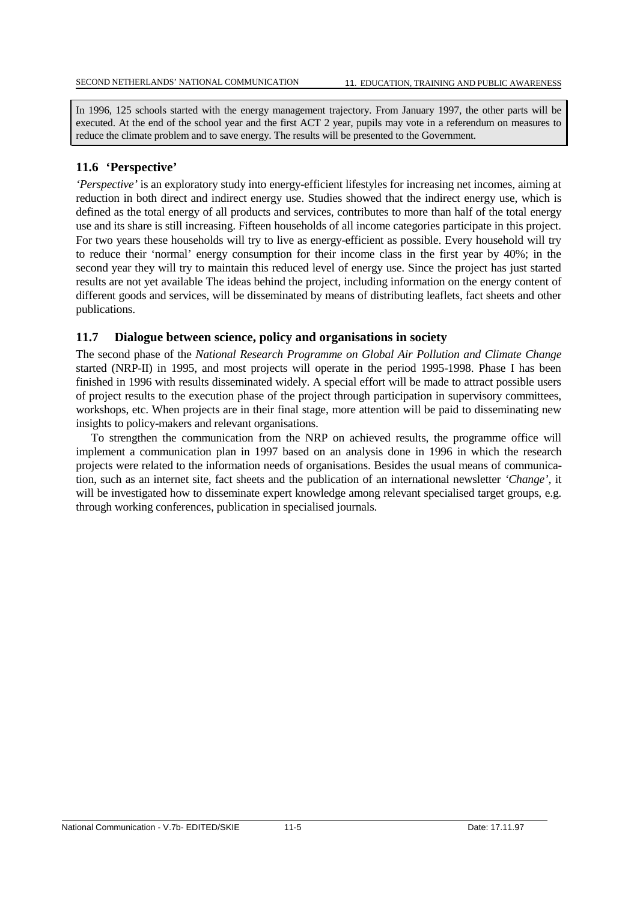In 1996, 125 schools started with the energy management trajectory. From January 1997, the other parts will be executed. At the end of the school year and the first ACT 2 year, pupils may vote in a referendum on measures to reduce the climate problem and to save energy. The results will be presented to the Government.

# **11.6 'Perspective'**

*'Perspective'* is an exploratory study into energy-efficient lifestyles for increasing net incomes, aiming at reduction in both direct and indirect energy use. Studies showed that the indirect energy use, which is defined as the total energy of all products and services, contributes to more than half of the total energy use and its share is still increasing. Fifteen households of all income categories participate in this project. For two years these households will try to live as energy-efficient as possible. Every household will try to reduce their 'normal' energy consumption for their income class in the first year by 40%; in the second year they will try to maintain this reduced level of energy use. Since the project has just started results are not yet available The ideas behind the project, including information on the energy content of different goods and services, will be disseminated by means of distributing leaflets, fact sheets and other publications.

# **11.7 Dialogue between science, policy and organisations in society**

The second phase of the *National Research Programme on Global Air Pollution and Climate Change* started (NRP-II) in 1995, and most projects will operate in the period 1995-1998. Phase I has been finished in 1996 with results disseminated widely. A special effort will be made to attract possible users of project results to the execution phase of the project through participation in supervisory committees, workshops, etc. When projects are in their final stage, more attention will be paid to disseminating new insights to policy-makers and relevant organisations.

To strengthen the communication from the NRP on achieved results, the programme office will implement a communication plan in 1997 based on an analysis done in 1996 in which the research projects were related to the information needs of organisations. Besides the usual means of communication, such as an internet site, fact sheets and the publication of an international newsletter *'Change'*, it will be investigated how to disseminate expert knowledge among relevant specialised target groups, e.g. through working conferences, publication in specialised journals.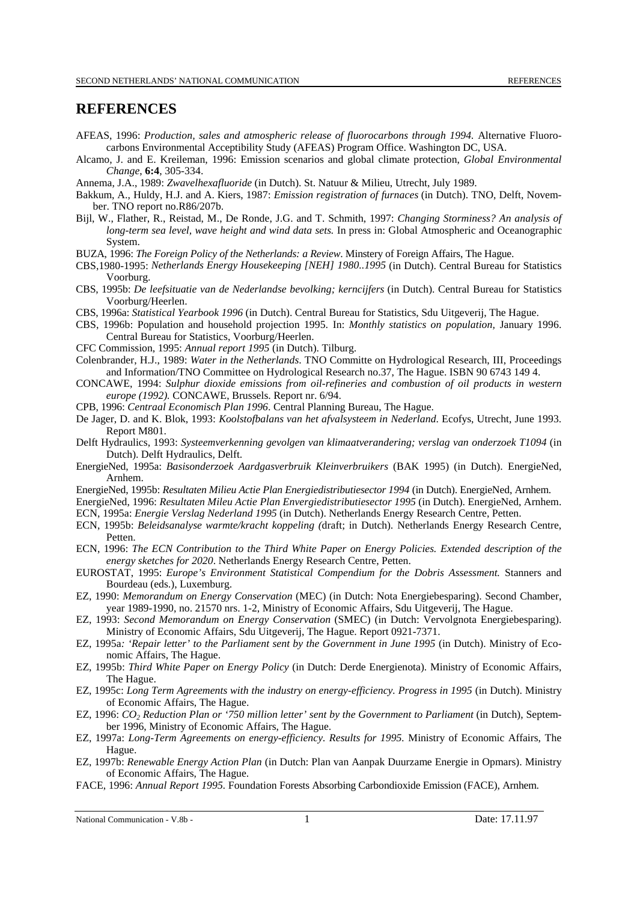# **REFERENCES**

- AFEAS, 1996: *Production, sales and atmospheric release of fluorocarbons through 1994.* Alternative Fluorocarbons Environmental Acceptibility Study (AFEAS) Program Office. Washington DC, USA.
- Alcamo, J. and E. Kreileman, 1996: Emission scenarios and global climate protection, *Global Environmental Change*, **6:4**, 305-334.
- Annema, J.A., 1989: *Zwavelhexafluoride* (in Dutch). St. Natuur & Milieu, Utrecht, July 1989.
- Bakkum, A., Huldy, H.J. and A. Kiers, 1987: *Emission registration of furnaces* (in Dutch). TNO, Delft, November. TNO report no.R86/207b.
- Bijl, W., Flather, R., Reistad, M., De Ronde, J.G. and T. Schmith, 1997: *Changing Storminess? An analysis of long-term sea level, wave height and wind data sets.* In press in: Global Atmospheric and Oceanographic System.
- BUZA, 1996: *The Foreign Policy of the Netherlands: a Review*. Minstery of Foreign Affairs, The Hague.
- CBS,1980-1995: *Netherlands Energy Housekeeping [NEH] 1980..1995* (in Dutch). Central Bureau for Statistics Voorburg.
- CBS, 1995b: *De leefsituatie van de Nederlandse bevolking; kerncijfers* (in Dutch). Central Bureau for Statistics Voorburg/Heerlen.
- CBS, 1996a: *Statistical Yearbook 1996* (in Dutch). Central Bureau for Statistics, Sdu Uitgeverij, The Hague.
- CBS, 1996b: Population and household projection 1995*.* In: *Monthly statistics on population,* January 1996. Central Bureau for Statistics, Voorburg/Heerlen.
- CFC Commission, 1995: *Annual report 1995* (in Dutch). Tilburg.
- Colenbrander, H.J., 1989: *Water in the Netherlands*. TNO Committe on Hydrological Research, III, Proceedings and Information/TNO Committee on Hydrological Research no.37, The Hague. ISBN 90 6743 149 4.
- CONCAWE, 1994: *Sulphur dioxide emissions from oil-refineries and combustion of oil products in western europe (1992).* CONCAWE, Brussels. Report nr. 6/94.
- CPB, 1996: *Centraal Economisch Plan 1996*. Central Planning Bureau, The Hague.
- De Jager, D. and K. Blok, 1993: *Koolstofbalans van het afvalsysteem in Nederland*. Ecofys, Utrecht, June 1993. Report M801.
- Delft Hydraulics, 1993: *Systeemverkenning gevolgen van klimaatverandering; verslag van onderzoek T1094* (in Dutch). Delft Hydraulics*,* Delft.
- EnergieNed, 1995a: *Basisonderzoek Aardgasverbruik Kleinverbruikers* (BAK 1995) (in Dutch). EnergieNed, Arnhem.
- EnergieNed, 1995b: *Resultaten Milieu Actie Plan Energiedistributiesector 1994* (in Dutch). EnergieNed, Arnhem.
- EnergieNed, 1996: *Resultaten Mileu Actie Plan Envergiedistributiesector 1995* (in Dutch). EnergieNed, Arnhem.
- ECN, 1995a: *Energie Verslag Nederland 1995* (in Dutch). Netherlands Energy Research Centre, Petten.
- ECN, 1995b: *Beleidsanalyse warmte/kracht koppeling (*draft; in Dutch)*.* Netherlands Energy Research Centre, **Petten**
- ECN, 1996: *The ECN Contribution to the Third White Paper on Energy Policies. Extended description of the energy sketches for 2020*. Netherlands Energy Research Centre, Petten.
- EUROSTAT, 1995: *Europe's Environment Statistical Compendium for the Dobris Assessment.* Stanners and Bourdeau (eds.), Luxemburg.
- EZ, 1990: *Memorandum on Energy Conservation* (MEC) (in Dutch: Nota Energiebesparing). Second Chamber, year 1989-1990, no. 21570 nrs. 1-2, Ministry of Economic Affairs, Sdu Uitgeverij, The Hague.
- EZ, 1993: *Second Memorandum on Energy Conservation* (SMEC) (in Dutch: Vervolgnota Energiebesparing). Ministry of Economic Affairs, Sdu Uitgeverij, The Hague. Report 0921-7371.
- EZ, 1995a*: 'Repair letter' to the Parliament sent by the Government in June 1995* (in Dutch). Ministry of Economic Affairs, The Hague.
- EZ, 1995b: *Third White Paper on Energy Policy* (in Dutch: Derde Energienota). Ministry of Economic Affairs, The Hague.
- EZ, 1995c: *Long Term Agreements with the industry on energy-efficiency. Progress in 1995* (in Dutch). Ministry of Economic Affairs, The Hague.
- EZ, 1996: *CO<sub>2</sub> Reduction Plan or '750 million letter' sent by the Government to Parliament* (in Dutch), September 1996, Ministry of Economic Affairs, The Hague.
- EZ, 1997a: *Long-Term Agreements on energy-efficiency. Results for 1995.* Ministry of Economic Affairs, The Hague.
- EZ, 1997b: *Renewable Energy Action Plan* (in Dutch: Plan van Aanpak Duurzame Energie in Opmars). Ministry of Economic Affairs, The Hague.
- FACE, 1996: *Annual Report 1995.* Foundation Forests Absorbing Carbondioxide Emission (FACE), Arnhem.

National Communication - V.8b - 1 Date: 17.11.97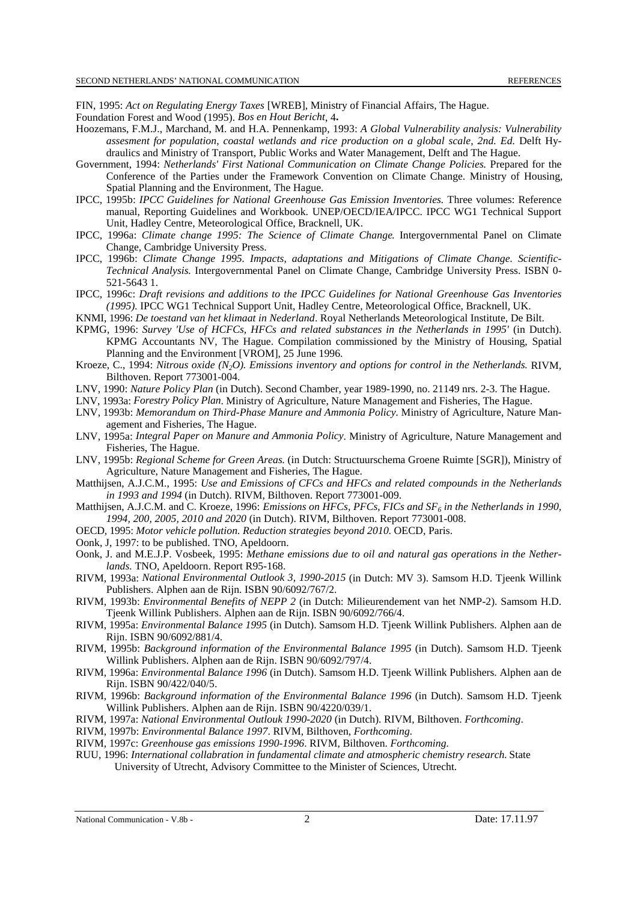FIN, 1995: *Act on Regulating Energy Taxes* [WREB], Ministry of Financial Affairs, The Hague.

- Foundation Forest and Wood (1995). *Bos en Hout Bericht*, 4**.**
- Hoozemans, F.M.J., Marchand, M. and H.A. Pennenkamp, 1993: *A Global Vulnerability analysis: Vulnerability assesment for population, coastal wetlands and rice production on a global scale, 2nd. Ed.* Delft Hydraulics and Ministry of Transport, Public Works and Water Management, Delft and The Hague.
- Government, 1994: *Netherlands' First National Communication on Climate Change Policies.* Prepared for the Conference of the Parties under the Framework Convention on Climate Change. Ministry of Housing, Spatial Planning and the Environment, The Hague.
- IPCC, 1995b: *IPCC Guidelines for National Greenhouse Gas Emission Inventories.* Three volumes: Reference manual, Reporting Guidelines and Workbook. UNEP/OECD/IEA/IPCC. IPCC WG1 Technical Support Unit, Hadley Centre, Meteorological Office, Bracknell, UK.
- IPCC, 1996a: *Climate change 1995: The Science of Climate Change*. Intergovernmental Panel on Climate Change, Cambridge University Press.
- IPCC, 1996b: *Climate Change 1995. Impacts, adaptations and Mitigations of Climate Change. Scientific-Technical Analysis.* Intergovernmental Panel on Climate Change, Cambridge University Press. ISBN 0- 521-5643 1.
- IPCC, 1996c: *Draft revisions and additions to the IPCC Guidelines for National Greenhouse Gas Inventories (1995).* IPCC WG1 Technical Support Unit, Hadley Centre, Meteorological Office, Bracknell, UK.
- KNMI, 1996: *De toestand van het klimaat in Nederland*. Royal Netherlands Meteorological Institute, De Bilt.
- KPMG, 1996: *Survey 'Use of HCFCs, HFCs and related substances in the Netherlands in 1995'* (in Dutch). KPMG Accountants NV, The Hague. Compilation commissioned by the Ministry of Housing, Spatial Planning and the Environment [VROM], 25 June 1996.
- Kroeze, C., 1994: *Nitrous oxide (N2O). Emissions inventory and options for control in the Netherlands.* RIVM, Bilthoven. Report 773001-004.
- LNV, 1990: *Nature Policy Plan* (in Dutch). Second Chamber, year 1989-1990, no. 21149 nrs. 2-3. The Hague.
- LNV, 1993a: *Forestry Policy Plan*. Ministry of Agriculture, Nature Management and Fisheries, The Hague.
- LNV, 1993b: *Memorandum on Third-Phase Manure and Ammonia Policy.* Ministry of Agriculture, Nature Management and Fisheries, The Hague.
- LNV, 1995a: *Integral Paper on Manure and Ammonia Policy*. Ministry of Agriculture, Nature Management and Fisheries, The Hague.
- LNV, 1995b: *Regional Scheme for Green Areas.* (in Dutch: Structuurschema Groene Ruimte [SGR]), Ministry of Agriculture, Nature Management and Fisheries, The Hague.
- Matthijsen, A.J.C.M., 1995: *Use and Emissions of CFCs and HFCs and related compounds in the Netherlands in 1993 and 1994* (in Dutch). RIVM, Bilthoven. Report 773001-009.
- Matthijsen, A.J.C.M. and C. Kroeze, 1996: *Emissions on HFCs, PFCs, FICs and SF6 in the Netherlands in 1990, 1994, 200, 2005, 2010 and 2020* (in Dutch). RIVM, Bilthoven. Report 773001-008.
- OECD, 1995: *Motor vehicle pollution. Reduction strategies beyond 2010*. OECD, Paris.
- Oonk, J, 1997: to be published. TNO, Apeldoorn.
- Oonk, J. and M.E.J.P. Vosbeek, 1995: *Methane emissions due to oil and natural gas operations in the Netherlands.* TNO, Apeldoorn. Report R95-168.
- RIVM, 1993a: *National Environmental Outlook 3, 1990-2015* (in Dutch: MV 3). Samsom H.D. Tjeenk Willink Publishers. Alphen aan de Rijn. ISBN 90/6092/767/2.
- RIVM, 1993b: *Environmental Benefits of NEPP 2* (in Dutch: Milieurendement van het NMP-2). Samsom H.D. Tjeenk Willink Publishers. Alphen aan de Rijn. ISBN 90/6092/766/4.
- RIVM, 1995a: *Environmental Balance 1995* (in Dutch). Samsom H.D. Tjeenk Willink Publishers. Alphen aan de Rijn. ISBN 90/6092/881/4.
- RIVM, 1995b: *Background information of the Environmental Balance 1995* (in Dutch). Samsom H.D. Tjeenk Willink Publishers. Alphen aan de Rijn. ISBN 90/6092/797/4.
- RIVM, 1996a: *Environmental Balance 1996* (in Dutch). Samsom H.D. Tjeenk Willink Publishers. Alphen aan de Rijn. ISBN 90/422/040/5.
- RIVM, 1996b: *Background information of the Environmental Balance 1996* (in Dutch). Samsom H.D. Tjeenk Willink Publishers. Alphen aan de Rijn. ISBN 90/4220/039/1.
- RIVM, 1997a: *National Environmental Outlouk 1990-2020* (in Dutch). RIVM, Bilthoven. *Forthcoming*.
- RIVM, 1997b: *Environmental Balance 1997*. RIVM, Bilthoven, *Forthcoming.*
- RIVM, 1997c: *Greenhouse gas emissions 1990-1996*. RIVM, Bilthoven. *Forthcoming.*
- RUU, 1996: *International collabration in fundamental climate and atmospheric chemistry research.* State University of Utrecht, Advisory Committee to the Minister of Sciences, Utrecht.

National Communication - V.8b - 2 2 Date: 17.11.97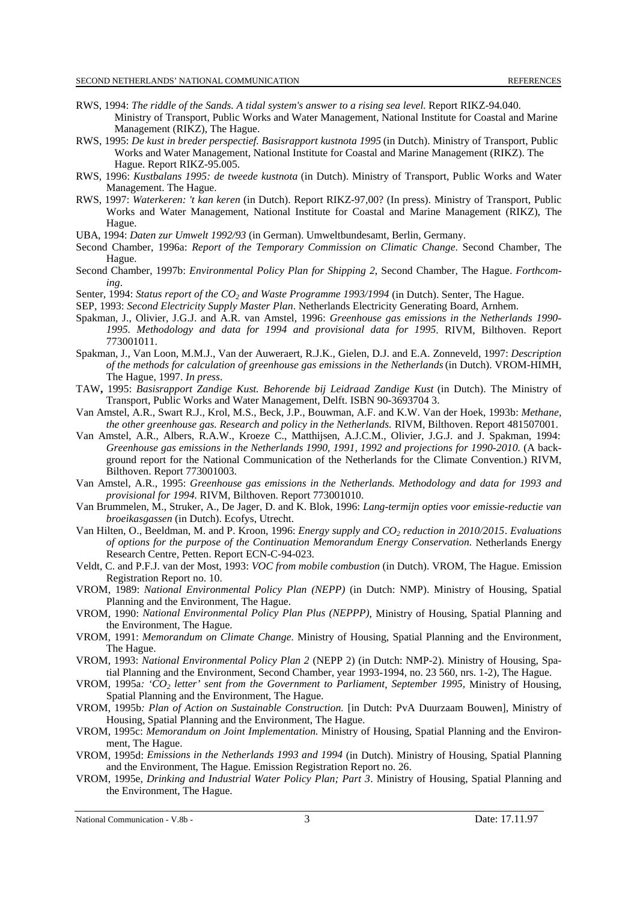- RWS, 1994: *The riddle of the Sands. A tidal system's answer to a rising sea level*. Report RIKZ-94.040. Ministry of Transport, Public Works and Water Management, National Institute for Coastal and Marine Management (RIKZ), The Hague.
- RWS, 1995: *De kust in breder perspectief. Basisrapport kustnota 1995* (in Dutch). Ministry of Transport, Public Works and Water Management, National Institute for Coastal and Marine Management (RIKZ). The Hague. Report RIKZ-95.005.
- RWS, 1996: *Kustbalans 1995: de tweede kustnota* (in Dutch). Ministry of Transport, Public Works and Water Management. The Hague.
- RWS, 1997: *Waterkeren: 't kan keren* (in Dutch). Report RIKZ-97,00? (In press). Ministry of Transport, Public Works and Water Management, National Institute for Coastal and Marine Management (RIKZ), The Hague.
- UBA, 1994: *Daten zur Umwelt 1992/93* (in German). Umweltbundesamt, Berlin, Germany.
- Second Chamber, 1996a: *Report of the Temporary Commission on Climatic Change*. Second Chamber, The Hague.
- Second Chamber, 1997b: *Environmental Policy Plan for Shipping 2*, Second Chamber, The Hague. *Forthcoming*.
- Senter, 1994: *Status report of the CO<sub>2</sub> and Waste Programme 1993/1994* (in Dutch). Senter, The Hague.
- SEP, 1993: *Second Electricity Supply Master Plan*. Netherlands Electricity Generating Board, Arnhem.
- Spakman, J., Olivier, J.G.J. and A.R. van Amstel, 1996: *Greenhouse gas emissions in the Netherlands 1990- 1995. Methodology and data for 1994 and provisional data for 1995*. RIVM, Bilthoven. Report 773001011.
- Spakman, J., Van Loon, M.M.J., Van der Auweraert, R.J.K., Gielen, D.J. and E.A. Zonneveld, 1997: *Description of the methods for calculation of greenhouse gas emissions in the Netherlands* (in Dutch). VROM-HIMH, The Hague, 1997. *In press*.
- TAW**,** 1995: *Basisrapport Zandige Kust. Behorende bij Leidraad Zandige Kust* (in Dutch). The Ministry of Transport, Public Works and Water Management, Delft. ISBN 90-3693704 3.
- Van Amstel, A.R., Swart R.J., Krol, M.S., Beck, J.P., Bouwman, A.F. and K.W. Van der Hoek, 1993b: *Methane, the other greenhouse gas. Research and policy in the Netherlands.* RIVM, Bilthoven. Report 481507001.
- Van Amstel, A.R., Albers, R.A.W., Kroeze C., Matthijsen, A.J.C.M., Olivier, J.G.J. and J. Spakman, 1994: *Greenhouse gas emissions in the Netherlands 1990, 1991, 1992 and projections for 1990-2010.* (A background report for the National Communication of the Netherlands for the Climate Convention.) RIVM, Bilthoven. Report 773001003.
- Van Amstel, A.R., 1995: *Greenhouse gas emissions in the Netherlands. Methodology and data for 1993 and provisional for 1994.* RIVM, Bilthoven. Report 773001010.
- Van Brummelen, M., Struker, A., De Jager, D. and K. Blok, 1996: *Lang-termijn opties voor emissie-reductie van broeikasgassen* (in Dutch). Ecofys, Utrecht.
- Van Hilten, O., Beeldman, M. and P. Kroon, 1996: *Energy supply and CO2 reduction in 2010/2015*. *Evaluations of options for the purpose of the Continuation Memorandum Energy Conservation.* Netherlands Energy Research Centre, Petten. Report ECN-C-94-023.
- Veldt, C. and P.F.J. van der Most, 1993: *VOC from mobile combustion* (in Dutch). VROM, The Hague. Emission Registration Report no. 10.
- VROM, 1989: *National Environmental Policy Plan (NEPP)* (in Dutch: NMP). Ministry of Housing, Spatial Planning and the Environment, The Hague.
- VROM, 1990: *National Environmental Policy Plan Plus (NEPPP)*, Ministry of Housing, Spatial Planning and the Environment, The Hague.
- VROM, 1991: *Memorandum on Climate Change.* Ministry of Housing, Spatial Planning and the Environment, The Hague.
- VROM, 1993: *National Environmental Policy Plan 2* (NEPP 2) (in Dutch: NMP-2). Ministry of Housing, Spatial Planning and the Environment, Second Chamber, year 1993-1994, no. 23 560, nrs. 1-2), The Hague.
- VROM, 1995a*: 'CO2 letter' sent from the Government to Parliament*, *September 1995,* Ministry of Housing, Spatial Planning and the Environment, The Hague.
- VROM, 1995b*: Plan of Action on Sustainable Construction.* [in Dutch: PvA Duurzaam Bouwen], Ministry of Housing, Spatial Planning and the Environment, The Hague.
- VROM, 1995c: *Memorandum on Joint Implementation.* Ministry of Housing, Spatial Planning and the Environment, The Hague.
- VROM, 1995d: *Emissions in the Netherlands 1993 and 1994* (in Dutch). Ministry of Housing, Spatial Planning and the Environment, The Hague. Emission Registration Report no. 26.
- VROM, 1995e, *Drinking and Industrial Water Policy Plan; Part 3*. Ministry of Housing, Spatial Planning and the Environment, The Hague.

National Communication - V.8b - 3 3 2012 17.11.97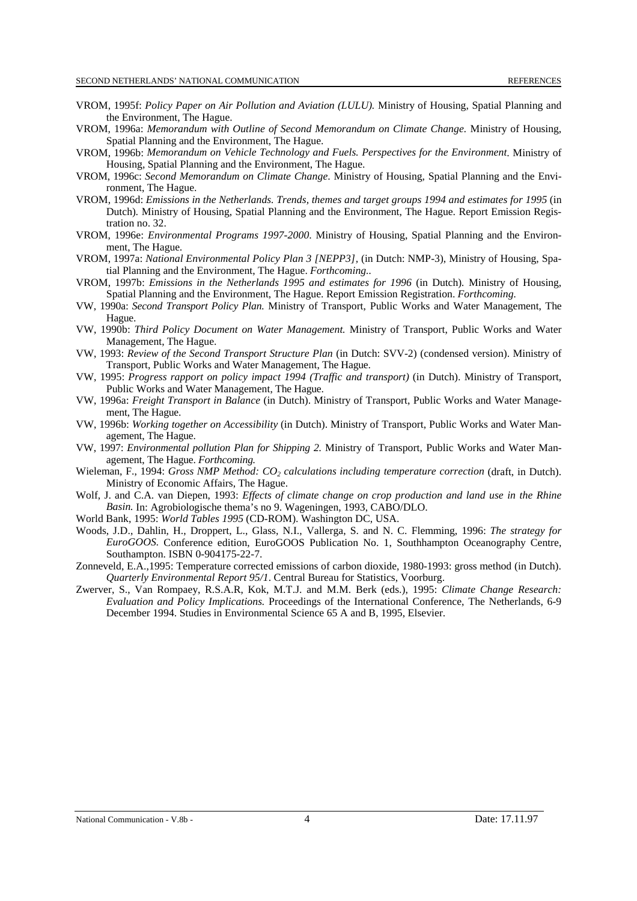- VROM, 1995f: *Policy Paper on Air Pollution and Aviation (LULU).* Ministry of Housing, Spatial Planning and the Environment, The Hague.
- VROM, 1996a: *Memorandum with Outline of Second Memorandum on Climate Change.* Ministry of Housing, Spatial Planning and the Environment, The Hague.
- VROM, 1996b: *Memorandum on Vehicle Technology and Fuels. Perspectives for the Environment*. Ministry of Housing, Spatial Planning and the Environment, The Hague.
- VROM, 1996c: *Second Memorandum on Climate Change*. Ministry of Housing, Spatial Planning and the Environment, The Hague.
- VROM, 1996d: *Emissions in the Netherlands. Trends, themes and target groups 1994 and estimates for 1995* (in Dutch)*.* Ministry of Housing, Spatial Planning and the Environment, The Hague. Report Emission Registration no. 32.
- VROM, 1996e: *Environmental Programs 1997-2000*. Ministry of Housing, Spatial Planning and the Environment, The Hague*.*
- VROM, 1997a: *National Environmental Policy Plan 3 [NEPP3],* (in Dutch: NMP-3), Ministry of Housing, Spatial Planning and the Environment, The Hague. *Forthcoming..*
- VROM, 1997b: *Emissions in the Netherlands 1995 and estimates for 1996* (in Dutch)*.* Ministry of Housing, Spatial Planning and the Environment, The Hague. Report Emission Registration. *Forthcoming.*
- VW, 1990a: *Second Transport Policy Plan.* Ministry of Transport, Public Works and Water Management, The Hague.
- VW, 1990b: *Third Policy Document on Water Management.* Ministry of Transport, Public Works and Water Management, The Hague.
- VW, 1993: *Review of the Second Transport Structure Plan* (in Dutch: SVV-2) (condensed version). Ministry of Transport, Public Works and Water Management, The Hague.
- VW, 1995: *Progress rapport on policy impact 1994 (Traffic and transport)* (in Dutch). Ministry of Transport, Public Works and Water Management, The Hague.
- VW, 1996a: *Freight Transport in Balance* (in Dutch). Ministry of Transport, Public Works and Water Management, The Hague.
- VW, 1996b: *Working together on Accessibility* (in Dutch). Ministry of Transport, Public Works and Water Management, The Hague.
- VW, 1997: *Environmental pollution Plan for Shipping 2.* Ministry of Transport, Public Works and Water Management, The Hague. *Forthcoming.*
- Wieleman, F., 1994: *Gross NMP Method: CO<sub>2</sub> calculations including temperature correction* (draft, in Dutch). Ministry of Economic Affairs, The Hague.
- Wolf, J. and C.A. van Diepen, 1993: *Effects of climate change on crop production and land use in the Rhine Basin.* In: Agrobiologische thema's no 9. Wageningen, 1993, CABO/DLO.
- World Bank, 1995: *World Tables 1995* (CD-ROM). Washington DC, USA.
- Woods, J.D., Dahlin, H., Droppert, L., Glass, N.I., Vallerga, S. and N. C. Flemming, 1996: *The strategy for EuroGOOS.* Conference edition, EuroGOOS Publication No. 1, Southhampton Oceanography Centre, Southampton. ISBN 0-904175-22-7.
- Zonneveld, E.A.,1995: Temperature corrected emissions of carbon dioxide, 1980-1993: gross method (in Dutch). *Quarterly Environmental Report 95/1*. Central Bureau for Statistics, Voorburg.
- Zwerver, S., Van Rompaey, R.S.A.R, Kok, M.T.J. and M.M. Berk (eds.), 1995: *Climate Change Research: Evaluation and Policy Implications.* Proceedings of the International Conference, The Netherlands, 6-9 December 1994. Studies in Environmental Science 65 A and B, 1995, Elsevier.

National Communication - V.8b - 4 2 Alexander 2012 12:11.97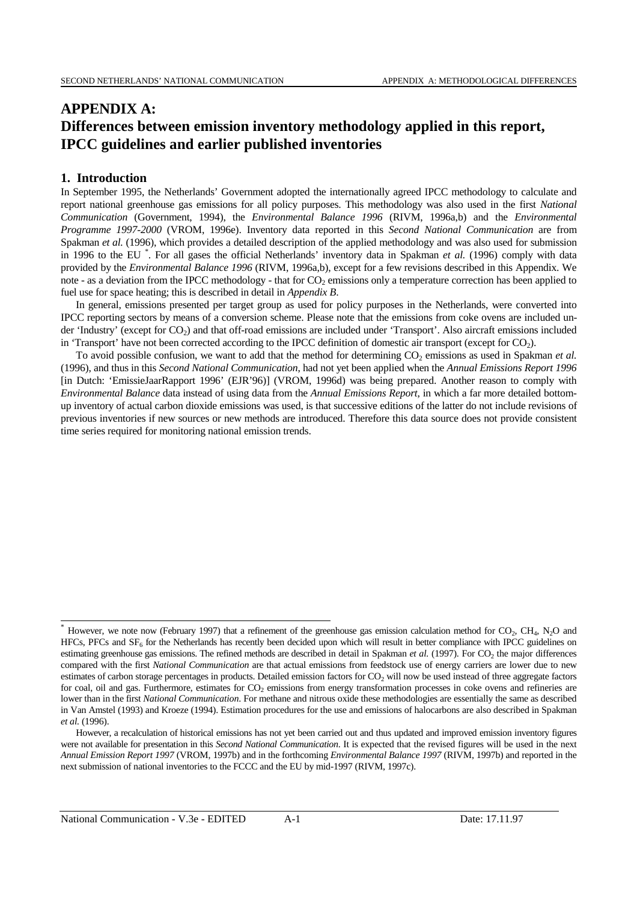# **APPENDIX A: Differences between emission inventory methodology applied in this report, IPCC guidelines and earlier published inventories**

# **1. Introduction**

 $\overline{a}$ 

In September 1995, the Netherlands' Government adopted the internationally agreed IPCC methodology to calculate and report national greenhouse gas emissions for all policy purposes. This methodology was also used in the first *National Communication* (Government, 1994), the *Environmental Balance 1996* (RIVM, 1996a,b) and the *Environmental Programme 1997-2000* (VROM, 1996e). Inventory data reported in this *Second National Communication* are from Spakman *et al.* (1996), which provides a detailed description of the applied methodology and was also used for submission in 1996 to the EU \* . For all gases the official Netherlands' inventory data in Spakman *et al.* (1996) comply with data provided by the *Environmental Balance 1996* (RIVM, 1996a,b), except for a few revisions described in this Appendix. We note - as a deviation from the IPCC methodology - that for  $CO<sub>2</sub>$  emissions only a temperature correction has been applied to fuel use for space heating; this is described in detail in *Appendix B*.

In general, emissions presented per target group as used for policy purposes in the Netherlands, were converted into IPCC reporting sectors by means of a conversion scheme. Please note that the emissions from coke ovens are included under 'Industry' (except for CO2) and that off-road emissions are included under 'Transport'. Also aircraft emissions included in 'Transport' have not been corrected according to the IPCC definition of domestic air transport (except for  $CO<sub>2</sub>$ ).

To avoid possible confusion, we want to add that the method for determining CO<sub>2</sub> emissions as used in Spakman *et al.* (1996), and thus in this *Second National Communication*, had not yet been applied when the *Annual Emissions Report 1996* [in Dutch: 'EmissieJaarRapport 1996' (EJR'96)] (VROM, 1996d) was being prepared. Another reason to comply with *Environmental Balance* data instead of using data from the *Annual Emissions Report*, in which a far more detailed bottomup inventory of actual carbon dioxide emissions was used, is that successive editions of the latter do not include revisions of previous inventories if new sources or new methods are introduced. Therefore this data source does not provide consistent time series required for monitoring national emission trends.

However, we note now (February 1997) that a refinement of the greenhouse gas emission calculation method for CO<sub>2</sub>, CH<sub>4</sub>, N<sub>2</sub>O and  $HFCs$ , PFCs and  $SF<sub>6</sub>$  for the Netherlands has recently been decided upon which will result in better compliance with IPCC guidelines on estimating greenhouse gas emissions. The refined methods are described in detail in Spakman *et al.* (1997). For CO<sub>2</sub> the major differences compared with the first *National Communication* are that actual emissions from feedstock use of energy carriers are lower due to new estimates of carbon storage percentages in products. Detailed emission factors for  $CO<sub>2</sub>$  will now be used instead of three aggregate factors for coal, oil and gas. Furthermore, estimates for CO<sub>2</sub> emissions from energy transformation processes in coke ovens and refineries are lower than in the first *National Communication*. For methane and nitrous oxide these methodologies are essentially the same as described in Van Amstel (1993) and Kroeze (1994). Estimation procedures for the use and emissions of halocarbons are also described in Spakman *et al.* (1996).

However, a recalculation of historical emissions has not yet been carried out and thus updated and improved emission inventory figures were not available for presentation in this *Second National Communication*. It is expected that the revised figures will be used in the next *Annual Emission Report 1997* (VROM, 1997b) and in the forthcoming *Environmental Balance 1997* (RIVM, 1997b) and reported in the next submission of national inventories to the FCCC and the EU by mid-1997 (RIVM, 1997c).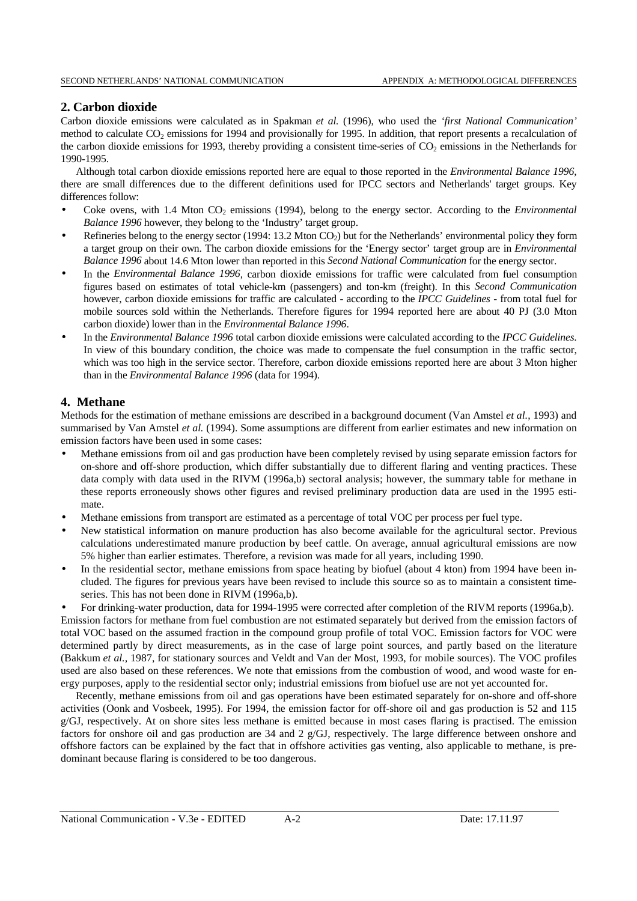# **2. Carbon dioxide**

Carbon dioxide emissions were calculated as in Spakman *et al.* (1996), who used the *'first National Communication'* method to calculate  $CO_2$  emissions for 1994 and provisionally for 1995. In addition, that report presents a recalculation of the carbon dioxide emissions for 1993, thereby providing a consistent time-series of  $CO<sub>2</sub>$  emissions in the Netherlands for 1990-1995.

Although total carbon dioxide emissions reported here are equal to those reported in the *Environmental Balance 1996,* there are small differences due to the different definitions used for IPCC sectors and Netherlands' target groups. Key differences follow:

- Coke ovens, with 1.4 Mton CO<sub>2</sub> emissions (1994), belong to the energy sector. According to the *Environmental Balance 1996* however, they belong to the 'Industry' target group.
- Refineries belong to the energy sector (1994: 13.2 Mton  $CO<sub>2</sub>$ ) but for the Netherlands' environmental policy they form a target group on their own. The carbon dioxide emissions for the 'Energy sector' target group are in *Environmental Balance 1996* about 14.6 Mton lower than reported in this *Second National Communication* for the energy sector.
- In the *Environmental Balance 1996*, carbon dioxide emissions for traffic were calculated from fuel consumption figures based on estimates of total vehicle-km (passengers) and ton-km (freight). In this *Second Communication* however, carbon dioxide emissions for traffic are calculated - according to the *IPCC Guidelines* - from total fuel for mobile sources sold within the Netherlands. Therefore figures for 1994 reported here are about 40 PJ (3.0 Mton carbon dioxide) lower than in the *Environmental Balance 1996*.
- In the *Environmental Balance 1996* total carbon dioxide emissions were calculated according to the *IPCC Guidelines*. In view of this boundary condition, the choice was made to compensate the fuel consumption in the traffic sector, which was too high in the service sector. Therefore, carbon dioxide emissions reported here are about 3 Mton higher than in the *Environmental Balance 1996* (data for 1994).

# **4. Methane**

Methods for the estimation of methane emissions are described in a background document (Van Amstel *et al.*, 1993) and summarised by Van Amstel *et al.* (1994). Some assumptions are different from earlier estimates and new information on emission factors have been used in some cases:

- Methane emissions from oil and gas production have been completely revised by using separate emission factors for on-shore and off-shore production, which differ substantially due to different flaring and venting practices. These data comply with data used in the RIVM (1996a,b) sectoral analysis; however, the summary table for methane in these reports erroneously shows other figures and revised preliminary production data are used in the 1995 estimate.
- Methane emissions from transport are estimated as a percentage of total VOC per process per fuel type.
- New statistical information on manure production has also become available for the agricultural sector. Previous calculations underestimated manure production by beef cattle. On average, annual agricultural emissions are now 5% higher than earlier estimates. Therefore, a revision was made for all years, including 1990.
- In the residential sector, methane emissions from space heating by biofuel (about 4 kton) from 1994 have been included. The figures for previous years have been revised to include this source so as to maintain a consistent timeseries. This has not been done in RIVM (1996a,b).

• For drinking-water production, data for 1994-1995 were corrected after completion of the RIVM reports (1996a,b). Emission factors for methane from fuel combustion are not estimated separately but derived from the emission factors of total VOC based on the assumed fraction in the compound group profile of total VOC. Emission factors for VOC were determined partly by direct measurements, as in the case of large point sources, and partly based on the literature (Bakkum *et al.,* 1987, for stationary sources and Veldt and Van der Most, 1993, for mobile sources). The VOC profiles used are also based on these references. We note that emissions from the combustion of wood, and wood waste for energy purposes, apply to the residential sector only; industrial emissions from biofuel use are not yet accounted for.

Recently, methane emissions from oil and gas operations have been estimated separately for on-shore and off-shore activities (Oonk and Vosbeek, 1995). For 1994, the emission factor for off-shore oil and gas production is 52 and 115 g/GJ, respectively. At on shore sites less methane is emitted because in most cases flaring is practised. The emission factors for onshore oil and gas production are 34 and 2 g/GJ, respectively. The large difference between onshore and offshore factors can be explained by the fact that in offshore activities gas venting, also applicable to methane, is predominant because flaring is considered to be too dangerous.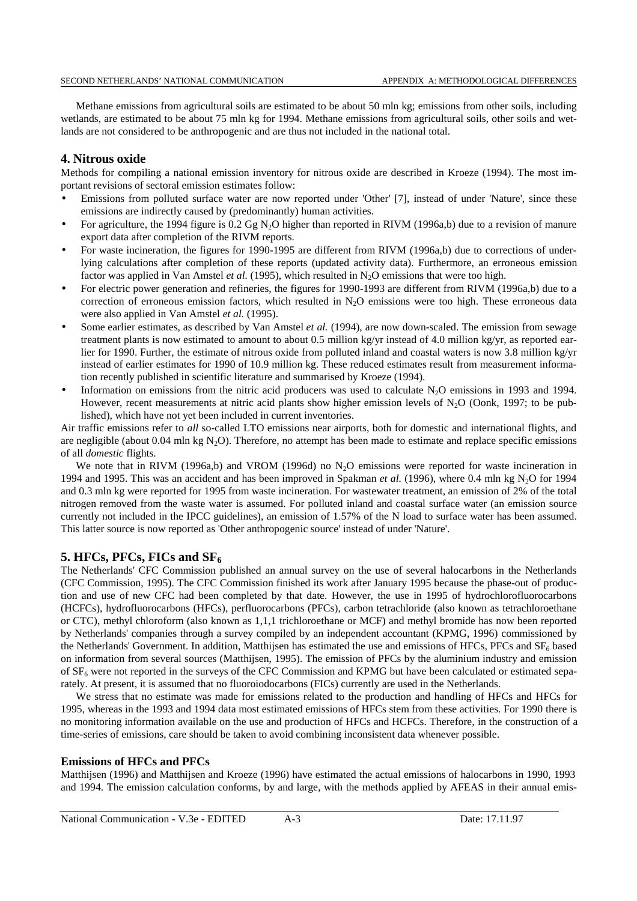Methane emissions from agricultural soils are estimated to be about 50 mln kg; emissions from other soils, including wetlands, are estimated to be about 75 mln kg for 1994. Methane emissions from agricultural soils, other soils and wetlands are not considered to be anthropogenic and are thus not included in the national total.

#### **4. Nitrous oxide**

Methods for compiling a national emission inventory for nitrous oxide are described in Kroeze (1994). The most important revisions of sectoral emission estimates follow:

- Emissions from polluted surface water are now reported under 'Other' [7], instead of under 'Nature', since these emissions are indirectly caused by (predominantly) human activities.
- For agriculture, the 1994 figure is 0.2 Gg N2O higher than reported in RIVM (1996a,b) due to a revision of manure export data after completion of the RIVM reports.
- For waste incineration, the figures for 1990-1995 are different from RIVM (1996a,b) due to corrections of underlying calculations after completion of these reports (updated activity data). Furthermore, an erroneous emission factor was applied in Van Amstel *et al.* (1995), which resulted in  $N_2O$  emissions that were too high.
- For electric power generation and refineries, the figures for 1990-1993 are different from RIVM (1996a,b) due to a correction of erroneous emission factors, which resulted in N<sub>2</sub>O emissions were too high. These erroneous data were also applied in Van Amstel *et al.* (1995).
- Some earlier estimates, as described by Van Amstel *et al.* (1994), are now down-scaled. The emission from sewage treatment plants is now estimated to amount to about 0.5 million kg/yr instead of 4.0 million kg/yr, as reported earlier for 1990. Further, the estimate of nitrous oxide from polluted inland and coastal waters is now 3.8 million kg/yr instead of earlier estimates for 1990 of 10.9 million kg. These reduced estimates result from measurement information recently published in scientific literature and summarised by Kroeze (1994).
- Information on emissions from the nitric acid producers was used to calculate  $N_2O$  emissions in 1993 and 1994. However, recent measurements at nitric acid plants show higher emission levels of  $N_2O$  (Oonk, 1997; to be published), which have not yet been included in current inventories.

Air traffic emissions refer to *all* so-called LTO emissions near airports, both for domestic and international flights, and are negligible (about  $0.04$  mln kg N<sub>2</sub>O). Therefore, no attempt has been made to estimate and replace specific emissions of all *domestic* flights.

We note that in RIVM (1996a,b) and VROM (1996d) no N<sub>2</sub>O emissions were reported for waste incineration in 1994 and 1995. This was an accident and has been improved in Spakman *et al.* (1996), where 0.4 mln kg N<sub>2</sub>O for 1994 and 0.3 mln kg were reported for 1995 from waste incineration. For wastewater treatment, an emission of 2% of the total nitrogen removed from the waste water is assumed. For polluted inland and coastal surface water (an emission source currently not included in the IPCC guidelines), an emission of 1.57% of the N load to surface water has been assumed. This latter source is now reported as 'Other anthropogenic source' instead of under 'Nature'.

# **5. HFCs, PFCs, FICs and SF6**

The Netherlands' CFC Commission published an annual survey on the use of several halocarbons in the Netherlands (CFC Commission, 1995). The CFC Commission finished its work after January 1995 because the phase-out of production and use of new CFC had been completed by that date. However, the use in 1995 of hydrochlorofluorocarbons (HCFCs), hydrofluorocarbons (HFCs), perfluorocarbons (PFCs), carbon tetrachloride (also known as tetrachloroethane or CTC), methyl chloroform (also known as 1,1,1 trichloroethane or MCF) and methyl bromide has now been reported by Netherlands' companies through a survey compiled by an independent accountant (KPMG, 1996) commissioned by the Netherlands' Government. In addition, Matthijsen has estimated the use and emissions of HFCs, PFCs and SF<sub>6</sub> based on information from several sources (Matthijsen, 1995). The emission of PFCs by the aluminium industry and emission of  $SF<sub>6</sub>$  were not reported in the surveys of the CFC Commission and KPMG but have been calculated or estimated separately. At present, it is assumed that no fluoroiodocarbons (FICs) currently are used in the Netherlands.

We stress that no estimate was made for emissions related to the production and handling of HFCs and HFCs for 1995, whereas in the 1993 and 1994 data most estimated emissions of HFCs stem from these activities. For 1990 there is no monitoring information available on the use and production of HFCs and HCFCs. Therefore, in the construction of a time-series of emissions, care should be taken to avoid combining inconsistent data whenever possible.

#### **Emissions of HFCs and PFCs**

Matthijsen (1996) and Matthijsen and Kroeze (1996) have estimated the actual emissions of halocarbons in 1990, 1993 and 1994. The emission calculation conforms, by and large, with the methods applied by AFEAS in their annual emis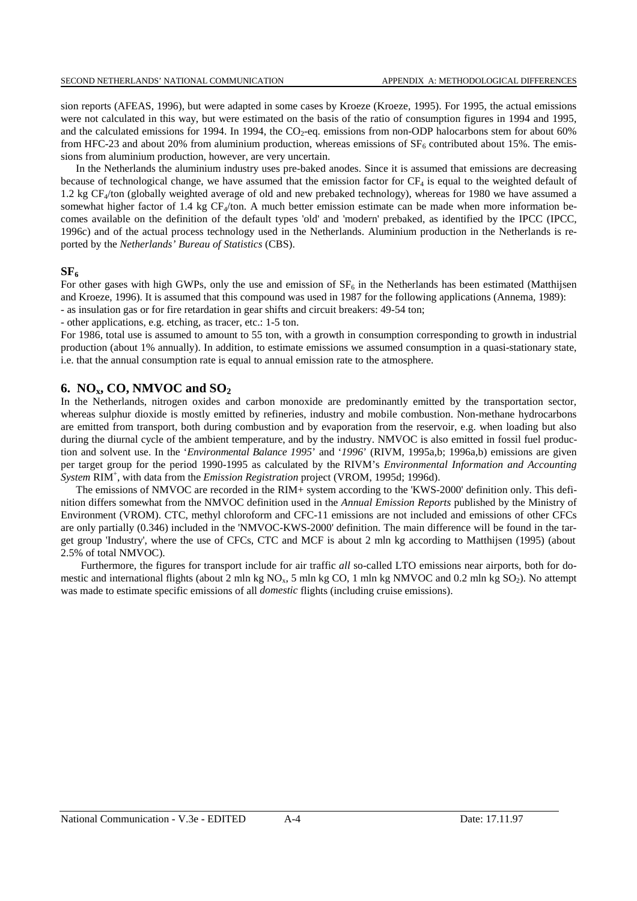sion reports (AFEAS, 1996), but were adapted in some cases by Kroeze (Kroeze, 1995). For 1995, the actual emissions were not calculated in this way, but were estimated on the basis of the ratio of consumption figures in 1994 and 1995, and the calculated emissions for 1994. In 1994, the  $CO<sub>2</sub>$ -eq. emissions from non-ODP halocarbons stem for about 60% from HFC-23 and about 20% from aluminium production, whereas emissions of  $SF<sub>6</sub>$  contributed about 15%. The emissions from aluminium production, however, are very uncertain.

In the Netherlands the aluminium industry uses pre-baked anodes. Since it is assumed that emissions are decreasing because of technological change, we have assumed that the emission factor for  $CF_4$  is equal to the weighted default of 1.2 kg CF<sub>4</sub>/ton (globally weighted average of old and new prebaked technology), whereas for 1980 we have assumed a somewhat higher factor of 1.4 kg  $CF_4$ /ton. A much better emission estimate can be made when more information becomes available on the definition of the default types 'old' and 'modern' prebaked, as identified by the IPCC (IPCC, 1996c) and of the actual process technology used in the Netherlands. Aluminium production in the Netherlands is reported by the *Netherlands' Bureau of Statistics* (CBS).

#### $SF<sub>6</sub>$

For other gases with high GWPs, only the use and emission of  $SF<sub>6</sub>$  in the Netherlands has been estimated (Matthijsen and Kroeze, 1996). It is assumed that this compound was used in 1987 for the following applications (Annema, 1989): - as insulation gas or for fire retardation in gear shifts and circuit breakers: 49-54 ton;

- other applications, e.g. etching, as tracer, etc.: 1-5 ton.

For 1986, total use is assumed to amount to 55 ton, with a growth in consumption corresponding to growth in industrial production (about 1% annually). In addition, to estimate emissions we assumed consumption in a quasi-stationary state, i.e. that the annual consumption rate is equal to annual emission rate to the atmosphere.

#### **6. NOx, CO, NMVOC and SO2**

In the Netherlands, nitrogen oxides and carbon monoxide are predominantly emitted by the transportation sector, whereas sulphur dioxide is mostly emitted by refineries, industry and mobile combustion. Non-methane hydrocarbons are emitted from transport, both during combustion and by evaporation from the reservoir, e.g. when loading but also during the diurnal cycle of the ambient temperature, and by the industry. NMVOC is also emitted in fossil fuel production and solvent use. In the '*Environmental Balance 1995*' and '*1996*' (RIVM, 1995a,b; 1996a,b) emissions are given per target group for the period 1990-1995 as calculated by the RIVM's *Environmental Information and Accounting System* RIM<sup>+</sup> , with data from the *Emission Registration* project (VROM, 1995d; 1996d).

The emissions of NMVOC are recorded in the RIM+ system according to the 'KWS-2000' definition only. This definition differs somewhat from the NMVOC definition used in the *Annual Emission Reports* published by the Ministry of Environment (VROM). CTC, methyl chloroform and CFC-11 emissions are not included and emissions of other CFCs are only partially (0.346) included in the 'NMVOC-KWS-2000' definition. The main difference will be found in the target group 'Industry', where the use of CFCs, CTC and MCF is about 2 mln kg according to Matthijsen (1995) (about 2.5% of total NMVOC).

Furthermore, the figures for transport include for air traffic *all* so-called LTO emissions near airports, both for domestic and international flights (about 2 mln kg NO<sub>x</sub>, 5 mln kg CO, 1 mln kg NMVOC and 0.2 mln kg SO<sub>2</sub>). No attempt was made to estimate specific emissions of all *domestic* flights (including cruise emissions).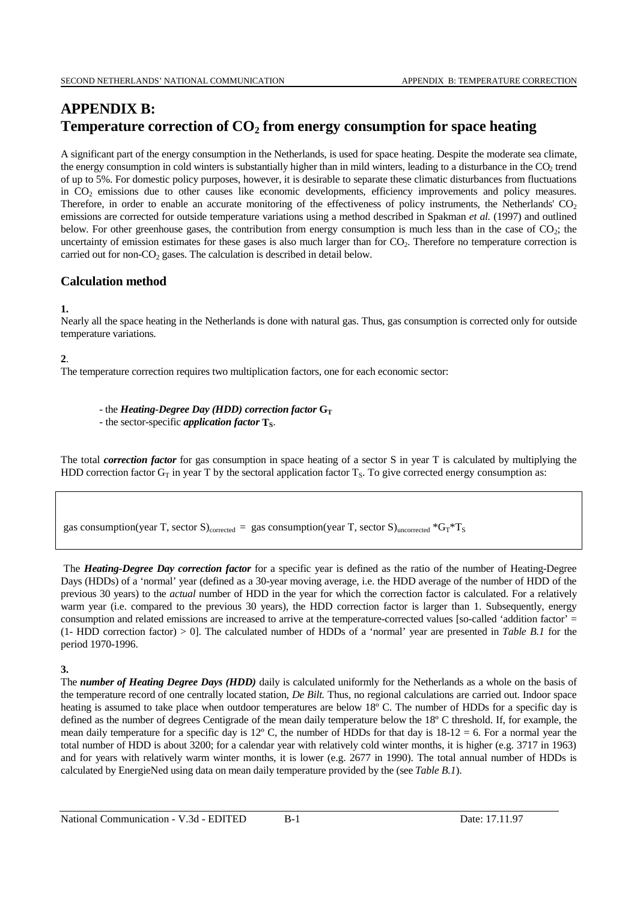# **APPENDIX B:** Temperature correction of  $CO<sub>2</sub>$  from energy consumption for space heating

A significant part of the energy consumption in the Netherlands, is used for space heating. Despite the moderate sea climate, the energy consumption in cold winters is substantially higher than in mild winters, leading to a disturbance in the  $CO<sub>2</sub>$  trend of up to 5%. For domestic policy purposes, however, it is desirable to separate these climatic disturbances from fluctuations in CO<sub>2</sub> emissions due to other causes like economic developments, efficiency improvements and policy measures. Therefore, in order to enable an accurate monitoring of the effectiveness of policy instruments, the Netherlands'  $CO<sub>2</sub>$ emissions are corrected for outside temperature variations using a method described in Spakman *et al.* (1997) and outlined below. For other greenhouse gases, the contribution from energy consumption is much less than in the case of  $CO<sub>2</sub>$ ; the uncertainty of emission estimates for these gases is also much larger than for  $CO<sub>2</sub>$ . Therefore no temperature correction is carried out for non- $CO<sub>2</sub>$  gases. The calculation is described in detail below.

# **Calculation method**

#### **1.**

Nearly all the space heating in the Netherlands is done with natural gas. Thus, gas consumption is corrected only for outside temperature variations.

#### **2**.

The temperature correction requires two multiplication factors, one for each economic sector:

- the *Heating-Degree Day (HDD)* correction factor  $G_T$ - the sector-specific *application factor* **T**<sub>S</sub>.

The total *correction factor* for gas consumption in space heating of a sector S in year T is calculated by multiplying the HDD correction factor  $G_T$  in year T by the sectoral application factor  $T_S$ . To give corrected energy consumption as:

gas consumption(year T, sector S)<sub>corrected</sub> = gas consumption(year T, sector S)<sub>uncorrected</sub>  $*G_T*T_S$ 

 The *Heating-Degree Day correction factor* for a specific year is defined as the ratio of the number of Heating-Degree Days (HDDs) of a 'normal' year (defined as a 30-year moving average, i.e. the HDD average of the number of HDD of the previous 30 years) to the *actual* number of HDD in the year for which the correction factor is calculated. For a relatively warm year (i.e. compared to the previous 30 years), the HDD correction factor is larger than 1. Subsequently, energy consumption and related emissions are increased to arrive at the temperature-corrected values [so-called 'addition factor' = (1- HDD correction factor) > 0]. The calculated number of HDDs of a 'normal' year are presented in *Table B.1* for the period 1970-1996.

# **3.**

The *number of Heating Degree Days (HDD)* daily is calculated uniformly for the Netherlands as a whole on the basis of the temperature record of one centrally located station, *De Bilt.* Thus, no regional calculations are carried out. Indoor space heating is assumed to take place when outdoor temperatures are below 18° C. The number of HDDs for a specific day is defined as the number of degrees Centigrade of the mean daily temperature below the 18º C threshold. If, for example, the mean daily temperature for a specific day is  $12^{\circ}$  C, the number of HDDs for that day is  $18-12 = 6$ . For a normal year the total number of HDD is about 3200; for a calendar year with relatively cold winter months, it is higher (e.g. 3717 in 1963) and for years with relatively warm winter months, it is lower (e.g. 2677 in 1990). The total annual number of HDDs is calculated by EnergieNed using data on mean daily temperature provided by the (see *Table B.1*).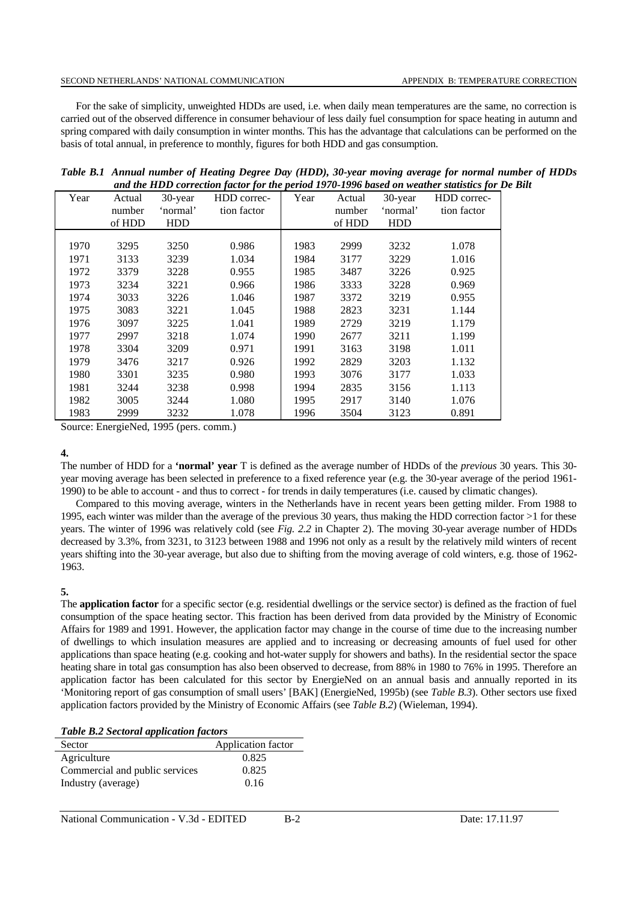#### SECOND NETHERLANDS' NATIONAL COMMUNICATION APPENDIX B: TEMPERATURE CORRECTION

For the sake of simplicity, unweighted HDDs are used, i.e. when daily mean temperatures are the same, no correction is carried out of the observed difference in consumer behaviour of less daily fuel consumption for space heating in autumn and spring compared with daily consumption in winter months. This has the advantage that calculations can be performed on the basis of total annual, in preference to monthly, figures for both HDD and gas consumption.

|      |        |            |                     |      |        |            | ana ine 11DD correction factor for the period 1970-1990 based on weather statistics for 1 |
|------|--------|------------|---------------------|------|--------|------------|-------------------------------------------------------------------------------------------|
| Year | Actual |            | 30-year HDD correc- | Year | Actual | $30$ -year | HDD correc-                                                                               |
|      | number | 'normal'   | tion factor         |      | number | 'normal'   | tion factor                                                                               |
|      | of HDD | <b>HDD</b> |                     |      | of HDD | <b>HDD</b> |                                                                                           |
|      |        |            |                     |      |        |            |                                                                                           |
| 1970 | 3295   | 3250       | 0.986               | 1983 | 2999   | 3232       | 1.078                                                                                     |
| 1971 | 3133   | 3239       | 1.034               | 1984 | 3177   | 3229       | 1.016                                                                                     |
| 1972 | 3379   | 3228       | 0.955               | 1985 | 3487   | 3226       | 0.925                                                                                     |
| 1973 | 3234   | 3221       | 0.966               | 1986 | 3333   | 3228       | 0.969                                                                                     |
| 1974 | 3033   | 3226       | 1.046               | 1987 | 3372   | 3219       | 0.955                                                                                     |
| 1975 | 3083   | 3221       | 1.045               | 1988 | 2823   | 3231       | 1.144                                                                                     |
| 1976 | 3097   | 3225       | 1.041               | 1989 | 2729   | 3219       | 1.179                                                                                     |
| 1977 | 2997   | 3218       | 1.074               | 1990 | 2677   | 3211       | 1.199                                                                                     |
| 1978 | 3304   | 3209       | 0.971               | 1991 | 3163   | 3198       | 1.011                                                                                     |
| 1979 | 3476   | 3217       | 0.926               | 1992 | 2829   | 3203       | 1.132                                                                                     |
| 1980 | 3301   | 3235       | 0.980               | 1993 | 3076   | 3177       | 1.033                                                                                     |
| 1981 | 3244   | 3238       | 0.998               | 1994 | 2835   | 3156       | 1.113                                                                                     |
| 1982 | 3005   | 3244       | 1.080               | 1995 | 2917   | 3140       | 1.076                                                                                     |
| 1983 | 2999   | 3232       | 1.078               | 1996 | 3504   | 3123       | 0.891                                                                                     |

| Table B.1 Annual number of Heating Degree Day (HDD), 30-year moving average for normal number of HDDs |
|-------------------------------------------------------------------------------------------------------|
| and the HDD correction factor for the period 1970-1996 based on weather statistics for De Bilt        |

Source: EnergieNed, 1995 (pers. comm.)

#### **4.**

The number of HDD for a **'normal' year** T is defined as the average number of HDDs of the *previous* 30 years. This 30 year moving average has been selected in preference to a fixed reference year (e.g. the 30-year average of the period 1961- 1990) to be able to account - and thus to correct - for trends in daily temperatures (i.e. caused by climatic changes).

Compared to this moving average, winters in the Netherlands have in recent years been getting milder. From 1988 to 1995, each winter was milder than the average of the previous 30 years, thus making the HDD correction factor >1 for these years. The winter of 1996 was relatively cold (see *Fig. 2.2* in Chapter 2). The moving 30-year average number of HDDs decreased by 3.3%, from 3231, to 3123 between 1988 and 1996 not only as a result by the relatively mild winters of recent years shifting into the 30-year average, but also due to shifting from the moving average of cold winters, e.g. those of 1962- 1963.

#### **5.**

The **application factor** for a specific sector (e.g. residential dwellings or the service sector) is defined as the fraction of fuel consumption of the space heating sector. This fraction has been derived from data provided by the Ministry of Economic Affairs for 1989 and 1991. However, the application factor may change in the course of time due to the increasing number of dwellings to which insulation measures are applied and to increasing or decreasing amounts of fuel used for other applications than space heating (e.g. cooking and hot-water supply for showers and baths). In the residential sector the space heating share in total gas consumption has also been observed to decrease, from 88% in 1980 to 76% in 1995. Therefore an application factor has been calculated for this sector by EnergieNed on an annual basis and annually reported in its 'Monitoring report of gas consumption of small users' [BAK] (EnergieNed, 1995b) (see *Table B.3*). Other sectors use fixed application factors provided by the Ministry of Economic Affairs (see *Table B.2*) (Wieleman, 1994).

*Table B.2 Sectoral application factors*

| Sector                         | Application factor |
|--------------------------------|--------------------|
| Agriculture                    | 0.825              |
| Commercial and public services | 0.825              |
| Industry (average)             | 0.16               |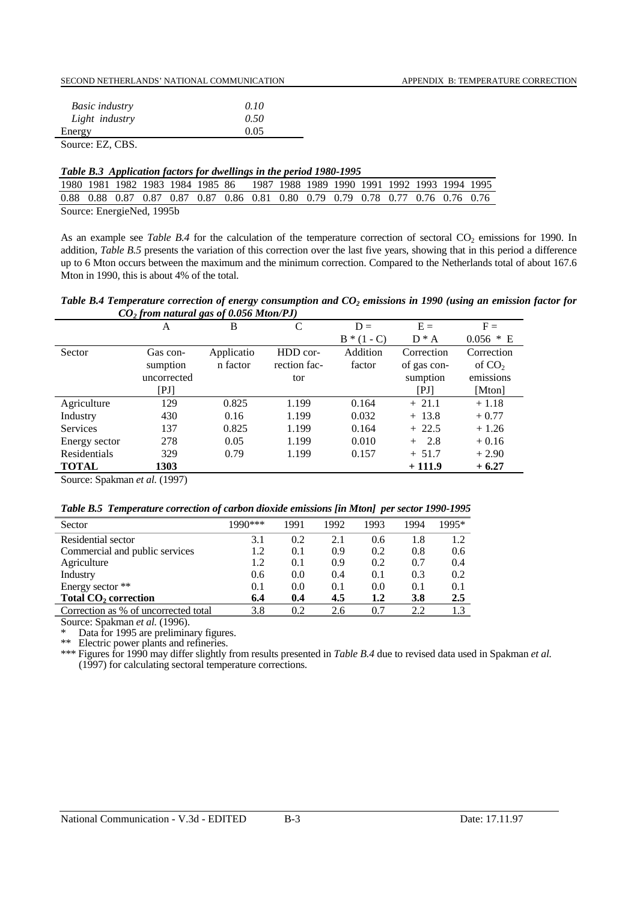|--|

| <b>Basic industry</b> | 0.10 |
|-----------------------|------|
| Light industry        | 0.50 |
| Energy                | 0.05 |
| Source: EZ, CBS.      |      |

#### *Table B.3 Application factors for dwellings in the period 1980-1995*

|                           |  |  |  |  |  |  | 1980 1981 1982 1983 1984 1985 86 1987 1988 1989 1990 1991 1992 1993 1994 1995   |  |  |  |  |  |
|---------------------------|--|--|--|--|--|--|---------------------------------------------------------------------------------|--|--|--|--|--|
|                           |  |  |  |  |  |  | 0.88 0.88 0.87 0.87 0.87 0.87 0.86 0.81 0.80 0.79 0.79 0.78 0.77 0.76 0.76 0.76 |  |  |  |  |  |
| Source: EnergieNed, 1995b |  |  |  |  |  |  |                                                                                 |  |  |  |  |  |

As an example see *Table B.4* for the calculation of the temperature correction of sectoral CO<sub>2</sub> emissions for 1990. In addition, *Table B.5* presents the variation of this correction over the last five years, showing that in this period a difference up to 6 Mton occurs between the maximum and the minimum correction. Compared to the Netherlands total of about 167.6 Mton in 1990, this is about 4% of the total.

*Table B.4 Temperature correction of energy consumption and CO<sub>2</sub> emissions in 1990 (using an emission factor for CO2 from natural gas of 0.056 Mton/PJ)*

|                 | A           | B          | C            | $D =$       | $E =$       | $F =$       |
|-----------------|-------------|------------|--------------|-------------|-------------|-------------|
|                 |             |            |              | $B*(1 - C)$ | $D^* A$     | $0.056 * E$ |
| Sector          | Gas con-    | Applicatio | HDD cor-     | Addition    | Correction  | Correction  |
|                 | sumption    | n factor   | rection fac- | factor      | of gas con- | of $CO2$    |
|                 | uncorrected |            | tor          |             | sumption    | emissions   |
|                 | [PI]        |            |              |             | [PI]        | [Mton]      |
| Agriculture     | 129         | 0.825      | 1.199        | 0.164       | $+21.1$     | $+1.18$     |
| Industry        | 430         | 0.16       | 1.199        | 0.032       | $+13.8$     | $+0.77$     |
| <b>Services</b> | 137         | 0.825      | 1.199        | 0.164       | $+22.5$     | $+1.26$     |
| Energy sector   | 278         | 0.05       | 1.199        | 0.010       | 2.8<br>$+$  | $+0.16$     |
| Residentials    | 329         | 0.79       | 1.199        | 0.157       | $+ 51.7$    | $+2.90$     |
| <b>TOTAL</b>    | 1303        |            |              |             | $+111.9$    | $+6.27$     |

Source: Spakman *et al.* (1997)

### *Table B.5 Temperature correction of carbon dioxide emissions [in Mton] per sector 1990-1995*

| Sector                               | 1990*** | 1991 | 1992 | 1993 | 1994 | 1995* |
|--------------------------------------|---------|------|------|------|------|-------|
| Residential sector                   | 3.1     | 0.2  | 2.1  | 0.6  | 1.8  | 1.2   |
| Commercial and public services       | 1.2     | 0.1  | 0.9  | 0.2  | 0.8  | 0.6   |
| Agriculture                          | 1.2     | 0.1  | 0.9  | 0.2  | 0.7  | 0.4   |
| Industry                             | 0.6     | 0.0  | 0.4  | 0.1  | 0.3  | 0.2   |
| Energy sector **                     | 0.1     | 0.0  | 0.1  | 0.0  | 0.1  | 0.1   |
| Total CO <sub>2</sub> correction     | 6.4     | 0.4  | 4.5  | 1.2  | 3.8  | 2.5   |
| Correction as % of uncorrected total | 3.8     | 0.2  | 2.6  | 0.7  | 2.2  |       |

Source: Spakman *et al.* (1996).

\* Data for 1995 are preliminary figures.

\*\* Electric power plants and refineries.

\*\*\* Figures for 1990 may differ slightly from results presented in *Table B.4* due to revised data used in Spakman *et al.* (1997) for calculating sectoral temperature corrections.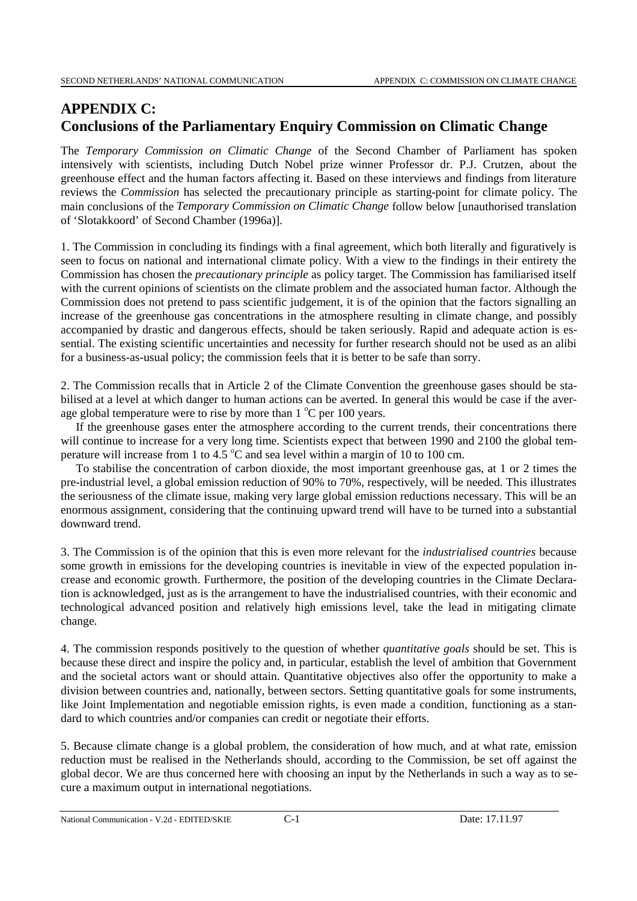# **APPENDIX C: Conclusions of the Parliamentary Enquiry Commission on Climatic Change**

The *Temporary Commission on Climatic Change* of the Second Chamber of Parliament has spoken intensively with scientists, including Dutch Nobel prize winner Professor dr. P.J. Crutzen, about the greenhouse effect and the human factors affecting it. Based on these interviews and findings from literature reviews the *Commission* has selected the precautionary principle as starting-point for climate policy. The main conclusions of the *Temporary Commission on Climatic Change* follow below [unauthorised translation of 'Slotakkoord' of Second Chamber (1996a)].

1. The Commission in concluding its findings with a final agreement, which both literally and figuratively is seen to focus on national and international climate policy. With a view to the findings in their entirety the Commission has chosen the *precautionary principle* as policy target. The Commission has familiarised itself with the current opinions of scientists on the climate problem and the associated human factor. Although the Commission does not pretend to pass scientific judgement, it is of the opinion that the factors signalling an increase of the greenhouse gas concentrations in the atmosphere resulting in climate change, and possibly accompanied by drastic and dangerous effects, should be taken seriously. Rapid and adequate action is essential. The existing scientific uncertainties and necessity for further research should not be used as an alibi for a business-as-usual policy; the commission feels that it is better to be safe than sorry.

2. The Commission recalls that in Article 2 of the Climate Convention the greenhouse gases should be stabilised at a level at which danger to human actions can be averted. In general this would be case if the average global temperature were to rise by more than  $1^{\circ}$ C per 100 years.

If the greenhouse gases enter the atmosphere according to the current trends, their concentrations there will continue to increase for a very long time. Scientists expect that between 1990 and 2100 the global temperature will increase from 1 to 4.5  $\rm{^{\circ}C}$  and sea level within a margin of 10 to 100 cm.

To stabilise the concentration of carbon dioxide, the most important greenhouse gas, at 1 or 2 times the pre-industrial level, a global emission reduction of 90% to 70%, respectively, will be needed. This illustrates the seriousness of the climate issue, making very large global emission reductions necessary. This will be an enormous assignment, considering that the continuing upward trend will have to be turned into a substantial downward trend.

3. The Commission is of the opinion that this is even more relevant for the *industrialised countries* because some growth in emissions for the developing countries is inevitable in view of the expected population increase and economic growth. Furthermore, the position of the developing countries in the Climate Declaration is acknowledged, just as is the arrangement to have the industrialised countries, with their economic and technological advanced position and relatively high emissions level, take the lead in mitigating climate change.

4. The commission responds positively to the question of whether *quantitative goals* should be set. This is because these direct and inspire the policy and, in particular, establish the level of ambition that Government and the societal actors want or should attain. Quantitative objectives also offer the opportunity to make a division between countries and, nationally, between sectors. Setting quantitative goals for some instruments, like Joint Implementation and negotiable emission rights, is even made a condition, functioning as a standard to which countries and/or companies can credit or negotiate their efforts.

5. Because climate change is a global problem, the consideration of how much, and at what rate, emission reduction must be realised in the Netherlands should, according to the Commission, be set off against the global decor. We are thus concerned here with choosing an input by the Netherlands in such a way as to secure a maximum output in international negotiations.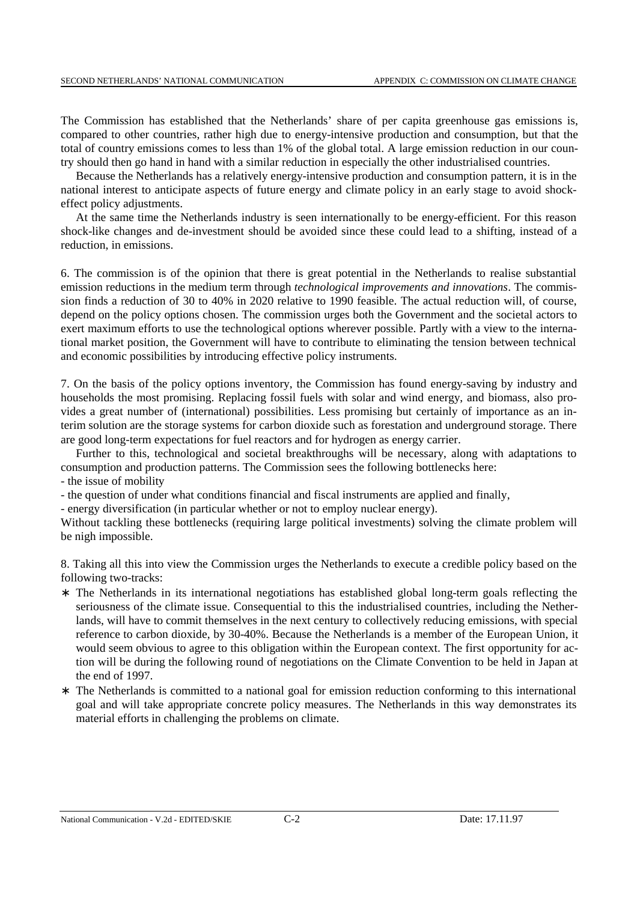The Commission has established that the Netherlands' share of per capita greenhouse gas emissions is, compared to other countries, rather high due to energy-intensive production and consumption, but that the total of country emissions comes to less than 1% of the global total. A large emission reduction in our country should then go hand in hand with a similar reduction in especially the other industrialised countries.

Because the Netherlands has a relatively energy-intensive production and consumption pattern, it is in the national interest to anticipate aspects of future energy and climate policy in an early stage to avoid shockeffect policy adjustments.

At the same time the Netherlands industry is seen internationally to be energy-efficient. For this reason shock-like changes and de-investment should be avoided since these could lead to a shifting, instead of a reduction, in emissions.

6. The commission is of the opinion that there is great potential in the Netherlands to realise substantial emission reductions in the medium term through *technological improvements and innovations*. The commission finds a reduction of 30 to 40% in 2020 relative to 1990 feasible. The actual reduction will, of course, depend on the policy options chosen. The commission urges both the Government and the societal actors to exert maximum efforts to use the technological options wherever possible. Partly with a view to the international market position, the Government will have to contribute to eliminating the tension between technical and economic possibilities by introducing effective policy instruments.

7. On the basis of the policy options inventory, the Commission has found energy-saving by industry and households the most promising. Replacing fossil fuels with solar and wind energy, and biomass, also provides a great number of (international) possibilities. Less promising but certainly of importance as an interim solution are the storage systems for carbon dioxide such as forestation and underground storage. There are good long-term expectations for fuel reactors and for hydrogen as energy carrier.

Further to this, technological and societal breakthroughs will be necessary, along with adaptations to consumption and production patterns. The Commission sees the following bottlenecks here:

- the issue of mobility

- the question of under what conditions financial and fiscal instruments are applied and finally,

- energy diversification (in particular whether or not to employ nuclear energy).

Without tackling these bottlenecks (requiring large political investments) solving the climate problem will be nigh impossible.

8. Taking all this into view the Commission urges the Netherlands to execute a credible policy based on the following two-tracks:

- ∗ The Netherlands in its international negotiations has established global long-term goals reflecting the seriousness of the climate issue. Consequential to this the industrialised countries, including the Netherlands, will have to commit themselves in the next century to collectively reducing emissions, with special reference to carbon dioxide, by 30-40%. Because the Netherlands is a member of the European Union, it would seem obvious to agree to this obligation within the European context. The first opportunity for action will be during the following round of negotiations on the Climate Convention to be held in Japan at the end of 1997.
- The Netherlands is committed to a national goal for emission reduction conforming to this international goal and will take appropriate concrete policy measures. The Netherlands in this way demonstrates its material efforts in challenging the problems on climate.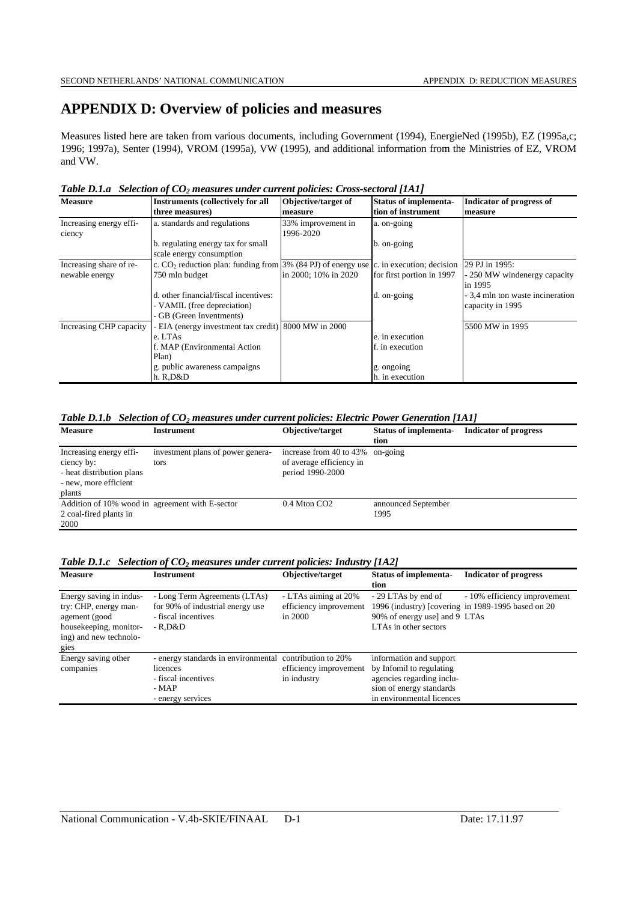# **APPENDIX D: Overview of policies and measures**

Measures listed here are taken from various documents, including Government (1994), EnergieNed (1995b), EZ (1995a,c; 1996; 1997a), Senter (1994), VROM (1995a), VW (1995), and additional information from the Ministries of EZ, VROM and VW.

|  |  | Table D.1.a Selection of $CO2$ measures under current policies: Cross-sectoral [1A1] |  |  |  |
|--|--|--------------------------------------------------------------------------------------|--|--|--|
|--|--|--------------------------------------------------------------------------------------|--|--|--|

| <b>Measure</b>                    | <b>Instruments (collectively for all</b>                                                 | Objective/target of             | <b>Status of implementa-</b> | <b>Indicator of progress of</b>                      |
|-----------------------------------|------------------------------------------------------------------------------------------|---------------------------------|------------------------------|------------------------------------------------------|
|                                   | three measures)                                                                          | measure                         | tion of instrument           | measure                                              |
| Increasing energy effi-<br>ciency | a. standards and regulations                                                             | 33% improvement in<br>1996-2020 | a. on-going                  |                                                      |
|                                   | b. regulating energy tax for small<br>scale energy consumption                           |                                 | b. on-going                  |                                                      |
| Increasing share of re-           | c. $CO2$ reduction plan: funding from 3% (84 PJ) of energy use c. in execution; decision |                                 |                              | 29 PJ in 1995:                                       |
| newable energy                    | 750 mln budget                                                                           | in 2000; 10% in 2020            | for first portion in 1997    | - 250 MW windenergy capacity<br>in 1995              |
|                                   | d. other financial/fiscal incentives:<br>- VAMIL (free depreciation)                     |                                 | d. on-going                  | - 3,4 mln ton waste incineration<br>capacity in 1995 |
|                                   | - GB (Green Inventments)                                                                 |                                 |                              |                                                      |
| Increasing CHP capacity           | - EIA (energy investment tax credit) 8000 MW in 2000                                     |                                 |                              | 5500 MW in 1995                                      |
|                                   | e. LTAs                                                                                  |                                 | e. in execution              |                                                      |
|                                   | f. MAP (Environmental Action                                                             |                                 | f. in execution              |                                                      |
|                                   | Plan)                                                                                    |                                 |                              |                                                      |
|                                   | g. public awareness campaigns                                                            |                                 | g. ongoing                   |                                                      |
|                                   | h. R.D&D                                                                                 |                                 | h. in execution              |                                                      |

#### *Table D.1.b Selection of CO2 measures under current policies: Electric Power Generation [1A1]*

| <b>Measure</b>                                  | Instrument                        | Objective/target                 | <b>Status of implementa-</b> | <b>Indicator of progress</b> |  |  |  |  |
|-------------------------------------------------|-----------------------------------|----------------------------------|------------------------------|------------------------------|--|--|--|--|
|                                                 |                                   |                                  | tion                         |                              |  |  |  |  |
| Increasing energy effi-                         | investment plans of power genera- | increase from 40 to 43% on-going |                              |                              |  |  |  |  |
| ciency by:                                      | tors                              | of average efficiency in         |                              |                              |  |  |  |  |
| - heat distribution plans                       |                                   | period 1990-2000                 |                              |                              |  |  |  |  |
| - new, more efficient                           |                                   |                                  |                              |                              |  |  |  |  |
| plants                                          |                                   |                                  |                              |                              |  |  |  |  |
| Addition of 10% wood in agreement with E-sector |                                   | $0.4$ Mton CO <sub>2</sub>       | announced September          |                              |  |  |  |  |
| 2 coal-fired plants in                          |                                   |                                  | 1995                         |                              |  |  |  |  |
| 2000                                            |                                   |                                  |                              |                              |  |  |  |  |

#### *Table D.1.c Selection of CO<sub>2</sub> measures under current policies: Industry [1A2]*

| <b>Measure</b>                                                                                                                | Instrument                                                                                                                | Objective/target                                          | <b>Status of implementa-</b><br>tion                                                                                                      | <b>Indicator of progress</b>                                                       |
|-------------------------------------------------------------------------------------------------------------------------------|---------------------------------------------------------------------------------------------------------------------------|-----------------------------------------------------------|-------------------------------------------------------------------------------------------------------------------------------------------|------------------------------------------------------------------------------------|
| Energy saving in indus-<br>try: CHP, energy man-<br>agement (good<br>housekeeping, monitor-<br>ing) and new technolo-<br>gies | - Long Term Agreements (LTAs)<br>for 90% of industrial energy use<br>- fiscal incentives<br>- R.D&D                       | - LTAs aiming at 20%<br>efficiency improvement<br>in 2000 | - 29 LTAs by end of<br>90% of energy use] and 9 LTAs<br>LTAs in other sectors                                                             | - 10% efficiency improvement<br>1996 (industry) [covering in 1989-1995 based on 20 |
| Energy saving other<br>companies                                                                                              | - energy standards in environmental contribution to 20%<br>licences<br>- fiscal incentives<br>$-MAP$<br>- energy services | efficiency improvement<br>in industry                     | information and support<br>by Infomil to regulating<br>agencies regarding inclu-<br>sion of energy standards<br>in environmental licences |                                                                                    |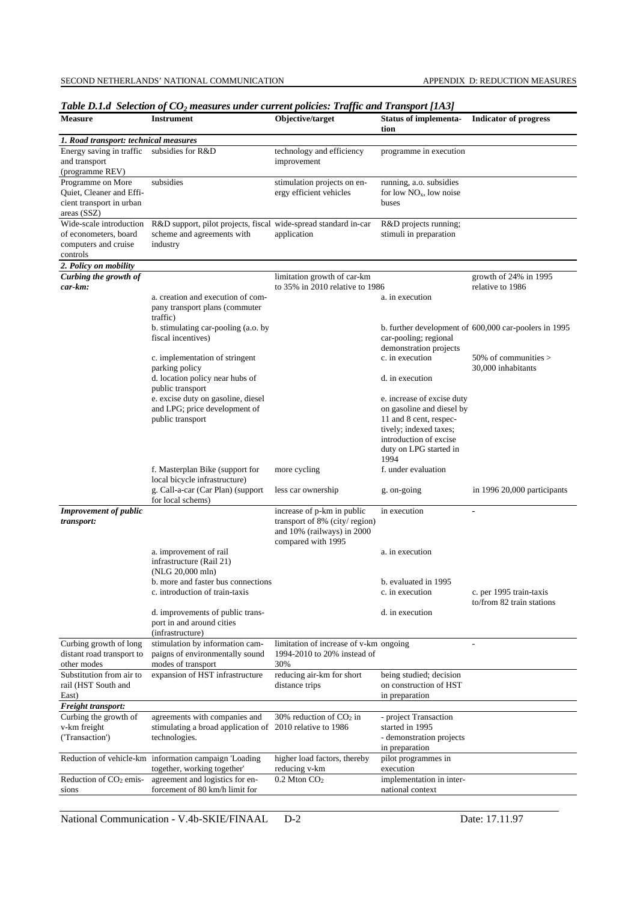|                                                                                                             | Table D.1.a   Selection bj $\mathbf{C}\mathbf{O}_2$ measures under current policies: Traffic and Transport [1A5]           |                                                                                                                 |                                                                                                              |                                                       |  |  |  |  |
|-------------------------------------------------------------------------------------------------------------|----------------------------------------------------------------------------------------------------------------------------|-----------------------------------------------------------------------------------------------------------------|--------------------------------------------------------------------------------------------------------------|-------------------------------------------------------|--|--|--|--|
| <b>Measure</b>                                                                                              | <b>Instrument</b>                                                                                                          | Objective/target                                                                                                | Status of implementa- Indicator of progress<br>tion                                                          |                                                       |  |  |  |  |
| 1. Road transport: technical measures                                                                       |                                                                                                                            |                                                                                                                 |                                                                                                              |                                                       |  |  |  |  |
| Energy saving in traffic subsidies for R&D<br>and transport                                                 |                                                                                                                            | technology and efficiency<br>improvement                                                                        | programme in execution                                                                                       |                                                       |  |  |  |  |
| (programme REV)<br>Programme on More<br>Quiet, Cleaner and Effi-<br>cient transport in urban<br>areas (SSZ) | subsidies                                                                                                                  | stimulation projects on en-<br>ergy efficient vehicles                                                          | running, a.o. subsidies<br>for low $NOx$ , low noise<br>buses                                                |                                                       |  |  |  |  |
| Wide-scale introduction<br>of econometers, board<br>computers and cruise<br>controls                        | R&D support, pilot projects, fiscal wide-spread standard in-car<br>scheme and agreements with<br>industry                  | application                                                                                                     | R&D projects running;<br>stimuli in preparation                                                              |                                                       |  |  |  |  |
| 2. Policy on mobility                                                                                       |                                                                                                                            |                                                                                                                 |                                                                                                              |                                                       |  |  |  |  |
| Curbing the growth of                                                                                       |                                                                                                                            | limitation growth of car-km                                                                                     |                                                                                                              | growth of 24% in 1995                                 |  |  |  |  |
| car-km:                                                                                                     | a. creation and execution of com-<br>pany transport plans (commuter<br>traffic)                                            | to 35% in 2010 relative to 1986                                                                                 | a. in execution                                                                                              | relative to 1986                                      |  |  |  |  |
|                                                                                                             | b. stimulating car-pooling (a.o. by<br>fiscal incentives)                                                                  |                                                                                                                 | car-pooling; regional<br>demonstration projects                                                              | b. further development of 600,000 car-poolers in 1995 |  |  |  |  |
|                                                                                                             | c. implementation of stringent<br>parking policy                                                                           |                                                                                                                 | c. in execution                                                                                              | 50% of communities $>$<br>30,000 inhabitants          |  |  |  |  |
|                                                                                                             | d. location policy near hubs of<br>public transport<br>e. excise duty on gasoline, diesel<br>and LPG; price development of |                                                                                                                 | d. in execution<br>e. increase of excise duty<br>on gasoline and diesel by                                   |                                                       |  |  |  |  |
|                                                                                                             | public transport                                                                                                           |                                                                                                                 | 11 and 8 cent, respec-<br>tively; indexed taxes;<br>introduction of excise<br>duty on LPG started in<br>1994 |                                                       |  |  |  |  |
|                                                                                                             | f. Masterplan Bike (support for<br>local bicycle infrastructure)                                                           | more cycling                                                                                                    | f. under evaluation                                                                                          |                                                       |  |  |  |  |
|                                                                                                             | g. Call-a-car (Car Plan) (support<br>for local schems)                                                                     | less car ownership                                                                                              | g. on-going                                                                                                  | in 1996 20,000 participants                           |  |  |  |  |
| <b>Improvement of public</b><br>transport:                                                                  |                                                                                                                            | increase of p-km in public<br>transport of 8% (city/region)<br>and 10% (railways) in 2000<br>compared with 1995 | in execution                                                                                                 | $\overline{\phantom{a}}$                              |  |  |  |  |
|                                                                                                             | a. improvement of rail<br>infrastructure (Rail 21)<br>(NLG 20,000 mln)                                                     |                                                                                                                 | a. in execution                                                                                              |                                                       |  |  |  |  |
|                                                                                                             | b. more and faster bus connections<br>c. introduction of train-taxis                                                       |                                                                                                                 | b. evaluated in 1995<br>c. in execution                                                                      | c. per 1995 train-taxis<br>to/from 82 train stations  |  |  |  |  |
|                                                                                                             | d. improvements of public trans-<br>port in and around cities<br>(infrastructure)                                          |                                                                                                                 | d. in execution                                                                                              |                                                       |  |  |  |  |
| Curbing growth of long<br>distant road transport to<br>other modes                                          | stimulation by information cam-<br>paigns of environmentally sound<br>modes of transport                                   | limitation of increase of v-km ongoing<br>1994-2010 to 20% instead of<br>30%                                    |                                                                                                              |                                                       |  |  |  |  |
| Substitution from air to<br>rail (HST South and<br>East)                                                    | expansion of HST infrastructure                                                                                            | reducing air-km for short<br>distance trips                                                                     | being studied; decision<br>on construction of HST<br>in preparation                                          |                                                       |  |  |  |  |
| Freight transport:                                                                                          |                                                                                                                            |                                                                                                                 |                                                                                                              |                                                       |  |  |  |  |
| Curbing the growth of<br>v-km freight<br>('Transaction')                                                    | agreements with companies and<br>stimulating a broad application of 2010 relative to 1986<br>technologies.                 | 30% reduction of $CO2$ in                                                                                       | - project Transaction<br>started in 1995<br>- demonstration projects<br>in preparation                       |                                                       |  |  |  |  |
|                                                                                                             | Reduction of vehicle-km information campaign 'Loading<br>together, working together'                                       | higher load factors, thereby<br>reducing v-km                                                                   | pilot programmes in<br>execution                                                                             |                                                       |  |  |  |  |
| Reduction of CO <sub>2</sub> emis-<br>sions                                                                 | agreement and logistics for en-<br>forcement of 80 km/h limit for                                                          | $0.2$ Mton $CO2$                                                                                                | implementation in inter-<br>national context                                                                 |                                                       |  |  |  |  |

*Table D.1.d. Selection of CO<sub>2</sub> measures under current policies: Traffic and Transport [1A3]* 

National Communication - V.4b-SKIE/FINAAL D-2 Date: 17.11.97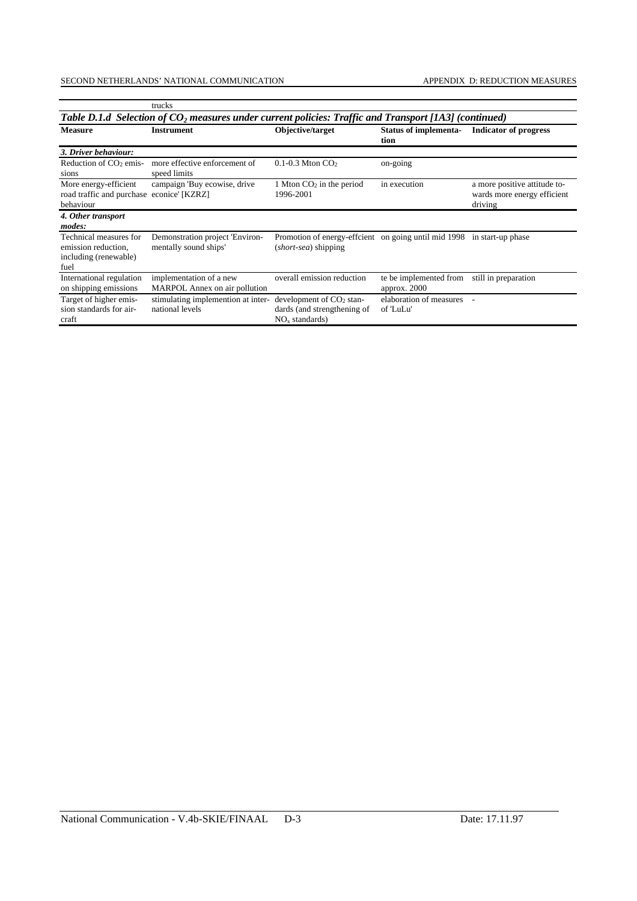|                                                                                                         | trucks                                                   |                                                                               |                                        |                                                                        |  |  |  |  |  |  |  |
|---------------------------------------------------------------------------------------------------------|----------------------------------------------------------|-------------------------------------------------------------------------------|----------------------------------------|------------------------------------------------------------------------|--|--|--|--|--|--|--|
| Table D.1.d Selection of $CO2$ measures under current policies: Traffic and Transport [1A3] (continued) |                                                          |                                                                               |                                        |                                                                        |  |  |  |  |  |  |  |
| <b>Measure</b>                                                                                          | <b>Instrument</b>                                        | Objective/target                                                              | <b>Status of implementa-</b><br>tion   | <b>Indicator of progress</b>                                           |  |  |  |  |  |  |  |
| 3. Driver behaviour:                                                                                    |                                                          |                                                                               |                                        |                                                                        |  |  |  |  |  |  |  |
| Reduction of $CO2$ emis-<br>sions                                                                       | more effective enforcement of<br>speed limits            | $0.1$ -0.3 Mton $CO2$                                                         | on-going                               |                                                                        |  |  |  |  |  |  |  |
| More energy-efficient<br>road traffic and purchase econice' [KZRZ]<br>behaviour                         | campaign 'Buy ecowise, drive                             | 1 Mton $CO2$ in the period<br>1996-2001                                       | in execution                           | a more positive attitude to-<br>wards more energy efficient<br>driving |  |  |  |  |  |  |  |
| 4. Other transport<br>modes:                                                                            |                                                          |                                                                               |                                        |                                                                        |  |  |  |  |  |  |  |
| Technical measures for<br>emission reduction,<br>including (renewable)<br>fuel                          | Demonstration project 'Environ-<br>mentally sound ships' | Promotion of energy-effcient on going until mid 1998<br>(short-sea) shipping  |                                        | in start-up phase                                                      |  |  |  |  |  |  |  |
| International regulation<br>on shipping emissions                                                       | implementation of a new<br>MARPOL Annex on air pollution | overall emission reduction                                                    | te be implemented from<br>approx. 2000 | still in preparation                                                   |  |  |  |  |  |  |  |
| Target of higher emis-<br>sion standards for air-<br>craft                                              | stimulating implemention at inter-<br>national levels    | development of $CO2$ stan-<br>dards (and strengthening of<br>$NOx$ standards) | elaboration of measures<br>of 'LuLu'   |                                                                        |  |  |  |  |  |  |  |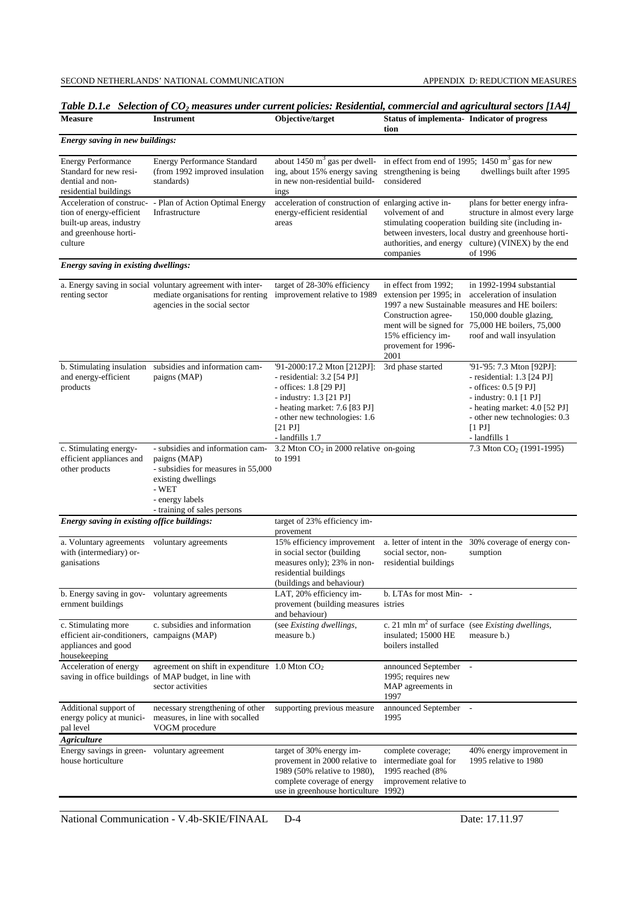| <b>Measure</b>                                                                                                        | Table D.1.e Selection of CO <sub>2</sub> measures under current policies: Residential, commercial and agricultural sectors [1A4]<br><b>Instrument</b>                   | Objective/target                                                                                                                              | <b>Status of implementa- Indicator of progress</b><br>tion                                                                 |                                                                                                                                                                                                                                                      |
|-----------------------------------------------------------------------------------------------------------------------|-------------------------------------------------------------------------------------------------------------------------------------------------------------------------|-----------------------------------------------------------------------------------------------------------------------------------------------|----------------------------------------------------------------------------------------------------------------------------|------------------------------------------------------------------------------------------------------------------------------------------------------------------------------------------------------------------------------------------------------|
| Energy saving in new buildings:                                                                                       |                                                                                                                                                                         |                                                                                                                                               |                                                                                                                            |                                                                                                                                                                                                                                                      |
| <b>Energy Performance</b><br>Standard for new resi-<br>dential and non-<br>residential buildings                      | <b>Energy Performance Standard</b><br>(from 1992 improved insulation<br>standards)                                                                                      | about $1450 \text{ m}^3$ gas per dwell-<br>ing, about 15% energy saving<br>in new non-residential build-<br>ings                              | strengthening is being<br>considered                                                                                       | in effect from end of 1995; $1450 \text{ m}^3$ gas for new<br>dwellings built after 1995                                                                                                                                                             |
| Acceleration of construc-<br>tion of energy-efficient<br>built-up areas, industry<br>and greenhouse horti-<br>culture | - Plan of Action Optimal Energy<br>Infrastructure                                                                                                                       | acceleration of construction of enlarging active in-<br>energy-efficient residential<br>areas                                                 | volvement of and<br>companies                                                                                              | plans for better energy infra-<br>structure in almost every large<br>stimulating cooperation building site (including in-<br>between investers, local dustry and greenhouse horti-<br>authorities, and energy culture) (VINEX) by the end<br>of 1996 |
| Energy saving in existing dwellings:                                                                                  |                                                                                                                                                                         |                                                                                                                                               |                                                                                                                            |                                                                                                                                                                                                                                                      |
| renting sector                                                                                                        | a. Energy saving in social voluntary agreement with inter-<br>mediate organisations for renting<br>agencies in the social sector                                        | target of 28-30% efficiency<br>improvement relative to 1989                                                                                   | in effect from 1992;<br>extension per 1995; in<br>Construction agree-<br>15% efficiency im-<br>provement for 1996-<br>2001 | in 1992-1994 substantial<br>acceleration of insulation<br>1997 a new Sustainable measures and HE boilers:<br>150,000 double glazing,<br>ment will be signed for 75,000 HE boilers, 75,000<br>roof and wall insyulation                               |
| b. Stimulating insulation<br>and energy-efficient<br>products                                                         | subsidies and information cam-<br>paigns (MAP)                                                                                                                          |                                                                                                                                               | 3rd phase started                                                                                                          | '91-'95: 7.3 Mton [92PJ]:<br>- residential: $1.3$ $[24$ PJ]<br>- offices: 0.5 [9 PJ]<br>- industry: $0.1$ [1 PJ]<br>- heating market: $4.0$ [52 PJ]<br>- other new technologies: 0.3<br>[1 P<br>- landfills 1                                        |
| c. Stimulating energy-<br>efficient appliances and<br>other products                                                  | - subsidies and information cam-<br>paigns (MAP)<br>- subsidies for measures in 55,000<br>existing dwellings<br>- WET<br>- energy labels<br>- training of sales persons |                                                                                                                                               | 3.2 Mton CO <sub>2</sub> in 2000 relative on-going                                                                         | 7.3 Mton CO <sub>2</sub> (1991-1995)                                                                                                                                                                                                                 |
| Energy saving in existing office buildings:                                                                           |                                                                                                                                                                         | target of 23% efficiency im-<br>provement                                                                                                     |                                                                                                                            |                                                                                                                                                                                                                                                      |
| a. Voluntary agreements<br>with (intermediary) or-<br>ganisations                                                     | voluntary agreements                                                                                                                                                    | 15% efficiency improvement<br>in social sector (building<br>measures only); 23% in non-<br>residential buildings<br>(buildings and behaviour) | a. letter of intent in the<br>social sector, non-<br>residential buildings                                                 | 30% coverage of energy con-<br>sumption                                                                                                                                                                                                              |
| b. Energy saving in gov-<br>ernment buildings                                                                         | voluntary agreements                                                                                                                                                    | LAT, 20% efficiency im-<br>provement (building measures istries<br>and behaviour)                                                             | b. LTAs for most Min- -                                                                                                    |                                                                                                                                                                                                                                                      |
| c. Stimulating more<br>efficient air-conditioners, campaigns (MAP)<br>appliances and good<br>housekeeping             | c. subsidies and information                                                                                                                                            | (see Existing dwellings,<br>measure b.)                                                                                                       | insulated; 15000 HE<br>boilers installed                                                                                   | c. 21 mln $m2$ of surface (see <i>Existing dwellings</i> ,<br>measure b.)                                                                                                                                                                            |
| Acceleration of energy                                                                                                | agreement on shift in expenditure $1.0$ Mton $CO2$<br>saving in office buildings of MAP budget, in line with<br>sector activities                                       |                                                                                                                                               | announced September -<br>1995; requires new<br>MAP agreements in<br>1997                                                   |                                                                                                                                                                                                                                                      |
| Additional support of<br>energy policy at munici-<br>pal level                                                        | necessary strengthening of other<br>measures, in line with socalled<br>VOGM procedure                                                                                   | supporting previous measure                                                                                                                   | announced September -<br>1995                                                                                              |                                                                                                                                                                                                                                                      |
| Agriculture<br>Energy savings in green-                                                                               | voluntary agreement                                                                                                                                                     | target of 30% energy im-                                                                                                                      | complete coverage;                                                                                                         | 40% energy improvement in                                                                                                                                                                                                                            |
| house horticulture                                                                                                    |                                                                                                                                                                         | provement in 2000 relative to<br>1989 (50% relative to 1980),<br>complete coverage of energy<br>use in greenhouse horticulture                | intermediate goal for<br>1995 reached (8%<br>improvement relative to<br>1992)                                              | 1995 relative to 1980                                                                                                                                                                                                                                |

*Table D.1.e Selection of CO2 measures under current policies: Residential, commercial and agricultural sectors [1A4]*

National Communication - V.4b-SKIE/FINAAL D-4 Date: 17.11.97

—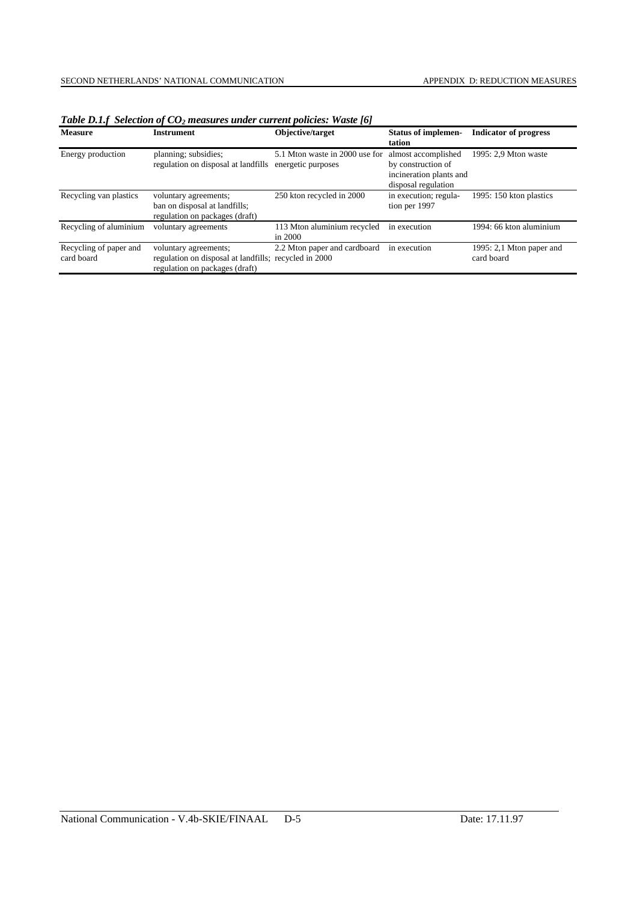| <b>Measure</b><br>Instrument         |                                                                                                                  | Objective/target                                     | <b>Status of implemen-</b><br>tation                                                        | <b>Indicator of progress</b>           |  |  |
|--------------------------------------|------------------------------------------------------------------------------------------------------------------|------------------------------------------------------|---------------------------------------------------------------------------------------------|----------------------------------------|--|--|
| Energy production                    | planning; subsidies;<br>regulation on disposal at landfills                                                      | 5.1 Mton waste in 2000 use for<br>energetic purposes | almost accomplished<br>by construction of<br>incineration plants and<br>disposal regulation | 1995: 2,9 Mton waste                   |  |  |
| Recycling van plastics               | voluntary agreements;<br>ban on disposal at landfills;<br>regulation on packages (draft)                         | 250 kton recycled in 2000                            | in execution; regula-<br>tion per 1997                                                      | 1995: 150 kton plastics                |  |  |
| Recycling of aluminium               | voluntary agreements                                                                                             | 113 Mton aluminium recycled<br>in 2000               | in execution                                                                                | 1994: 66 kton aluminium                |  |  |
| Recycling of paper and<br>card board | voluntary agreements;<br>regulation on disposal at landfills; recycled in 2000<br>regulation on packages (draft) | 2.2 Mton paper and cardboard                         | in execution                                                                                | 1995: 2,1 Mton paper and<br>card board |  |  |

*Table D.1.f Selection of CO<sub>2</sub> measures under current policies: Waste [6]*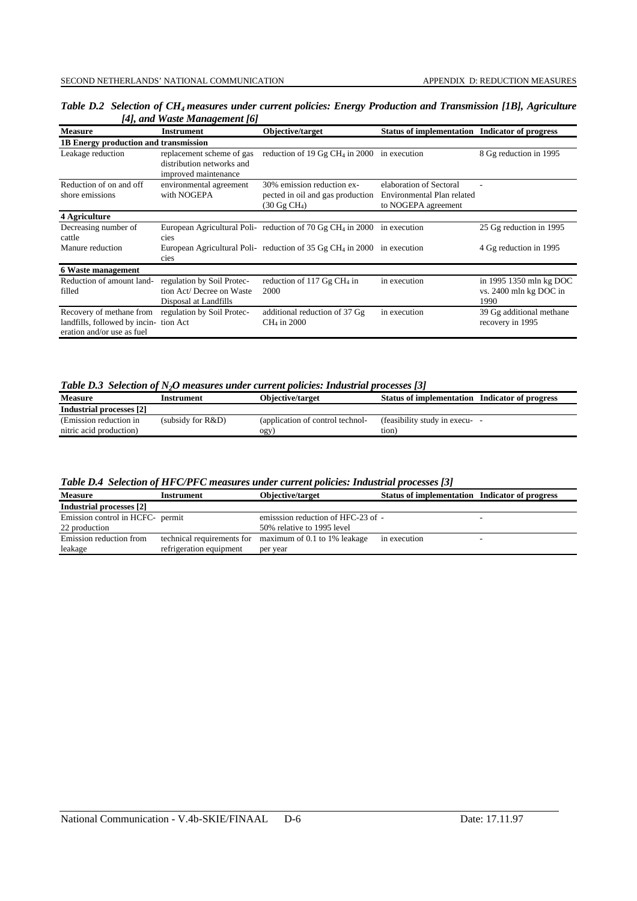| $\mu$ , and $\mu$ and $\mu$ and $\mu$                                                               |                                                                                  |                                                                                          |                                                                              |                                                           |  |  |  |  |  |  |
|-----------------------------------------------------------------------------------------------------|----------------------------------------------------------------------------------|------------------------------------------------------------------------------------------|------------------------------------------------------------------------------|-----------------------------------------------------------|--|--|--|--|--|--|
| <b>Measure</b>                                                                                      | <b>Instrument</b>                                                                | Objective/target                                                                         | <b>Status of implementation</b>                                              | <b>Indicator of progress</b>                              |  |  |  |  |  |  |
| 1B Energy production and transmission                                                               |                                                                                  |                                                                                          |                                                                              |                                                           |  |  |  |  |  |  |
| replacement scheme of gas<br>Leakage reduction<br>distribution networks and<br>improved maintenance |                                                                                  | reduction of 19 Gg CH <sub>4</sub> in 2000 in execution                                  |                                                                              | 8 Gg reduction in 1995                                    |  |  |  |  |  |  |
| Reduction of on and off<br>environmental agreement<br>with NOGEPA<br>shore emissions                |                                                                                  | 30% emission reduction ex-<br>pected in oil and gas production<br>$(30 \text{ Gg CH}_4)$ | elaboration of Sectoral<br>Environmental Plan related<br>to NOGEPA agreement |                                                           |  |  |  |  |  |  |
| 4 Agriculture                                                                                       |                                                                                  |                                                                                          |                                                                              |                                                           |  |  |  |  |  |  |
| Decreasing number of<br>cattle                                                                      | cies                                                                             | European Agricultural Poli- reduction of 70 Gg CH <sub>4</sub> in 2000 in execution      |                                                                              | 25 Gg reduction in 1995                                   |  |  |  |  |  |  |
| Manure reduction                                                                                    | cies                                                                             | European Agricultural Poli- reduction of 35 Gg CH <sub>4</sub> in 2000 in execution      |                                                                              | 4 Gg reduction in 1995                                    |  |  |  |  |  |  |
| <b>6 Waste management</b>                                                                           |                                                                                  |                                                                                          |                                                                              |                                                           |  |  |  |  |  |  |
| Reduction of amount land-<br>filled                                                                 | regulation by Soil Protec-<br>tion Act/ Decree on Waste<br>Disposal at Landfills | reduction of 117 $Gg$ CH <sub>4</sub> in<br>2000                                         | in execution                                                                 | in 1995 1350 mln kg DOC<br>vs. 2400 mln kg DOC in<br>1990 |  |  |  |  |  |  |
| Recovery of methane from<br>landfills, followed by incin-<br>eration and/or use as fuel             | regulation by Soil Protec-<br>tion Act                                           | additional reduction of 37 Gg<br>CH <sub>4</sub> in 2000                                 | in execution                                                                 | 39 Gg additional methane<br>recovery in 1995              |  |  |  |  |  |  |

*Table D.2 Selection of CH4 measures under current policies: Energy Production and Transmission [1B], Agriculture [4], and Waste Management [6]*

*Table D.3 Selection of N2O measures under current policies: Industrial processes [3]*

| <b>Measure</b>           | Instrument        | Objective/target                 | <b>Status of implementation Indicator of progress</b> |
|--------------------------|-------------------|----------------------------------|-------------------------------------------------------|
| Industrial processes [2] |                   |                                  |                                                       |
| (Emission reduction in)  | (subsidy for R&D) | (application of control technol- | (feasibility study in execu-                          |
| nitric acid production)  |                   | ogy                              | tion)                                                 |

*Table D.4 Selection of HFC/PFC measures under current policies: Industrial processes [3]*

| <b>Measure</b>                   | <b>Instrument</b>          | Objective/target                  | Status of implementation Indicator of progress |  |
|----------------------------------|----------------------------|-----------------------------------|------------------------------------------------|--|
| Industrial processes [2]         |                            |                                   |                                                |  |
| Emission control in HCFC- permit |                            | emission reduction of HFC-23 of - |                                                |  |
| 22 production                    |                            | 50% relative to 1995 level        |                                                |  |
| Emission reduction from          | technical requirements for | maximum of 0.1 to 1% leakage      | in execution                                   |  |
| leakage                          | refrigeration equipment    | per year                          |                                                |  |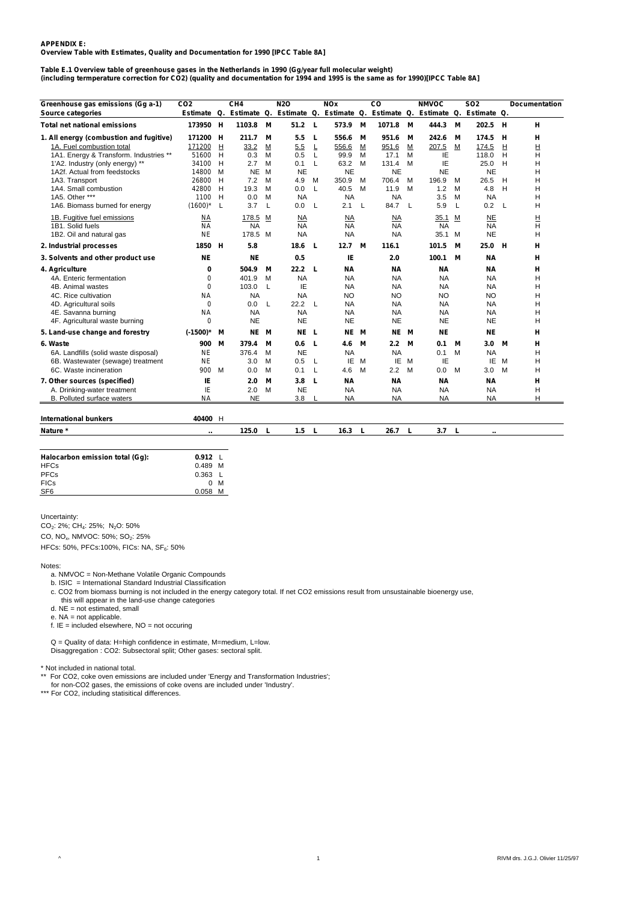#### **APPENDIX E: Overview Table with Estimates, Quality and Documentation for 1990 [IPCC Table 8A]**

#### **Table E.1 Overview table of greenhouse gases in the Netherlands in 1990 (Gg/year full molecular weight) (including termperature correction for CO2) (quality and documentation for 1994 and 1995 is the same as for 1990)[IPCC Table 8A]**

| Estimate Q. Estimate Q. Estimate Q. Estimate Q. Estimate Q. Estimate Q.<br>Estimate Q.<br><b>Total net national emissions</b><br>173950 H<br>1103.8<br>M<br>51.2<br>L<br>573.9<br>M<br>1071.8<br>444.3<br>M<br>202.5<br>М<br>- H<br>н<br>171200 H<br>211.7<br>5.5<br>951.6<br>242.6<br>174.5<br>н<br>н<br>1. All energy (combustion and fugitive)<br>М<br>L<br>556.6<br>М<br>М<br>М<br>Н<br>1A. Fuel combustion total<br>H<br>33.2<br>5.5<br>L<br>556.6<br>M<br>M<br>207.5<br>M<br>H<br>171200<br>M<br>951.6<br>174.5<br>H<br>IE<br>1A1. Energy & Transform. Industries **<br>51600<br>0.3<br>M<br>0.5<br>L<br>99.9<br>м<br>17.1<br>M<br>118.0<br>H<br>н<br>IE<br>63.2<br>25.0<br>Н<br>1'A2. Industry (only energy) **<br>34100 H<br>2.7<br>M<br>0.1<br>L<br>M<br>131.4<br>м<br>H<br><b>NE</b><br><b>NE</b><br><b>NE</b><br><b>NE</b><br><b>NE</b><br><b>NE</b><br>1A2f. Actual from feedstocks<br>14800<br>M<br>M<br>Н<br>7.2<br>350.9<br>196.9<br>26.5<br>Η<br>1A3. Transport<br>26800<br>H<br>M<br>4.9<br>М<br>M<br>706.4<br>M<br>H<br>м<br>42800<br>H<br>19.3<br>L<br>40.5<br>11.9<br>1.2<br>4.8<br>H<br>1A4. Small combustion<br>M<br>0.0<br>M<br>M<br>м<br>H<br>1A5. Other ***<br>1100 H<br>0.0<br><b>NA</b><br><b>NA</b><br><b>NA</b><br>3.5<br><b>NA</b><br>н<br>M<br>M<br>$(1600)^*$<br>- L<br>3.7<br>L<br>0.0<br>L<br>2.1<br>L<br>84.7<br>L<br>5.9<br>L<br>0.2<br>L<br>Н<br>1A6. Biomass burned for energy<br>1B. Fugitive fuel emissions<br>178.5 M<br>35.1<br><b>NE</b><br>н<br>ΝA<br>$\overline{\text{NA}}$<br>NA<br>NA<br>м<br>Н<br><b>NA</b><br><b>NA</b><br><b>NA</b><br><b>NA</b><br><b>NA</b><br><b>NA</b><br>1B1. Solid fuels<br><b>NA</b><br><b>NE</b><br>178.5 M<br>35.1<br><b>NE</b><br>1B2. Oil and natural gas<br><b>NA</b><br><b>NA</b><br>NA<br>M<br>Н<br>1850 H<br>5.8<br>12.7<br>М<br>101.5<br>25.0<br>2. Industrial processes<br>18.6<br>L<br>116.1<br>М<br>н<br>н<br>0.5<br>IE<br>ΝE<br><b>NE</b><br>2.0<br>100.1<br><b>NA</b><br>3. Solvents and other product use<br>М<br>н<br>22.2<br>4. Agriculture<br>0<br>504.9<br>M<br>L<br>ΝA<br>ΝA<br><b>NA</b><br><b>NA</b><br>н<br><b>NA</b><br>H<br>4A. Enteric fermentation<br>0<br>401.9<br>M<br><b>NA</b><br><b>NA</b><br><b>NA</b><br><b>NA</b><br>IE<br>0<br>103.0<br>L<br><b>NA</b><br>NA<br>NA<br>ΝA<br>н<br>4B. Animal wastes<br>4C. Rice cultivation<br><b>NA</b><br><b>NA</b><br><b>NA</b><br>NO<br>NO.<br>NO.<br>NO<br>н<br>0<br>L<br>22.2<br>L<br><b>NA</b><br>Н<br>4D. Agricultural soils<br>0.0<br>NA<br><b>NA</b><br>NA<br><b>NA</b><br><b>NA</b><br>4E. Savanna burning<br><b>NA</b><br><b>NA</b><br><b>NA</b><br><b>NA</b><br><b>NA</b><br>н<br>4F. Agricultural waste burning<br>0<br><b>NE</b><br><b>NE</b><br><b>NE</b><br><b>NE</b><br><b>NE</b><br><b>NE</b><br>H<br>5. Land-use change and forestry<br>NE L<br>NE M<br><b>NE</b><br><b>NE</b><br>$(-1500)^*$<br>NE M<br>NE M<br>М<br>н<br>6. Waste<br>900<br>М<br>379.4<br>M<br>0.6<br>L<br>4.6<br>М<br>$2.2\,$<br>М<br>0.1<br>М<br>3.0<br>М<br>н<br><b>NE</b><br><b>NA</b><br><b>NA</b><br>0.1<br><b>NA</b><br>H<br>6A. Landfills (solid waste disposal)<br>ΝE<br>376.4<br>M<br>м<br><b>NE</b><br>0.5<br>ΙE<br>M<br>IE<br>M<br>IE<br>IE.<br>M<br>Н<br>6B. Wastewater (sewage) treatment<br>3.0<br>M<br>L<br>6C. Waste incineration<br>900<br>4.6<br>M<br>0.0<br>M<br>M<br>0.0<br>M<br>0.1<br>L<br>M<br>2.2<br>м<br>3.0<br>Н<br>IE<br>7. Other sources (specified)<br>3.8<br><b>NA</b><br><b>NA</b><br><b>NA</b><br>н<br>2.0<br>M<br>L<br>ΝA<br>IE<br><b>NE</b><br>2.0<br><b>NA</b><br><b>NA</b><br><b>NA</b><br><b>NA</b><br>H<br>A. Drinking-water treatment<br>M<br><b>NE</b><br>B. Polluted surface waters<br>ΝA<br>3.8<br><b>NA</b><br><b>NA</b><br><b>NA</b><br><b>NA</b><br>н | Greenhouse gas emissions (Gg a-1) | CO <sub>2</sub> | CH <sub>4</sub> | <b>N2O</b> | <b>NOx</b> | $_{\rm CO}$ | <b>NMVOC</b> | <b>SO2</b> | Documentation |
|---------------------------------------------------------------------------------------------------------------------------------------------------------------------------------------------------------------------------------------------------------------------------------------------------------------------------------------------------------------------------------------------------------------------------------------------------------------------------------------------------------------------------------------------------------------------------------------------------------------------------------------------------------------------------------------------------------------------------------------------------------------------------------------------------------------------------------------------------------------------------------------------------------------------------------------------------------------------------------------------------------------------------------------------------------------------------------------------------------------------------------------------------------------------------------------------------------------------------------------------------------------------------------------------------------------------------------------------------------------------------------------------------------------------------------------------------------------------------------------------------------------------------------------------------------------------------------------------------------------------------------------------------------------------------------------------------------------------------------------------------------------------------------------------------------------------------------------------------------------------------------------------------------------------------------------------------------------------------------------------------------------------------------------------------------------------------------------------------------------------------------------------------------------------------------------------------------------------------------------------------------------------------------------------------------------------------------------------------------------------------------------------------------------------------------------------------------------------------------------------------------------------------------------------------------------------------------------------------------------------------------------------------------------------------------------------------------------------------------------------------------------------------------------------------------------------------------------------------------------------------------------------------------------------------------------------------------------------------------------------------------------------------------------------------------------------------------------------------------------------------------------------------------------------------------------------------------------------------------------------------------------------------------------------------------------------------------------------------------------------------------------------------------------------------------------------------------------------------------------------------------------------------------------------------------------------------------------------------------------------------------------------------------------------------------------------------------------------------------------|-----------------------------------|-----------------|-----------------|------------|------------|-------------|--------------|------------|---------------|
|                                                                                                                                                                                                                                                                                                                                                                                                                                                                                                                                                                                                                                                                                                                                                                                                                                                                                                                                                                                                                                                                                                                                                                                                                                                                                                                                                                                                                                                                                                                                                                                                                                                                                                                                                                                                                                                                                                                                                                                                                                                                                                                                                                                                                                                                                                                                                                                                                                                                                                                                                                                                                                                                                                                                                                                                                                                                                                                                                                                                                                                                                                                                                                                                                                                                                                                                                                                                                                                                                                                                                                                                                                                                                                                                       | Source categories                 |                 |                 |            |            |             |              |            |               |
|                                                                                                                                                                                                                                                                                                                                                                                                                                                                                                                                                                                                                                                                                                                                                                                                                                                                                                                                                                                                                                                                                                                                                                                                                                                                                                                                                                                                                                                                                                                                                                                                                                                                                                                                                                                                                                                                                                                                                                                                                                                                                                                                                                                                                                                                                                                                                                                                                                                                                                                                                                                                                                                                                                                                                                                                                                                                                                                                                                                                                                                                                                                                                                                                                                                                                                                                                                                                                                                                                                                                                                                                                                                                                                                                       |                                   |                 |                 |            |            |             |              |            |               |
|                                                                                                                                                                                                                                                                                                                                                                                                                                                                                                                                                                                                                                                                                                                                                                                                                                                                                                                                                                                                                                                                                                                                                                                                                                                                                                                                                                                                                                                                                                                                                                                                                                                                                                                                                                                                                                                                                                                                                                                                                                                                                                                                                                                                                                                                                                                                                                                                                                                                                                                                                                                                                                                                                                                                                                                                                                                                                                                                                                                                                                                                                                                                                                                                                                                                                                                                                                                                                                                                                                                                                                                                                                                                                                                                       |                                   |                 |                 |            |            |             |              |            |               |
|                                                                                                                                                                                                                                                                                                                                                                                                                                                                                                                                                                                                                                                                                                                                                                                                                                                                                                                                                                                                                                                                                                                                                                                                                                                                                                                                                                                                                                                                                                                                                                                                                                                                                                                                                                                                                                                                                                                                                                                                                                                                                                                                                                                                                                                                                                                                                                                                                                                                                                                                                                                                                                                                                                                                                                                                                                                                                                                                                                                                                                                                                                                                                                                                                                                                                                                                                                                                                                                                                                                                                                                                                                                                                                                                       |                                   |                 |                 |            |            |             |              |            |               |
|                                                                                                                                                                                                                                                                                                                                                                                                                                                                                                                                                                                                                                                                                                                                                                                                                                                                                                                                                                                                                                                                                                                                                                                                                                                                                                                                                                                                                                                                                                                                                                                                                                                                                                                                                                                                                                                                                                                                                                                                                                                                                                                                                                                                                                                                                                                                                                                                                                                                                                                                                                                                                                                                                                                                                                                                                                                                                                                                                                                                                                                                                                                                                                                                                                                                                                                                                                                                                                                                                                                                                                                                                                                                                                                                       |                                   |                 |                 |            |            |             |              |            |               |
|                                                                                                                                                                                                                                                                                                                                                                                                                                                                                                                                                                                                                                                                                                                                                                                                                                                                                                                                                                                                                                                                                                                                                                                                                                                                                                                                                                                                                                                                                                                                                                                                                                                                                                                                                                                                                                                                                                                                                                                                                                                                                                                                                                                                                                                                                                                                                                                                                                                                                                                                                                                                                                                                                                                                                                                                                                                                                                                                                                                                                                                                                                                                                                                                                                                                                                                                                                                                                                                                                                                                                                                                                                                                                                                                       |                                   |                 |                 |            |            |             |              |            |               |
|                                                                                                                                                                                                                                                                                                                                                                                                                                                                                                                                                                                                                                                                                                                                                                                                                                                                                                                                                                                                                                                                                                                                                                                                                                                                                                                                                                                                                                                                                                                                                                                                                                                                                                                                                                                                                                                                                                                                                                                                                                                                                                                                                                                                                                                                                                                                                                                                                                                                                                                                                                                                                                                                                                                                                                                                                                                                                                                                                                                                                                                                                                                                                                                                                                                                                                                                                                                                                                                                                                                                                                                                                                                                                                                                       |                                   |                 |                 |            |            |             |              |            |               |
|                                                                                                                                                                                                                                                                                                                                                                                                                                                                                                                                                                                                                                                                                                                                                                                                                                                                                                                                                                                                                                                                                                                                                                                                                                                                                                                                                                                                                                                                                                                                                                                                                                                                                                                                                                                                                                                                                                                                                                                                                                                                                                                                                                                                                                                                                                                                                                                                                                                                                                                                                                                                                                                                                                                                                                                                                                                                                                                                                                                                                                                                                                                                                                                                                                                                                                                                                                                                                                                                                                                                                                                                                                                                                                                                       |                                   |                 |                 |            |            |             |              |            |               |
|                                                                                                                                                                                                                                                                                                                                                                                                                                                                                                                                                                                                                                                                                                                                                                                                                                                                                                                                                                                                                                                                                                                                                                                                                                                                                                                                                                                                                                                                                                                                                                                                                                                                                                                                                                                                                                                                                                                                                                                                                                                                                                                                                                                                                                                                                                                                                                                                                                                                                                                                                                                                                                                                                                                                                                                                                                                                                                                                                                                                                                                                                                                                                                                                                                                                                                                                                                                                                                                                                                                                                                                                                                                                                                                                       |                                   |                 |                 |            |            |             |              |            |               |
|                                                                                                                                                                                                                                                                                                                                                                                                                                                                                                                                                                                                                                                                                                                                                                                                                                                                                                                                                                                                                                                                                                                                                                                                                                                                                                                                                                                                                                                                                                                                                                                                                                                                                                                                                                                                                                                                                                                                                                                                                                                                                                                                                                                                                                                                                                                                                                                                                                                                                                                                                                                                                                                                                                                                                                                                                                                                                                                                                                                                                                                                                                                                                                                                                                                                                                                                                                                                                                                                                                                                                                                                                                                                                                                                       |                                   |                 |                 |            |            |             |              |            |               |
|                                                                                                                                                                                                                                                                                                                                                                                                                                                                                                                                                                                                                                                                                                                                                                                                                                                                                                                                                                                                                                                                                                                                                                                                                                                                                                                                                                                                                                                                                                                                                                                                                                                                                                                                                                                                                                                                                                                                                                                                                                                                                                                                                                                                                                                                                                                                                                                                                                                                                                                                                                                                                                                                                                                                                                                                                                                                                                                                                                                                                                                                                                                                                                                                                                                                                                                                                                                                                                                                                                                                                                                                                                                                                                                                       |                                   |                 |                 |            |            |             |              |            |               |
|                                                                                                                                                                                                                                                                                                                                                                                                                                                                                                                                                                                                                                                                                                                                                                                                                                                                                                                                                                                                                                                                                                                                                                                                                                                                                                                                                                                                                                                                                                                                                                                                                                                                                                                                                                                                                                                                                                                                                                                                                                                                                                                                                                                                                                                                                                                                                                                                                                                                                                                                                                                                                                                                                                                                                                                                                                                                                                                                                                                                                                                                                                                                                                                                                                                                                                                                                                                                                                                                                                                                                                                                                                                                                                                                       |                                   |                 |                 |            |            |             |              |            |               |
|                                                                                                                                                                                                                                                                                                                                                                                                                                                                                                                                                                                                                                                                                                                                                                                                                                                                                                                                                                                                                                                                                                                                                                                                                                                                                                                                                                                                                                                                                                                                                                                                                                                                                                                                                                                                                                                                                                                                                                                                                                                                                                                                                                                                                                                                                                                                                                                                                                                                                                                                                                                                                                                                                                                                                                                                                                                                                                                                                                                                                                                                                                                                                                                                                                                                                                                                                                                                                                                                                                                                                                                                                                                                                                                                       |                                   |                 |                 |            |            |             |              |            |               |
|                                                                                                                                                                                                                                                                                                                                                                                                                                                                                                                                                                                                                                                                                                                                                                                                                                                                                                                                                                                                                                                                                                                                                                                                                                                                                                                                                                                                                                                                                                                                                                                                                                                                                                                                                                                                                                                                                                                                                                                                                                                                                                                                                                                                                                                                                                                                                                                                                                                                                                                                                                                                                                                                                                                                                                                                                                                                                                                                                                                                                                                                                                                                                                                                                                                                                                                                                                                                                                                                                                                                                                                                                                                                                                                                       |                                   |                 |                 |            |            |             |              |            |               |
|                                                                                                                                                                                                                                                                                                                                                                                                                                                                                                                                                                                                                                                                                                                                                                                                                                                                                                                                                                                                                                                                                                                                                                                                                                                                                                                                                                                                                                                                                                                                                                                                                                                                                                                                                                                                                                                                                                                                                                                                                                                                                                                                                                                                                                                                                                                                                                                                                                                                                                                                                                                                                                                                                                                                                                                                                                                                                                                                                                                                                                                                                                                                                                                                                                                                                                                                                                                                                                                                                                                                                                                                                                                                                                                                       |                                   |                 |                 |            |            |             |              |            |               |
|                                                                                                                                                                                                                                                                                                                                                                                                                                                                                                                                                                                                                                                                                                                                                                                                                                                                                                                                                                                                                                                                                                                                                                                                                                                                                                                                                                                                                                                                                                                                                                                                                                                                                                                                                                                                                                                                                                                                                                                                                                                                                                                                                                                                                                                                                                                                                                                                                                                                                                                                                                                                                                                                                                                                                                                                                                                                                                                                                                                                                                                                                                                                                                                                                                                                                                                                                                                                                                                                                                                                                                                                                                                                                                                                       |                                   |                 |                 |            |            |             |              |            |               |
|                                                                                                                                                                                                                                                                                                                                                                                                                                                                                                                                                                                                                                                                                                                                                                                                                                                                                                                                                                                                                                                                                                                                                                                                                                                                                                                                                                                                                                                                                                                                                                                                                                                                                                                                                                                                                                                                                                                                                                                                                                                                                                                                                                                                                                                                                                                                                                                                                                                                                                                                                                                                                                                                                                                                                                                                                                                                                                                                                                                                                                                                                                                                                                                                                                                                                                                                                                                                                                                                                                                                                                                                                                                                                                                                       |                                   |                 |                 |            |            |             |              |            |               |
|                                                                                                                                                                                                                                                                                                                                                                                                                                                                                                                                                                                                                                                                                                                                                                                                                                                                                                                                                                                                                                                                                                                                                                                                                                                                                                                                                                                                                                                                                                                                                                                                                                                                                                                                                                                                                                                                                                                                                                                                                                                                                                                                                                                                                                                                                                                                                                                                                                                                                                                                                                                                                                                                                                                                                                                                                                                                                                                                                                                                                                                                                                                                                                                                                                                                                                                                                                                                                                                                                                                                                                                                                                                                                                                                       |                                   |                 |                 |            |            |             |              |            |               |
|                                                                                                                                                                                                                                                                                                                                                                                                                                                                                                                                                                                                                                                                                                                                                                                                                                                                                                                                                                                                                                                                                                                                                                                                                                                                                                                                                                                                                                                                                                                                                                                                                                                                                                                                                                                                                                                                                                                                                                                                                                                                                                                                                                                                                                                                                                                                                                                                                                                                                                                                                                                                                                                                                                                                                                                                                                                                                                                                                                                                                                                                                                                                                                                                                                                                                                                                                                                                                                                                                                                                                                                                                                                                                                                                       |                                   |                 |                 |            |            |             |              |            |               |
|                                                                                                                                                                                                                                                                                                                                                                                                                                                                                                                                                                                                                                                                                                                                                                                                                                                                                                                                                                                                                                                                                                                                                                                                                                                                                                                                                                                                                                                                                                                                                                                                                                                                                                                                                                                                                                                                                                                                                                                                                                                                                                                                                                                                                                                                                                                                                                                                                                                                                                                                                                                                                                                                                                                                                                                                                                                                                                                                                                                                                                                                                                                                                                                                                                                                                                                                                                                                                                                                                                                                                                                                                                                                                                                                       |                                   |                 |                 |            |            |             |              |            |               |
|                                                                                                                                                                                                                                                                                                                                                                                                                                                                                                                                                                                                                                                                                                                                                                                                                                                                                                                                                                                                                                                                                                                                                                                                                                                                                                                                                                                                                                                                                                                                                                                                                                                                                                                                                                                                                                                                                                                                                                                                                                                                                                                                                                                                                                                                                                                                                                                                                                                                                                                                                                                                                                                                                                                                                                                                                                                                                                                                                                                                                                                                                                                                                                                                                                                                                                                                                                                                                                                                                                                                                                                                                                                                                                                                       |                                   |                 |                 |            |            |             |              |            |               |
|                                                                                                                                                                                                                                                                                                                                                                                                                                                                                                                                                                                                                                                                                                                                                                                                                                                                                                                                                                                                                                                                                                                                                                                                                                                                                                                                                                                                                                                                                                                                                                                                                                                                                                                                                                                                                                                                                                                                                                                                                                                                                                                                                                                                                                                                                                                                                                                                                                                                                                                                                                                                                                                                                                                                                                                                                                                                                                                                                                                                                                                                                                                                                                                                                                                                                                                                                                                                                                                                                                                                                                                                                                                                                                                                       |                                   |                 |                 |            |            |             |              |            |               |
|                                                                                                                                                                                                                                                                                                                                                                                                                                                                                                                                                                                                                                                                                                                                                                                                                                                                                                                                                                                                                                                                                                                                                                                                                                                                                                                                                                                                                                                                                                                                                                                                                                                                                                                                                                                                                                                                                                                                                                                                                                                                                                                                                                                                                                                                                                                                                                                                                                                                                                                                                                                                                                                                                                                                                                                                                                                                                                                                                                                                                                                                                                                                                                                                                                                                                                                                                                                                                                                                                                                                                                                                                                                                                                                                       |                                   |                 |                 |            |            |             |              |            |               |
|                                                                                                                                                                                                                                                                                                                                                                                                                                                                                                                                                                                                                                                                                                                                                                                                                                                                                                                                                                                                                                                                                                                                                                                                                                                                                                                                                                                                                                                                                                                                                                                                                                                                                                                                                                                                                                                                                                                                                                                                                                                                                                                                                                                                                                                                                                                                                                                                                                                                                                                                                                                                                                                                                                                                                                                                                                                                                                                                                                                                                                                                                                                                                                                                                                                                                                                                                                                                                                                                                                                                                                                                                                                                                                                                       |                                   |                 |                 |            |            |             |              |            |               |
|                                                                                                                                                                                                                                                                                                                                                                                                                                                                                                                                                                                                                                                                                                                                                                                                                                                                                                                                                                                                                                                                                                                                                                                                                                                                                                                                                                                                                                                                                                                                                                                                                                                                                                                                                                                                                                                                                                                                                                                                                                                                                                                                                                                                                                                                                                                                                                                                                                                                                                                                                                                                                                                                                                                                                                                                                                                                                                                                                                                                                                                                                                                                                                                                                                                                                                                                                                                                                                                                                                                                                                                                                                                                                                                                       |                                   |                 |                 |            |            |             |              |            |               |
|                                                                                                                                                                                                                                                                                                                                                                                                                                                                                                                                                                                                                                                                                                                                                                                                                                                                                                                                                                                                                                                                                                                                                                                                                                                                                                                                                                                                                                                                                                                                                                                                                                                                                                                                                                                                                                                                                                                                                                                                                                                                                                                                                                                                                                                                                                                                                                                                                                                                                                                                                                                                                                                                                                                                                                                                                                                                                                                                                                                                                                                                                                                                                                                                                                                                                                                                                                                                                                                                                                                                                                                                                                                                                                                                       |                                   |                 |                 |            |            |             |              |            |               |
|                                                                                                                                                                                                                                                                                                                                                                                                                                                                                                                                                                                                                                                                                                                                                                                                                                                                                                                                                                                                                                                                                                                                                                                                                                                                                                                                                                                                                                                                                                                                                                                                                                                                                                                                                                                                                                                                                                                                                                                                                                                                                                                                                                                                                                                                                                                                                                                                                                                                                                                                                                                                                                                                                                                                                                                                                                                                                                                                                                                                                                                                                                                                                                                                                                                                                                                                                                                                                                                                                                                                                                                                                                                                                                                                       |                                   |                 |                 |            |            |             |              |            |               |
|                                                                                                                                                                                                                                                                                                                                                                                                                                                                                                                                                                                                                                                                                                                                                                                                                                                                                                                                                                                                                                                                                                                                                                                                                                                                                                                                                                                                                                                                                                                                                                                                                                                                                                                                                                                                                                                                                                                                                                                                                                                                                                                                                                                                                                                                                                                                                                                                                                                                                                                                                                                                                                                                                                                                                                                                                                                                                                                                                                                                                                                                                                                                                                                                                                                                                                                                                                                                                                                                                                                                                                                                                                                                                                                                       |                                   |                 |                 |            |            |             |              |            |               |
|                                                                                                                                                                                                                                                                                                                                                                                                                                                                                                                                                                                                                                                                                                                                                                                                                                                                                                                                                                                                                                                                                                                                                                                                                                                                                                                                                                                                                                                                                                                                                                                                                                                                                                                                                                                                                                                                                                                                                                                                                                                                                                                                                                                                                                                                                                                                                                                                                                                                                                                                                                                                                                                                                                                                                                                                                                                                                                                                                                                                                                                                                                                                                                                                                                                                                                                                                                                                                                                                                                                                                                                                                                                                                                                                       |                                   |                 |                 |            |            |             |              |            |               |
|                                                                                                                                                                                                                                                                                                                                                                                                                                                                                                                                                                                                                                                                                                                                                                                                                                                                                                                                                                                                                                                                                                                                                                                                                                                                                                                                                                                                                                                                                                                                                                                                                                                                                                                                                                                                                                                                                                                                                                                                                                                                                                                                                                                                                                                                                                                                                                                                                                                                                                                                                                                                                                                                                                                                                                                                                                                                                                                                                                                                                                                                                                                                                                                                                                                                                                                                                                                                                                                                                                                                                                                                                                                                                                                                       |                                   |                 |                 |            |            |             |              |            |               |
|                                                                                                                                                                                                                                                                                                                                                                                                                                                                                                                                                                                                                                                                                                                                                                                                                                                                                                                                                                                                                                                                                                                                                                                                                                                                                                                                                                                                                                                                                                                                                                                                                                                                                                                                                                                                                                                                                                                                                                                                                                                                                                                                                                                                                                                                                                                                                                                                                                                                                                                                                                                                                                                                                                                                                                                                                                                                                                                                                                                                                                                                                                                                                                                                                                                                                                                                                                                                                                                                                                                                                                                                                                                                                                                                       |                                   |                 |                 |            |            |             |              |            |               |
| <b>International bunkers</b><br>40400 H                                                                                                                                                                                                                                                                                                                                                                                                                                                                                                                                                                                                                                                                                                                                                                                                                                                                                                                                                                                                                                                                                                                                                                                                                                                                                                                                                                                                                                                                                                                                                                                                                                                                                                                                                                                                                                                                                                                                                                                                                                                                                                                                                                                                                                                                                                                                                                                                                                                                                                                                                                                                                                                                                                                                                                                                                                                                                                                                                                                                                                                                                                                                                                                                                                                                                                                                                                                                                                                                                                                                                                                                                                                                                               |                                   |                 |                 |            |            |             |              |            |               |
| 125.0<br>1.5<br>16.3<br>3.7 L<br>Nature *<br>L<br>L<br>26.7<br>L<br>L                                                                                                                                                                                                                                                                                                                                                                                                                                                                                                                                                                                                                                                                                                                                                                                                                                                                                                                                                                                                                                                                                                                                                                                                                                                                                                                                                                                                                                                                                                                                                                                                                                                                                                                                                                                                                                                                                                                                                                                                                                                                                                                                                                                                                                                                                                                                                                                                                                                                                                                                                                                                                                                                                                                                                                                                                                                                                                                                                                                                                                                                                                                                                                                                                                                                                                                                                                                                                                                                                                                                                                                                                                                                 |                                   |                 |                 |            |            |             |              |            |               |
| $\ddot{\phantom{a}}$<br>$\ddotsc$                                                                                                                                                                                                                                                                                                                                                                                                                                                                                                                                                                                                                                                                                                                                                                                                                                                                                                                                                                                                                                                                                                                                                                                                                                                                                                                                                                                                                                                                                                                                                                                                                                                                                                                                                                                                                                                                                                                                                                                                                                                                                                                                                                                                                                                                                                                                                                                                                                                                                                                                                                                                                                                                                                                                                                                                                                                                                                                                                                                                                                                                                                                                                                                                                                                                                                                                                                                                                                                                                                                                                                                                                                                                                                     |                                   |                 |                 |            |            |             |              |            |               |
|                                                                                                                                                                                                                                                                                                                                                                                                                                                                                                                                                                                                                                                                                                                                                                                                                                                                                                                                                                                                                                                                                                                                                                                                                                                                                                                                                                                                                                                                                                                                                                                                                                                                                                                                                                                                                                                                                                                                                                                                                                                                                                                                                                                                                                                                                                                                                                                                                                                                                                                                                                                                                                                                                                                                                                                                                                                                                                                                                                                                                                                                                                                                                                                                                                                                                                                                                                                                                                                                                                                                                                                                                                                                                                                                       |                                   |                 |                 |            |            |             |              |            |               |
| Halocarbon emission total (Gg):<br>0.912 L<br><b>HFCs</b>                                                                                                                                                                                                                                                                                                                                                                                                                                                                                                                                                                                                                                                                                                                                                                                                                                                                                                                                                                                                                                                                                                                                                                                                                                                                                                                                                                                                                                                                                                                                                                                                                                                                                                                                                                                                                                                                                                                                                                                                                                                                                                                                                                                                                                                                                                                                                                                                                                                                                                                                                                                                                                                                                                                                                                                                                                                                                                                                                                                                                                                                                                                                                                                                                                                                                                                                                                                                                                                                                                                                                                                                                                                                             |                                   |                 |                 |            |            |             |              |            |               |
| 0.489 M<br><b>PFCs</b><br>$0.363$ L                                                                                                                                                                                                                                                                                                                                                                                                                                                                                                                                                                                                                                                                                                                                                                                                                                                                                                                                                                                                                                                                                                                                                                                                                                                                                                                                                                                                                                                                                                                                                                                                                                                                                                                                                                                                                                                                                                                                                                                                                                                                                                                                                                                                                                                                                                                                                                                                                                                                                                                                                                                                                                                                                                                                                                                                                                                                                                                                                                                                                                                                                                                                                                                                                                                                                                                                                                                                                                                                                                                                                                                                                                                                                                   |                                   |                 |                 |            |            |             |              |            |               |
| $0 \, M$<br><b>FICs</b>                                                                                                                                                                                                                                                                                                                                                                                                                                                                                                                                                                                                                                                                                                                                                                                                                                                                                                                                                                                                                                                                                                                                                                                                                                                                                                                                                                                                                                                                                                                                                                                                                                                                                                                                                                                                                                                                                                                                                                                                                                                                                                                                                                                                                                                                                                                                                                                                                                                                                                                                                                                                                                                                                                                                                                                                                                                                                                                                                                                                                                                                                                                                                                                                                                                                                                                                                                                                                                                                                                                                                                                                                                                                                                               |                                   |                 |                 |            |            |             |              |            |               |

SF6 0.058 M

Uncertainty:

 $CO_2$ : 2%; CH<sub>4</sub>: 25%; N<sub>2</sub>O: 50%

CO, NO<sub>x</sub>, NMVOC: 50%; SO<sub>2</sub>: 25%

HFCs: 50%, PFCs:100%, FICs: NA, SF6: 50%

Notes:

a. NMVOC = Non-Methane Volatile Organic Compounds

- b. ISIC = International Standard Industrial Classification
- c. CO2 from biomass burning is not included in the energy category total. If net CO2 emissions result from unsustainable bioenergy use,

this will appear in the land-use change categories

d. NE = not estimated, small e. NA = not applicable.

f.  $IE = included$  elsewhere,  $NO = not$  occuring

Q = Quality of data: H=high confidence in estimate, M=medium, L=low. Disaggregation : CO2: Subsectoral split; Other gases: sectoral split.

- \* Not included in national total. \*\* For CO2, coke oven emissions are included under 'Energy and Transformation Industries';
- for non-CO2 gases, the emissions of coke ovens are included under 'Industry'.

\*\*\* For CO2, including statisitical differences.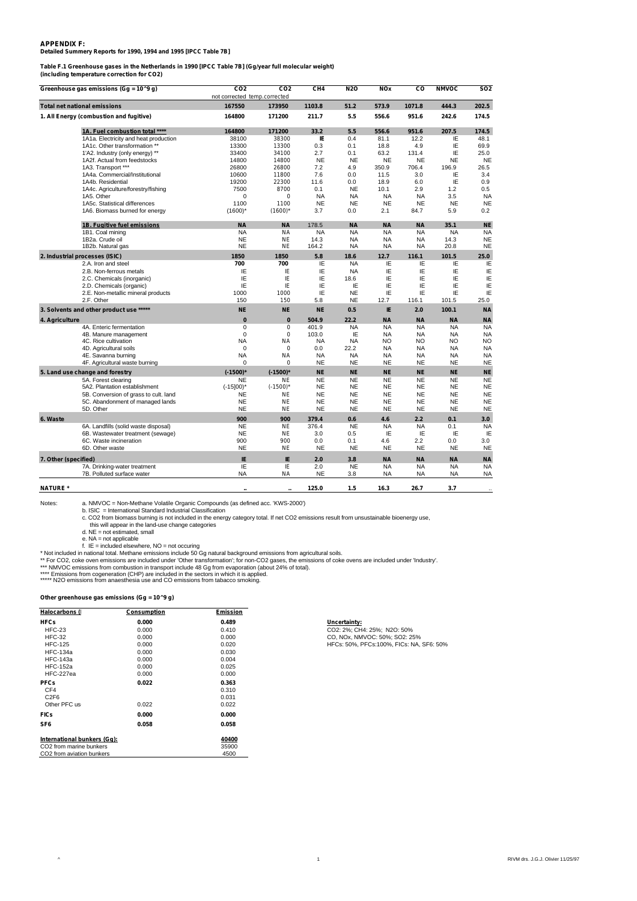#### **APPENDIX F: Detailed Summery Reports for 1990, 1994 and 1995 [IPCC Table 7B]**

**Table F.1 Greenhouse gases in the Netherlands in 1990 [IPCC Table 7B] (Gg/year full molecular weight)**

**(including temperature correction for CO2)**

| Greenhouse gas emissions (Gg = 10^9 g)  | CO <sub>2</sub><br>not corrected temp.corrected | CO <sub>2</sub> | CH <sub>4</sub> | <b>N2O</b> | <b>NOx</b> | CO        | <b>NMVOC</b> | <b>SO2</b> |
|-----------------------------------------|-------------------------------------------------|-----------------|-----------------|------------|------------|-----------|--------------|------------|
| Total net national emissions            | 167550                                          | 173950          | 1103.8          | 51.2       | 573.9      | 1071.8    | 444.3        | 202.5      |
| 1. All Energy (combustion and fugitive) | 164800                                          | 171200          | 211.7           | 5.5        | 556.6      | 951.6     | 242.6        | 174.5      |
| 1A. Fuel combustion total ****          | 164800                                          | 171200          | 33.2            | 5.5        | 556.6      | 951.6     | 207.5        | 174.5      |
| 1A1a. Electricity and heat production   | 38100                                           | 38300           | IE              | 0.4        | 81.1       | 12.2      | ΙE           | 48.1       |
| 1A1c. Other transformation **           | 13300                                           | 13300           | 0.3             | 0.1        | 18.8       | 4.9       | IE           | 69.9       |
| 1'A2. Industry (only energy) **         | 33400                                           | 34100           | 2.7             | 0.1        | 63.2       | 131.4     | IE           | 25.0       |
| 1A2f. Actual from feedstocks            | 14800                                           | 14800           | <b>NE</b>       | <b>NE</b>  | <b>NE</b>  | <b>NE</b> | <b>NE</b>    | <b>NE</b>  |
| 1A3. Transport ***                      | 26800                                           | 26800           | 7.2             | 4.9        | 350.9      | 706.4     | 196.9        | 26.5       |
| 1A4a. Commercial/Institutional          | 10600                                           | 11800           | 7.6             | 0.0        | 11.5       | 3.0       | IE           | 3.4        |
| 1A4b. Residential                       | 19200                                           | 22300           | 11.6            | 0.0        | 18.9       | 6.0       | IE           | 0.9        |
| 1A4c. Agriculture/forestry/fishing      | 7500                                            | 8700            | 0.1             | <b>NE</b>  | 10.1       | 2.9       | 1.2          | 0.5        |
| 1A5. Other                              | $\Omega$                                        | 0               | <b>NA</b>       | <b>NA</b>  | <b>NA</b>  | <b>NA</b> | 3.5          | <b>NA</b>  |
| 1A5c. Statistical differences           | 1100                                            | 1100            | <b>NE</b>       | <b>NE</b>  | <b>NE</b>  | <b>NE</b> | <b>NE</b>    | <b>NE</b>  |
| 1A6. Biomass burned for energy          | $(1600)^*$                                      | $(1600)$ *      | 3.7             | 0.0        | 2.1        | 84.7      | 5.9          | 0.2        |
| 1B. Fugitive fuel emissions             | <b>NA</b>                                       | <b>NA</b>       | 178.5           | <b>NA</b>  | <b>NA</b>  | <b>NA</b> | 35.1         | <b>NE</b>  |
| 1B1. Coal mining                        | <b>NA</b>                                       | <b>NA</b>       | <b>NA</b>       | <b>NA</b>  | <b>NA</b>  | <b>NA</b> | <b>NA</b>    | <b>NA</b>  |
| 1B2a. Crude oil                         | <b>NE</b>                                       | <b>NE</b>       | 14.3            | <b>NA</b>  | <b>NA</b>  | <b>NA</b> | 14.3         | <b>NE</b>  |
| 1B2b. Natural gas                       | <b>NE</b>                                       | <b>NE</b>       | 164.2           | <b>NA</b>  | <b>NA</b>  | <b>NA</b> | 20.8         | <b>NE</b>  |
| 2. Industrial processes (ISIC)          | 1850                                            | 1850            | 5.8             | 18.6       | 12.7       | 116.1     | 101.5        | 25.0       |
| 2.A. Iron and steel                     | 700                                             | 700             | IE              | <b>NA</b>  | IE         | IE        | IE           | ΙE         |
| 2.B. Non-ferrous metals                 | ΙE                                              | ΙE              | IE              | <b>NA</b>  | IE         | IE        | IE           | ΙE         |
| 2.C. Chemicals (inorganic)              | ΙE                                              | IE              | ΙE              | 18.6       | IE         | IE        | IE           | ΙE         |
| 2.D. Chemicals (organic)                | ΙE                                              | IE              | ΙE              | IE         | IE         | IE        | IE           | IE         |
| 2.E. Non-metallic mineral products      | 1000                                            | 1000            | IE              | <b>NE</b>  | IE         | IE        | IE           | ΙE         |
| 2.F. Other                              | 150                                             | 150             | 5.8             | <b>NE</b>  | 12.7       | 116.1     | 101.5        | 25.0       |
| 3. Solvents and other product use ***** | NE.                                             | <b>NE</b>       | <b>NE</b>       | 0.5        | IE         | 2.0       | 100.1        | <b>NA</b>  |
| 4. Agriculture                          | $\mathbf{0}$                                    | 0               | 504.9           | 22.2       | <b>NA</b>  | <b>NA</b> | <b>NA</b>    | <b>NA</b>  |
| 4A. Enteric fermentation                | $\Omega$                                        | $\theta$        | 401.9           | <b>NA</b>  | <b>NA</b>  | <b>NA</b> | <b>NA</b>    | <b>NA</b>  |
| 4B. Manure management                   | $\Omega$                                        | 0               | 103.0           | IE         | <b>NA</b>  | <b>NA</b> | <b>NA</b>    | <b>NA</b>  |
| 4C. Rice cultivation                    | <b>NA</b>                                       | <b>NA</b>       | <b>NA</b>       | <b>NA</b>  | <b>NO</b>  | <b>NO</b> | NO           | NO.        |
| 4D. Agricultural soils                  | $\mathbf 0$                                     | 0               | 0.0             | 22.2       | <b>NA</b>  | <b>NA</b> | <b>NA</b>    | <b>NA</b>  |
| 4E. Savanna burning                     | <b>NA</b>                                       | NA              | <b>NA</b>       | <b>NA</b>  | <b>NA</b>  | <b>NA</b> | <b>NA</b>    | <b>NA</b>  |
| 4F. Agricultural waste burning          | $\Omega$                                        | 0               | <b>NE</b>       | <b>NE</b>  | <b>NE</b>  | <b>NE</b> | <b>NE</b>    | <b>NE</b>  |
| 5. Land use change and forestry         | $(-1500)^*$                                     | $(-1500)^*$     | <b>NE</b>       | <b>NE</b>  | <b>NE</b>  | <b>NE</b> | <b>NE</b>    | <b>NE</b>  |
| 5A. Forest clearing                     | NE                                              | ΝE              | <b>NE</b>       | <b>NE</b>  | <b>NE</b>  | <b>NE</b> | <b>NE</b>    | <b>NE</b>  |
| 5A2. Plantation establishment           | $(-15]00$ <sup>*</sup>                          | $(-1500)$ *     | <b>NE</b>       | <b>NE</b>  | <b>NE</b>  | <b>NE</b> | <b>NE</b>    | <b>NE</b>  |
| 5B. Conversion of grass to cult. land   | <b>NE</b>                                       | <b>NE</b>       | <b>NE</b>       | <b>NE</b>  | <b>NE</b>  | <b>NE</b> | <b>NE</b>    | <b>NE</b>  |
| 5C. Abandonment of managed lands        | <b>NE</b>                                       | <b>NE</b>       | <b>NE</b>       | <b>NE</b>  | <b>NE</b>  | <b>NE</b> | <b>NE</b>    | <b>NE</b>  |
| 5D. Other                               | <b>NE</b>                                       | ΝE              | <b>NE</b>       | <b>NE</b>  | <b>NE</b>  | <b>NE</b> | <b>NE</b>    | <b>NE</b>  |
| 6. Waste                                | 900                                             | 900             | 379.4           | 0.6        | 4.6        | 2.2       | 0.1          | 3.0        |
| 6A. Landfills (solid waste disposal)    | <b>NE</b>                                       | ΝE              | 376.4           | <b>NE</b>  | <b>NA</b>  | <b>NA</b> | 0.1          | <b>NA</b>  |
| 6B. Wastewater treatment (sewage)       | <b>NE</b>                                       | <b>NE</b>       | 3.0             | 0.5        | IE         | IE        | IE           | IE         |
| 6C. Waste incineration                  | 900                                             | 900             | 0.0             | 0.1        | 4.6        | 2.2       | 0.0          | 3.0        |
| 6D. Other waste                         | <b>NE</b>                                       | <b>NE</b>       | <b>NE</b>       | <b>NE</b>  | <b>NE</b>  | <b>NE</b> | <b>NE</b>    | <b>NE</b>  |
| 7. Other (specified)                    | IE                                              | IE              | 2.0             | 3.8        | <b>NA</b>  | <b>NA</b> | <b>NA</b>    | <b>NA</b>  |
| 7A. Drinking-water treatment            | ΙE                                              | IE              | 2.0             | <b>NE</b>  | <b>NA</b>  | <b>NA</b> | <b>NA</b>    | <b>NA</b>  |
| 7B. Polluted surface water              | <b>NA</b>                                       | NA              | <b>NE</b>       | 3.8        | <b>NA</b>  | <b>NA</b> | <b>NA</b>    | <b>NA</b>  |
| <b>NATURE</b> *                         |                                                 |                 | 125.0           | 1.5        | 16.3       | 26.7      | 3.7          |            |

Notes: a. NMVOC = Non-Methane Volatile Organic Compounds (as defined acc. 'KWS-2000')<br>b. ISIC = International Standard Industrial Classification<br>c. CO2 from biomass burning is not included in the energy category total. If

e. NA = not applicable<br>\* Not included in national total. Methane emissions include 50 Gg natural background emissions from agricultural soils.<br>\* Not included in national total. Methane emissions include 50 Gg natural backg

#### **Other greenhouse gas emissions (Gg = 10^9 g)**

| Halocarbons (I              | Consumption | Emission |                                          |
|-----------------------------|-------------|----------|------------------------------------------|
| <b>HFCs</b>                 | 0.000       | 0.489    | Uncertainty:                             |
| $HFC-23$                    | 0.000       | 0.410    | CO2: 2%; CH4: 25%; N2O: 50%              |
| $HEC-32$                    | 0.000       | 0.000    | CO, NOx, NMVOC: 50%; SO2: 25%            |
| <b>HFC-125</b>              | 0.000       | 0.020    | HFCs: 50%, PFCs:100%, FICs: NA, SF6: 50% |
| <b>HFC-134a</b>             | 0.000       | 0.030    |                                          |
| <b>HFC-143a</b>             | 0.000       | 0.004    |                                          |
| <b>HFC-152a</b>             | 0.000       | 0.025    |                                          |
| HFC-227ea                   | 0.000       | 0.000    |                                          |
| <b>PFCs</b>                 | 0.022       | 0.363    |                                          |
| CF4                         |             | 0.310    |                                          |
| C <sub>2F6</sub>            |             | 0.031    |                                          |
| Other PFC us                | 0.022       | 0.022    |                                          |
| <b>FICs</b>                 | 0.000       | 0.000    |                                          |
| SF <sub>6</sub>             | 0.058       | 0.058    |                                          |
| International bunkers (Gq): |             | 40400    |                                          |
| CO2 from marine bunkers     |             | 35900    |                                          |
| CO2 from aviation bunkers   |             | 4500     |                                          |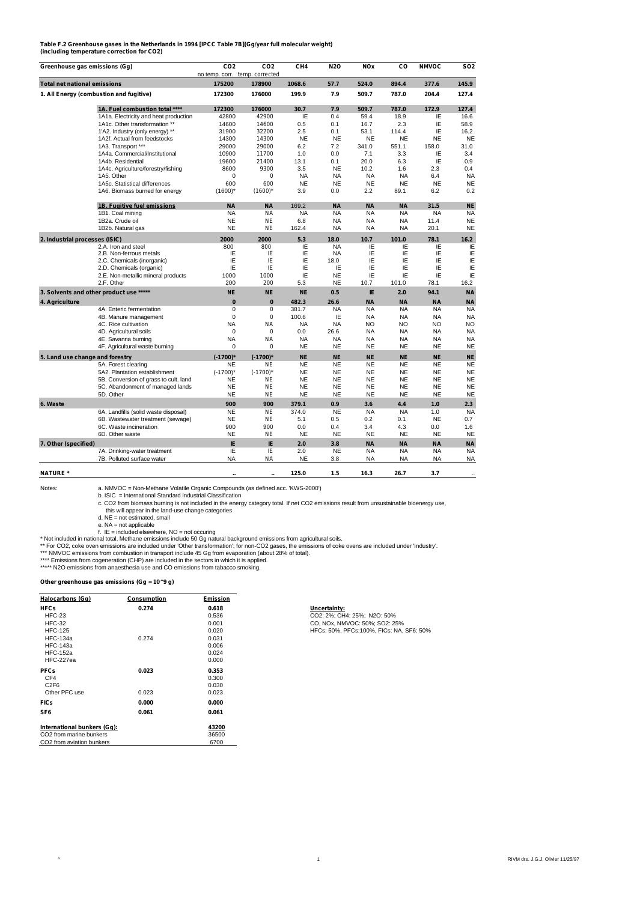#### **Table F.2 Greenhouse gases in the Netherlands in 1994 [IPCC Table 7B](Gg/year full molecular weight) (including temperature correction for CO2)**

**Greenhouse gas emissions (Gg) CO2 CO2 CH4 N2O NOx CO NMVOC SO2** no temp. corr. **Total net national emissions 175200** *178900* **1068.6 57.7 524.0 894.4 377.6 145.9 1. All Energy (combustion and fugitive) 172300** *176000* **199.9 7.9 509.7 787.0 204.4 127.4 1A. Fuel combustion total \*\*\*\* 172300** *176000* **30.7 7.9 509.7 787.0 172.9 127.4** 1A1a. Electricity and heat production 42800 *42900* IE 0.4 59.4 18.9 IE 16.6 1A1c. Other transformation \*\* 14600 *14600* 0.5 0.1 16.7 2.3 IE 58.9 1'A2. Industry (only energy) \*\* 31900 *32200* 2.5 0.1 53.1 114.4 IE 16.2 1A2f. Actual from feedstocks 14300 *14300* NE NE NE NE NE NE 1A3. Transport \*\*\* 29000 *29000* 6.2 7.2 341.0 551.1 158.0 31.0 1A4a. Commercial/Institutional 10900 *11700* 1.0 0.0 7.1 3.3 IE 3.4 1A4b. Residential 19600 *21400* 13.1 0.1 20.0 6.3 IE 0.9 1.1.4c. Agriculture/forestry/fishing 8600 9300 3.5 NE 10.2 1.6 2.3 0.4<br>1.45 Other March 2.3 0.4 0.4 NA 1.4 NA 1.4 6.4 NA 1A5. Other 0 *0* NA NA NA NA 6.4 NA 1A5c. Statistical differences 600 *600* NE NE NE NE NE NE 1A6. Biomass burned for energy **1B. Fugitive fuel emissions NA** *NA* 169.2 **NA NA NA 31.5 NE** 1B1. Coal mining NA *NA* NA NA NA NA NA NA 1B2a. Crude oil NE *NE* 6.8 NA NA NA 11.4 NE 1B2b. Natural gas NE *NE* 162.4 NA NA NA 20.1 NE **2. Industrial processes (ISIC) 2000** *2000* **5.3 18.0 10.7 101.0 78.1 16.2** 2.A. Iron and steel 800 *800* IE NA IE IE IE IE 2.B. Non-ferrous metals IE *IE* IE NA IE IE IE IE 2.C. Chemicals (inorganic) IE *IE* IE 18.0 IE IE IE IE 2.D. Chemicals (organic) IE *IE* IE IE IE IE IE IE 2.E. Non-metallic mineral products 1000 *1000* IE NE IE IE IE IE 2.F. Other 200 *200* 5.3 NE 10.7 101.0 78.1 16.2 **3. Solvents and other product use \*\*\*\*\* NE** *NE* **NE 0.5 IE 2.0 94.1 NA 4. Agriculture 0** *0* **482.3 26.6 NA NA NA NA** 4A. Enteric fermentation 0 *0* 381.7 NA NA NA NA NA 4B. Manure management 0 *0* 100.6 IE NA NA NA NA 4C. Rice cultivation NA *NA* NA NA NO NO NO NO 4D. Agricultural soils 0 *0* 0.0 26.6 NA NA NA NA 4E. Savanna burning 4F. Agricultural waste burning 0 *0* NE NE NE NE NE NE **5. Land use change and forestry (-1700)\*** *(-1700)\** **NE NE NE NE NE NE** 5A. Forest clearing NE NE NE NE NE NE NE NE<br>5A2. Plantation establishment (-1700)\* (-*1700)\** NE NE NE NE NE 5B. Conversion of grass to cult. land NE *NE* NE NE NE NE NE NE 5C. Abandonment of managed lands NE NE NE NE NE NE NE NE NE NE NE<br>5D. Other NE NE NE NE NE NE NE NE NE NE NE NE **6. Waste 900** *900* **379.1 0.9 3.6 4.4 1.0 2.3** 6A. Landfills (solid waste disposal) NE *NE* 374.0 NE NA NA 1.0 NA 6B. Wastewater treatment (sewage) **NE** *NE*<br>6C. Waste incineration **900** 900 6C. Waste incineration is extracted the control of the control of the control of the control of the control of the control of the control of the control of the control of the control of the control of the control of the co 6D. Other waste NE *NE* NE NE NE NE NE NE **7. Other (specified) IE** *IE* **2.0 3.8 NA NA NA NA** 7A. Drinking-water treatment IE *IE* 2.0 NE NA NA NA NA 7B. Polluted surface water

**NATURE \* .. .. 125.0 1.5 16.3 26.7 3.7** ..

Notes: a. NMVOC = Non-Methane Volatile Organic Compounds (as defined acc. 'KWS-2000') b. ISIC = International Standard Industrial Classification

c. CO2 from biomass burning is not included in the energy category total. If net CO2 emissions result from unsustainable bioenergy use, this will appear in the land-use change categories

d. NE = not estimated, small

e. NA = not applicable f. IE = included elsewhere, NO = not occuring

\* Not included in national total. Methane emissions include 50 Gg natural background emissions from agricultural soils.<br>\*\* For CO2, coke oven emissions are included under 'Other transformation'; for non-CO2 gases, the emis

\*\*\*\* Emissions from cogeneration (CHP) are included in the sectors in which it is applied.

**EMISSIONS NON COGENERATOR (CTTL)** are included in the sectors in which it is applied that the sector of the sector smoking.

**Other greenhouse gas emissions (Gg = 10^9 g)**

| Halocarbons (Gq)            | Consumption | Emission |                                           |
|-----------------------------|-------------|----------|-------------------------------------------|
| <b>HFCs</b>                 | 0.274       | 0.618    | Uncertainty:                              |
| $HFC-23$                    |             | 0.536    | CO2: 2%; CH4: 25%; N2O: 50%               |
| $HEC-32$                    |             | 0.001    | CO, NOx, NMVOC: 50%; SO2: 25%             |
| <b>HFC-125</b>              |             | 0.020    | HFCs: 50%, PFCs: 100%, FICs: NA, SF6: 50% |
| <b>HFC-134a</b>             | 0.274       | 0.031    |                                           |
| <b>HFC-143a</b>             |             | 0.006    |                                           |
| <b>HFC-152a</b>             |             | 0.024    |                                           |
| HFC-227ea                   |             | 0.000    |                                           |
| <b>PFCs</b>                 | 0.023       | 0.353    |                                           |
| CF4                         |             | 0.300    |                                           |
| C <sub>2F6</sub>            |             | 0.030    |                                           |
| Other PFC use               | 0.023       | 0.023    |                                           |
| <b>FICs</b>                 | 0.000       | 0.000    |                                           |
| SF <sub>6</sub>             | 0.061       | 0.061    |                                           |
| International bunkers (Gq): |             | 43200    |                                           |
| CO2 from marine bunkers     |             | 36500    |                                           |
| CO2 from aviation bunkers   |             | 6700     |                                           |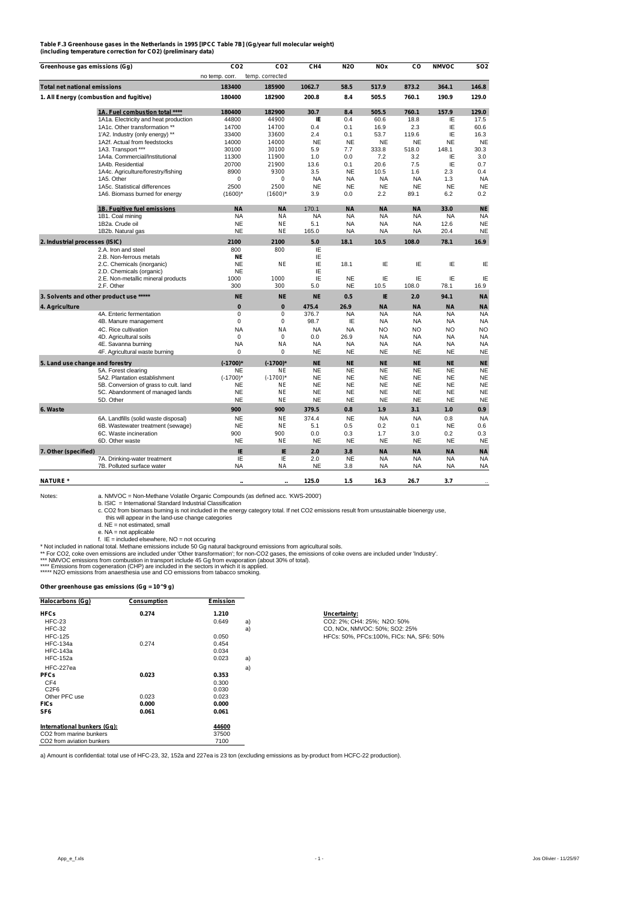| Table F.3 Greenhouse gases in the Netherlands in 1995 [IPCC Table 7B] (Gg/year full molecular weight) |  |
|-------------------------------------------------------------------------------------------------------|--|
| (including temperature correction for CO2) (preliminary data)                                         |  |

| Greenhouse gas emissions (Gg)       |                                         | CO <sub>2</sub> | CO <sub>2</sub>  | CH <sub>4</sub> | N2O       | <b>NOx</b> | co        | <b>NMVOC</b> | SO <sub>2</sub> |
|-------------------------------------|-----------------------------------------|-----------------|------------------|-----------------|-----------|------------|-----------|--------------|-----------------|
|                                     |                                         | no temp. corr.  | temp. corrected  |                 |           |            |           |              |                 |
| <b>Total net national emissions</b> |                                         | 183400          | 185900           | 1062.7          | 58.5      | 517.9      | 873.2     | 364.1        | 146.8           |
|                                     | 1. All Energy (combustion and fugitive) | 180400          | 182900           | 200.8           | 8.4       | 505.5      | 760.1     | 190.9        | 129.0           |
|                                     | 1A. Fuel combustion total ****          | 180400          | 182900           | 30.7            | 8.4       | 505.5      | 760.1     | 157.9        | 129.0           |
|                                     | 1A1a. Electricity and heat production   | 44800           | 44900            | IE              | 0.4       | 60.6       | 18.8      | IE           | 17.5            |
|                                     | 1A1c. Other transformation **           | 14700           | 14700            | 0.4             | 0.1       | 16.9       | 2.3       | IE           | 60.6            |
|                                     | 1'A2. Industry (only energy) **         | 33400           | 33600            | 2.4             | 0.1       | 53.7       | 119.6     | IE           | 16.3            |
|                                     | 1A2f. Actual from feedstocks            | 14000           | 14000            | <b>NE</b>       | <b>NE</b> | <b>NE</b>  | <b>NE</b> | <b>NE</b>    | <b>NE</b>       |
|                                     | 1A3. Transport ***                      | 30100           | 30100            | 5.9             | 7.7       | 333.8      | 518.0     | 148.1        | 30.3            |
|                                     | 1A4a. Commercial/Institutional          | 11300           | 11900            | 1.0             | 0.0       | 7.2        | 3.2       | ΙE           | 3.0             |
|                                     | 1A4b. Residential                       | 20700           | 21900            | 13.6            | 0.1       | 20.6       | 7.5       | IE           | 0.7             |
|                                     | 1A4c. Agriculture/forestry/fishing      | 8900            | 9300             | 3.5             | <b>NE</b> | 10.5       | 1.6       | 2.3          | 0.4             |
|                                     | 1A5. Other                              | 0               | 0                | <b>NA</b>       | <b>NA</b> | <b>NA</b>  | <b>NA</b> | 1.3          | <b>NA</b>       |
|                                     | 1A5c. Statistical differences           | 2500            | 2500             | <b>NE</b>       | <b>NE</b> | <b>NE</b>  | <b>NE</b> | <b>NE</b>    | <b>NE</b>       |
|                                     | 1A6. Biomass burned for energy          | $(1600)^*$      | $(1600)^*$       | 3.9             | 0.0       | 2.2        | 89.1      | 6.2          | 0.2             |
|                                     | 1B. Fugitive fuel emissions             | <b>NA</b>       | <b>NA</b>        | 170.1           | <b>NA</b> | <b>NA</b>  | <b>NA</b> | 33.0         | <b>NE</b>       |
|                                     | 1B1. Coal mining                        | <b>NA</b>       | NA               | <b>NA</b>       | <b>NA</b> | <b>NA</b>  | <b>NA</b> | <b>NA</b>    | <b>NA</b>       |
|                                     | 1B2a. Crude oil                         | <b>NE</b>       | <b>NE</b>        | 5.1             | <b>NA</b> | <b>NA</b>  | <b>NA</b> | 12.6         | <b>NE</b>       |
|                                     | 1B2b. Natural gas                       | <b>NE</b>       | NF               | 165.0           | <b>NA</b> | <b>NA</b>  | <b>NA</b> | 20.4         | <b>NE</b>       |
| 2. Industrial processes (ISIC)      |                                         | 2100            | 2100             | 5.0             | 18.1      | 10.5       | 108.0     | 78.1         | 16.9            |
|                                     | 2.A. Iron and steel                     | 800             | 800              | IE              |           |            |           |              |                 |
|                                     | 2.B. Non-ferrous metals                 | <b>NE</b>       |                  | ΙE              |           |            |           |              |                 |
|                                     | 2.C. Chemicals (inorganic)              | <b>NE</b>       | <b>NE</b>        | ΙE              | 18.1      | ΙE         | ΙE        | ΙE           | IE              |
|                                     | 2.D. Chemicals (organic)                | <b>NE</b>       |                  | IE              |           |            |           |              |                 |
|                                     | 2.E. Non-metallic mineral products      | 1000            | 1000             | IE              | <b>NE</b> | IE         | IE        | IE           | ΙE              |
|                                     | 2.F. Other                              | 300             | 300              | 5.0             | <b>NE</b> | 10.5       | 108.0     | 78.1         | 16.9            |
|                                     | 3. Solvents and other product use ***** | <b>NE</b>       | <b>NE</b>        | <b>NE</b>       | 0.5       | IE         | 2.0       | 94.1         | <b>NA</b>       |
| 4. Agriculture                      |                                         | $\mathbf{0}$    | $\boldsymbol{0}$ | 475.4           | 26.9      | <b>NA</b>  | <b>NA</b> | <b>NA</b>    | <b>NA</b>       |
|                                     | 4A. Enteric fermentation                | $\Omega$        | $\Omega$         | 376.7           | <b>NA</b> | <b>NA</b>  | <b>NA</b> | <b>NA</b>    | <b>NA</b>       |
|                                     | 4B. Manure management                   | 0               | 0                | 98.7            | IE        | NA         | <b>NA</b> | <b>NA</b>    | <b>NA</b>       |
|                                     | 4C. Rice cultivation                    | <b>NA</b>       | <b>NA</b>        | <b>NA</b>       | <b>NA</b> | NO         | NO        | <b>NO</b>    | <b>NO</b>       |
|                                     | 4D. Agricultural soils                  | $\Omega$        | 0                | 0.0             | 26.9      | NA         | <b>NA</b> | <b>NA</b>    | <b>NA</b>       |
|                                     | 4E. Savanna burning                     | <b>NA</b>       | NA               | <b>NA</b>       | <b>NA</b> | NA         | <b>NA</b> | <b>NA</b>    | <b>NA</b>       |
|                                     | 4F. Agricultural waste burning          | 0               | 0                | <b>NE</b>       | <b>NE</b> | <b>NE</b>  | <b>NE</b> | <b>NE</b>    | <b>NE</b>       |
| 5. Land use change and forestry     |                                         | $(-1700)^*$     | $(-1700)^*$      | <b>NE</b>       | <b>NE</b> | <b>NE</b>  | <b>NE</b> | <b>NE</b>    | <b>NE</b>       |
|                                     | 5A. Forest clearing                     | <b>NE</b>       | <b>NE</b>        | <b>NE</b>       | <b>NE</b> | <b>NE</b>  | <b>NE</b> | <b>NE</b>    | <b>NE</b>       |
|                                     | 5A2. Plantation establishment           | $(-1700)^*$     | $(-1700)$ *      | <b>NE</b>       | <b>NE</b> | <b>NE</b>  | <b>NE</b> | <b>NE</b>    | <b>NE</b>       |
|                                     | 5B. Conversion of grass to cult. land   | <b>NE</b>       | <b>NE</b>        | <b>NE</b>       | <b>NE</b> | <b>NE</b>  | <b>NE</b> | <b>NE</b>    | <b>NE</b>       |
|                                     | 5C. Abandonment of managed lands        | <b>NE</b>       | <b>NE</b>        | <b>NE</b>       | <b>NE</b> | <b>NE</b>  | <b>NE</b> | <b>NE</b>    | <b>NE</b>       |
|                                     | 5D. Other                               | <b>NE</b>       | <b>NE</b>        | <b>NE</b>       | <b>NE</b> | <b>NE</b>  | <b>NE</b> | <b>NE</b>    | <b>NE</b>       |
| 6. Waste                            |                                         | 900             | 900              | 379.5           | 0.8       | 1.9        | 3.1       | 1.0          | 0.9             |
|                                     | 6A. Landfills (solid waste disposal)    | <b>NE</b>       | <b>NE</b>        | 374.4           | <b>NE</b> | <b>NA</b>  | <b>NA</b> | 0.8          | <b>NA</b>       |
|                                     | 6B. Wastewater treatment (sewage)       | <b>NE</b>       | <b>NE</b>        | 5.1             | 0.5       | 0.2        | 0.1       | <b>NE</b>    | 0.6             |
|                                     | 6C. Waste incineration                  | 900             | 900              | 0.0             | 0.3       | 1.7        | 3.0       | 0.2          | 0.3             |
|                                     | 6D. Other waste                         | <b>NE</b>       | <b>NE</b>        | <b>NE</b>       | <b>NE</b> | <b>NE</b>  | <b>NE</b> | <b>NE</b>    | <b>NE</b>       |
| 7. Other (specified)                |                                         | IE              | IE               | 2.0             | 3.8       | <b>NA</b>  | <b>NA</b> | <b>NA</b>    | <b>NA</b>       |
|                                     | 7A. Drinking-water treatment            | ΙE              | ΙE               | 2.0             | <b>NE</b> | NA         | <b>NA</b> | <b>NA</b>    | <b>NA</b>       |
|                                     | 7B. Polluted surface water              | <b>NA</b>       | NA               | <b>NE</b>       | 3.8       | <b>NA</b>  | <b>NA</b> | <b>NA</b>    | <b>NA</b>       |
| <b>NATURE</b> *                     |                                         |                 |                  | 125.0           | 1.5       | 16.3       | 26.7      | 3.7          |                 |

a. NMVOC = Non-Methane Volatile Organic Compounds (as defined acc. ˈKWS-2000ʹ)<br>b. ISIC = International Standard Industrial Classification<br>c. CO2 from biomass burning is not included in the energy category total. If net CO

this will appear in the land-use change categories<br>
d. NE = not estimated, small<br>
e. NA = not applicable<br>
f. IE = included elsewhere, NO = not occuring<br>
\*Not included in national total. Methane emissions from apricultural

#### **Other greenhouse gas emissions (Gg = 10^9 g)**

| Halocarbons (Gq)                    | Consumption | Emission |    |                                          |
|-------------------------------------|-------------|----------|----|------------------------------------------|
| <b>HFCs</b>                         | 0.274       | 1.210    |    | Uncertainty:                             |
| $HFC-23$                            |             | 0.649    | a) | CO2: 2%; CH4: 25%; N2O: 50%              |
| $HEC-32$                            |             |          | a) | CO, NOx, NMVOC: 50%; SO2: 25%            |
| <b>HFC-125</b>                      |             | 0.050    |    | HFCs: 50%, PFCs:100%, FICs: NA, SF6: 50% |
| <b>HFC-134a</b>                     | 0.274       | 0.454    |    |                                          |
| <b>HFC-143a</b>                     |             | 0.034    |    |                                          |
| <b>HFC-152a</b>                     |             | 0.023    | a) |                                          |
| HFC-227ea                           |             |          | a) |                                          |
| <b>PFCs</b>                         | 0.023       | 0.353    |    |                                          |
| CF4                                 |             | 0.300    |    |                                          |
| C <sub>2F6</sub>                    |             | 0.030    |    |                                          |
| Other PFC use                       | 0.023       | 0.023    |    |                                          |
| <b>FICs</b>                         | 0.000       | 0.000    |    |                                          |
| SF <sub>6</sub>                     | 0.061       | 0.061    |    |                                          |
| International bunkers (Gq):         |             | 44600    |    |                                          |
| CO <sub>2</sub> from marine bunkers |             | 37500    |    |                                          |
| CO2 from aviation bunkers           |             | 7100     |    |                                          |

a) Amount is confidential: total use of HFC-23, 32, 152a and 227ea is 23 ton (excluding emissions as by-product from HCFC-22 production).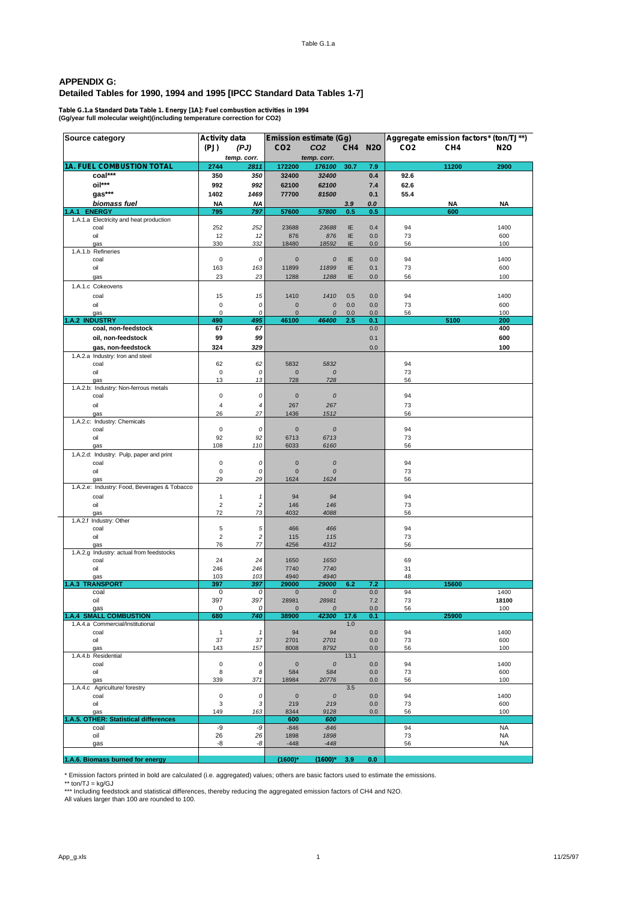## **APPENDIX G: Detailed Tables for 1990, 1994 and 1995 [IPCC Standard Data Tables 1-7]**

**Table G.1.a Standard Data Table 1. Energy [1A]: Fuel combustion activities in 1994 (Gg/year full molecular weight)(including temperature correction for CO2)**

| Source category                              | <b>Activity data</b>           |                 |                      | <b>Emission estimate (Gg)</b> |          |            |                 |                 | Aggregate emission factors* (ton/TJ**) |
|----------------------------------------------|--------------------------------|-----------------|----------------------|-------------------------------|----------|------------|-----------------|-----------------|----------------------------------------|
|                                              | (PJ)                           | (PJ)            | CO <sub>2</sub>      | CO <sub>2</sub>               |          | CH4 N2O    | CO <sub>2</sub> | CH <sub>4</sub> | <b>N2O</b>                             |
|                                              |                                | temp. corr.     |                      | temp. corr.                   |          |            |                 |                 |                                        |
| <b>1A. FUEL COMBUSTION TOTAL</b>             | 2744                           | 2811            | 172200               | 176100                        | 30.7     | 7.9        |                 | 11200           | 2900                                   |
| coal***                                      | 350                            | 350             | 32400                | 32400                         |          | 0.4        | 92.6            |                 |                                        |
| oil***                                       | 992                            | 992             | 62100                | 62100                         |          | 7.4        | 62.6            |                 |                                        |
| $gas***$                                     | 1402                           | 1469            | 77700                | 81500                         |          | 0.1        | 55.4            |                 |                                        |
| biomass fuel                                 | ΝA                             | <b>NA</b>       |                      |                               | 3.9      | 0.0        |                 | <b>NA</b>       | NA                                     |
| 1.A.1 ENERGY                                 | 795                            | 797             | 57600                | 57800                         | 0.5      | 0.5        |                 | 600             |                                        |
| 1.A.1.a Electricity and heat production      |                                |                 |                      |                               |          |            |                 |                 |                                        |
| coal<br>oil                                  | 252<br>12                      | 252<br>12       | 23688<br>876         | 23688<br>876                  | IE<br>IE | 0.4<br>0.0 | 94<br>73        |                 | 1400<br>600                            |
| gas                                          | 330                            | 332             | 18480                | 18592                         | IE       | 0.0        | 56              |                 | 100                                    |
| 1.A.1.b Refineries                           |                                |                 |                      |                               |          |            |                 |                 |                                        |
| coal                                         | $\pmb{0}$                      | 0               | $\mathbf{0}$         | 0                             | IE       | 0.0        | 94              |                 | 1400                                   |
| oil                                          | 163                            | 163             | 11899                | 11899                         | IE       | 0.1        | 73              |                 | 600                                    |
| gas                                          | 23                             | 23              | 1288                 | 1288                          | IE       | 0.0        | 56              |                 | 100                                    |
| 1.A.1.c Cokeovens                            |                                |                 |                      |                               |          |            |                 |                 |                                        |
| coal                                         | 15                             | 15              | 1410                 | 1410                          | 0.5      | 0.0        | 94              |                 | 1400                                   |
| oil                                          | $\pmb{0}$                      | 0               | $\bf{0}$             | $\cal O$                      | 0.0      | 0.0        | 73              |                 | 600                                    |
| gas                                          | $\pmb{0}$                      | 0               | $\mathbf 0$          | 0                             | 0.0      | 0.0        | 56              |                 | 100                                    |
| 1.A.2 INDUSTRY                               | 490                            | 495             | 46100                | 46400                         | 2.5      | 0.1        |                 | 5100            | 200                                    |
| coal, non-feedstock                          | 67                             | 67              |                      |                               |          | 0.0        |                 |                 | 400                                    |
| oil, non-feedstock                           | 99                             | 99              |                      |                               |          | 0.1        |                 |                 | 600                                    |
| gas, non-feedstock                           | 324                            | 329             |                      |                               |          | 0.0        |                 |                 | 100                                    |
| 1.A.2.a Industry: Iron and steel<br>coal     | 62                             | 62              | 5832                 | 5832                          |          |            | 94              |                 |                                        |
| oil                                          | $\pmb{0}$                      | 0               | $\bf{0}$             | 0                             |          |            | 73              |                 |                                        |
| qas                                          | 13                             | 13              | 728                  | 728                           |          |            | 56              |                 |                                        |
| 1.A.2.b: Industry: Non-ferrous metals        |                                |                 |                      |                               |          |            |                 |                 |                                        |
| coal                                         | $\pmb{0}$                      | 0               | $\pmb{0}$            | ${\cal O}$                    |          |            | 94              |                 |                                        |
| oil                                          | $\overline{4}$                 | 4               | 267                  | 267                           |          |            | 73              |                 |                                        |
| gas                                          | 26                             | 27              | 1436                 | 1512                          |          |            | 56              |                 |                                        |
| 1.A.2.c: Industry: Chemicals<br>coal         | $\mathbf 0$                    | 0               | $\mathbf{0}$         | $\boldsymbol{0}$              |          |            | 94              |                 |                                        |
| oil                                          | 92                             | 92              | 6713                 | 6713                          |          |            | 73              |                 |                                        |
| gas                                          | 108                            | 110             | 6033                 | 6160                          |          |            | 56              |                 |                                        |
| 1.A.2.d: Industry: Pulp, paper and print     |                                |                 |                      |                               |          |            |                 |                 |                                        |
| coal                                         | 0                              | 0               | $\bf{0}$             | 0                             |          |            | 94              |                 |                                        |
| oil                                          | $\pmb{0}$                      | 0               | $\mathbf 0$          | 0                             |          |            | 73              |                 |                                        |
| gas                                          | 29                             | 29              | 1624                 | 1624                          |          |            | 56              |                 |                                        |
| 1.A.2.e: Industry: Food, Beverages & Tobacco |                                |                 |                      |                               |          |            |                 |                 |                                        |
| coal<br>oil                                  | $\mathbf{1}$<br>$\overline{2}$ | 1<br>$\sqrt{2}$ | 94                   | 94                            |          |            | 94<br>73        |                 |                                        |
| gas                                          | 72                             | 73              | 146<br>4032          | 146<br>4088                   |          |            | 56              |                 |                                        |
| 1.A.2.f Industry: Other                      |                                |                 |                      |                               |          |            |                 |                 |                                        |
| coal                                         | 5                              | 5               | 466                  | 466                           |          |            | 94              |                 |                                        |
| oil                                          | $\overline{2}$                 | $\sqrt{2}$      | 115                  | 115                           |          |            | 73              |                 |                                        |
| gas                                          | 76                             | 77              | 4256                 | 4312                          |          |            | 56              |                 |                                        |
| 1.A.2.g Industry: actual from feedstocks     | 24                             | 24              | 1650                 | 1650                          |          |            |                 |                 |                                        |
| coal<br>oil                                  | 246                            | 246             | 7740                 | 7740                          |          |            | 69<br>31        |                 |                                        |
| gas                                          | 103                            | 103             | 4940                 | 4940                          |          |            | 48              |                 |                                        |
| 1.A.3 TRANSPORT                              | 397                            | 397             | 29000                | 29000                         | 6.2      | 7.2        |                 | 15600           |                                        |
| coal                                         | 0                              | 0               | $\mathbf{0}$         | $\cal O$                      |          | 0.0        | 94              |                 | 1400                                   |
| oil                                          | 397                            | 397             | 28981                | 28981                         |          | 7.2        | 73              |                 | 18100                                  |
| gas<br><b>1.A.4 SMALL COMBUSTION</b>         | 0<br>680                       | 0<br>740        | $\mathbf 0$<br>38900 | 0<br>42300                    | 17.6     | 0.0<br>0.1 | 56              | 25900           | 100                                    |
| 1.A.4.a Commercial/Institutional             |                                |                 |                      |                               | 1.0      |            |                 |                 |                                        |
| coal                                         | $\mathbf{1}$                   | $\mathbf{1}$    | 94                   | 94                            |          | 0.0        | 94              |                 | 1400                                   |
| oil                                          | 37                             | 37              | 2701                 | 2701                          |          | 0.0        | 73              |                 | 600                                    |
| gas                                          | 143                            | 157             | 8008                 | 8792                          |          | $0.0\,$    | 56              |                 | 100                                    |
| 1.A.4.b Residential                          | $\pmb{0}$                      |                 |                      |                               | 13.1     |            |                 |                 |                                        |
| coal<br>oil                                  | 8                              | 0<br>8          | $\pmb{0}$<br>584     | $\cal O$<br>584               |          | 0.0<br>0.0 | 94<br>73        |                 | 1400<br>600                            |
| gas                                          | 339                            | 371             | 18984                | 20776                         |          | 0.0        | 56              |                 | 100                                    |
| 1.A.4.c Agriculture/ forestry                |                                |                 |                      |                               | 3.5      |            |                 |                 |                                        |
| coal                                         | $\pmb{0}$                      | 0               | $\pmb{0}$            | ${\cal O}$                    |          | 0.0        | 94              |                 | 1400                                   |
| oil                                          | 3                              | $\sqrt{3}$      | 219                  | 219                           |          | 0.0        | 73              |                 | 600                                    |
| gas<br>1.A.5. OTHER: Statistical differences | 149                            | 163             | 8344<br>600          | 9128<br>600                   |          | $0.0\,$    | 56              |                 | 100                                    |
| coal                                         | -9                             | -9              | $-846$               | $-846$                        |          |            | 94              |                 | <b>NA</b>                              |
| oil                                          | 26                             | 26              | 1898                 | 1898                          |          |            | 73              |                 | <b>NA</b>                              |
| gas                                          | -8                             | -8              | $-448$               | $-448$                        |          |            | 56              |                 | NA                                     |
|                                              |                                |                 |                      |                               |          |            |                 |                 |                                        |
| 1.A.6. Biomass burned for energy             |                                |                 | $(1600)^*$           | $(1600)^*$                    | 3.9      | 0.0        |                 |                 |                                        |

\* Emission factors printed in bold are calculated (i.e. aggregated) values; others are basic factors used to estimate the emissions.<br>\*\*\* IncIVJ = kg/GJ<br>\*\*\* Including feedstock and statistical differences, thereby reducing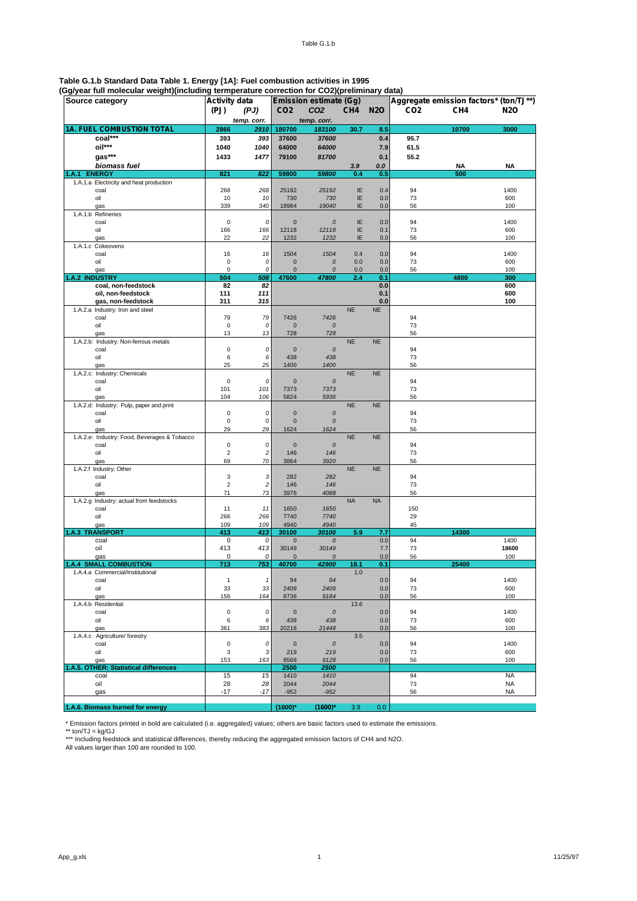# **Table G.1.b Standard Data Table 1. Energy [1A]: Fuel combustion activities in 1995**

| (Gg/year full molecular weight)(including termperature correction for CO2)(preliminary data) |  |  |
|----------------------------------------------------------------------------------------------|--|--|

| Source category                              | <b>Activity data</b> |                 |                         | <b>Emission estimate (Gg)</b> |                 |            | Aggregate emission factors* (ton/TJ**) |                 |              |  |
|----------------------------------------------|----------------------|-----------------|-------------------------|-------------------------------|-----------------|------------|----------------------------------------|-----------------|--------------|--|
|                                              | (PJ)                 | (PJ)            | CO <sub>2</sub>         | CO <sub>2</sub>               | CH <sub>4</sub> | <b>N2O</b> | CO <sub>2</sub>                        | CH <sub>4</sub> | <b>N2O</b>   |  |
|                                              |                      | temp. corr.     |                         | temp. corr.                   |                 |            |                                        |                 |              |  |
| 1A. FUEL COMBUSTION TOTAL                    | 2866                 | 2910            | 180700                  | 183100                        | 30.7            | 8.5        |                                        | 10700           | 3000         |  |
| coal***                                      | 393                  | 393             | 37600                   | 37600                         |                 | 0.4        | 95.7                                   |                 |              |  |
| oil***                                       | 1040                 | 1040            | 64000                   | 64000                         |                 | 7.9        | 61.5                                   |                 |              |  |
| gas***                                       | 1433                 | 1477            | 79100                   | 81700                         |                 | 0.1        | 55.2                                   |                 |              |  |
| biomass fuel                                 |                      |                 |                         |                               | 3.9             | 0.0        |                                        | NA              | NA           |  |
| <b>ENERGY</b><br>.A.1                        | 821                  | 822             | 59800                   | 59800                         | 0.4             | 0.5        |                                        | 500             |              |  |
| 1.A.1.a Electricity and heat production      |                      |                 |                         |                               |                 |            |                                        |                 |              |  |
| coal<br>oil                                  | 268<br>10            | 268<br>10       | 25192<br>730            | 25192<br>730                  | IE<br>IE        | 0.4<br>0.0 | 94<br>73                               |                 | 1400<br>600  |  |
| gas                                          | 339                  | 340             | 18984                   | 19040                         | IE              | 0.0        | 56                                     |                 | 100          |  |
| 1.A.1.b Refineries                           |                      |                 |                         |                               |                 |            |                                        |                 |              |  |
| coal                                         | $\mathbf 0$          | 0               | $\mathbf 0$             | 0                             | IE              | 0.0        | 94                                     |                 | 1400         |  |
| oil                                          | 166                  | 166             | 12118                   | 12118                         | IE              | 0.1        | 73                                     |                 | 600          |  |
| gas                                          | 22                   | 22              | 1232                    | 1232                          | IE              | 0.0        | 56                                     |                 | 100          |  |
| 1.A.1.c Cokeovens                            |                      |                 |                         |                               |                 |            |                                        |                 |              |  |
| coal<br>oil                                  | 16<br>$\mathbf 0$    | 16              | 1504<br>$\mathbf 0$     | 1504<br>0                     | 0.4             | 0.0        | 94                                     |                 | 1400         |  |
| gas                                          | $\pmb{0}$            | 0<br>0          | $\bf{0}$                | 0                             | 0.0<br>0.0      | 0.0<br>0.0 | 73<br>56                               |                 | 600<br>100   |  |
| 1.A.2 INDUSTRY                               | 504                  | 508             | 47600                   | 47800                         | 2.4             | 0.1        |                                        | 4800            | 300          |  |
| coal, non-feedstock                          | 82                   | 82              |                         |                               |                 | 0.0        |                                        |                 | 600          |  |
| oil, non-feedstock                           | 111                  | 111             |                         |                               |                 | 0.1        |                                        |                 | 600          |  |
| gas, non-feedstock                           | 311                  | 315             |                         |                               |                 | 0.0        |                                        |                 | 100          |  |
| 1.A.2.a Industry: Iron and steel             |                      |                 |                         |                               | <b>NE</b>       | <b>NE</b>  |                                        |                 |              |  |
| coal                                         | 79                   | 79              | 7426                    | 7426                          |                 |            | 94                                     |                 |              |  |
| oil                                          | $\pmb{0}$            | 0               | $\bf{0}$                | 0                             |                 |            | 73                                     |                 |              |  |
| gas<br>1.A.2.b: Industry: Non-ferrous metals | 13                   | 13              | 728                     | 728                           | <b>NE</b>       | <b>NE</b>  | 56                                     |                 |              |  |
| coal                                         | $\pmb{0}$            | 0               | $\mathbf 0$             | $\cal O$                      |                 |            | 94                                     |                 |              |  |
| oil                                          | 6                    | 6               | 438                     | 438                           |                 |            | 73                                     |                 |              |  |
| gas                                          | 25                   | 25              | 1400                    | 1400                          |                 |            | 56                                     |                 |              |  |
| 1.A.2.c: Industry: Chemicals                 |                      |                 |                         |                               | <b>NE</b>       | <b>NE</b>  |                                        |                 |              |  |
| coal                                         | $\mathbf 0$          | 0               | $\mathbf 0$             | $\cal O$                      |                 |            | 94                                     |                 |              |  |
| oil                                          | 101                  | 101             | 7373                    | 7373                          |                 |            | 73                                     |                 |              |  |
| gas                                          | 104                  | 106             | 5824                    | 5936                          |                 |            | 56                                     |                 |              |  |
| 1.A.2.d: Industry: Pulp, paper and print     | $\mathbf 0$          |                 |                         |                               | <b>NE</b>       | <b>NE</b>  |                                        |                 |              |  |
| coal<br>oil                                  | $\mathbf 0$          | 0<br>0          | $\mathbf 0$<br>$\bf{0}$ | $\cal O$<br>$\cal O$          |                 |            | 94<br>73                               |                 |              |  |
| gas                                          | 29                   | 29              | 1624                    | 1624                          |                 |            | 56                                     |                 |              |  |
| 1.A.2.e: Industry: Food, Beverages & Tobacco |                      |                 |                         |                               | <b>NE</b>       | <b>NE</b>  |                                        |                 |              |  |
| coal                                         | $\mathbf 0$          | 0               | $\bf{0}$                | $\cal O$                      |                 |            | 94                                     |                 |              |  |
| oil                                          | $\overline{2}$       | $\sqrt{2}$      | 146                     | 146                           |                 |            | 73                                     |                 |              |  |
| gas                                          | 69                   | 70              | 3864                    | 3920                          |                 |            | 56                                     |                 |              |  |
| 1.A.2.f Industry: Other                      |                      |                 |                         |                               | <b>NE</b>       | <b>NE</b>  |                                        |                 |              |  |
| coal<br>oil                                  | 3<br>$\overline{c}$  | 3<br>$\sqrt{2}$ | 282<br>146              | 282<br>146                    |                 |            | 94<br>73                               |                 |              |  |
| gas                                          | 71                   | 73              | 3976                    | 4088                          |                 |            | 56                                     |                 |              |  |
| 1.A.2.g Industry: actual from feedstocks     |                      |                 |                         |                               | <b>NA</b>       | <b>NA</b>  |                                        |                 |              |  |
| coal                                         | 11                   | 11              | 1650                    | 1650                          |                 |            | 150                                    |                 |              |  |
| oil                                          | 266                  | 266             | 7740                    | 7740                          |                 |            | 29                                     |                 |              |  |
| gas                                          | 109                  | 109             | 4940                    | 4940                          |                 |            | 45                                     |                 |              |  |
| <b>1.A.3 TRANSPORT</b>                       | 413                  | 413             | 30100                   | 30100                         | 5.9             | 7.7        |                                        | 14300           |              |  |
| coal                                         | 0                    | 0               | 0                       | 0                             |                 | 0.0        | 94                                     |                 | 1400         |  |
| oil<br>gas                                   | 413<br>0             | 413<br>0        | 30149<br>$\overline{0}$ | 30149<br>0                    |                 | 7.7<br>0.0 | 73<br>56                               |                 | 18600<br>100 |  |
| .A.4 SMALL COMBUSTION                        | 713                  | 753             | 40700                   | 42900                         | 18.1            | 0.1        |                                        | 25400           |              |  |
| 1.A.4.a Commercial/Institutional             |                      |                 |                         |                               | 1.0             |            |                                        |                 |              |  |
| coal                                         | $\mathbf{1}$         | $\mathbf{1}$    | 94                      | 94                            |                 | 0.0        | 94                                     |                 | 1400         |  |
| oil                                          | 33                   | 33              | 2409                    | 2409                          |                 | 0.0        | 73                                     |                 | 600          |  |
| gas                                          | 156                  | 164             | 8736                    | 9184                          |                 | 0.0        | 56                                     |                 | 100          |  |
| 1.A.4.b Residential                          |                      |                 |                         |                               | 13.6            |            |                                        |                 |              |  |
| coal                                         | $\mathbf 0$          | 0               | $\bf{0}$                | ${\cal O}$                    |                 | 0.0        | 94                                     |                 | 1400         |  |
| oil<br>gas                                   | 6<br>361             | 6<br>383        | 438<br>20216            | 438<br>21448                  |                 | 0.0<br>0.0 | 73<br>56                               |                 | 600<br>100   |  |
| 1.A.4.c Agriculture/ forestry                |                      |                 |                         |                               | 3.5             |            |                                        |                 |              |  |
| coal                                         | $\pmb{0}$            | 0               | $\pmb{0}$               | ${\cal O}$                    |                 | 0.0        | 94                                     |                 | 1400         |  |
| oil                                          | 3                    | $\sqrt{3}$      | 219                     | 219                           |                 | 0.0        | 73                                     |                 | 600          |  |
| gas                                          | 153                  | 163             | 8568                    | 9128                          |                 | 0.0        | 56                                     |                 | 100          |  |
| 1.A.5. OTHER: Statistical differences        |                      |                 | 2500                    | 2500                          |                 |            |                                        |                 |              |  |
| coal                                         | 15                   | 15              | 1410                    | 1410                          |                 |            | 94                                     |                 | <b>NA</b>    |  |
| oil                                          | 28                   | 28              | 2044                    | 2044                          |                 |            | 73                                     |                 | <b>NA</b>    |  |
| gas                                          | $-17$                | $-17$           | $-952$                  | $-952$                        |                 |            | 56                                     |                 | <b>NA</b>    |  |
| 1.A.6. Biomass burned for energy             |                      |                 | $(1600)^*$              | $(1600)^*$                    | 3.9             | 0.0        |                                        |                 |              |  |
|                                              |                      |                 |                         |                               |                 |            |                                        |                 |              |  |

\* Emission factors printed in bold are calculated (i.e. aggregated) values; others are basic factors used to estimate the emissions.<br>\*\*\* Incl/ding feedstock and statistical differences, thereby reducing the aggregated emis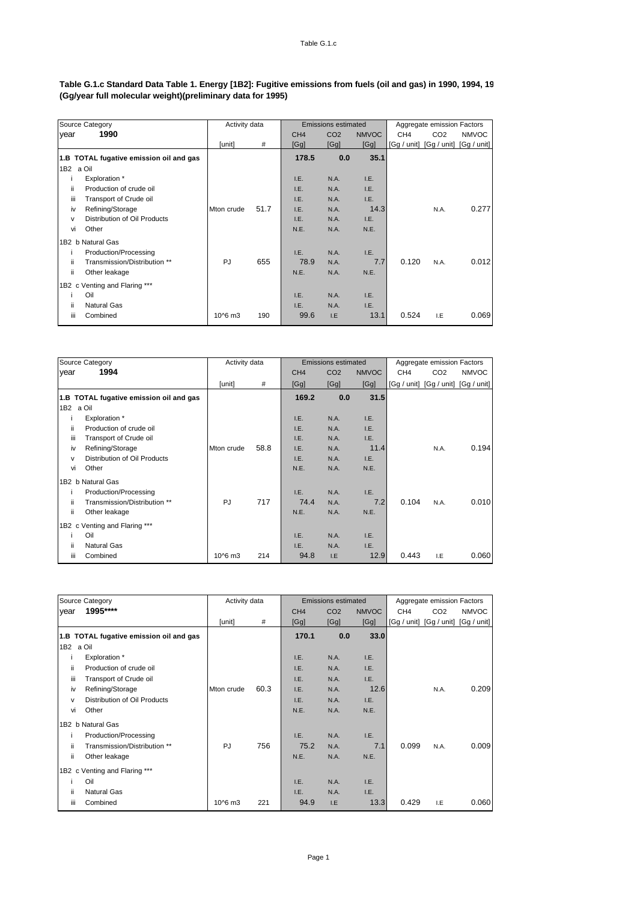#### Table G.1.c Standard Data Table 1. Energy [1B2]: Fugitive emissions from fuels (oil and gas) in 1990, 1994, 19 **(Gg/year full molecular weight)(preliminary data for 1995)**

|           | Source Category                         | Activity data      |      |                 | <b>Emissions estimated</b> |              | Aggregate emission Factors |                 |                                     |
|-----------|-----------------------------------------|--------------------|------|-----------------|----------------------------|--------------|----------------------------|-----------------|-------------------------------------|
| year      | 1990                                    |                    |      | CH <sub>4</sub> | CO <sub>2</sub>            | <b>NMVOC</b> | CH <sub>4</sub>            | CO <sub>2</sub> | <b>NMVOC</b>                        |
|           |                                         | [unit]             | #    | [Gg]            | [Gg]                       | [Gg]         |                            |                 | [Gg / unit] [Gg / unit] [Gg / unit] |
|           | 1.B TOTAL fugative emission oil and gas |                    |      | 178.5           | 0.0                        | 35.1         |                            |                 |                                     |
| 1B2 a Oil |                                         |                    |      |                 |                            |              |                            |                 |                                     |
|           | Exploration *                           |                    |      | I.E.            | N.A.                       | I.E.         |                            |                 |                                     |
| ii        | Production of crude oil                 |                    |      | I.E.            | N.A.                       | I.E.         |                            |                 |                                     |
| iii       | Transport of Crude oil                  |                    |      | I.E.            | N.A.                       | I.E.         |                            |                 |                                     |
| iv        | Refining/Storage                        | Mton crude         | 51.7 | I.E.            | N.A.                       | 14.3         |                            | N.A.            | 0.277                               |
| v         | Distribution of Oil Products            |                    |      | I.E.            | N.A.                       | I.E.         |                            |                 |                                     |
| vi        | Other                                   |                    |      | N.E.            | N.A.                       | N.E.         |                            |                 |                                     |
|           | 1B2 b Natural Gas                       |                    |      |                 |                            |              |                            |                 |                                     |
|           | Production/Processing                   |                    |      | I.E.            | N.A.                       | I.E.         |                            |                 |                                     |
| ii.       | Transmission/Distribution **            | <b>PJ</b>          | 655  | 78.9            | N.A.                       | 7.7          | 0.120                      | N.A.            | 0.012                               |
| ii.       | Other leakage                           |                    |      | N.E.            | N.A.                       | N.E.         |                            |                 |                                     |
|           | 1B2 c Venting and Flaring ***           |                    |      |                 |                            |              |                            |                 |                                     |
|           | Oil                                     |                    |      | I.E.            | N.A.                       | I.E.         |                            |                 |                                     |
| ii        | <b>Natural Gas</b>                      |                    |      | I.E.            | N.A.                       | I.E.         |                            |                 |                                     |
| iii       | Combined                                | 10 <sup>6</sup> m3 | 190  | 99.6            | I.E                        | 13.1         | 0.524                      | I.E             | 0.069                               |

| Source Category                         | Activity data      |      |                 | <b>Emissions estimated</b> |              |                 | Aggregate emission Factors |                                     |  |
|-----------------------------------------|--------------------|------|-----------------|----------------------------|--------------|-----------------|----------------------------|-------------------------------------|--|
| 1994<br>year                            |                    |      | CH <sub>4</sub> | CO <sub>2</sub>            | <b>NMVOC</b> | CH <sub>4</sub> | CO <sub>2</sub>            | <b>NMVOC</b>                        |  |
|                                         | [unit]             | #    | [Gg]            | [Gg]                       | [Gg]         |                 |                            | [Gg / unit] [Gg / unit] [Gg / unit] |  |
| 1.B TOTAL fugative emission oil and gas |                    |      | 169.2           | 0.0                        | 31.5         |                 |                            |                                     |  |
| a Oil<br>1B2                            |                    |      |                 |                            |              |                 |                            |                                     |  |
| Exploration *                           |                    |      | I.E.            | N.A.                       | I.E.         |                 |                            |                                     |  |
| Production of crude oil<br>ii.          |                    |      | I.E.            | N.A.                       | I.E.         |                 |                            |                                     |  |
| iii<br>Transport of Crude oil           |                    |      | I.E.            | N.A.                       | I.E.         |                 |                            |                                     |  |
| Refining/Storage<br>iv                  | Mton crude         | 58.8 | I.E.            | N.A.                       | 11.4         |                 | N.A.                       | 0.194                               |  |
| Distribution of Oil Products<br>v       |                    |      | I.E.            | N.A.                       | I.E.         |                 |                            |                                     |  |
| Other<br>vi                             |                    |      | N.E.            | N.A.                       | N.E.         |                 |                            |                                     |  |
| 1B2 b Natural Gas                       |                    |      |                 |                            |              |                 |                            |                                     |  |
| Production/Processing                   |                    |      | I.E.            | N.A.                       | I.E.         |                 |                            |                                     |  |
| ii<br>Transmission/Distribution **      | <b>PJ</b>          | 717  | 74.4            | N.A.                       | 7.2          | 0.104           | N.A.                       | 0.010                               |  |
| ii<br>Other leakage                     |                    |      | N.E.            | N.A.                       | N.E.         |                 |                            |                                     |  |
| 1B2 c Venting and Flaring ***           |                    |      |                 |                            |              |                 |                            |                                     |  |
| Oil                                     |                    |      | I.E.            | N.A.                       | I.E.         |                 |                            |                                     |  |
| ii<br><b>Natural Gas</b>                |                    |      | I.E.            | N.A.                       | I.E.         |                 |                            |                                     |  |
| iii<br>Combined                         | 10 <sup>6</sup> m3 | 214  | 94.8            | I.E                        | 12.9         | 0.443           | I.E                        | 0.060                               |  |

|           | Source Category                         | Activity data      |      |                 | <b>Emissions estimated</b> |              | Aggregate emission Factors |                 |                                     |  |
|-----------|-----------------------------------------|--------------------|------|-----------------|----------------------------|--------------|----------------------------|-----------------|-------------------------------------|--|
| year      | 1995****                                |                    |      | CH <sub>4</sub> | CO <sub>2</sub>            | <b>NMVOC</b> | CH <sub>4</sub>            | CO <sub>2</sub> | <b>NMVOC</b>                        |  |
|           |                                         | [unit]             | #    | [Gg]            | [Gg]                       | [Gg]         |                            |                 | [Gg / unit] [Gg / unit] [Gg / unit] |  |
|           | 1.B TOTAL fugative emission oil and gas |                    |      | 170.1           | 0.0                        | 33.0         |                            |                 |                                     |  |
| 1B2 a Oil |                                         |                    |      |                 |                            |              |                            |                 |                                     |  |
|           | Exploration *                           |                    |      | I.E.            | N.A.                       | I.E.         |                            |                 |                                     |  |
| ii.       | Production of crude oil                 |                    |      | I.E.            | N.A.                       | I.E.         |                            |                 |                                     |  |
| iii       | Transport of Crude oil                  |                    |      | I.E.            | N.A.                       | I.E.         |                            |                 |                                     |  |
| iv        | Refining/Storage                        | Mton crude         | 60.3 | I.E.            | N.A.                       | 12.6         |                            | N.A.            | 0.209                               |  |
| v         | Distribution of Oil Products            |                    |      | I.E.            | N.A.                       | I.E.         |                            |                 |                                     |  |
| vi        | Other                                   |                    |      | N.E.            | N.A.                       | N.E.         |                            |                 |                                     |  |
|           | 1B2 b Natural Gas                       |                    |      |                 |                            |              |                            |                 |                                     |  |
| ı         | Production/Processing                   |                    |      | I.E.            | N.A.                       | I.E.         |                            |                 |                                     |  |
| ii.       | Transmission/Distribution **            | <b>PJ</b>          | 756  | 75.2            | N.A.                       | 7.1          | 0.099                      | N.A.            | 0.009                               |  |
| ii        | Other leakage                           |                    |      | N.E.            | N.A.                       | N.E.         |                            |                 |                                     |  |
|           | 1B2 c Venting and Flaring ***           |                    |      |                 |                            |              |                            |                 |                                     |  |
|           | Oil                                     |                    |      | I.E.            | N.A.                       | I.E.         |                            |                 |                                     |  |
| ii        | <b>Natural Gas</b>                      |                    |      | I.E.            | N.A.                       | I.E.         |                            |                 |                                     |  |
| iii       | Combined                                | 10 <sup>6</sup> m3 | 221  | 94.9            | I.E                        | 13.3         | 0.429                      | I.E             | 0.060                               |  |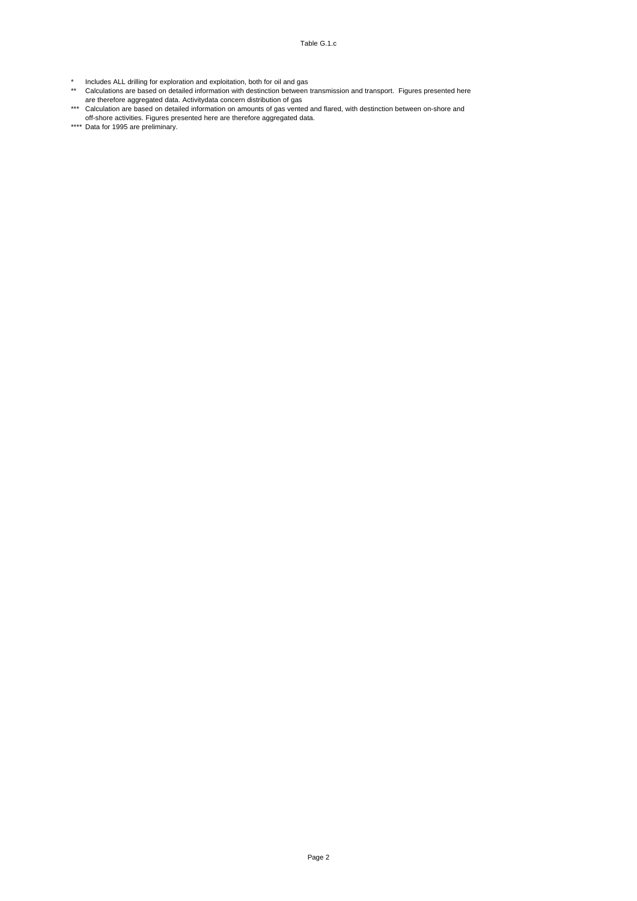- \* Includes ALL drilling for exploration and exploitation, both for oil and gas
- \*\* Calculations are based on detailed information with destinction between transmission and transport. Figures presented here are therefore aggregated data. Activitydata concern distribution of gas
- \*\*\* Calculation are based on detailed information on amounts of gas vented and flared, with destinction between on-shore and off-shore activities. Figures presented here are therefore aggregated data.
- \*\*\*\* Data for 1995 are preliminary.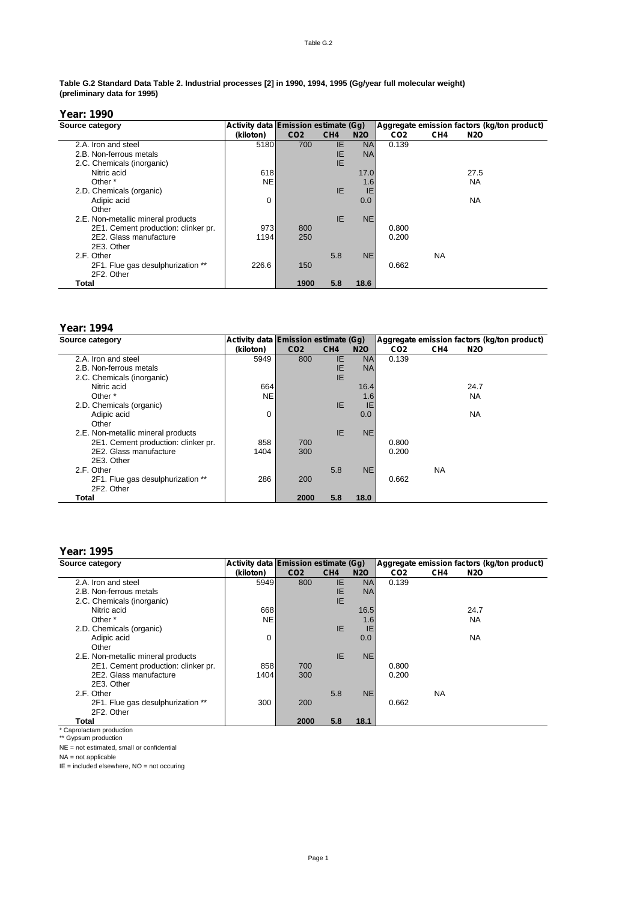#### Table G.2

#### **Table G.2 Standard Data Table 2. Industrial processes [2] in 1990, 1994, 1995 (Gg/year full molecular weight) (preliminary data for 1995)**

# **Year: 1990**

| Source category                     | Activity data Emission estimate (Gg) |                 |                 |            |                 |                 | Aggregate emission factors (kg/ton product) |
|-------------------------------------|--------------------------------------|-----------------|-----------------|------------|-----------------|-----------------|---------------------------------------------|
|                                     | (kiloton)                            | CO <sub>2</sub> | CH <sub>4</sub> | <b>N2O</b> | CO <sub>2</sub> | CH <sub>4</sub> | N2O                                         |
| 2.A. Iron and steel                 | 5180                                 | 700             | IE              | <b>NA</b>  | 0.139           |                 |                                             |
| 2.B. Non-ferrous metals             |                                      |                 | IE              | <b>NA</b>  |                 |                 |                                             |
| 2.C. Chemicals (inorganic)          |                                      |                 | IE.             |            |                 |                 |                                             |
| Nitric acid                         | 618                                  |                 |                 | 17.0       |                 |                 | 27.5                                        |
| Other *                             | NE.                                  |                 |                 | 1.6        |                 |                 | <b>NA</b>                                   |
| 2.D. Chemicals (organic)            |                                      |                 | IE.             | IE         |                 |                 |                                             |
| Adipic acid                         | 0                                    |                 |                 | 0.0        |                 |                 | <b>NA</b>                                   |
| Other                               |                                      |                 |                 |            |                 |                 |                                             |
| 2.E. Non-metallic mineral products  |                                      |                 | IE.             | <b>NE</b>  |                 |                 |                                             |
| 2E1. Cement production: clinker pr. | 973                                  | 800             |                 |            | 0.800           |                 |                                             |
| 2E2. Glass manufacture              | 1194                                 | 250             |                 |            | 0.200           |                 |                                             |
| 2E3. Other                          |                                      |                 |                 |            |                 |                 |                                             |
| 2.F. Other                          |                                      |                 | 5.8             | <b>NE</b>  |                 | NA.             |                                             |
| 2F1. Flue gas desulphurization **   | 226.6                                | 150             |                 |            | 0.662           |                 |                                             |
| 2F2. Other                          |                                      |                 |                 |            |                 |                 |                                             |
| Total                               |                                      | 1900            | 5.8             | 18.6       |                 |                 |                                             |

# **Year: 1994**

| Source category                     | Activity data Emission estimate (Gg) |                 |                 |            |                 |                 | Aggregate emission factors (kg/ton product) |
|-------------------------------------|--------------------------------------|-----------------|-----------------|------------|-----------------|-----------------|---------------------------------------------|
|                                     | (kiloton)                            | CO <sub>2</sub> | CH <sub>4</sub> | <b>N2O</b> | CO <sub>2</sub> | CH <sub>4</sub> | N2O                                         |
| 2.A. Iron and steel                 | 5949                                 | 800             | IE.             | <b>NA</b>  | 0.139           |                 |                                             |
| 2.B. Non-ferrous metals             |                                      |                 | IE.             | <b>NA</b>  |                 |                 |                                             |
| 2.C. Chemicals (inorganic)          |                                      |                 | IE.             |            |                 |                 |                                             |
| Nitric acid                         | 664                                  |                 |                 | 16.4       |                 |                 | 24.7                                        |
| Other *                             | <b>NE</b>                            |                 |                 | 1.6        |                 |                 | <b>NA</b>                                   |
| 2.D. Chemicals (organic)            |                                      |                 | IE.             | IE         |                 |                 |                                             |
| Adipic acid                         | 0                                    |                 |                 | 0.0        |                 |                 | <b>NA</b>                                   |
| Other                               |                                      |                 |                 |            |                 |                 |                                             |
| 2.E. Non-metallic mineral products  |                                      |                 | IE.             | <b>NE</b>  |                 |                 |                                             |
| 2E1. Cement production: clinker pr. | 858                                  | 700             |                 |            | 0.800           |                 |                                             |
| 2E2. Glass manufacture              | 1404                                 | 300             |                 |            | 0.200           |                 |                                             |
| 2E3. Other                          |                                      |                 |                 |            |                 |                 |                                             |
| 2.F. Other                          |                                      |                 | 5.8             | <b>NE</b>  |                 | <b>NA</b>       |                                             |
| 2F1. Flue gas desulphurization **   | 286                                  | 200             |                 |            | 0.662           |                 |                                             |
| 2F2. Other                          |                                      |                 |                 |            |                 |                 |                                             |
| Total                               |                                      | 2000            | 5.8             | 18.0       |                 |                 |                                             |

# **Year: 1995**

| Source category                     | Activity data Emission estimate (Gg) |                 |                 |            |                 |                 | Aggregate emission factors (kg/ton product) |
|-------------------------------------|--------------------------------------|-----------------|-----------------|------------|-----------------|-----------------|---------------------------------------------|
|                                     | (kiloton)                            | CO <sub>2</sub> | CH <sub>4</sub> | <b>N2O</b> | CO <sub>2</sub> | CH <sub>4</sub> | N2O                                         |
| 2.A. Iron and steel                 | 5949                                 | 800             | IE.             | <b>NA</b>  | 0.139           |                 |                                             |
| 2.B. Non-ferrous metals             |                                      |                 | IE              | <b>NA</b>  |                 |                 |                                             |
| 2.C. Chemicals (inorganic)          |                                      |                 | IE.             |            |                 |                 |                                             |
| Nitric acid                         | 668                                  |                 |                 | 16.5       |                 |                 | 24.7                                        |
| Other *                             | NE.                                  |                 |                 | 1.6        |                 |                 | <b>NA</b>                                   |
| 2.D. Chemicals (organic)            |                                      |                 | IE.             | IE         |                 |                 |                                             |
| Adipic acid                         | 0                                    |                 |                 | 0.0        |                 |                 | <b>NA</b>                                   |
| Other                               |                                      |                 |                 |            |                 |                 |                                             |
| 2.E. Non-metallic mineral products  |                                      |                 | <b>IE</b>       | <b>NE</b>  |                 |                 |                                             |
| 2E1. Cement production: clinker pr. | 858                                  | 700             |                 |            | 0.800           |                 |                                             |
| 2E2. Glass manufacture              | 1404                                 | 300             |                 |            | 0.200           |                 |                                             |
| 2E3. Other                          |                                      |                 |                 |            |                 |                 |                                             |
| 2.F. Other                          |                                      |                 | 5.8             | <b>NE</b>  |                 | <b>NA</b>       |                                             |
| 2F1. Flue gas desulphurization **   | 300                                  | 200             |                 |            | 0.662           |                 |                                             |
| 2F2. Other                          |                                      |                 |                 |            |                 |                 |                                             |
| Total                               |                                      | 2000            | 5.8             | 18.1       |                 |                 |                                             |

\* Caprolactam production \*\* Gypsum production

NE = not estimated, small or confidential

NA = not applicable

IE = included elsewhere, NO = not occuring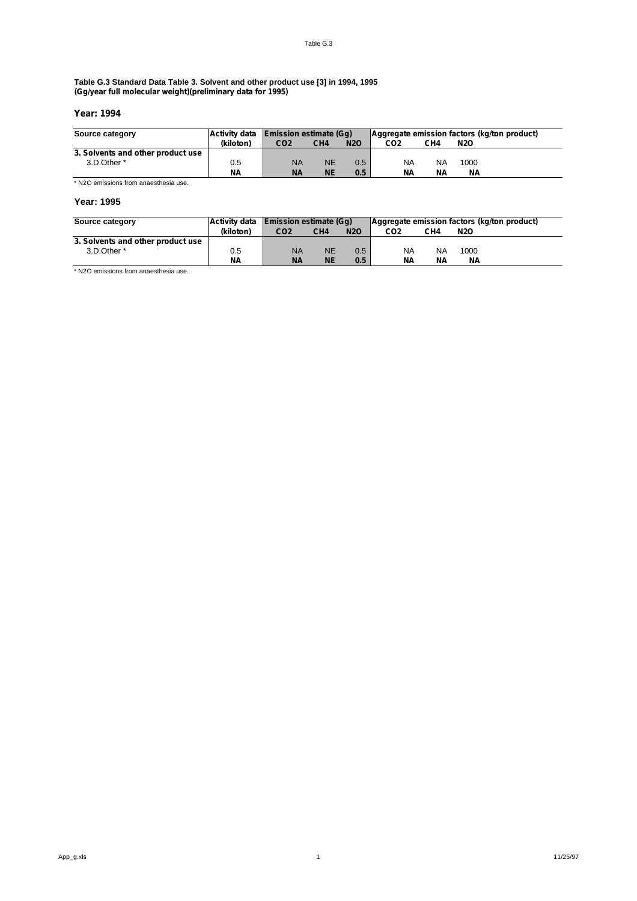#### **Table G.3 Standard Data Table 3. Solvent and other product use [3] in 1994, 1995 (Gg/year full molecular weight)(preliminary data for 1995)**

# **Year: 1994**

| Source category                   | <b>Activity data</b> | <b>Emission estimate (Gg)</b> |                 |            | Aggregate emission factors (kg/ton product) |           |            |  |
|-----------------------------------|----------------------|-------------------------------|-----------------|------------|---------------------------------------------|-----------|------------|--|
|                                   | (kiloton)            | CO <sub>2</sub>               | CH <sub>4</sub> | <b>N2O</b> | CO <sub>2</sub>                             | CH4       | <b>N2O</b> |  |
| 3. Solvents and other product use |                      |                               |                 |            |                                             |           |            |  |
| 3.D.Other *                       | 0.5                  | <b>NA</b>                     | NE              | 0.5        | NA                                          | <b>NA</b> | 1000       |  |
|                                   | <b>NA</b>            | <b>NA</b>                     | ΝE              | 0.5        | NΑ                                          | NΑ        | <b>NA</b>  |  |

\* N2O emissions from anaesthesia use.

## **Year: 1995**

| Source category                   | <b>Activity data</b> | <b>Emission estimate (Gg)</b> |                 |               | Aggregate emission factors (kg/ton product) |     |            |  |
|-----------------------------------|----------------------|-------------------------------|-----------------|---------------|---------------------------------------------|-----|------------|--|
|                                   | (kiloton)            | CO <sub>2</sub>               | CH <sub>4</sub> | <b>N2O</b>    | CO2                                         | CH4 | <b>N2O</b> |  |
| 3. Solvents and other product use |                      |                               |                 |               |                                             |     |            |  |
| 3.D.Other *                       | 0.5                  | <b>NA</b>                     | <b>NE</b>       | $0.5^{\circ}$ | NA                                          | NA  | 1000       |  |
|                                   | <b>NA</b>            | <b>NA</b>                     | <b>NE</b>       | 0.5           | NΑ                                          | NΑ  | NΑ         |  |

\* N2O emissions from anaesthesia use.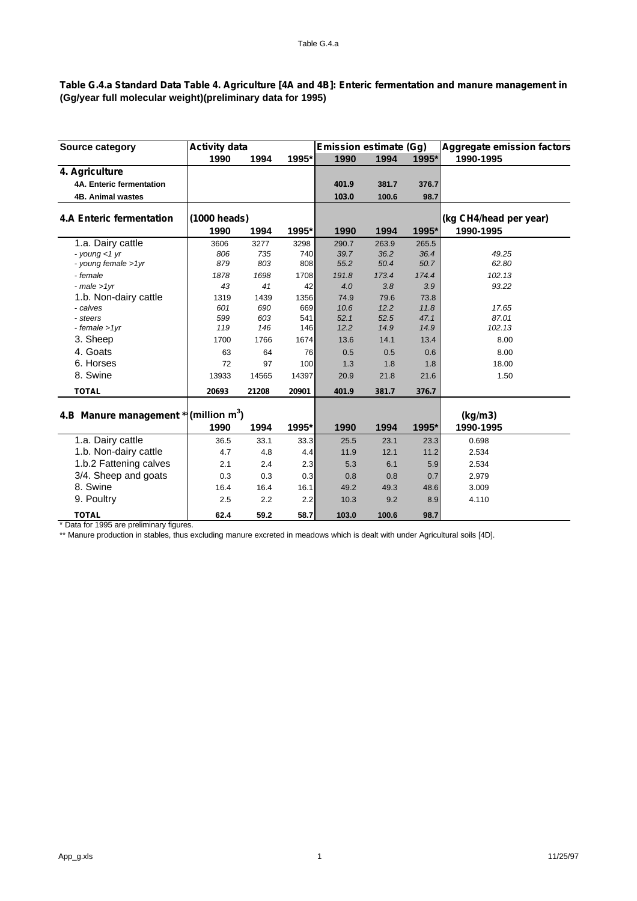# Table G.4.a Standard Data Table 4. Agriculture [4A and 4B]: Enteric fermentation and manure management in **(Gg/year full molecular weight)(preliminary data for 1995)**

| Source category                                   | <b>Activity data</b> |       |       | <b>Emission estimate (Gg)</b> |       |       | <b>Aggregate emission factors</b> |
|---------------------------------------------------|----------------------|-------|-------|-------------------------------|-------|-------|-----------------------------------|
|                                                   | 1990                 | 1994  | 1995* | 1990                          | 1994  | 1995* | 1990-1995                         |
| 4. Agriculture                                    |                      |       |       |                               |       |       |                                   |
| 4A. Enteric fermentation                          |                      |       |       | 401.9                         | 381.7 | 376.7 |                                   |
| <b>4B. Animal wastes</b>                          |                      |       |       | 103.0                         | 100.6 | 98.7  |                                   |
| <b>4.A Enteric fermentation</b>                   | (1000 heads)         |       |       |                               |       |       | (kg CH4/head per year)            |
|                                                   | 1990                 | 1994  | 1995* | 1990                          | 1994  | 1995* | 1990-1995                         |
| 1.a. Dairy cattle                                 | 3606                 | 3277  | 3298  | 290.7                         | 263.9 | 265.5 |                                   |
| - young $<$ 1 yr                                  | 806                  | 735   | 740   | 39.7                          | 36.2  | 36.4  | 49.25                             |
| - young female >1yr                               | 879                  | 803   | 808   | 55.2                          | 50.4  | 50.7  | 62.80                             |
| - female                                          | 1878                 | 1698  | 1708  | 191.8                         | 173.4 | 174.4 | 102.13                            |
| $-male > 1vr$                                     | 43                   | 41    | 42    | 4.0                           | 3.8   | 3.9   | 93.22                             |
| 1.b. Non-dairy cattle                             | 1319                 | 1439  | 1356  | 74.9                          | 79.6  | 73.8  |                                   |
| - calves                                          | 601                  | 690   | 669   | 10.6                          | 12.2  | 11.8  | 17.65                             |
| - steers                                          | 599                  | 603   | 541   | 52.1                          | 52.5  | 47.1  | 87.01                             |
| $-$ female $>1$ yr                                | 119                  | 146   | 146   | 12.2                          | 14.9  | 14.9  | 102.13                            |
| 3. Sheep                                          | 1700                 | 1766  | 1674  | 13.6                          | 14.1  | 13.4  | 8.00                              |
| 4. Goats                                          | 63                   | 64    | 76    | 0.5                           | 0.5   | 0.6   | 8.00                              |
| 6. Horses                                         | 72                   | 97    | 100   | 1.3                           | 1.8   | 1.8   | 18.00                             |
| 8. Swine                                          | 13933                | 14565 | 14397 | 20.9                          | 21.8  | 21.6  | 1.50                              |
| <b>TOTAL</b>                                      | 20693                | 21208 | 20901 | 401.9                         | 381.7 | 376.7 |                                   |
|                                                   |                      |       |       |                               |       |       |                                   |
| 4.B Manure management * (million m <sup>3</sup> ) |                      |       |       |                               |       |       | (kg/m3)                           |
|                                                   | 1990                 | 1994  | 1995* | 1990                          | 1994  | 1995* | 1990-1995                         |
| 1.a. Dairy cattle                                 | 36.5                 | 33.1  | 33.3  | 25.5                          | 23.1  | 23.3  | 0.698                             |
| 1.b. Non-dairy cattle                             | 4.7                  | 4.8   | 4.4   | 11.9                          | 12.1  | 11.2  | 2.534                             |
| 1.b.2 Fattening calves                            | 2.1                  | 2.4   | 2.3   | 5.3                           | 6.1   | 5.9   | 2.534                             |
| 3/4. Sheep and goats                              | 0.3                  | 0.3   | 0.3   | 0.8                           | 0.8   | 0.7   | 2.979                             |
| 8. Swine                                          | 16.4                 | 16.4  | 16.1  | 49.2                          | 49.3  | 48.6  | 3.009                             |
| 9. Poultry                                        | 2.5                  | 2.2   | 2.2   | 10.3                          | 9.2   | 8.9   | 4.110                             |
| <b>TOTAL</b>                                      | 62.4                 | 59.2  | 58.7  | 103.0                         | 100.6 | 98.7  |                                   |

\* Data for 1995 are preliminary figures.

\*\* Manure production in stables, thus excluding manure excreted in meadows which is dealt with under Agricultural soils [4D].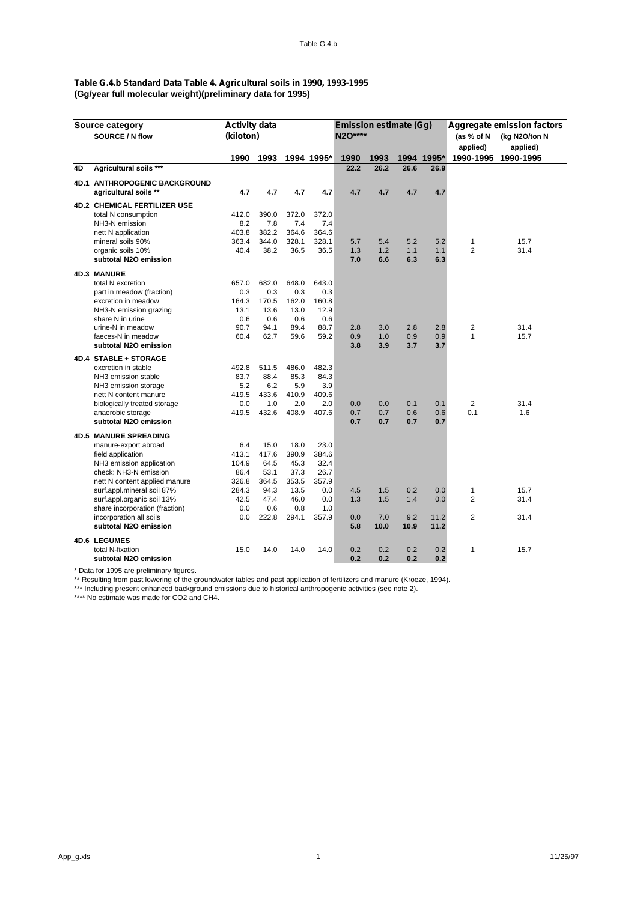# **Table G.4.b Standard Data Table 4. Agricultural soils in 1990, 1993-1995 (Gg/year full molecular weight)(preliminary data for 1995)**

|    | Source category                                        | <b>Activity data</b> |       |       |            | Emission estimate (Gq) |            |            |            |                     | Aggregate emission factors |
|----|--------------------------------------------------------|----------------------|-------|-------|------------|------------------------|------------|------------|------------|---------------------|----------------------------|
|    | SOURCE / N flow                                        | (kiloton)            |       |       |            | <b>N2O****</b>         |            |            |            | (as % of N          | (kg N2O/ton N              |
|    |                                                        |                      |       |       |            |                        |            |            |            | applied)            | applied)                   |
|    |                                                        | 1990                 | 1993  |       | 1994 1995* | 1990                   | 1993       |            | 1994 1995* | 1990-1995           | 1990-1995                  |
| 4D | Agricultural soils ***                                 |                      |       |       |            | 22.2                   | 26.2       | 26.6       | 26.9       |                     |                            |
|    |                                                        |                      |       |       |            |                        |            |            |            |                     |                            |
|    | 4D.1 ANTHROPOGENIC BACKGROUND<br>agricultural soils ** | 4.7                  | 4.7   | 4.7   | 4.7        | 4.7                    | 4.7        | 4.7        | 4.7        |                     |                            |
|    |                                                        |                      |       |       |            |                        |            |            |            |                     |                            |
|    | <b>4D.2 CHEMICAL FERTILIZER USE</b>                    |                      |       |       |            |                        |            |            |            |                     |                            |
|    | total N consumption                                    | 412.0                | 390.0 | 372.0 | 372.0      |                        |            |            |            |                     |                            |
|    | NH3-N emission                                         | 8.2                  | 7.8   | 7.4   | 7.4        |                        |            |            |            |                     |                            |
|    | nett N application                                     | 403.8                | 382.2 | 364.6 | 364.6      |                        |            |            |            |                     |                            |
|    | mineral soils 90%                                      | 363.4                | 344.0 | 328.1 | 328.1      | 5.7                    | 5.4        | 5.2        | 5.2        | 1<br>$\overline{2}$ | 15.7                       |
|    | organic soils 10%<br>subtotal N2O emission             | 40.4                 | 38.2  | 36.5  | 36.5       | 1.3<br>7.0             | 1.2<br>6.6 | 1.1<br>6.3 | 1.1<br>6.3 |                     | 31.4                       |
|    |                                                        |                      |       |       |            |                        |            |            |            |                     |                            |
|    | <b>4D.3 MANURE</b>                                     |                      |       |       |            |                        |            |            |            |                     |                            |
|    | total N excretion                                      | 657.0                | 682.0 | 648.0 | 643.0      |                        |            |            |            |                     |                            |
|    | part in meadow (fraction)                              | 0.3                  | 0.3   | 0.3   | 0.3        |                        |            |            |            |                     |                            |
|    | excretion in meadow                                    | 164.3                | 170.5 | 162.0 | 160.8      |                        |            |            |            |                     |                            |
|    | NH3-N emission grazing                                 | 13.1                 | 13.6  | 13.0  | 12.9       |                        |            |            |            |                     |                            |
|    | share N in urine                                       | 0.6                  | 0.6   | 0.6   | 0.6        |                        |            |            |            |                     |                            |
|    | urine-N in meadow                                      | 90.7                 | 94.1  | 89.4  | 88.7       | 2.8                    | 3.0        | 2.8        | 2.8        | $\overline{c}$      | 31.4                       |
|    | faeces-N in meadow                                     | 60.4                 | 62.7  | 59.6  | 59.2       | 0.9                    | 1.0        | 0.9        | 0.9        | 1                   | 15.7                       |
|    | subtotal N2O emission                                  |                      |       |       |            | 3.8                    | 3.9        | 3.7        | 3.7        |                     |                            |
|    | 4D.4 STABLE + STORAGE                                  |                      |       |       |            |                        |            |            |            |                     |                            |
|    | excretion in stable                                    | 492.8                | 511.5 | 486.0 | 482.3      |                        |            |            |            |                     |                            |
|    | NH <sub>3</sub> emission stable                        | 83.7                 | 88.4  | 85.3  | 84.3       |                        |            |            |            |                     |                            |
|    | NH <sub>3</sub> emission storage                       | 5.2                  | 6.2   | 5.9   | 3.9        |                        |            |            |            |                     |                            |
|    | nett N content manure                                  | 419.5                | 433.6 | 410.9 | 409.6      |                        |            |            |            |                     |                            |
|    | biologically treated storage                           | 0.0                  | 1.0   | 2.0   | 2.0        | 0.0                    | 0.0        | 0.1        | 0.1        | $\overline{2}$      | 31.4                       |
|    | anaerobic storage                                      | 419.5                | 432.6 | 408.9 | 407.6      | 0.7                    | 0.7        | 0.6        | 0.6        | 0.1                 | 1.6                        |
|    | subtotal N2O emission                                  |                      |       |       |            | 0.7                    | 0.7        | 0.7        | 0.7        |                     |                            |
|    | <b>4D.5 MANURE SPREADING</b>                           |                      |       |       |            |                        |            |            |            |                     |                            |
|    | manure-export abroad                                   | 6.4                  | 15.0  | 18.0  | 23.0       |                        |            |            |            |                     |                            |
|    | field application                                      | 413.1                | 417.6 | 390.9 | 384.6      |                        |            |            |            |                     |                            |
|    | NH3 emission application                               | 104.9                | 64.5  | 45.3  | 32.4       |                        |            |            |            |                     |                            |
|    | check: NH3-N emission                                  | 86.4                 | 53.1  | 37.3  | 26.7       |                        |            |            |            |                     |                            |
|    | nett N content applied manure                          | 326.8                | 364.5 | 353.5 | 357.9      |                        |            |            |            |                     |                            |
|    | surf.appl.mineral soil 87%                             | 284.3                | 94.3  | 13.5  | 0.0        | 4.5                    | 1.5        | 0.2        | 0.0        | $\mathbf{1}$        | 15.7                       |
|    | surf.appl.organic soil 13%                             | 42.5                 | 47.4  | 46.0  | 0.0        | 1.3                    | 1.5        | 1.4        | 0.0        | $\overline{c}$      | 31.4                       |
|    | share incorporation (fraction)                         | 0.0                  | 0.6   | 0.8   | 1.0        |                        |            |            |            |                     |                            |
|    | incorporation all soils                                | 0.0                  | 222.8 | 294.1 | 357.9      | 0.0                    | 7.0        | 9.2        | 11.2       | $\overline{2}$      | 31.4                       |
|    | subtotal N2O emission                                  |                      |       |       |            | 5.8                    | 10.0       | 10.9       | 11.2       |                     |                            |
|    | <b>4D.6 LEGUMES</b>                                    |                      |       |       |            |                        |            |            |            |                     |                            |
|    | total N-fixation                                       | 15.0                 | 14.0  | 14.0  | 14.0       | 0.2                    | 0.2        | 0.2        | 0.2        | 1                   | 15.7                       |
|    | subtotal N2O emission                                  |                      |       |       |            | 0.2                    | 0.2        | 0.2        | 0.2        |                     |                            |
|    |                                                        |                      |       |       |            |                        |            |            |            |                     |                            |

\* Data for 1995 are preliminary figures.

\*\* Resulting from past lowering of the groundwater tables and past application of fertilizers and manure (Kroeze, 1994).

\*\*\* Including present enhanced background emissions due to historical anthropogenic activities (see note 2).

\*\*\*\* No estimate was made for CO2 and CH4.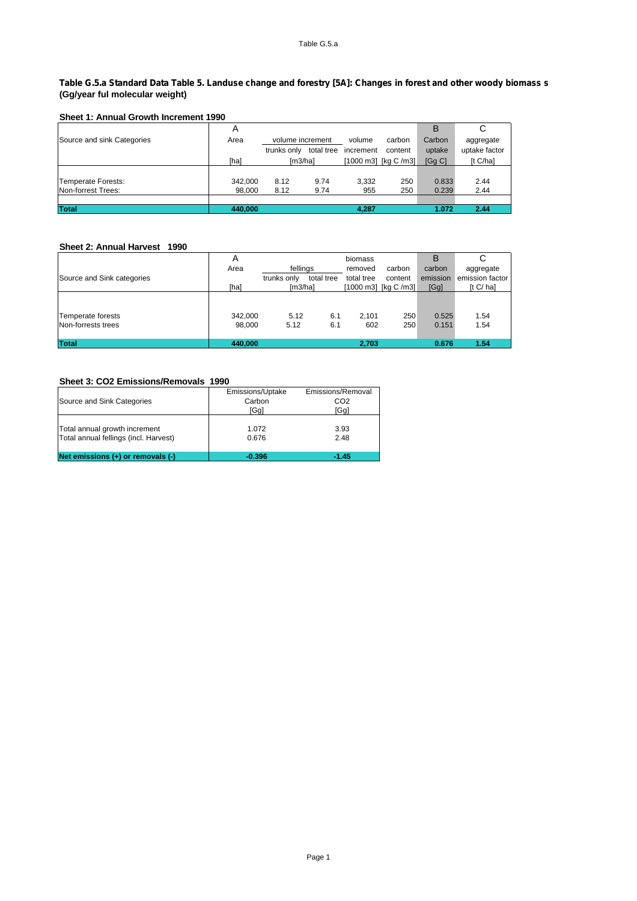# Table G.5.a Standard Data Table 5. Landuse change and forestry [5A]: Changes in forest and other woody biomass s **(Gg/year ful molecular weight)**

# **Sheet 1: Annual Growth Increment 1990**

|                            | A       |                  |            |           |                      | В      | С             |
|----------------------------|---------|------------------|------------|-----------|----------------------|--------|---------------|
| Source and sink Categories | Area    | volume increment |            | volume    | carbon               | Carbon | aggregate     |
|                            |         | trunks only      | total tree | increment | content              | uptake | uptake factor |
|                            | [ha]    | Im3/hal          |            |           | [1000 m3] [kg C /m3] | [Gg C] | [t C/ha]      |
|                            |         |                  |            |           |                      |        |               |
| Temperate Forests:         | 342.000 | 8.12             | 9.74       | 3.332     | 250                  | 0.833  | 2.44          |
| Non-forrest Trees:         | 98.000  | 8.12             | 9.74       | 955       | 250                  | 0.239  | 2.44          |
|                            |         |                  |            |           |                      |        |               |
| <b>Total</b>               | 440,000 |                  |            | 4,287     |                      | 1.072  | 2.44          |

## **Sheet 2: Annual Harvest 1990**

|                                         | Α                 |              |            | biomass      |                      | B              | C               |
|-----------------------------------------|-------------------|--------------|------------|--------------|----------------------|----------------|-----------------|
|                                         | Area              | fellings     |            | removed      | carbon               | carbon         | aggregate       |
| Source and Sink categories              |                   | trunks only  | total tree | total tree   | content              | emission       | emission factor |
|                                         | [ha]              | [m3/ha]      |            |              | [1000 m3] [kg C /m3] | [Gg]           | [t C/ ha]       |
| Temperate forests<br>Non-forrests trees | 342.000<br>98.000 | 5.12<br>5.12 | 6.1<br>6.1 | 2.101<br>602 | 250<br>250           | 0.525<br>0.151 | 1.54<br>1.54    |
| <b>Total</b>                            | 440.000           |              |            | 2,703        |                      | 0.676          | 1.54            |

# **Sheet 3: CO2 Emissions/Removals 1990**

|                                       | Emissions/Uptake | Emissions/Removal |
|---------------------------------------|------------------|-------------------|
| Source and Sink Categories            | Carbon           | CO <sub>2</sub>   |
|                                       | [Ga]             | [Gg]              |
|                                       |                  |                   |
| Total annual growth increment         | 1.072            | 3.93              |
| Total annual fellings (incl. Harvest) | 0.676            | 2.48              |
|                                       |                  |                   |
| Net emissions $(+)$ or removals $(-)$ | $-0.396$         | $-1.45$           |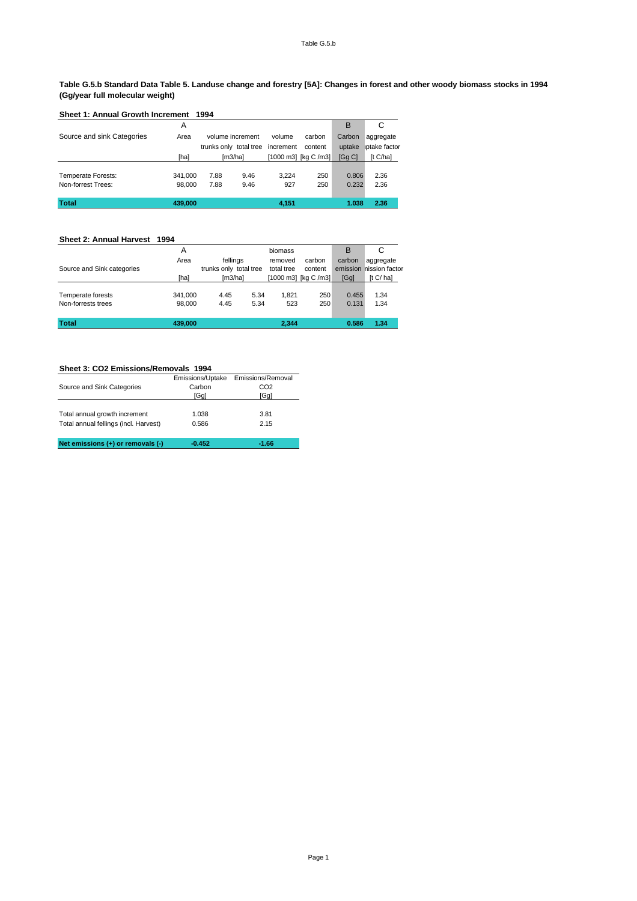#### **Table G.5.b Standard Data Table 5. Landuse change and forestry [5A]: Changes in forest and other woody biomass stocks in 1994 (Gg/year full molecular weight)**

| Sheet 1: Annual Growth Increment 1994 |         |                        |      |           |                      |        |               |
|---------------------------------------|---------|------------------------|------|-----------|----------------------|--------|---------------|
|                                       | А       |                        |      |           |                      | B      | C             |
| Source and sink Categories            | Area    | volume increment       |      | volume    | carbon               | Carbon | aggregate     |
|                                       |         | trunks only total tree |      | increment | content              | uptake | iptake factor |
|                                       | [ha]    | [m3/ha]                |      |           | [1000 m3] [kg C /m3] | [Gq C] | [t Cha]       |
|                                       |         |                        |      |           |                      |        |               |
| Temperate Forests:                    | 341.000 | 7.88                   | 9.46 | 3.224     | 250                  | 0.806  | 2.36          |
| Non-forrest Trees:                    | 98,000  | 7.88                   | 9.46 | 927       | 250                  | 0.232  | 2.36          |
| <b>Total</b>                          | 439.000 |                        |      | 4,151     |                      | 1.038  | 2.36          |

# **Sheet 2: Annual Harvest 1994**

| <b>Total</b>               | 439,000 |                        |      | 2.344      |                      | 0.586  | 1.34                    |
|----------------------------|---------|------------------------|------|------------|----------------------|--------|-------------------------|
| Non-forrests trees         | 98,000  | 4.45                   | 5.34 | 523        | 250                  | 0.131  | 1.34                    |
| Temperate forests          | 341.000 | 4.45                   | 5.34 | 1.821      | 250                  | 0.455  | 1.34                    |
|                            | [ha]    | [m3/ha]                |      |            | [1000 m3] [kg C /m3] | [Gg]   | [t C/ha]                |
| Source and Sink categories |         | trunks only total tree |      | total tree | content              |        | emission nission factor |
|                            | Area    | fellings               |      | removed    | carbon               | carbon | aggregate               |
|                            | Α       |                        |      | biomass    |                      | B      | C                       |

# **Sheet 3: CO2 Emissions/Removals 1994**

| Source and Sink Categories                                             | Emissions/Uptake<br>Carbon<br>[Ga] | Emissions/Removal<br>CO <sub>2</sub><br>[Ga] |  |  |
|------------------------------------------------------------------------|------------------------------------|----------------------------------------------|--|--|
| Total annual growth increment<br>Total annual fellings (incl. Harvest) | 1.038<br>0.586                     | 3.81<br>2.15                                 |  |  |
| Net emissions (+) or removals (-)                                      | $-0.452$                           | $-1.66$                                      |  |  |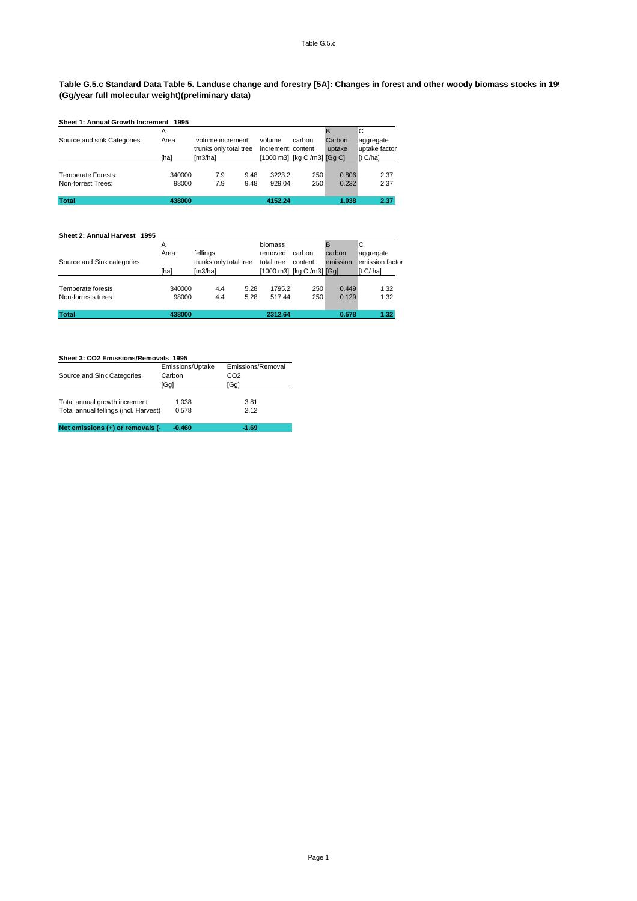#### **Table G.5.c Standard Data Table 5. Landuse change and forestry [5A]: Changes in forest and other woody biomass stocks in 1995 (Gg/year full molecular weight)(preliminary data)**

|                            | Sheet 1: Annual Growth Increment 1995 |                        |      |                   |                             |        |               |  |  |  |  |
|----------------------------|---------------------------------------|------------------------|------|-------------------|-----------------------------|--------|---------------|--|--|--|--|
|                            | A                                     |                        |      |                   |                             | R      | C             |  |  |  |  |
| Source and sink Categories | Area                                  | volume increment       |      | volume            | carbon                      | Carbon | aggregate     |  |  |  |  |
|                            |                                       | trunks only total tree |      | increment content |                             | uptake | uptake factor |  |  |  |  |
|                            | [ha]                                  | [m3/ha]                |      |                   | [1000 m3] [kg C /m3] [Gg C] |        | [t C/ha]      |  |  |  |  |
|                            |                                       |                        |      |                   |                             |        |               |  |  |  |  |
| Temperate Forests:         | 340000                                | 7.9                    | 9.48 | 3223.2            | 250                         | 0.806  | 2.37          |  |  |  |  |
| Non-forrest Trees:         | 98000                                 | 7.9                    | 9.48 | 929.04            | 250                         | 0.232  | 2.37          |  |  |  |  |
|                            |                                       |                        |      |                   |                             |        |               |  |  |  |  |
| <b>Total</b>               | 438000                                |                        |      | 4152.24           |                             | 1.038  | 2.37          |  |  |  |  |

#### **Sheet 2: Annual Harvest 1995** A biomass B C<br>Area fellings removed carbon carbon aggregate<br>trunks only total tree total tree content emission emission factor Area fellings removed carbon carbon<br>trunks only total tree total tree content emission Source and Sink categories trunks only total tree total tree content emission emission<br>
[ha] [m3/ha] [1000 m3] [kg C /m3] [Gg] [t C/ ha] [1000 m3] [kg C /m3] [Gg] Temperate forests 340000 4.4 5.28 1795.2 250 0.449 1.32<br>Non-forrests trees 98000 4.4 5.28 517.44 250 0.129 1.32 Non-forrests trees **Total 438000 2312.64 0.578 1.32**

| Sheet 3: CO2 Emissions/Removals 1995  |                  |                   |  |  |  |  |  |  |  |
|---------------------------------------|------------------|-------------------|--|--|--|--|--|--|--|
|                                       | Emissions/Uptake | Emissions/Removal |  |  |  |  |  |  |  |
| Source and Sink Categories            | Carbon           | CO <sub>2</sub>   |  |  |  |  |  |  |  |
|                                       | [Gg]             | [Gg]              |  |  |  |  |  |  |  |
|                                       |                  |                   |  |  |  |  |  |  |  |
| Total annual growth increment         | 1.038            | 3.81              |  |  |  |  |  |  |  |
| Total annual fellings (incl. Harvest) | 0.578            | 2.12              |  |  |  |  |  |  |  |
|                                       |                  |                   |  |  |  |  |  |  |  |
| Net emissions (+) or removals (-      | $-0.460$         | $-1.69$           |  |  |  |  |  |  |  |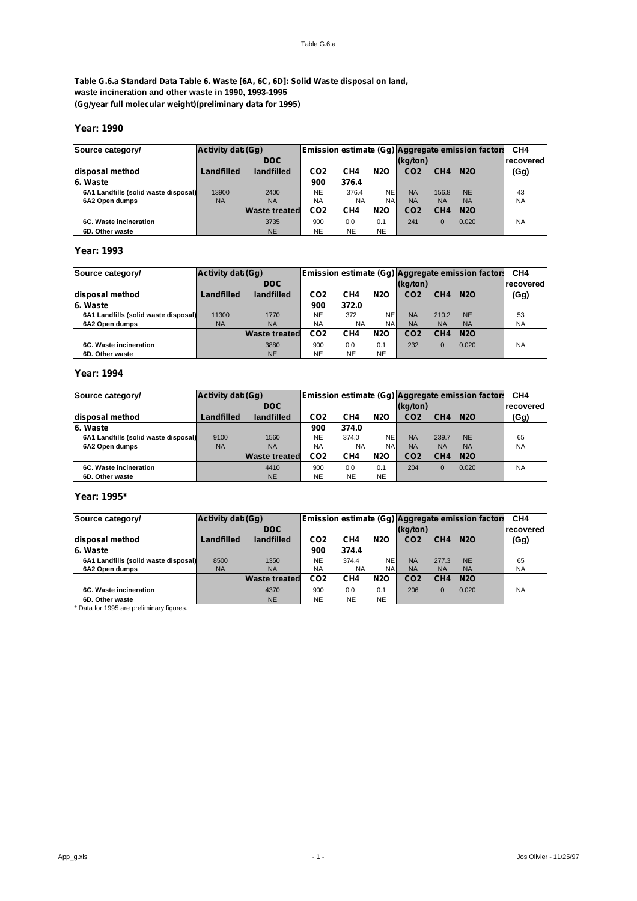**Table G.6.a Standard Data Table 6. Waste [6A, 6C, 6D]: Solid Waste disposal on land, waste incineration and other waste in 1990, 1993-1995 (Gg/year full molecular weight)(preliminary data for 1995)**

# **Year: 1990**

| Source category/                     | Activity data (Gq) |                      |                 |           |            |                 |                 | Emission estimate (Gg) Aggregate emission factors | CH <sub>4</sub> |
|--------------------------------------|--------------------|----------------------|-----------------|-----------|------------|-----------------|-----------------|---------------------------------------------------|-----------------|
|                                      |                    | DOC <sub>1</sub>     |                 |           |            | (kg/ton)        |                 |                                                   | recovered       |
| disposal method                      | Landfilled         | landfilled           | CO <sub>2</sub> | CH4       | <b>N2O</b> | CO <sub>2</sub> | CH <sub>4</sub> | <b>N2O</b>                                        | (Gg)            |
| 6. Waste                             |                    |                      | 900             | 376.4     |            |                 |                 |                                                   |                 |
| 6A1 Landfills (solid waste disposal) | 13900              | 2400                 | <b>NE</b>       | 376.4     | <b>NE</b>  | <b>NA</b>       | 156.8           | <b>NE</b>                                         | 43              |
| 6A2 Open dumps                       | <b>NA</b>          | <b>NA</b>            | <b>NA</b>       | <b>NA</b> | <b>NAI</b> | <b>NA</b>       | <b>NA</b>       | <b>NA</b>                                         | <b>NA</b>       |
|                                      |                    | <b>Waste treated</b> | CO <sub>2</sub> | CH4       | <b>N2O</b> | CO <sub>2</sub> | CH <sub>4</sub> | <b>N2O</b>                                        |                 |
| 6C. Waste incineration               |                    | 3735                 | 900             | 0.0       | 0.1        | 241             | $\Omega$        | 0.020                                             | <b>NA</b>       |
| 6D. Other waste                      |                    | <b>NE</b>            | <b>NE</b>       | <b>NE</b> | <b>NE</b>  |                 |                 |                                                   |                 |

# **Year: 1993**

| Source category/                     | Activity data (Gq) |                      |                 |           |            |                 |                 | Emission estimate (Gg) Aggregate emission factors | CH <sub>4</sub> |
|--------------------------------------|--------------------|----------------------|-----------------|-----------|------------|-----------------|-----------------|---------------------------------------------------|-----------------|
|                                      |                    | DOC <sub>1</sub>     |                 |           |            | (kg/ton)        |                 |                                                   | recovered       |
| disposal method                      | Landfilled         | landfilled           | CO <sub>2</sub> | CH4       | <b>N2O</b> | CO <sub>2</sub> | CH <sub>4</sub> | <b>N2O</b>                                        | (Gg)            |
| 6. Waste                             |                    |                      | 900             | 372.0     |            |                 |                 |                                                   |                 |
| 6A1 Landfills (solid waste disposal) | 11300              | 1770                 | <b>NE</b>       | 372       | NE         | <b>NA</b>       | 210.2           | <b>NE</b>                                         | 53              |
| 6A2 Open dumps                       | <b>NA</b>          | <b>NA</b>            | <b>NA</b>       | <b>NA</b> | NAI        | <b>NA</b>       | <b>NA</b>       | <b>NA</b>                                         | <b>NA</b>       |
|                                      |                    | <b>Waste treated</b> | CO <sub>2</sub> | CH4       | <b>N2O</b> | CO <sub>2</sub> | CH <sub>4</sub> | <b>N2O</b>                                        |                 |
| 6C. Waste incineration               |                    | 3880                 | 900             | 0.0       | 0.1        | 232             | $\Omega$        | 0.020                                             | <b>NA</b>       |
| 6D. Other waste                      |                    | <b>NE</b>            | <b>NE</b>       | <b>NE</b> | <b>NE</b>  |                 |                 |                                                   |                 |

# **Year: 1994**

| Source category/                     | Activity data (Gq) |                      |                 |           |            |                 |                 | Emission estimate (Gg) Aggregate emission factors | CH <sub>4</sub> |
|--------------------------------------|--------------------|----------------------|-----------------|-----------|------------|-----------------|-----------------|---------------------------------------------------|-----------------|
|                                      |                    | <b>DOC</b>           |                 |           |            | (kg/ton)        |                 |                                                   | recovered       |
| disposal method                      | Landfilled         | landfilled           | CO <sub>2</sub> | CH4       | <b>N2O</b> | CO <sub>2</sub> | CH <sub>4</sub> | <b>N2O</b>                                        | (Gg)            |
| 6. Waste                             |                    |                      | 900             | 374.0     |            |                 |                 |                                                   |                 |
| 6A1 Landfills (solid waste disposal) | 9100               | 1560                 | <b>NE</b>       | 374.0     | <b>NE</b>  | <b>NA</b>       | 239.7           | <b>NE</b>                                         | 65              |
| 6A2 Open dumps                       | <b>NA</b>          | <b>NA</b>            | <b>NA</b>       | NA        | <b>NAI</b> | <b>NA</b>       | <b>NA</b>       | <b>NA</b>                                         | <b>NA</b>       |
|                                      |                    | <b>Waste treated</b> | CO <sub>2</sub> | CH4       | <b>N2O</b> | CO <sub>2</sub> | CH <sub>4</sub> | <b>N2O</b>                                        |                 |
| 6C. Waste incineration               |                    | 4410                 | 900             | 0.0       | 0.1        | 204             | $\Omega$        | 0.020                                             | <b>NA</b>       |
| 6D. Other waste                      |                    | <b>NE</b>            | <b>NE</b>       | <b>NE</b> | <b>NE</b>  |                 |                 |                                                   |                 |

## **Year: 1995\***

| Source category/                     | Activity data (Gq) |                      |                 |           |            |                 |                 | Emission estimate (Gg) Aggregate emission factors | CH <sub>4</sub>  |
|--------------------------------------|--------------------|----------------------|-----------------|-----------|------------|-----------------|-----------------|---------------------------------------------------|------------------|
|                                      |                    | <b>DOC</b>           |                 |           |            | (kg/ton)        |                 |                                                   | <b>recovered</b> |
| disposal method                      | Landfilled         | landfilled           | CO <sub>2</sub> | CH4       | <b>N2O</b> | CO <sub>2</sub> | CH <sub>4</sub> | <b>N2O</b>                                        | (Gg)             |
| 6. Waste                             |                    |                      | 900             | 374.4     |            |                 |                 |                                                   |                  |
| 6A1 Landfills (solid waste disposal) | 8500               | 1350                 | <b>NE</b>       | 374.4     | <b>NE</b>  | <b>NA</b>       | 277.3           | <b>NE</b>                                         | 65               |
| 6A2 Open dumps                       | <b>NA</b>          | <b>NA</b>            | <b>NA</b>       | <b>NA</b> | <b>NAI</b> | <b>NA</b>       | <b>NA</b>       | <b>NA</b>                                         | <b>NA</b>        |
|                                      |                    | <b>Waste treated</b> | CO <sub>2</sub> | CH4       | <b>N2O</b> | CO <sub>2</sub> | CH <sub>4</sub> | <b>N2O</b>                                        |                  |
| 6C. Waste incineration               |                    | 4370                 | 900             | 0.0       | 0.1        | 206             | $\Omega$        | 0.020                                             | <b>NA</b>        |
| 6D. Other waste                      |                    | <b>NE</b>            | <b>NE</b>       | <b>NE</b> | <b>NE</b>  |                 |                 |                                                   |                  |

\* Data for 1995 are preliminary figures.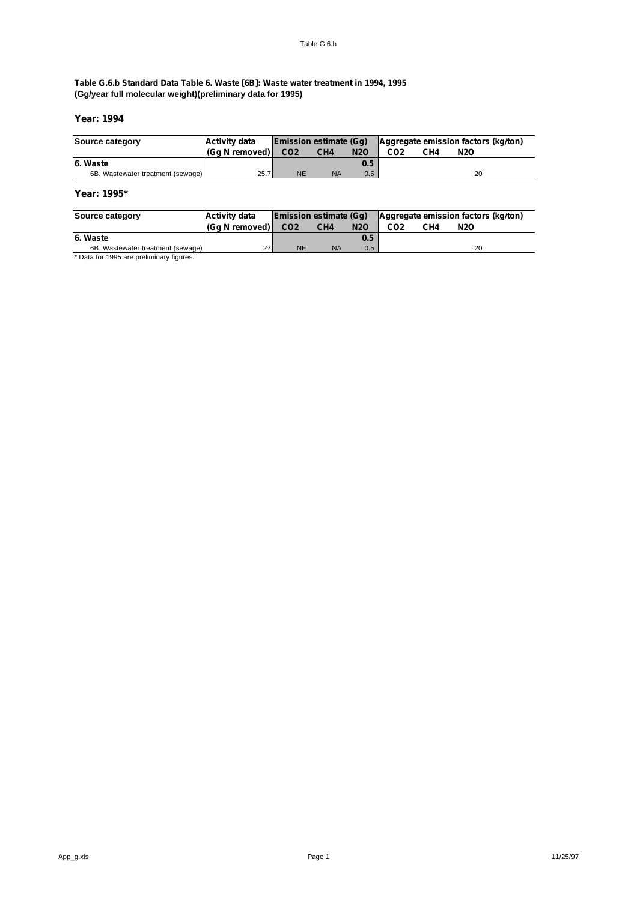# **Table G.6.b Standard Data Table 6. Waste [6B]: Waste water treatment in 1994, 1995 (Gg/year full molecular weight)(preliminary data for 1995)**

# **Year: 1994**

| Source category                   | Activity data  | Emission estimate (Gg) |                 |            | Aggregate emission factors (kg/ton) |     |     |
|-----------------------------------|----------------|------------------------|-----------------|------------|-------------------------------------|-----|-----|
|                                   | (Ga N removed) | CO <sub>2</sub>        | CH <sub>4</sub> | <b>N2O</b> | CO <sub>2</sub>                     | CH4 | N2O |
| 6. Waste                          |                |                        |                 | 0.5        |                                     |     |     |
| 6B. Wastewater treatment (sewage) | 25.7           | <b>NE</b>              | <b>NA</b>       | 0.5        |                                     |     | 20  |

# **Year: 1995\***

| Source category                   | <b>Activity data</b> | <b>Emission estimate (Gg)</b> |                 |                  | Aggregate emission factors (kg/ton) |     |            |
|-----------------------------------|----------------------|-------------------------------|-----------------|------------------|-------------------------------------|-----|------------|
|                                   | (Ga N removed)       | CO <sub>2</sub>               | CH <sub>4</sub> | <b>N2O</b>       | CO <sub>2</sub>                     | CH4 | <b>N2O</b> |
| 6. Waste                          |                      |                               |                 | 0.5              |                                     |     |            |
| 6B. Wastewater treatment (sewage) | 27                   | <b>NE</b>                     | <b>NA</b>       | 0.5 <sub>0</sub> |                                     |     | 20         |
|                                   |                      |                               |                 |                  |                                     |     |            |

Data for 1995 are preliminary figures.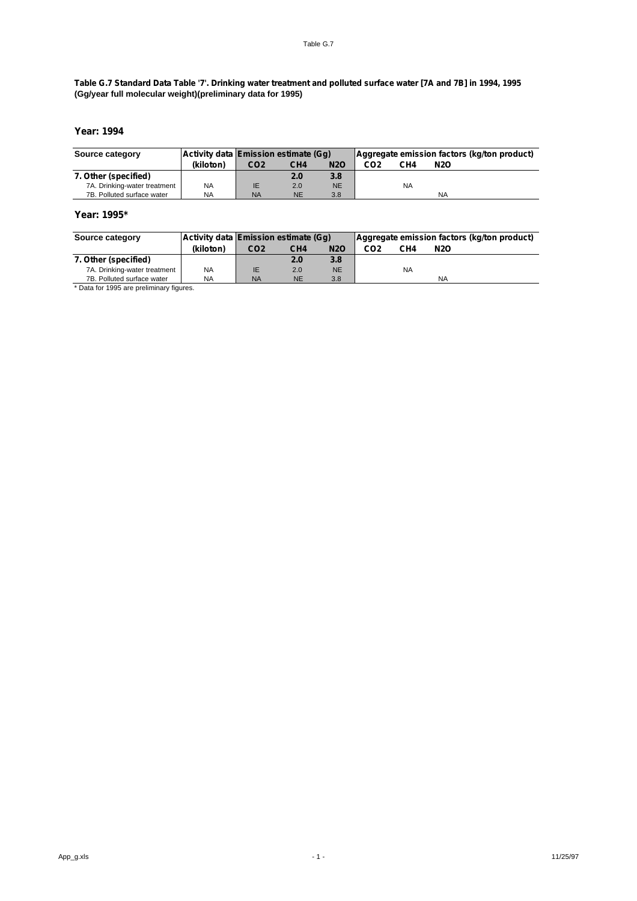# **Table G.7 Standard Data Table '7'. Drinking water treatment and polluted surface water [7A and 7B] in 1994, 1995 (Gg/year full molecular weight)(preliminary data for 1995)**

# **Year: 1994**

| Source category              |           | Activity data Emission estimate (Gq) |                 |            | Aggregate emission factors (kg/ton product) |           |     |  |
|------------------------------|-----------|--------------------------------------|-----------------|------------|---------------------------------------------|-----------|-----|--|
|                              | (kiloton) | CO <sub>2</sub>                      | CH <sub>4</sub> | <b>N2O</b> | CO2                                         | CH4       | N2O |  |
| 7. Other (specified)         |           |                                      | 2.0             | 3.8        |                                             |           |     |  |
| 7A. Drinking-water treatment | <b>NA</b> | IE                                   | 2.0             | <b>NE</b>  |                                             | <b>NA</b> |     |  |
| 7B. Polluted surface water   | <b>NA</b> | <b>NA</b>                            | <b>NE</b>       | 3.8        |                                             |           | NA  |  |

# **Year: 1995\***

| Source category              |           | Activity data Emission estimate (Gq) |                 |            | Aggregate emission factors (kg/ton product) |           |     |
|------------------------------|-----------|--------------------------------------|-----------------|------------|---------------------------------------------|-----------|-----|
|                              | (kiloton) | CO <sub>2</sub>                      | CH <sub>4</sub> | <b>N2O</b> | CO2                                         | CH4       | N2O |
| 7. Other (specified)         |           |                                      | 2.0             | 3.8        |                                             |           |     |
| 7A. Drinking-water treatment | NA.       | IE                                   | 2.0             | <b>NE</b>  |                                             | <b>NA</b> |     |
| 7B. Polluted surface water   | NA        | <b>NA</b>                            | <b>NE</b>       | 3.8        |                                             |           | NA  |

\* Data for 1995 are preliminary figures.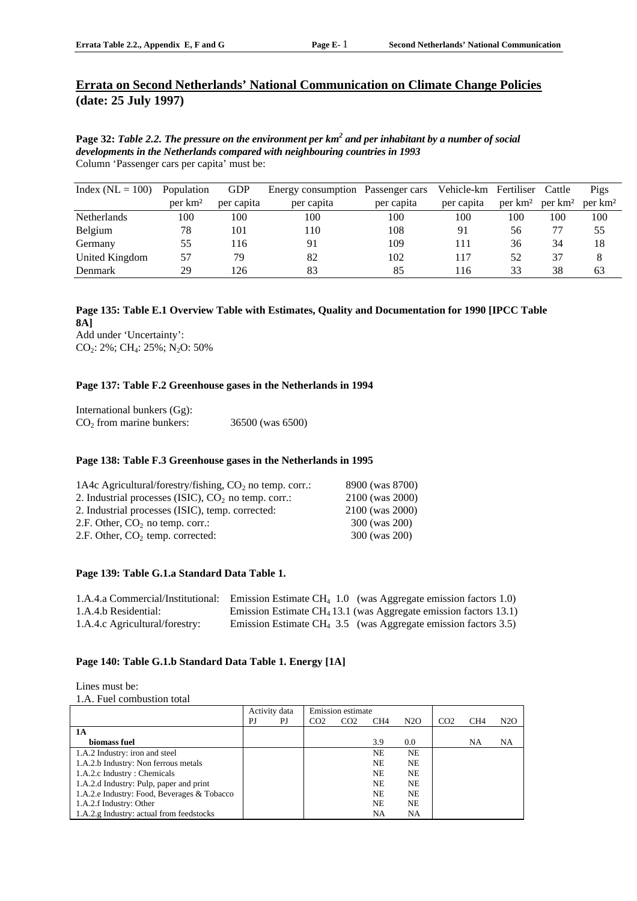# **Errata on Second Netherlands' National Communication on Climate Change Policies (date: 25 July 1997)**

**Page 32:** *Table 2.2. The pressure on the environment per km<sup>2</sup> and per inhabitant by a number of social developments in the Netherlands compared with neighbouring countries in 1993* Column 'Passenger cars per capita' must be:

| Index ( $NL = 100$ ) | Population          | <b>GDP</b> | Energy consumption Passenger cars |            | Vehicle-km Fertiliser |                     | Cattle              | Pigs                |
|----------------------|---------------------|------------|-----------------------------------|------------|-----------------------|---------------------|---------------------|---------------------|
|                      | per km <sup>2</sup> | per capita | per capita                        | per capita | per capita            | per km <sup>2</sup> | per km <sup>2</sup> | per km <sup>2</sup> |
| <b>Netherlands</b>   | 100                 | 100        | 100                               | 100        | 100                   | 100                 | 100                 | 100                 |
| Belgium              | 78                  | 101        | 110                               | 108        | 91                    | 56                  |                     | 55                  |
| Germany              | 55                  | 116        | 91                                | 109        | 111                   | 36                  | 34                  | 18                  |
| United Kingdom       | 57                  | 79         | 82                                | 102        | 117                   | 52                  | 37                  |                     |
| Denmark              | 29                  | 126        | 83                                | 85         | 116                   | 33                  | 38                  | 63                  |

# **Page 135: Table E.1 Overview Table with Estimates, Quality and Documentation for 1990 [IPCC Table 8A]** Add under 'Uncertainty':

CO<sub>2</sub>: 2%; CH<sub>4</sub>: 25%; N<sub>2</sub>O: 50%

# **Page 137: Table F.2 Greenhouse gases in the Netherlands in 1994**

| International bunkers (Gg): |                  |
|-----------------------------|------------------|
| $CO2$ from marine bunkers:  | 36500 (was 6500) |

# **Page 138: Table F.3 Greenhouse gases in the Netherlands in 1995**

| 1A4c Agricultural/forestry/fishing, $CO2$ no temp. corr.: | 8900 (was 8700) |
|-----------------------------------------------------------|-----------------|
| 2. Industrial processes (ISIC), $CO2$ no temp. corr.:     | 2100 (was 2000) |
| 2. Industrial processes (ISIC), temp. corrected:          | 2100 (was 2000) |
| 2.F. Other, $CO2$ no temp. corr.:                         | 300 (was 200)   |
| 2.F. Other, $CO2$ temp. corrected:                        | 300 (was 200)   |
|                                                           |                 |

# **Page 139: Table G.1.a Standard Data Table 1.**

|                                | 1.A.4.a Commercial/Institutional: Emission Estimate $CH_4$ 1.0 (was Aggregate emission factors 1.0) |
|--------------------------------|-----------------------------------------------------------------------------------------------------|
| 1.A.4.b Residential:           | Emission Estimate $CH4 13.1$ (was Aggregate emission factors 13.1)                                  |
| 1.A.4.c Agricultural/forestry: | Emission Estimate CH <sub>4</sub> 3.5 (was Aggregate emission factors 3.5)                          |

# **Page 140: Table G.1.b Standard Data Table 1. Energy [1A]**

Lines must be:

1.A. Fuel combustion total

|                                             | Activity data |    | Emission estimate |                 |                 |           |                 |                 |     |
|---------------------------------------------|---------------|----|-------------------|-----------------|-----------------|-----------|-----------------|-----------------|-----|
|                                             | PJ            | PJ | CO <sub>2</sub>   | CO <sub>2</sub> | CH <sub>4</sub> | N2O       | CO <sub>2</sub> | CH <sub>4</sub> | N2O |
| 1 A                                         |               |    |                   |                 |                 |           |                 |                 |     |
| biomass fuel                                |               |    |                   |                 | 3.9             | 0.0       |                 | NA              | NA  |
| 1.A.2 Industry: iron and steel              |               |    |                   |                 | <b>NE</b>       | <b>NE</b> |                 |                 |     |
| 1.A.2.b Industry: Non ferrous metals        |               |    |                   |                 | <b>NE</b>       | <b>NE</b> |                 |                 |     |
| 1.A.2.c Industry: Chemicals                 |               |    |                   |                 | <b>NE</b>       | <b>NE</b> |                 |                 |     |
| 1.A.2.d Industry: Pulp, paper and print     |               |    |                   |                 | <b>NE</b>       | <b>NE</b> |                 |                 |     |
| 1.A.2.e Industry: Food, Beverages & Tobacco |               |    |                   |                 | <b>NE</b>       | <b>NE</b> |                 |                 |     |
| 1.A.2.f Industry: Other                     |               |    |                   |                 | N <sub>E</sub>  | <b>NE</b> |                 |                 |     |
| 1.A.2.g Industry: actual from feedstocks    |               |    |                   |                 | NA              | NA        |                 |                 |     |